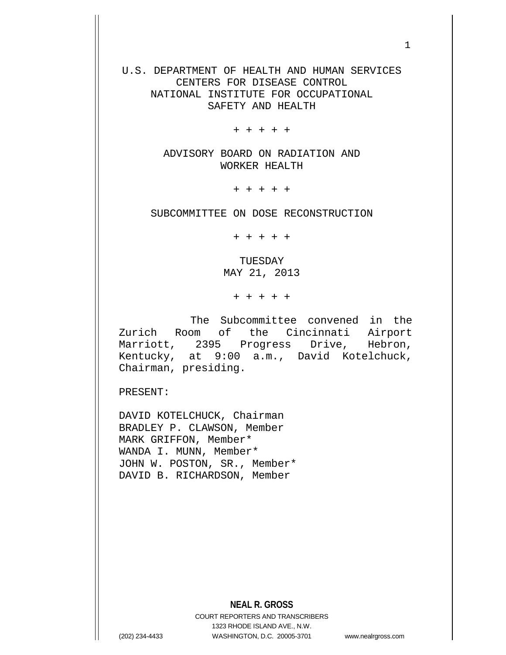U.S. DEPARTMENT OF HEALTH AND HUMAN SERVICES CENTERS FOR DISEASE CONTROL NATIONAL INSTITUTE FOR OCCUPATIONAL SAFETY AND HEALTH

+ + + + +

ADVISORY BOARD ON RADIATION AND WORKER HEALTH

+ + + + +

SUBCOMMITTEE ON DOSE RECONSTRUCTION

+ + + + +

TUESDAY MAY 21, 2013

+ + + + +

The Subcommittee convened in the Zurich Room of the Cincinnati Airport Marriott, 2395 Progress Drive, Hebron, Kentucky, at 9:00 a.m., David Kotelchuck, Chairman, presiding.

PRESENT:

DAVID KOTELCHUCK, Chairman BRADLEY P. CLAWSON, Member MARK GRIFFON, Member\* WANDA I. MUNN, Member\* JOHN W. POSTON, SR., Member\* DAVID B. RICHARDSON, Member

**NEAL R. GROSS**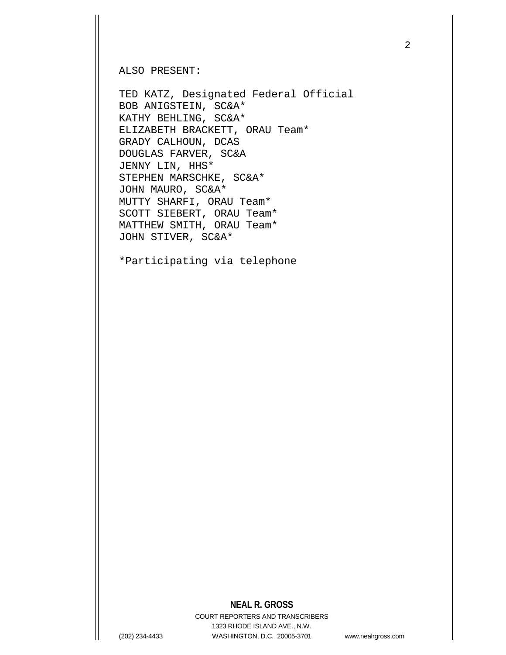ALSO PRESENT:

TED KATZ, Designated Federal Official BOB ANIGSTEIN, SC&A\* KATHY BEHLING, SC&A\* ELIZABETH BRACKETT, ORAU Team\* GRADY CALHOUN, DCAS DOUGLAS FARVER, SC&A JENNY LIN, HHS\* STEPHEN MARSCHKE, SC&A\* JOHN MAURO, SC&A\* MUTTY SHARFI, ORAU Team\* SCOTT SIEBERT, ORAU Team\* MATTHEW SMITH, ORAU Team\* JOHN STIVER, SC&A\*

\*Participating via telephone

## **NEAL R. GROSS**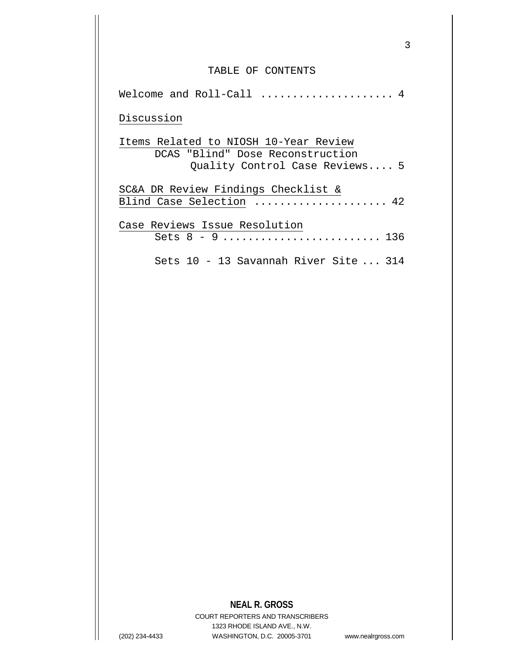## TABLE OF CONTENTS

| Welcome and Roll-Call  4                                                                                    |
|-------------------------------------------------------------------------------------------------------------|
| Discussion                                                                                                  |
| Items Related to NIOSH 10-Year Review<br>DCAS "Blind" Dose Reconstruction<br>Quality Control Case Reviews 5 |
| SC&A DR Review Findings Checklist &<br>Blind Case Selection  42                                             |
| Case Reviews Issue Resolution                                                                               |
|                                                                                                             |
| Sets 10 - 13 Savannah River Site  314                                                                       |

## **NEAL R. GROSS**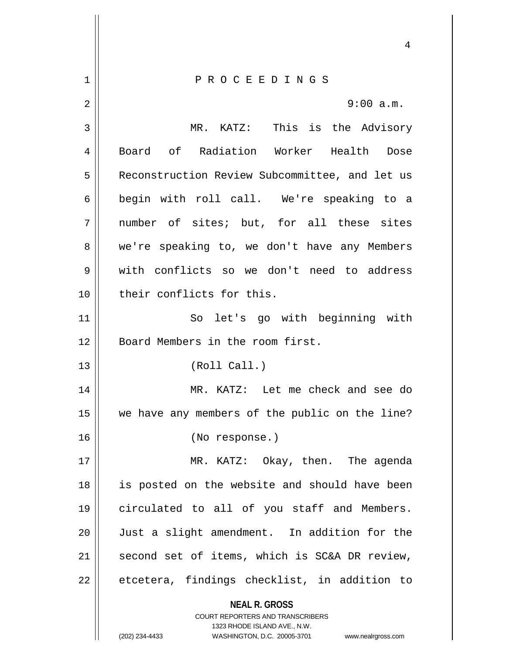**NEAL R. GROSS** COURT REPORTERS AND TRANSCRIBERS 1323 RHODE ISLAND AVE., N.W. 4 1 P R O C E E D I N G S 2  $\parallel$  9:00 a.m. 3 MR. KATZ: This is the Advisory 4 Board of Radiation Worker Health Dose 5 | Reconstruction Review Subcommittee, and let us 6 || begin with roll call. We're speaking to a 7 || number of sites; but, for all these sites 8 we're speaking to, we don't have any Members 9 with conflicts so we don't need to address 10 || their conflicts for this. 11 || So let's go with beginning with 12 Board Members in the room first. 13 || (Roll Call.) 14 MR. KATZ: Let me check and see do 15 we have any members of the public on the line? 16 (No response.) 17 || MR. KATZ: Okay, then. The agenda 18 || is posted on the website and should have been 19 circulated to all of you staff and Members. 20 Just a slight amendment. In addition for the 21 || second set of items, which is SC&A DR review,  $22 \parallel$  etcetera, findings checklist, in addition to

(202) 234-4433 WASHINGTON, D.C. 20005-3701 www.nealrgross.com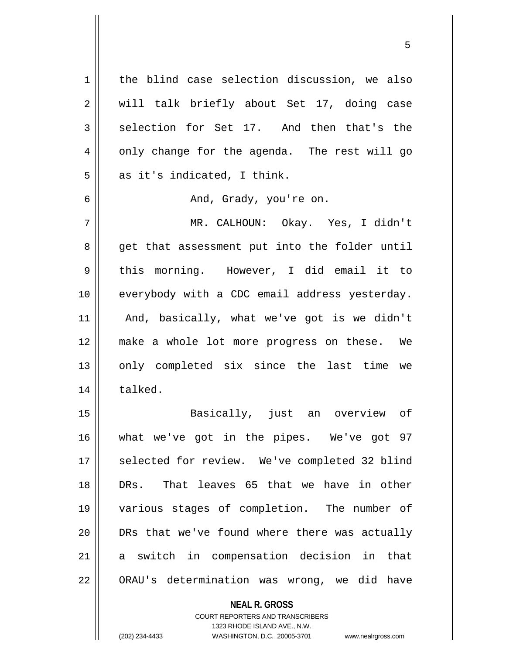1 | the blind case selection discussion, we also 2 || will talk briefly about Set 17, doing case  $3 \parallel$  selection for Set 17. And then that's the  $4 \parallel$  only change for the agenda. The rest will go  $5 \parallel$  as it's indicated, I think.

6 And, Grady, you're on.

7 MR. CALHOUN: Okay. Yes, I didn't 8 get that assessment put into the folder until 9 this morning. However, I did email it to 10 || everybody with a CDC email address yesterday. 11 And, basically, what we've got is we didn't 12 make a whole lot more progress on these. We 13 || only completed six since the last time we 14 | talked.

 Basically, just an overview of what we've got in the pipes. We've got 97 17 || selected for review. We've completed 32 blind DRs. That leaves 65 that we have in other various stages of completion. The number of 20 || DRs that we've found where there was actually a switch in compensation decision in that 22 | ORAU's determination was wrong, we did have

> **NEAL R. GROSS** COURT REPORTERS AND TRANSCRIBERS 1323 RHODE ISLAND AVE., N.W. (202) 234-4433 WASHINGTON, D.C. 20005-3701 www.nealrgross.com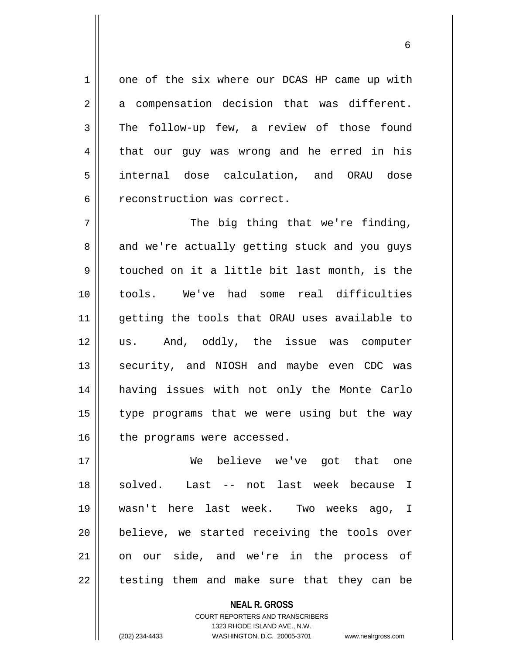1 one of the six where our DCAS HP came up with  $2 \parallel$  a compensation decision that was different. 3 The follow-up few, a review of those found 4 that our guy was wrong and he erred in his 5 internal dose calculation, and ORAU dose 6 | reconstruction was correct.

 $7 \parallel$  The big thing that we're finding, 8 and we're actually getting stuck and you guys 9 | touched on it a little bit last month, is the 10 tools. We've had some real difficulties 11 getting the tools that ORAU uses available to 12 us. And, oddly, the issue was computer 13 || security, and NIOSH and maybe even CDC was 14 having issues with not only the Monte Carlo  $15$  | type programs that we were using but the way  $16$  the programs were accessed.

17 We believe we've got that one 18 || solved. Last -- not last week because I 19 wasn't here last week. Two weeks ago, I 20 || believe, we started receiving the tools over 21 || on our side, and we're in the process of  $22$  || testing them and make sure that they can be

> **NEAL R. GROSS** COURT REPORTERS AND TRANSCRIBERS 1323 RHODE ISLAND AVE., N.W. (202) 234-4433 WASHINGTON, D.C. 20005-3701 www.nealrgross.com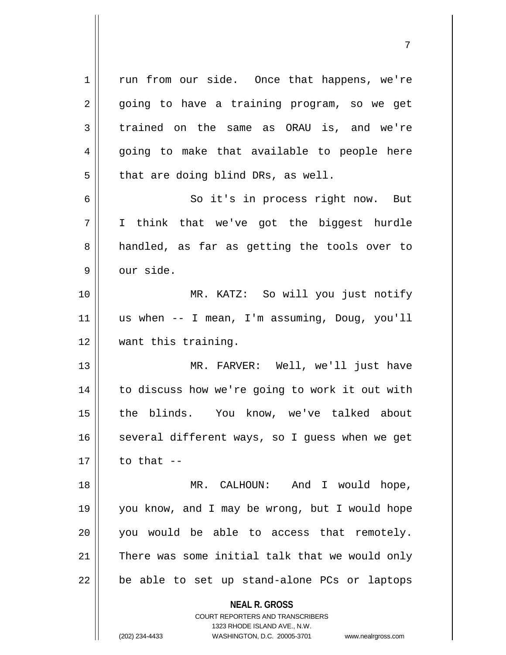**NEAL R. GROSS** 1 || run from our side. Once that happens, we're  $2 \parallel$  going to have a training program, so we get 3 trained on the same as ORAU is, and we're  $4 \parallel$  going to make that available to people here  $5 \parallel$  that are doing blind DRs, as well. 6 || So it's in process right now. But 7 I think that we've got the biggest hurdle 8 || handled, as far as getting the tools over to  $9$   $\parallel$  our side. 10 MR. KATZ: So will you just notify 11 us when -- I mean, I'm assuming, Doug, you'll 12 || want this training. 13 MR. FARVER: Well, we'll just have 14 || to discuss how we're going to work it out with 15 || the blinds. You know, we've talked about  $16$  several different ways, so I guess when we get  $17 \parallel$  to that  $-$ 18 MR. CALHOUN: And I would hope, 19 you know, and I may be wrong, but I would hope 20 you would be able to access that remotely. 21 || There was some initial talk that we would only  $22$  || be able to set up stand-alone PCs or laptops

> COURT REPORTERS AND TRANSCRIBERS 1323 RHODE ISLAND AVE., N.W.

(202) 234-4433 WASHINGTON, D.C. 20005-3701 www.nealrgross.com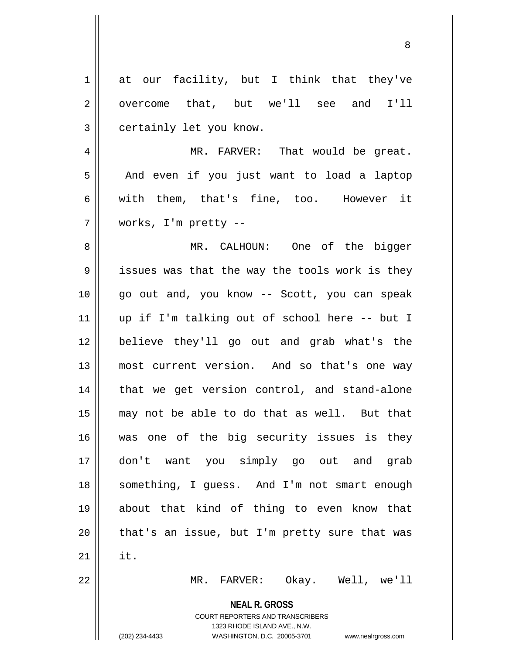| $\mathbf 1$    | at our facility, but I think that they've                           |
|----------------|---------------------------------------------------------------------|
| $\sqrt{2}$     | overcome that, but we'll see and I'll                               |
| $\mathfrak{Z}$ | certainly let you know.                                             |
| 4              | MR. FARVER: That would be great.                                    |
| 5              | And even if you just want to load a laptop                          |
| 6              | with them, that's fine, too. However it                             |
| 7              | works, I'm pretty --                                                |
| 8              | MR. CALHOUN: One of the bigger                                      |
| 9              | issues was that the way the tools work is they                      |
| 10             | go out and, you know -- Scott, you can speak                        |
| 11             | up if I'm talking out of school here -- but I                       |
| 12             | believe they'll go out and grab what's the                          |
| 13             | most current version. And so that's one way                         |
| 14             | that we get version control, and stand-alone                        |
| 15             | may not be able to do that as well. But that                        |
| 16             | was one of the big security issues is they                          |
| 17             | don't want you simply go out and<br>grab                            |
|                |                                                                     |
| 18             | something, I guess. And I'm not smart enough                        |
| 19             | about that kind of thing to even know that                          |
| 20             | that's an issue, but I'm pretty sure that was                       |
| 21             | it.                                                                 |
| 22             | $MR$ .<br>FARVER: Okay. Well, we'll                                 |
|                | <b>NEAL R. GROSS</b>                                                |
|                | COURT REPORTERS AND TRANSCRIBERS                                    |
|                | 1323 RHODE ISLAND AVE., N.W.                                        |
|                | (202) 234-4433<br>WASHINGTON, D.C. 20005-3701<br>www.nealrgross.com |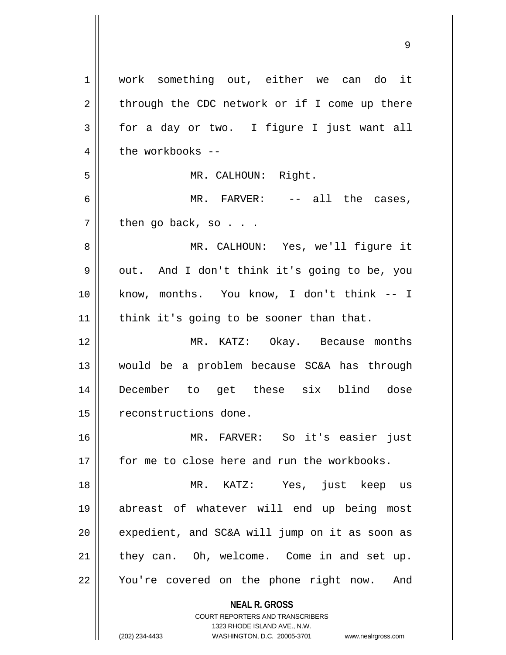**NEAL R. GROSS** COURT REPORTERS AND TRANSCRIBERS 1323 RHODE ISLAND AVE., N.W. 1 | work something out, either we can do it  $2 \parallel$  through the CDC network or if I come up there  $3 \parallel$  for a day or two. I figure I just want all  $4 \parallel$  the workbooks --5 MR. CALHOUN: Right. 6 MR. FARVER: -- all the cases,  $7 \parallel$  then go back, so . . . 8 MR. CALHOUN: Yes, we'll figure it 9 || out. And I don't think it's going to be, you 10 know, months. You know, I don't think -- I  $11$  | think it's going to be sooner than that. 12 MR. KATZ: Okay. Because months 13 would be a problem because SC&A has through 14 December to get these six blind dose 15 || reconstructions done. 16 MR. FARVER: So it's easier just 17 for me to close here and run the workbooks. 18 MR. KATZ: Yes, just keep us 19 abreast of whatever will end up being most  $20$  || expedient, and SC&A will jump on it as soon as 21 they can. Oh, welcome. Come in and set up. 22 || You're covered on the phone right now. And

(202) 234-4433 WASHINGTON, D.C. 20005-3701 www.nealrgross.com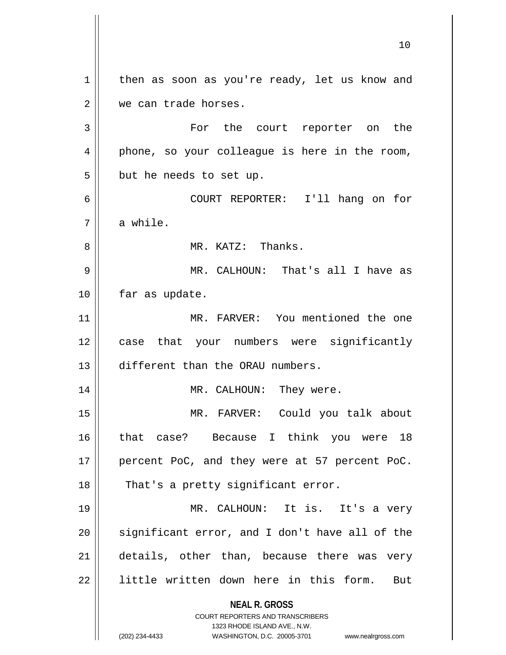**NEAL R. GROSS** COURT REPORTERS AND TRANSCRIBERS 1323 RHODE ISLAND AVE., N.W. (202) 234-4433 WASHINGTON, D.C. 20005-3701 www.nealrgross.com  $1 \parallel$  then as soon as you're ready, let us know and 2 | we can trade horses. 3 || For the court reporter on the 4 || phone, so your colleague is here in the room,  $5 \parallel$  but he needs to set up. 6 COURT REPORTER: I'll hang on for  $7 \parallel$  a while. 8 MR. KATZ: Thanks. 9 MR. CALHOUN: That's all I have as 10 | far as update. 11 MR. FARVER: You mentioned the one 12 case that your numbers were significantly 13 different than the ORAU numbers. 14 MR. CALHOUN: They were. 15 MR. FARVER: Could you talk about 16 that case? Because I think you were 18 17 || percent PoC, and they were at 57 percent PoC. 18 || That's a pretty significant error. 19 MR. CALHOUN: It is. It's a very  $20$  significant error, and I don't have all of the 21 || details, other than, because there was very 22 || little written down here in this form. But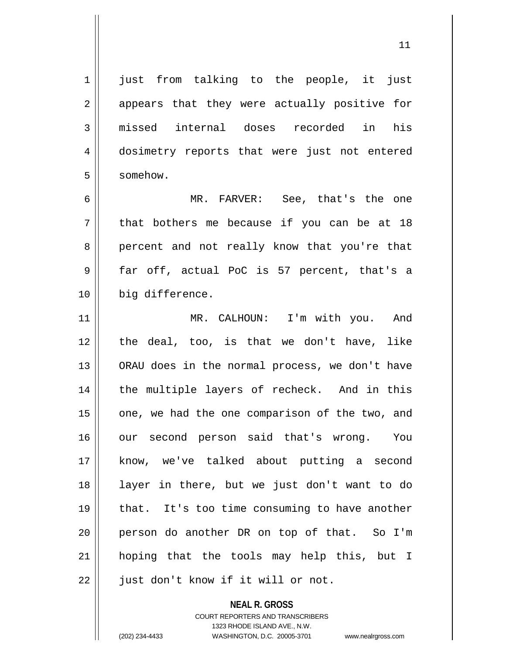1 || just from talking to the people, it just 2 appears that they were actually positive for 3|| missed internal doses recorded in his 4 || dosimetry reports that were just not entered 5 | somehow.

6 MR. FARVER: See, that's the one  $7 \parallel$  that bothers me because if you can be at 18 8 percent and not really know that you're that  $9 \parallel$  far off, actual PoC is 57 percent, that's a 10 || big difference.

11 || MR. CALHOUN: I'm with you. And 12 the deal, too, is that we don't have, like 13 || ORAU does in the normal process, we don't have 14 || the multiple layers of recheck. And in this  $15$  | one, we had the one comparison of the two, and 16 our second person said that's wrong. You 17 know, we've talked about putting a second 18 layer in there, but we just don't want to do 19 || that. It's too time consuming to have another 20 person do another DR on top of that. So I'm 21 hoping that the tools may help this, but I 22 || just don't know if it will or not.

> **NEAL R. GROSS** COURT REPORTERS AND TRANSCRIBERS 1323 RHODE ISLAND AVE., N.W. (202) 234-4433 WASHINGTON, D.C. 20005-3701 www.nealrgross.com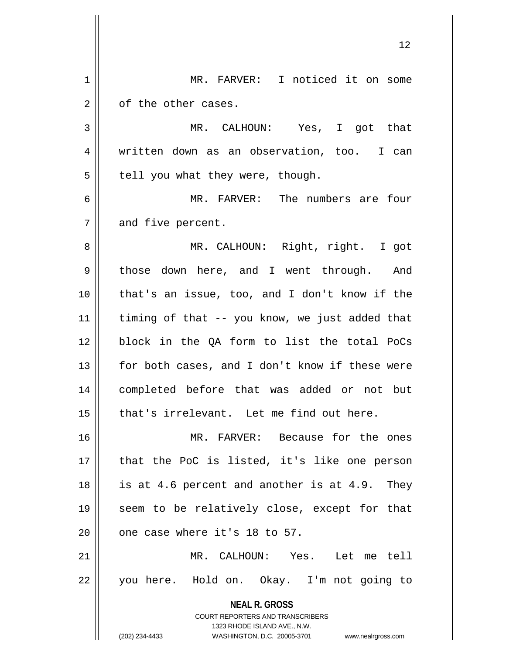| 1  | MR. FARVER: I noticed it on some                                    |
|----|---------------------------------------------------------------------|
| 2  | of the other cases.                                                 |
| 3  | MR. CALHOUN:<br>Yes, I got that                                     |
| 4  | written down as an observation, too. I can                          |
| 5  | tell you what they were, though.                                    |
| 6  | MR. FARVER: The numbers are four                                    |
| 7  | and five percent.                                                   |
| 8  | MR. CALHOUN: Right, right. I got                                    |
| 9  | those down here, and I went through. And                            |
| 10 | that's an issue, too, and I don't know if the                       |
| 11 | timing of that -- you know, we just added that                      |
| 12 | block in the QA form to list the total PoCs                         |
| 13 | for both cases, and I don't know if these were                      |
| 14 | completed before that was added or not but                          |
| 15 | that's irrelevant. Let me find out here.                            |
| 16 | MR. FARVER: Because for the ones                                    |
| 17 | that the PoC is listed, it's like one person                        |
| 18 | is at 4.6 percent and another is at 4.9. They                       |
| 19 | seem to be relatively close, except for that                        |
| 20 | one case where it's 18 to 57.                                       |
| 21 | MR. CALHOUN: Yes. Let me tell                                       |
| 22 | you here. Hold on. Okay. I'm not going to                           |
|    | <b>NEAL R. GROSS</b>                                                |
|    | COURT REPORTERS AND TRANSCRIBERS<br>1323 RHODE ISLAND AVE., N.W.    |
|    | (202) 234-4433<br>WASHINGTON, D.C. 20005-3701<br>www.nealrgross.com |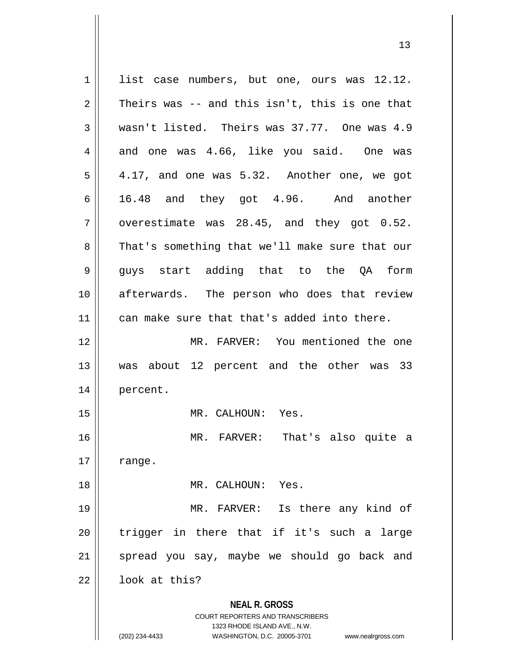**NEAL R. GROSS** COURT REPORTERS AND TRANSCRIBERS 1323 RHODE ISLAND AVE., N.W. (202) 234-4433 WASHINGTON, D.C. 20005-3701 www.nealrgross.com  $1 \parallel$  list case numbers, but one, ours was 12.12.  $2 \parallel$  Theirs was -- and this isn't, this is one that  $3 \parallel$  wasn't listed. Theirs was 37.77. One was 4.9 4 and one was 4.66, like you said. One was  $5 \parallel 4.17$ , and one was 5.32. Another one, we got  $6 \parallel$  16.48 and they got 4.96. And another  $7 \parallel$  overestimate was 28.45, and they got 0.52. 8 That's something that we'll make sure that our 9 || guys start adding that to the QA form 10 || afterwards. The person who does that review 11 || can make sure that that's added into there. 12 MR. FARVER: You mentioned the one 13 was about 12 percent and the other was 33 14 percent. 15 || MR. CALHOUN: Yes. 16 MR. FARVER: That's also quite a  $17 \parallel$  range. 18 MR. CALHOUN: Yes. 19 MR. FARVER: Is there any kind of  $20$  trigger in there that if it's such a large  $21$  spread you say, maybe we should go back and  $22$  |  $100k$  at this?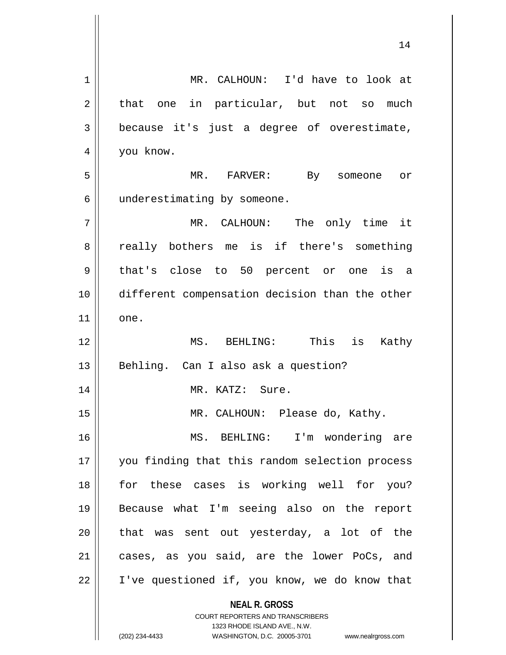**NEAL R. GROSS** COURT REPORTERS AND TRANSCRIBERS 1323 RHODE ISLAND AVE., N.W. (202) 234-4433 WASHINGTON, D.C. 20005-3701 www.nealrgross.com 1 MR. CALHOUN: I'd have to look at  $2 \parallel$  that one in particular, but not so much 3 because it's just a degree of overestimate, 4 | you know. 5 MR. FARVER: By someone or 6 | underestimating by someone. 7 MR. CALHOUN: The only time it 8 really bothers me is if there's something 9 || that's close to 50 percent or one is a 10 different compensation decision than the other  $11$  one. 12 MS. BEHLING: This is Kathy 13 || Behling. Can I also ask a question? 14 || MR. KATZ: Sure. 15 || MR. CALHOUN: Please do, Kathy. 16 MS. BEHLING: I'm wondering are 17 || you finding that this random selection process 18 || for these cases is working well for you? 19 Because what I'm seeing also on the report  $20$  || that was sent out yesterday, a lot of the 21 cases, as you said, are the lower PoCs, and 22 | I've questioned if, you know, we do know that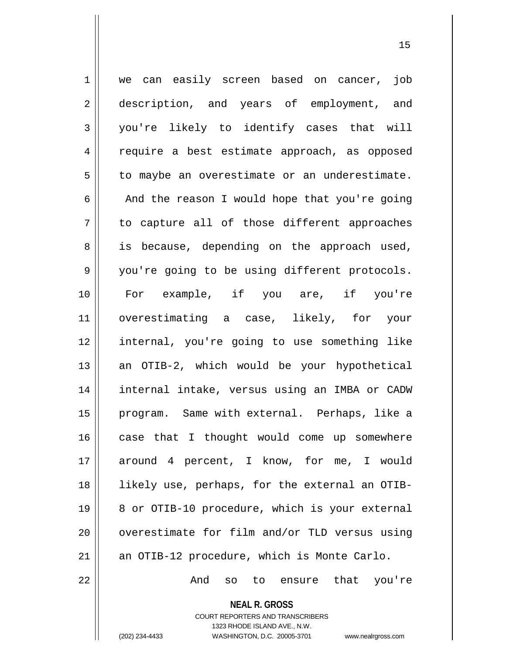1 || we can easily screen based on cancer, job 2 description, and years of employment, and 3 you're likely to identify cases that will 4 | require a best estimate approach, as opposed  $5 \parallel$  to maybe an overestimate or an underestimate.  $6 \parallel$  And the reason I would hope that you're going  $7 \parallel$  to capture all of those different approaches 8 || is because, depending on the approach used, 9 || you're going to be using different protocols. 10 For example, if you are, if you're 11 overestimating a case, likely, for your 12 internal, you're going to use something like 13 || an OTIB-2, which would be your hypothetical 14 internal intake, versus using an IMBA or CADW 15 || program. Same with external. Perhaps, like a 16 case that I thought would come up somewhere 17 around 4 percent, I know, for me, I would 18 likely use, perhaps, for the external an OTIB-19 || 8 or OTIB-10 procedure, which is your external  $20$   $\parallel$  overestimate for film and/or TLD versus using 21  $\parallel$  an OTIB-12 procedure, which is Monte Carlo. 22 And so to ensure that you're

> COURT REPORTERS AND TRANSCRIBERS 1323 RHODE ISLAND AVE., N.W.

**NEAL R. GROSS**

(202) 234-4433 WASHINGTON, D.C. 20005-3701 www.nealrgross.com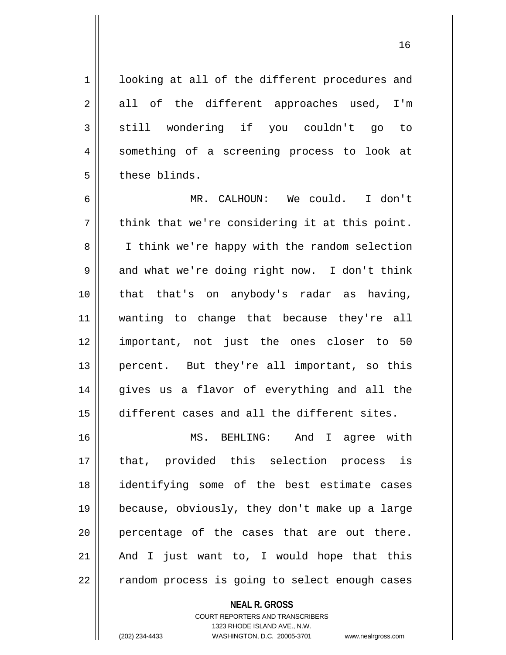1 | looking at all of the different procedures and  $2 \parallel$  all of the different approaches used, I'm  $3 \parallel$  still wondering if you couldn't go to 4 || something of a screening process to look at 5 l these blinds.

6 MR. CALHOUN: We could. I don't  $7 \parallel$  think that we're considering it at this point. 8 || I think we're happy with the random selection  $9 \parallel$  and what we're doing right now. I don't think 10 that that's on anybody's radar as having, 11 wanting to change that because they're all 12 important, not just the ones closer to 50 13 || percent. But they're all important, so this 14 gives us a flavor of everything and all the 15 different cases and all the different sites.

 MS. BEHLING: And I agree with that, provided this selection process is identifying some of the best estimate cases because, obviously, they don't make up a large || percentage of the cases that are out there.  $\parallel$  And I just want to, I would hope that this  $\parallel$  random process is going to select enough cases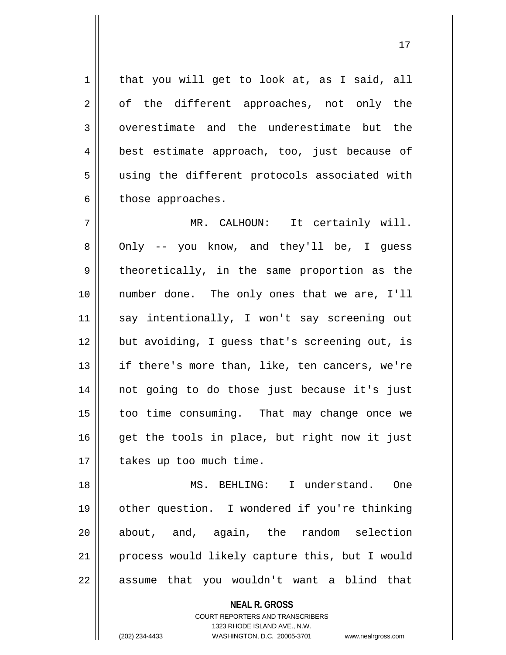$1$  that you will get to look at, as I said, all  $2 \parallel$  of the different approaches, not only the 3 overestimate and the underestimate but the 4 || best estimate approach, too, just because of 5 || using the different protocols associated with  $6 \parallel$  those approaches.

7 || MR. CALHOUN: It certainly will. 8 || Only -- you know, and they'll be, I guess  $9 \parallel$  theoretically, in the same proportion as the 10 || number done. The only ones that we are, I'll 11 say intentionally, I won't say screening out 12 but avoiding, I guess that's screening out, is 13 || if there's more than, like, ten cancers, we're 14 not going to do those just because it's just 15 too time consuming. That may change once we  $16$  get the tools in place, but right now it just 17 || takes up too much time.

 MS. BEHLING: I understand. One other question. I wondered if you're thinking 20 || about, and, again, the random selection process would likely capture this, but I would || assume that you wouldn't want a blind that

> **NEAL R. GROSS** COURT REPORTERS AND TRANSCRIBERS 1323 RHODE ISLAND AVE., N.W.

(202) 234-4433 WASHINGTON, D.C. 20005-3701 www.nealrgross.com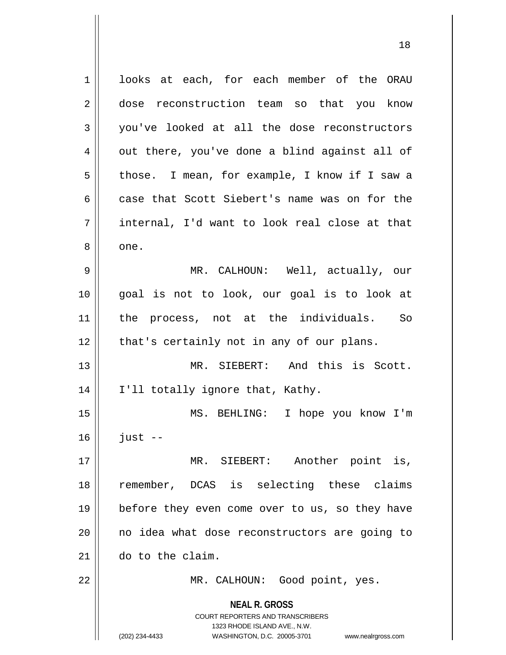**NEAL R. GROSS** COURT REPORTERS AND TRANSCRIBERS 1323 RHODE ISLAND AVE., N.W. (202) 234-4433 WASHINGTON, D.C. 20005-3701 www.nealrgross.com 1 | looks at each, for each member of the ORAU 2 dose reconstruction team so that you know 3 you've looked at all the dose reconstructors  $4 \parallel$  out there, you've done a blind against all of 5 | those. I mean, for example, I know if I saw a 6 case that Scott Siebert's name was on for the 7 internal, I'd want to look real close at that 8 || one. 9 MR. CALHOUN: Well, actually, our 10 goal is not to look, our goal is to look at 11 the process, not at the individuals. So  $12$  | that's certainly not in any of our plans. 13 MR. SIEBERT: And this is Scott. 14 || I'll totally ignore that, Kathy. 15 MS. BEHLING: I hope you know I'm  $16$  just  $-$ 17 MR. SIEBERT: Another point is, 18 remember, DCAS is selecting these claims 19 || before they even come over to us, so they have 20 || no idea what dose reconstructors are going to 21 do to the claim. 22 || MR. CALHOUN: Good point, yes.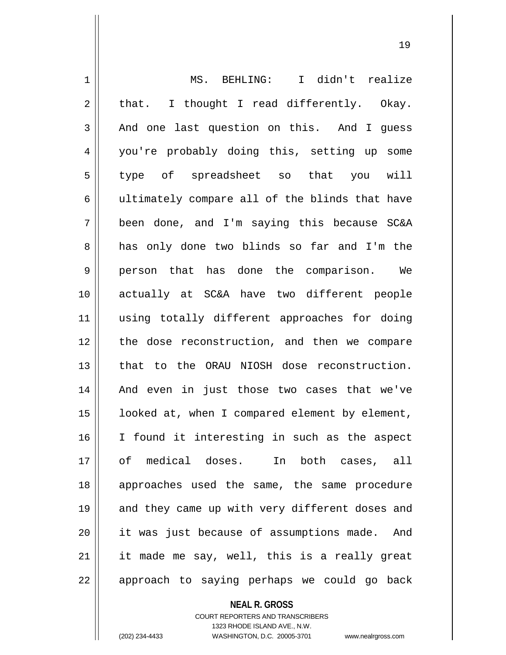| $\mathbf 1$ | MS. BEHLING: I didn't realize                  |
|-------------|------------------------------------------------|
| 2           | I thought I read differently. Okay.<br>that.   |
| 3           | And one last question on this. And I guess     |
| 4           | you're probably doing this, setting up some    |
| 5           | type of spreadsheet so that you will           |
| 6           | ultimately compare all of the blinds that have |
| 7           | been done, and I'm saying this because SC&A    |
| 8           | has only done two blinds so far and I'm the    |
| $\mathsf 9$ | person that has done the comparison. We        |
| 10          | actually at SC&A have two different people     |
| 11          | using totally different approaches for doing   |
| 12          | the dose reconstruction, and then we compare   |
| 13          | that to the ORAU NIOSH dose reconstruction.    |
| 14          | And even in just those two cases that we've    |
| 15          | looked at, when I compared element by element, |
| 16          | I found it interesting in such as the aspect   |
| 17          | of medical doses. In both cases, all           |
| 18          | approaches used the same, the same procedure   |
| 19          | and they came up with very different doses and |
| 20          | it was just because of assumptions made. And   |
| 21          | it made me say, well, this is a really great   |
| 22          | approach to saying perhaps we could go back    |

**NEAL R. GROSS**

COURT REPORTERS AND TRANSCRIBERS 1323 RHODE ISLAND AVE., N.W. (202) 234-4433 WASHINGTON, D.C. 20005-3701 www.nealrgross.com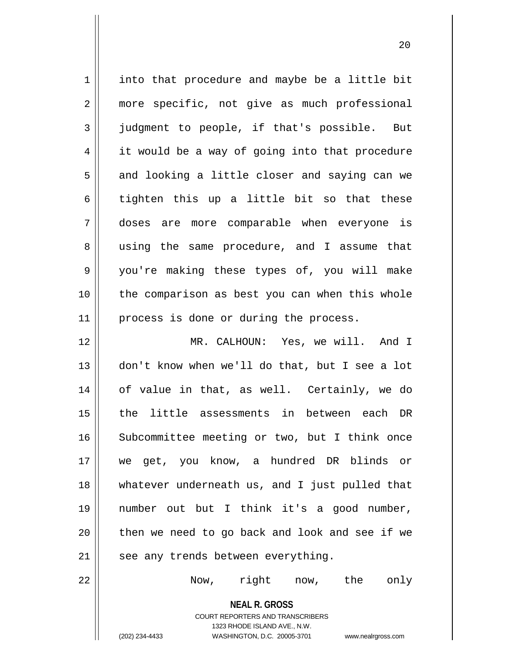$1 \parallel$  into that procedure and maybe be a little bit 2 || more specific, not give as much professional  $3 \parallel$  judgment to people, if that's possible. But 4 | it would be a way of going into that procedure  $5 \parallel$  and looking a little closer and saying can we  $6$  || tighten this up a little bit so that these 7 doses are more comparable when everyone is 8 || using the same procedure, and I assume that 9 you're making these types of, you will make 10 || the comparison as best you can when this whole 11 || process is done or during the process. 12 MR. CALHOUN: Yes, we will. And I 13 don't know when we'll do that, but I see a lot 14 of value in that, as well. Certainly, we do 15 || the little assessments in between each DR 16 || Subcommittee meeting or two, but I think once 17 we get, you know, a hundred DR blinds or 18 whatever underneath us, and I just pulled that 19 number out but I think it's a good number,  $20$  || then we need to go back and look and see if we  $21$  || see any trends between everything. 22 Now, right now, the only

> **NEAL R. GROSS** COURT REPORTERS AND TRANSCRIBERS 1323 RHODE ISLAND AVE., N.W.

(202) 234-4433 WASHINGTON, D.C. 20005-3701 www.nealrgross.com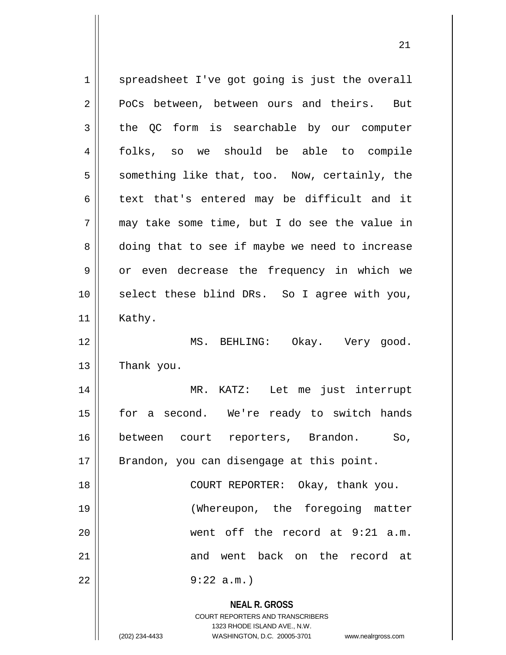**NEAL R. GROSS** COURT REPORTERS AND TRANSCRIBERS 1323 RHODE ISLAND AVE., N.W. (202) 234-4433 WASHINGTON, D.C. 20005-3701 www.nealrgross.com  $1 \parallel$  spreadsheet I've got going is just the overall 2 PoCs between, between ours and theirs. But 3 the OC form is searchable by our computer 4 folks, so we should be able to compile  $5 \parallel$  something like that, too. Now, certainly, the  $6 \parallel$  text that's entered may be difficult and it  $7 \parallel$  may take some time, but I do see the value in 8 doing that to see if maybe we need to increase  $9 \parallel$  or even decrease the frequency in which we 10 select these blind DRs. So I agree with you, 11 || Kathy. 12 MS. BEHLING: Okay. Very good.  $13$  | Thank you. 14 MR. KATZ: Let me just interrupt 15 || for a second. We're ready to switch hands 16 between court reporters, Brandon. So, 17 || Brandon, you can disengage at this point. 18 || COURT REPORTER: Okay, thank you. 19 (Whereupon, the foregoing matter 20 went off the record at 9:21 a.m. 21 and went back on the record at 22 9:22 a.m.)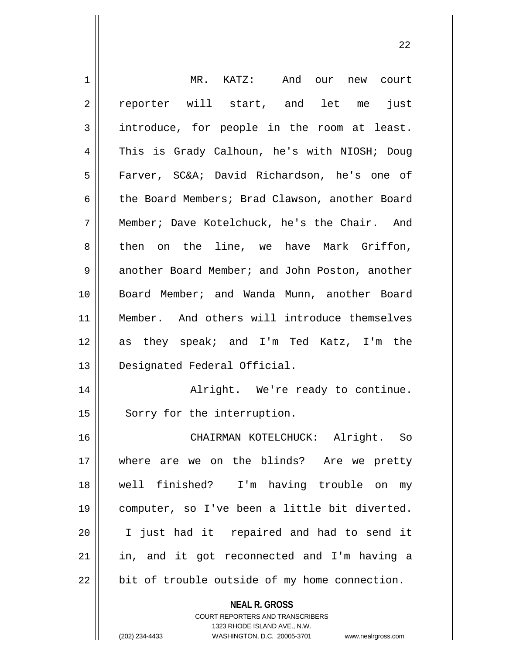| 1  | MR. KATZ: And our new court                              |
|----|----------------------------------------------------------|
| 2  | reporter will start, and let me<br>just                  |
| 3  | introduce, for people in the room at least.              |
| 4  | This is Grady Calhoun, he's with NIOSH; Doug             |
| 5  | Farver, SC&A David Richardson, he's one of               |
| 6  | the Board Members; Brad Clawson, another Board           |
| 7  | Member; Dave Kotelchuck, he's the Chair. And             |
| 8  | then on the line, we have Mark Griffon,                  |
| 9  | another Board Member; and John Poston, another           |
| 10 | Board Member; and Wanda Munn, another Board              |
| 11 | Member. And others will introduce themselves             |
| 12 | as they speak; and I'm Ted Katz, I'm the                 |
| 13 | Designated Federal Official.                             |
| 14 | Alright. We're ready to continue.                        |
| 15 | Sorry for the interruption.                              |
| 16 | CHAIRMAN KOTELCHUCK: Alright. So                         |
| 17 | where are we on the blinds? Are we pretty                |
| 18 | well finished? I'm having trouble on my                  |
| 19 | computer, so I've been a little bit diverted.            |
| 20 | I just had it repaired and had to send it                |
| 21 | in, and it got reconnected and I'm having a              |
| 22 | bit of trouble outside of my home connection.            |
|    | <b>NEAL R. GROSS</b><br>COURT REPORTERS AND TRANSCRIBERS |

1323 RHODE ISLAND AVE., N.W.

 $\prod$ 

(202) 234-4433 WASHINGTON, D.C. 20005-3701 www.nealrgross.com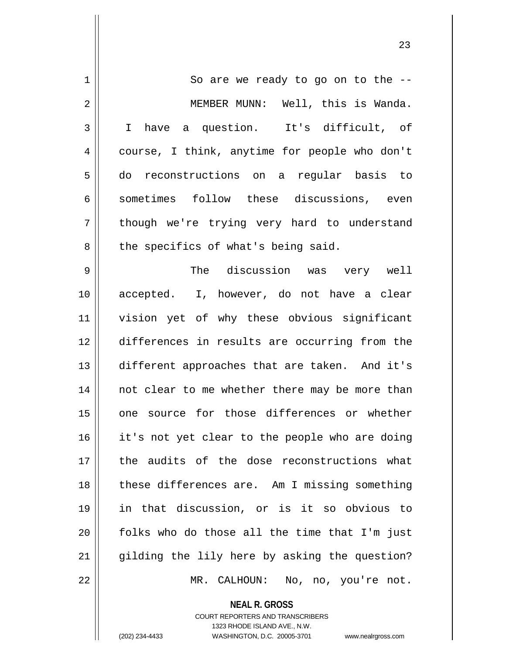| 1  | So are we ready to go on to the --             |
|----|------------------------------------------------|
|    |                                                |
| 2  | MEMBER MUNN: Well, this is Wanda.              |
| 3  | I have a question. It's difficult, of          |
| 4  | course, I think, anytime for people who don't  |
| 5  | do reconstructions on a regular basis to       |
| 6  | sometimes follow these discussions, even       |
| 7  | though we're trying very hard to understand    |
| 8  | the specifics of what's being said.            |
| 9  | The discussion was very well                   |
| 10 | accepted. I, however, do not have a clear      |
| 11 | vision yet of why these obvious significant    |
| 12 | differences in results are occurring from the  |
| 13 | different approaches that are taken. And it's  |
| 14 | not clear to me whether there may be more than |
| 15 | one source for those differences or whether    |
| 16 | it's not yet clear to the people who are doing |
| 17 | the audits of the dose reconstructions what    |
| 18 | these differences are. Am I missing something  |
| 19 | in that discussion, or is it so obvious to     |
| 20 | folks who do those all the time that I'm just  |
| 21 | gilding the lily here by asking the question?  |
| 22 | MR. CALHOUN:<br>No, no, you're not.            |

**NEAL R. GROSS**

COURT REPORTERS AND TRANSCRIBERS 1323 RHODE ISLAND AVE., N.W. (202) 234-4433 WASHINGTON, D.C. 20005-3701 www.nealrgross.com

 $\mathsf{I}$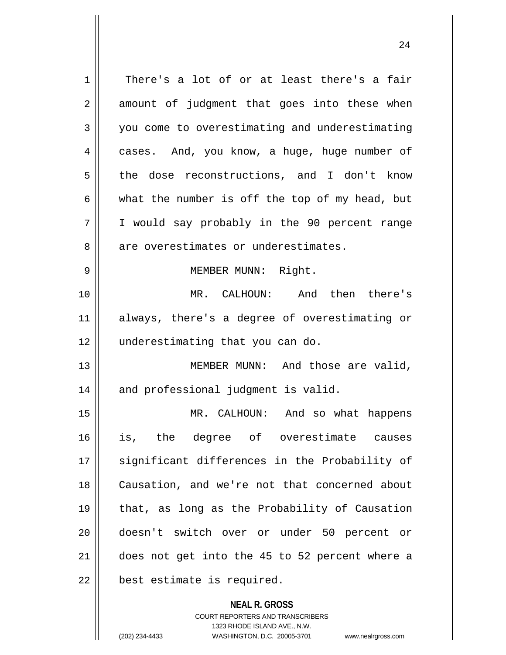**NEAL R. GROSS**  $1 \parallel$  There's a lot of or at least there's a fair  $2 \parallel$  amount of judgment that goes into these when 3 you come to overestimating and underestimating  $4 \parallel$  cases. And, you know, a huge, huge number of 5 the dose reconstructions, and I don't know 6 what the number is off the top of my head, but 7 I would say probably in the 90 percent range 8 || are overestimates or underestimates. 9 || MEMBER MUNN: Right. 10 MR. CALHOUN: And then there's 11 always, there's a degree of overestimating or 12 || underestimating that you can do. 13 || MEMBER MUNN: And those are valid,  $14$  | and professional judgment is valid. 15 || MR. CALHOUN: And so what happens 16 is, the degree of overestimate causes 17 || significant differences in the Probability of 18 Causation, and we're not that concerned about 19 that, as long as the Probability of Causation 20 doesn't switch over or under 50 percent or 21 does not get into the 45 to 52 percent where a  $22$  || best estimate is required.

> COURT REPORTERS AND TRANSCRIBERS 1323 RHODE ISLAND AVE., N.W.

(202) 234-4433 WASHINGTON, D.C. 20005-3701 www.nealrgross.com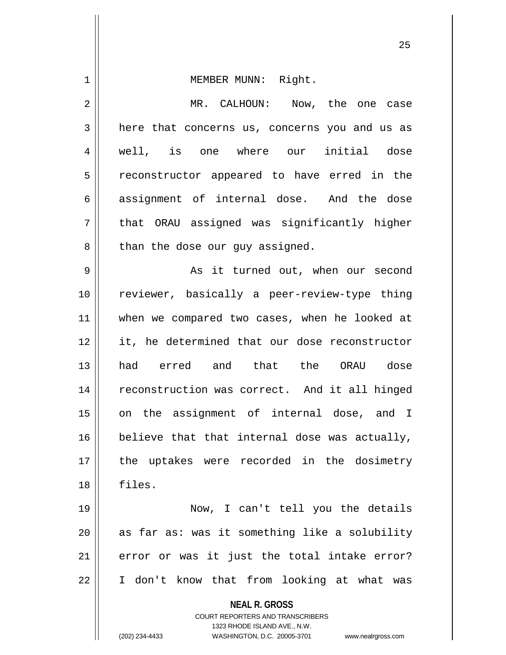| 1  | MEMBER MUNN: Right.                                                                             |
|----|-------------------------------------------------------------------------------------------------|
| 2  | MR. CALHOUN: Now, the one case                                                                  |
| 3  | here that concerns us, concerns you and us as                                                   |
| 4  | well, is one where our initial dose                                                             |
| 5  | reconstructor appeared to have erred in the                                                     |
| 6  | assignment of internal dose. And the dose                                                       |
| 7  | that ORAU assigned was significantly higher                                                     |
| 8  | than the dose our guy assigned.                                                                 |
| 9  | As it turned out, when our second                                                               |
| 10 | reviewer, basically a peer-review-type thing                                                    |
| 11 | when we compared two cases, when he looked at                                                   |
| 12 | it, he determined that our dose reconstructor                                                   |
| 13 | had erred and that the ORAU dose                                                                |
| 14 | reconstruction was correct. And it all hinged                                                   |
| 15 | on the assignment of internal dose, and I                                                       |
| 16 | believe that that internal dose was actually,                                                   |
| 17 | the uptakes were recorded in the dosimetry                                                      |
| 18 | files.                                                                                          |
| 19 | Now, I can't tell you the details                                                               |
| 20 | as far as: was it something like a solubility                                                   |
| 21 | error or was it just the total intake error?                                                    |
| 22 | I don't know that from looking at what was                                                      |
|    | <b>NEAL R. GROSS</b><br><b>COURT REPORTERS AND TRANSCRIBERS</b><br>1323 RHODE ISLAND AVE., N.W. |
|    | (202) 234-4433<br>WASHINGTON, D.C. 20005-3701<br>www.nealrgross.com                             |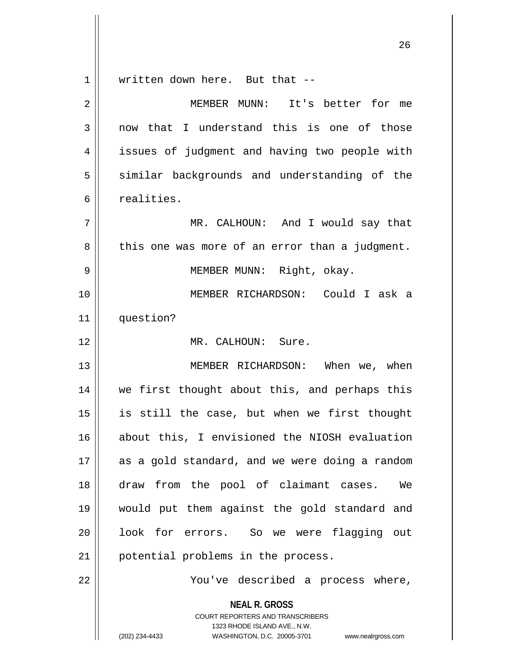**NEAL R. GROSS** 1 || written down here. But that --2 || MEMBER MUNN: It's better for me  $3 \parallel$  now that I understand this is one of those 4 || issues of judgment and having two people with 5 || similar backgrounds and understanding of the 6 realities. 7 MR. CALHOUN: And I would say that  $8 \parallel$  this one was more of an error than a judgment. 9 MEMBER MUNN: Right, okay. 10 MEMBER RICHARDSON: Could I ask a 11 question? 12 MR. CALHOUN: Sure. 13 MEMBER RICHARDSON: When we, when 14 we first thought about this, and perhaps this 15 is still the case, but when we first thought 16 about this, I envisioned the NIOSH evaluation 17 || as a gold standard, and we were doing a random 18 draw from the pool of claimant cases. We 19 would put them against the gold standard and 20 || look for errors. So we were flagging out 21 || potential problems in the process. 22 You've described a process where,

> COURT REPORTERS AND TRANSCRIBERS 1323 RHODE ISLAND AVE., N.W.

(202) 234-4433 WASHINGTON, D.C. 20005-3701 www.nealrgross.com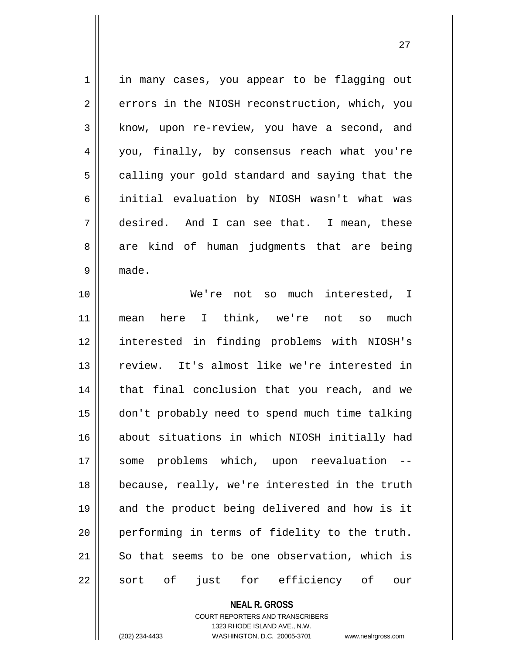1 || in many cases, you appear to be flagging out 2 errors in the NIOSH reconstruction, which, you  $3 \parallel$  know, upon re-review, you have a second, and 4 || you, finally, by consensus reach what you're  $5 \parallel$  calling your gold standard and saying that the 6 || initial evaluation by NIOSH wasn't what was 7 desired. And I can see that. I mean, these 8 are kind of human judgments that are being 9 made.

 We're not so much interested, I mean here I think, we're not so much interested in finding problems with NIOSH's review. It's almost like we're interested in 14 || that final conclusion that you reach, and we don't probably need to spend much time talking about situations in which NIOSH initially had some problems which, upon reevaluation -- because, really, we're interested in the truth 19 || and the product being delivered and how is it performing in terms of fidelity to the truth. 21 || So that seems to be one observation, which is 22 || sort of just for efficiency of our

> **NEAL R. GROSS** COURT REPORTERS AND TRANSCRIBERS

> > 1323 RHODE ISLAND AVE., N.W.

(202) 234-4433 WASHINGTON, D.C. 20005-3701 www.nealrgross.com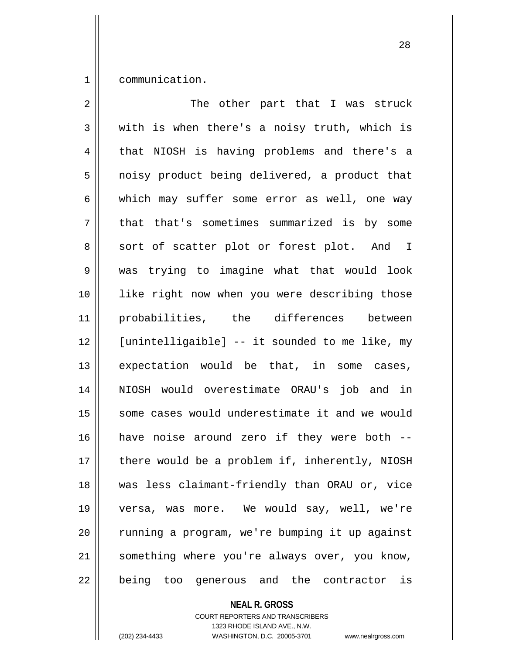1 communication.

| $\overline{2}$ | The other part that I was struck               |
|----------------|------------------------------------------------|
| 3              | with is when there's a noisy truth, which is   |
| 4              | that NIOSH is having problems and there's a    |
| 5              | noisy product being delivered, a product that  |
| 6              | which may suffer some error as well, one way   |
| 7              | that that's sometimes summarized is by some    |
| 8              | sort of scatter plot or forest plot. And I     |
| $\mathsf 9$    | was trying to imagine what that would look     |
| 10             | like right now when you were describing those  |
| 11             | probabilities, the differences between         |
| 12             | [unintelligaible] -- it sounded to me like, my |
| 13             | expectation would be that, in some cases,      |
| 14             | NIOSH would overestimate ORAU's job and in     |
| 15             | some cases would underestimate it and we would |
| 16             | have noise around zero if they were both --    |
| 17             | there would be a problem if, inherently, NIOSH |
| 18             | was less claimant-friendly than ORAU or, vice  |
| 19             | versa, was more. We would say, well, we're     |
| 20             | running a program, we're bumping it up against |
| 21             | something where you're always over, you know,  |
| 22             | being<br>too generous and the contractor<br>is |

**NEAL R. GROSS**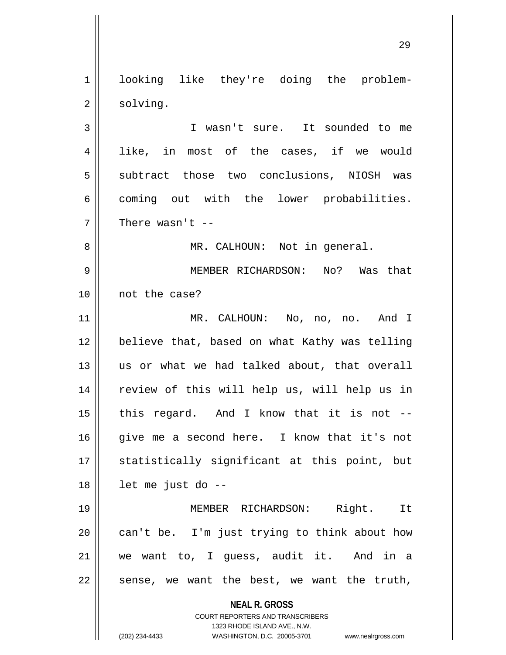1 || looking like they're doing the problem- $2 \parallel$  solving.

3 || T wasn't sure. It sounded to me 4 || like, in most of the cases, if we would 5 || subtract those two conclusions, NIOSH was 6 coming out with the lower probabilities.  $7$   $\parallel$  There wasn't --

8 || MR. CALHOUN: Not in general.

9 MEMBER RICHARDSON: No? Was that 10 not the case?

11 MR. CALHOUN: No, no, no. And I 12 believe that, based on what Kathy was telling 13 us or what we had talked about, that overall 14 || review of this will help us, will help us in  $15$  || this regard. And I know that it is not --16 give me a second here. I know that it's not 17 || statistically significant at this point, but 18 let me just do --

 MEMBER RICHARDSON: Right. It | can't be. I'm just trying to think about how we want to, I guess, audit it. And in a  $22 \parallel$  sense, we want the best, we want the truth,

**NEAL R. GROSS**

COURT REPORTERS AND TRANSCRIBERS 1323 RHODE ISLAND AVE., N.W. (202) 234-4433 WASHINGTON, D.C. 20005-3701 www.nealrgross.com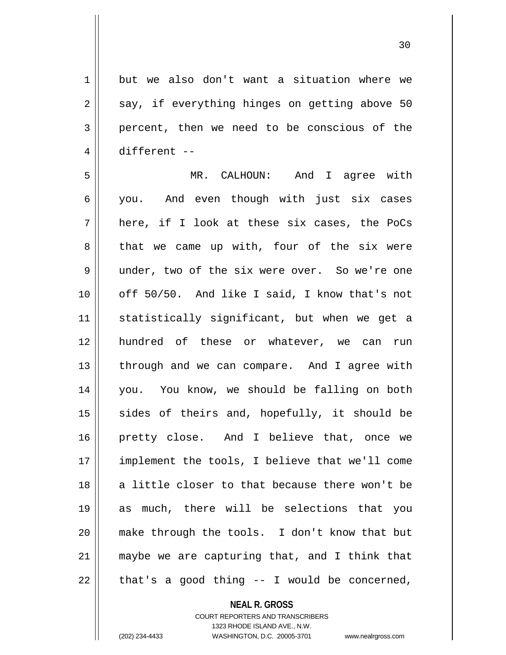1 but we also don't want a situation where we  $2 \parallel$  say, if everything hinges on getting above 50 3 percent, then we need to be conscious of the 4 different -- 5 MR. CALHOUN: And I agree with

 you. And even though with just six cases  $7 \parallel$  here, if I look at these six cases, the PoCs  $8 \parallel$  that we came up with, four of the six were 9 under, two of the six were over. So we're one off 50/50. And like I said, I know that's not 11 || statistically significant, but when we get a hundred of these or whatever, we can run | through and we can compare. And I agree with you. You know, we should be falling on both sides of theirs and, hopefully, it should be pretty close. And I believe that, once we implement the tools, I believe that we'll come 18 a little closer to that because there won't be as much, there will be selections that you make through the tools. I don't know that but maybe we are capturing that, and I think that  $22 \parallel$  that's a good thing -- I would be concerned,

## **NEAL R. GROSS**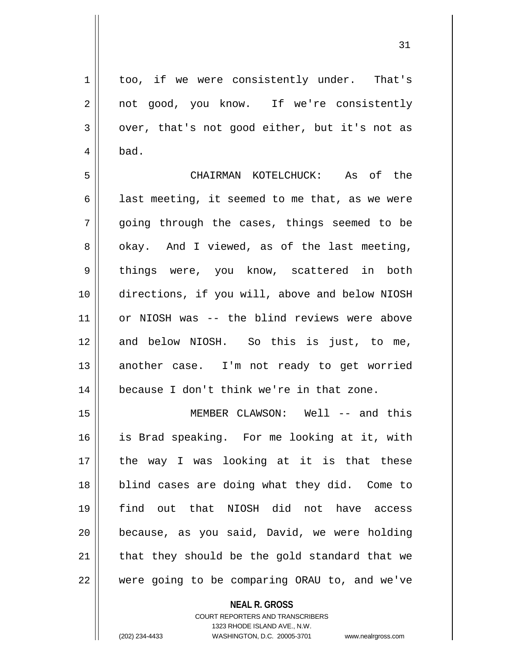1 too, if we were consistently under. That's 2 | not good, you know. If we're consistently  $3 \parallel$  over, that's not good either, but it's not as  $4 \parallel$  bad.

5 CHAIRMAN KOTELCHUCK: As of the 6 | last meeting, it seemed to me that, as we were  $7 \parallel$  going through the cases, things seemed to be  $8 \parallel$  okay. And I viewed, as of the last meeting, 9 || things were, you know, scattered in both 10 directions, if you will, above and below NIOSH 11 or NIOSH was -- the blind reviews were above 12 and below NIOSH. So this is just, to me, 13 || another case. I'm not ready to get worried 14 because I don't think we're in that zone.

 MEMBER CLAWSON: Well -- and this is Brad speaking. For me looking at it, with the way I was looking at it is that these 18 || blind cases are doing what they did. Come to find out that NIOSH did not have access || because, as you said, David, we were holding 21 || that they should be the gold standard that we were going to be comparing ORAU to, and we've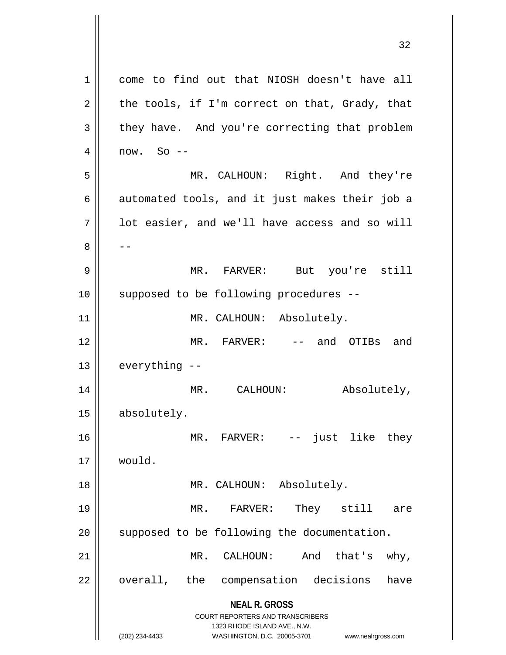|        | <b>COURT REPORTERS AND TRANSCRIBERS</b><br>1323 RHODE ISLAND AVE., N.W.<br>(202) 234-4433<br>WASHINGTON, D.C. 20005-3701<br>www.nealrgross.com |
|--------|------------------------------------------------------------------------------------------------------------------------------------------------|
| 22     | overall, the compensation decisions<br>have<br><b>NEAL R. GROSS</b>                                                                            |
| 21     | CALHOUN:<br>And<br>that's<br>$why$ ,<br>MR.                                                                                                    |
| 20     | supposed to be following the documentation.                                                                                                    |
| 19     | They still<br>MR. FARVER:<br>are                                                                                                               |
| 18     | MR. CALHOUN:<br>Absolutely.                                                                                                                    |
| 17     | would.                                                                                                                                         |
| 16     | MR. FARVER: -- just like they                                                                                                                  |
| 15     | absolutely.                                                                                                                                    |
| 14     | MR. CALHOUN:<br>Absolutely,                                                                                                                    |
| 13     | everything --                                                                                                                                  |
| 12     | MR. FARVER: -- and OTIBs and                                                                                                                   |
| 11     | MR. CALHOUN: Absolutely.                                                                                                                       |
| 10     | supposed to be following procedures --                                                                                                         |
| 9      | MR. FARVER: But you're still                                                                                                                   |
| 8      |                                                                                                                                                |
| 7      | lot easier, and we'll have access and so will                                                                                                  |
| 6      | automated tools, and it just makes their job a                                                                                                 |
| 5      | MR. CALHOUN: Right. And they're                                                                                                                |
| 4      | $now. So --$                                                                                                                                   |
| 2<br>3 | the tools, if I'm correct on that, Grady, that<br>they have. And you're correcting that problem                                                |
| 1      | come to find out that NIOSH doesn't have all                                                                                                   |
|        |                                                                                                                                                |

 $\overline{\mathsf{I}}$ 

 $\mathsf{I}$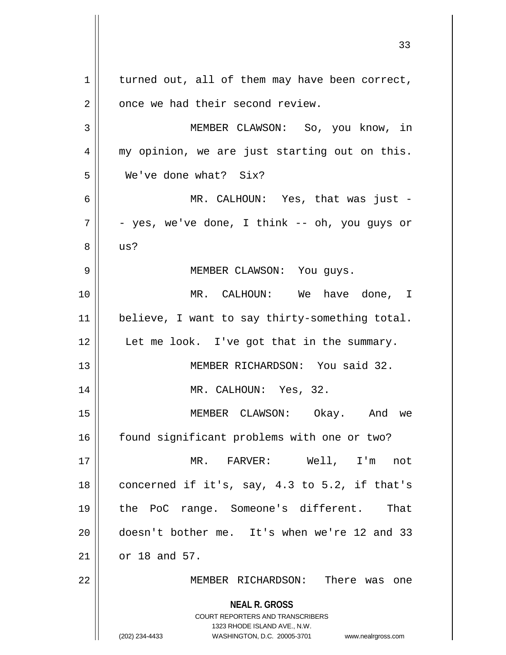**NEAL R. GROSS** COURT REPORTERS AND TRANSCRIBERS 1323 RHODE ISLAND AVE., N.W. (202) 234-4433 WASHINGTON, D.C. 20005-3701 www.nealrgross.com  $1 \parallel$  turned out, all of them may have been correct,  $2 \parallel$  once we had their second review. 3 MEMBER CLAWSON: So, you know, in 4 || my opinion, we are just starting out on this. 5 We've done what? Six? 6 MR. CALHOUN: Yes, that was just -  $7 \parallel$  - yes, we've done, I think -- oh, you quys or  $8 \parallel$  us? 9 || MEMBER CLAWSON: You guys. 10 MR. CALHOUN: We have done, I 11 || believe, I want to say thirty-something total.  $12$  | Let me look. I've got that in the summary. 13 MEMBER RICHARDSON: You said 32. 14 || MR. CALHOUN: Yes, 32. 15 MEMBER CLAWSON: Okay. And we 16 | found significant problems with one or two? 17 MR. FARVER: Well, I'm not 18  $\parallel$  concerned if it's, say, 4.3 to 5.2, if that's 19 the PoC range. Someone's different. That 20 doesn't bother me. It's when we're 12 and 33 21 or 18 and 57. 22 MEMBER RICHARDSON: There was one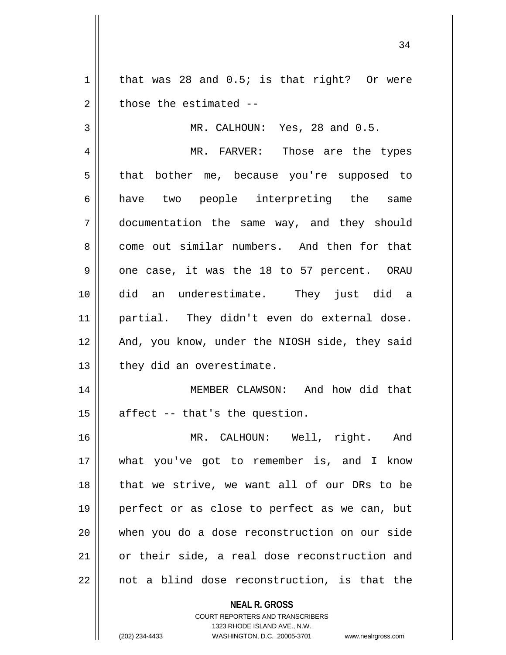$1 \parallel$  that was 28 and 0.5; is that right? Or were  $2 \parallel$  those the estimated  $-$ 

3 || MR. CALHOUN: Yes, 28 and 0.5.

4 MR. FARVER: Those are the types 5 that bother me, because you're supposed to 6 have two people interpreting the same 7 documentation the same way, and they should 8 come out similar numbers. And then for that  $9 \parallel$  one case, it was the 18 to 57 percent. ORAU 10 did an underestimate. They just did a 11 partial. They didn't even do external dose. 12 || And, you know, under the NIOSH side, they said  $13$  | they did an overestimate.

14 || MEMBER CLAWSON: And how did that  $15$  | affect -- that's the question.

16 MR. CALHOUN: Well, right. And 17 what you've got to remember is, and I know 18 || that we strive, we want all of our DRs to be 19 perfect or as close to perfect as we can, but 20 when you do a dose reconstruction on our side 21 || or their side, a real dose reconstruction and  $22 \parallel$  not a blind dose reconstruction, is that the

**NEAL R. GROSS**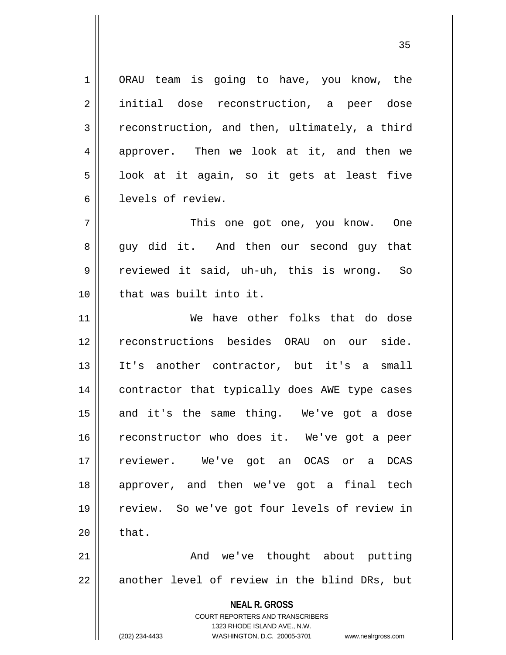1 | ORAU team is going to have, you know, the 2 initial dose reconstruction, a peer dose 3 Teconstruction, and then, ultimately, a third 4 approver. Then we look at it, and then we  $5 \parallel$  look at it again, so it gets at least five 6 levels of review.

7 This one got one, you know. One 8 guy did it. And then our second guy that 9 reviewed it said, uh-uh, this is wrong. So 10 || that was built into it.

 We have other folks that do dose reconstructions besides ORAU on our side. It's another contractor, but it's a small contractor that typically does AWE type cases 15 || and it's the same thing. We've got a dose reconstructor who does it. We've got a peer reviewer. We've got an OCAS or a DCAS approver, and then we've got a final tech review. So we've got four levels of review in  $\parallel$  that. And we've thought about putting

22 || another level of review in the blind DRs, but

**NEAL R. GROSS** COURT REPORTERS AND TRANSCRIBERS

1323 RHODE ISLAND AVE., N.W.

(202) 234-4433 WASHINGTON, D.C. 20005-3701 www.nealrgross.com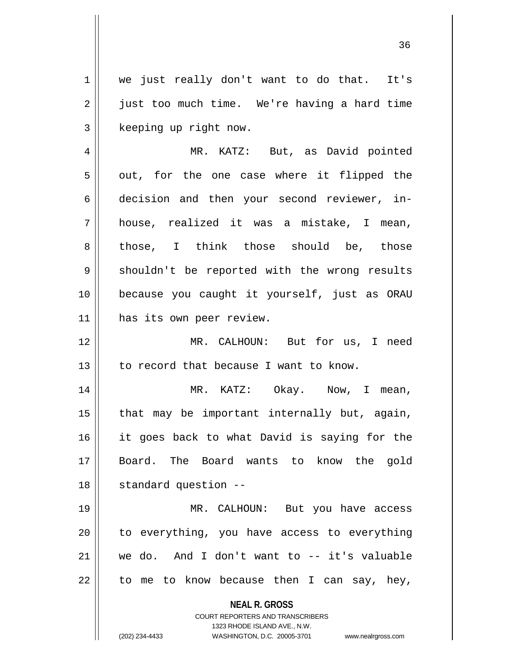1 || we just really don't want to do that. It's 2 | just too much time. We're having a hard time 3 | keeping up right now.

4 MR. KATZ: But, as David pointed  $5 \parallel$  out, for the one case where it flipped the 6 decision and then your second reviewer, in-7 house, realized it was a mistake, I mean, 8 those, I think those should be, those 9 Shouldn't be reported with the wrong results 10 because you caught it yourself, just as ORAU 11 has its own peer review.

12 MR. CALHOUN: But for us, I need  $13$  | to record that because I want to know.

 MR. KATZ: Okay. Now, I mean, | that may be important internally but, again, it goes back to what David is saying for the Board. The Board wants to know the gold 18 | standard question --

19 MR. CALHOUN: But you have access 20 || to everything, you have access to everything 21 we do. And I don't want to -- it's valuable  $22 \parallel$  to me to know because then I can say, hey,

**NEAL R. GROSS**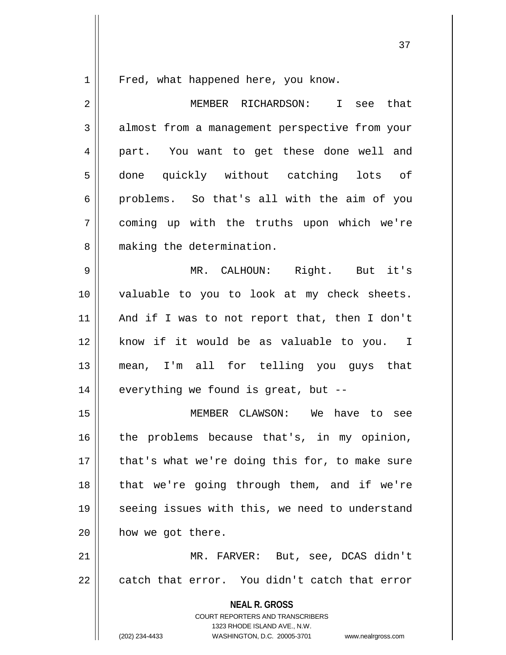1 || Fred, what happened here, you know.

**NEAL R. GROSS** COURT REPORTERS AND TRANSCRIBERS 1323 RHODE ISLAND AVE., N.W. 2 MEMBER RICHARDSON: I see that 3 almost from a management perspective from your 4 || part. You want to get these done well and 5 done quickly without catching lots of  $6 \parallel$  problems. So that's all with the aim of you 7 coming up with the truths upon which we're 8 | making the determination. 9 MR. CALHOUN: Right. But it's 10 valuable to you to look at my check sheets. 11 || And if I was to not report that, then I don't 12 know if it would be as valuable to you. I 13 mean, I'm all for telling you guys that  $14$  | everything we found is great, but --15 MEMBER CLAWSON: We have to see  $16$  the problems because that's, in my opinion, 17 || that's what we're doing this for, to make sure 18 || that we're going through them, and if we're 19 || seeing issues with this, we need to understand 20 | how we got there. 21 || MR. FARVER: But, see, DCAS didn't  $22$   $\parallel$  catch that error. You didn't catch that error

(202) 234-4433 WASHINGTON, D.C. 20005-3701 www.nealrgross.com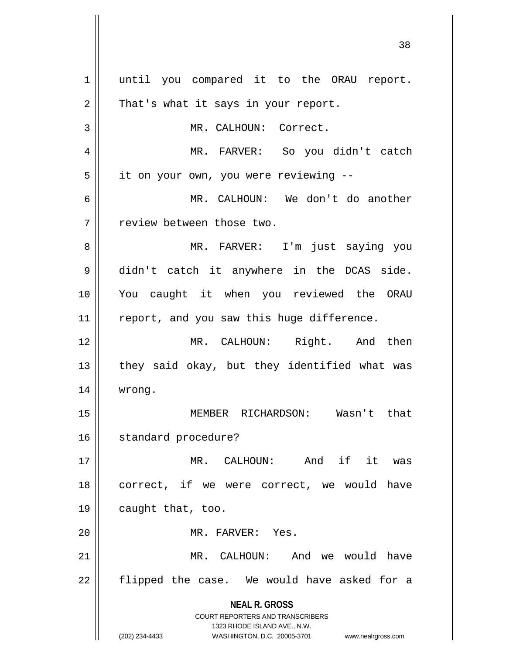**NEAL R. GROSS** COURT REPORTERS AND TRANSCRIBERS 1323 RHODE ISLAND AVE., N.W. (202) 234-4433 WASHINGTON, D.C. 20005-3701 www.nealrgross.com 1 || until you compared it to the ORAU report.  $2 \parallel$  That's what it says in your report. 3 | MR. CALHOUN: Correct. 4 MR. FARVER: So you didn't catch 5 | it on your own, you were reviewing --6 MR. CALHOUN: We don't do another 7 | Teview between those two. 8 MR. FARVER: I'm just saying you 9 didn't catch it anywhere in the DCAS side. 10 You caught it when you reviewed the ORAU 11 || report, and you saw this huge difference. 12 MR. CALHOUN: Right. And then 13  $\parallel$  they said okay, but they identified what was 14 wrong. 15 MEMBER RICHARDSON: Wasn't that 16 | standard procedure? 17 MR. CALHOUN: And if it was 18 || correct, if we were correct, we would have 19 caught that, too. 20 MR. FARVER: Yes. 21 MR. CALHOUN: And we would have  $22$  || flipped the case. We would have asked for a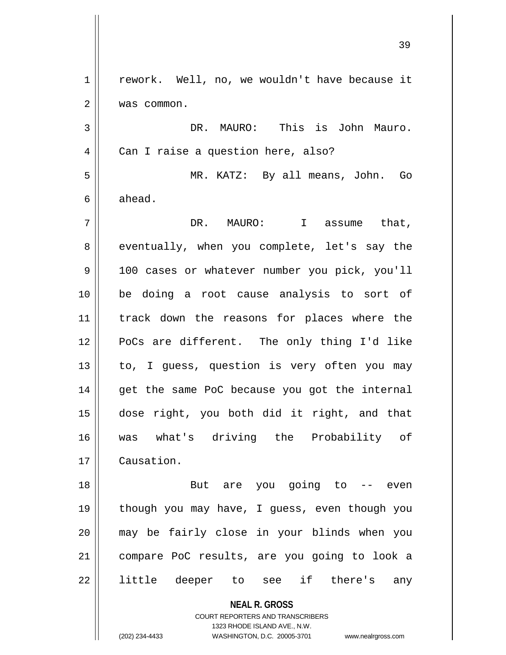| $\mathbf 1$ | rework. Well, no, we wouldn't have because it                                                       |
|-------------|-----------------------------------------------------------------------------------------------------|
| 2           | was common.                                                                                         |
| 3           | DR. MAURO: This is John Mauro.                                                                      |
| 4           | Can I raise a question here, also?                                                                  |
| 5           | MR. KATZ: By all means, John. Go                                                                    |
| 6           | ahead.                                                                                              |
| 7           | DR. MAURO: I assume that,                                                                           |
| 8           | eventually, when you complete, let's say the                                                        |
| 9           | 100 cases or whatever number you pick, you'll                                                       |
| 10          | be doing a root cause analysis to sort of                                                           |
| 11          | track down the reasons for places where the                                                         |
| 12          | PoCs are different. The only thing I'd like                                                         |
| 13          | to, I guess, question is very often you may                                                         |
| 14          | get the same PoC because you got the internal                                                       |
| 15          | dose right, you both did it right, and that                                                         |
| 16          | was what's driving the Probability of                                                               |
| 17          | Causation.                                                                                          |
| 18          | But are you going to<br>-- even                                                                     |
| 19          | though you may have, I guess, even though you                                                       |
| 20          | may be fairly close in your blinds when you                                                         |
| 21          | compare PoC results, are you going to look a                                                        |
| 22          | little deeper to see if there's<br>any                                                              |
|             | <b>NEAL R. GROSS</b>                                                                                |
|             | COURT REPORTERS AND TRANSCRIBERS                                                                    |
|             | 1323 RHODE ISLAND AVE., N.W.<br>(202) 234-4433<br>WASHINGTON, D.C. 20005-3701<br>www.nealrgross.com |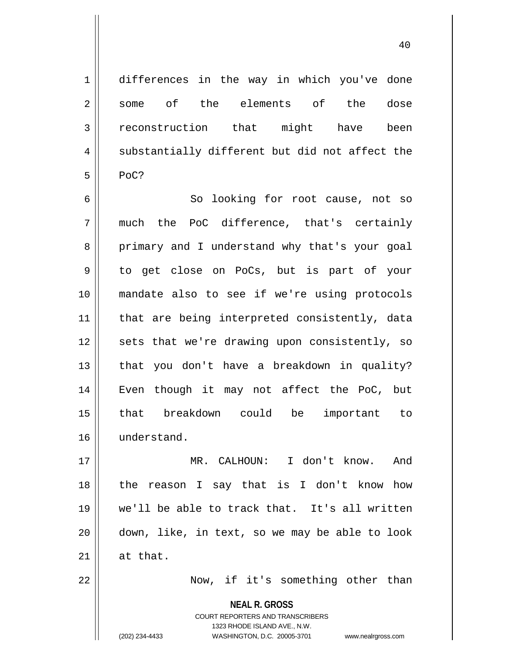1 differences in the way in which you've done 2 || some of the elements of the dose 3 reconstruction that might have been  $4 \parallel$  substantially different but did not affect the  $5 \parallel$  PoC?

6 || So looking for root cause, not so  $7 \parallel$  much the PoC difference, that's certainly 8 primary and I understand why that's your goal 9 do get close on PoCs, but is part of your 10 mandate also to see if we're using protocols 11 || that are being interpreted consistently, data 12 || sets that we're drawing upon consistently, so  $13$  || that you don't have a breakdown in quality? 14 Even though it may not affect the PoC, but 15 that breakdown could be important to 16 understand.

 MR. CALHOUN: I don't know. And the reason I say that is I don't know how we'll be able to track that. It's all written down, like, in text, so we may be able to look  $\parallel$  at that.

22 Now, if it's something other than

**NEAL R. GROSS** COURT REPORTERS AND TRANSCRIBERS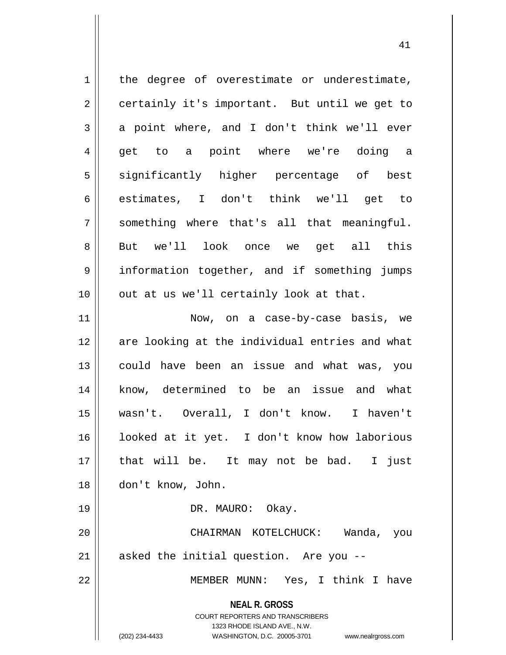| 1  | the degree of overestimate or underestimate,                                                                                                                           |
|----|------------------------------------------------------------------------------------------------------------------------------------------------------------------------|
| 2  | certainly it's important. But until we get to                                                                                                                          |
| 3  | a point where, and I don't think we'll ever                                                                                                                            |
| 4  | get to a point where we're doing a                                                                                                                                     |
| 5  | significantly higher percentage of best                                                                                                                                |
| 6  | estimates, I don't think we'll get to                                                                                                                                  |
| 7  | something where that's all that meaningful.                                                                                                                            |
| 8  | But we'll look once we get all this                                                                                                                                    |
| 9  | information together, and if something jumps                                                                                                                           |
| 10 | out at us we'll certainly look at that.                                                                                                                                |
| 11 | Now, on a case-by-case basis, we                                                                                                                                       |
| 12 | are looking at the individual entries and what                                                                                                                         |
| 13 | could have been an issue and what was, you                                                                                                                             |
| 14 | know, determined to be an issue and what                                                                                                                               |
| 15 | wasn't. Overall, I don't know. I haven't                                                                                                                               |
| 16 | looked at it yet. I don't know how laborious                                                                                                                           |
| 17 | that will be. It may not be bad. I just                                                                                                                                |
| 18 | don't know, John.                                                                                                                                                      |
| 19 | DR. MAURO: Okay.                                                                                                                                                       |
| 20 | CHAIRMAN KOTELCHUCK: Wanda, you                                                                                                                                        |
| 21 | asked the initial question. Are you --                                                                                                                                 |
| 22 | MEMBER MUNN: Yes, I think I have                                                                                                                                       |
|    | <b>NEAL R. GROSS</b><br><b>COURT REPORTERS AND TRANSCRIBERS</b><br>1323 RHODE ISLAND AVE., N.W.<br>(202) 234-4433<br>WASHINGTON, D.C. 20005-3701<br>www.nealrgross.com |

 $\overline{\phantom{a}}$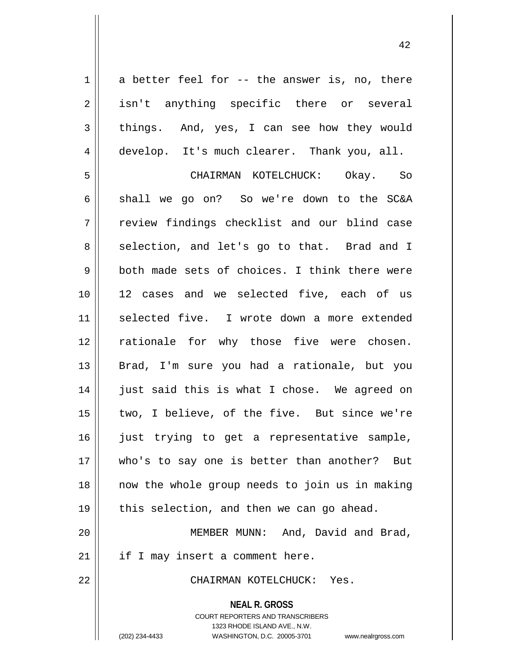$1 \parallel$  a better feel for -- the answer is, no, there 2 || isn't anything specific there or several  $3 \parallel$  things. And, yes, I can see how they would 4 develop. It's much clearer. Thank you, all. 5 CHAIRMAN KOTELCHUCK: Okay. So 6 shall we go on? So we're down to the SC&A

7 || review findings checklist and our blind case 8 || selection, and let's go to that. Brad and I  $9 \parallel$  both made sets of choices. I think there were 10 12 cases and we selected five, each of us 11 || selected five. I wrote down a more extended 12 || rationale for why those five were chosen. 13 || Brad, I'm sure you had a rationale, but you 14 || just said this is what I chose. We agreed on 15 || two, I believe, of the five. But since we're  $16$  ) just trying to get a representative sample, 17 who's to say one is better than another? But 18 now the whole group needs to join us in making  $19 \parallel$  this selection, and then we can go ahead.

20 MEMBER MUNN: And, David and Brad,  $21$  | if I may insert a comment here.

22 CHAIRMAN KOTELCHUCK: Yes.

**NEAL R. GROSS** COURT REPORTERS AND TRANSCRIBERS 1323 RHODE ISLAND AVE., N.W. (202) 234-4433 WASHINGTON, D.C. 20005-3701 www.nealrgross.com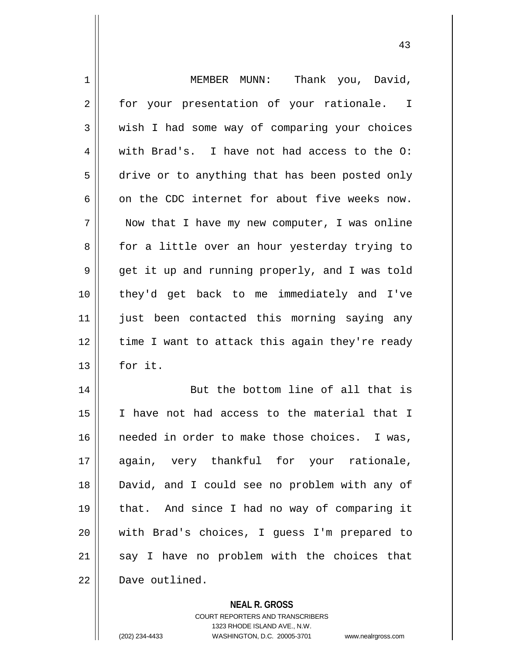| $\mathbf 1$ | MEMBER MUNN: Thank you, David,                 |
|-------------|------------------------------------------------|
| 2           | for your presentation of your rationale. I     |
| 3           | wish I had some way of comparing your choices  |
| 4           | with Brad's. I have not had access to the O:   |
| 5           | drive or to anything that has been posted only |
| 6           | on the CDC internet for about five weeks now.  |
| 7           | Now that I have my new computer, I was online  |
| 8           | for a little over an hour yesterday trying to  |
| 9           | get it up and running properly, and I was told |
| 10          | they'd get back to me immediately and I've     |
| 11          | just been contacted this morning saying any    |
| 12          | time I want to attack this again they're ready |
| 13          | for it.                                        |
| 14          | But the bottom line of all that is             |
| 15          | I have not had access to the material that I   |
| 16          | needed in order to make those choices. I was,  |
| 17          | again, very thankful for your rationale,       |
| 18          | David, and I could see no problem with any of  |
| 19          | that. And since I had no way of comparing it   |
| 20          | with Brad's choices, I guess I'm prepared to   |
| 21          | say I have no problem with the choices that    |
| 22          | Dave outlined.                                 |

**NEAL R. GROSS**

COURT REPORTERS AND TRANSCRIBERS 1323 RHODE ISLAND AVE., N.W. (202) 234-4433 WASHINGTON, D.C. 20005-3701 www.nealrgross.com

 $\mathsf{II}$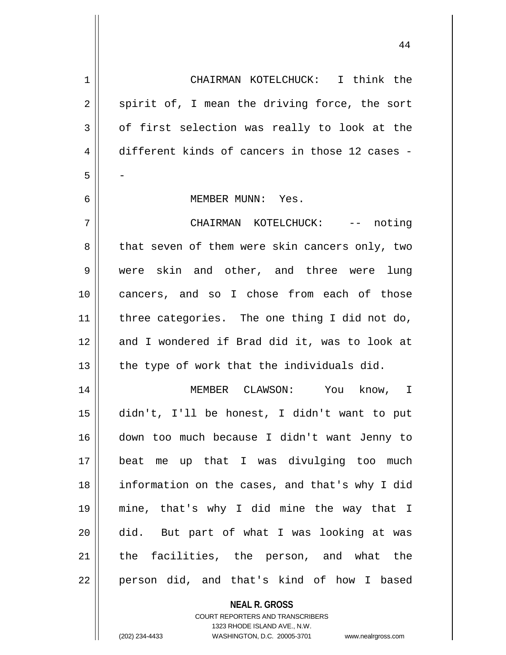CHAIRMAN KOTELCHUCK: I think the  $2 \parallel$  spirit of, I mean the driving force, the sort  $3 \parallel$  of first selection was really to look at the different kinds of cancers in those 12 cases - - MEMBER MUNN: Yes. CHAIRMAN KOTELCHUCK: -- noting 8 that seven of them were skin cancers only, two were skin and other, and three were lung cancers, and so I chose from each of those | three categories. The one thing I did not do, 12 and I wondered if Brad did it, was to look at | the type of work that the individuals did. MEMBER CLAWSON: You know, I didn't, I'll be honest, I didn't want to put down too much because I didn't want Jenny to beat me up that I was divulging too much information on the cases, and that's why I did mine, that's why I did mine the way that I did. But part of what I was looking at was the facilities, the person, and what the 22 || person did, and that's kind of how I based

> **NEAL R. GROSS** COURT REPORTERS AND TRANSCRIBERS 1323 RHODE ISLAND AVE., N.W.

(202) 234-4433 WASHINGTON, D.C. 20005-3701 www.nealrgross.com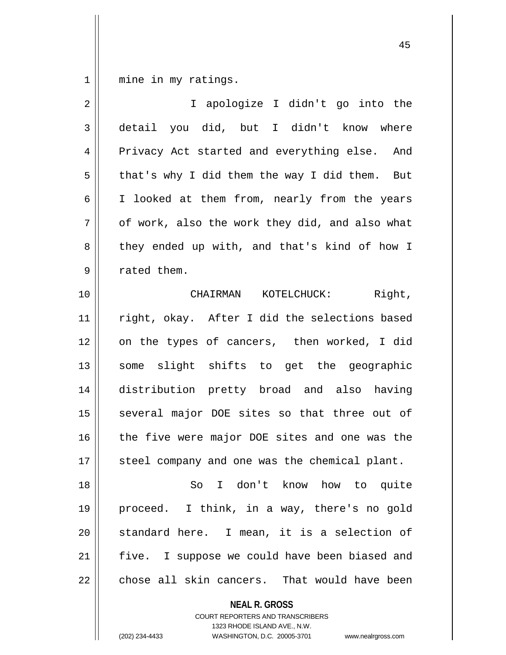1 || mine in my ratings.

| $\overline{2}$ | I apologize I didn't go into the               |
|----------------|------------------------------------------------|
| 3              | detail you did, but I didn't know where        |
| 4              | Privacy Act started and everything else. And   |
| 5              | that's why I did them the way I did them. But  |
| 6              | I looked at them from, nearly from the years   |
| 7              | of work, also the work they did, and also what |
| 8              | they ended up with, and that's kind of how I   |
| 9              | rated them.                                    |
| 10             | CHAIRMAN KOTELCHUCK: Right,                    |
| 11             | right, okay. After I did the selections based  |
| 12             | on the types of cancers, then worked, I did    |
| 13             | some slight shifts to get the geographic       |
| 14             | distribution pretty broad and also having      |
| 15             | several major DOE sites so that three out of   |
| 16             | the five were major DOE sites and one was the  |
| 17             | steel company and one was the chemical plant.  |
| 18             | So I don't know how to quite                   |
| 19             | proceed. I think, in a way, there's no gold    |
| 20             | standard here. I mean, it is a selection of    |
| 21             | five. I suppose we could have been biased and  |
| 22             | chose all skin cancers. That would have been   |
|                | <b>NEAL R. GROSS</b>                           |

COURT REPORTERS AND TRANSCRIBERS 1323 RHODE ISLAND AVE., N.W.

(202) 234-4433 WASHINGTON, D.C. 20005-3701 www.nealrgross.com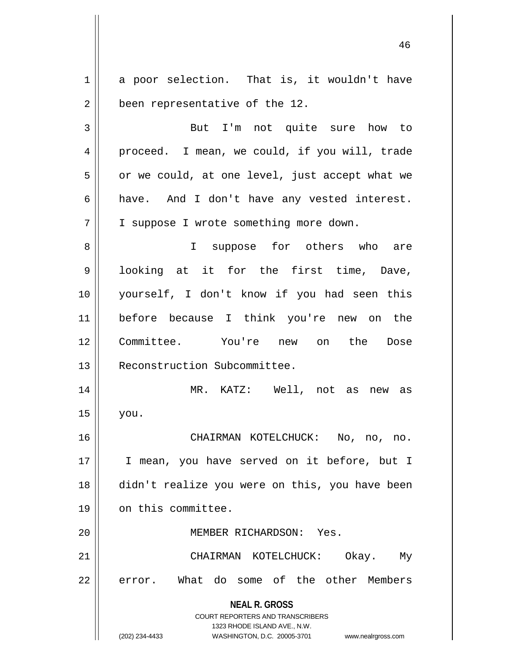**NEAL R. GROSS** COURT REPORTERS AND TRANSCRIBERS 1323 RHODE ISLAND AVE., N.W. 1 a poor selection. That is, it wouldn't have 2 | been representative of the 12. 3 || But I'm not quite sure how to 4 || proceed. I mean, we could, if you will, trade  $5 \parallel$  or we could, at one level, just accept what we  $6 \parallel$  have. And I don't have any vested interest. 7 | I suppose I wrote something more down. 8 || I suppose for others who are 9 looking at it for the first time, Dave, 10 yourself, I don't know if you had seen this 11 before because I think you're new on the 12 Committee. You're new on the Dose 13 | Reconstruction Subcommittee. 14 MR. KATZ: Well, not as new as  $15$  you. 16 CHAIRMAN KOTELCHUCK: No, no, no. 17 || I mean, you have served on it before, but I 18 didn't realize you were on this, you have been 19 | on this committee. 20 MEMBER RICHARDSON: Yes. 21 CHAIRMAN KOTELCHUCK: Okay. My 22 error. What do some of the other Members

(202) 234-4433 WASHINGTON, D.C. 20005-3701 www.nealrgross.com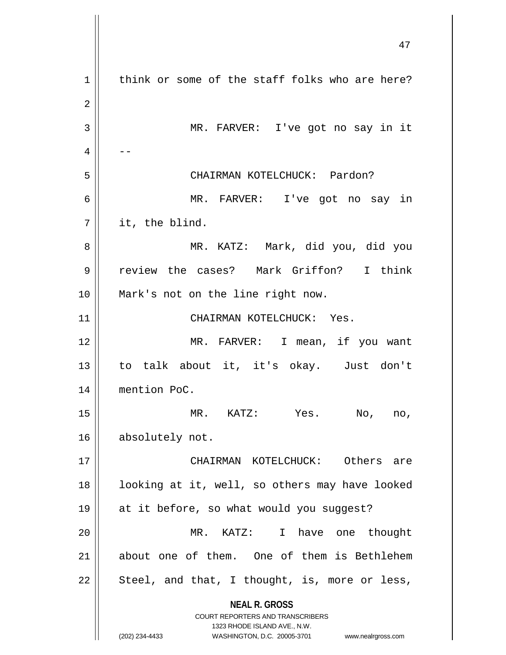**NEAL R. GROSS** COURT REPORTERS AND TRANSCRIBERS 1323 RHODE ISLAND AVE., N.W. (202) 234-4433 WASHINGTON, D.C. 20005-3701 www.nealrgross.com  $1 \parallel$  think or some of the staff folks who are here? MR. FARVER: I've got no say in it  $4 \parallel - -$  CHAIRMAN KOTELCHUCK: Pardon? MR. FARVER: I've got no say in  $7 \parallel$  it, the blind. MR. KATZ: Mark, did you, did you review the cases? Mark Griffon? I think Mark's not on the line right now. CHAIRMAN KOTELCHUCK: Yes. MR. FARVER: I mean, if you want to talk about it, it's okay. Just don't mention PoC. MR. KATZ: Yes. No, no, 16 | absolutely not. CHAIRMAN KOTELCHUCK: Others are 18 || looking at it, well, so others may have looked at it before, so what would you suggest? MR. KATZ: I have one thought about one of them. One of them is Bethlehem  $\parallel$  Steel, and that, I thought, is, more or less,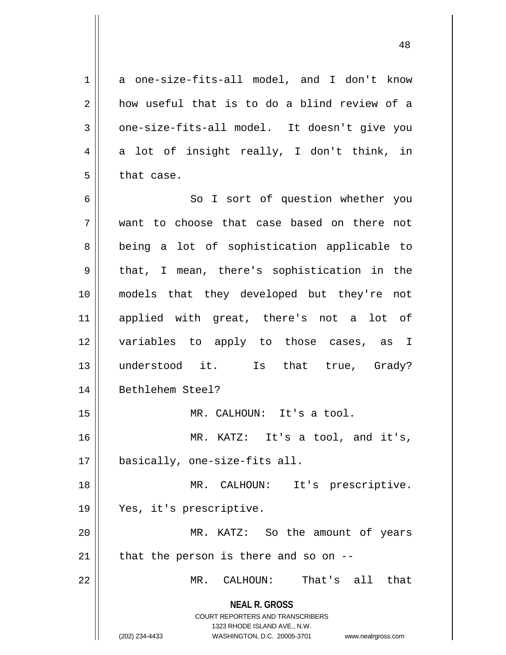1 a one-size-fits-all model, and I don't know  $2 \parallel$  how useful that is to do a blind review of a  $3 \parallel$  one-size-fits-all model. It doesn't give you  $4 \parallel$  a lot of insight really, I don't think, in  $5$  | that case.

6 || So I sort of question whether you want to choose that case based on there not 8 || being a lot of sophistication applicable to  $9 \parallel$  that, I mean, there's sophistication in the models that they developed but they're not applied with great, there's not a lot of variables to apply to those cases, as I understood it. Is that true, Grady? 14 | Bethlehem Steel? MR. CALHOUN: It's a tool. MR. KATZ: It's a tool, and it's, basically, one-size-fits all. 18 || MR. CALHOUN: It's prescriptive. Yes, it's prescriptive. MR. KATZ: So the amount of years | that the person is there and so on  $-$ MR. CALHOUN: That's all that

> **NEAL R. GROSS** COURT REPORTERS AND TRANSCRIBERS

1323 RHODE ISLAND AVE., N.W. (202) 234-4433 WASHINGTON, D.C. 20005-3701 www.nealrgross.com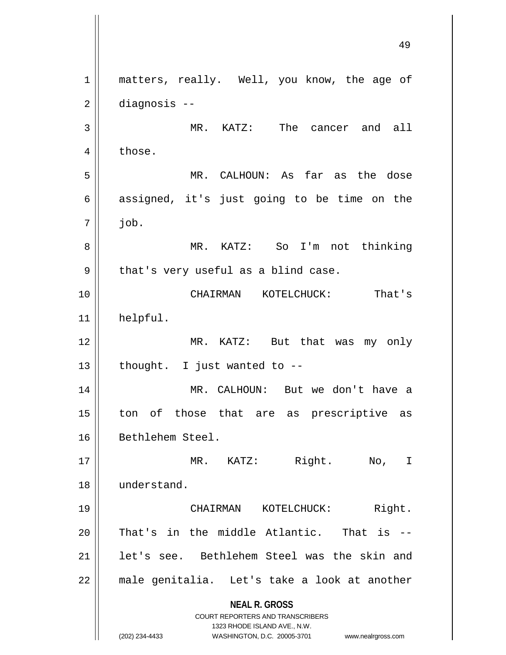**NEAL R. GROSS** COURT REPORTERS AND TRANSCRIBERS 1323 RHODE ISLAND AVE., N.W. (202) 234-4433 WASHINGTON, D.C. 20005-3701 www.nealrgross.com 1 || matters, really. Well, you know, the age of 2 diagnosis -- 3 MR. KATZ: The cancer and all  $4 \parallel$  those. 5 MR. CALHOUN: As far as the dose  $6 \parallel$  assigned, it's just going to be time on the  $7 \parallel$  job. 8 MR. KATZ: So I'm not thinking  $9 \parallel$  that's very useful as a blind case. 10 CHAIRMAN KOTELCHUCK: That's 11 helpful. 12 MR. KATZ: But that was my only  $13$  | thought. I just wanted to  $-$ 14 MR. CALHOUN: But we don't have a 15 || ton of those that are as prescriptive as 16 | Bethlehem Steel. 17 || MR. KATZ: Right. No, I 18 understand. 19 CHAIRMAN KOTELCHUCK: Right. 20  $\parallel$  That's in the middle Atlantic. That is --21 || let's see. Bethlehem Steel was the skin and 22 || male genitalia. Let's take a look at another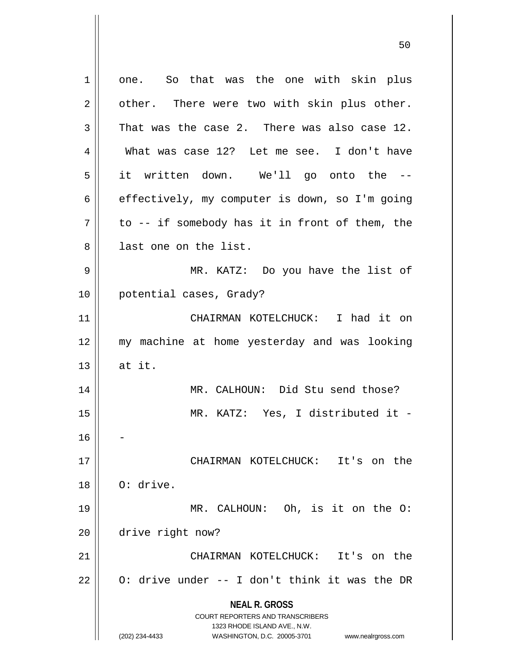**NEAL R. GROSS** COURT REPORTERS AND TRANSCRIBERS 1323 RHODE ISLAND AVE., N.W. (202) 234-4433 WASHINGTON, D.C. 20005-3701 www.nealrgross.com 1 one. So that was the one with skin plus  $2 \parallel$  other. There were two with skin plus other.  $3$  That was the case 2. There was also case 12. 4 What was case 12? Let me see. I don't have 5 || it written down. We'll go onto the --6 effectively, my computer is down, so I'm going  $7 \parallel$  to -- if somebody has it in front of them, the 8 || last one on the list. 9 MR. KATZ: Do you have the list of 10 potential cases, Grady? 11 CHAIRMAN KOTELCHUCK: I had it on 12 my machine at home yesterday and was looking  $13 \parallel$  at it. 14 MR. CALHOUN: Did Stu send those? 15 MR. KATZ: Yes, I distributed it - 16 17 CHAIRMAN KOTELCHUCK: It's on the  $18 \parallel$  O: drive. 19 MR. CALHOUN: Oh, is it on the O: 20 drive right now? 21 CHAIRMAN KOTELCHUCK: It's on the 22  $\parallel$  0: drive under -- I don't think it was the DR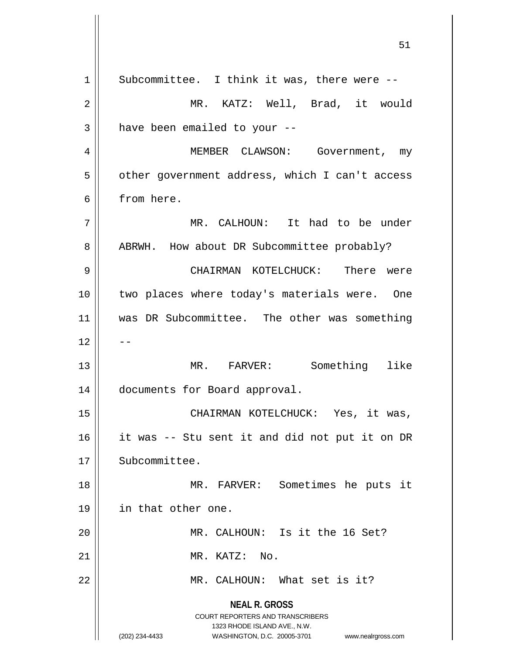**NEAL R. GROSS** COURT REPORTERS AND TRANSCRIBERS 1323 RHODE ISLAND AVE., N.W. (202) 234-4433 WASHINGTON, D.C. 20005-3701 www.nealrgross.com  $1 \parallel$  Subcommittee. I think it was, there were -- MR. KATZ: Well, Brad, it would | have been emailed to your  $-$ 4 | MEMBER CLAWSON: Government, my  $5 \parallel$  other government address, which I can't access from here. MR. CALHOUN: It had to be under 8 | ABRWH. How about DR Subcommittee probably? CHAIRMAN KOTELCHUCK: There were 10 || two places where today's materials were. One was DR Subcommittee. The other was something MR. FARVER: Something like documents for Board approval. CHAIRMAN KOTELCHUCK: Yes, it was, it was -- Stu sent it and did not put it on DR 17 | Subcommittee. MR. FARVER: Sometimes he puts it in that other one. MR. CALHOUN: Is it the 16 Set? MR. KATZ: No. MR. CALHOUN: What set is it?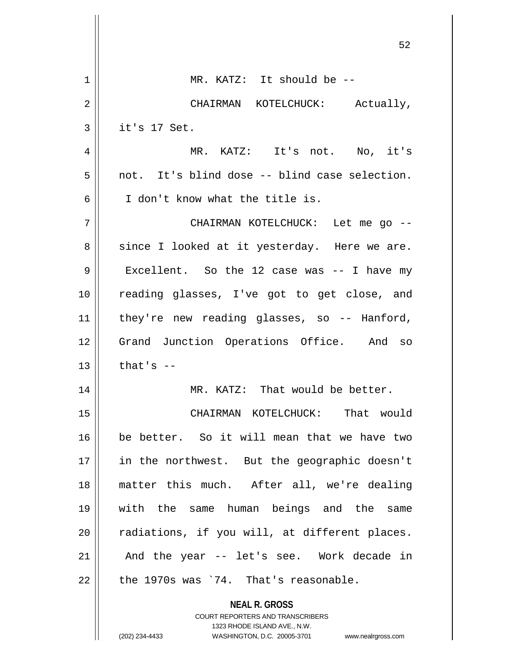|    | 52                                                                  |
|----|---------------------------------------------------------------------|
| 1  | MR. KATZ: It should be --                                           |
| 2  | CHAIRMAN KOTELCHUCK: Actually,                                      |
| 3  | it's 17 Set.                                                        |
| 4  | MR. KATZ: It's not. No, it's                                        |
| 5  | not. It's blind dose -- blind case selection.                       |
| 6  | I don't know what the title is.                                     |
| 7  | CHAIRMAN KOTELCHUCK: Let me go --                                   |
| 8  | since I looked at it yesterday. Here we are.                        |
| 9  | Excellent. So the 12 case was -- I have my                          |
| 10 | reading glasses, I've got to get close, and                         |
| 11 | they're new reading glasses, so -- Hanford,                         |
| 12 | Grand Junction Operations Office. And so                            |
| 13 | that's $--$                                                         |
| 14 | MR. KATZ: That would be better.                                     |
| 15 | CHAIRMAN KOTELCHUCK: That would                                     |
| 16 | be better. So it will mean that we have two                         |
| 17 | in the northwest. But the geographic doesn't                        |
| 18 | matter this much. After all, we're dealing                          |
| 19 | with the same human beings and the same                             |
| 20 | radiations, if you will, at different places.                       |
| 21 | And the year -- let's see. Work decade in                           |
| 22 | the 1970s was '74. That's reasonable.                               |
|    | <b>NEAL R. GROSS</b><br>COURT REPORTERS AND TRANSCRIBERS            |
|    | 1323 RHODE ISLAND AVE., N.W.                                        |
|    | (202) 234-4433<br>WASHINGTON, D.C. 20005-3701<br>www.nealrgross.com |

 $\mathbf{\mathbf{\mathsf{I}}}\mathbf{\mathsf{I}}$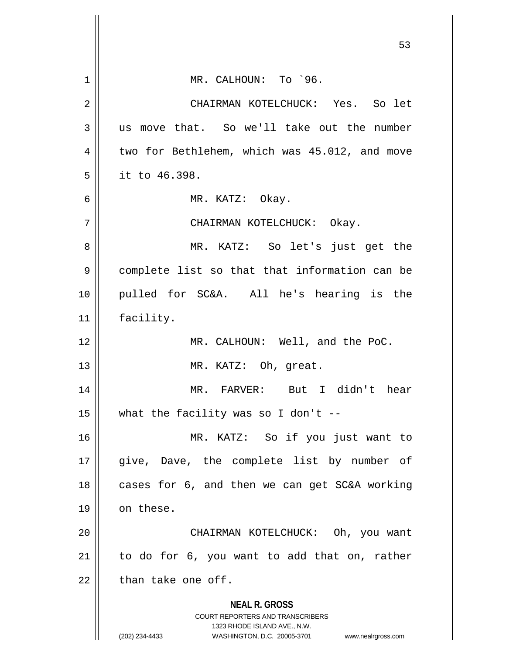|    | 53                                                                                                                                                                     |
|----|------------------------------------------------------------------------------------------------------------------------------------------------------------------------|
| 1  | MR. CALHOUN: To `96.                                                                                                                                                   |
| 2  | CHAIRMAN KOTELCHUCK: Yes. So let                                                                                                                                       |
| 3  | us move that. So we'll take out the number                                                                                                                             |
| 4  | two for Bethlehem, which was 45.012, and move                                                                                                                          |
| 5  | it to 46.398.                                                                                                                                                          |
| 6  | MR. KATZ: Okay.                                                                                                                                                        |
| 7  | CHAIRMAN KOTELCHUCK: Okay.                                                                                                                                             |
| 8  | MR. KATZ: So let's just get the                                                                                                                                        |
| 9  | complete list so that that information can be                                                                                                                          |
| 10 | pulled for SC&A. All he's hearing is the                                                                                                                               |
| 11 | facility.                                                                                                                                                              |
| 12 | MR. CALHOUN: Well, and the PoC.                                                                                                                                        |
| 13 | MR. KATZ: Oh, great.                                                                                                                                                   |
| 14 | MR. FARVER: But I didn't hear                                                                                                                                          |
| 15 | what the facility was so I don't --                                                                                                                                    |
| 16 | MR. KATZ: So if you just want to                                                                                                                                       |
| 17 | give, Dave, the complete list by number of                                                                                                                             |
| 18 | cases for 6, and then we can get SC&A working                                                                                                                          |
| 19 | on these.                                                                                                                                                              |
| 20 | CHAIRMAN KOTELCHUCK: Oh, you want                                                                                                                                      |
| 21 | to do for 6, you want to add that on, rather                                                                                                                           |
| 22 | than take one off.                                                                                                                                                     |
|    | <b>NEAL R. GROSS</b><br><b>COURT REPORTERS AND TRANSCRIBERS</b><br>1323 RHODE ISLAND AVE., N.W.<br>(202) 234-4433<br>WASHINGTON, D.C. 20005-3701<br>www.nealrgross.com |

 $\mathsf{I}$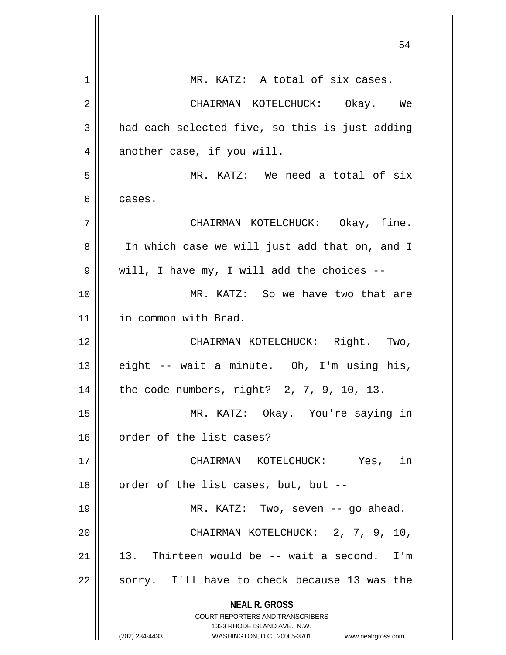| 1  | MR. KATZ: A total of six cases.                                                                     |
|----|-----------------------------------------------------------------------------------------------------|
| 2  | CHAIRMAN KOTELCHUCK: Okay. We                                                                       |
| 3  | had each selected five, so this is just adding                                                      |
| 4  | another case, if you will.                                                                          |
| 5  | MR. KATZ: We need a total of six                                                                    |
| 6  | cases.                                                                                              |
| 7  | CHAIRMAN KOTELCHUCK: Okay, fine.                                                                    |
| 8  | In which case we will just add that on, and I                                                       |
| 9  | will, I have my, I will add the choices --                                                          |
| 10 | MR. KATZ: So we have two that are                                                                   |
| 11 | in common with Brad.                                                                                |
| 12 | CHAIRMAN KOTELCHUCK: Right. Two,                                                                    |
| 13 | eight -- wait a minute. Oh, I'm using his,                                                          |
| 14 | the code numbers, right? 2, 7, 9, 10, 13.                                                           |
| 15 | MR. KATZ: Okay. You're saying in                                                                    |
| 16 | order of the list cases?                                                                            |
| 17 | CHAIRMAN KOTELCHUCK: Yes, in                                                                        |
| 18 | order of the list cases, but, but --                                                                |
| 19 | MR. KATZ: Two, seven -- go ahead.                                                                   |
| 20 | CHAIRMAN KOTELCHUCK: 2, 7, 9, 10,                                                                   |
| 21 | 13. Thirteen would be -- wait a second. I'm                                                         |
| 22 | sorry. I'll have to check because 13 was the                                                        |
|    | <b>NEAL R. GROSS</b>                                                                                |
|    | <b>COURT REPORTERS AND TRANSCRIBERS</b>                                                             |
|    | 1323 RHODE ISLAND AVE., N.W.<br>(202) 234-4433<br>WASHINGTON, D.C. 20005-3701<br>www.nealrgross.com |
|    |                                                                                                     |

 $\mathsf{I}$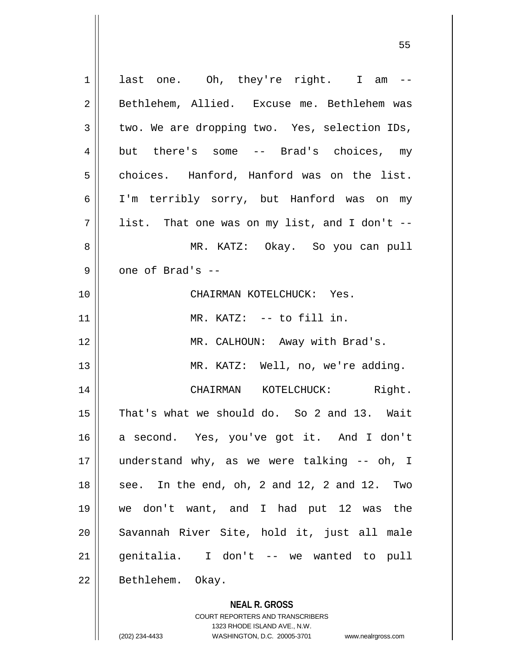| $\mathbf 1$ | last one. Oh, they're right. I am --          |
|-------------|-----------------------------------------------|
| 2           | Bethlehem, Allied. Excuse me. Bethlehem was   |
| 3           | two. We are dropping two. Yes, selection IDs, |
| 4           | but there's some -- Brad's choices, my        |
| 5           | choices. Hanford, Hanford was on the list.    |
| 6           | I'm terribly sorry, but Hanford was on my     |
| 7           | list. That one was on my list, and I don't -- |
| 8           | MR. KATZ: Okay. So you can pull               |
| 9           | one of Brad's --                              |
| 10          | CHAIRMAN KOTELCHUCK: Yes.                     |
| 11          | MR. KATZ: -- to fill in.                      |
| 12          | MR. CALHOUN: Away with Brad's.                |
| 13          | MR. KATZ: Well, no, we're adding.             |
| 14          | Right.<br>CHAIRMAN KOTELCHUCK:                |
| 15          | That's what we should do. So 2 and 13. Wait   |
| 16          | a second. Yes, you've got it. And I don't     |
| 17          | understand why, as we were talking -- oh, I   |
| 18          | see. In the end, oh, 2 and 12, 2 and 12. Two  |
| 19          | we don't want, and I had put 12 was the       |
| 20          | Savannah River Site, hold it, just all male   |
| 21          | genitalia. I don't -- we wanted to pull       |
| 22          | Bethlehem. Okay.                              |
|             | <b>NEAL R. GROSS</b>                          |

COURT REPORTERS AND TRANSCRIBERS 1323 RHODE ISLAND AVE., N.W.

 $\mathsf{I}$ 

(202) 234-4433 WASHINGTON, D.C. 20005-3701 www.nealrgross.com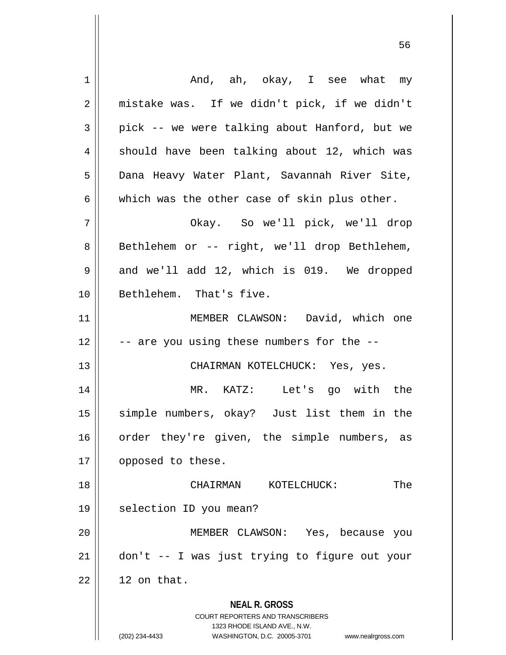| 1  | And, ah, okay, I see what my                                                                                                                     |
|----|--------------------------------------------------------------------------------------------------------------------------------------------------|
| 2  | mistake was. If we didn't pick, if we didn't                                                                                                     |
| 3  | pick -- we were talking about Hanford, but we                                                                                                    |
| 4  | should have been talking about 12, which was                                                                                                     |
| 5  | Dana Heavy Water Plant, Savannah River Site,                                                                                                     |
| 6  | which was the other case of skin plus other.                                                                                                     |
| 7  | Okay. So we'll pick, we'll drop                                                                                                                  |
| 8  | Bethlehem or -- right, we'll drop Bethlehem,                                                                                                     |
| 9  | and we'll add 12, which is 019. We dropped                                                                                                       |
| 10 | Bethlehem. That's five.                                                                                                                          |
| 11 | MEMBER CLAWSON: David, which one                                                                                                                 |
| 12 | -- are you using these numbers for the --                                                                                                        |
| 13 | CHAIRMAN KOTELCHUCK: Yes, yes.                                                                                                                   |
| 14 | MR. KATZ: Let's go with the                                                                                                                      |
| 15 | simple numbers, okay? Just list them in the                                                                                                      |
| 16 | order they're given, the simple numbers, as                                                                                                      |
| 17 | opposed to these.                                                                                                                                |
| 18 | The<br>KOTELCHUCK:<br>CHAIRMAN                                                                                                                   |
| 19 | selection ID you mean?                                                                                                                           |
| 20 | MEMBER CLAWSON: Yes, because you                                                                                                                 |
| 21 | don't -- I was just trying to figure out your                                                                                                    |
| 22 | 12 on that.                                                                                                                                      |
|    | <b>NEAL R. GROSS</b><br><b>COURT REPORTERS AND TRANSCRIBERS</b><br>1323 RHODE ISLAND AVE., N.W.<br>(202) 234-4433<br>WASHINGTON, D.C. 20005-3701 |
|    | www.nealrgross.com                                                                                                                               |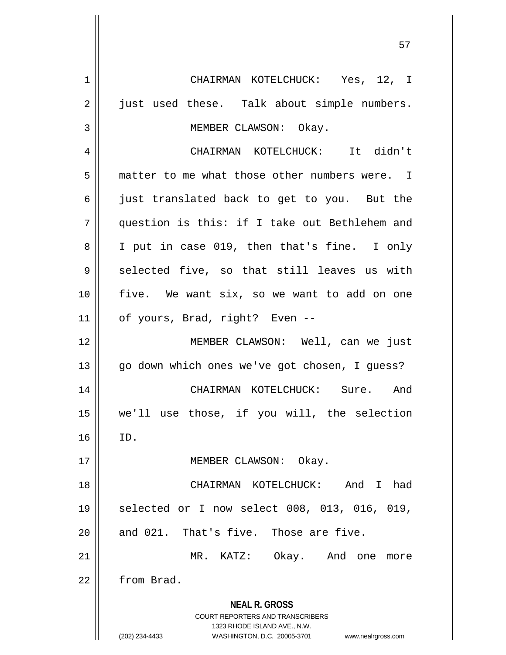**NEAL R. GROSS** COURT REPORTERS AND TRANSCRIBERS 1323 RHODE ISLAND AVE., N.W. (202) 234-4433 WASHINGTON, D.C. 20005-3701 www.nealrgross.com 1 CHAIRMAN KOTELCHUCK: Yes, 12, I 2 || just used these. Talk about simple numbers. 3 || MEMBER CLAWSON: Okay. 4 CHAIRMAN KOTELCHUCK: It didn't 5 matter to me what those other numbers were. I 6 just translated back to get to you. But the 7 question is this: if I take out Bethlehem and 8 || I put in case 019, then that's fine. I only  $9 \parallel$  selected five, so that still leaves us with 10 five. We want six, so we want to add on one 11 || of yours, Brad, right? Even --12 MEMBER CLAWSON: Well, can we just 13 || go down which ones we've got chosen, I guess? 14 CHAIRMAN KOTELCHUCK: Sure. And 15 we'll use those, if you will, the selection  $16$  ID. 17 || MEMBER CLAWSON: Okay. 18 CHAIRMAN KOTELCHUCK: And I had 19 || selected or I now select 008, 013, 016, 019,  $20$  || and 021. That's five. Those are five. 21 MR. KATZ: Okay. And one more 22 | from Brad.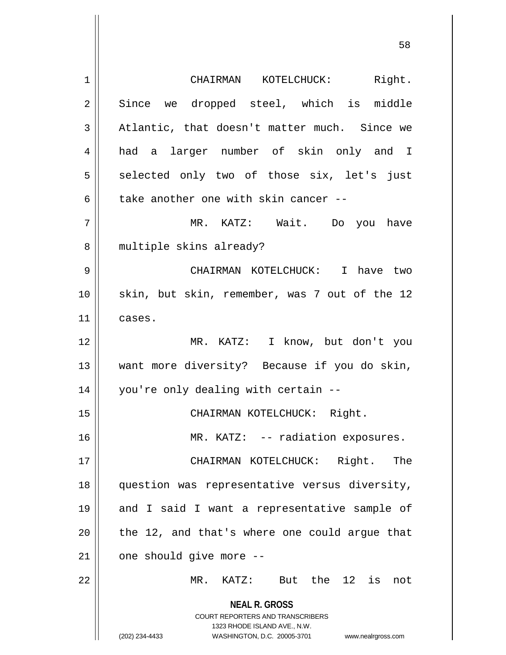**NEAL R. GROSS** COURT REPORTERS AND TRANSCRIBERS 1323 RHODE ISLAND AVE., N.W. (202) 234-4433 WASHINGTON, D.C. 20005-3701 www.nealrgross.com 1 CHAIRMAN KOTELCHUCK: Right. 2 Since we dropped steel, which is middle  $3 \parallel$  Atlantic, that doesn't matter much. Since we 4 had a larger number of skin only and I  $5 \parallel$  selected only two of those six, let's just 6 take another one with skin cancer  $-$ 7 MR. KATZ: Wait. Do you have 8 || multiple skins already? 9 CHAIRMAN KOTELCHUCK: I have two 10 || skin, but skin, remember, was 7 out of the 12 11 cases. 12 MR. KATZ: I know, but don't you 13 want more diversity? Because if you do skin, 14 you're only dealing with certain -- 15 | CHAIRMAN KOTELCHUCK: Right. 16 || MR. KATZ: -- radiation exposures. 17 CHAIRMAN KOTELCHUCK: Right. The 18 question was representative versus diversity, 19 || and I said I want a representative sample of  $20$  || the 12, and that's where one could argue that  $21$  | one should give more  $-$ 22 MR. KATZ: But the 12 is not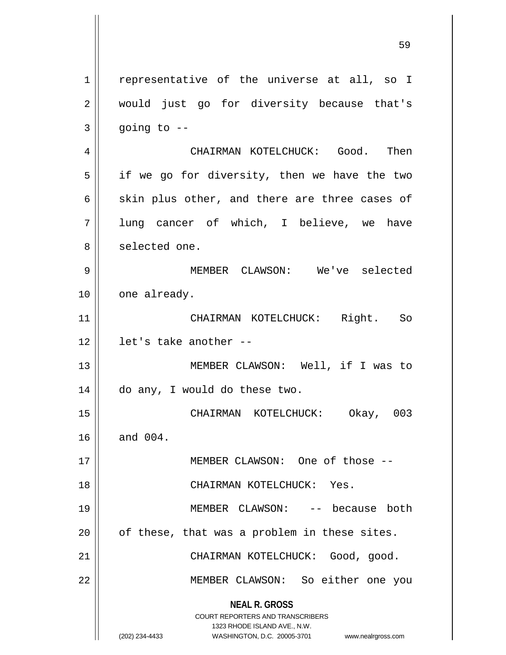**NEAL R. GROSS** COURT REPORTERS AND TRANSCRIBERS 1323 RHODE ISLAND AVE., N.W. 1 | representative of the universe at all, so I 2 || would just go for diversity because that's  $3 \parallel$  going to  $-$ 4 CHAIRMAN KOTELCHUCK: Good. Then  $5 \parallel$  if we go for diversity, then we have the two 6  $\parallel$  skin plus other, and there are three cases of 7 lung cancer of which, I believe, we have 8 || selected one. 9 MEMBER CLAWSON: We've selected 10 | one already. 11 CHAIRMAN KOTELCHUCK: Right. So 12 let's take another -- 13 MEMBER CLAWSON: Well, if I was to 14 do any, I would do these two. 15 CHAIRMAN KOTELCHUCK: Okay, 003 16 and 004. 17 MEMBER CLAWSON: One of those -- 18 CHAIRMAN KOTELCHUCK: Yes. 19 MEMBER CLAWSON: -- because both  $20$  | of these, that was a problem in these sites. 21 | CHAIRMAN KOTELCHUCK: Good, good. 22 MEMBER CLAWSON: So either one you

(202) 234-4433 WASHINGTON, D.C. 20005-3701 www.nealrgross.com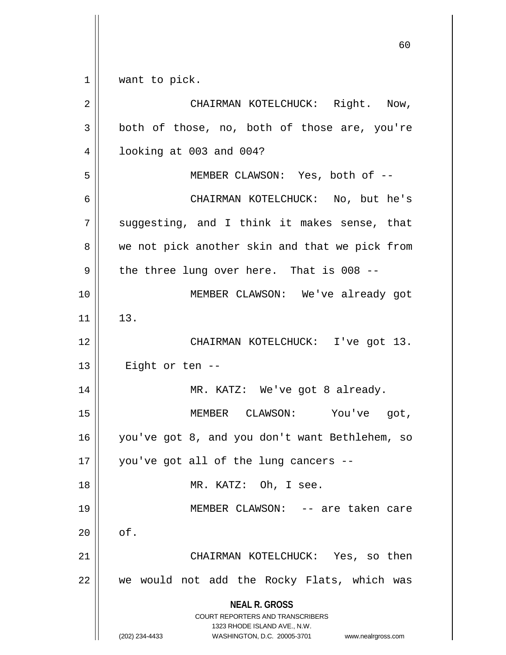$1 \parallel$  want to pick.

| $\overline{2}$ | CHAIRMAN KOTELCHUCK: Right. Now,                                                                    |
|----------------|-----------------------------------------------------------------------------------------------------|
| 3              | both of those, no, both of those are, you're                                                        |
| 4              | looking at 003 and 004?                                                                             |
| 5              | MEMBER CLAWSON: Yes, both of --                                                                     |
| 6              | CHAIRMAN KOTELCHUCK: No, but he's                                                                   |
| 7              | suggesting, and I think it makes sense, that                                                        |
| 8              | we not pick another skin and that we pick from                                                      |
| $\mathsf 9$    | the three lung over here. That is 008 --                                                            |
| 10             | MEMBER CLAWSON: We've already got                                                                   |
| 11             | 13.                                                                                                 |
| 12             | CHAIRMAN KOTELCHUCK: I've got 13.                                                                   |
| 13             | Eight or ten --                                                                                     |
| 14             | MR. KATZ: We've got 8 already.                                                                      |
| 15             | MEMBER CLAWSON: You've got,                                                                         |
| 16             | you've got 8, and you don't want Bethlehem, so                                                      |
| 17             | you've got all of the lung cancers --                                                               |
| 18             | MR. KATZ: Oh, I see.                                                                                |
| 19             | MEMBER CLAWSON: -- are taken care                                                                   |
| 20             | of.                                                                                                 |
| 21             | CHAIRMAN KOTELCHUCK: Yes, so then                                                                   |
| 22             | we would not add the Rocky Flats, which was                                                         |
|                | <b>NEAL R. GROSS</b>                                                                                |
|                | <b>COURT REPORTERS AND TRANSCRIBERS</b>                                                             |
|                | 1323 RHODE ISLAND AVE., N.W.<br>WASHINGTON, D.C. 20005-3701<br>(202) 234-4433<br>www.nealrgross.com |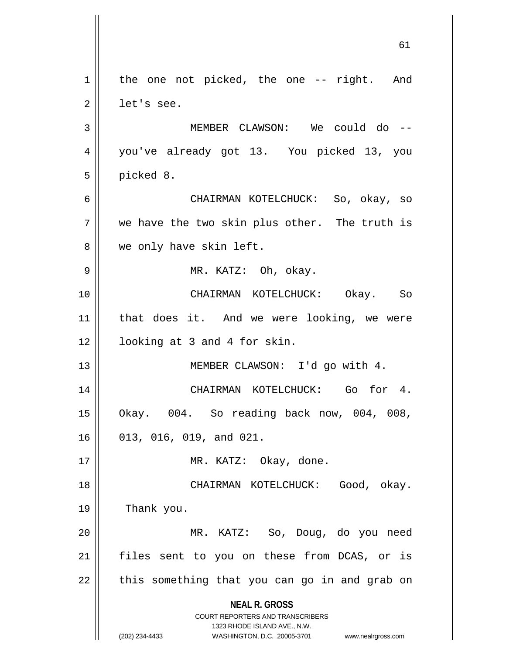**NEAL R. GROSS** COURT REPORTERS AND TRANSCRIBERS 1323 RHODE ISLAND AVE., N.W. (202) 234-4433 WASHINGTON, D.C. 20005-3701 www.nealrgross.com 61  $1 \parallel$  the one not picked, the one -- right. And  $2 \parallel$  let's see. 3 MEMBER CLAWSON: We could do -- 4 you've already got 13. You picked 13, you  $5 \parallel$  picked 8. 6 CHAIRMAN KOTELCHUCK: So, okay, so  $7 \parallel$  we have the two skin plus other. The truth is 8 || we only have skin left. 9 MR. KATZ: Oh, okay. 10 CHAIRMAN KOTELCHUCK: Okay. So 11 that does it. And we were looking, we were 12 looking at 3 and 4 for skin. 13 || MEMBER CLAWSON: I'd go with 4. 14 || CHAIRMAN KOTELCHUCK: Go for 4. 15 Okay. 004. So reading back now, 004, 008, 16 013, 016, 019, and 021. 17 || MR. KATZ: Okay, done. 18 || CHAIRMAN KOTELCHUCK: Good, okay. 19 Thank you. 20 MR. KATZ: So, Doug, do you need 21 || files sent to you on these from DCAS, or is  $22$  || this something that you can go in and grab on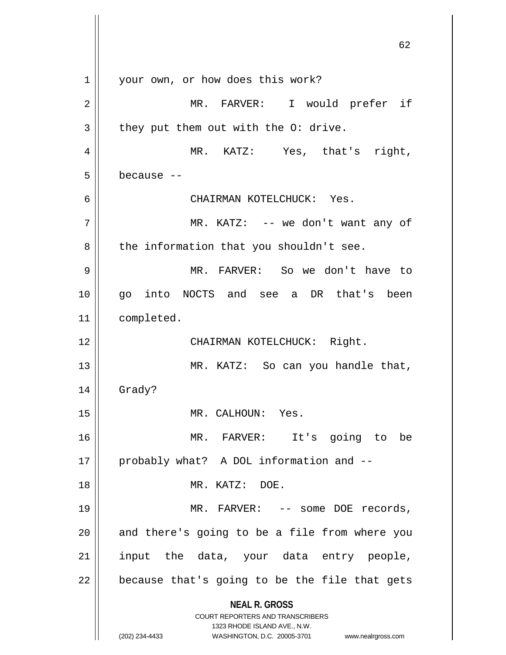|                | 62                                                                                                                                                                     |
|----------------|------------------------------------------------------------------------------------------------------------------------------------------------------------------------|
| 1              | your own, or how does this work?                                                                                                                                       |
| $\overline{2}$ | MR. FARVER: I would prefer if                                                                                                                                          |
| 3              | they put them out with the O: drive.                                                                                                                                   |
| 4              | MR. KATZ: Yes, that's right,                                                                                                                                           |
| 5              | because --                                                                                                                                                             |
| 6              | CHAIRMAN KOTELCHUCK: Yes.                                                                                                                                              |
| 7              | MR. KATZ: -- we don't want any of                                                                                                                                      |
| 8              | the information that you shouldn't see.                                                                                                                                |
| 9              | MR. FARVER: So we don't have to                                                                                                                                        |
| 10             | into NOCTS and see a DR that's been<br>go                                                                                                                              |
| 11             | completed.                                                                                                                                                             |
| 12             | CHAIRMAN KOTELCHUCK: Right.                                                                                                                                            |
| 13             | MR. KATZ: So can you handle that,                                                                                                                                      |
| 14             | Grady?                                                                                                                                                                 |
| 15             | MR. CALHOUN: Yes.                                                                                                                                                      |
| 16             | MR. FARVER:<br>It's going to be                                                                                                                                        |
| 17             | probably what? A DOL information and --                                                                                                                                |
| 18             | MR. KATZ: DOE.                                                                                                                                                         |
| 19             | MR. FARVER: -- some DOE records,                                                                                                                                       |
| 20             | and there's going to be a file from where you                                                                                                                          |
| 21             | input the data, your data entry people,                                                                                                                                |
| 22             | because that's going to be the file that gets                                                                                                                          |
|                | <b>NEAL R. GROSS</b><br><b>COURT REPORTERS AND TRANSCRIBERS</b><br>1323 RHODE ISLAND AVE., N.W.<br>(202) 234-4433<br>WASHINGTON, D.C. 20005-3701<br>www.nealrgross.com |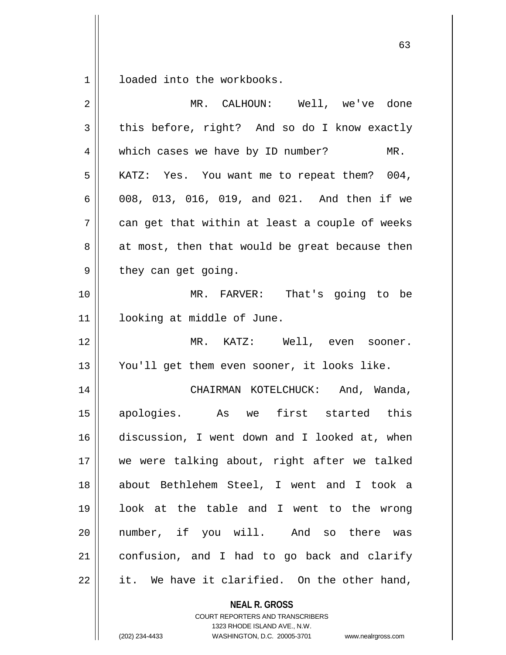1 | loaded into the workbooks.

| MR. CALHOUN: Well, we've done                  |
|------------------------------------------------|
| this before, right? And so do I know exactly   |
| which cases we have by ID number?<br>$MR$ .    |
| KATZ: Yes. You want me to repeat them? 004,    |
| 008, 013, 016, 019, and 021. And then if we    |
| can get that within at least a couple of weeks |
| at most, then that would be great because then |
| they can get going.                            |
| MR. FARVER: That's going to be                 |
| looking at middle of June.                     |
| MR. KATZ: Well, even sooner.                   |
| You'll get them even sooner, it looks like.    |
| CHAIRMAN KOTELCHUCK: And, Wanda,               |
| apologies. As we first started this            |
| discussion, I went down and I looked at, when  |
| we were talking about, right after we talked   |
| about Bethlehem Steel, I went and I took a     |
| look at the table and I went to the wrong      |
| number, if you will. And so there was          |
| confusion, and I had to go back and clarify    |
| it. We have it clarified. On the other hand,   |
|                                                |

**NEAL R. GROSS** COURT REPORTERS AND TRANSCRIBERS

1323 RHODE ISLAND AVE., N.W.

(202) 234-4433 WASHINGTON, D.C. 20005-3701 www.nealrgross.com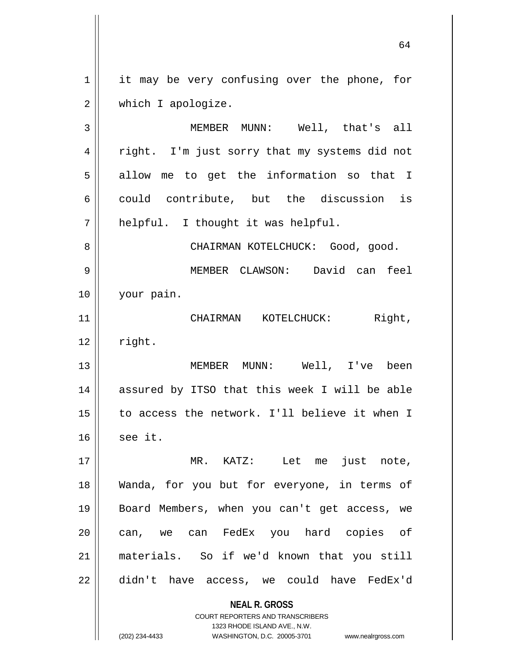1 | it may be very confusing over the phone, for 2 | which I apologize.

3 MEMBER MUNN: Well, that's all 4 || right. I'm just sorry that my systems did not  $5 \parallel$  allow me to get the information so that I  $6 \parallel$  could contribute, but the discussion is  $7$  || helpful. I thought it was helpful.

8 CHAIRMAN KOTELCHUCK: Good, good. 9 MEMBER CLAWSON: David can feel 10 your pain.

11 || CHAIRMAN KOTELCHUCK: Right,  $12$   $\parallel$  right.

13 MEMBER MUNN: Well, I've been 14 assured by ITSO that this week I will be able 15 to access the network. I'll believe it when I  $16$  see it.

 MR. KATZ: Let me just note, Wanda, for you but for everyone, in terms of Board Members, when you can't get access, we 20 can, we can FedEx you hard copies of materials. So if we'd known that you still didn't have access, we could have FedEx'd

**NEAL R. GROSS**

COURT REPORTERS AND TRANSCRIBERS 1323 RHODE ISLAND AVE., N.W. (202) 234-4433 WASHINGTON, D.C. 20005-3701 www.nealrgross.com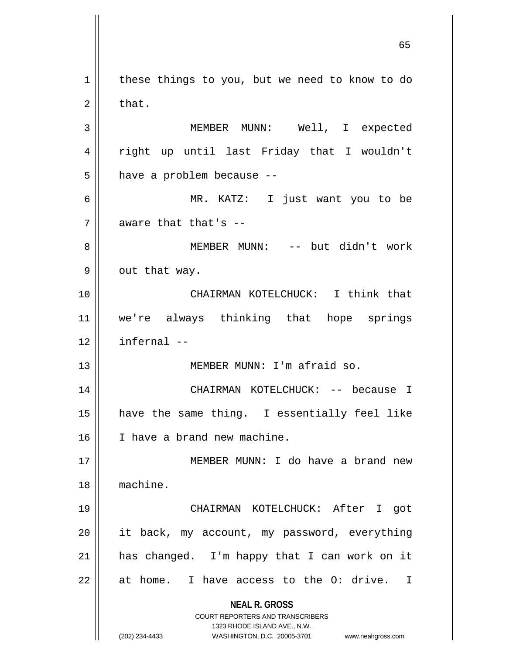**NEAL R. GROSS** COURT REPORTERS AND TRANSCRIBERS 1323 RHODE ISLAND AVE., N.W. (202) 234-4433 WASHINGTON, D.C. 20005-3701 www.nealrgross.com 1 | these things to you, but we need to know to do  $2 \parallel$  that. 3 MEMBER MUNN: Well, I expected 4 || right up until last Friday that I wouldn't  $5$  || have a problem because --6 MR. KATZ: I just want you to be  $7$  | aware that that's  $-$ 8 MEMBER MUNN: -- but didn't work  $9 \parallel$  out that way. 10 CHAIRMAN KOTELCHUCK: I think that 11 we're always thinking that hope springs  $12$  | infernal  $-$ 13 || MEMBER MUNN: I'm afraid so. 14 CHAIRMAN KOTELCHUCK: -- because I 15 have the same thing. I essentially feel like 16 | I have a brand new machine. 17 MEMBER MUNN: I do have a brand new 18 machine. 19 CHAIRMAN KOTELCHUCK: After I got  $20$  || it back, my account, my password, everything  $21$  | has changed. I'm happy that I can work on it  $22 \parallel$  at home. I have access to the O: drive. I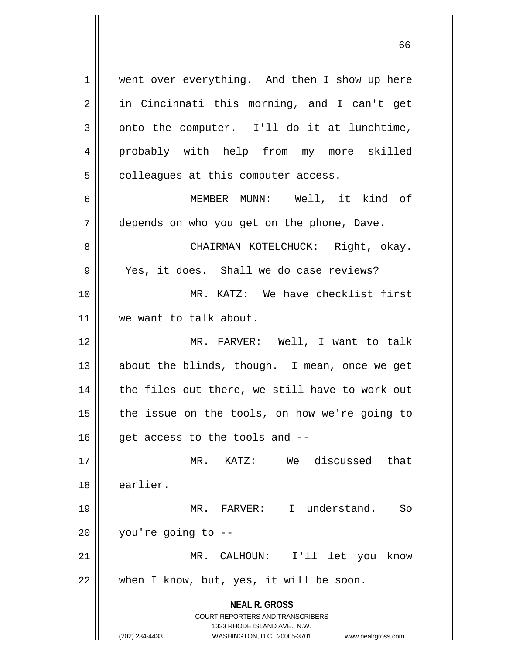**NEAL R. GROSS** COURT REPORTERS AND TRANSCRIBERS 1323 RHODE ISLAND AVE., N.W. 1 | went over everything. And then I show up here 2 || in Cincinnati this morning, and I can't get  $3 \parallel$  onto the computer. I'll do it at lunchtime, 4 probably with help from my more skilled  $5 \parallel$  colleagues at this computer access. 6 MEMBER MUNN: Well, it kind of 7 | depends on who you get on the phone, Dave. 8 CHAIRMAN KOTELCHUCK: Right, okay. 9 || Yes, it does. Shall we do case reviews? 10 MR. KATZ: We have checklist first 11 || we want to talk about. 12 MR. FARVER: Well, I want to talk 13 || about the blinds, though. I mean, once we get 14 || the files out there, we still have to work out  $15$  | the issue on the tools, on how we're going to  $16$  | qet access to the tools and  $-$ 17 MR. KATZ: We discussed that 18 earlier. 19 MR. FARVER: I understand. So  $20$  | you're going to  $-$ 21 MR. CALHOUN: I'll let you know  $22$  | when I know, but, yes, it will be soon.

(202) 234-4433 WASHINGTON, D.C. 20005-3701 www.nealrgross.com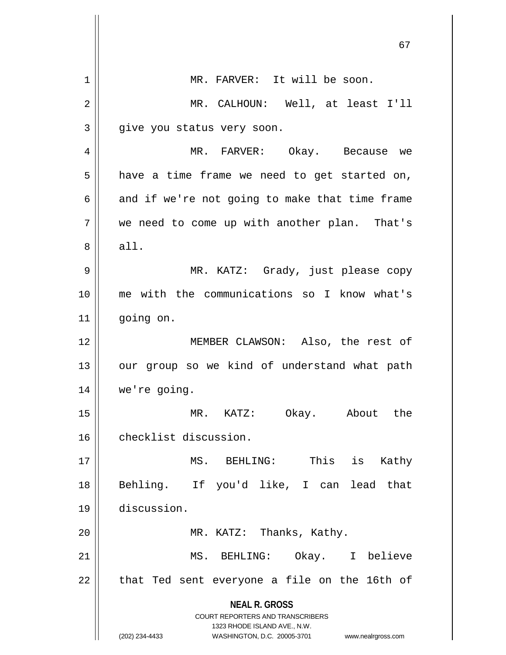|    | 67                                                                                                                                                              |
|----|-----------------------------------------------------------------------------------------------------------------------------------------------------------------|
| 1  | MR. FARVER: It will be soon.                                                                                                                                    |
| 2  | MR. CALHOUN: Well, at least I'll                                                                                                                                |
| 3  | give you status very soon.                                                                                                                                      |
| 4  | MR. FARVER: Okay. Because we                                                                                                                                    |
| 5  | have a time frame we need to get started on,                                                                                                                    |
| 6  | and if we're not going to make that time frame                                                                                                                  |
| 7  | we need to come up with another plan. That's                                                                                                                    |
| 8  | all.                                                                                                                                                            |
| 9  | MR. KATZ: Grady, just please copy                                                                                                                               |
| 10 | me with the communications so I know what's                                                                                                                     |
| 11 | going on.                                                                                                                                                       |
| 12 | MEMBER CLAWSON: Also, the rest of                                                                                                                               |
| 13 | our group so we kind of understand what path                                                                                                                    |
| 14 | we're going.                                                                                                                                                    |
| 15 | KATZ: Okay. About the<br>$MR$ .                                                                                                                                 |
| 16 | checklist discussion.                                                                                                                                           |
| 17 | This<br>is<br>MS. BEHLING:<br>Kathy                                                                                                                             |
| 18 | Behling. If you'd like, I can lead<br>that                                                                                                                      |
| 19 | discussion.                                                                                                                                                     |
| 20 | MR. KATZ: Thanks, Kathy.                                                                                                                                        |
| 21 | MS. BEHLING: Okay. I believe                                                                                                                                    |
| 22 | that Ted sent everyone a file on the 16th of                                                                                                                    |
|    | <b>NEAL R. GROSS</b><br>COURT REPORTERS AND TRANSCRIBERS<br>1323 RHODE ISLAND AVE., N.W.<br>(202) 234-4433<br>WASHINGTON, D.C. 20005-3701<br>www.nealrgross.com |

 $\mathbb{I}$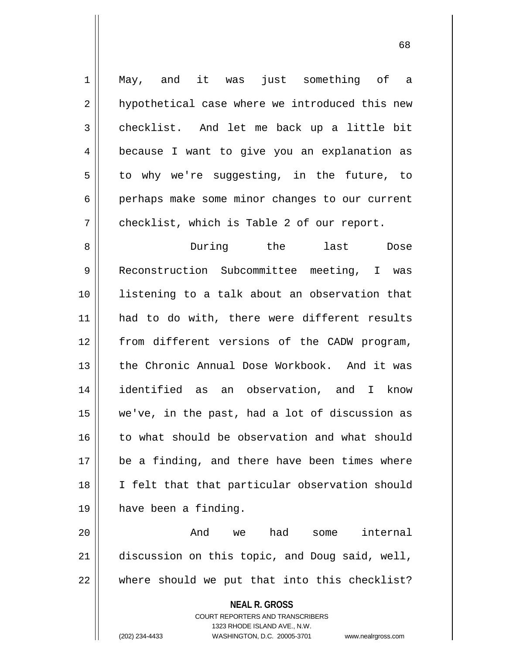1 || May, and it was just something of a 2 || hypothetical case where we introduced this new 3 checklist. And let me back up a little bit 4 || because I want to give you an explanation as  $5 \parallel$  to why we're suggesting, in the future, to 6 perhaps make some minor changes to our current 7 | checklist, which is Table 2 of our report. 8 During the last Dose

9 Reconstruction Subcommittee meeting, I was 10 || listening to a talk about an observation that 11 || had to do with, there were different results 12 from different versions of the CADW program, 13 the Chronic Annual Dose Workbook. And it was 14 identified as an observation, and I know 15 we've, in the past, had a lot of discussion as 16 || to what should be observation and what should 17 be a finding, and there have been times where 18 || I felt that that particular observation should 19 have been a finding.

20 And we had some internal 21 discussion on this topic, and Doug said, well,  $22$   $\parallel$  where should we put that into this checklist?

> **NEAL R. GROSS** COURT REPORTERS AND TRANSCRIBERS 1323 RHODE ISLAND AVE., N.W. (202) 234-4433 WASHINGTON, D.C. 20005-3701 www.nealrgross.com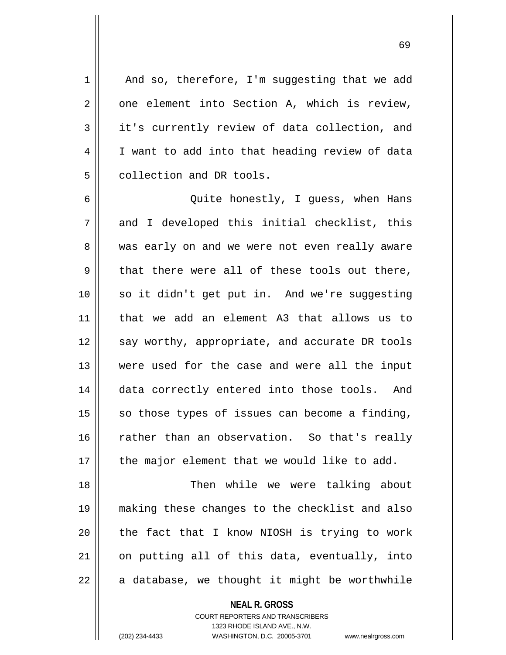69

 $1$  | And so, therefore, I'm suggesting that we add  $2 \parallel$  one element into Section A, which is review,  $3 \parallel$  it's currently review of data collection, and 4 | I want to add into that heading review of data 5 | collection and DR tools.

6 Quite honestly, I guess, when Hans  $7 \parallel$  and I developed this initial checklist, this 8 was early on and we were not even really aware  $9 \parallel$  that there were all of these tools out there, 10 || so it didn't get put in. And we're suggesting 11 that we add an element A3 that allows us to 12 || say worthy, appropriate, and accurate DR tools 13 were used for the case and were all the input 14 data correctly entered into those tools. And  $15$  so those types of issues can become a finding, 16 || rather than an observation. So that's really 17 || the major element that we would like to add.

 Then while we were talking about making these changes to the checklist and also || the fact that I know NIOSH is trying to work on putting all of this data, eventually, into  $22 \parallel$  a database, we thought it might be worthwhile

> **NEAL R. GROSS** COURT REPORTERS AND TRANSCRIBERS 1323 RHODE ISLAND AVE., N.W. (202) 234-4433 WASHINGTON, D.C. 20005-3701 www.nealrgross.com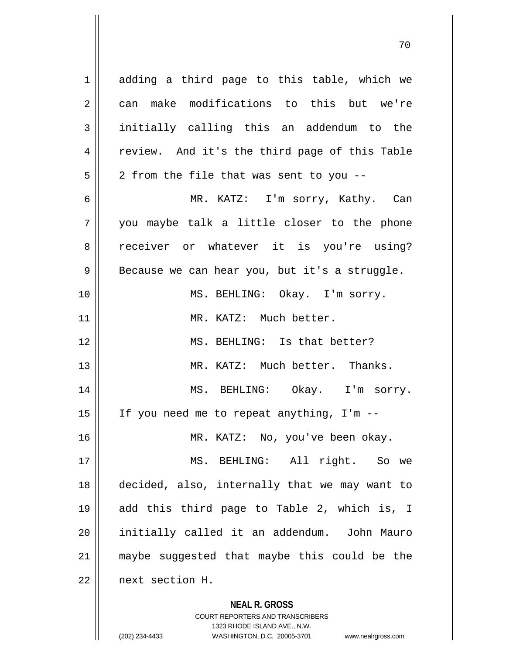1 adding a third page to this table, which we 2 can make modifications to this but we're initially calling this an addendum to the 4 || review. And it's the third page of this Table  $5 \parallel 2$  from the file that was sent to you -- MR. KATZ: I'm sorry, Kathy. Can you maybe talk a little closer to the phone 8 receiver or whatever it is you're using?  $9 \parallel$  Because we can hear you, but it's a struggle. 10 || MS. BEHLING: Okay. I'm sorry. 11 || MR. KATZ: Much better. MS. BEHLING: Is that better? MR. KATZ: Much better. Thanks. MS. BEHLING: Okay. I'm sorry.  $\parallel$  If you need me to repeat anything, I'm -- MR. KATZ: No, you've been okay. MS. BEHLING: All right. So we decided, also, internally that we may want to add this third page to Table 2, which is, I initially called it an addendum. John Mauro maybe suggested that maybe this could be the

22 next section H.

**NEAL R. GROSS**

COURT REPORTERS AND TRANSCRIBERS 1323 RHODE ISLAND AVE., N.W. (202) 234-4433 WASHINGTON, D.C. 20005-3701 www.nealrgross.com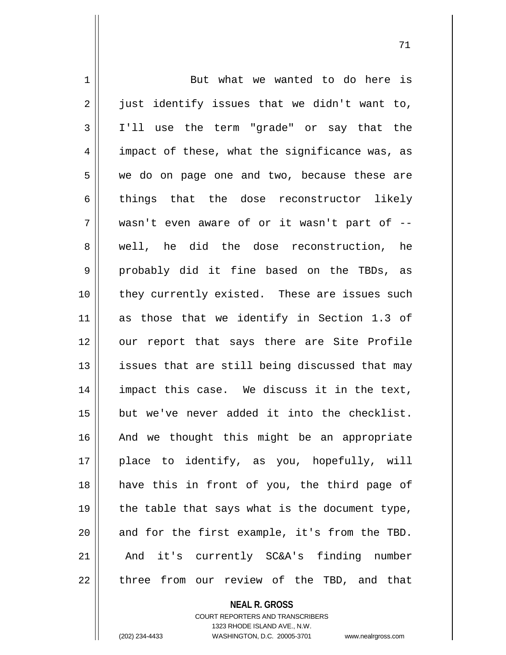1 But what we wanted to do here is  $2 \parallel$  just identify issues that we didn't want to, 3 I'll use the term "grade" or say that the 4 || impact of these, what the significance was, as 5 || we do on page one and two, because these are 6 things that the dose reconstructor likely  $7 \parallel$  wasn't even aware of or it wasn't part of  $-$ 8 || well, he did the dose reconstruction, he 9 probably did it fine based on the TBDs, as 10 || they currently existed. These are issues such 11 as those that we identify in Section 1.3 of 12 || our report that says there are Site Profile  $13$  || issues that are still being discussed that may 14 impact this case. We discuss it in the text, 15 but we've never added it into the checklist. 16 || And we thought this might be an appropriate 17 || place to identify, as you, hopefully, will 18 have this in front of you, the third page of 19  $\parallel$  the table that says what is the document type,  $20$  and for the first example, it's from the TBD. 21 || And it's currently SC&A's finding number 22 || three from our review of the TBD, and that

## **NEAL R. GROSS**

COURT REPORTERS AND TRANSCRIBERS 1323 RHODE ISLAND AVE., N.W. (202) 234-4433 WASHINGTON, D.C. 20005-3701 www.nealrgross.com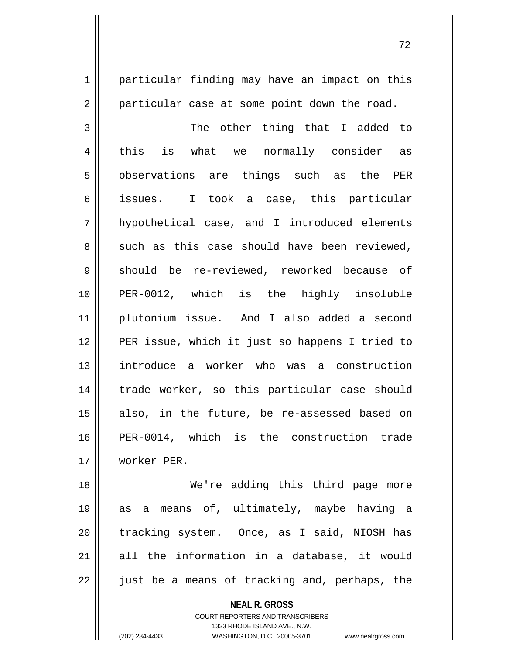1 | particular finding may have an impact on this  $2 \parallel$  particular case at some point down the road.

 The other thing that I added to 4 || this is what we normally consider as 5 || observations are things such as the PER issues. I took a case, this particular hypothetical case, and I introduced elements  $8 \parallel$  such as this case should have been reviewed, 9 should be re-reviewed, reworked because of PER-0012, which is the highly insoluble plutonium issue. And I also added a second PER issue, which it just so happens I tried to introduce a worker who was a construction 14 || trade worker, so this particular case should also, in the future, be re-assessed based on PER-0014, which is the construction trade worker PER.

 We're adding this third page more as a means of, ultimately, maybe having a 20 || tracking system. Once, as I said, NIOSH has all the information in a database, it would || just be a means of tracking and, perhaps, the

**NEAL R. GROSS**

COURT REPORTERS AND TRANSCRIBERS 1323 RHODE ISLAND AVE., N.W. (202) 234-4433 WASHINGTON, D.C. 20005-3701 www.nealrgross.com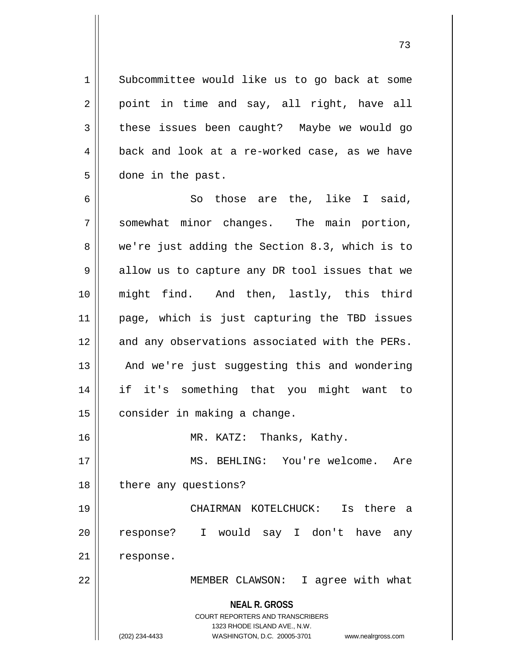1 Subcommittee would like us to go back at some  $2 \parallel$  point in time and say, all right, have all  $3 \parallel$  these issues been caught? Maybe we would go  $4 \parallel$  back and look at a re-worked case, as we have 5 done in the past.

 $6 \parallel$  So those are the, like I said, 7 Somewhat minor changes. The main portion, 8 we're just adding the Section 8.3, which is to  $9 \parallel$  allow us to capture any DR tool issues that we 10 might find. And then, lastly, this third 11 page, which is just capturing the TBD issues 12 and any observations associated with the PERs. 13 || And we're just suggesting this and wondering 14 if it's something that you might want to  $15$  consider in making a change. 16 MR. KATZ: Thanks, Kathy. 17 MS. BEHLING: You're welcome. Are 18 | there any questions? 19 CHAIRMAN KOTELCHUCK: Is there a 20 || response? I would say I don't have any

21 | response.

22 || MEMBER CLAWSON: I agree with what

**NEAL R. GROSS**

COURT REPORTERS AND TRANSCRIBERS 1323 RHODE ISLAND AVE., N.W. (202) 234-4433 WASHINGTON, D.C. 20005-3701 www.nealrgross.com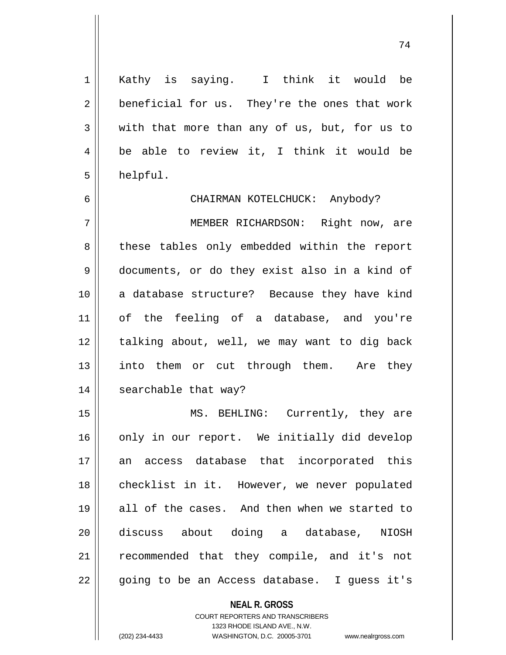1 || Kathy is saying. I think it would be  $2 \parallel$  beneficial for us. They're the ones that work  $3 \parallel$  with that more than any of us, but, for us to 4 be able to review it, I think it would be  $5 \parallel$  helpful.

6 CHAIRMAN KOTELCHUCK: Anybody?

7 MEMBER RICHARDSON: Right now, are 8 || these tables only embedded within the report 9 documents, or do they exist also in a kind of 10 a database structure? Because they have kind 11 of the feeling of a database, and you're 12 || talking about, well, we may want to dig back 13 || into them or cut through them. Are they 14 || searchable that way?

15 || MS. BEHLING: Currently, they are 16 only in our report. We initially did develop 17 || an access database that incorporated this 18 || checklist in it. However, we never populated 19 all of the cases. And then when we started to 20 discuss about doing a database, NIOSH 21 || recommended that they compile, and it's not  $22$  || going to be an Access database. I guess it's

> **NEAL R. GROSS** COURT REPORTERS AND TRANSCRIBERS 1323 RHODE ISLAND AVE., N.W. (202) 234-4433 WASHINGTON, D.C. 20005-3701 www.nealrgross.com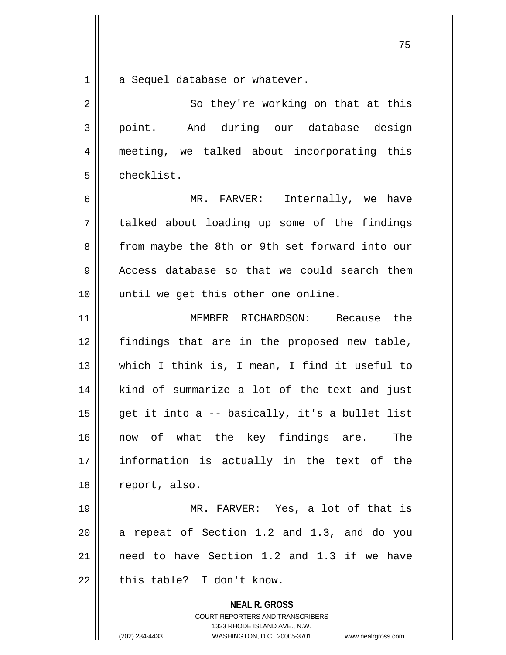a Sequel database or whatever.

| 2              | So they're working on that at this                                                                                                                                     |
|----------------|------------------------------------------------------------------------------------------------------------------------------------------------------------------------|
| $\mathfrak{Z}$ | point. And during our database design                                                                                                                                  |
| 4              | meeting, we talked about incorporating this                                                                                                                            |
| 5              | checklist.                                                                                                                                                             |
| 6              | MR. FARVER: Internally, we have                                                                                                                                        |
| 7              | talked about loading up some of the findings                                                                                                                           |
| 8              | from maybe the 8th or 9th set forward into our                                                                                                                         |
| $\mathsf 9$    | Access database so that we could search them                                                                                                                           |
| 10             | until we get this other one online.                                                                                                                                    |
| 11             | MEMBER RICHARDSON: Because the                                                                                                                                         |
| 12             | findings that are in the proposed new table,                                                                                                                           |
| 13             | which I think is, I mean, I find it useful to                                                                                                                          |
| 14             | kind of summarize a lot of the text and just                                                                                                                           |
| 15             | get it into a -- basically, it's a bullet list                                                                                                                         |
| 16             | now of what the key findings are. The                                                                                                                                  |
| 17             | information is actually in the text of the                                                                                                                             |
| 18             | report, also.                                                                                                                                                          |
| 19             | MR. FARVER: Yes, a lot of that is                                                                                                                                      |
| 20             | a repeat of Section 1.2 and 1.3, and do you                                                                                                                            |
| 21             | need to have Section 1.2 and 1.3 if we have                                                                                                                            |
| 22             | this table? I don't know.                                                                                                                                              |
|                | <b>NEAL R. GROSS</b><br><b>COURT REPORTERS AND TRANSCRIBERS</b><br>1323 RHODE ISLAND AVE., N.W.<br>(202) 234-4433<br>WASHINGTON, D.C. 20005-3701<br>www.nealrgross.com |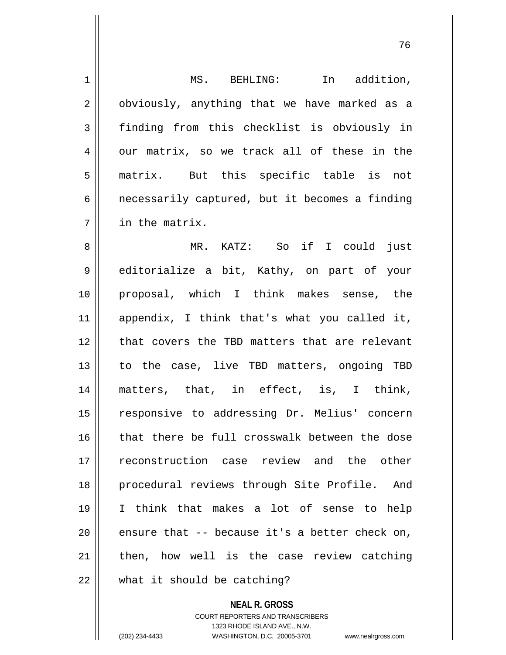| $\mathbf 1$    | MS. BEHLING:<br>In addition,                      |
|----------------|---------------------------------------------------|
| $\overline{2}$ | obviously, anything that we have marked as a      |
| 3              | finding from this checklist is obviously in       |
| 4              | our matrix, so we track all of these in the       |
| 5              | matrix. But this specific table is not            |
| 6              | necessarily captured, but it becomes a finding    |
| 7              | in the matrix.                                    |
| 8              | MR. KATZ: So if I could just                      |
| 9              | editorialize a bit, Kathy, on part of your        |
| 10             | proposal, which I think makes sense, the          |
| 11             | appendix, I think that's what you called it,      |
| 12             | that covers the TBD matters that are relevant     |
| 13             | to the case, live TBD matters, ongoing TBD        |
| 14             | matters, that, in effect, is, I think,            |
| 15             | responsive to addressing Dr. Melius' concern      |
| 16             | that there be full crosswalk between the dose     |
| 17             | reconstruction case review and the other          |
| 18             | procedural reviews through Site Profile. And      |
| 19             | I think that makes a lot of sense to help         |
| 20             | ensure that $-$ - because it's a better check on, |
| 21             | then, how well is the case review catching        |
| 22             | what it should be catching?                       |

**NEAL R. GROSS** COURT REPORTERS AND TRANSCRIBERS 1323 RHODE ISLAND AVE., N.W. (202) 234-4433 WASHINGTON, D.C. 20005-3701 www.nealrgross.com

 $\mathsf{II}$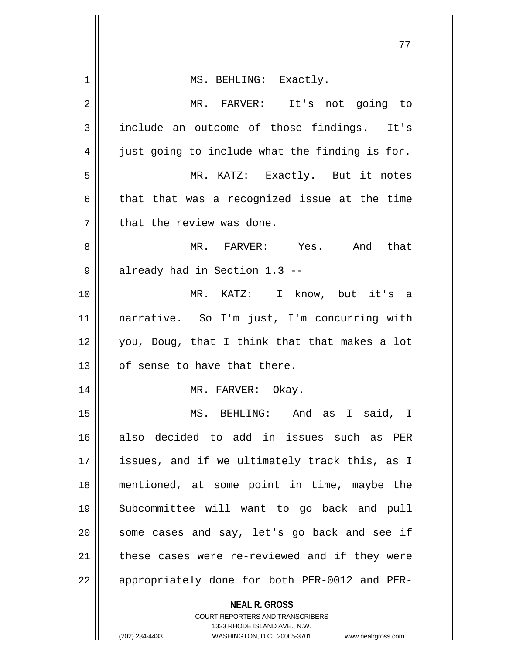|    | 77                                                                  |
|----|---------------------------------------------------------------------|
| 1  | MS. BEHLING: Exactly.                                               |
| 2  | MR. FARVER: It's not going to                                       |
| 3  | include an outcome of those findings. It's                          |
| 4  | just going to include what the finding is for.                      |
| 5  | MR. KATZ: Exactly. But it notes                                     |
| 6  | that that was a recognized issue at the time                        |
| 7  | that the review was done.                                           |
| 8  | MR. FARVER: Yes.<br>And that                                        |
| 9  | already had in Section 1.3 --                                       |
| 10 | MR. KATZ: I know, but it's a                                        |
| 11 | narrative. So I'm just, I'm concurring with                         |
| 12 | you, Doug, that I think that that makes a lot                       |
| 13 | of sense to have that there.                                        |
| 14 | MR. FARVER: Okay.                                                   |
| 15 | MS. BEHLING: And as I said, I                                       |
| 16 | also decided to add in issues such as PER                           |
| 17 | issues, and if we ultimately track this, as I                       |
| 18 | mentioned, at some point in time, maybe the                         |
| 19 | Subcommittee will want to go back and pull                          |
| 20 | some cases and say, let's go back and see if                        |
| 21 | these cases were re-reviewed and if they were                       |
| 22 | appropriately done for both PER-0012 and PER-                       |
|    | <b>NEAL R. GROSS</b><br><b>COURT REPORTERS AND TRANSCRIBERS</b>     |
|    | 1323 RHODE ISLAND AVE., N.W.                                        |
|    | (202) 234-4433<br>WASHINGTON, D.C. 20005-3701<br>www.nealrgross.com |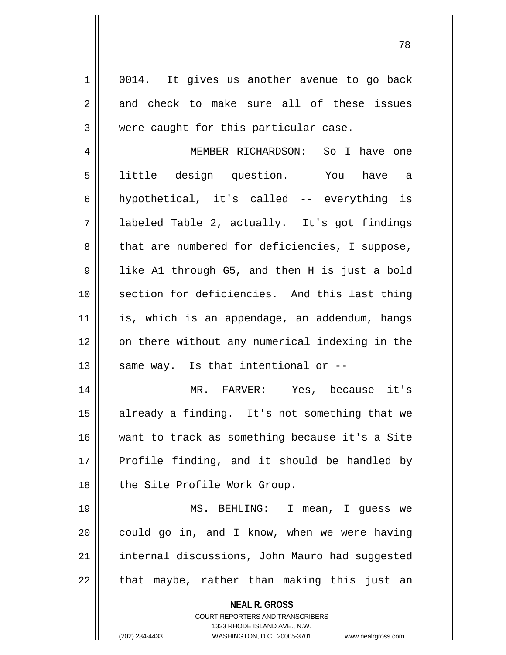**NEAL R. GROSS** COURT REPORTERS AND TRANSCRIBERS 1323 RHODE ISLAND AVE., N.W. 1 0014. It gives us another avenue to go back  $2 \parallel$  and check to make sure all of these issues  $3$  | were caught for this particular case. 4 MEMBER RICHARDSON: So I have one 5 || little design question. You have a 6  $\parallel$  hypothetical, it's called -- everything is 7 labeled Table 2, actually. It's got findings  $8 \parallel$  that are numbered for deficiencies, I suppose, 9 || like A1 through G5, and then H is just a bold 10 || section for deficiencies. And this last thing 11 || is, which is an appendage, an addendum, hangs 12 on there without any numerical indexing in the 13  $\parallel$  same way. Is that intentional or --14 MR. FARVER: Yes, because it's 15 || already a finding. It's not something that we 16 want to track as something because it's a Site  $17$  Profile finding, and it should be handled by 18 || the Site Profile Work Group. 19 MS. BEHLING: I mean, I guess we  $20$  | could go in, and I know, when we were having 21 internal discussions, John Mauro had suggested  $22$  || that maybe, rather than making this just an

(202) 234-4433 WASHINGTON, D.C. 20005-3701 www.nealrgross.com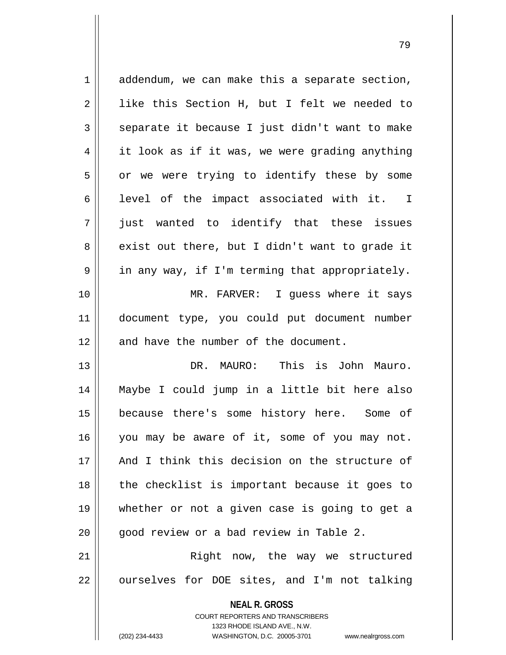**NEAL R. GROSS** COURT REPORTERS AND TRANSCRIBERS 1323 RHODE ISLAND AVE., N.W.  $1 \parallel$  addendum, we can make this a separate section, 2 | like this Section H, but I felt we needed to  $3 \parallel$  separate it because I just didn't want to make 4 | it look as if it was, we were grading anything  $5 \parallel$  or we were trying to identify these by some  $6$  || level of the impact associated with it. I 7 just wanted to identify that these issues  $8 \parallel$  exist out there, but I didn't want to grade it  $9 \parallel$  in any way, if I'm terming that appropriately. 10 MR. FARVER: I guess where it says 11 document type, you could put document number 12 || and have the number of the document. 13 DR. MAURO: This is John Mauro. 14 Maybe I could jump in a little bit here also 15 because there's some history here. Some of 16 || you may be aware of it, some of you may not. 17 And I think this decision on the structure of  $18$  || the checklist is important because it goes to 19 whether or not a given case is going to get a  $20$  |  $\degree$  good review or a bad review in Table 2. 21 || Right now, the way we structured  $22$  | ourselves for DOE sites, and I'm not talking

(202) 234-4433 WASHINGTON, D.C. 20005-3701 www.nealrgross.com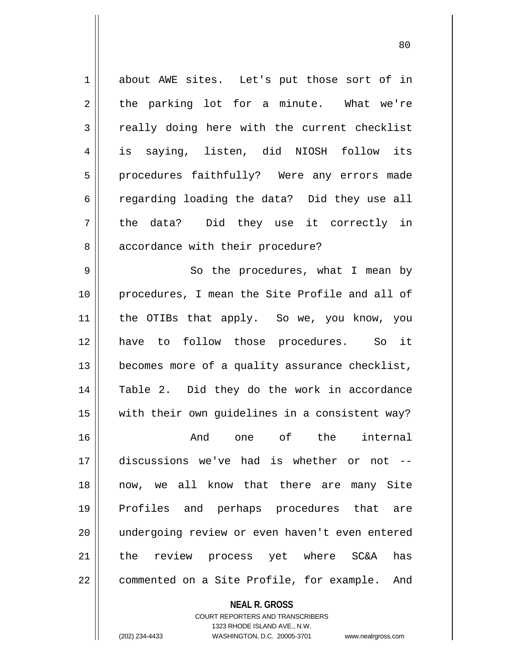1 about AWE sites. Let's put those sort of in  $2 \parallel$  the parking lot for a minute. What we're 3 || really doing here with the current checklist 4 is saying, listen, did NIOSH follow its 5 || procedures faithfully? Were any errors made 6 cegarding loading the data? Did they use all 7 || the data? Did they use it correctly in 8 | accordance with their procedure? 9 || So the procedures, what I mean by 10 procedures, I mean the Site Profile and all of 11 the OTIBs that apply. So we, you know, you 12 have to follow those procedures. So it 13 | becomes more of a quality assurance checklist, 14 Table 2. Did they do the work in accordance 15 with their own guidelines in a consistent way? 16 And one of the internal 17 discussions we've had is whether or not -- 18 now, we all know that there are many Site 19 Profiles and perhaps procedures that are 20 undergoing review or even haven't even entered 21 the review process yet where SC&A has 22 | commented on a Site Profile, for example. And

**NEAL R. GROSS**

COURT REPORTERS AND TRANSCRIBERS 1323 RHODE ISLAND AVE., N.W. (202) 234-4433 WASHINGTON, D.C. 20005-3701 www.nealrgross.com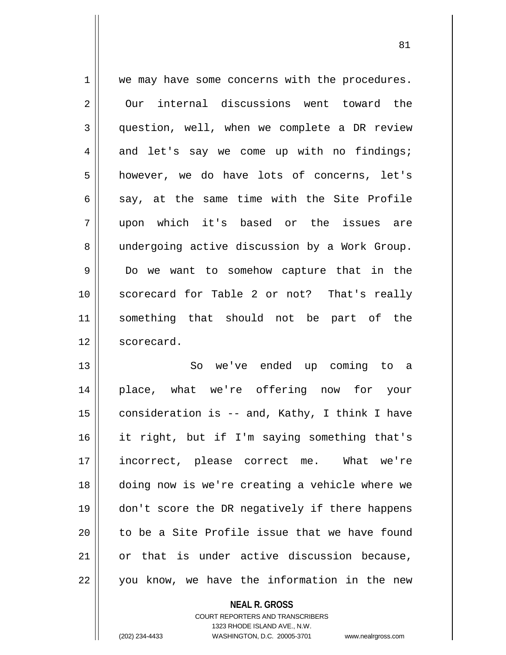1 || we may have some concerns with the procedures. 2 Our internal discussions went toward the 3 question, well, when we complete a DR review  $4 \parallel$  and let's say we come up with no findings; 5 however, we do have lots of concerns, let's 6  $\parallel$  say, at the same time with the Site Profile 7 upon which it's based or the issues are 8 | undergoing active discussion by a Work Group. 9 Do we want to somehow capture that in the 10 scorecard for Table 2 or not? That's really 11 something that should not be part of the 12 | scorecard. 13 So we've ended up coming to a 14 place, what we're offering now for your

 $\parallel$  consideration is -- and, Kathy, I think I have it right, but if I'm saying something that's incorrect, please correct me. What we're doing now is we're creating a vehicle where we don't score the DR negatively if there happens  $\parallel$  to be a Site Profile issue that we have found or that is under active discussion because,  $22 \parallel$  you know, we have the information in the new

> **NEAL R. GROSS** COURT REPORTERS AND TRANSCRIBERS 1323 RHODE ISLAND AVE., N.W. (202) 234-4433 WASHINGTON, D.C. 20005-3701 www.nealrgross.com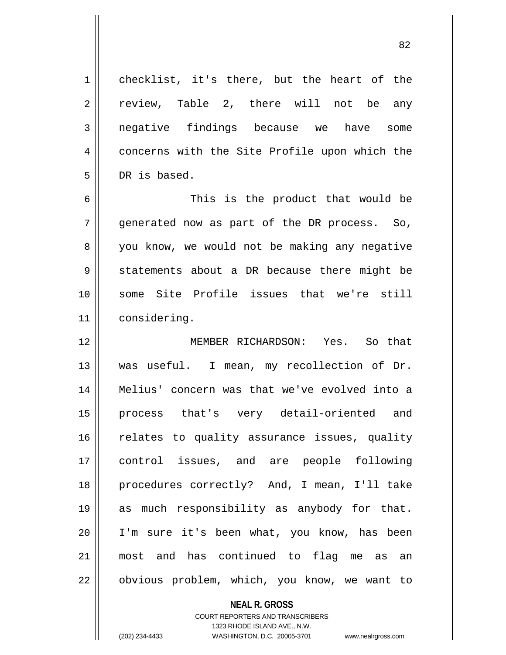| $\mathbf 1$ | checklist, it's there, but the heart of the   |
|-------------|-----------------------------------------------|
| 2           | review, Table 2, there will not be any        |
| 3           | negative findings because we have<br>some     |
| 4           | concerns with the Site Profile upon which the |
| 5           | DR is based.                                  |
| 6           | This is the product that would be             |
| 7           | generated now as part of the DR process. So,  |
| 8           | you know, we would not be making any negative |
| 9           | statements about a DR because there might be  |
| 10          | some Site Profile issues that we're still     |
| 11          | considering.                                  |
| 12          | MEMBER RICHARDSON: Yes. So that               |
| 13          | was useful. I mean, my recollection of Dr.    |
| 14          | Melius' concern was that we've evolved into a |
| 15          | that's very detail-oriented and<br>process    |
| 16          | relates to quality assurance issues, quality  |
| 17          | control issues, and are people following      |
| 18          | procedures correctly? And, I mean, I'll take  |
| 19          | as much responsibility as anybody for that.   |
| 20          | I'm sure it's been what, you know, has been   |
| 21          | most and has continued to flag me as an       |
| 22          | obvious problem, which, you know, we want to  |

## **NEAL R. GROSS**

COURT REPORTERS AND TRANSCRIBERS 1323 RHODE ISLAND AVE., N.W. (202) 234-4433 WASHINGTON, D.C. 20005-3701 www.nealrgross.com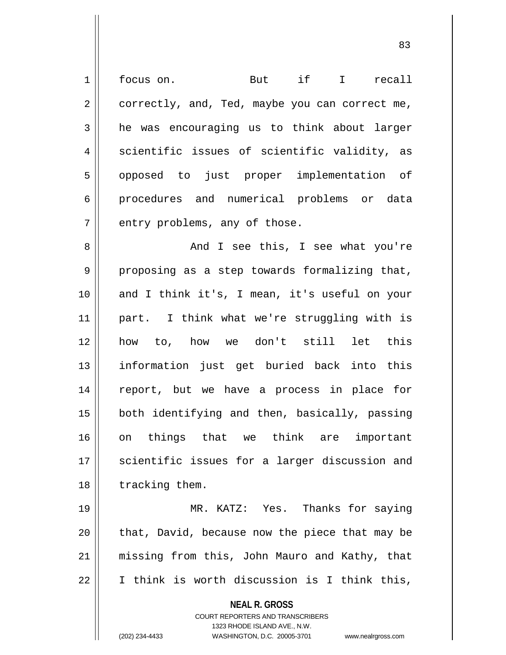**NEAL R. GROSS** COURT REPORTERS AND TRANSCRIBERS 1323 RHODE ISLAND AVE., N.W. 1 | focus on. But if I recall  $2 \parallel$  correctly, and, Ted, maybe you can correct me,  $3 \parallel$  he was encouraging us to think about larger  $4 \parallel$  scientific issues of scientific validity, as 5 || opposed to just proper implementation of 6 procedures and numerical problems or data  $7$  || entry problems, any of those. 8 And I see this, I see what you're  $9 \parallel$  proposing as a step towards formalizing that, 10 || and I think it's, I mean, it's useful on your 11 part. I think what we're struggling with is 12 how to, how we don't still let this 13 information just get buried back into this 14 report, but we have a process in place for 15 || both identifying and then, basically, passing 16 on things that we think are important 17 || scientific issues for a larger discussion and 18 | tracking them. 19 MR. KATZ: Yes. Thanks for saying  $20$  | that, David, because now the piece that may be 21 missing from this, John Mauro and Kathy, that 22 I think is worth discussion is I think this,

(202) 234-4433 WASHINGTON, D.C. 20005-3701 www.nealrgross.com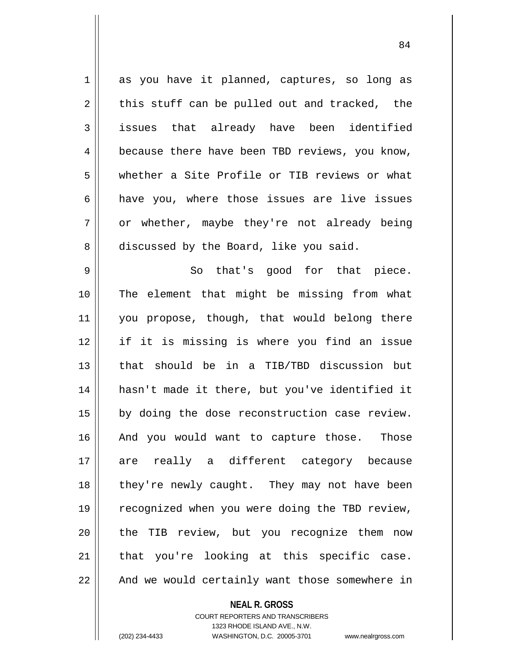1 || as you have it planned, captures, so long as  $2 \parallel$  this stuff can be pulled out and tracked, the 3 issues that already have been identified 4 | because there have been TBD reviews, you know, 5 whether a Site Profile or TIB reviews or what  $6 \parallel$  have you, where those issues are live issues  $7 \parallel$  or whether, maybe they're not already being 8 discussed by the Board, like you said. 9 || So that's good for that piece. 10 || The element that might be missing from what 11 || you propose, though, that would belong there 12 if it is missing is where you find an issue 13 that should be in a TIB/TBD discussion but 14 hasn't made it there, but you've identified it 15 || by doing the dose reconstruction case review. 16 || And you would want to capture those. Those 17 are really a different category because 18 || they're newly caught. They may not have been 19 || recognized when you were doing the TBD review, 20 || the TIB review, but you recognize them now  $21$  that you're looking at this specific case. 22 || And we would certainly want those somewhere in

**NEAL R. GROSS**

COURT REPORTERS AND TRANSCRIBERS 1323 RHODE ISLAND AVE., N.W. (202) 234-4433 WASHINGTON, D.C. 20005-3701 www.nealrgross.com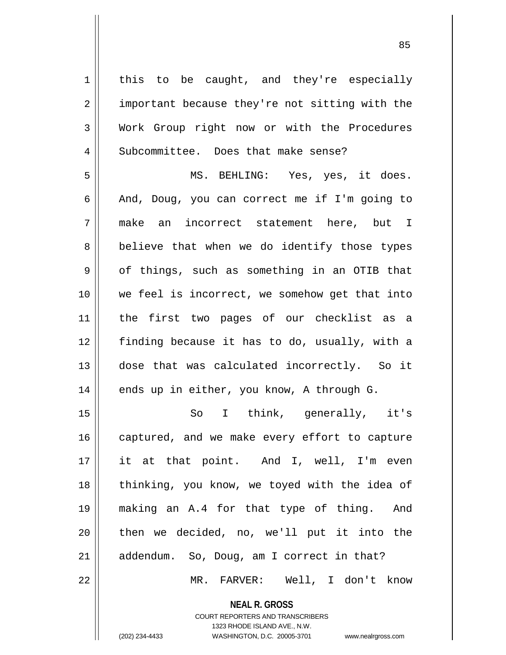$1 \parallel$  this to be caught, and they're especially 2 || important because they're not sitting with the 3 Work Group right now or with the Procedures 4 | Subcommittee. Does that make sense? 5 MS. BEHLING: Yes, yes, it does. 6  $\parallel$  And, Doug, you can correct me if I'm going to 7 make an incorrect statement here, but I 8 || believe that when we do identify those types  $9 \parallel$  of things, such as something in an OTIB that 10 || we feel is incorrect, we somehow get that into 11 the first two pages of our checklist as a 12 finding because it has to do, usually, with a 13 dose that was calculated incorrectly. So it 14 || ends up in either, you know, A through G. 15 || So I think, generally, it's 16 || captured, and we make every effort to capture 17 it at that point. And I, well, I'm even 18 || thinking, you know, we toyed with the idea of 19 making an A.4 for that type of thing. And 20 || then we decided, no, we'll put it into the 21 || addendum. So, Doug, am I correct in that? 22 MR. FARVER: Well, I don't know

**NEAL R. GROSS**

COURT REPORTERS AND TRANSCRIBERS 1323 RHODE ISLAND AVE., N.W. (202) 234-4433 WASHINGTON, D.C. 20005-3701 www.nealrgross.com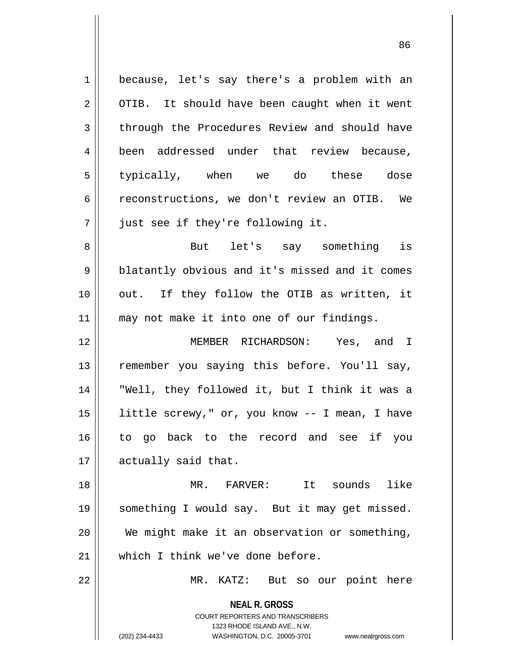| 1  | because, let's say there's a problem with an                     |
|----|------------------------------------------------------------------|
| 2  | OTIB. It should have been caught when it went                    |
| 3  | through the Procedures Review and should have                    |
| 4  | been addressed under that review because,                        |
| 5  | typically, when we do these dose                                 |
| 6  | reconstructions, we don't review an OTIB. We                     |
| 7  | just see if they're following it.                                |
| 8  | But let's say something is                                       |
| 9  | blatantly obvious and it's missed and it comes                   |
| 10 | out. If they follow the OTIB as written, it                      |
| 11 | may not make it into one of our findings.                        |
| 12 | MEMBER RICHARDSON: Yes, and I                                    |
| 13 | remember you saying this before. You'll say,                     |
| 14 | "Well, they followed it, but I think it was a                    |
| 15 | little screwy," or, you know -- I mean, I have                   |
| 16 | to go back to the record and see if you                          |
| 17 | actually said that.                                              |
| 18 | like<br>MR. FARVER:<br>It sounds                                 |
| 19 | something I would say. But it may get missed.                    |
| 20 | We might make it an observation or something,                    |
| 21 | which I think we've done before.                                 |
| 22 | MR. KATZ: But so our point here                                  |
|    | <b>NEAL R. GROSS</b>                                             |
|    | <b>COURT REPORTERS AND TRANSCRIBERS</b>                          |
|    | 1323 RHODE ISLAND AVE., N.W.                                     |
|    | (202) 234-4433<br>WASHINGTON, D.C. 20005-3701 www.nealrgross.com |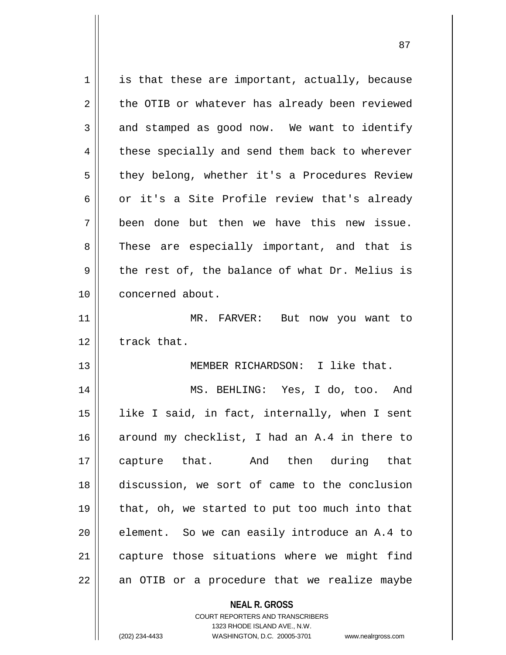| $\mathbf 1$ | is that these are important, actually, because |
|-------------|------------------------------------------------|
| 2           | the OTIB or whatever has already been reviewed |
| 3           | and stamped as good now. We want to identify   |
| 4           | these specially and send them back to wherever |
| 5           | they belong, whether it's a Procedures Review  |
| 6           | or it's a Site Profile review that's already   |
| 7           | been done but then we have this new issue.     |
| 8           | These are especially important, and that is    |
| 9           | the rest of, the balance of what Dr. Melius is |
| 10          | concerned about.                               |
| 11          | MR. FARVER: But now you want to                |
| 12          | track that.                                    |
| 13          | MEMBER RICHARDSON: I like that.                |
| 14          | MS. BEHLING: Yes, I do, too. And               |
| 15          | like I said, in fact, internally, when I sent  |
| 16          | around my checklist, I had an A.4 in there to  |
| 17          | capture that. And then during that             |
| 18          | discussion, we sort of came to the conclusion  |
| 19          | that, oh, we started to put too much into that |
| 20          | element. So we can easily introduce an A.4 to  |
| 21          | capture those situations where we might find   |
| 22          | an OTIB or a procedure that we realize maybe   |
|             |                                                |

**NEAL R. GROSS** COURT REPORTERS AND TRANSCRIBERS 1323 RHODE ISLAND AVE., N.W.

(202) 234-4433 WASHINGTON, D.C. 20005-3701 www.nealrgross.com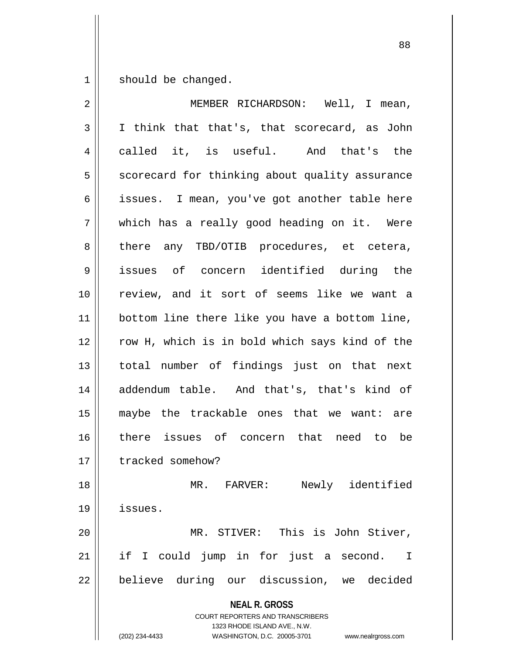$1 \parallel$  should be changed.

| $\overline{2}$ | MEMBER RICHARDSON: Well, I mean,                                                                                                                                       |
|----------------|------------------------------------------------------------------------------------------------------------------------------------------------------------------------|
| $\mathfrak{Z}$ | I think that that's, that scorecard, as John                                                                                                                           |
| 4              | called it, is useful. And that's the                                                                                                                                   |
| 5              | scorecard for thinking about quality assurance                                                                                                                         |
| 6              | issues. I mean, you've got another table here                                                                                                                          |
| 7              | which has a really good heading on it. Were                                                                                                                            |
| 8              | there any TBD/OTIB procedures, et cetera,                                                                                                                              |
| 9              | issues of concern identified during the                                                                                                                                |
| 10             | review, and it sort of seems like we want a                                                                                                                            |
| 11             | bottom line there like you have a bottom line,                                                                                                                         |
| 12             | row H, which is in bold which says kind of the                                                                                                                         |
| 13             | total number of findings just on that next                                                                                                                             |
| 14             | addendum table. And that's, that's kind of                                                                                                                             |
| 15             | maybe the trackable ones that we want: are                                                                                                                             |
| 16             | there issues of concern that need to be                                                                                                                                |
| 17             | tracked somehow?                                                                                                                                                       |
| 18             | Newly identified<br>MR. FARVER:                                                                                                                                        |
| 19             | issues.                                                                                                                                                                |
| 20             | MR. STIVER: This is John Stiver,                                                                                                                                       |
| 21             | if I could jump in for just a second.<br>I                                                                                                                             |
| 22             | believe during our discussion, we decided                                                                                                                              |
|                | <b>NEAL R. GROSS</b><br><b>COURT REPORTERS AND TRANSCRIBERS</b><br>1323 RHODE ISLAND AVE., N.W.<br>(202) 234-4433<br>WASHINGTON, D.C. 20005-3701<br>www.nealrgross.com |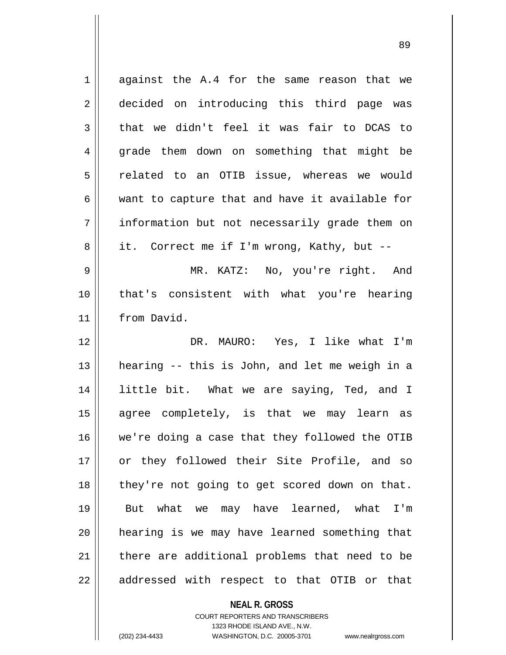| $\mathbf 1$ | against the A.4 for the same reason that we    |
|-------------|------------------------------------------------|
| 2           | decided on introducing this third page was     |
| 3           | that we didn't feel it was fair to DCAS to     |
| 4           | grade them down on something that might be     |
| 5           | related to an OTIB issue, whereas we would     |
| 6           | want to capture that and have it available for |
| 7           | information but not necessarily grade them on  |
| 8           | it. Correct me if I'm wrong, Kathy, but --     |
| 9           | MR. KATZ: No, you're right. And                |
| 10          | that's consistent with what you're hearing     |
| 11          | from David.                                    |
|             | DR. MAURO: Yes, I like what I'm                |
| 12          |                                                |
| 13          | hearing -- this is John, and let me weigh in a |
| 14          | little bit. What we are saying, Ted, and I     |
| 15          | agree completely, is that we may learn as      |
| 16          | we're doing a case that they followed the OTIB |
| 17          | or they followed their Site Profile, and so    |
| 18          | they're not going to get scored down on that.  |
| 19          | But what we may have learned, what I'm         |
| 20          | hearing is we may have learned something that  |
| 21          | there are additional problems that need to be  |

**NEAL R. GROSS** COURT REPORTERS AND TRANSCRIBERS

1323 RHODE ISLAND AVE., N.W.

(202) 234-4433 WASHINGTON, D.C. 20005-3701 www.nealrgross.com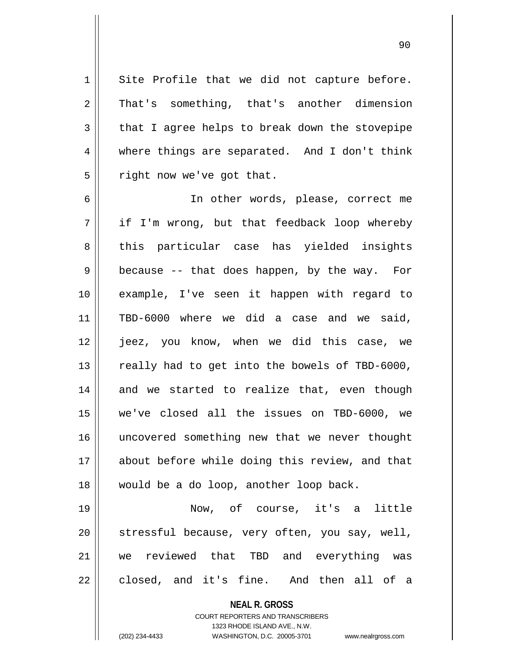$1 \parallel$  Site Profile that we did not capture before. 2 That's something, that's another dimension  $3 \parallel$  that I agree helps to break down the stovepipe 4 where things are separated. And I don't think  $5 \parallel$  right now we've got that.

 In other words, please, correct me if I'm wrong, but that feedback loop whereby 8 this particular case has yielded insights  $9 \parallel$  because -- that does happen, by the way. For example, I've seen it happen with regard to 11 || TBD-6000 where we did a case and we said, jeez, you know, when we did this case, we  $\parallel$  really had to get into the bowels of TBD-6000, and we started to realize that, even though we've closed all the issues on TBD-6000, we uncovered something new that we never thought about before while doing this review, and that 18 || would be a do loop, another loop back.

19 Now, of course, it's a little 20 || stressful because, very often, you say, well, 21 we reviewed that TBD and everything was  $22 \parallel$  closed, and it's fine. And then all of a

**NEAL R. GROSS**

COURT REPORTERS AND TRANSCRIBERS 1323 RHODE ISLAND AVE., N.W. (202) 234-4433 WASHINGTON, D.C. 20005-3701 www.nealrgross.com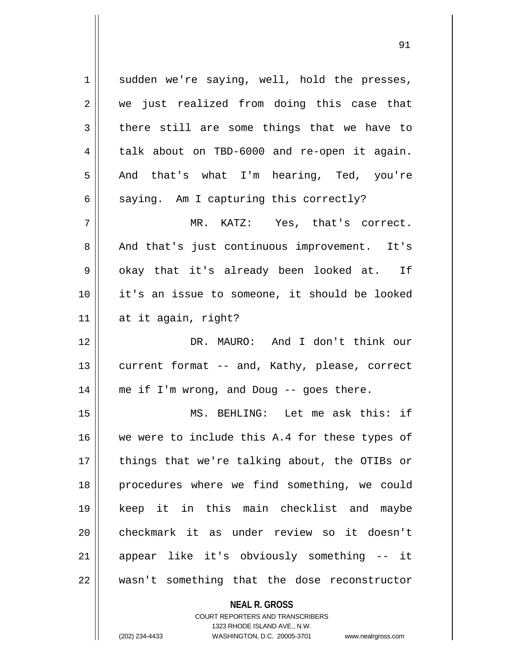$1 \parallel$  sudden we're saying, well, hold the presses, 2 we just realized from doing this case that  $3 \parallel$  there still are some things that we have to 4 | talk about on TBD-6000 and re-open it again. 5 And that's what I'm hearing, Ted, you're  $6 \parallel$  saying. Am I capturing this correctly? 7 MR. KATZ: Yes, that's correct. 8 || And that's just continuous improvement. It's  $9 \parallel$  okay that it's already been looked at. If 10 it's an issue to someone, it should be looked  $11$  at it again, right? 12 DR. MAURO: And I don't think our 13 || current format -- and, Kathy, please, correct 14 || me if I'm wrong, and Doug -- goes there. 15 MS. BEHLING: Let me ask this: if 16 || we were to include this A.4 for these types of 17 || things that we're talking about, the OTIBs or 18 || procedures where we find something, we could 19 keep it in this main checklist and maybe 20 checkmark it as under review so it doesn't 21 appear like it's obviously something -- it  $22$   $\parallel$  wasn't something that the dose reconstructor

**NEAL R. GROSS**

COURT REPORTERS AND TRANSCRIBERS 1323 RHODE ISLAND AVE., N.W. (202) 234-4433 WASHINGTON, D.C. 20005-3701 www.nealrgross.com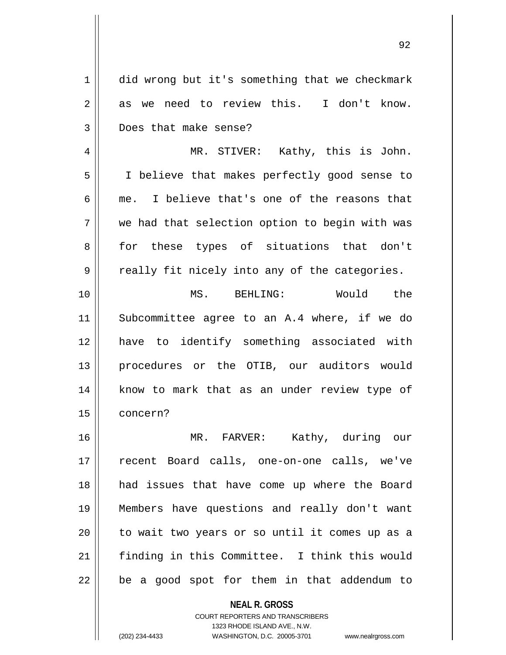1 did wrong but it's something that we checkmark  $2 \parallel$  as we need to review this. I don't know. 3 Does that make sense?

4 || MR. STIVER: Kathy, this is John. 5 I believe that makes perfectly good sense to 6  $\parallel$  me. I believe that's one of the reasons that 7 we had that selection option to begin with was 8 for these types of situations that don't  $9 \parallel$  really fit nicely into any of the categories.

10 MS. BEHLING: Would the 11 Subcommittee agree to an A.4 where, if we do 12 have to identify something associated with 13 || procedures or the OTIB, our auditors would 14 || know to mark that as an under review type of 15 concern?

 MR. FARVER: Kathy, during our recent Board calls, one-on-one calls, we've 18 || had issues that have come up where the Board Members have questions and really don't want 20 || to wait two years or so until it comes up as a finding in this Committee. I think this would || be a good spot for them in that addendum to

> **NEAL R. GROSS** COURT REPORTERS AND TRANSCRIBERS 1323 RHODE ISLAND AVE., N.W. (202) 234-4433 WASHINGTON, D.C. 20005-3701 www.nealrgross.com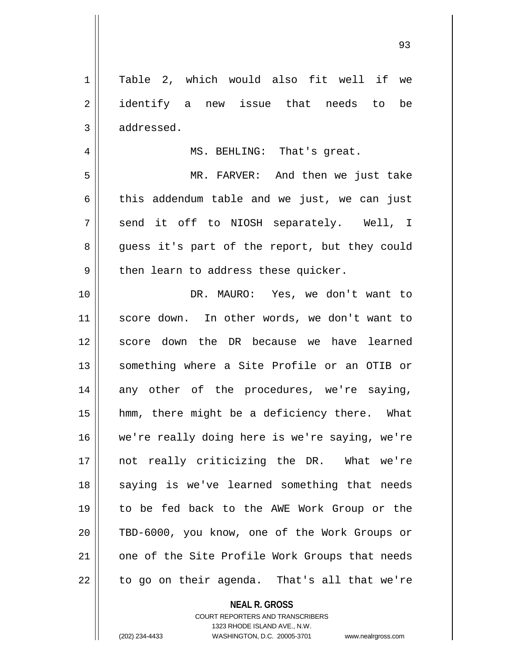1 | Table 2, which would also fit well if we 2 || identify a new issue that needs to be 3 | addressed. 4 || MS. BEHLING: That's great. 5 MR. FARVER: And then we just take  $6 \parallel$  this addendum table and we just, we can just  $7 \parallel$  send it off to NIOSH separately. Well, I 8 || quess it's part of the report, but they could  $9 \parallel$  then learn to address these quicker. 10 DR. MAURO: Yes, we don't want to 11 || score down. In other words, we don't want to 12 || score down the DR because we have learned 13 || something where a Site Profile or an OTIB or 14 any other of the procedures, we're saying, 15 hmm, there might be a deficiency there. What 16 we're really doing here is we're saying, we're 17 not really criticizing the DR. What we're 18 || saying is we've learned something that needs 19 to be fed back to the AWE Work Group or the 20 TBD-6000, you know, one of the Work Groups or 21 || one of the Site Profile Work Groups that needs  $22 \parallel$  to go on their agenda. That's all that we're

**NEAL R. GROSS**

COURT REPORTERS AND TRANSCRIBERS 1323 RHODE ISLAND AVE., N.W. (202) 234-4433 WASHINGTON, D.C. 20005-3701 www.nealrgross.com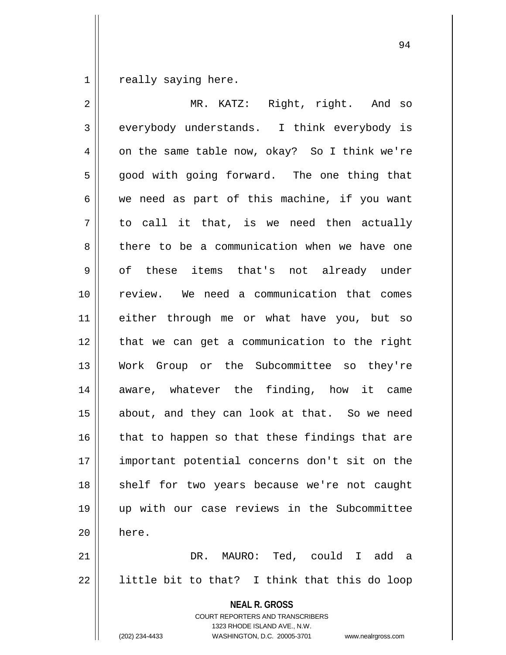really saying here.

| $\overline{2}$ | MR. KATZ: Right, right. And so                                                                                                                                         |
|----------------|------------------------------------------------------------------------------------------------------------------------------------------------------------------------|
| $\mathfrak{Z}$ | everybody understands. I think everybody is                                                                                                                            |
| 4              | on the same table now, okay? So I think we're                                                                                                                          |
| 5              | good with going forward. The one thing that                                                                                                                            |
| $\epsilon$     | we need as part of this machine, if you want                                                                                                                           |
| 7              | to call it that, is we need then actually                                                                                                                              |
| 8              | there to be a communication when we have one                                                                                                                           |
| 9              | of these items that's not already under                                                                                                                                |
| 10             | review. We need a communication that comes                                                                                                                             |
| 11             | either through me or what have you, but so                                                                                                                             |
| 12             | that we can get a communication to the right                                                                                                                           |
| 13             | Work Group or the Subcommittee so they're                                                                                                                              |
| 14             | aware, whatever the finding, how it came                                                                                                                               |
| 15             | about, and they can look at that. So we need                                                                                                                           |
| 16             | that to happen so that these findings that are                                                                                                                         |
| 17             | important potential concerns don't sit on the                                                                                                                          |
| 18             | shelf for two years because we're not caught                                                                                                                           |
| 19             | up with our case reviews in the Subcommittee                                                                                                                           |
| 20             | here.                                                                                                                                                                  |
| 21             | DR. MAURO: Ted, could I add a                                                                                                                                          |
| 22             | little bit to that? I think that this do loop                                                                                                                          |
|                | <b>NEAL R. GROSS</b><br><b>COURT REPORTERS AND TRANSCRIBERS</b><br>1323 RHODE ISLAND AVE., N.W.<br>(202) 234-4433<br>WASHINGTON, D.C. 20005-3701<br>www.nealrgross.com |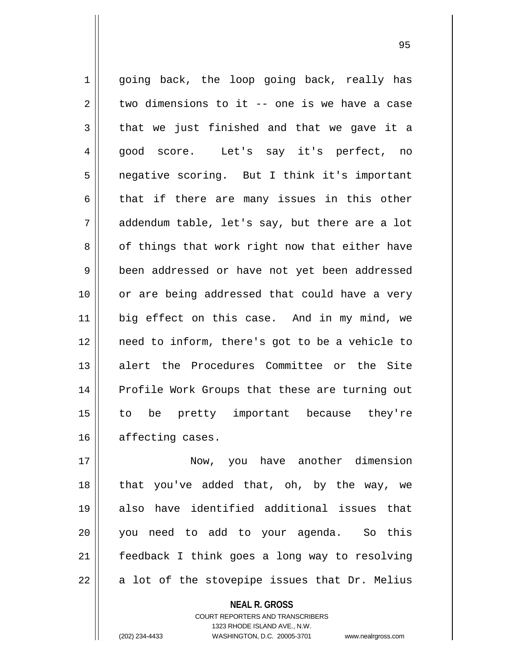1 || going back, the loop going back, really has  $2 \parallel$  two dimensions to it -- one is we have a case  $3 \parallel$  that we just finished and that we gave it a 4 good score. Let's say it's perfect, no 5 | negative scoring. But I think it's important  $6 \parallel$  that if there are many issues in this other  $7 \parallel$  addendum table, let's say, but there are a lot 8 || of things that work right now that either have 9 | been addressed or have not yet been addressed 10 or are being addressed that could have a very 11 big effect on this case. And in my mind, we 12 need to inform, there's got to be a vehicle to 13 alert the Procedures Committee or the Site 14 || Profile Work Groups that these are turning out 15 to be pretty important because they're 16 | affecting cases.

 Now, you have another dimension 18 || that you've added that, oh, by the way, we also have identified additional issues that you need to add to your agenda. So this feedback I think goes a long way to resolving  $22 \parallel$  a lot of the stovepipe issues that Dr. Melius

> **NEAL R. GROSS** COURT REPORTERS AND TRANSCRIBERS 1323 RHODE ISLAND AVE., N.W. (202) 234-4433 WASHINGTON, D.C. 20005-3701 www.nealrgross.com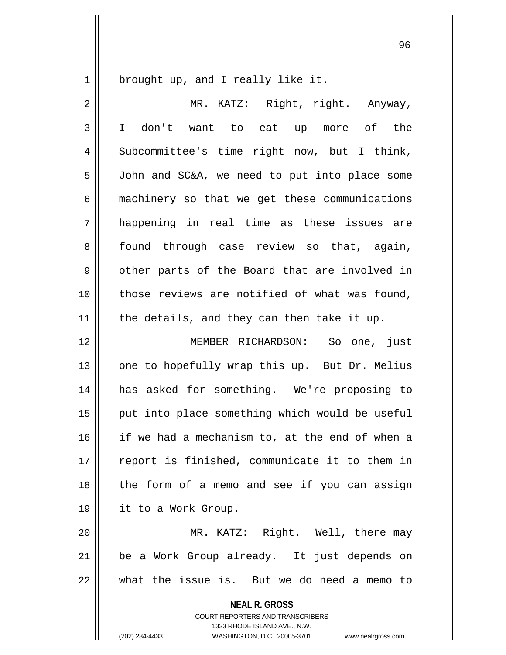$1 \parallel$  brought up, and I really like it.

| $\overline{2}$ | MR. KATZ: Right, right. Anyway,                                                                                                                                 |
|----------------|-----------------------------------------------------------------------------------------------------------------------------------------------------------------|
| 3              | I don't want to eat up more of the                                                                                                                              |
| 4              | Subcommittee's time right now, but I think,                                                                                                                     |
| 5              | John and SC&A, we need to put into place some                                                                                                                   |
| 6              | machinery so that we get these communications                                                                                                                   |
| 7              | happening in real time as these issues are                                                                                                                      |
| 8              | found through case review so that, again,                                                                                                                       |
| 9              | other parts of the Board that are involved in                                                                                                                   |
| 10             | those reviews are notified of what was found,                                                                                                                   |
| 11             | the details, and they can then take it up.                                                                                                                      |
| 12             | MEMBER RICHARDSON: So one, just                                                                                                                                 |
| 13             | one to hopefully wrap this up. But Dr. Melius                                                                                                                   |
| 14             | has asked for something. We're proposing to                                                                                                                     |
| 15             | put into place something which would be useful                                                                                                                  |
| 16             | if we had a mechanism to, at the end of when a                                                                                                                  |
| 17             | report is finished, communicate it to them in                                                                                                                   |
| 18             | the form of a memo and see if you can assign                                                                                                                    |
| 19             | it to a Work Group.                                                                                                                                             |
| 20             | MR. KATZ: Right. Well, there may                                                                                                                                |
| 21             | be a Work Group already. It just depends on                                                                                                                     |
| 22             | what the issue is. But we do need a memo to                                                                                                                     |
|                | <b>NEAL R. GROSS</b><br>COURT REPORTERS AND TRANSCRIBERS<br>1323 RHODE ISLAND AVE., N.W.<br>(202) 234-4433<br>WASHINGTON, D.C. 20005-3701<br>www.nealrgross.com |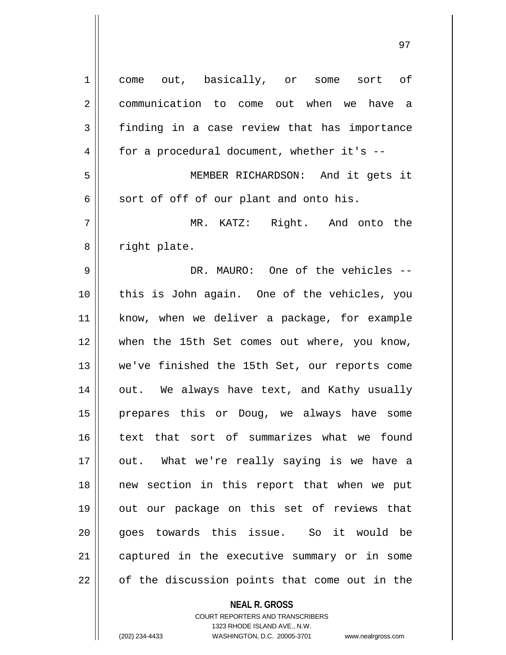| 1  | come out, basically, or some sort of                                |
|----|---------------------------------------------------------------------|
| 2  | communication to come out when we have a                            |
| 3  | finding in a case review that has importance                        |
| 4  | for a procedural document, whether it's --                          |
| 5  | MEMBER RICHARDSON: And it gets it                                   |
| 6  | sort of off of our plant and onto his.                              |
| 7  | MR. KATZ: Right. And onto the                                       |
| 8  | right plate.                                                        |
| 9  | DR. MAURO: One of the vehicles --                                   |
| 10 | this is John again. One of the vehicles, you                        |
| 11 | know, when we deliver a package, for example                        |
| 12 | when the 15th Set comes out where, you know,                        |
| 13 | we've finished the 15th Set, our reports come                       |
| 14 | out. We always have text, and Kathy usually                         |
| 15 | prepares this or Doug, we always have some                          |
| 16 | text that sort of summarizes what we found                          |
| 17 | out. What we're really saying is we have a                          |
| 18 | new section in this report that when we put                         |
| 19 | out our package on this set of reviews that                         |
| 20 | goes towards this issue. So it would be                             |
| 21 | captured in the executive summary or in some                        |
| 22 | of the discussion points that come out in the                       |
|    | <b>NEAL R. GROSS</b>                                                |
|    | <b>COURT REPORTERS AND TRANSCRIBERS</b>                             |
|    | 1323 RHODE ISLAND AVE., N.W.                                        |
|    | (202) 234-4433<br>WASHINGTON, D.C. 20005-3701<br>www.nealrgross.com |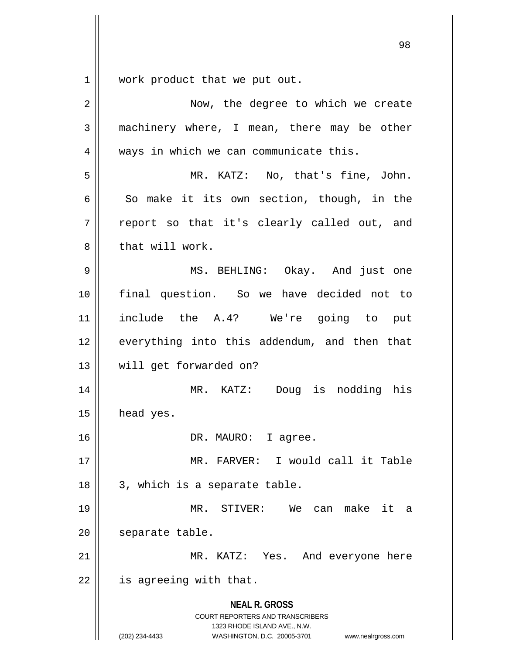$1 \parallel$  work product that we put out.

| $\overline{2}$ | Now, the degree to which we create                                                                                                                                     |
|----------------|------------------------------------------------------------------------------------------------------------------------------------------------------------------------|
| 3              | machinery where, I mean, there may be other                                                                                                                            |
| 4              | ways in which we can communicate this.                                                                                                                                 |
| 5              | MR. KATZ: No, that's fine, John.                                                                                                                                       |
| 6              | So make it its own section, though, in the                                                                                                                             |
| 7              | report so that it's clearly called out, and                                                                                                                            |
| 8              | that will work.                                                                                                                                                        |
| 9              | MS. BEHLING: Okay. And just one                                                                                                                                        |
| 10             | final question. So we have decided not to                                                                                                                              |
| 11             | include the A.4? We're going to put                                                                                                                                    |
| 12             | everything into this addendum, and then that                                                                                                                           |
| 13             | will get forwarded on?                                                                                                                                                 |
| 14             | MR. KATZ: Doug is nodding his                                                                                                                                          |
| 15             | head yes.                                                                                                                                                              |
| 16             | DR. MAURO: I agree.                                                                                                                                                    |
| 17             | MR. FARVER: I would call it Table                                                                                                                                      |
| 18             | 3, which is a separate table.                                                                                                                                          |
| 19             | STIVER:<br>We can make it a<br>MR.                                                                                                                                     |
| 20             | separate table.                                                                                                                                                        |
| 21             | MR. KATZ: Yes. And everyone here                                                                                                                                       |
| 22             | is agreeing with that.                                                                                                                                                 |
|                | <b>NEAL R. GROSS</b><br><b>COURT REPORTERS AND TRANSCRIBERS</b><br>1323 RHODE ISLAND AVE., N.W.<br>(202) 234-4433<br>WASHINGTON, D.C. 20005-3701<br>www.nealrgross.com |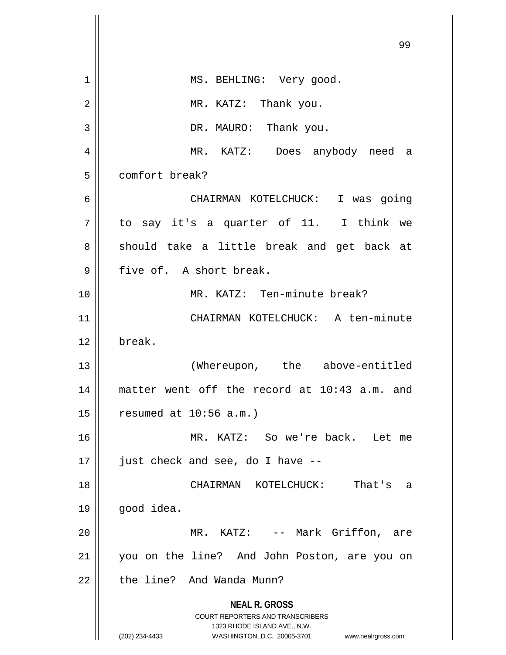|    | 99                                                                                                                                                                     |
|----|------------------------------------------------------------------------------------------------------------------------------------------------------------------------|
| 1  | MS. BEHLING: Very good.                                                                                                                                                |
| 2  | MR. KATZ: Thank you.                                                                                                                                                   |
| 3  | DR. MAURO: Thank you.                                                                                                                                                  |
| 4  | MR. KATZ: Does anybody need a                                                                                                                                          |
| 5  | comfort break?                                                                                                                                                         |
| 6  | CHAIRMAN KOTELCHUCK: I was going                                                                                                                                       |
| 7  | to say it's a quarter of 11. I think we                                                                                                                                |
| 8  | should take a little break and get back at                                                                                                                             |
| 9  | five of. A short break.                                                                                                                                                |
| 10 | MR. KATZ: Ten-minute break?                                                                                                                                            |
| 11 | CHAIRMAN KOTELCHUCK: A ten-minute                                                                                                                                      |
| 12 | break.                                                                                                                                                                 |
| 13 | (Whereupon, the above-entitled                                                                                                                                         |
| 14 | matter went off the record at 10:43 a.m. and                                                                                                                           |
| 15 | resumed at $10:56$ a.m.)                                                                                                                                               |
| 16 | MR. KATZ: So we're back. Let me                                                                                                                                        |
| 17 | just check and see, do I have --                                                                                                                                       |
| 18 | CHAIRMAN KOTELCHUCK:<br>That's<br>a                                                                                                                                    |
| 19 | good idea.                                                                                                                                                             |
| 20 | MR. KATZ: -- Mark Griffon, are                                                                                                                                         |
| 21 | you on the line? And John Poston, are you on                                                                                                                           |
| 22 | the line? And Wanda Munn?                                                                                                                                              |
|    | <b>NEAL R. GROSS</b><br><b>COURT REPORTERS AND TRANSCRIBERS</b><br>1323 RHODE ISLAND AVE., N.W.<br>(202) 234-4433<br>WASHINGTON, D.C. 20005-3701<br>www.nealrgross.com |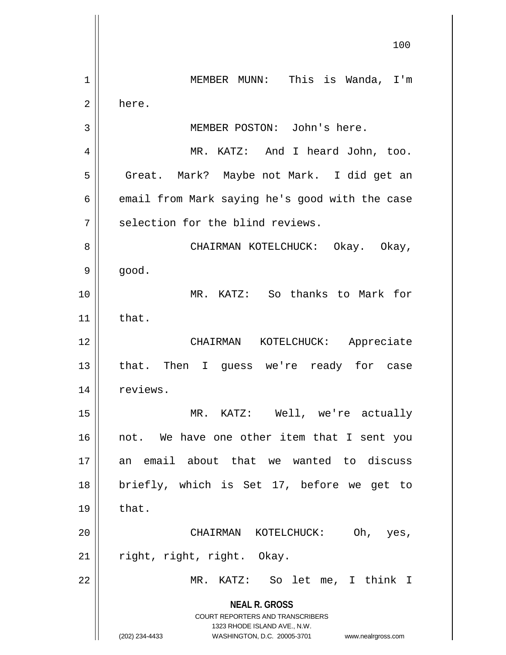**NEAL R. GROSS** COURT REPORTERS AND TRANSCRIBERS 1323 RHODE ISLAND AVE., N.W. (202) 234-4433 WASHINGTON, D.C. 20005-3701 www.nealrgross.com 100 1 MEMBER MUNN: This is Wanda, I'm 2 here. 3 MEMBER POSTON: John's here. 4 MR. KATZ: And I heard John, too. 5 | Great. Mark? Maybe not Mark. I did get an  $6 \parallel$  email from Mark saying he's good with the case  $7||$  selection for the blind reviews. 8 CHAIRMAN KOTELCHUCK: Okay. Okay,  $9 \parallel$  good. 10 MR. KATZ: So thanks to Mark for  $11$  that. 12 CHAIRMAN KOTELCHUCK: Appreciate 13 || that. Then I guess we're ready for case 14 | reviews. 15 MR. KATZ: Well, we're actually 16 || not. We have one other item that I sent you 17 an email about that we wanted to discuss 18 briefly, which is Set 17, before we get to  $19 \parallel$  that. 20 CHAIRMAN KOTELCHUCK: Oh, yes,  $21$  | right, right, right. Okay. 22 MR. KATZ: So let me, I think I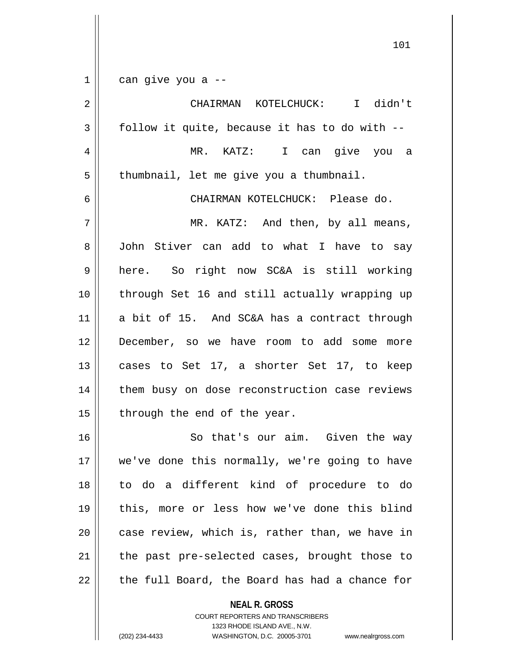$1 \parallel$  can give you a --

 CHAIRMAN KOTELCHUCK: I didn't  $3 \parallel$  follow it quite, because it has to do with  $-$  MR. KATZ: I can give you a 5 | thumbnail, let me give you a thumbnail. CHAIRMAN KOTELCHUCK: Please do. MR. KATZ: And then, by all means, John Stiver can add to what I have to say here. So right now SC&A is still working through Set 16 and still actually wrapping up a bit of 15. And SC&A has a contract through 12 || December, so we have room to add some more  $\vert$  cases to Set 17, a shorter Set 17, to keep 14 || them busy on dose reconstruction case reviews | through the end of the year. 16 || So that's our aim. Given the way 17 || we've done this normally, we're going to have to do a different kind of procedure to do this, more or less how we've done this blind || case review, which is, rather than, we have in 21 || the past pre-selected cases, brought those to || the full Board, the Board has had a chance for

**NEAL R. GROSS**

COURT REPORTERS AND TRANSCRIBERS 1323 RHODE ISLAND AVE., N.W. (202) 234-4433 WASHINGTON, D.C. 20005-3701 www.nealrgross.com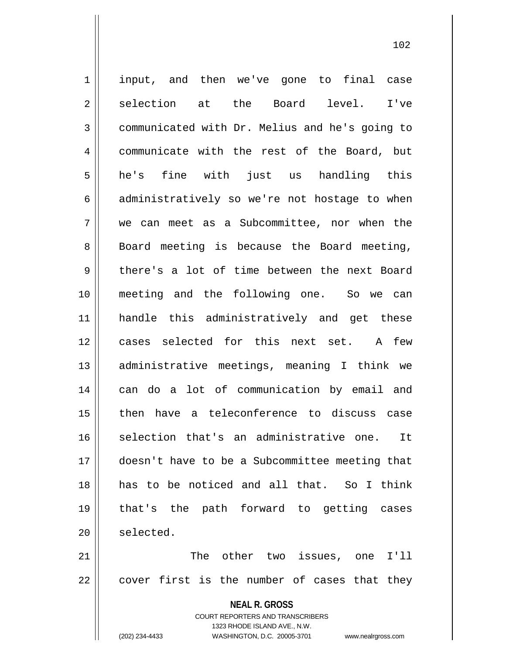**NEAL R. GROSS** 1 || input, and then we've gone to final case 2 selection at the Board level. I've 3 communicated with Dr. Melius and he's going to 4 communicate with the rest of the Board, but  $5 \parallel$  he's fine with just us handling this  $6 \parallel$  administratively so we're not hostage to when 7 we can meet as a Subcommittee, nor when the 8 || Board meeting is because the Board meeting, 9 there's a lot of time between the next Board 10 meeting and the following one. So we can 11 handle this administratively and get these 12 cases selected for this next set. A few 13 administrative meetings, meaning I think we 14 can do a lot of communication by email and 15 then have a teleconference to discuss case 16 || selection that's an administrative one. It 17 doesn't have to be a Subcommittee meeting that 18 has to be noticed and all that. So I think 19 that's the path forward to getting cases  $20$  | selected. 21 The other two issues, one I'll  $22 \parallel$  cover first is the number of cases that they

> COURT REPORTERS AND TRANSCRIBERS 1323 RHODE ISLAND AVE., N.W.

(202) 234-4433 WASHINGTON, D.C. 20005-3701 www.nealrgross.com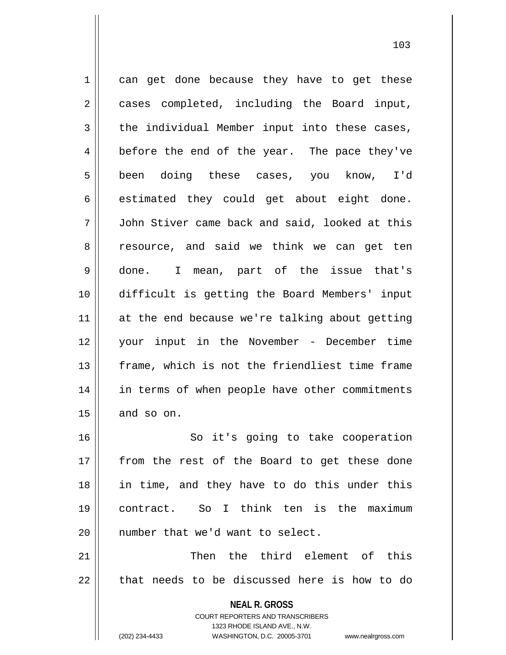**NEAL R. GROSS** COURT REPORTERS AND TRANSCRIBERS 1323 RHODE ISLAND AVE., N.W. 1 || can get done because they have to get these 2 || cases completed, including the Board input,  $3 \parallel$  the individual Member input into these cases, 4 before the end of the year. The pace they've 5 || been doing these cases, you know, I'd  $6 \parallel$  estimated they could get about eight done. 7 John Stiver came back and said, looked at this 8 || resource, and said we think we can get ten 9 done. I mean, part of the issue that's 10 difficult is getting the Board Members' input 11 || at the end because we're talking about getting 12 your input in the November - December time 13 frame, which is not the friendliest time frame 14 || in terms of when people have other commitments  $15$  and so on. 16 || So it's going to take cooperation 17 || from the rest of the Board to get these done 18 in time, and they have to do this under this 19 contract. So I think ten is the maximum 20 || number that we'd want to select. 21 || Then the third element of this  $22$  || that needs to be discussed here is how to do

(202) 234-4433 WASHINGTON, D.C. 20005-3701 www.nealrgross.com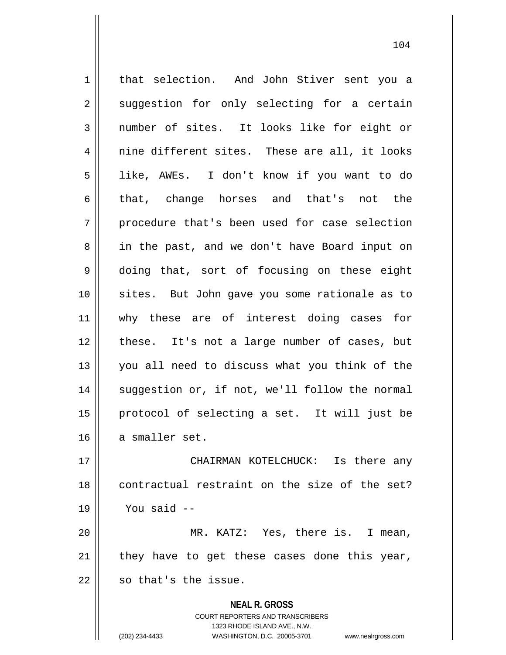**NEAL R. GROSS** COURT REPORTERS AND TRANSCRIBERS 1 | that selection. And John Stiver sent you a  $2 \parallel$  suggestion for only selecting for a certain 3 number of sites. It looks like for eight or  $4 \parallel$  nine different sites. These are all, it looks 5 like, AWEs. I don't know if you want to do 6 that, change horses and that's not the  $7 \parallel$  procedure that's been used for case selection 8 || in the past, and we don't have Board input on 9 doing that, sort of focusing on these eight 10 sites. But John gave you some rationale as to 11 || why these are of interest doing cases for 12 || these. It's not a large number of cases, but 13 you all need to discuss what you think of the 14 || suggestion or, if not, we'll follow the normal 15 protocol of selecting a set. It will just be 16 a smaller set. 17 CHAIRMAN KOTELCHUCK: Is there any 18 || contractual restraint on the size of the set?  $19$   $\parallel$  You said  $-$ 20 MR. KATZ: Yes, there is. I mean,  $21$  they have to get these cases done this year,  $22$   $\parallel$  so that's the issue.

1323 RHODE ISLAND AVE., N.W.

(202) 234-4433 WASHINGTON, D.C. 20005-3701 www.nealrgross.com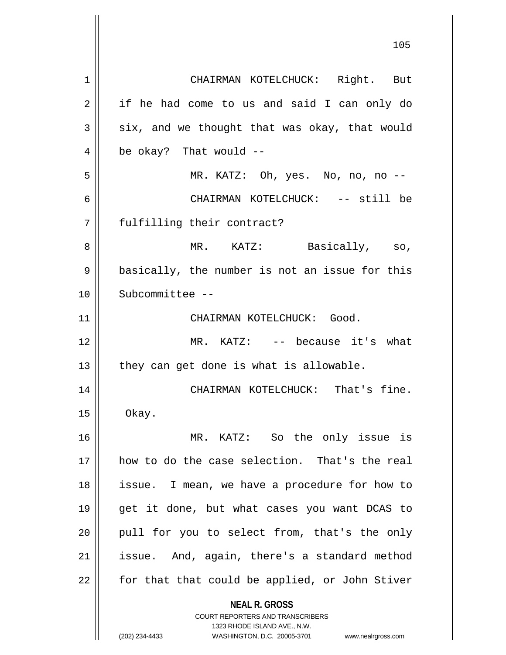**NEAL R. GROSS** COURT REPORTERS AND TRANSCRIBERS 1323 RHODE ISLAND AVE., N.W. 1 CHAIRMAN KOTELCHUCK: Right. But 2 || if he had come to us and said I can only do  $3 \parallel$  six, and we thought that was okay, that would  $4 \parallel$  be okay? That would --5 MR. KATZ: Oh, yes. No, no, no -- 6 CHAIRMAN KOTELCHUCK: -- still be 7 || fulfilling their contract? 8 MR. KATZ: Basically, so, 9 || basically, the number is not an issue for this 10 Subcommittee -- 11 || CHAIRMAN KOTELCHUCK: Good. 12 MR. KATZ: -- because it's what  $13$  | they can get done is what is allowable. 14 || CHAIRMAN KOTELCHUCK: That's fine.  $15$  | Okay. 16 MR. KATZ: So the only issue is 17 how to do the case selection. That's the real 18 || issue. I mean, we have a procedure for how to 19 get it done, but what cases you want DCAS to  $20$  || pull for you to select from, that's the only 21 | issue. And, again, there's a standard method 22 || for that that could be applied, or John Stiver

(202) 234-4433 WASHINGTON, D.C. 20005-3701 www.nealrgross.com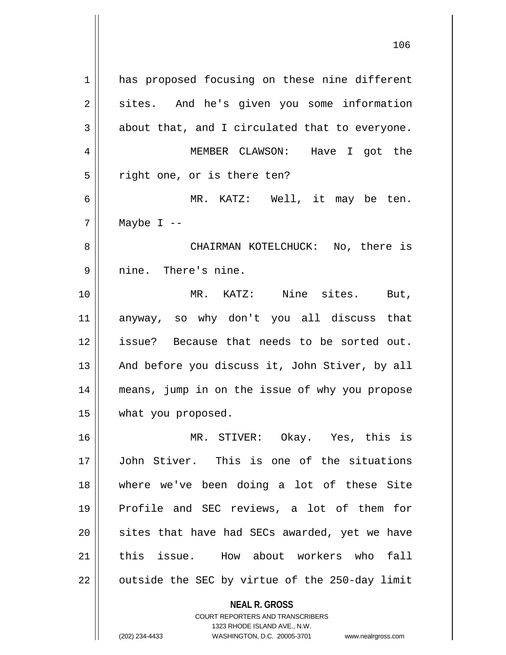1 || has proposed focusing on these nine different 2 || sites. And he's given you some information  $3 \parallel$  about that, and I circulated that to everyone. MEMBER CLAWSON: Have I got the  $5 \parallel$  right one, or is there ten? MR. KATZ: Well, it may be ten. | Maybe I -- CHAIRMAN KOTELCHUCK: No, there is 9 || nine. There's nine. MR. KATZ: Nine sites. But, anyway, so why don't you all discuss that issue? Because that needs to be sorted out.  $\parallel$  And before you discuss it, John Stiver, by all means, jump in on the issue of why you propose what you proposed. MR. STIVER: Okay. Yes, this is John Stiver. This is one of the situations where we've been doing a lot of these Site Profile and SEC reviews, a lot of them for 20 || sites that have had SECs awarded, yet we have 21 this issue. How about workers who fall

 $22$  | outside the SEC by virtue of the 250-day limit

**NEAL R. GROSS** COURT REPORTERS AND TRANSCRIBERS

1323 RHODE ISLAND AVE., N.W.

(202) 234-4433 WASHINGTON, D.C. 20005-3701 www.nealrgross.com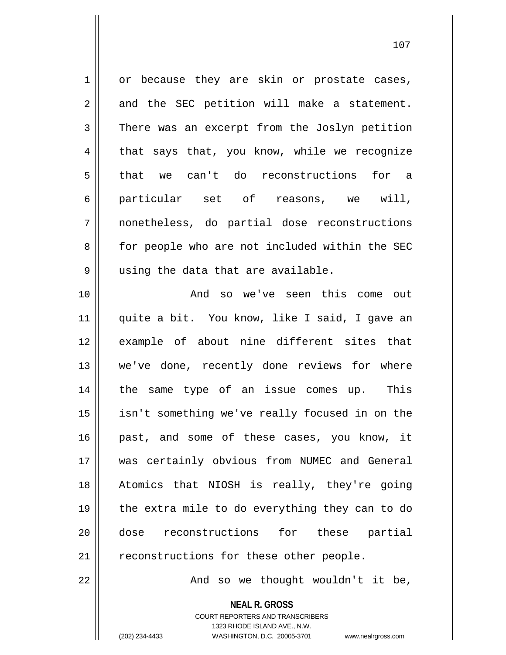1 or because they are skin or prostate cases,  $2 \parallel$  and the SEC petition will make a statement. 3 There was an excerpt from the Joslyn petition  $4 \parallel$  that says that, you know, while we recognize 5 that we can't do reconstructions for a 6 particular set of reasons, we will, 7 nonetheless, do partial dose reconstructions 8 || for people who are not included within the SEC 9 || using the data that are available.

10 || The Solomon and solowe've seen this come out 11 || quite a bit. You know, like I said, I gave an 12 example of about nine different sites that 13 || we've done, recently done reviews for where 14 || the same type of an issue comes up. This 15 isn't something we've really focused in on the 16 || past, and some of these cases, you know, it 17 was certainly obvious from NUMEC and General 18 Atomics that NIOSH is really, they're going 19  $\parallel$  the extra mile to do everything they can to do 20 dose reconstructions for these partial 21 | reconstructions for these other people.

 $22$  ||  $\sim$  And so we thought wouldn't it be,

**NEAL R. GROSS** COURT REPORTERS AND TRANSCRIBERS 1323 RHODE ISLAND AVE., N.W.

(202) 234-4433 WASHINGTON, D.C. 20005-3701 www.nealrgross.com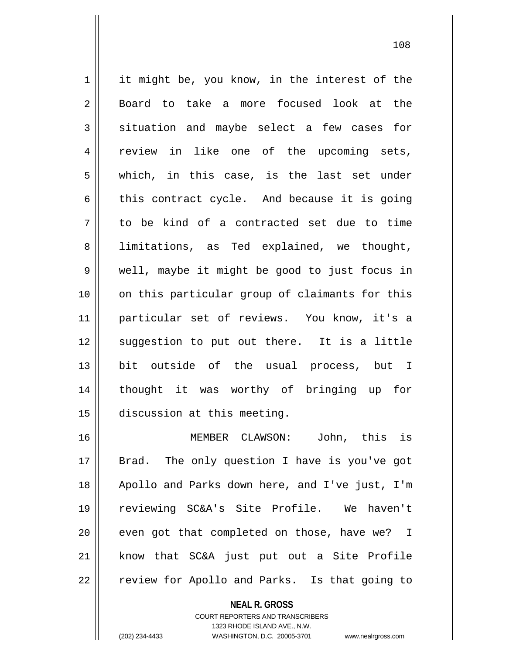1 | it might be, you know, in the interest of the 2 Board to take a more focused look at the  $3 \parallel$  situation and maybe select a few cases for 4 || review in like one of the upcoming sets, 5 || which, in this case, is the last set under  $6 \parallel$  this contract cycle. And because it is going  $7 \parallel$  to be kind of a contracted set due to time 8 || limitations, as Ted explained, we thought, 9 well, maybe it might be good to just focus in 10 || on this particular group of claimants for this 11 particular set of reviews. You know, it's a 12 || suggestion to put out there. It is a little 13 bit outside of the usual process, but I 14 thought it was worthy of bringing up for 15 discussion at this meeting. 16 MEMBER CLAWSON: John, this is

17 || Brad. The only question I have is you've got Apollo and Parks down here, and I've just, I'm reviewing SC&A's Site Profile. We haven't || even got that completed on those, have we? I know that SC&A just put out a Site Profile 22 | review for Apollo and Parks. Is that going to

> **NEAL R. GROSS** COURT REPORTERS AND TRANSCRIBERS 1323 RHODE ISLAND AVE., N.W.

(202) 234-4433 WASHINGTON, D.C. 20005-3701 www.nealrgross.com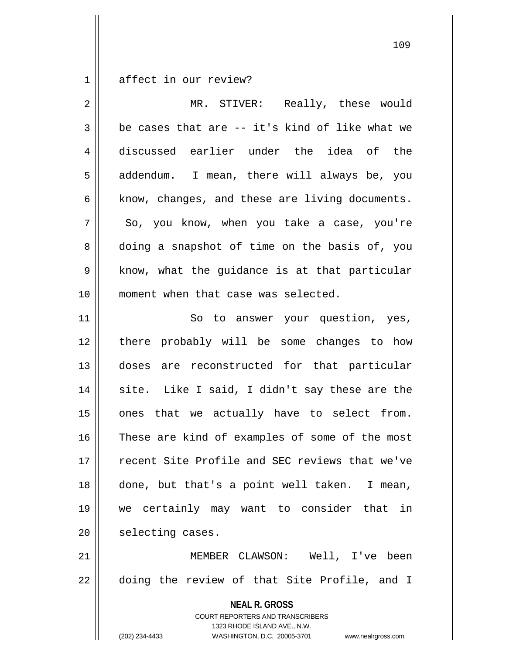1 affect in our review?

| $\overline{2}$ | MR. STIVER: Really, these would                                                                                                                                        |
|----------------|------------------------------------------------------------------------------------------------------------------------------------------------------------------------|
| $\mathfrak{Z}$ | be cases that are -- it's kind of like what we                                                                                                                         |
| 4              | discussed earlier under the idea of the                                                                                                                                |
| 5              | addendum. I mean, there will always be, you                                                                                                                            |
| 6              | know, changes, and these are living documents.                                                                                                                         |
| 7              | So, you know, when you take a case, you're                                                                                                                             |
| 8              | doing a snapshot of time on the basis of, you                                                                                                                          |
| 9              | know, what the guidance is at that particular                                                                                                                          |
| 10             | moment when that case was selected.                                                                                                                                    |
| 11             | So to answer your question, yes,                                                                                                                                       |
| 12             | there probably will be some changes to how                                                                                                                             |
| 13             | doses are reconstructed for that particular                                                                                                                            |
| 14             | site. Like I said, I didn't say these are the                                                                                                                          |
| 15             | ones that we actually have to select from.                                                                                                                             |
| 16             | These are kind of examples of some of the most                                                                                                                         |
| 17             | recent Site Profile and SEC reviews that we've                                                                                                                         |
| 18             | done, but that's a point well taken. I mean,                                                                                                                           |
| 19             | we certainly may want to consider that in                                                                                                                              |
| 20             | selecting cases.                                                                                                                                                       |
| 21             | MEMBER CLAWSON: Well, I've been                                                                                                                                        |
| 22             | doing the review of that Site Profile, and I                                                                                                                           |
|                | <b>NEAL R. GROSS</b><br><b>COURT REPORTERS AND TRANSCRIBERS</b><br>1323 RHODE ISLAND AVE., N.W.<br>(202) 234-4433<br>WASHINGTON, D.C. 20005-3701<br>www.nealrgross.com |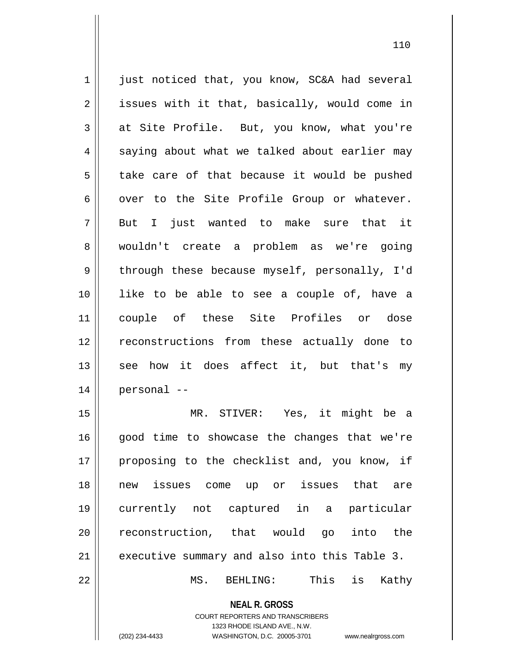1 just noticed that, you know, SC&A had several  $2 \parallel$  issues with it that, basically, would come in  $3 \parallel$  at Site Profile. But, you know, what you're  $4 \parallel$  saying about what we talked about earlier may  $5 \parallel$  take care of that because it would be pushed  $6 \parallel$  over to the Site Profile Group or whatever.  $7$  || But I just wanted to make sure that it 8 wouldn't create a problem as we're going 9 || through these because myself, personally, I'd 10 like to be able to see a couple of, have a 11 couple of these Site Profiles or dose 12 || reconstructions from these actually done to 13 || see how it does affect it, but that's my 14 personal -- 15 MR. STIVER: Yes, it might be a  $16$  good time to showcase the changes that we're 17 || proposing to the checklist and, you know, if 18 new issues come up or issues that are 19 currently not captured in a particular

21 executive summary and also into this Table 3.

**NEAL R. GROSS**

20 reconstruction, that would go into the

22 MS. BEHLING: This is Kathy

COURT REPORTERS AND TRANSCRIBERS 1323 RHODE ISLAND AVE., N.W. (202) 234-4433 WASHINGTON, D.C. 20005-3701 www.nealrgross.com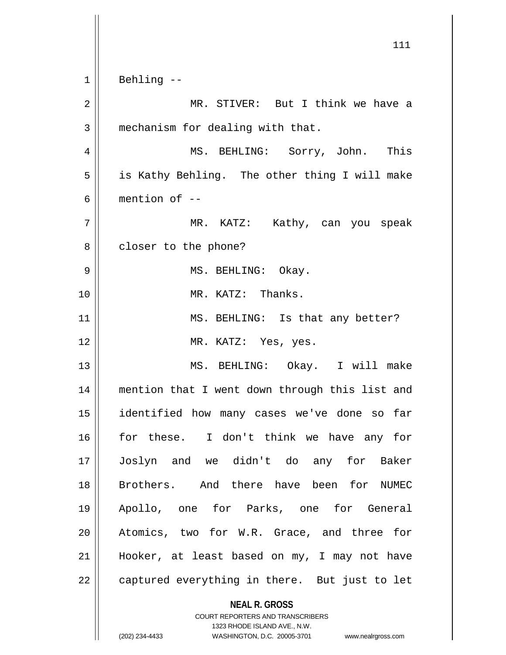**NEAL R. GROSS** COURT REPORTERS AND TRANSCRIBERS 1323 RHODE ISLAND AVE., N.W. 111 1 Behling -- 2 MR. STIVER: But I think we have a  $3$  | mechanism for dealing with that. 4 MS. BEHLING: Sorry, John. This 5 || is Kathy Behling. The other thing I will make 6 mention of -- 7 MR. KATZ: Kathy, can you speak 8 | closer to the phone? 9 MS. BEHLING: Okay. 10 MR. KATZ: Thanks. 11 || MS. BEHLING: Is that any better? 12 || MR. KATZ: Yes, yes. 13 MS. BEHLING: Okay. I will make 14 || mention that I went down through this list and 15 identified how many cases we've done so far 16 for these. I don't think we have any for 17 Joslyn and we didn't do any for Baker 18 Brothers. And there have been for NUMEC 19 Apollo, one for Parks, one for General 20 || Atomics, two for W.R. Grace, and three for 21 Hooker, at least based on my, I may not have 22 || captured everything in there. But just to let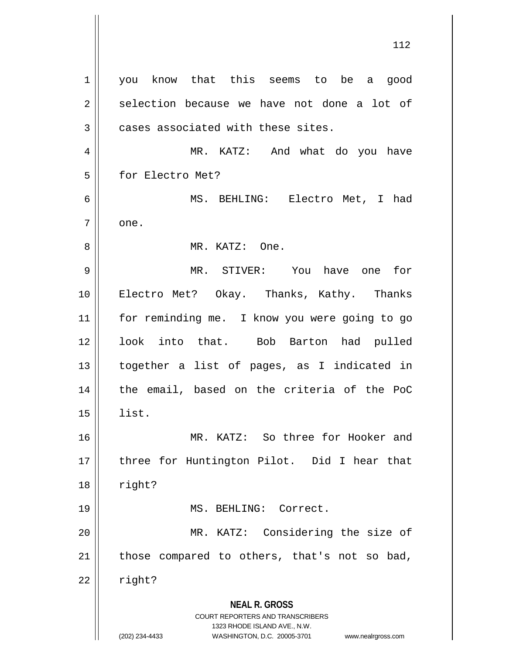**NEAL R. GROSS** COURT REPORTERS AND TRANSCRIBERS 1323 RHODE ISLAND AVE., N.W. (202) 234-4433 WASHINGTON, D.C. 20005-3701 www.nealrgross.com 1 | you know that this seems to be a good  $2 \parallel$  selection because we have not done a lot of  $3$  | cases associated with these sites. 4 MR. KATZ: And what do you have 5 | for Electro Met? 6 MS. BEHLING: Electro Met, I had  $7 \parallel$  one. 8 MR. KATZ: One. 9 MR. STIVER: You have one for 10 Electro Met? Okay. Thanks, Kathy. Thanks 11 for reminding me. I know you were going to go 12 || look into that. Bob Barton had pulled 13 together a list of pages, as I indicated in 14 || the email, based on the criteria of the PoC  $15 \parallel$  list. 16 MR. KATZ: So three for Hooker and 17 || three for Huntington Pilot. Did I hear that  $18 \parallel$  right? 19 MS. BEHLING: Correct. 20 || MR. KATZ: Considering the size of  $21$  | those compared to others, that's not so bad,  $22 \parallel$  right?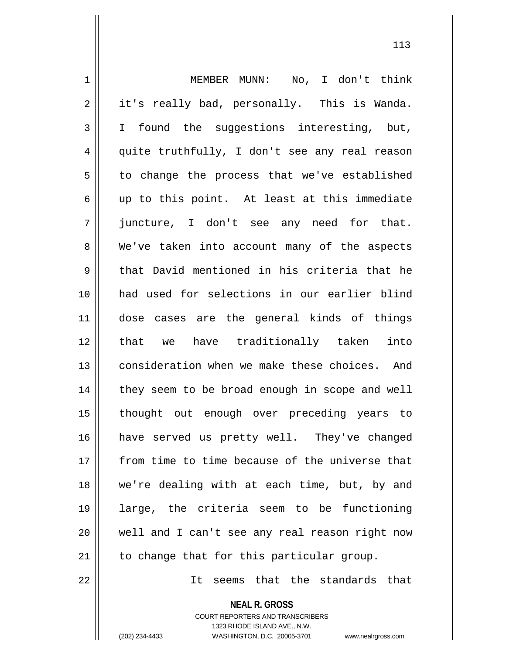1 MEMBER MUNN: No, I don't think  $2 \parallel$  it's really bad, personally. This is Wanda. 3 I I found the suggestions interesting, but, 4 || quite truthfully, I don't see any real reason  $5 \parallel$  to change the process that we've established  $6$  || up to this point. At least at this immediate 7 juncture, I don't see any need for that. 8 We've taken into account many of the aspects  $9 \parallel$  that David mentioned in his criteria that he 10 had used for selections in our earlier blind 11 dose cases are the general kinds of things 12 that we have traditionally taken into 13 d consideration when we make these choices. And 14 | they seem to be broad enough in scope and well 15 thought out enough over preceding years to 16 have served us pretty well. They've changed 17 from time to time because of the universe that 18 || we're dealing with at each time, but, by and 19 large, the criteria seem to be functioning 20 well and I can't see any real reason right now  $21$  || to change that for this particular group.

22 It seems that the standards that

**NEAL R. GROSS** COURT REPORTERS AND TRANSCRIBERS

1323 RHODE ISLAND AVE., N.W.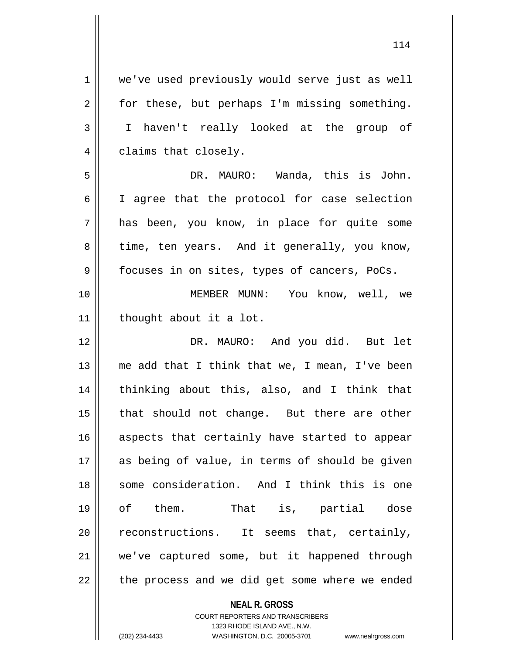1 | we've used previously would serve just as well  $2 \parallel$  for these, but perhaps I'm missing something. 3 I haven't really looked at the group of 4 | claims that closely.

5 DR. MAURO: Wanda, this is John. 6 I agree that the protocol for case selection 7 has been, you know, in place for quite some  $8 \parallel$  time, ten years. And it generally, you know,  $9 \parallel$  focuses in on sites, types of cancers, PoCs.

10 MEMBER MUNN: You know, well, we 11 | thought about it a lot.

12 DR. MAURO: And you did. But let 13  $\parallel$  me add that I think that we, I mean, I've been 14 || thinking about this, also, and I think that 15 || that should not change. But there are other 16 aspects that certainly have started to appear 17 || as being of value, in terms of should be given 18 Some consideration. And I think this is one 19 of them. That is, partial dose 20 || reconstructions. It seems that, certainly, 21 we've captured some, but it happened through  $22$  || the process and we did get some where we ended

**NEAL R. GROSS**

COURT REPORTERS AND TRANSCRIBERS 1323 RHODE ISLAND AVE., N.W. (202) 234-4433 WASHINGTON, D.C. 20005-3701 www.nealrgross.com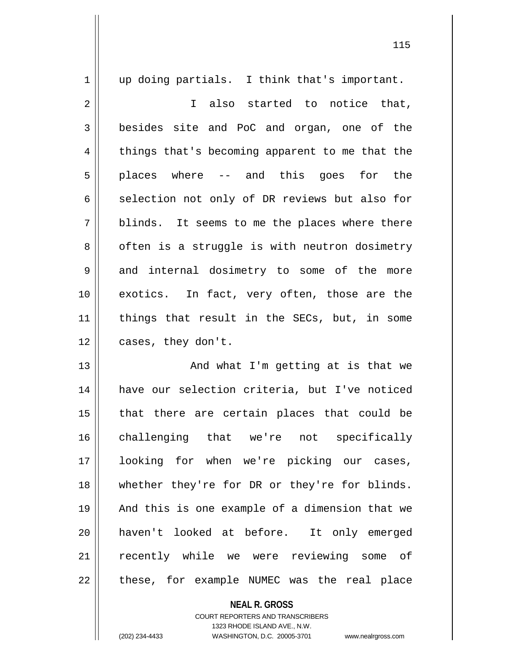1 || up doing partials. I think that's important. 2 || I also started to notice that, 3 besides site and PoC and organ, one of the 4 || things that's becoming apparent to me that the  $5 \parallel$  places where -- and this goes for the  $6 \parallel$  selection not only of DR reviews but also for  $7 \parallel$  blinds. It seems to me the places where there 8 | often is a struggle is with neutron dosimetry 9 and internal dosimetry to some of the more 10 exotics. In fact, very often, those are the 11 || things that result in the SECs, but, in some 12 || cases, they don't. 13 || And what I'm getting at is that we 14 have our selection criteria, but I've noticed  $15$  || that there are certain places that could be 16 challenging that we're not specifically 17 looking for when we're picking our cases, 18 whether they're for DR or they're for blinds. 19 || And this is one example of a dimension that we 20 haven't looked at before. It only emerged 21 || recently while we were reviewing some of 22 || these, for example NUMEC was the real place

> **NEAL R. GROSS** COURT REPORTERS AND TRANSCRIBERS 1323 RHODE ISLAND AVE., N.W. (202) 234-4433 WASHINGTON, D.C. 20005-3701 www.nealrgross.com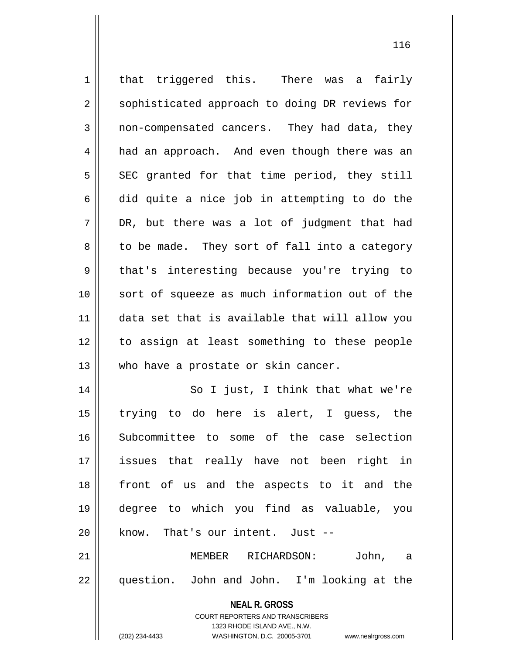| $\mathbf 1$ | that triggered this. There was a fairly                             |
|-------------|---------------------------------------------------------------------|
| 2           | sophisticated approach to doing DR reviews for                      |
| 3           | non-compensated cancers. They had data, they                        |
| 4           | had an approach. And even though there was an                       |
| 5           | SEC granted for that time period, they still                        |
| 6           | did quite a nice job in attempting to do the                        |
| 7           | DR, but there was a lot of judgment that had                        |
| 8           | to be made. They sort of fall into a category                       |
| $\mathsf 9$ | that's interesting because you're trying to                         |
| 10          | sort of squeeze as much information out of the                      |
| 11          | data set that is available that will allow you                      |
| 12          | to assign at least something to these people                        |
| 13          | who have a prostate or skin cancer.                                 |
| 14          | So I just, I think that what we're                                  |
| 15          | trying to do here is alert, I guess, the                            |
| 16          | Subcommittee to some of the case selection                          |
| 17          | issues that really have not been right in                           |
| 18          | front of us and the aspects to it and the                           |
| 19          | degree to which you find as valuable, you                           |
| 20          | know. That's our intent. Just --                                    |
| 21          | MEMBER RICHARDSON:<br>John, a                                       |
| 22          | question. John and John. I'm looking at the                         |
|             |                                                                     |
|             | <b>NEAL R. GROSS</b><br><b>COURT REPORTERS AND TRANSCRIBERS</b>     |
|             | 1323 RHODE ISLAND AVE., N.W.                                        |
|             | (202) 234-4433<br>WASHINGTON, D.C. 20005-3701<br>www.nealrgross.com |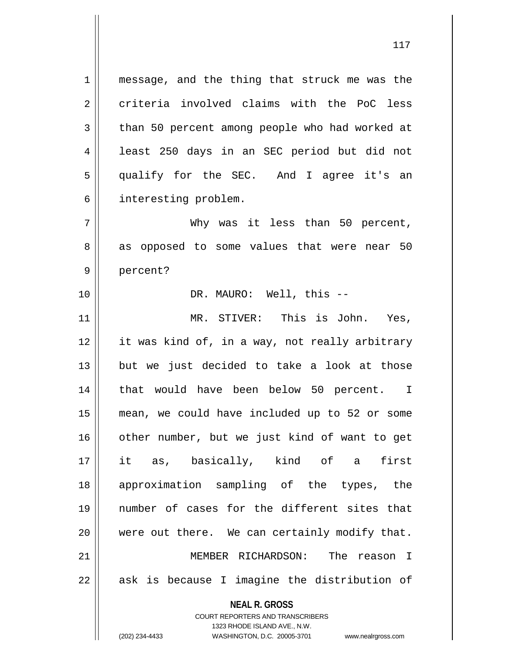1 || message, and the thing that struck me was the 2 criteria involved claims with the PoC less  $3 \parallel$  than 50 percent among people who had worked at 4 | least 250 days in an SEC period but did not 5 qualify for the SEC. And I agree it's an 6 | interesting problem.

7 Why was it less than 50 percent, 8 as opposed to some values that were near 50 9 || percent?

10 || DR. MAURO: Well, this --

11 || MR. STIVER: This is John. Yes, it was kind of, in a way, not really arbitrary but we just decided to take a look at those 14 || that would have been below 50 percent. I mean, we could have included up to 52 or some 16 || other number, but we just kind of want to get it as, basically, kind of a first approximation sampling of the types, the number of cases for the different sites that were out there. We can certainly modify that. MEMBER RICHARDSON: The reason I || ask is because I imagine the distribution of

> **NEAL R. GROSS** COURT REPORTERS AND TRANSCRIBERS

> > 1323 RHODE ISLAND AVE., N.W.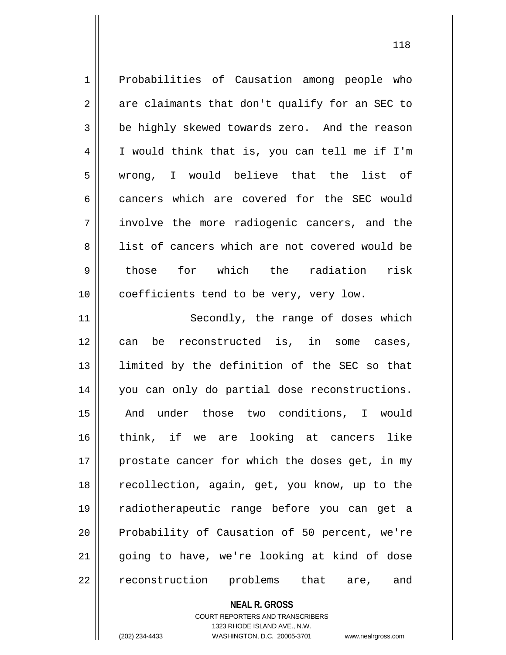1 Probabilities of Causation among people who  $2 \parallel$  are claimants that don't qualify for an SEC to 3 be highly skewed towards zero. And the reason 4 I would think that is, you can tell me if I'm 5 wrong, I would believe that the list of 6 cancers which are covered for the SEC would 7 || involve the more radiogenic cancers, and the 8 || list of cancers which are not covered would be 9 those for which the radiation risk 10 || coefficients tend to be very, very low. 11 || Secondly, the range of doses which

 can be reconstructed is, in some cases, limited by the definition of the SEC so that 14 || you can only do partial dose reconstructions. And under those two conditions, I would think, if we are looking at cancers like | prostate cancer for which the doses get, in my recollection, again, get, you know, up to the radiotherapeutic range before you can get a 20 || Probability of Causation of 50 percent, we're going to have, we're looking at kind of dose 22 || reconstruction problems that are, and

**NEAL R. GROSS**

COURT REPORTERS AND TRANSCRIBERS 1323 RHODE ISLAND AVE., N.W. (202) 234-4433 WASHINGTON, D.C. 20005-3701 www.nealrgross.com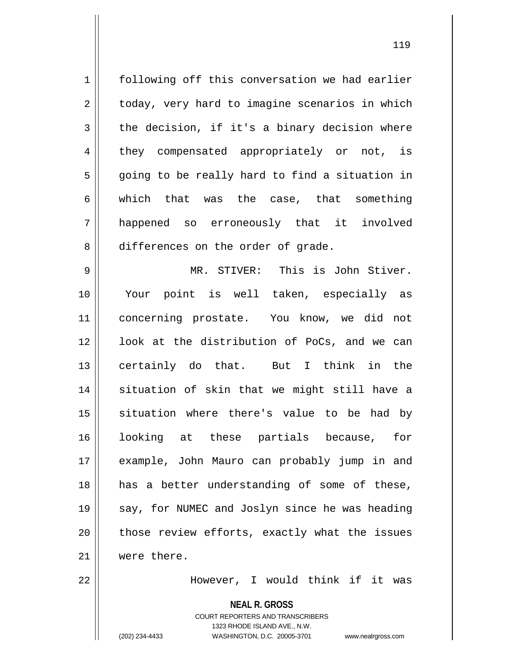1 | following off this conversation we had earlier  $2 \parallel$  today, very hard to imagine scenarios in which  $3 \parallel$  the decision, if it's a binary decision where 4 || they compensated appropriately or not, is 5 || going to be really hard to find a situation in 6 || which that was the case, that something 7 happened so erroneously that it involved 8 differences on the order of grade.

9 MR. STIVER: This is John Stiver. 10 Your point is well taken, especially as 11 concerning prostate. You know, we did not 12 || look at the distribution of PoCs, and we can 13 certainly do that. But I think in the 14 situation of skin that we might still have a 15 || situation where there's value to be had by 16 looking at these partials because, for 17 example, John Mauro can probably jump in and 18 || has a better understanding of some of these, 19 || say, for NUMEC and Joslyn since he was heading 20 || those review efforts, exactly what the issues 21 were there.

22 However, I would think if it was

**NEAL R. GROSS**

COURT REPORTERS AND TRANSCRIBERS 1323 RHODE ISLAND AVE., N.W. (202) 234-4433 WASHINGTON, D.C. 20005-3701 www.nealrgross.com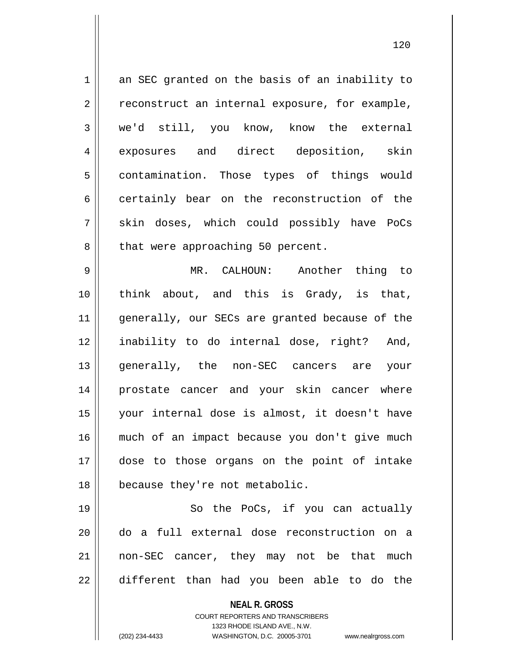**NEAL R. GROSS** COURT REPORTERS AND TRANSCRIBERS 1323 RHODE ISLAND AVE., N.W.  $1 \parallel$  an SEC granted on the basis of an inability to  $2 \parallel$  reconstruct an internal exposure, for example, 3 we'd still, you know, know the external 4 exposures and direct deposition, skin 5 | contamination. Those types of things would  $6 \parallel$  certainly bear on the reconstruction of the 7 || skin doses, which could possibly have PoCs 8 || that were approaching 50 percent. 9 MR. CALHOUN: Another thing to 10 think about, and this is Grady, is that, 11 || generally, our SECs are granted because of the 12 inability to do internal dose, right? And, 13 generally, the non-SEC cancers are your 14 prostate cancer and your skin cancer where 15 your internal dose is almost, it doesn't have 16 much of an impact because you don't give much 17 dose to those organs on the point of intake 18 || because they're not metabolic. 19 || So the PoCs, if you can actually 20 do a full external dose reconstruction on a 21 non-SEC cancer, they may not be that much  $22$   $\parallel$  different than had you been able to do the

(202) 234-4433 WASHINGTON, D.C. 20005-3701 www.nealrgross.com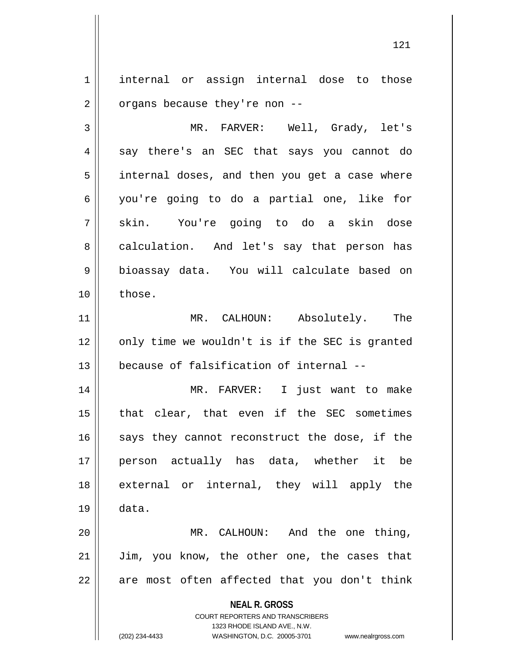1 | internal or assign internal dose to those  $2 \parallel$  organs because they're non --

3 MR. FARVER: Well, Grady, let's  $4 \parallel$  say there's an SEC that says you cannot do  $5 \parallel$  internal doses, and then you get a case where 6 you're going to do a partial one, like for 7 || skin. You're going to do a skin dose 8 calculation. And let's say that person has 9 bioassay data. You will calculate based on 10 ll those.

11 MR. CALHOUN: Absolutely. The  $12$  | only time we wouldn't is if the SEC is granted 13 because of falsification of internal --

 MR. FARVER: I just want to make that clear, that even if the SEC sometimes says they cannot reconstruct the dose, if the person actually has data, whether it be 18 || external or internal, they will apply the 19 data.

20 MR. CALHOUN: And the one thing, 21 || Jim, you know, the other one, the cases that  $22$  || are most often affected that you don't think

> **NEAL R. GROSS** COURT REPORTERS AND TRANSCRIBERS

> > 1323 RHODE ISLAND AVE., N.W.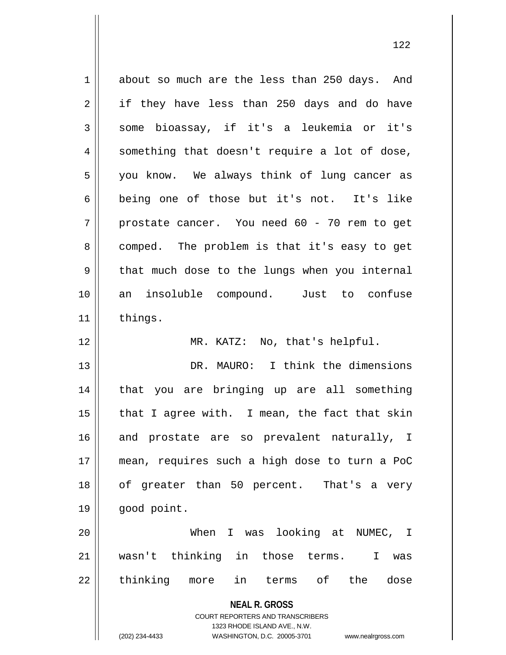**NEAL R. GROSS** COURT REPORTERS AND TRANSCRIBERS 1323 RHODE ISLAND AVE., N.W. (202) 234-4433 WASHINGTON, D.C. 20005-3701 www.nealrgross.com 1 about so much are the less than 250 days. And  $2 \parallel$  if they have less than 250 days and do have 3 || some bioassay, if it's a leukemia or it's  $4 \parallel$  something that doesn't require a lot of dose, 5 || you know. We always think of lung cancer as 6 being one of those but it's not. It's like  $7 \parallel$  prostate cancer. You need 60 - 70 rem to get 8 comped. The problem is that it's easy to get  $9 \parallel$  that much dose to the lungs when you internal 10 an insoluble compound. Just to confuse 11 | things. 12 || MR. KATZ: No, that's helpful. 13 DR. MAURO: I think the dimensions 14 that you are bringing up are all something  $15$  | that I agree with. I mean, the fact that skin 16 || and prostate are so prevalent naturally, I 17 mean, requires such a high dose to turn a PoC 18 of greater than 50 percent. That's a very 19 good point. 20 When I was looking at NUMEC, I 21 wasn't thinking in those terms. I was 22 || thinking more in terms of the dose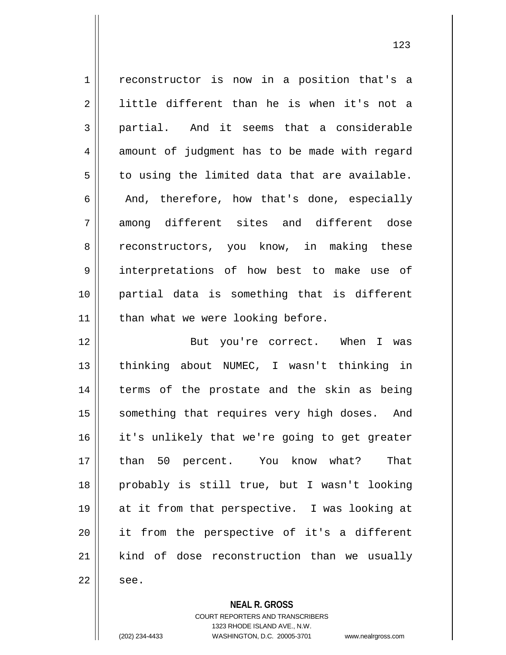1 | reconstructor is now in a position that's a  $2 \parallel$  little different than he is when it's not a 3 || partial. And it seems that a considerable  $4 \parallel$  amount of judgment has to be made with regard  $5 \parallel$  to using the limited data that are available.  $6 \parallel$  And, therefore, how that's done, especially 7 among different sites and different dose 8 || reconstructors, you know, in making these 9 interpretations of how best to make use of 10 partial data is something that is different  $11$  | than what we were looking before. 12 || But you're correct. When I was 13 || thinking about NUMEC, I wasn't thinking in 14 || terms of the prostate and the skin as being 15 || something that requires very high doses. And 16 it's unlikely that we're going to get greater 17 than 50 percent. You know what? That 18 probably is still true, but I wasn't looking 19 at it from that perspective. I was looking at 20 it from the perspective of it's a different 21 || kind of dose reconstruction than we usually

 $22 \parallel$  see.

**NEAL R. GROSS**

COURT REPORTERS AND TRANSCRIBERS 1323 RHODE ISLAND AVE., N.W. (202) 234-4433 WASHINGTON, D.C. 20005-3701 www.nealrgross.com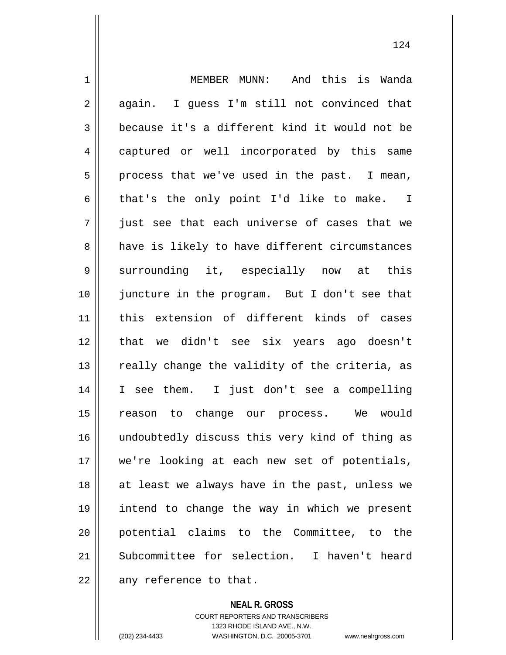1 MEMBER MUNN: And this is Wanda  $2 \parallel$  again. I guess I'm still not convinced that 3 because it's a different kind it would not be 4 captured or well incorporated by this same  $5 \parallel$  process that we've used in the past. I mean,  $6 \parallel$  that's the only point I'd like to make. I 7 just see that each universe of cases that we 8 have is likely to have different circumstances 9 || surrounding it, especially now at this 10 juncture in the program. But I don't see that 11 this extension of different kinds of cases 12 that we didn't see six years ago doesn't 13  $\parallel$  really change the validity of the criteria, as 14 I see them. I just don't see a compelling 15 reason to change our process. We would 16 || undoubtedly discuss this very kind of thing as 17 we're looking at each new set of potentials, 18 || at least we always have in the past, unless we 19 intend to change the way in which we present 20 potential claims to the Committee, to the 21 Subcommittee for selection. I haven't heard  $22$  || any reference to that.

> **NEAL R. GROSS** COURT REPORTERS AND TRANSCRIBERS

> > 1323 RHODE ISLAND AVE., N.W.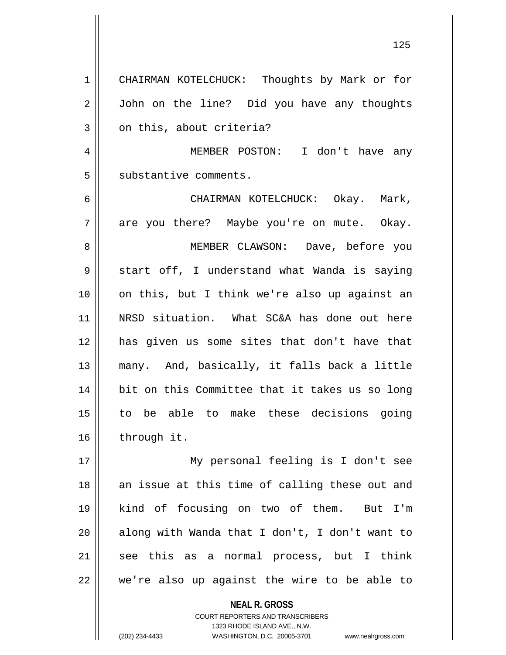CHAIRMAN KOTELCHUCK: Thoughts by Mark or for 2 | John on the line? Did you have any thoughts  $3 \parallel$  on this, about criteria? MEMBER POSTON: I don't have any 5 | substantive comments. CHAIRMAN KOTELCHUCK: Okay. Mark,  $7 \parallel$  are you there? Maybe you're on mute. Okay. MEMBER CLAWSON: Dave, before you  $9 \parallel$  start off, I understand what Wanda is saying on this, but I think we're also up against an NRSD situation. What SC&A has done out here has given us some sites that don't have that many. And, basically, it falls back a little bit on this Committee that it takes us so long to be able to make these decisions going 16 | through it. My personal feeling is I don't see an issue at this time of calling these out and kind of focusing on two of them. But I'm || along with Wanda that I don't, I don't want to see this as a normal process, but I think | we're also up against the wire to be able to

> **NEAL R. GROSS** COURT REPORTERS AND TRANSCRIBERS

> > 1323 RHODE ISLAND AVE., N.W.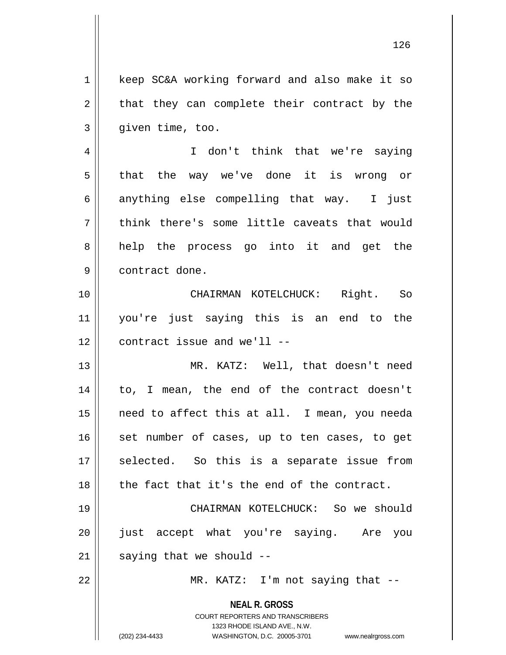1 | keep SC&A working forward and also make it so  $2 \parallel$  that they can complete their contract by the  $3 \parallel$  given time, too.

4 || I don't think that we're saying 5 || that the way we've done it is wrong or  $6 \parallel$  anything else compelling that way. I just 7 || think there's some little caveats that would 8 || help the process go into it and get the 9 | contract done.

10 CHAIRMAN KOTELCHUCK: Right. So 11 you're just saying this is an end to the 12 contract issue and we'll --

 MR. KATZ: Well, that doesn't need 14 || to, I mean, the end of the contract doesn't need to affect this at all. I mean, you needa set number of cases, up to ten cases, to get 17 || selected. So this is a separate issue from || the fact that it's the end of the contract.

19 CHAIRMAN KOTELCHUCK: So we should 20 just accept what you're saying. Are you  $21$  | saying that we should  $-$ 

22 || MR. KATZ: I'm not saying that --

**NEAL R. GROSS** COURT REPORTERS AND TRANSCRIBERS

1323 RHODE ISLAND AVE., N.W. (202) 234-4433 WASHINGTON, D.C. 20005-3701 www.nealrgross.com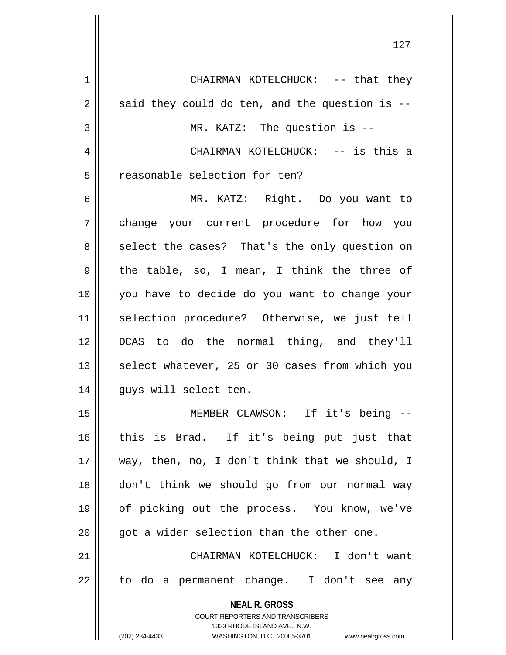**NEAL R. GROSS** COURT REPORTERS AND TRANSCRIBERS 1323 RHODE ISLAND AVE., N.W. CHAIRMAN KOTELCHUCK: -- that they  $2 \parallel$  said they could do ten, and the question is -- MR. KATZ: The question is -- CHAIRMAN KOTELCHUCK: -- is this a 5 || reasonable selection for ten? MR. KATZ: Right. Do you want to change your current procedure for how you 8 select the cases? That's the only question on  $9 \parallel$  the table, so, I mean, I think the three of you have to decide do you want to change your selection procedure? Otherwise, we just tell DCAS to do the normal thing, and they'll || select whatever, 25 or 30 cases from which you 14 || guys will select ten. MEMBER CLAWSON: If it's being -- this is Brad. If it's being put just that way, then, no, I don't think that we should, I don't think we should go from our normal way of picking out the process. You know, we've | qot a wider selection than the other one. CHAIRMAN KOTELCHUCK: I don't want  $22 \parallel$  to do a permanent change. I don't see any

(202) 234-4433 WASHINGTON, D.C. 20005-3701 www.nealrgross.com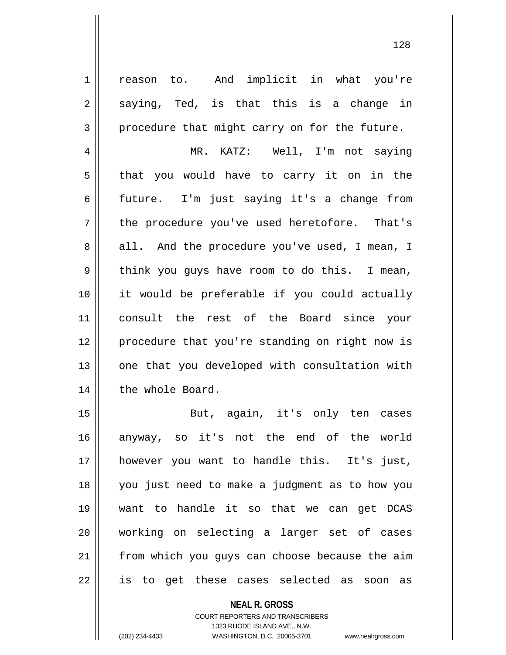1 | reason to. And implicit in what you're  $2 \parallel$  saying, Ted, is that this is a change in  $3 \parallel$  procedure that might carry on for the future.

4 MR. KATZ: Well, I'm not saying  $5 \parallel$  that you would have to carry it on in the 6 future. I'm just saying it's a change from 7 || the procedure you've used heretofore. That's 8 all. And the procedure you've used, I mean, I 9 || think you guys have room to do this. I mean, 10 it would be preferable if you could actually 11 consult the rest of the Board since your 12 || procedure that you're standing on right now is  $13$  | one that you developed with consultation with 14 | the whole Board.

15 || But, again, it's only ten cases anyway, so it's not the end of the world however you want to handle this. It's just, you just need to make a judgment as to how you want to handle it so that we can get DCAS working on selecting a larger set of cases from which you guys can choose because the aim 22 || is to get these cases selected as soon as

> **NEAL R. GROSS** COURT REPORTERS AND TRANSCRIBERS 1323 RHODE ISLAND AVE., N.W. (202) 234-4433 WASHINGTON, D.C. 20005-3701 www.nealrgross.com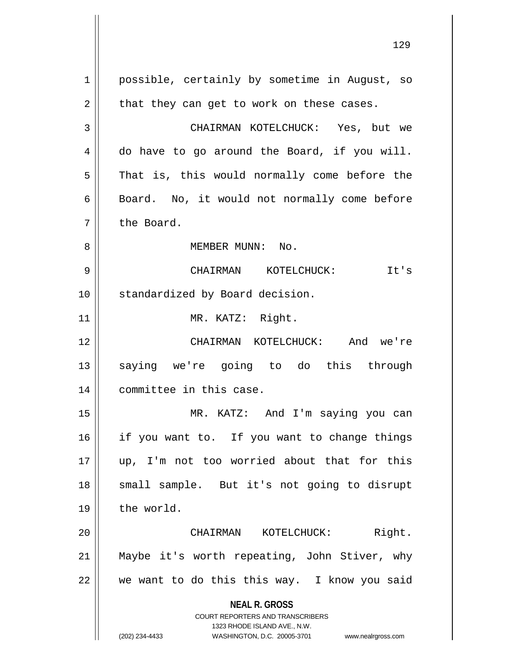**NEAL R. GROSS** COURT REPORTERS AND TRANSCRIBERS 1323 RHODE ISLAND AVE., N.W. (202) 234-4433 WASHINGTON, D.C. 20005-3701 www.nealrgross.com 1 | possible, certainly by sometime in August, so  $2 \parallel$  that they can get to work on these cases. 3 CHAIRMAN KOTELCHUCK: Yes, but we  $4 \parallel$  do have to go around the Board, if you will.  $5 \parallel$  That is, this would normally come before the 6 | Board. No, it would not normally come before 7 l the Board. 8 MEMBER MUNN: No. 9 CHAIRMAN KOTELCHUCK: It's 10 || standardized by Board decision. 11 || MR. KATZ: Right. 12 CHAIRMAN KOTELCHUCK: And we're 13 || saying we're going to do this through 14 committee in this case. 15 MR. KATZ: And I'm saying you can 16 || if you want to. If you want to change things 17 up, I'm not too worried about that for this 18 || small sample. But it's not going to disrupt 19 | the world. 20 CHAIRMAN KOTELCHUCK: Right. 21 Maybe it's worth repeating, John Stiver, why  $22$  | we want to do this this way. I know you said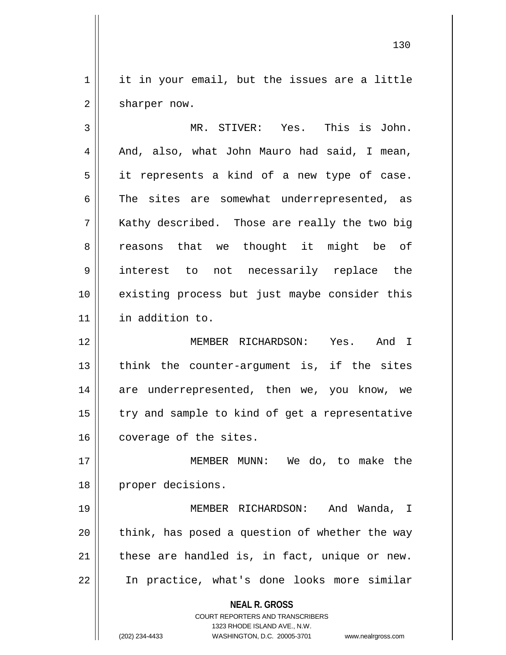$1 \parallel$  it in your email, but the issues are a little  $2 \parallel$  sharper now.

3 MR. STIVER: Yes. This is John.  $4 \parallel$  And, also, what John Mauro had said, I mean,  $5 \parallel$  it represents a kind of a new type of case.  $6 \parallel$  The sites are somewhat underrepresented, as  $7 \parallel$  Kathy described. Those are really the two big 8 a reasons that we thought it might be of 9 interest to not necessarily replace the 10 || existing process but just maybe consider this 11 in addition to.

12 MEMBER RICHARDSON: Yes. And I  $13$  || think the counter-argument is, if the sites 14 || are underrepresented, then we, you know, we  $15$  | try and sample to kind of get a representative 16 coverage of the sites.

17 MEMBER MUNN: We do, to make the 18 || proper decisions.

 MEMBER RICHARDSON: And Wanda, I || think, has posed a question of whether the way | these are handled is, in fact, unique or new. In practice, what's done looks more similar

> **NEAL R. GROSS** COURT REPORTERS AND TRANSCRIBERS

1323 RHODE ISLAND AVE., N.W. (202) 234-4433 WASHINGTON, D.C. 20005-3701 www.nealrgross.com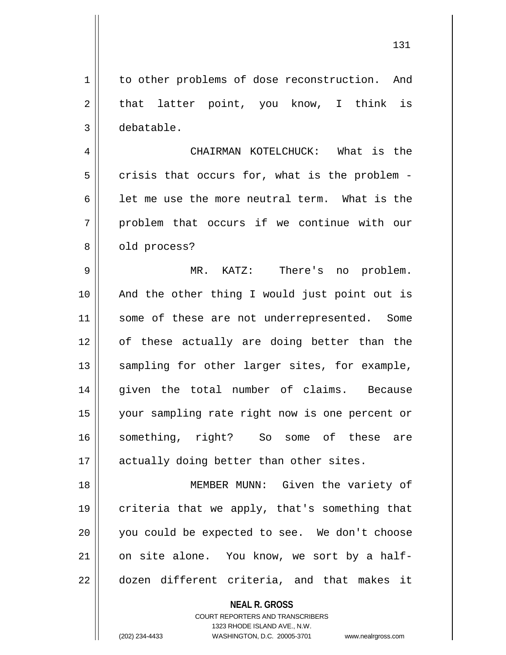1 to other problems of dose reconstruction. And  $2 \parallel$  that latter point, you know, I think is 3 debatable.

4 CHAIRMAN KOTELCHUCK: What is the  $5 \parallel$  crisis that occurs for, what is the problem -6  $\parallel$  1et me use the more neutral term. What is the 7 || problem that occurs if we continue with our 8 | old process?

9 MR. KATZ: There's no problem. 10 And the other thing I would just point out is 11 || some of these are not underrepresented. Some 12 of these actually are doing better than the 13 || sampling for other larger sites, for example, 14 given the total number of claims. Because 15 your sampling rate right now is one percent or 16 something, right? So some of these are 17 || actually doing better than other sites.

18 MEMBER MUNN: Given the variety of 19 criteria that we apply, that's something that 20 || you could be expected to see. We don't choose  $21$  on site alone. You know, we sort by a half-22 dozen different criteria, and that makes it

**NEAL R. GROSS**

COURT REPORTERS AND TRANSCRIBERS 1323 RHODE ISLAND AVE., N.W. (202) 234-4433 WASHINGTON, D.C. 20005-3701 www.nealrgross.com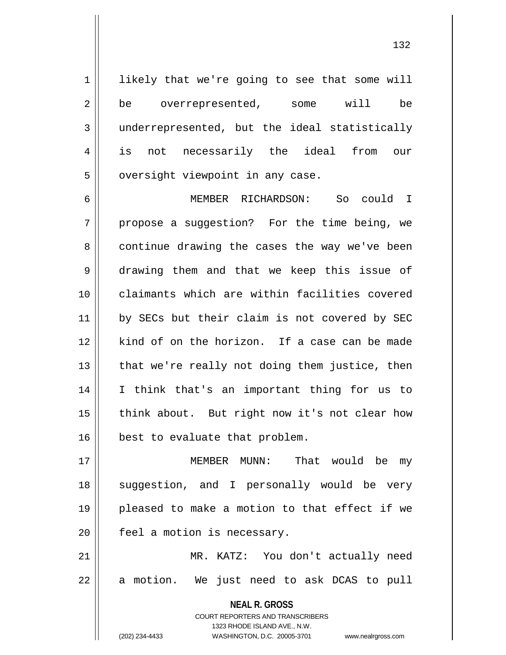$1 ||$  likely that we're going to see that some will 2 be overrepresented, some will be 3 underrepresented, but the ideal statistically 4 is not necessarily the ideal from our  $5$  | oversight viewpoint in any case.

6 MEMBER RICHARDSON: So could I  $7 \parallel$  propose a suggestion? For the time being, we 8 continue drawing the cases the way we've been 9 drawing them and that we keep this issue of 10 claimants which are within facilities covered 11 || by SECs but their claim is not covered by SEC 12 kind of on the horizon. If a case can be made  $13$  || that we're really not doing them justice, then 14 I think that's an important thing for us to 15 || think about. But right now it's not clear how 16 | best to evaluate that problem.

17 MEMBER MUNN: That would be my 18 || suggestion, and I personally would be very 19 pleased to make a motion to that effect if we 20 | feel a motion is necessary.

21 MR. KATZ: You don't actually need 22 || a motion. We just need to ask DCAS to pull

> **NEAL R. GROSS** COURT REPORTERS AND TRANSCRIBERS

> > 1323 RHODE ISLAND AVE., N.W.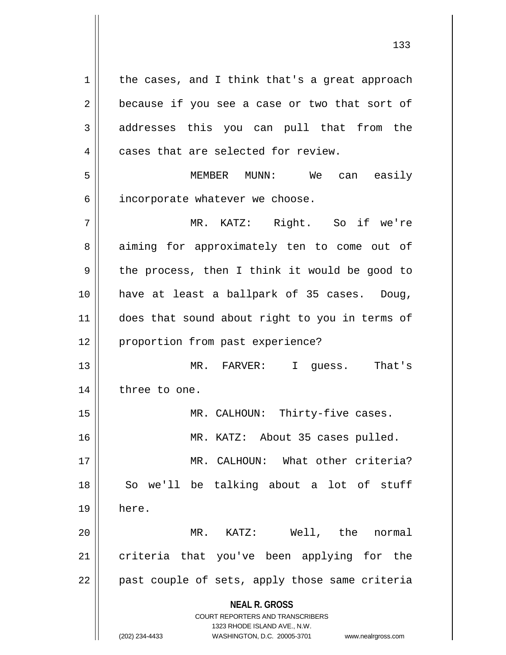**NEAL R. GROSS** COURT REPORTERS AND TRANSCRIBERS 1323 RHODE ISLAND AVE., N.W. (202) 234-4433 WASHINGTON, D.C. 20005-3701 www.nealrgross.com  $1 \parallel$  the cases, and I think that's a great approach  $2 \parallel$  because if you see a case or two that sort of 3 addresses this you can pull that from the  $4 \parallel$  cases that are selected for review. 5 || MEMBER MUNN: We can easily  $6$  || incorporate whatever we choose. 7 MR. KATZ: Right. So if we're 8 aiming for approximately ten to come out of 9 || the process, then I think it would be good to 10 have at least a ballpark of 35 cases. Doug, 11 || does that sound about right to you in terms of 12 || proportion from past experience? 13 MR. FARVER: I guess. That's 14 | three to one. 15 || MR. CALHOUN: Thirty-five cases. 16 MR. KATZ: About 35 cases pulled. 17 MR. CALHOUN: What other criteria? 18 || So we'll be talking about a lot of stuff 19 here. 20 MR. KATZ: Well, the normal 21 || criteria that you've been applying for the  $22$  || past couple of sets, apply those same criteria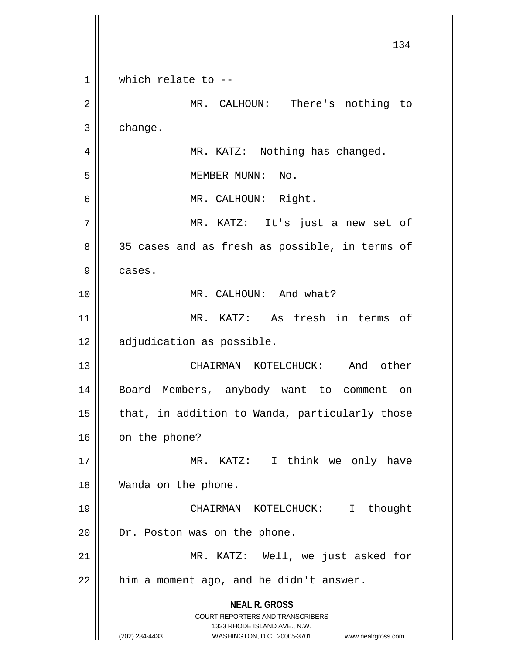**NEAL R. GROSS** COURT REPORTERS AND TRANSCRIBERS 1323 RHODE ISLAND AVE., N.W. (202) 234-4433 WASHINGTON, D.C. 20005-3701 www.nealrgross.com 134 1 Which relate to --2 || MR. CALHOUN: There's nothing to 3 change. 4 | MR. KATZ: Nothing has changed. 5 || MEMBER MUNN: No. 6 MR. CALHOUN: Right. 7 MR. KATZ: It's just a new set of 8 35 cases and as fresh as possible, in terms of 9 | cases. 10 || MR. CALHOUN: And what? 11 MR. KATZ: As fresh in terms of 12 | adjudication as possible. 13 CHAIRMAN KOTELCHUCK: And other 14 Board Members, anybody want to comment on  $15$  || that, in addition to Wanda, particularly those  $16$  | on the phone? 17 || MR. KATZ: I think we only have 18 Wanda on the phone. 19 CHAIRMAN KOTELCHUCK: I thought 20 | Dr. Poston was on the phone. 21 || MR. KATZ: Well, we just asked for  $22$  | him a moment ago, and he didn't answer.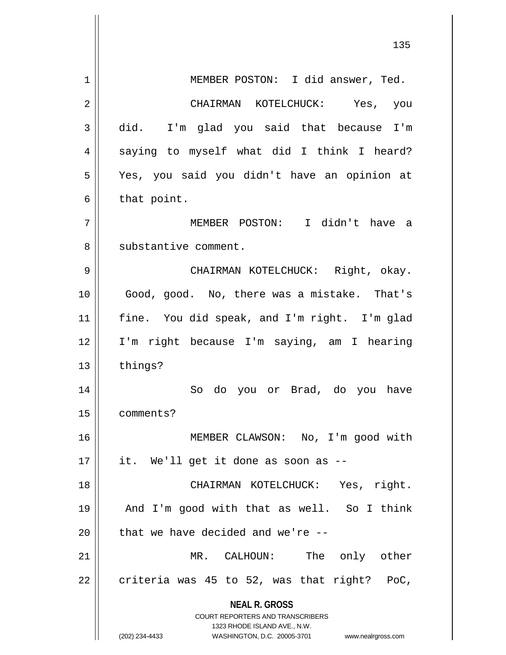|    | 135                                                                                                                                                                    |
|----|------------------------------------------------------------------------------------------------------------------------------------------------------------------------|
| 1  | MEMBER POSTON: I did answer, Ted.                                                                                                                                      |
| 2  | CHAIRMAN KOTELCHUCK: Yes, you                                                                                                                                          |
| 3  | did.<br>I'm glad you said that because I'm                                                                                                                             |
| 4  | saying to myself what did I think I heard?                                                                                                                             |
| 5  | Yes, you said you didn't have an opinion at                                                                                                                            |
| 6  | that point.                                                                                                                                                            |
| 7  | MEMBER POSTON: I didn't have a                                                                                                                                         |
| 8  | substantive comment.                                                                                                                                                   |
| 9  | CHAIRMAN KOTELCHUCK: Right, okay.                                                                                                                                      |
| 10 | Good, good. No, there was a mistake. That's                                                                                                                            |
| 11 | fine. You did speak, and I'm right. I'm glad                                                                                                                           |
| 12 | I'm right because I'm saying, am I hearing                                                                                                                             |
| 13 | things?                                                                                                                                                                |
| 14 | do you or Brad, do you have<br>So                                                                                                                                      |
| 15 | comments?                                                                                                                                                              |
| 16 | MEMBER CLAWSON: No, I'm good with                                                                                                                                      |
| 17 | it. We'll get it done as soon as --                                                                                                                                    |
| 18 | CHAIRMAN KOTELCHUCK: Yes, right.                                                                                                                                       |
| 19 | And I'm good with that as well. So I think                                                                                                                             |
| 20 | that we have decided and we're --                                                                                                                                      |
| 21 | MR. CALHOUN: The only other                                                                                                                                            |
| 22 | criteria was 45 to 52, was that right? PoC,                                                                                                                            |
|    | <b>NEAL R. GROSS</b><br><b>COURT REPORTERS AND TRANSCRIBERS</b><br>1323 RHODE ISLAND AVE., N.W.<br>(202) 234-4433<br>WASHINGTON, D.C. 20005-3701<br>www.nealrgross.com |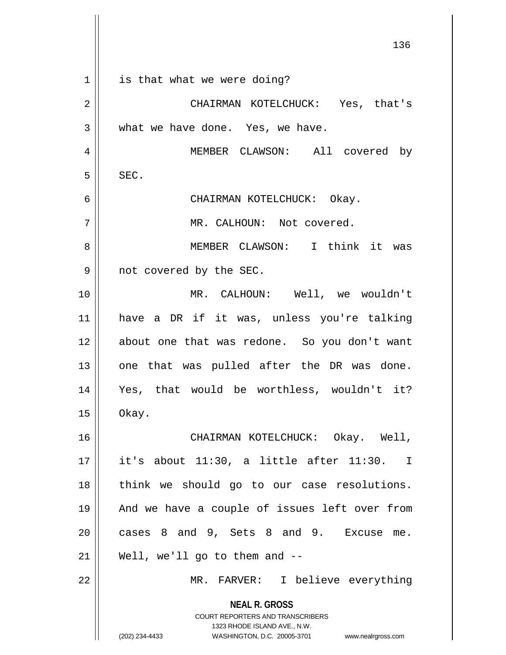|                | 136                                                                                                                                                                    |
|----------------|------------------------------------------------------------------------------------------------------------------------------------------------------------------------|
| $\mathbf 1$    | is that what we were doing?                                                                                                                                            |
| $\overline{2}$ | CHAIRMAN KOTELCHUCK: Yes, that's                                                                                                                                       |
| 3              | what we have done. Yes, we have.                                                                                                                                       |
| 4              | MEMBER CLAWSON: All covered by                                                                                                                                         |
| 5              | SEC.                                                                                                                                                                   |
| 6              | CHAIRMAN KOTELCHUCK: Okay.                                                                                                                                             |
| 7              | MR. CALHOUN: Not covered.                                                                                                                                              |
| 8              | MEMBER CLAWSON: I think it was                                                                                                                                         |
| 9              | not covered by the SEC.                                                                                                                                                |
| 10             | MR. CALHOUN: Well, we wouldn't                                                                                                                                         |
| 11             | have a DR if it was, unless you're talking                                                                                                                             |
| 12             | about one that was redone. So you don't want                                                                                                                           |
| 13             | one that was pulled after the DR was done.                                                                                                                             |
| 14             | Yes, that would be worthless, wouldn't it?                                                                                                                             |
| 15             | Okay.                                                                                                                                                                  |
| 16             | CHAIRMAN KOTELCHUCK: Okay. Well,                                                                                                                                       |
| 17             | it's about 11:30, a little after 11:30.<br>$\mathbb{I}$                                                                                                                |
| 18             | think we should go to our case resolutions.                                                                                                                            |
| 19             | And we have a couple of issues left over from                                                                                                                          |
| 20             | cases 8 and 9, Sets 8 and 9. Excuse me.                                                                                                                                |
| 21             | Well, we'll go to them and --                                                                                                                                          |
| 22             | MR. FARVER: I believe everything                                                                                                                                       |
|                | <b>NEAL R. GROSS</b><br><b>COURT REPORTERS AND TRANSCRIBERS</b><br>1323 RHODE ISLAND AVE., N.W.<br>(202) 234-4433<br>WASHINGTON, D.C. 20005-3701<br>www.nealrgross.com |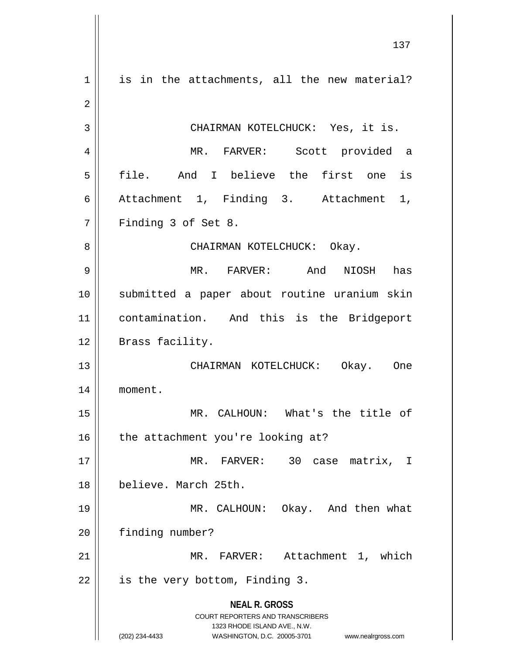**NEAL R. GROSS** COURT REPORTERS AND TRANSCRIBERS 1323 RHODE ISLAND AVE., N.W. (202) 234-4433 WASHINGTON, D.C. 20005-3701 www.nealrgross.com  $1 \parallel$  is in the attachments, all the new material? CHAIRMAN KOTELCHUCK: Yes, it is. MR. FARVER: Scott provided a file. And I believe the first one is Attachment 1, Finding 3. Attachment 1, Finding 3 of Set 8. CHAIRMAN KOTELCHUCK: Okay. MR. FARVER: And NIOSH has submitted a paper about routine uranium skin contamination. And this is the Bridgeport 12 || Brass facility. CHAIRMAN KOTELCHUCK: Okay. One moment. MR. CALHOUN: What's the title of  $\parallel$  the attachment you're looking at? MR. FARVER: 30 case matrix, I believe. March 25th. MR. CALHOUN: Okay. And then what 20 | finding number? MR. FARVER: Attachment 1, which | is the very bottom, Finding 3.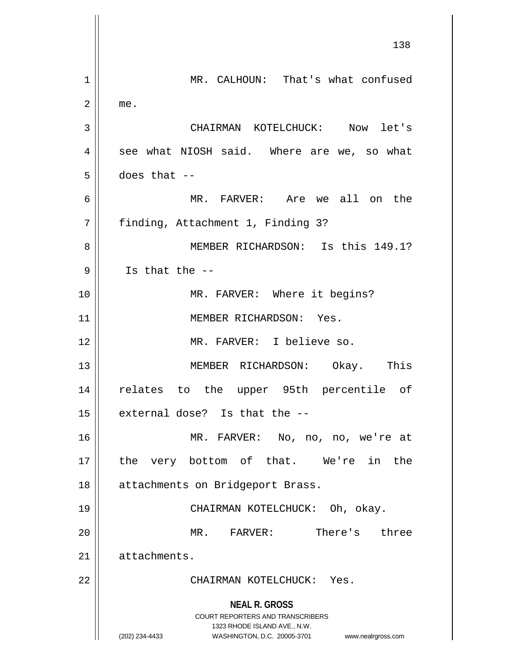**NEAL R. GROSS** COURT REPORTERS AND TRANSCRIBERS 1323 RHODE ISLAND AVE., N.W. (202) 234-4433 WASHINGTON, D.C. 20005-3701 www.nealrgross.com 138 1 | MR. CALHOUN: That's what confused  $2 \parallel$  me. 3 CHAIRMAN KOTELCHUCK: Now let's  $4 \parallel$  see what NIOSH said. Where are we, so what  $5 \parallel$  does that --6 MR. FARVER: Are we all on the 7 | finding, Attachment 1, Finding 3? 8 MEMBER RICHARDSON: Is this 149.1?  $9$  || Is that the  $-$ -10 || MR. FARVER: Where it begins? 11 || MEMBER RICHARDSON: Yes. 12 MR. FARVER: I believe so. 13 || MEMBER RICHARDSON: Okay. This 14 relates to the upper 95th percentile of  $15$  external dose? Is that the  $-$ 16 MR. FARVER: No, no, no, we're at 17 || the very bottom of that. We're in the 18 || attachments on Bridgeport Brass. 19 CHAIRMAN KOTELCHUCK: Oh, okay. 20 MR. FARVER: There's three 21 | attachments. 22 CHAIRMAN KOTELCHUCK: Yes.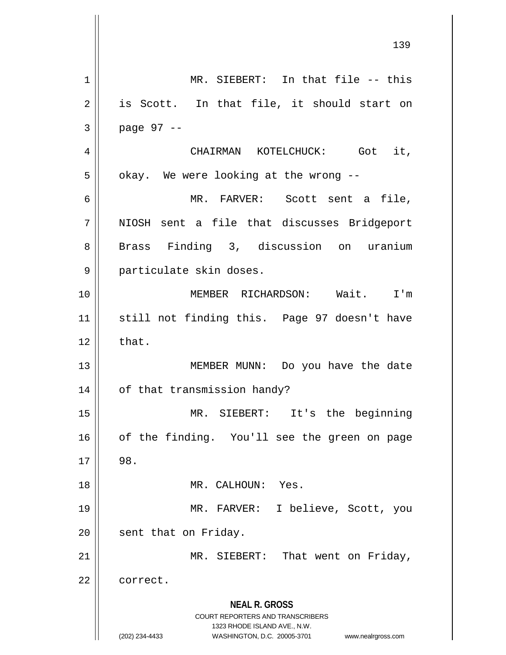**NEAL R. GROSS** COURT REPORTERS AND TRANSCRIBERS 1323 RHODE ISLAND AVE., N.W. (202) 234-4433 WASHINGTON, D.C. 20005-3701 www.nealrgross.com 1 || MR. SIEBERT: In that file -- this  $2 \parallel$  is Scott. In that file, it should start on  $3 \parallel$  page 97 --4 CHAIRMAN KOTELCHUCK: Got it,  $5 \parallel$  okay. We were looking at the wrong --6 MR. FARVER: Scott sent a file, 7 || NIOSH sent a file that discusses Bridgeport 8 || Brass Finding 3, discussion on uranium 9 || particulate skin doses. 10 MEMBER RICHARDSON: Wait. I'm 11 still not finding this. Page 97 doesn't have  $12 \parallel$  that. 13 || MEMBER MUNN: Do you have the date 14 | of that transmission handy? 15 MR. SIEBERT: It's the beginning 16 || of the finding. You'll see the green on page  $17 \parallel 98.$ 18 MR. CALHOUN: Yes. 19 MR. FARVER: I believe, Scott, you 20 | sent that on Friday. 21 || MR. SIEBERT: That went on Friday, 22 | correct.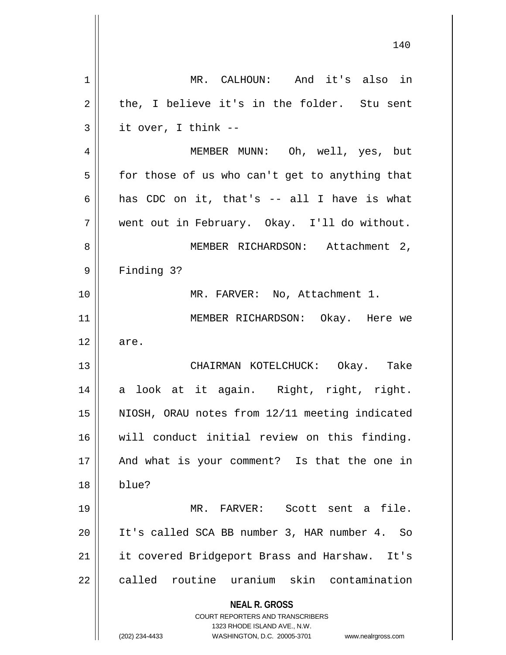| 1  | MR. CALHOUN: And it's also in                                                                                                                                          |
|----|------------------------------------------------------------------------------------------------------------------------------------------------------------------------|
| 2  | the, I believe it's in the folder. Stu sent                                                                                                                            |
| 3  | it over, I think --                                                                                                                                                    |
| 4  | MEMBER MUNN: Oh, well, yes, but                                                                                                                                        |
| 5  | for those of us who can't get to anything that                                                                                                                         |
| 6  | has CDC on it, that's -- all I have is what                                                                                                                            |
| 7  | went out in February. Okay. I'll do without.                                                                                                                           |
| 8  | MEMBER RICHARDSON: Attachment 2,                                                                                                                                       |
| 9  | Finding 3?                                                                                                                                                             |
| 10 | MR. FARVER: No, Attachment 1.                                                                                                                                          |
| 11 | MEMBER RICHARDSON: Okay. Here we                                                                                                                                       |
| 12 | are.                                                                                                                                                                   |
| 13 | CHAIRMAN KOTELCHUCK: Okay. Take                                                                                                                                        |
| 14 | a look at it again. Right, right, right.                                                                                                                               |
| 15 | NIOSH, ORAU notes from 12/11 meeting indicated                                                                                                                         |
| 16 | will conduct initial review on this finding.                                                                                                                           |
| 17 | And what is your comment? Is that the one in                                                                                                                           |
| 18 | blue?                                                                                                                                                                  |
| 19 | MR. FARVER: Scott sent a file.                                                                                                                                         |
| 20 | It's called SCA BB number 3, HAR number 4. So                                                                                                                          |
| 21 | it covered Bridgeport Brass and Harshaw. It's                                                                                                                          |
| 22 | called routine uranium skin contamination                                                                                                                              |
|    | <b>NEAL R. GROSS</b><br><b>COURT REPORTERS AND TRANSCRIBERS</b><br>1323 RHODE ISLAND AVE., N.W.<br>(202) 234-4433<br>WASHINGTON, D.C. 20005-3701<br>www.nealrgross.com |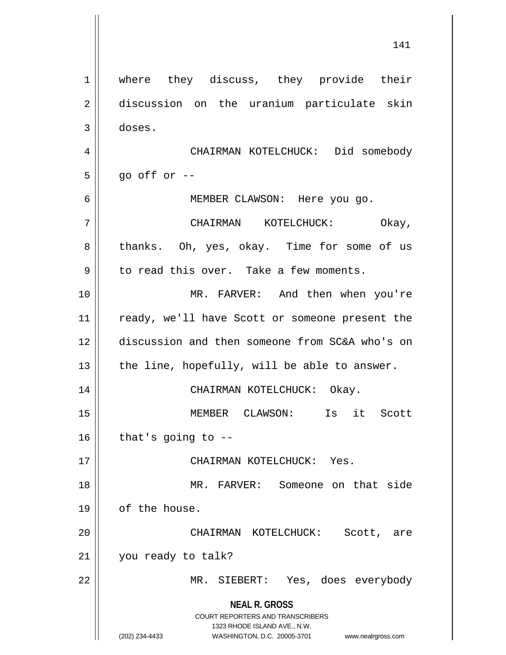**NEAL R. GROSS** COURT REPORTERS AND TRANSCRIBERS 1323 RHODE ISLAND AVE., N.W. (202) 234-4433 WASHINGTON, D.C. 20005-3701 www.nealrgross.com 141 1 || where they discuss, they provide their 2 discussion on the uranium particulate skin 3 doses. 4 CHAIRMAN KOTELCHUCK: Did somebody  $5 \parallel$  qo off or --6 MEMBER CLAWSON: Here you go. 7 CHAIRMAN KOTELCHUCK: Okay, 8 thanks. Oh, yes, okay. Time for some of us  $9 \parallel$  to read this over. Take a few moments. 10 MR. FARVER: And then when you're 11 || ready, we'll have Scott or someone present the 12 discussion and then someone from SC&A who's on 13  $\parallel$  the line, hopefully, will be able to answer. 14 CHAIRMAN KOTELCHUCK: Okay. 15 MEMBER CLAWSON: Is it Scott  $16$  | that's going to  $-$ -17 CHAIRMAN KOTELCHUCK: Yes. 18 || MR. FARVER: Someone on that side 19 | of the house. 20 CHAIRMAN KOTELCHUCK: Scott, are 21 | you ready to talk? 22 MR. SIEBERT: Yes, does everybody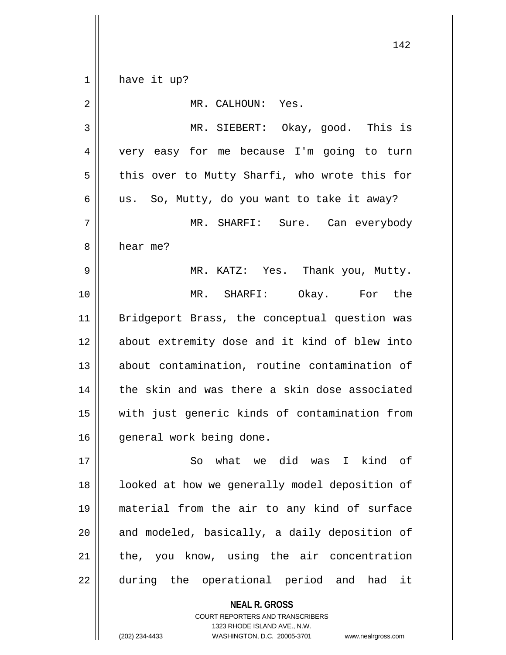$1 \parallel$  have it up? 2 MR. CALHOUN: Yes. 3 MR. SIEBERT: Okay, good. This is 4 || very easy for me because I'm going to turn  $5 \parallel$  this over to Mutty Sharfi, who wrote this for  $6 \parallel$  us. So, Mutty, do you want to take it away? 7 MR. SHARFI: Sure. Can everybody 8 l hear me? 9 MR. KATZ: Yes. Thank you, Mutty. 10 MR. SHARFI: Okay. For the 11 Bridgeport Brass, the conceptual question was 12 || about extremity dose and it kind of blew into 13 about contamination, routine contamination of 14 || the skin and was there a skin dose associated 15 with just generic kinds of contamination from 16 || qeneral work being done. 17 So what we did was I kind of 18 || looked at how we generally model deposition of 19 material from the air to any kind of surface  $20$  || and modeled, basically, a daily deposition of  $21$  | the, you know, using the air concentration 22 || during the operational period and had it

> **NEAL R. GROSS** COURT REPORTERS AND TRANSCRIBERS

1323 RHODE ISLAND AVE., N.W. (202) 234-4433 WASHINGTON, D.C. 20005-3701 www.nealrgross.com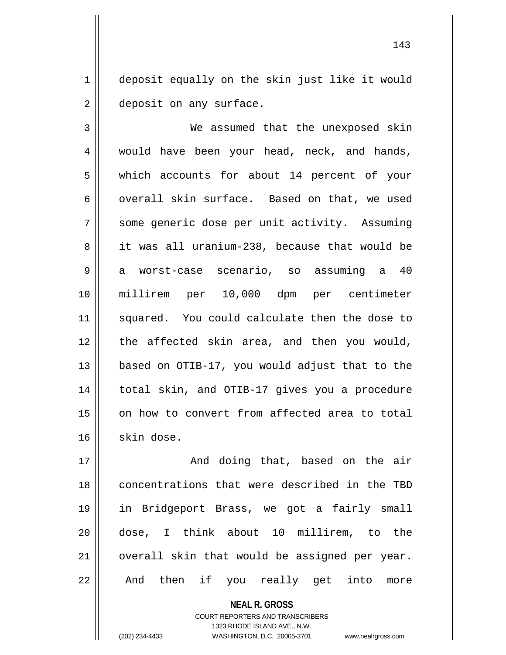1 deposit equally on the skin just like it would 2 | deposit on any surface.

3 We assumed that the unexposed skin 4 || would have been your head, neck, and hands, 5 which accounts for about 14 percent of your 6  $\parallel$  overall skin surface. Based on that, we used 7 || some generic dose per unit activity. Assuming 8 it was all uranium-238, because that would be 9 a worst-case scenario, so assuming a 40 10 millirem per 10,000 dpm per centimeter 11 squared. You could calculate then the dose to 12 the affected skin area, and then you would, 13 based on OTIB-17, you would adjust that to the 14 total skin, and OTIB-17 gives you a procedure 15 || on how to convert from affected area to total  $16$  skin dose.

 And doing that, based on the air concentrations that were described in the TBD in Bridgeport Brass, we got a fairly small dose, I think about 10 millirem, to the | overall skin that would be assigned per year. 22 || And then if you really get into more

> **NEAL R. GROSS** COURT REPORTERS AND TRANSCRIBERS 1323 RHODE ISLAND AVE., N.W.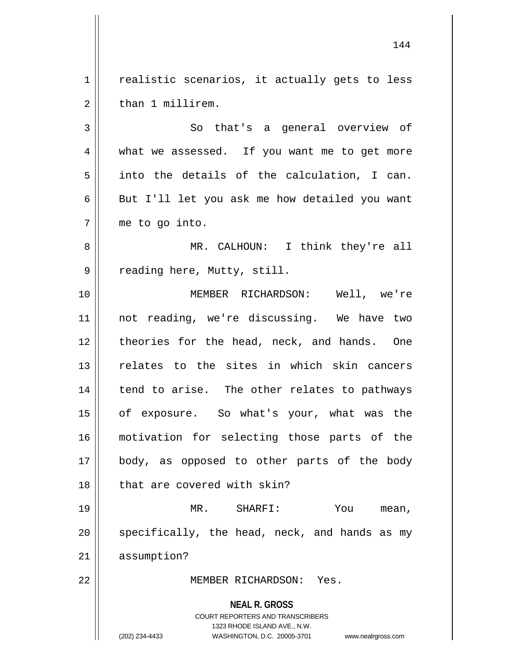1 || realistic scenarios, it actually gets to less 2 ll than 1 millirem.

3 || So that's a general overview of 4 || what we assessed. If you want me to get more  $5 \parallel$  into the details of the calculation, I can.  $6 \parallel$  But I'll let you ask me how detailed you want 7 me to go into.

8 MR. CALHOUN: I think they're all 9 || reading here, Mutty, still.

10 MEMBER RICHARDSON: Well, we're 11 not reading, we're discussing. We have two 12 theories for the head, neck, and hands. One 13 relates to the sites in which skin cancers  $14$  | tend to arise. The other relates to pathways 15 || of exposure. So what's your, what was the 16 motivation for selecting those parts of the 17 || body, as opposed to other parts of the body 18 || that are covered with skin?

19 MR. SHARFI: You mean,  $20$  || specifically, the head, neck, and hands as my 21 assumption?

22 MEMBER RICHARDSON: Yes.

**NEAL R. GROSS** COURT REPORTERS AND TRANSCRIBERS 1323 RHODE ISLAND AVE., N.W. (202) 234-4433 WASHINGTON, D.C. 20005-3701 www.nealrgross.com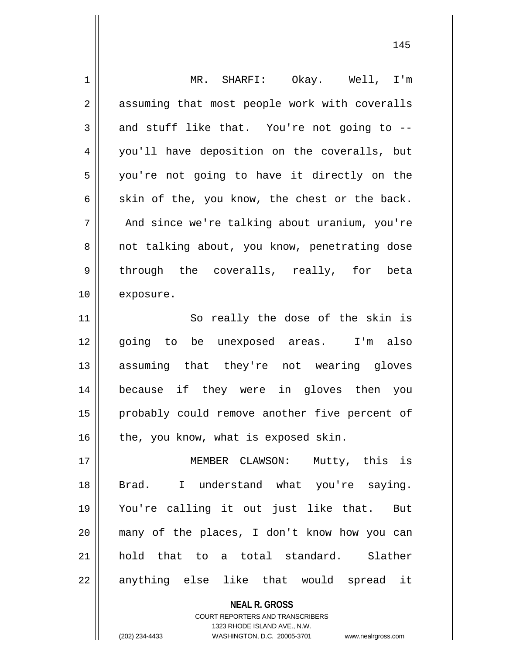| 1  | MR. SHARFI: Okay. Well, I'm                   |
|----|-----------------------------------------------|
| 2  | assuming that most people work with coveralls |
| 3  | and stuff like that. You're not going to --   |
| 4  | you'll have deposition on the coveralls, but  |
| 5  | you're not going to have it directly on the   |
| 6  | skin of the, you know, the chest or the back. |
| 7  | And since we're talking about uranium, you're |
| 8  | not talking about, you know, penetrating dose |
| 9  | through the coveralls, really, for<br>beta    |
| 10 | exposure.                                     |
| 11 | So really the dose of the skin is             |
| 12 | going to be unexposed areas. I'm also         |
| 13 | assuming that they're not wearing gloves      |
| 14 | because if they were in gloves then you       |
| 15 | probably could remove another five percent of |
| 16 | the, you know, what is exposed skin.          |
| 17 | MEMBER CLAWSON: Mutty, this is                |
| 18 | I understand what you're saying.<br>Brad.     |
| 19 | You're calling it out just like that. But     |
| 20 | many of the places, I don't know how you can  |
| 21 | hold that to a total standard. Slather        |
| 22 | anything else like that would spread it       |
|    | <b>NEAL R. GROSS</b>                          |

COURT REPORTERS AND TRANSCRIBERS 1323 RHODE ISLAND AVE., N.W.

 $\mathsf{I}$ 

(202) 234-4433 WASHINGTON, D.C. 20005-3701 www.nealrgross.com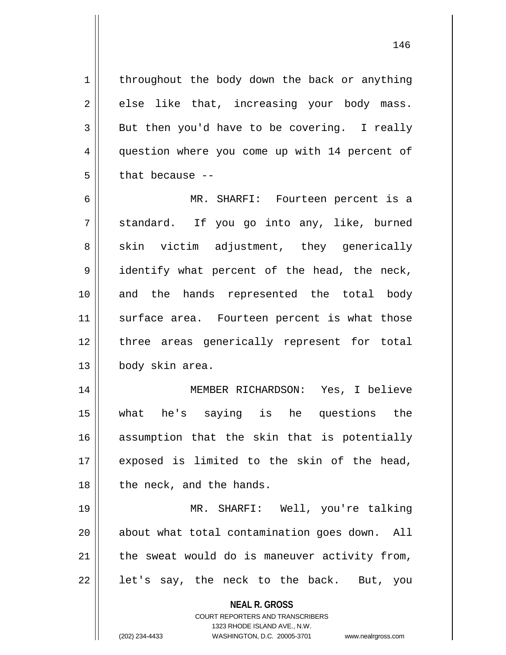$1 \parallel$  throughout the body down the back or anything  $2 \parallel$  else like that, increasing your body mass.  $3 \parallel$  But then you'd have to be covering. I really 4 question where you come up with 14 percent of  $5 \parallel$  that because --

6 MR. SHARFI: Fourteen percent is a  $7 \parallel$  standard. If you go into any, like, burned  $8 \parallel$  skin victim adjustment, they generically 9 || identify what percent of the head, the neck, 10 || and the hands represented the total body 11 || surface area. Fourteen percent is what those 12 || three areas generically represent for total 13 || body skin area.

 MEMBER RICHARDSON: Yes, I believe what he's saying is he questions the assumption that the skin that is potentially exposed is limited to the skin of the head, || the neck, and the hands.

19 MR. SHARFI: Well, you're talking 20 || about what total contamination goes down. All  $21$  | the sweat would do is maneuver activity from,  $22 \parallel$  let's say, the neck to the back. But, you

> **NEAL R. GROSS** COURT REPORTERS AND TRANSCRIBERS

1323 RHODE ISLAND AVE., N.W. (202) 234-4433 WASHINGTON, D.C. 20005-3701 www.nealrgross.com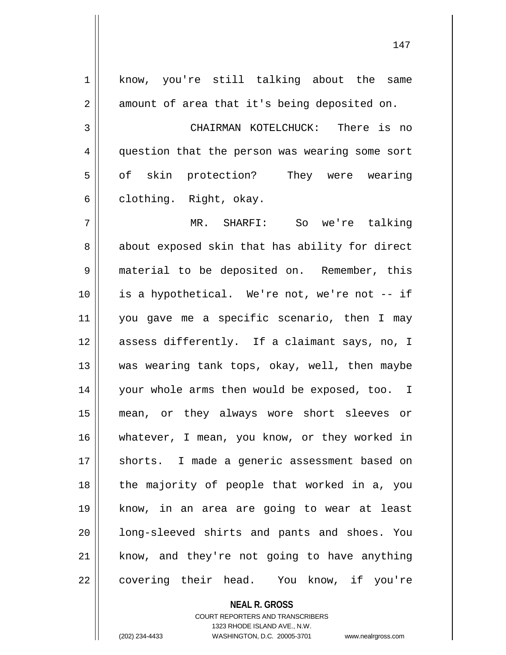| 1  | know, you're still talking about the same      |
|----|------------------------------------------------|
| 2  | amount of area that it's being deposited on.   |
| 3  | CHAIRMAN KOTELCHUCK: There is no               |
| 4  | question that the person was wearing some sort |
| 5  | of skin protection? They were wearing          |
| 6  | clothing. Right, okay.                         |
| 7  | MR. SHARFI: So we're talking                   |
| 8  | about exposed skin that has ability for direct |
| 9  | material to be deposited on. Remember, this    |
| 10 | is a hypothetical. We're not, we're not -- if  |
| 11 | you gave me a specific scenario, then I may    |
| 12 | assess differently. If a claimant says, no, I  |
| 13 | was wearing tank tops, okay, well, then maybe  |
| 14 | your whole arms then would be exposed, too. I  |
| 15 | mean, or they always wore short sleeves or     |
| 16 | whatever, I mean, you know, or they worked in  |
| 17 | shorts. I made a generic assessment based on   |
| 18 | the majority of people that worked in a, you   |
| 19 | know, in an area are going to wear at least    |
| 20 | long-sleeved shirts and pants and shoes. You   |
| 21 | know, and they're not going to have anything   |
| 22 | covering their head. You know, if you're       |

COURT REPORTERS AND TRANSCRIBERS

**NEAL R. GROSS**

1323 RHODE ISLAND AVE., N.W.

(202) 234-4433 WASHINGTON, D.C. 20005-3701 www.nealrgross.com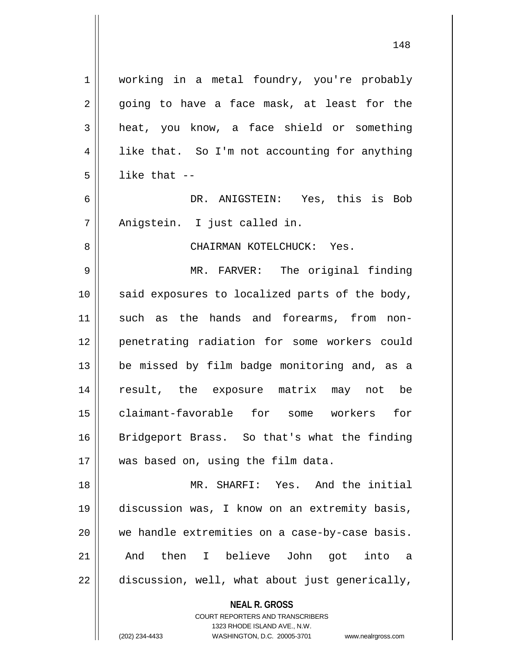**NEAL R. GROSS** COURT REPORTERS AND TRANSCRIBERS 1 | working in a metal foundry, you're probably  $2 \parallel$  going to have a face mask, at least for the 3 heat, you know, a face shield or something  $4 \parallel$  like that. So I'm not accounting for anything  $5$  ||  $\frac{1}{1}$  like that --6 DR. ANIGSTEIN: Yes, this is Bob 7 || Anigstein. I just called in. 8 CHAIRMAN KOTELCHUCK: Yes. 9 MR. FARVER: The original finding 10 || said exposures to localized parts of the body, 11 such as the hands and forearms, from non-12 penetrating radiation for some workers could 13 || be missed by film badge monitoring and, as a 14 result, the exposure matrix may not be 15 claimant-favorable for some workers for 16 Bridgeport Brass. So that's what the finding 17 || was based on, using the film data. 18 MR. SHARFI: Yes. And the initial 19 discussion was, I know on an extremity basis, 20 we handle extremities on a case-by-case basis. 21 And then I believe John got into a  $22$  | discussion, well, what about just generically,

1323 RHODE ISLAND AVE., N.W.

(202) 234-4433 WASHINGTON, D.C. 20005-3701 www.nealrgross.com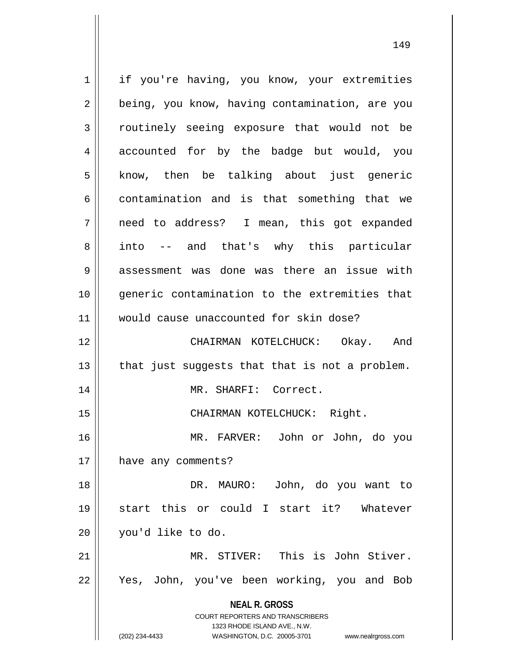**NEAL R. GROSS** COURT REPORTERS AND TRANSCRIBERS 1323 RHODE ISLAND AVE., N.W. (202) 234-4433 WASHINGTON, D.C. 20005-3701 www.nealrgross.com 1 | if you're having, you know, your extremities 2 | being, you know, having contamination, are you 3 Toutinely seeing exposure that would not be 4 accounted for by the badge but would, you  $5$  know, then be talking about just generic  $6 \parallel$  contamination and is that something that we 7 need to address? I mean, this got expanded 8 into -- and that's why this particular 9 assessment was done was there an issue with 10 generic contamination to the extremities that 11 would cause unaccounted for skin dose? 12 CHAIRMAN KOTELCHUCK: Okay. And  $13$  | that just suggests that that is not a problem. 14 || MR. SHARFI: Correct. 15 | CHAIRMAN KOTELCHUCK: Right. 16 MR. FARVER: John or John, do you 17 have any comments? 18 DR. MAURO: John, do you want to 19 start this or could I start it? Whatever 20 you'd like to do. 21 MR. STIVER: This is John Stiver. 22 || Yes, John, you've been working, you and Bob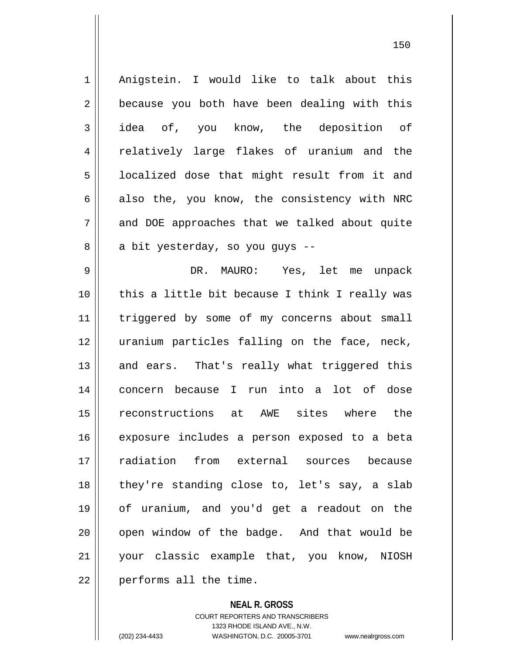1 || Anigstein. I would like to talk about this  $2 \parallel$  because you both have been dealing with this 3 idea of, you know, the deposition of 4 || relatively large flakes of uranium and the 5 | localized dose that might result from it and  $6 \parallel$  also the, you know, the consistency with NRC 7 and DOE approaches that we talked about quite 8 a bit yesterday, so you guys --9 DR. MAURO: Yes, let me unpack 10 || this a little bit because I think I really was 11 || triggered by some of my concerns about small 12 uranium particles falling on the face, neck, 13 || and ears. That's really what triggered this 14 concern because I run into a lot of dose 15 reconstructions at AWE sites where the 16 exposure includes a person exposed to a beta 17 radiation from external sources because 18 || they're standing close to, let's say, a slab 19 of uranium, and you'd get a readout on the  $20$  | open window of the badge. And that would be 21 your classic example that, you know, NIOSH

 $22$  | performs all the time.

**NEAL R. GROSS** COURT REPORTERS AND TRANSCRIBERS 1323 RHODE ISLAND AVE., N.W. (202) 234-4433 WASHINGTON, D.C. 20005-3701 www.nealrgross.com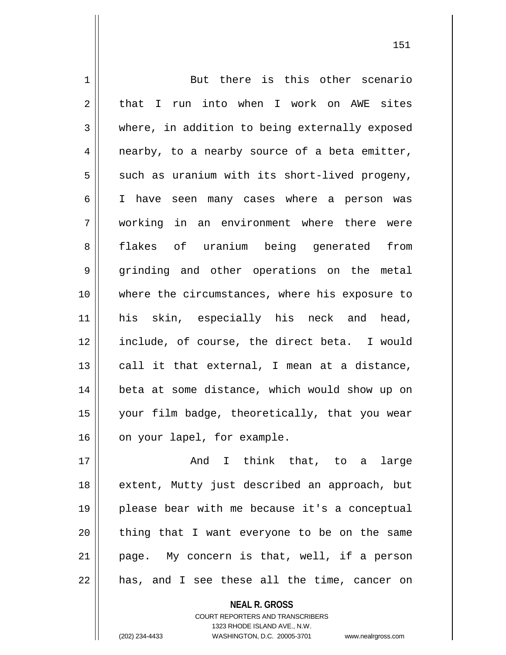1 But there is this other scenario  $2 \parallel$  that I run into when I work on AWE sites 3 where, in addition to being externally exposed  $4 \parallel$  nearby, to a nearby source of a beta emitter,  $5 \parallel$  such as uranium with its short-lived progeny, 6 I have seen many cases where a person was 7 working in an environment where there were 8 || flakes of uranium being generated from 9 || grinding and other operations on the metal 10 || where the circumstances, where his exposure to 11 || his skin, especially his neck and head, 12 include, of course, the direct beta. I would  $13$  call it that external, I mean at a distance, 14 beta at some distance, which would show up on 15 your film badge, theoretically, that you wear 16 | on your lapel, for example. 17 || **And I think that, to a large** 18 || extent, Mutty just described an approach, but 19 please bear with me because it's a conceptual

21 || page. My concern is that, well, if a person

 $22$  || has, and I see these all the time, cancer on

COURT REPORTERS AND TRANSCRIBERS 1323 RHODE ISLAND AVE., N.W. (202) 234-4433 WASHINGTON, D.C. 20005-3701 www.nealrgross.com

**NEAL R. GROSS**

 $20$  || thing that I want everyone to be on the same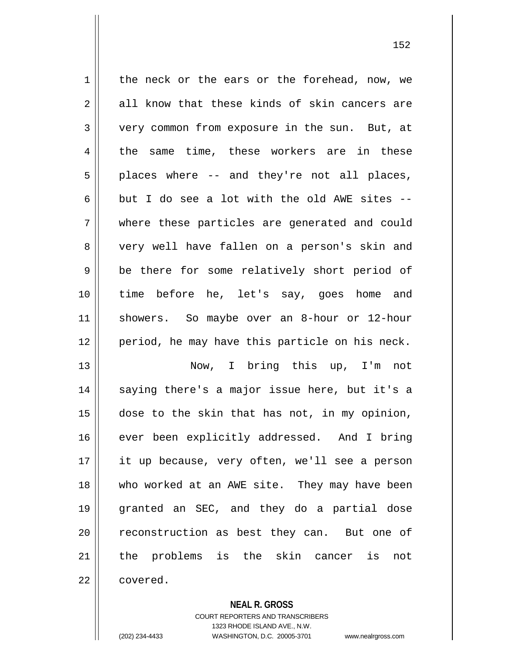$1 \parallel$  the neck or the ears or the forehead, now, we  $2 \parallel$  all know that these kinds of skin cancers are 3 Very common from exposure in the sun. But, at 4 the same time, these workers are in these  $5 \parallel$  places where -- and they're not all places, 6 but I do see a lot with the old AWE sites  $-$ 7 where these particles are generated and could 8 very well have fallen on a person's skin and 9 || be there for some relatively short period of 10 time before he, let's say, goes home and 11 showers. So maybe over an 8-hour or 12-hour 12 period, he may have this particle on his neck. 13 Now, I bring this up, I'm not  $14$  saying there's a major issue here, but it's a 15 dose to the skin that has not, in my opinion, 16 || ever been explicitly addressed. And I bring 17 it up because, very often, we'll see a person 18 who worked at an AWE site. They may have been 19 granted an SEC, and they do a partial dose 20 || reconstruction as best they can. But one of 21 the problems is the skin cancer is not

22 covered.

## **NEAL R. GROSS**

COURT REPORTERS AND TRANSCRIBERS 1323 RHODE ISLAND AVE., N.W. (202) 234-4433 WASHINGTON, D.C. 20005-3701 www.nealrgross.com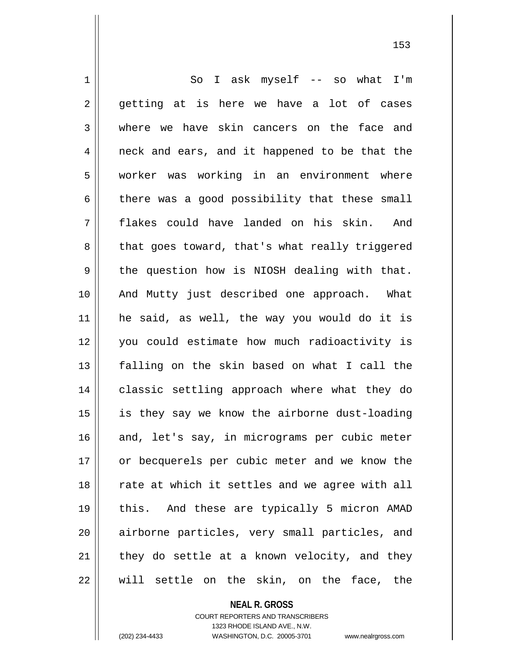1 So I ask myself -- so what I'm  $2 \parallel$  getting at is here we have a lot of cases 3 where we have skin cancers on the face and 4 || neck and ears, and it happened to be that the 5 worker was working in an environment where  $6 \parallel$  there was a good possibility that these small 7 flakes could have landed on his skin. And 8 || that goes toward, that's what really triggered  $9 \parallel$  the question how is NIOSH dealing with that. 10 || And Mutty just described one approach. What 11 he said, as well, the way you would do it is 12 you could estimate how much radioactivity is 13 falling on the skin based on what I call the 14 || classic settling approach where what they do  $15$  || is they say we know the airborne dust-loading 16 || and, let's say, in micrograms per cubic meter 17 || or becquerels per cubic meter and we know the 18 || rate at which it settles and we agree with all 19 this. And these are typically 5 micron AMAD 20 || airborne particles, very small particles, and  $21$  | they do settle at a known velocity, and they 22 will settle on the skin, on the face, the

> **NEAL R. GROSS** COURT REPORTERS AND TRANSCRIBERS

> > 1323 RHODE ISLAND AVE., N.W.

(202) 234-4433 WASHINGTON, D.C. 20005-3701 www.nealrgross.com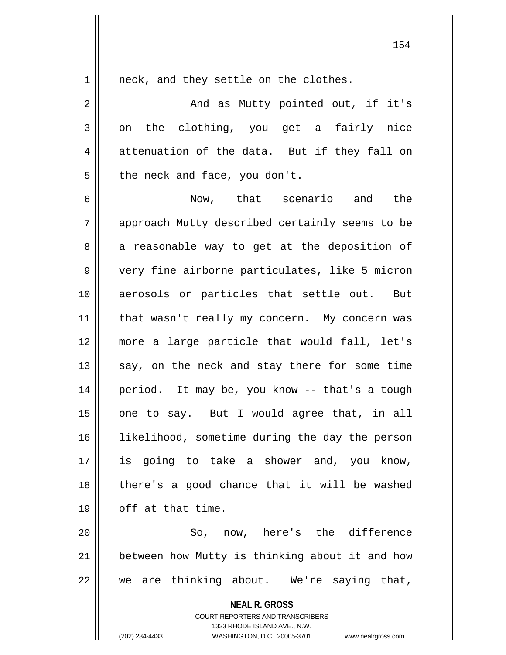1 || neck, and they settle on the clothes.

2 And as Mutty pointed out, if it's  $3 \parallel$  on the clothing, you get a fairly nice  $4 \parallel$  attenuation of the data. But if they fall on  $5 \parallel$  the neck and face, you don't.

6 Now, that scenario and the 7 approach Mutty described certainly seems to be  $8 \parallel$  a reasonable way to get at the deposition of 9 very fine airborne particulates, like 5 micron 10 || aerosols or particles that settle out. But 11 || that wasn't really my concern. My concern was 12 more a large particle that would fall, let's  $13$  say, on the neck and stay there for some time 14 || period. It may be, you know -- that's a tough  $15$  | one to say. But I would agree that, in all 16 || likelihood, sometime during the day the person 17 is going to take a shower and, you know,  $18$  || there's a good chance that it will be washed  $19 \parallel$  off at that time.

20 So, now, here's the difference 21 || between how Mutty is thinking about it and how 22 we are thinking about. We're saying that,

**NEAL R. GROSS**

COURT REPORTERS AND TRANSCRIBERS 1323 RHODE ISLAND AVE., N.W. (202) 234-4433 WASHINGTON, D.C. 20005-3701 www.nealrgross.com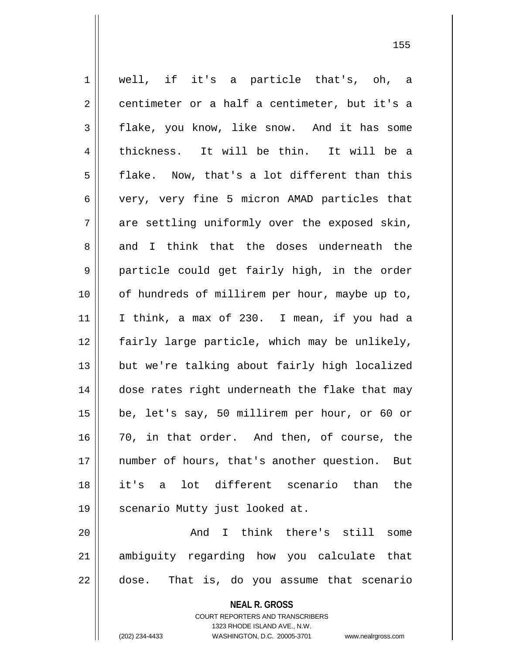**NEAL R. GROSS** 1 well, if it's a particle that's, oh, a  $2 \parallel$  centimeter or a half a centimeter, but it's a  $3 \parallel$  flake, you know, like snow. And it has some 4 thickness. It will be thin. It will be a  $5 \parallel$  flake. Now, that's a lot different than this 6 very, very fine 5 micron AMAD particles that  $7 \parallel$  are settling uniformly over the exposed skin, 8 and I think that the doses underneath the 9 || particle could get fairly high, in the order 10 || of hundreds of millirem per hour, maybe up to, 11 I think, a max of 230. I mean, if you had a 12 fairly large particle, which may be unlikely, 13 || but we're talking about fairly high localized 14 dose rates right underneath the flake that may 15 be, let's say, 50 millirem per hour, or 60 or 16 70, in that order. And then, of course, the 17 number of hours, that's another question. But 18 it's a lot different scenario than the 19 || scenario Mutty just looked at. 20 || Think there's still some 21 ambiguity regarding how you calculate that 22 dose. That is, do you assume that scenario

> COURT REPORTERS AND TRANSCRIBERS 1323 RHODE ISLAND AVE., N.W.

(202) 234-4433 WASHINGTON, D.C. 20005-3701 www.nealrgross.com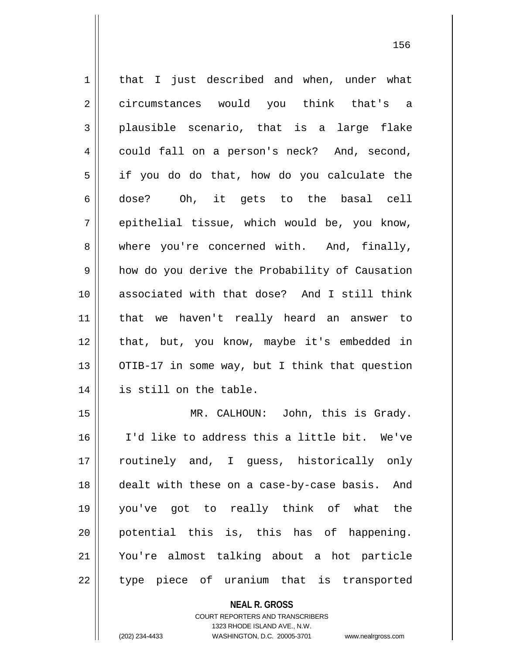| $\mathbf 1$ | that I just described and when, under what     |
|-------------|------------------------------------------------|
| 2           | circumstances would you think that's a         |
| 3           | plausible scenario, that is a large flake      |
| 4           | could fall on a person's neck? And, second,    |
| 5           | if you do do that, how do you calculate the    |
| 6           | dose? Oh, it gets to the basal cell            |
| 7           | epithelial tissue, which would be, you know,   |
| 8           | where you're concerned with. And, finally,     |
| 9           | how do you derive the Probability of Causation |
| 10          | associated with that dose? And I still think   |
| 11          | that we haven't really heard an answer to      |
| 12          | that, but, you know, maybe it's embedded in    |
| 13          | OTIB-17 in some way, but I think that question |
| 14          | is still on the table.                         |
| 15          | MR. CALHOUN: John, this is Grady.              |
| 16          | I'd like to address this a little bit. We've   |
| 17          | routinely and, I guess, historically only      |
| 18          | dealt with these on a case-by-case basis. And  |
| 19          | you've got to really think of what the         |
| 20          | potential this is, this has of happening.      |
| 21          | You're almost talking about a hot particle     |
|             |                                                |

type piece of uranium that is transported

**NEAL R. GROSS**

COURT REPORTERS AND TRANSCRIBERS 1323 RHODE ISLAND AVE., N.W. (202) 234-4433 WASHINGTON, D.C. 20005-3701 www.nealrgross.com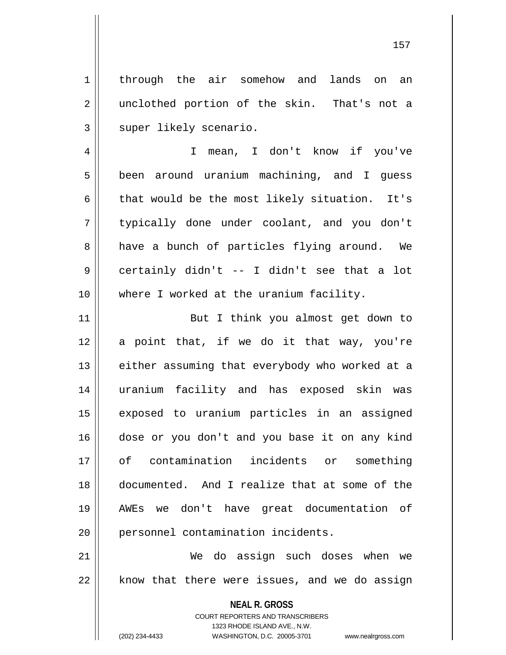1 | through the air somehow and lands on an 2 || unclothed portion of the skin. That's not a 3 || super likely scenario.

4 I mean, I don't know if you've 5 || been around uranium machining, and I guess 6  $\parallel$  that would be the most likely situation. It's 7 typically done under coolant, and you don't 8 a have a bunch of particles flying around. We 9 certainly didn't -- I didn't see that a lot 10 || where I worked at the uranium facility.

11 || But I think you almost get down to 12 a point that, if we do it that way, you're 13 || either assuming that everybody who worked at a 14 uranium facility and has exposed skin was 15 exposed to uranium particles in an assigned 16 dose or you don't and you base it on any kind 17 of contamination incidents or something 18 documented. And I realize that at some of the 19 AWEs we don't have great documentation of 20 | personnel contamination incidents.

21 We do assign such doses when we  $22$  | know that there were issues, and we do assign

> **NEAL R. GROSS** COURT REPORTERS AND TRANSCRIBERS 1323 RHODE ISLAND AVE., N.W.

(202) 234-4433 WASHINGTON, D.C. 20005-3701 www.nealrgross.com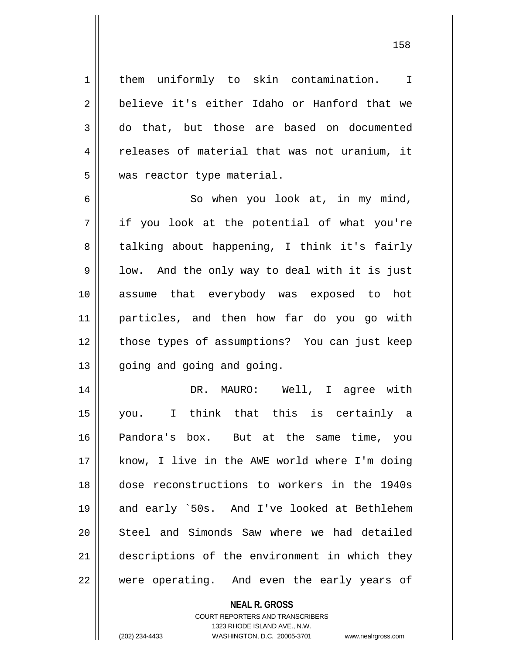1 | them uniformly to skin contamination. I 2 believe it's either Idaho or Hanford that we 3 || do that, but those are based on documented 4 || releases of material that was not uranium, it 5 | was reactor type material.

6 || So when you look at, in my mind, 7 if you look at the potential of what you're 8 || talking about happening, I think it's fairly  $9 \parallel$  low. And the only way to deal with it is just 10 assume that everybody was exposed to hot 11 particles, and then how far do you go with 12 || those types of assumptions? You can just keep 13 | going and going and going.

 DR. MAURO: Well, I agree with you. I think that this is certainly a Pandora's box. But at the same time, you know, I live in the AWE world where I'm doing dose reconstructions to workers in the 1940s 19 || and early `50s. And I've looked at Bethlehem 20 || Steel and Simonds Saw where we had detailed 21 | descriptions of the environment in which they || were operating. And even the early years of

## **NEAL R. GROSS**

COURT REPORTERS AND TRANSCRIBERS 1323 RHODE ISLAND AVE., N.W. (202) 234-4433 WASHINGTON, D.C. 20005-3701 www.nealrgross.com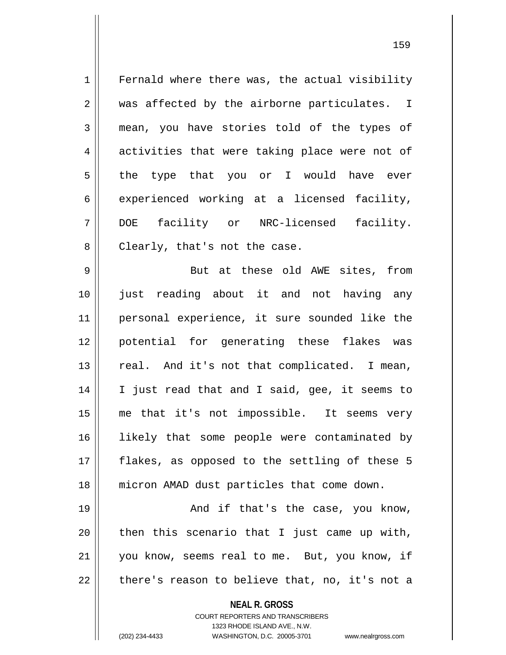**NEAL R. GROSS** COURT REPORTERS AND TRANSCRIBERS 1323 RHODE ISLAND AVE., N.W. 1 Fernald where there was, the actual visibility 2 || was affected by the airborne particulates. I 3 mean, you have stories told of the types of 4 activities that were taking place were not of  $5 \parallel$  the type that you or I would have ever  $6 \parallel$  experienced working at a licensed facility, 7 DOE facility or NRC-licensed facility. 8 || Clearly, that's not the case. 9 || But at these old AWE sites, from 10 just reading about it and not having any 11 || personal experience, it sure sounded like the 12 potential for generating these flakes was  $13$  | real. And it's not that complicated. I mean, 14 || I just read that and I said, gee, it seems to 15 me that it's not impossible. It seems very 16 || likely that some people were contaminated by 17 || flakes, as opposed to the settling of these 5 18 micron AMAD dust particles that come down. 19 And if that's the case, you know,  $20$  | then this scenario that I just came up with, 21 || you know, seems real to me. But, you know, if  $22$  || there's reason to believe that, no, it's not a

(202) 234-4433 WASHINGTON, D.C. 20005-3701 www.nealrgross.com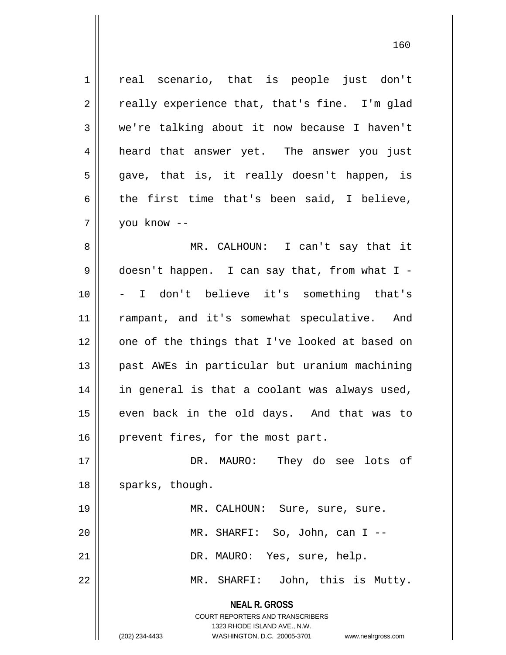**NEAL R. GROSS** COURT REPORTERS AND TRANSCRIBERS 1 || real scenario, that is people just don't  $2 \parallel$  really experience that, that's fine. I'm glad  $3 \parallel$  we're talking about it now because I haven't 4 || heard that answer yet. The answer you just  $5 \parallel$  gave, that is, it really doesn't happen, is 6 the first time that's been said, I believe, 7 you know -- 8 MR. CALHOUN: I can't say that it 9 doesn't happen. I can say that, from what I - 10 - I don't believe it's something that's 11 || rampant, and it's somewhat speculative. And 12 || one of the things that I've looked at based on 13 past AWEs in particular but uranium machining 14 || in general is that a coolant was always used, 15 || even back in the old days. And that was to 16 | prevent fires, for the most part. 17 DR. MAURO: They do see lots of 18 || sparks, though. 19 || MR. CALHOUN: Sure, sure, sure. 20 MR. SHARFI: So, John, can I -- 21 || DR. MAURO: Yes, sure, help. 22 MR. SHARFI: John, this is Mutty.

1323 RHODE ISLAND AVE., N.W.

(202) 234-4433 WASHINGTON, D.C. 20005-3701 www.nealrgross.com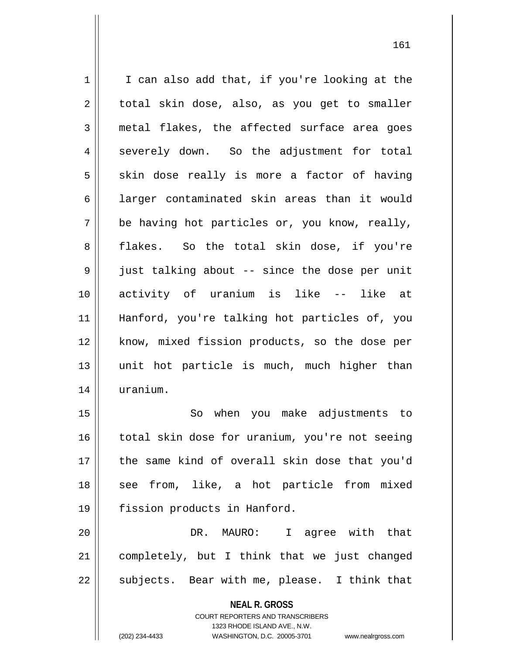$1 \parallel$  I can also add that, if you're looking at the  $2 \parallel$  total skin dose, also, as you get to smaller  $3$  metal flakes, the affected surface area goes 4 severely down. So the adjustment for total  $5 \parallel$  skin dose really is more a factor of having 6 | larger contaminated skin areas than it would  $7 \parallel$  be having hot particles or, you know, really, 8 flakes. So the total skin dose, if you're 9 || just talking about -- since the dose per unit 10 activity of uranium is like -- like at 11 Hanford, you're talking hot particles of, you 12 || know, mixed fission products, so the dose per 13 unit hot particle is much, much higher than 14 uranium.

15 || So when you make adjustments to 16 || total skin dose for uranium, you're not seeing 17 the same kind of overall skin dose that you'd 18 || see from, like, a hot particle from mixed 19 fission products in Hanford.

20 DR. MAURO: I agree with that 21 completely, but I think that we just changed  $22 \parallel$  subjects. Bear with me, please. I think that

> **NEAL R. GROSS** COURT REPORTERS AND TRANSCRIBERS 1323 RHODE ISLAND AVE., N.W. (202) 234-4433 WASHINGTON, D.C. 20005-3701 www.nealrgross.com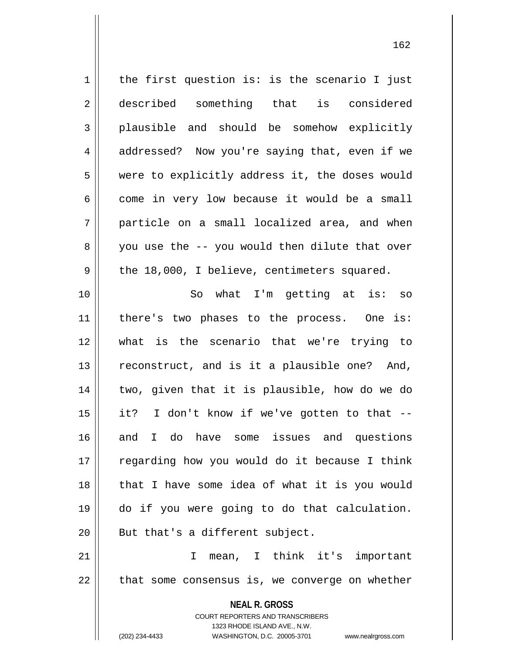$1$  the first question is: is the scenario I just 2 described something that is considered 3 plausible and should be somehow explicitly 4 addressed? Now you're saying that, even if we 5 | were to explicitly address it, the doses would  $6$  || come in very low because it would be a small  $7 \parallel$  particle on a small localized area, and when  $8 \parallel$  you use the -- you would then dilute that over  $9 \parallel$  the 18,000, I believe, centimeters squared. 10 So what I'm getting at is: so 11 || there's two phases to the process. One is: 12 what is the scenario that we're trying to  $13$  reconstruct, and is it a plausible one? And, 14 two, given that it is plausible, how do we do  $15$  || it? I don't know if we've gotten to that  $-$ -16 and I do have some issues and questions

17 || regarding how you would do it because I think 18 || that I have some idea of what it is you would 19 do if you were going to do that calculation.  $20$  || But that's a different subject.

21 I mean, I think it's important  $22$  || that some consensus is, we converge on whether

> **NEAL R. GROSS** COURT REPORTERS AND TRANSCRIBERS 1323 RHODE ISLAND AVE., N.W. (202) 234-4433 WASHINGTON, D.C. 20005-3701 www.nealrgross.com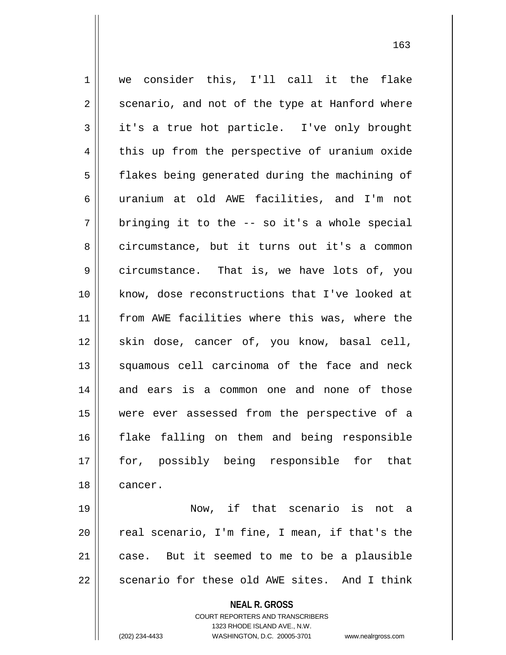1 | we consider this, I'll call it the flake  $2 \parallel$  scenario, and not of the type at Hanford where 3 it's a true hot particle. I've only brought 4 this up from the perspective of uranium oxide 5 | flakes being generated during the machining of 6 uranium at old AWE facilities, and I'm not  $7 \parallel$  bringing it to the -- so it's a whole special 8 circumstance, but it turns out it's a common 9 | circumstance. That is, we have lots of, you 10 know, dose reconstructions that I've looked at 11 || from AWE facilities where this was, where the 12 || skin dose, cancer of, you know, basal cell, 13 || squamous cell carcinoma of the face and neck 14 and ears is a common one and none of those 15 were ever assessed from the perspective of a 16 flake falling on them and being responsible 17 || for, possibly being responsible for that 18 cancer. 19 Now, if that scenario is not a

 $20$  || real scenario, I'm fine, I mean, if that's the  $21$  case. But it seemed to me to be a plausible 22  $\parallel$  scenario for these old AWE sites. And I think

**NEAL R. GROSS**

COURT REPORTERS AND TRANSCRIBERS 1323 RHODE ISLAND AVE., N.W. (202) 234-4433 WASHINGTON, D.C. 20005-3701 www.nealrgross.com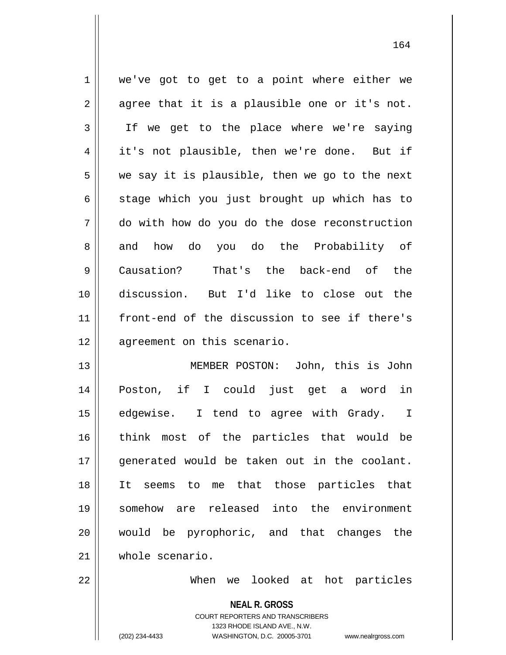1 | we've got to get to a point where either we  $2 \parallel$  agree that it is a plausible one or it's not. 3 || If we get to the place where we're saying 4 || it's not plausible, then we're done. But if  $5 \parallel$  we say it is plausible, then we go to the next  $6 \parallel$  stage which you just brought up which has to 7 do with how do you do the dose reconstruction 8 || and how do you do the Probability of 9 || Causation? That's the back-end of the 10 discussion. But I'd like to close out the 11 front-end of the discussion to see if there's 12 | agreement on this scenario.

 MEMBER POSTON: John, this is John Poston, if I could just get a word in 15 || edgewise. I tend to agree with Grady. I think most of the particles that would be 17 || generated would be taken out in the coolant. It seems to me that those particles that somehow are released into the environment would be pyrophoric, and that changes the whole scenario.

22 When we looked at hot particles

**NEAL R. GROSS**

COURT REPORTERS AND TRANSCRIBERS 1323 RHODE ISLAND AVE., N.W. (202) 234-4433 WASHINGTON, D.C. 20005-3701 www.nealrgross.com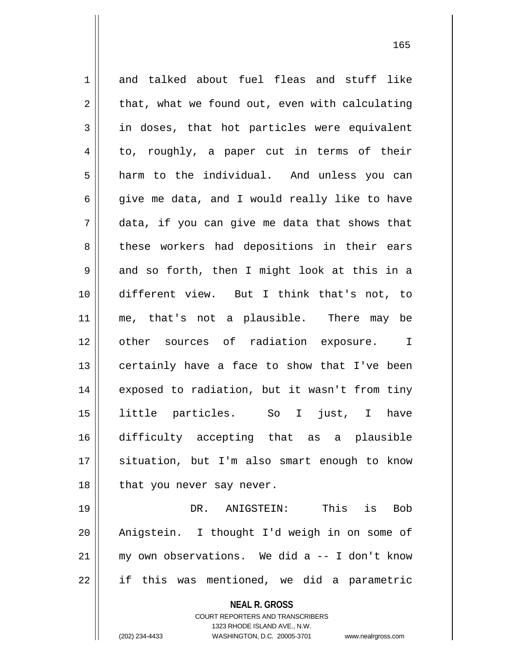1 and talked about fuel fleas and stuff like  $2 \parallel$  that, what we found out, even with calculating 3 in doses, that hot particles were equivalent 4 to, roughly, a paper cut in terms of their  $5 \parallel$  harm to the individual. And unless you can 6 give me data, and I would really like to have  $7 \parallel$  data, if you can give me data that shows that 8 || these workers had depositions in their ears  $9 \parallel$  and so forth, then I might look at this in a 10 different view. But I think that's not, to 11 || me, that's not a plausible. There may be 12 || other sources of radiation exposure. I 13 || certainly have a face to show that I've been 14 || exposed to radiation, but it wasn't from tiny 15 little particles. So I just, I have 16 difficulty accepting that as a plausible 17 || situation, but I'm also smart enough to know  $18$  || that you never say never. 19 DR. ANIGSTEIN: This is Bob 20 Anigstein. I thought I'd weigh in on some of 21 my own observations. We did a -- I don't know  $22 \parallel$  if this was mentioned, we did a parametric

> **NEAL R. GROSS** COURT REPORTERS AND TRANSCRIBERS 1323 RHODE ISLAND AVE., N.W.

(202) 234-4433 WASHINGTON, D.C. 20005-3701 www.nealrgross.com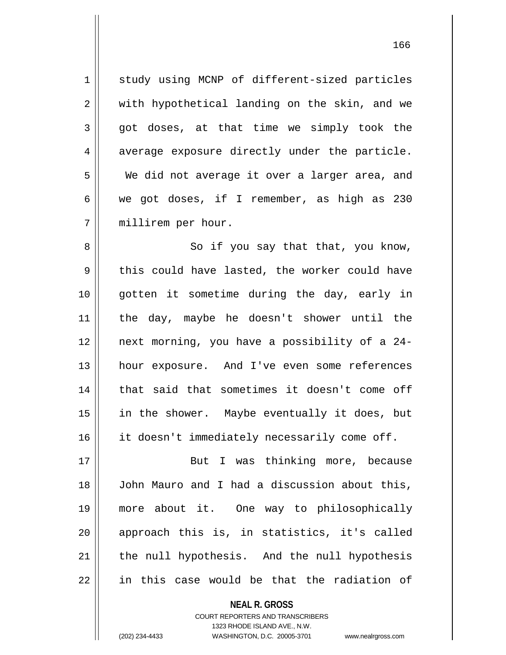1 study using MCNP of different-sized particles 2 || with hypothetical landing on the skin, and we  $3 \parallel$  got doses, at that time we simply took the  $4 \parallel$  average exposure directly under the particle. 5 We did not average it over a larger area, and 6 we got doses, if I remember, as high as 230 7 millirem per hour.

8 || So if you say that that, you know,  $9 \parallel$  this could have lasted, the worker could have 10 gotten it sometime during the day, early in 11 the day, maybe he doesn't shower until the 12 next morning, you have a possibility of a 24- 13 hour exposure. And I've even some references 14 || that said that sometimes it doesn't come off 15 in the shower. Maybe eventually it does, but 16 || it doesn't immediately necessarily come off.

17 || But I was thinking more, because 18 || John Mauro and I had a discussion about this, 19 more about it. One way to philosophically 20 || approach this is, in statistics, it's called  $21$  | the null hypothesis. And the null hypothesis  $22$  || in this case would be that the radiation of

> **NEAL R. GROSS** COURT REPORTERS AND TRANSCRIBERS 1323 RHODE ISLAND AVE., N.W. (202) 234-4433 WASHINGTON, D.C. 20005-3701 www.nealrgross.com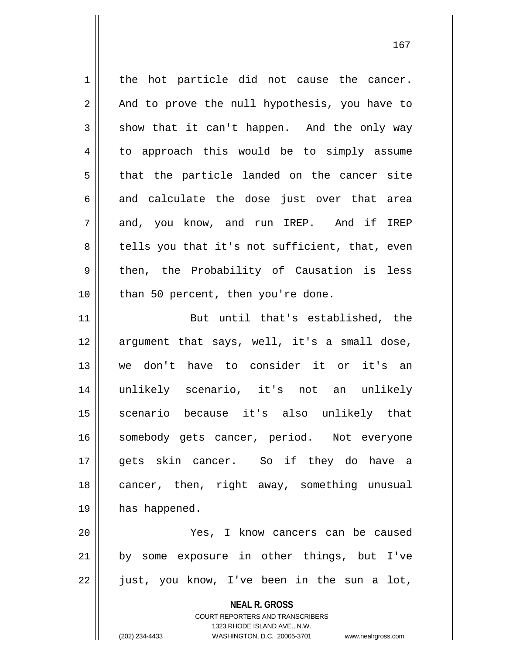**NEAL R. GROSS** COURT REPORTERS AND TRANSCRIBERS 1323 RHODE ISLAND AVE., N.W.  $1 \parallel$  the hot particle did not cause the cancer.  $2 \parallel$  And to prove the null hypothesis, you have to  $3 \parallel$  show that it can't happen. And the only way 4 | to approach this would be to simply assume  $5 \parallel$  that the particle landed on the cancer site  $6 \parallel$  and calculate the dose just over that area 7 and, you know, and run IREP. And if IREP  $8 \parallel$  tells you that it's not sufficient, that, even  $9 \parallel$  then, the Probability of Causation is less  $10$  | than 50 percent, then you're done. 11 || But until that's established, the 12 argument that says, well, it's a small dose, 13 we don't have to consider it or it's an 14 unlikely scenario, it's not an unlikely 15 scenario because it's also unlikely that 16 || somebody gets cancer, period. Not everyone 17 || qets skin cancer. So if they do have a 18 || cancer, then, right away, something unusual 19 | has happened. 20 Yes, I know cancers can be caused 21 || by some exposure in other things, but I've 22 just, you know, I've been in the sun a lot,

(202) 234-4433 WASHINGTON, D.C. 20005-3701 www.nealrgross.com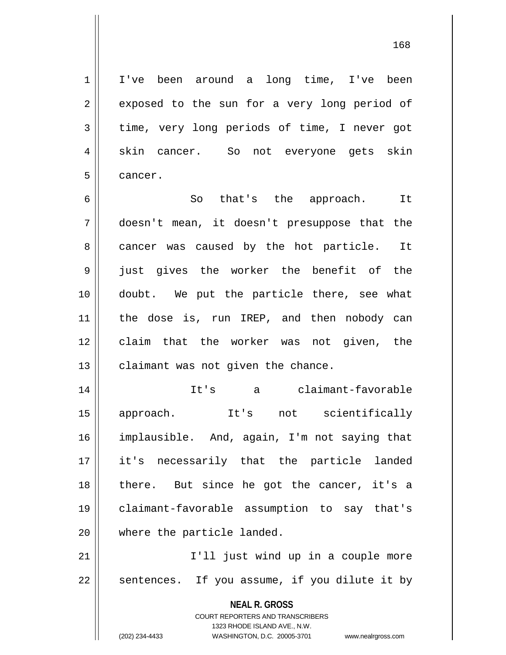1 I've been around a long time, I've been

 $2 \parallel$  exposed to the sun for a very long period of 3 time, very long periods of time, I never got 4 || skin cancer. So not everyone gets skin 5 | cancer.

6 So that's the approach. It 7 doesn't mean, it doesn't presuppose that the 8 cancer was caused by the hot particle. It 9 || just gives the worker the benefit of the 10 doubt. We put the particle there, see what 11 || the dose is, run IREP, and then nobody can 12 || claim that the worker was not given, the  $13$  | claimant was not given the chance.

 It's a claimant-favorable approach. It's not scientifically implausible. And, again, I'm not saying that it's necessarily that the particle landed 18 || there. But since he got the cancer, it's a claimant-favorable assumption to say that's 20 || where the particle landed.

21 || I'll just wind up in a couple more  $22$  | sentences. If you assume, if you dilute it by

> **NEAL R. GROSS** COURT REPORTERS AND TRANSCRIBERS

> > 1323 RHODE ISLAND AVE., N.W.

(202) 234-4433 WASHINGTON, D.C. 20005-3701 www.nealrgross.com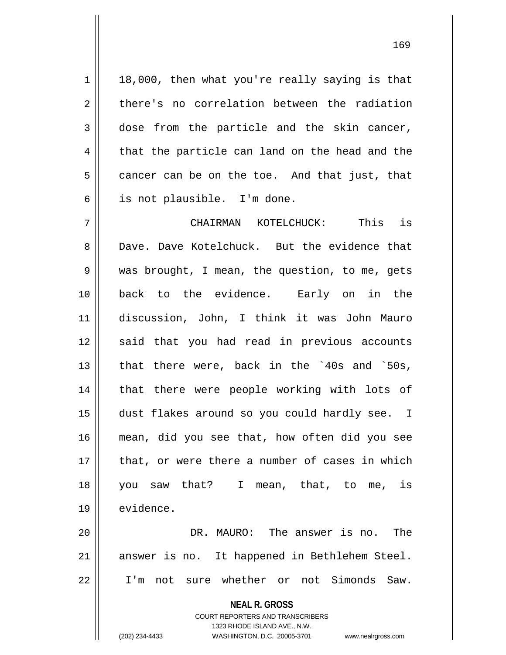$1 \parallel$  18,000, then what you're really saying is that  $2 \parallel$  there's no correlation between the radiation  $3 \parallel$  dose from the particle and the skin cancer,  $4 \parallel$  that the particle can land on the head and the  $5 \parallel$  cancer can be on the toe. And that just, that 6 is not plausible. I'm done.

7 CHAIRMAN KOTELCHUCK: This is 8 Dave. Dave Kotelchuck. But the evidence that 9 was brought, I mean, the question, to me, gets 10 back to the evidence. Early on in the 11 discussion, John, I think it was John Mauro 12 || said that you had read in previous accounts 13  $\parallel$  that there were, back in the `40s and `50s, 14 || that there were people working with lots of 15 dust flakes around so you could hardly see. I 16 mean, did you see that, how often did you see 17 || that, or were there a number of cases in which 18 you saw that? I mean, that, to me, is 19 | evidence.

20 DR. MAURO: The answer is no. The 21 || answer is no. It happened in Bethlehem Steel. 22 I'm not sure whether or not Simonds Saw.

**NEAL R. GROSS**

COURT REPORTERS AND TRANSCRIBERS 1323 RHODE ISLAND AVE., N.W. (202) 234-4433 WASHINGTON, D.C. 20005-3701 www.nealrgross.com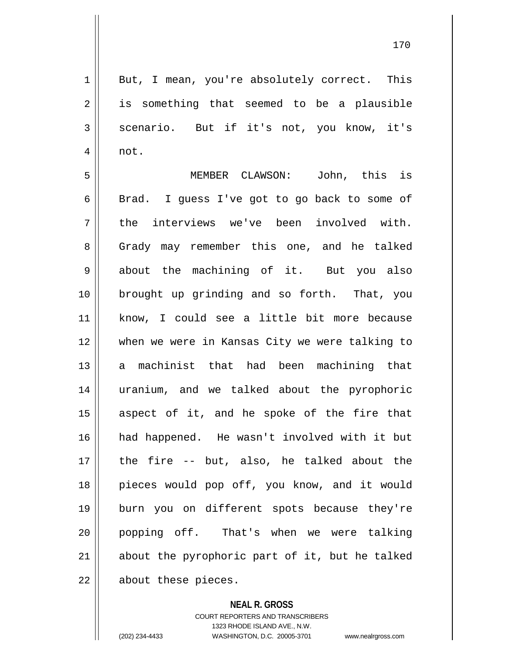1 || But, I mean, you're absolutely correct. This  $2 \parallel$  is something that seemed to be a plausible 3 | scenario. But if it's not, you know, it's  $4 \parallel$  not.

 MEMBER CLAWSON: John, this is  $6 \parallel$  Brad. I guess I've got to go back to some of  $7 \parallel$  the interviews we've been involved with. 8 || Grady may remember this one, and he talked 9 about the machining of it. But you also 10 || brought up grinding and so forth. That, you know, I could see a little bit more because when we were in Kansas City we were talking to a machinist that had been machining that uranium, and we talked about the pyrophoric aspect of it, and he spoke of the fire that had happened. He wasn't involved with it but the fire -- but, also, he talked about the 18 || pieces would pop off, you know, and it would burn you on different spots because they're 20 || popping off. That's when we were talking about the pyrophoric part of it, but he talked || about these pieces.

**NEAL R. GROSS**

COURT REPORTERS AND TRANSCRIBERS 1323 RHODE ISLAND AVE., N.W. (202) 234-4433 WASHINGTON, D.C. 20005-3701 www.nealrgross.com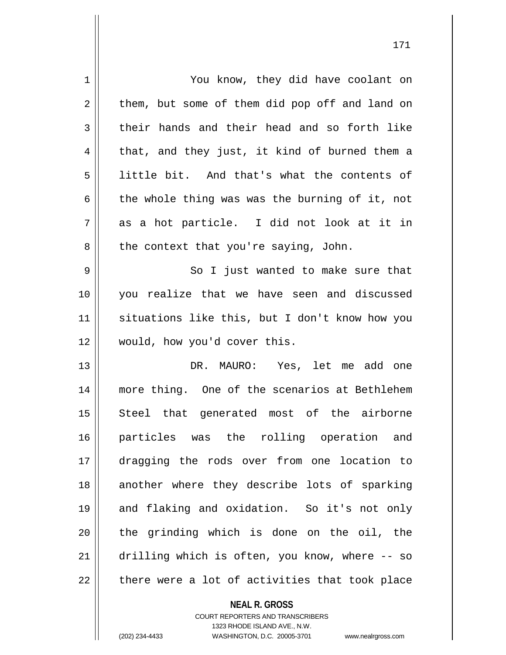| 1  | You know, they did have coolant on             |
|----|------------------------------------------------|
| 2  | them, but some of them did pop off and land on |
| 3  | their hands and their head and so forth like   |
| 4  | that, and they just, it kind of burned them a  |
| 5  | little bit. And that's what the contents of    |
| 6  | the whole thing was was the burning of it, not |
| 7  | as a hot particle. I did not look at it in     |
| 8  | the context that you're saying, John.          |
| 9  | So I just wanted to make sure that             |
| 10 | you realize that we have seen and discussed    |
| 11 | situations like this, but I don't know how you |
| 12 | would, how you'd cover this.                   |
| 13 | DR. MAURO: Yes, let me add one                 |
| 14 | more thing. One of the scenarios at Bethlehem  |
| 15 | Steel that generated most of the airborne      |
| 16 | particles was the rolling operation and        |
| 17 | dragging the rods over from one location to    |
| 18 | another where they describe lots of sparking   |
| 19 | and flaking and oxidation. So it's not only    |
| 20 | the grinding which is done on the oil, the     |
| 21 | drilling which is often, you know, where -- so |
| 22 | there were a lot of activities that took place |

**NEAL R. GROSS** COURT REPORTERS AND TRANSCRIBERS

1323 RHODE ISLAND AVE., N.W.

(202) 234-4433 WASHINGTON, D.C. 20005-3701 www.nealrgross.com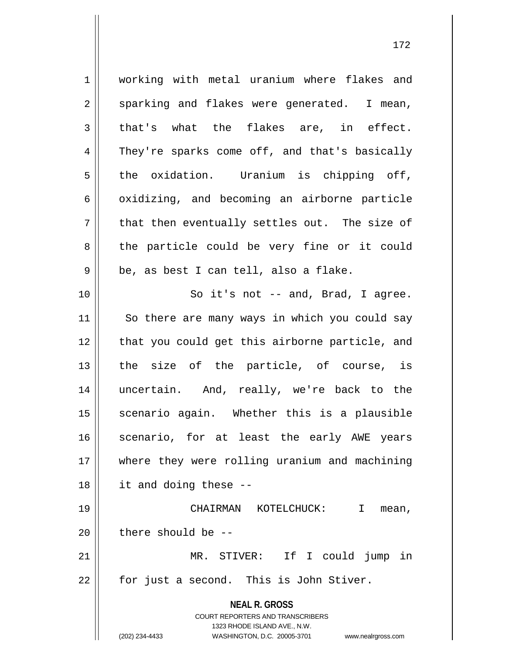**NEAL R. GROSS** COURT REPORTERS AND TRANSCRIBERS 1323 RHODE ISLAND AVE., N.W. (202) 234-4433 WASHINGTON, D.C. 20005-3701 www.nealrgross.com 1 working with metal uranium where flakes and  $2 \parallel$  sparking and flakes were generated. I mean,  $3 \parallel$  that's what the flakes are, in effect. 4 They're sparks come off, and that's basically  $5 \parallel$  the oxidation. Uranium is chipping off,  $6 \parallel$  oxidizing, and becoming an airborne particle  $7 \parallel$  that then eventually settles out. The size of  $8 \parallel$  the particle could be very fine or it could  $9 \parallel$  be, as best I can tell, also a flake. 10 || So it's not -- and, Brad, I agree. 11 || So there are many ways in which you could say 12 || that you could get this airborne particle, and  $13$  the size of the particle, of course, is 14 uncertain. And, really, we're back to the 15 || scenario again. Whether this is a plausible 16 || scenario, for at least the early AWE years 17 where they were rolling uranium and machining 18 it and doing these -- 19 CHAIRMAN KOTELCHUCK: I mean,  $20$  || there should be  $-$ 21 MR. STIVER: If I could jump in  $22 \parallel$  for just a second. This is John Stiver.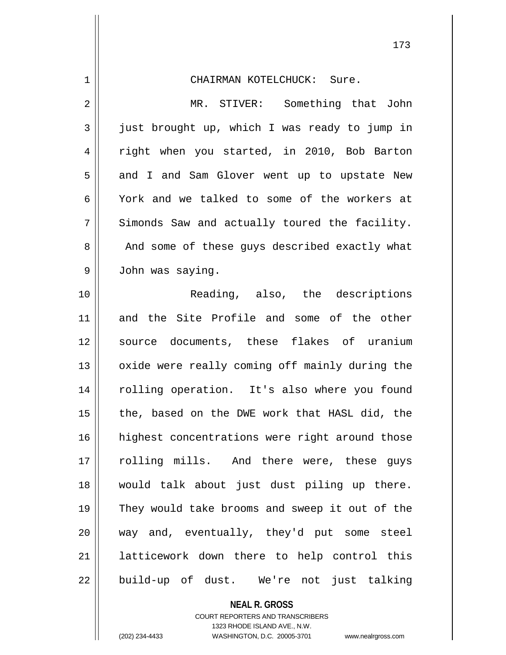| $\mathbf 1$ | CHAIRMAN KOTELCHUCK: Sure.                     |
|-------------|------------------------------------------------|
| 2           | MR. STIVER: Something that John                |
| 3           | just brought up, which I was ready to jump in  |
| 4           | right when you started, in 2010, Bob Barton    |
| 5           | and I and Sam Glover went up to upstate New    |
| 6           | York and we talked to some of the workers at   |
| 7           | Simonds Saw and actually toured the facility.  |
| 8           | And some of these guys described exactly what  |
| $\mathsf 9$ | John was saying.                               |
| 10          | Reading, also, the descriptions                |
| 11          | and the Site Profile and some of the other     |
| 12          | source documents, these flakes of uranium      |
| 13          | oxide were really coming off mainly during the |
| 14          | rolling operation. It's also where you found   |
| 15          | the, based on the DWE work that HASL did, the  |
| 16          | highest concentrations were right around those |
| 17          | rolling mills. And there were, these guys      |
| 18          | would talk about just dust piling up there.    |
| 19          | They would take brooms and sweep it out of the |
| 20          | way and, eventually, they'd put some steel     |
| 21          | latticework down there to help control this    |
| 22          | build-up of dust. We're not just talking       |

**NEAL R. GROSS**

COURT REPORTERS AND TRANSCRIBERS 1323 RHODE ISLAND AVE., N.W.

(202) 234-4433 WASHINGTON, D.C. 20005-3701 www.nealrgross.com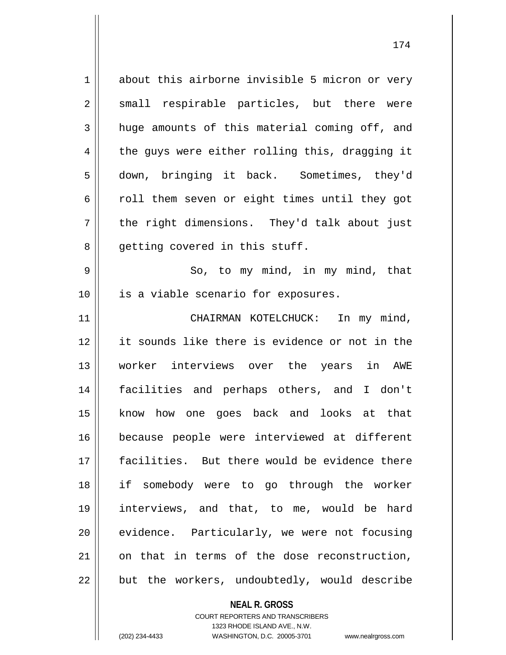1 about this airborne invisible 5 micron or very 2 || small respirable particles, but there were  $3 \parallel$  huge amounts of this material coming off, and  $4 \parallel$  the guys were either rolling this, dragging it 5 down, bringing it back. Sometimes, they'd 6 coll them seven or eight times until they got 7 || the right dimensions. They'd talk about just 8 || qetting covered in this stuff.

 $9 \parallel$  So, to my mind, in my mind, that 10 || is a viable scenario for exposures.

11 || CHAIRMAN KOTELCHUCK: In my mind, it sounds like there is evidence or not in the worker interviews over the years in AWE facilities and perhaps others, and I don't know how one goes back and looks at that because people were interviewed at different facilities. But there would be evidence there if somebody were to go through the worker interviews, and that, to me, would be hard 20 || evidence. Particularly, we were not focusing on that in terms of the dose reconstruction, || but the workers, undoubtedly, would describe

> **NEAL R. GROSS** COURT REPORTERS AND TRANSCRIBERS 1323 RHODE ISLAND AVE., N.W. (202) 234-4433 WASHINGTON, D.C. 20005-3701 www.nealrgross.com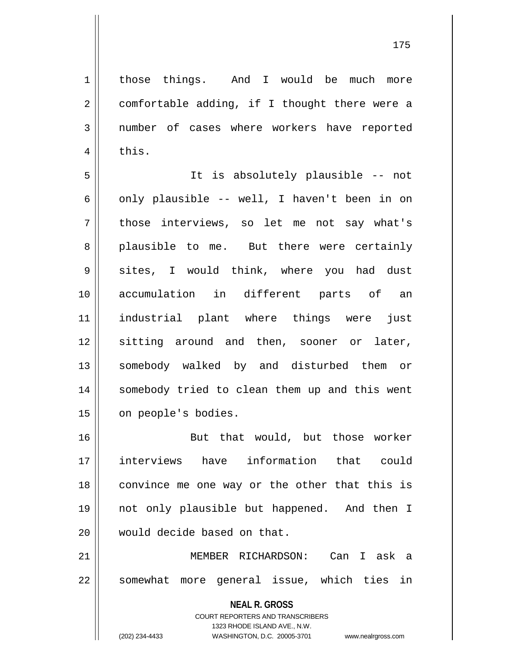1 | those things. And I would be much more  $2 \parallel$  comfortable adding, if I thought there were a 3 mumber of cases where workers have reported  $4 \parallel$  this.

5 It is absolutely plausible -- not 6 || only plausible -- well, I haven't been in on 7 || those interviews, so let me not say what's 8 plausible to me. But there were certainly 9 sites, I would think, where you had dust 10 accumulation in different parts of an 11 industrial plant where things were just 12 sitting around and then, sooner or later, 13 || somebody walked by and disturbed them or 14 somebody tried to clean them up and this went 15 | on people's bodies.

16 || But that would, but those worker 17 interviews have information that could  $18$  convince me one way or the other that this is 19 not only plausible but happened. And then I 20 would decide based on that.

21 MEMBER RICHARDSON: Can I ask a 22 || somewhat more general issue, which ties in

> **NEAL R. GROSS** COURT REPORTERS AND TRANSCRIBERS 1323 RHODE ISLAND AVE., N.W. (202) 234-4433 WASHINGTON, D.C. 20005-3701 www.nealrgross.com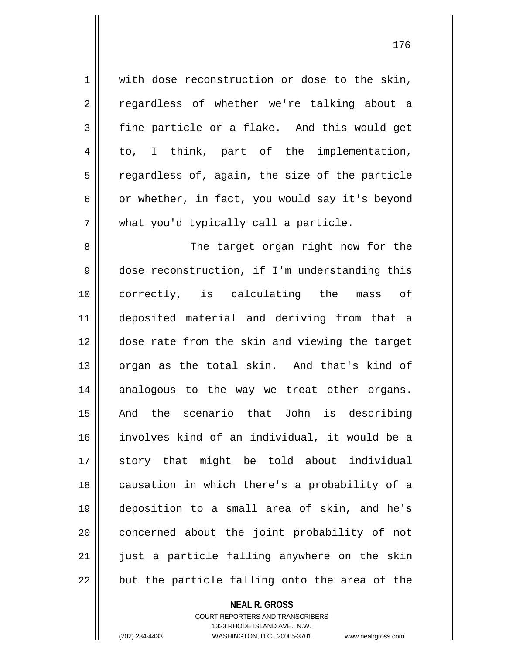1 with dose reconstruction or dose to the skin, 2 || regardless of whether we're talking about a  $3 \parallel$  fine particle or a flake. And this would get 4 to, I think, part of the implementation,  $5 \parallel$  regardless of, again, the size of the particle 6 | or whether, in fact, you would say it's beyond  $7 \parallel$  what you'd typically call a particle.

 The target organ right now for the 9 dose reconstruction, if I'm understanding this correctly, is calculating the mass of deposited material and deriving from that a dose rate from the skin and viewing the target 13 || organ as the total skin. And that's kind of 14 analogous to the way we treat other organs. And the scenario that John is describing involves kind of an individual, it would be a story that might be told about individual 18 || causation in which there's a probability of a deposition to a small area of skin, and he's 20 || concerned about the joint probability of not || just a particle falling anywhere on the skin  $\parallel$  but the particle falling onto the area of the

## **NEAL R. GROSS**

COURT REPORTERS AND TRANSCRIBERS 1323 RHODE ISLAND AVE., N.W. (202) 234-4433 WASHINGTON, D.C. 20005-3701 www.nealrgross.com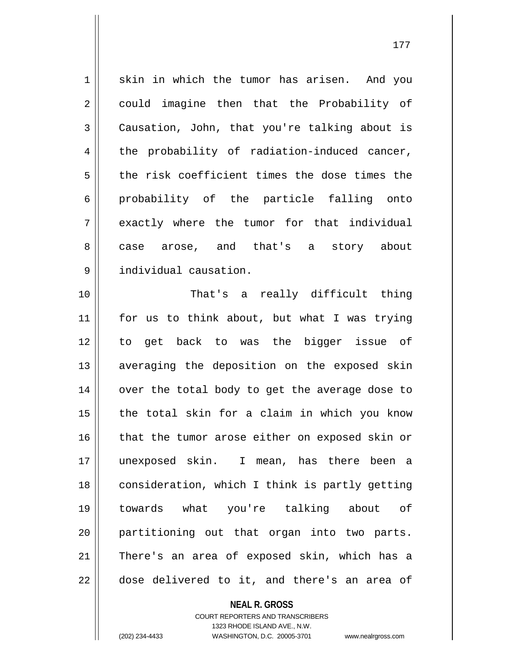1 skin in which the tumor has arisen. And you 2 || could imagine then that the Probability of 3 Causation, John, that you're talking about is  $4 \parallel$  the probability of radiation-induced cancer, 5 the risk coefficient times the dose times the 6 || probability of the particle falling onto 7 | exactly where the tumor for that individual 8 case arose, and that's a story about 9 individual causation.

10 || That's a really difficult thing 11 for us to think about, but what I was trying 12 to get back to was the bigger issue of 13 || averaging the deposition on the exposed skin 14 || over the total body to get the average dose to  $15$  | the total skin for a claim in which you know 16 that the tumor arose either on exposed skin or 17 unexposed skin. I mean, has there been a 18 | consideration, which I think is partly getting 19 towards what you're talking about of 20 || partitioning out that organ into two parts. 21 There's an area of exposed skin, which has a  $22$   $\parallel$  dose delivered to it, and there's an area of

> COURT REPORTERS AND TRANSCRIBERS 1323 RHODE ISLAND AVE., N.W. (202) 234-4433 WASHINGTON, D.C. 20005-3701 www.nealrgross.com

**NEAL R. GROSS**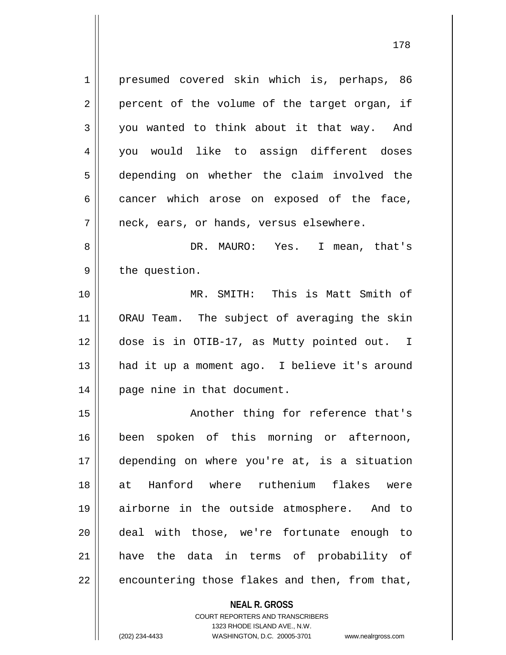1 | presumed covered skin which is, perhaps, 86  $2 \parallel$  percent of the volume of the target organ, if 3 you wanted to think about it that way. And 4 you would like to assign different doses 5 depending on whether the claim involved the  $6 \parallel$  cancer which arose on exposed of the face,  $7 \parallel$  neck, ears, or hands, versus elsewhere. 8 DR. MAURO: Yes. I mean, that's  $9 \parallel$  the question. 10 MR. SMITH: This is Matt Smith of 11 ORAU Team. The subject of averaging the skin

12 dose is in OTIB-17, as Mutty pointed out. I 13 had it up a moment ago. I believe it's around 14 | page nine in that document.

15 || Another thing for reference that's 16 been spoken of this morning or afternoon, depending on where you're at, is a situation at Hanford where ruthenium flakes were airborne in the outside atmosphere. And to deal with those, we're fortunate enough to have the data in terms of probability of | encountering those flakes and then, from that,

**NEAL R. GROSS**

COURT REPORTERS AND TRANSCRIBERS 1323 RHODE ISLAND AVE., N.W. (202) 234-4433 WASHINGTON, D.C. 20005-3701 www.nealrgross.com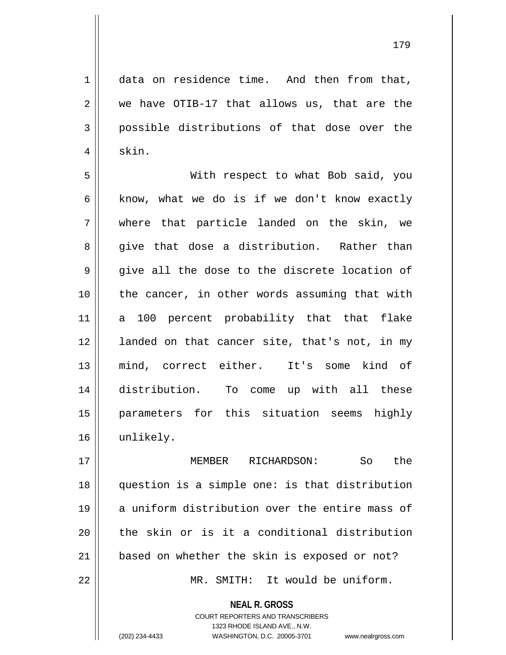179

1 data on residence time. And then from that,  $2 \parallel$  we have OTIB-17 that allows us, that are the 3 possible distributions of that dose over the  $4 \parallel$  skin.

5 With respect to what Bob said, you 6 know, what we do is if we don't know exactly 7 where that particle landed on the skin, we 8 give that dose a distribution. Rather than  $9 \parallel$  give all the dose to the discrete location of  $10$  | the cancer, in other words assuming that with 11 a 100 percent probability that that flake 12 || landed on that cancer site, that's not, in my 13 mind, correct either. It's some kind of 14 distribution. To come up with all these 15 parameters for this situation seems highly 16 unlikely.

 MEMBER RICHARDSON: So the question is a simple one: is that distribution 19 a uniform distribution over the entire mass of || the skin or is it a conditional distribution 21 || based on whether the skin is exposed or not? MR. SMITH: It would be uniform.

**NEAL R. GROSS**

COURT REPORTERS AND TRANSCRIBERS 1323 RHODE ISLAND AVE., N.W. (202) 234-4433 WASHINGTON, D.C. 20005-3701 www.nealrgross.com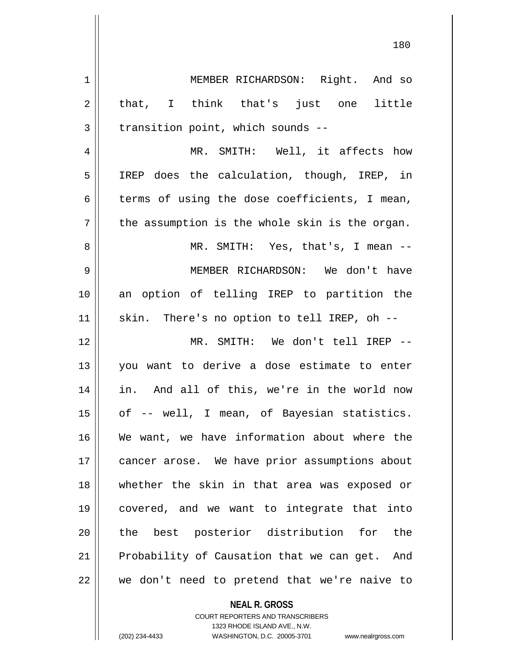1 | MEMBER RICHARDSON: Right. And so 2 || that, I think that's just one little  $3 \parallel$  transition point, which sounds --4 || MR. SMITH: Well, it affects how

5 IREP does the calculation, though, IREP, in  $6 \parallel$  terms of using the dose coefficients, I mean,  $7 \parallel$  the assumption is the whole skin is the organ. 8 MR. SMITH: Yes, that's, I mean -- 9 MEMBER RICHARDSON: We don't have 10 an option of telling IREP to partition the 11 || skin. There's no option to tell IREP, oh --

12 || MR. SMITH: We don't tell IREP --13 you want to derive a dose estimate to enter 14 in. And all of this, we're in the world now 15 | of -- well, I mean, of Bayesian statistics. 16 We want, we have information about where the 17 | cancer arose. We have prior assumptions about 18 whether the skin in that area was exposed or 19 covered, and we want to integrate that into 20 || the best posterior distribution for the 21 | Probability of Causation that we can get. And  $22$  | we don't need to pretend that we're naive to

> **NEAL R. GROSS** COURT REPORTERS AND TRANSCRIBERS 1323 RHODE ISLAND AVE., N.W. (202) 234-4433 WASHINGTON, D.C. 20005-3701 www.nealrgross.com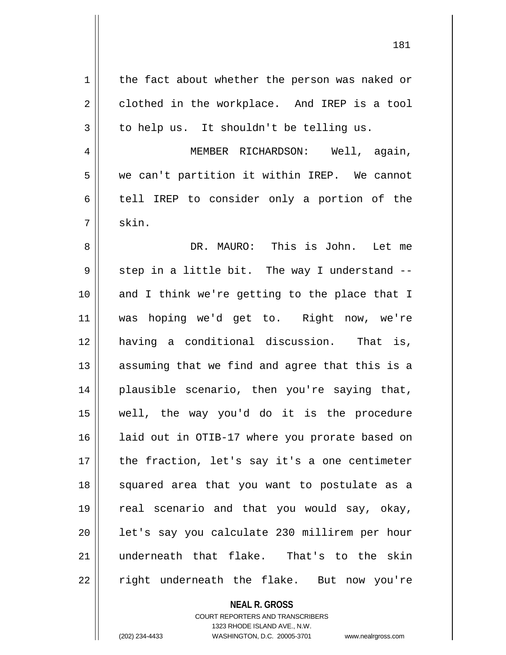| 1  | the fact about whether the person was naked or |
|----|------------------------------------------------|
| 2  | clothed in the workplace. And IREP is a tool   |
| 3  | to help us. It shouldn't be telling us.        |
| 4  | MEMBER RICHARDSON: Well, again,                |
| 5  | we can't partition it within IREP. We cannot   |
| 6  | tell IREP to consider only a portion of the    |
| 7  | skin.                                          |
| 8  | DR. MAURO: This is John. Let me                |
| 9  | step in a little bit. The way I understand --  |
| 10 | and I think we're getting to the place that I  |
| 11 | was hoping we'd get to. Right now, we're       |
| 12 | having a conditional discussion. That is,      |
| 13 | assuming that we find and agree that this is a |
| 14 | plausible scenario, then you're saying that,   |
| 15 | well, the way you'd do it is the procedure     |
| 16 | laid out in OTIB-17 where you prorate based on |
| 17 | the fraction, let's say it's a one centimeter  |
| 18 | squared area that you want to postulate as a   |
| 19 | real scenario and that you would say, okay,    |
| 20 | let's say you calculate 230 millirem per hour  |
| 21 | underneath that flake. That's to the skin      |
| 22 | right underneath the flake. But now you're     |
|    |                                                |

**NEAL R. GROSS** COURT REPORTERS AND TRANSCRIBERS

1323 RHODE ISLAND AVE., N.W.

(202) 234-4433 WASHINGTON, D.C. 20005-3701 www.nealrgross.com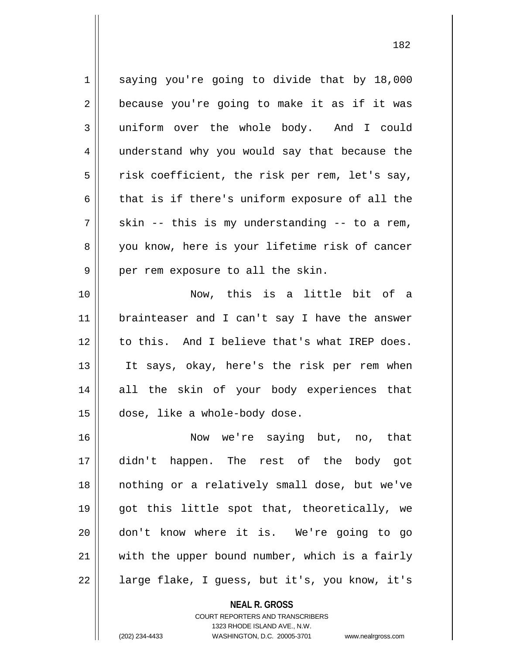1 || saying you're going to divide that by 18,000  $2 \parallel$  because you're going to make it as if it was 3 uniform over the whole body. And I could 4 || understand why you would say that because the  $5 \parallel$  risk coefficient, the risk per rem, let's say, 6  $\parallel$  that is if there's uniform exposure of all the  $7 \parallel$  skin -- this is my understanding -- to a rem, 8 you know, here is your lifetime risk of cancer  $9 \parallel$  per rem exposure to all the skin. 10 Now, this is a little bit of a 11 || brainteaser and I can't say I have the answer 12 || to this. And I believe that's what IREP does. 13 It says, okay, here's the risk per rem when 14 || all the skin of your body experiences that 15 dose, like a whole-body dose. 16 Now we're saying but, no, that 17 didn't happen. The rest of the body got 18 nothing or a relatively small dose, but we've

**NEAL R. GROSS** COURT REPORTERS AND TRANSCRIBERS 1323 RHODE ISLAND AVE., N.W.  $21$  with the upper bound number, which is a fairly 22 || large flake, I guess, but it's, you know, it's

19 || got this little spot that, theoretically, we

20 don't know where it is. We're going to go

(202) 234-4433 WASHINGTON, D.C. 20005-3701 www.nealrgross.com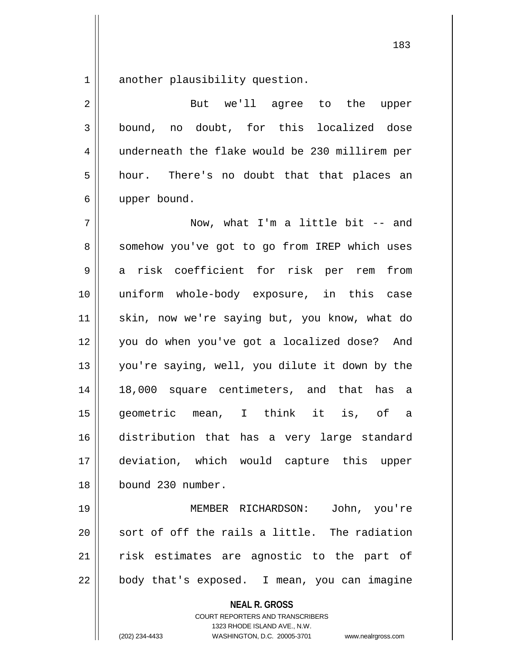1 another plausibility question.

| $\overline{2}$ | But we'll agree to the upper                                                                                                                                           |
|----------------|------------------------------------------------------------------------------------------------------------------------------------------------------------------------|
| $\mathsf{3}$   | bound, no doubt, for this localized dose                                                                                                                               |
| 4              | underneath the flake would be 230 millirem per                                                                                                                         |
| 5              | hour. There's no doubt that that places an                                                                                                                             |
| 6              | upper bound.                                                                                                                                                           |
| 7              | Now, what I'm a little bit $-$ and                                                                                                                                     |
| 8              | somehow you've got to go from IREP which uses                                                                                                                          |
| 9              | a risk coefficient for risk per rem<br>from                                                                                                                            |
| 10             | uniform whole-body exposure, in this case                                                                                                                              |
| 11             | skin, now we're saying but, you know, what do                                                                                                                          |
| 12             | you do when you've got a localized dose? And                                                                                                                           |
| 13             | you're saying, well, you dilute it down by the                                                                                                                         |
| 14             | 18,000 square centimeters, and that has a                                                                                                                              |
| 15             | geometric mean, I think it is, of a                                                                                                                                    |
| 16             | distribution that has a very large standard                                                                                                                            |
| 17             | deviation, which would capture this upper                                                                                                                              |
| 18             | bound 230 number.                                                                                                                                                      |
| 19             | MEMBER RICHARDSON:<br>John, you're                                                                                                                                     |
| 20             | sort of off the rails a little. The radiation                                                                                                                          |
| 21             | risk estimates are agnostic to the part of                                                                                                                             |
| 22             | body that's exposed. I mean, you can imagine                                                                                                                           |
|                | <b>NEAL R. GROSS</b><br><b>COURT REPORTERS AND TRANSCRIBERS</b><br>1323 RHODE ISLAND AVE., N.W.<br>(202) 234-4433<br>WASHINGTON, D.C. 20005-3701<br>www.nealrgross.com |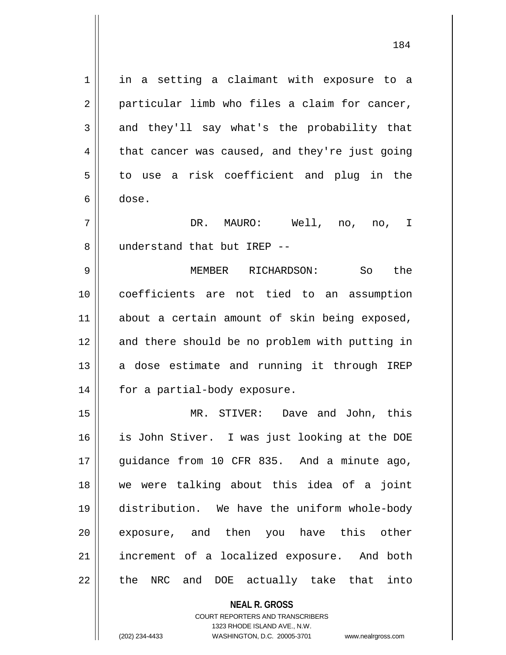1 || in a setting a claimant with exposure to a  $2 \parallel$  particular limb who files a claim for cancer,  $3 \parallel$  and they'll say what's the probability that  $4 \parallel$  that cancer was caused, and they're just going  $5 \parallel$  to use a risk coefficient and plug in the 6 dose. 7 DR. MAURO: Well, no, no, I

9 MEMBER RICHARDSON: So the 10 coefficients are not tied to an assumption 11 about a certain amount of skin being exposed, 12 || and there should be no problem with putting in  $13$  a dose estimate and running it through IREP 14 | for a partial-body exposure.

8 || understand that but IREP --

 MR. STIVER: Dave and John, this is John Stiver. I was just looking at the DOE 17 guidance from 10 CFR 835. And a minute ago, we were talking about this idea of a joint distribution. We have the uniform whole-body 20 || exposure, and then you have this other increment of a localized exposure. And both 22 || the NRC and DOE actually take that into

> **NEAL R. GROSS** COURT REPORTERS AND TRANSCRIBERS 1323 RHODE ISLAND AVE., N.W.

(202) 234-4433 WASHINGTON, D.C. 20005-3701 www.nealrgross.com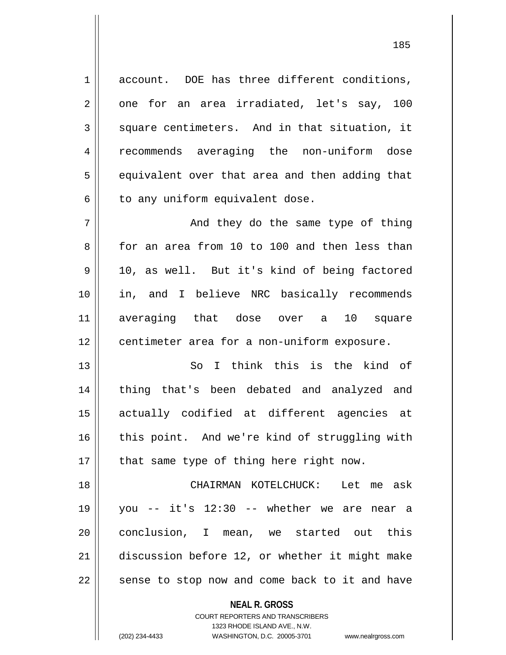**NEAL R. GROSS** 1 account. DOE has three different conditions, 2 || one for an area irradiated, let's say, 100  $3 \parallel$  square centimeters. And in that situation, it 4 || recommends averaging the non-uniform dose  $5 \parallel$  equivalent over that area and then adding that  $6 \parallel$  to any uniform equivalent dose. 7 And they do the same type of thing 8 for an area from 10 to 100 and then less than 9 | 10, as well. But it's kind of being factored 10 in, and I believe NRC basically recommends 11 averaging that dose over a 10 square 12 | centimeter area for a non-uniform exposure. 13 So I think this is the kind of 14 || thing that's been debated and analyzed and 15 actually codified at different agencies at 16 || this point. And we're kind of struggling with  $17$  | that same type of thing here right now. 18 CHAIRMAN KOTELCHUCK: Let me ask 19 you -- it's 12:30 -- whether we are near a 20 || conclusion, I mean, we started out this 21 discussion before 12, or whether it might make  $22$   $\parallel$  sense to stop now and come back to it and have

> COURT REPORTERS AND TRANSCRIBERS 1323 RHODE ISLAND AVE., N.W.

(202) 234-4433 WASHINGTON, D.C. 20005-3701 www.nealrgross.com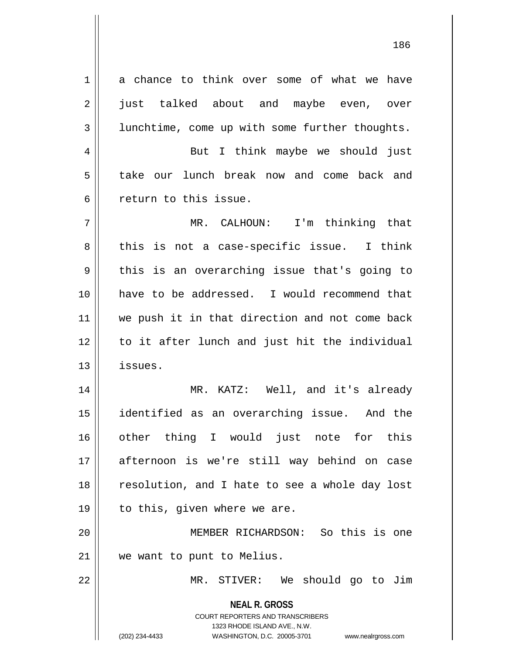**NEAL R. GROSS** COURT REPORTERS AND TRANSCRIBERS 1323 RHODE ISLAND AVE., N.W. 1 a chance to think over some of what we have 2 iust talked about and maybe even, over 3 | lunchtime, come up with some further thoughts. 4 But I think maybe we should just 5 take our lunch break now and come back and 6 return to this issue. 7 MR. CALHOUN: I'm thinking that  $8 \parallel$  this is not a case-specific issue. I think  $9 \parallel$  this is an overarching issue that's going to 10 have to be addressed. I would recommend that 11 || we push it in that direction and not come back 12 to it after lunch and just hit the individual 13 issues. 14 || MR. KATZ: Well, and it's already 15 identified as an overarching issue. And the 16 other thing I would just note for this 17 || afternoon is we're still way behind on case 18 || resolution, and I hate to see a whole day lost  $19 \parallel$  to this, given where we are. 20 MEMBER RICHARDSON: So this is one 21 we want to punt to Melius. 22 MR. STIVER: We should go to Jim

(202) 234-4433 WASHINGTON, D.C. 20005-3701 www.nealrgross.com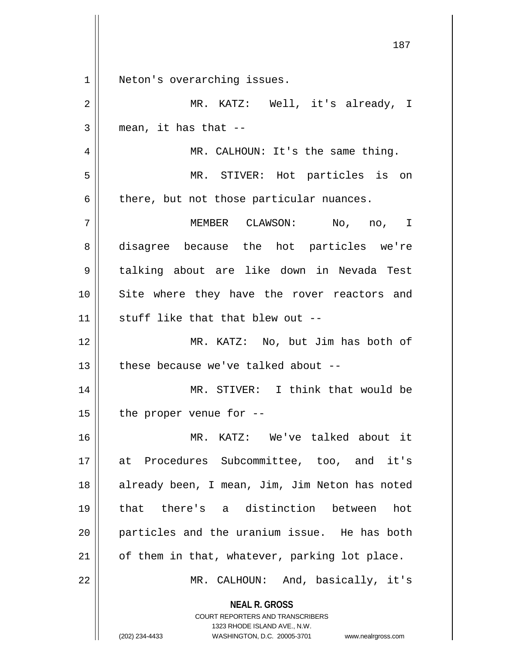| $\mathbf 1$    | Neton's overarching issues.                                                                         |
|----------------|-----------------------------------------------------------------------------------------------------|
| $\overline{2}$ | MR. KATZ: Well, it's already, I                                                                     |
| 3              | mean, it has that $-$                                                                               |
| $\overline{4}$ | MR. CALHOUN: It's the same thing.                                                                   |
| 5              | MR. STIVER: Hot particles is on                                                                     |
| 6              | there, but not those particular nuances.                                                            |
| 7              | MEMBER CLAWSON: No, no, I                                                                           |
| 8              | disagree because the hot particles we're                                                            |
| 9              | talking about are like down in Nevada Test                                                          |
| 10             | Site where they have the rover reactors and                                                         |
| 11             | stuff like that that blew out --                                                                    |
| 12             | MR. KATZ: No, but Jim has both of                                                                   |
| 13             | these because we've talked about --                                                                 |
| 14             | MR. STIVER: I think that would be                                                                   |
| 15             | the proper venue for --                                                                             |
| 16             | MR. KATZ: We've talked about it                                                                     |
| 17             | at Procedures Subcommittee, too, and it's                                                           |
| 18             | already been, I mean, Jim, Jim Neton has noted                                                      |
| 19             | that there's a distinction between<br>hot                                                           |
| 20             | particles and the uranium issue. He has both                                                        |
| 21             | of them in that, whatever, parking lot place.                                                       |
| 22             | MR. CALHOUN: And, basically, it's                                                                   |
|                | <b>NEAL R. GROSS</b>                                                                                |
|                | <b>COURT REPORTERS AND TRANSCRIBERS</b>                                                             |
|                | 1323 RHODE ISLAND AVE., N.W.<br>(202) 234-4433<br>WASHINGTON, D.C. 20005-3701<br>www.nealrgross.com |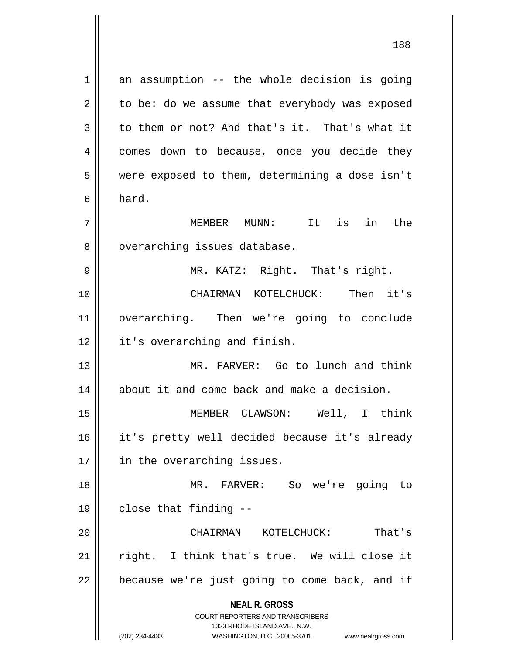**NEAL R. GROSS** COURT REPORTERS AND TRANSCRIBERS 1323 RHODE ISLAND AVE., N.W. (202) 234-4433 WASHINGTON, D.C. 20005-3701 www.nealrgross.com  $1 \parallel$  an assumption -- the whole decision is going  $2 \parallel$  to be: do we assume that everybody was exposed  $3 \parallel$  to them or not? And that's it. That's what it 4 | comes down to because, once you decide they 5 were exposed to them, determining a dose isn't  $6 \parallel$  hard. 7 MEMBER MUNN: It is in the 8 || overarching issues database. 9 || MR. KATZ: Right. That's right. 10 CHAIRMAN KOTELCHUCK: Then it's 11 overarching. Then we're going to conclude 12 | it's overarching and finish. 13 MR. FARVER: Go to lunch and think  $14$  about it and come back and make a decision. 15 MEMBER CLAWSON: Well, I think 16 it's pretty well decided because it's already 17 || in the overarching issues. 18 MR. FARVER: So we're going to  $19 \parallel$  close that finding --20 CHAIRMAN KOTELCHUCK: That's 21 || right. I think that's true. We will close it  $22$  | because we're just going to come back, and if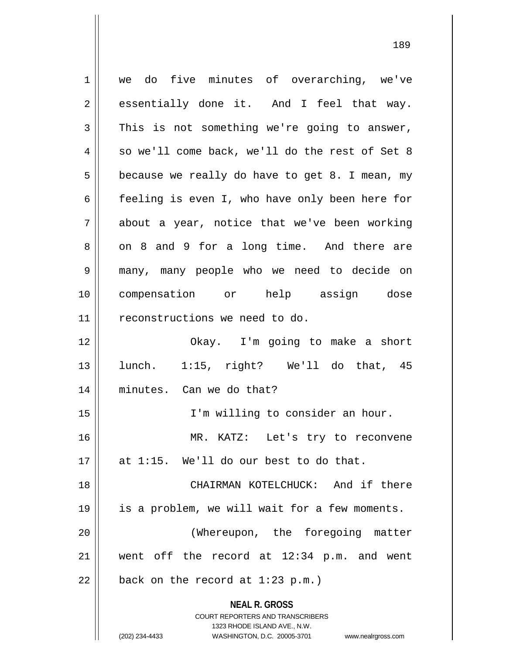**NEAL R. GROSS** COURT REPORTERS AND TRANSCRIBERS 1323 RHODE ISLAND AVE., N.W. (202) 234-4433 WASHINGTON, D.C. 20005-3701 www.nealrgross.com 1 we do five minutes of overarching, we've  $2 \parallel$  essentially done it. And I feel that way.  $3 \parallel$  This is not something we're going to answer,  $4 \parallel$  so we'll come back, we'll do the rest of Set 8  $5 \parallel$  because we really do have to get 8. I mean, my 6  $\parallel$  feeling is even I, who have only been here for  $7 \parallel$  about a year, notice that we've been working  $8 \parallel$  on 8 and 9 for a long time. And there are 9 many, many people who we need to decide on 10 compensation or help assign dose 11 reconstructions we need to do. 12 Okay. I'm going to make a short  $13 \parallel$  lunch. 1:15, right? We'll do that, 45 14 minutes. Can we do that? 15 || I'm willing to consider an hour. 16 || MR. KATZ: Let's try to reconvene  $17$  || at 1:15. We'll do our best to do that. 18 || CHAIRMAN KOTELCHUCK: And if there 19 is a problem, we will wait for a few moments. 20 || (Whereupon, the foregoing matter 21 went off the record at 12:34 p.m. and went  $22$  | back on the record at 1:23 p.m.)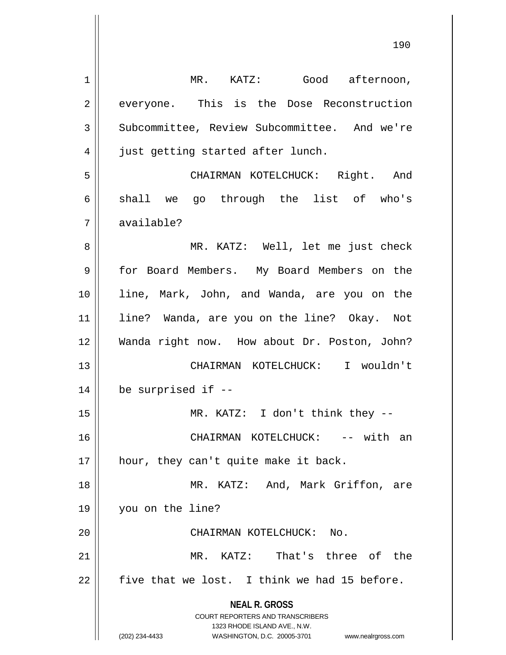| 1  | MR. KATZ: Good afternoon,                                                                           |
|----|-----------------------------------------------------------------------------------------------------|
| 2  | everyone. This is the Dose Reconstruction                                                           |
| 3  | Subcommittee, Review Subcommittee. And we're                                                        |
| 4  | just getting started after lunch.                                                                   |
| 5  | CHAIRMAN KOTELCHUCK: Right. And                                                                     |
| 6  | shall we go through the list of who's                                                               |
| 7  | available?                                                                                          |
| 8  | MR. KATZ: Well, let me just check                                                                   |
| 9  | for Board Members. My Board Members on the                                                          |
| 10 | line, Mark, John, and Wanda, are you on the                                                         |
| 11 | line? Wanda, are you on the line? Okay. Not                                                         |
| 12 | Wanda right now. How about Dr. Poston, John?                                                        |
| 13 | CHAIRMAN KOTELCHUCK: I wouldn't                                                                     |
| 14 | be surprised if --                                                                                  |
| 15 | MR. KATZ: I don't think they --                                                                     |
| 16 | CHAIRMAN KOTELCHUCK: -- with an                                                                     |
| 17 | hour, they can't quite make it back.                                                                |
| 18 | MR. KATZ: And, Mark Griffon, are                                                                    |
| 19 | you on the line?                                                                                    |
| 20 | CHAIRMAN KOTELCHUCK: No.                                                                            |
| 21 | MR. KATZ: That's three of the                                                                       |
| 22 | five that we lost. I think we had 15 before.                                                        |
|    | <b>NEAL R. GROSS</b>                                                                                |
|    | <b>COURT REPORTERS AND TRANSCRIBERS</b>                                                             |
|    | 1323 RHODE ISLAND AVE., N.W.<br>(202) 234-4433<br>WASHINGTON, D.C. 20005-3701<br>www.nealrgross.com |
|    |                                                                                                     |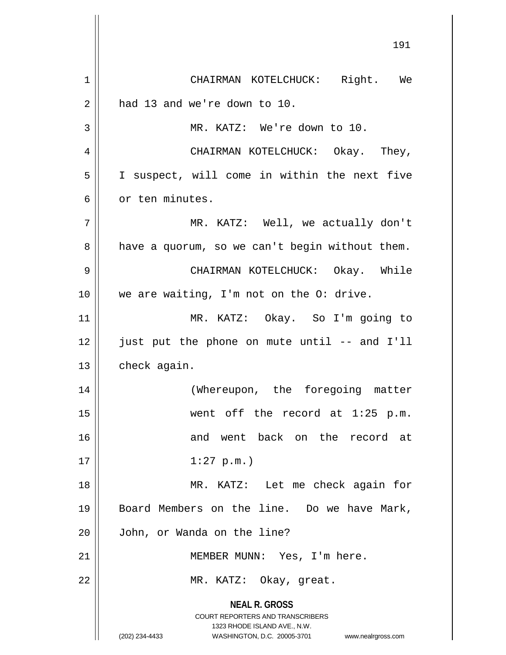**NEAL R. GROSS** COURT REPORTERS AND TRANSCRIBERS 1323 RHODE ISLAND AVE., N.W. (202) 234-4433 WASHINGTON, D.C. 20005-3701 www.nealrgross.com 1 | CHAIRMAN KOTELCHUCK: Right. We  $2 \parallel$  had 13 and we're down to 10. 3 MR. KATZ: We're down to 10. 4 CHAIRMAN KOTELCHUCK: Okay. They, 5 I suspect, will come in within the next five 6 or ten minutes. 7 MR. KATZ: Well, we actually don't  $8 \parallel$  have a quorum, so we can't begin without them. 9 CHAIRMAN KOTELCHUCK: Okay. While 10 || we are waiting, I'm not on the O: drive. 11 MR. KATZ: Okay. So I'm going to 12 just put the phone on mute until -- and I'll 13 | check again. 14 || (Whereupon, the foregoing matter 15 went off the record at 1:25 p.m. 16 and went back on the record at  $17 \parallel 1:27 \text{ p.m.}$ 18 MR. KATZ: Let me check again for 19 || Board Members on the line. Do we have Mark, 20 John, or Wanda on the line? 21 | MEMBER MUNN: Yes, I'm here. 22 || MR. KATZ: Okay, great.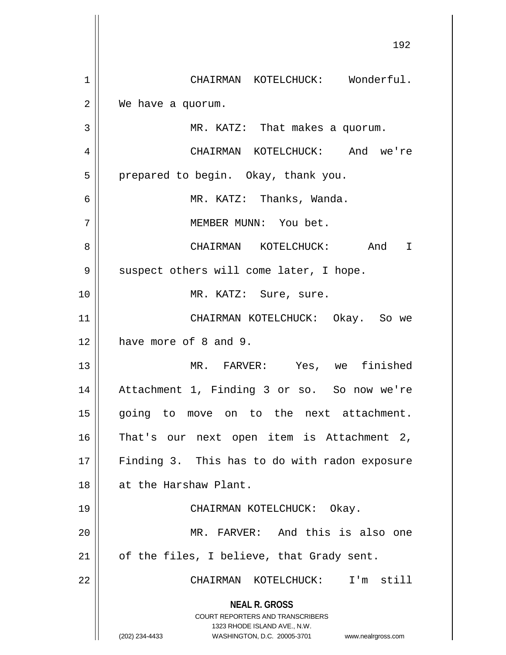**NEAL R. GROSS** COURT REPORTERS AND TRANSCRIBERS 1323 RHODE ISLAND AVE., N.W. (202) 234-4433 WASHINGTON, D.C. 20005-3701 www.nealrgross.com 1 || CHAIRMAN KOTELCHUCK: Wonderful. 2 | We have a quorum. 3 MR. KATZ: That makes a quorum. 4 CHAIRMAN KOTELCHUCK: And we're 5 | prepared to begin. Okay, thank you. 6 MR. KATZ: Thanks, Wanda. 7 MEMBER MUNN: You bet. 8 CHAIRMAN KOTELCHUCK: And I 9 || suspect others will come later, I hope. 10 || MR. KATZ: Sure, sure. 11 CHAIRMAN KOTELCHUCK: Okay. So we 12 **have more of 8 and 9.** 13 MR. FARVER: Yes, we finished 14 Attachment 1, Finding 3 or so. So now we're 15 || going to move on to the next attachment. 16 || That's our next open item is Attachment 2, 17 || Finding 3. This has to do with radon exposure 18 at the Harshaw Plant. 19 CHAIRMAN KOTELCHUCK: Okay. 20 MR. FARVER: And this is also one  $21$  | of the files, I believe, that Grady sent. 22 CHAIRMAN KOTELCHUCK: I'm still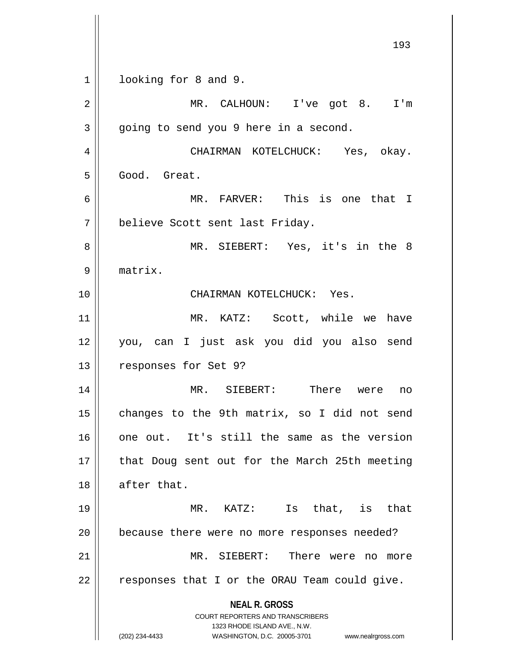**NEAL R. GROSS** COURT REPORTERS AND TRANSCRIBERS 1323 RHODE ISLAND AVE., N.W. (202) 234-4433 WASHINGTON, D.C. 20005-3701 www.nealrgross.com 193 1 | looking for 8 and 9. 2 || MR. CALHOUN: I've got 8. I'm  $3 \parallel$  going to send you 9 here in a second. 4 CHAIRMAN KOTELCHUCK: Yes, okay. 5 Good. Great. 6 MR. FARVER: This is one that I 7 | believe Scott sent last Friday. 8 MR. SIEBERT: Yes, it's in the 8 9 matrix. 10 CHAIRMAN KOTELCHUCK: Yes. 11 || MR. KATZ: Scott, while we have 12 you, can I just ask you did you also send 13 | responses for Set 9? 14 MR. SIEBERT: There were no  $15$  changes to the 9th matrix, so I did not send 16 one out. It's still the same as the version 17 || that Doug sent out for the March 25th meeting 18 || after that. 19 MR. KATZ: Is that, is that 20 because there were no more responses needed? 21 MR. SIEBERT: There were no more 22 || responses that I or the ORAU Team could give.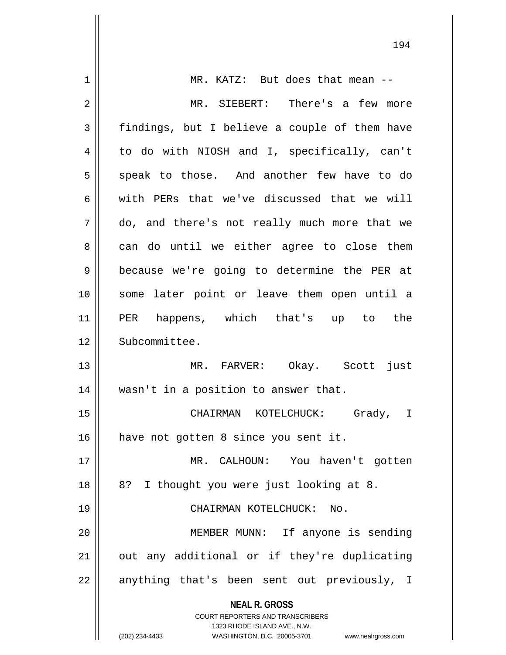| 1  | MR. KATZ: But does that mean --                                     |
|----|---------------------------------------------------------------------|
| 2  | MR. SIEBERT: There's a few more                                     |
| 3  | findings, but I believe a couple of them have                       |
| 4  | to do with NIOSH and I, specifically, can't                         |
| 5  | speak to those. And another few have to do                          |
| 6  | with PERs that we've discussed that we will                         |
| 7  | do, and there's not really much more that we                        |
| 8  | can do until we either agree to close them                          |
| 9  | because we're going to determine the PER at                         |
| 10 | some later point or leave them open until a                         |
| 11 | happens, which that's up to the<br>PER                              |
| 12 | Subcommittee.                                                       |
| 13 | MR. FARVER: Okay. Scott just                                        |
| 14 | wasn't in a position to answer that.                                |
| 15 | CHAIRMAN KOTELCHUCK: Grady, I                                       |
| 16 | have not gotten 8 since you sent it.                                |
| 17 | MR. CALHOUN: You haven't gotten                                     |
| 18 | I thought you were just looking at 8.<br>8?                         |
| 19 | CHAIRMAN KOTELCHUCK: No.                                            |
| 20 | MEMBER MUNN: If anyone is sending                                   |
| 21 | out any additional or if they're duplicating                        |
| 22 | anything that's been sent out previously, I                         |
|    | <b>NEAL R. GROSS</b>                                                |
|    | <b>COURT REPORTERS AND TRANSCRIBERS</b>                             |
|    | 1323 RHODE ISLAND AVE., N.W.                                        |
|    | (202) 234-4433<br>WASHINGTON, D.C. 20005-3701<br>www.nealrgross.com |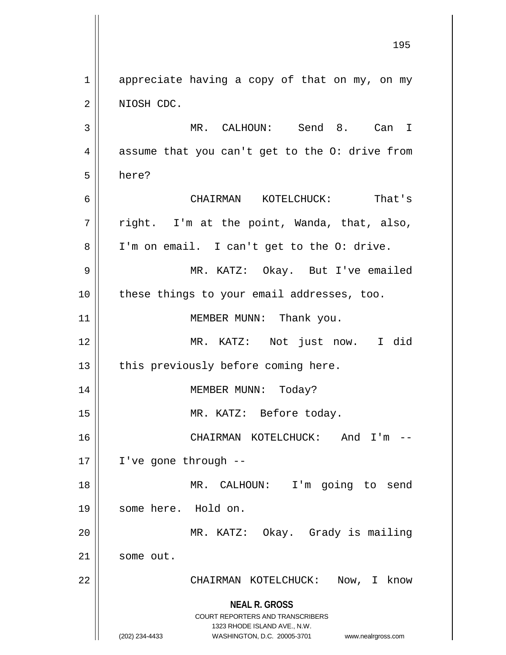**NEAL R. GROSS** COURT REPORTERS AND TRANSCRIBERS 1323 RHODE ISLAND AVE., N.W. (202) 234-4433 WASHINGTON, D.C. 20005-3701 www.nealrgross.com  $1 \parallel$  appreciate having a copy of that on my, on my 2 || NIOSH CDC. 3 MR. CALHOUN: Send 8. Can I  $4 \parallel$  assume that you can't get to the O: drive from 5 here? 6 CHAIRMAN KOTELCHUCK: That's  $7 \parallel$  right. I'm at the point, Wanda, that, also, 8 || I'm on email. I can't get to the O: drive. 9 MR. KATZ: Okay. But I've emailed 10 || these things to your email addresses, too. 11 || MEMBER MUNN: Thank you. 12 MR. KATZ: Not just now. I did  $13$  || this previously before coming here. 14 MEMBER MUNN: Today? 15 || MR. KATZ: Before today. 16 CHAIRMAN KOTELCHUCK: And I'm -- 17 | I've gone through --18 MR. CALHOUN: I'm going to send 19 || some here. Hold on. 20 MR. KATZ: Okay. Grady is mailing 21 | some out. 22 CHAIRMAN KOTELCHUCK: Now, I know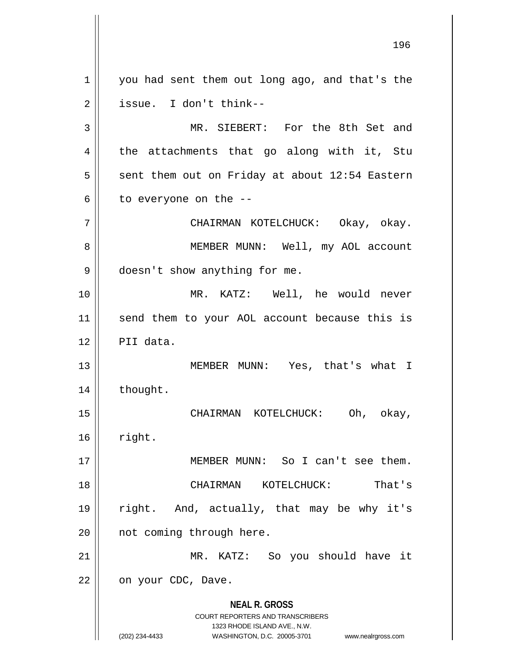**NEAL R. GROSS** COURT REPORTERS AND TRANSCRIBERS 1323 RHODE ISLAND AVE., N.W. (202) 234-4433 WASHINGTON, D.C. 20005-3701 www.nealrgross.com 1 || you had sent them out long ago, and that's the  $2 \parallel$  issue. I don't think--3 || MR. SIEBERT: For the 8th Set and  $4 \parallel$  the attachments that go along with it, Stu  $5 \parallel$  sent them out on Friday at about 12:54 Eastern  $6 \parallel$  to everyone on the --7 CHAIRMAN KOTELCHUCK: Okay, okay. 8 || MEMBER MUNN: Well, my AOL account 9 | doesn't show anything for me. 10 MR. KATZ: Well, he would never 11 || send them to your AOL account because this is 12 PII data. 13 MEMBER MUNN: Yes, that's what I 14 | thought. 15 CHAIRMAN KOTELCHUCK: Oh, okay,  $16$  right. 17 MEMBER MUNN: So I can't see them. 18 CHAIRMAN KOTELCHUCK: That's 19 right. And, actually, that may be why it's 20 || not coming through here. 21 || MR. KATZ: So you should have it 22 | on your CDC, Dave.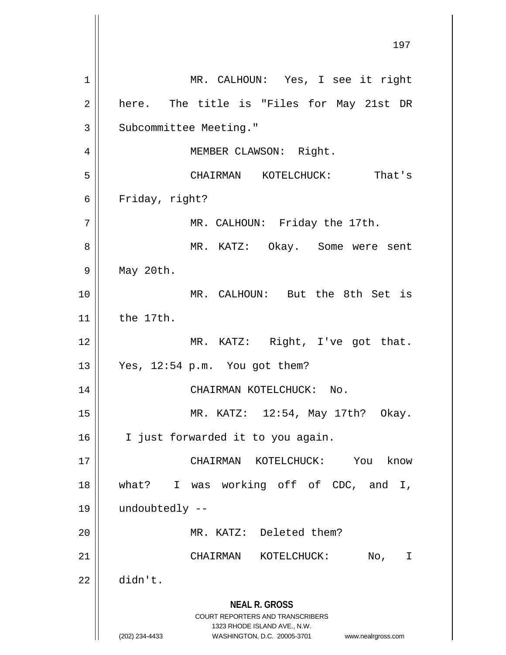**NEAL R. GROSS** COURT REPORTERS AND TRANSCRIBERS 1323 RHODE ISLAND AVE., N.W. (202) 234-4433 WASHINGTON, D.C. 20005-3701 www.nealrgross.com 1 || MR. CALHOUN: Yes, I see it right  $2 \parallel$  here. The title is "Files for May 21st DR 3 | Subcommittee Meeting." 4 | MEMBER CLAWSON: Right. 5 CHAIRMAN KOTELCHUCK: That's 6 | Friday, right? 7 | MR. CALHOUN: Friday the 17th. 8 MR. KATZ: Okay. Some were sent 9 May 20th. 10 MR. CALHOUN: But the 8th Set is 11 the 17th. 12 || MR. KATZ: Right, I've got that. 13 Yes, 12:54 p.m. You got them? 14 CHAIRMAN KOTELCHUCK: No. 15 MR. KATZ: 12:54, May 17th? Okay. 16 | I just forwarded it to you again. 17 CHAIRMAN KOTELCHUCK: You know 18 what? I was working off of CDC, and I, 19 undoubtedly -- 20 MR. KATZ: Deleted them? 21 CHAIRMAN KOTELCHUCK: No, I 22 didn't.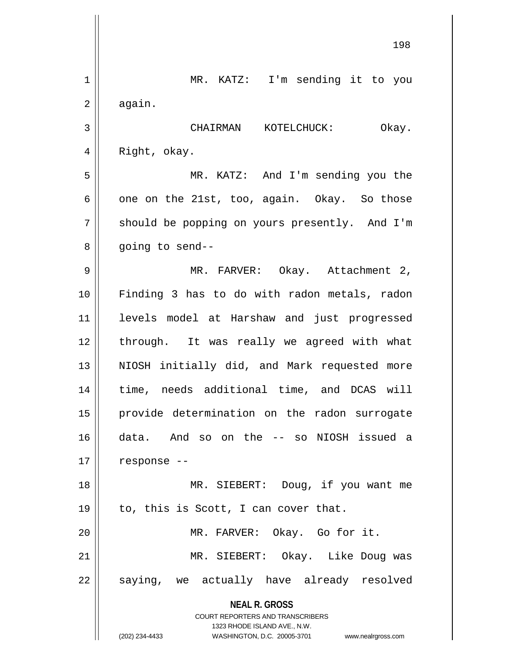|    | 198                                                              |
|----|------------------------------------------------------------------|
| 1  | MR. KATZ: I'm sending it to you                                  |
| 2  | again.                                                           |
| 3  | CHAIRMAN KOTELCHUCK:<br>Okay.                                    |
| 4  | Right, okay.                                                     |
| 5  | MR. KATZ: And I'm sending you the                                |
| 6  | one on the 21st, too, again. Okay. So those                      |
| 7  | should be popping on yours presently. And I'm                    |
| 8  | going to send--                                                  |
| 9  | MR. FARVER: Okay. Attachment 2,                                  |
| 10 | Finding 3 has to do with radon metals, radon                     |
| 11 | levels model at Harshaw and just progressed                      |
| 12 | through. It was really we agreed with what                       |
| 13 | NIOSH initially did, and Mark requested more                     |
| 14 | time, needs additional time, and DCAS will                       |
| 15 | provide determination on the radon surrogate                     |
| 16 | data. And so on the -- so NIOSH issued a                         |
| 17 | response --                                                      |
| 18 | MR. SIEBERT: Doug, if you want me                                |
| 19 | to, this is Scott, I can cover that.                             |
| 20 | MR. FARVER: Okay. Go for it.                                     |
| 21 | MR. SIEBERT: Okay. Like Doug was                                 |
| 22 | saying, we actually have already resolved                        |
|    | <b>NEAL R. GROSS</b><br><b>COURT REPORTERS AND TRANSCRIBERS</b>  |
|    | 1323 RHODE ISLAND AVE., N.W.                                     |
|    | (202) 234-4433<br>WASHINGTON, D.C. 20005-3701 www.nealrgross.com |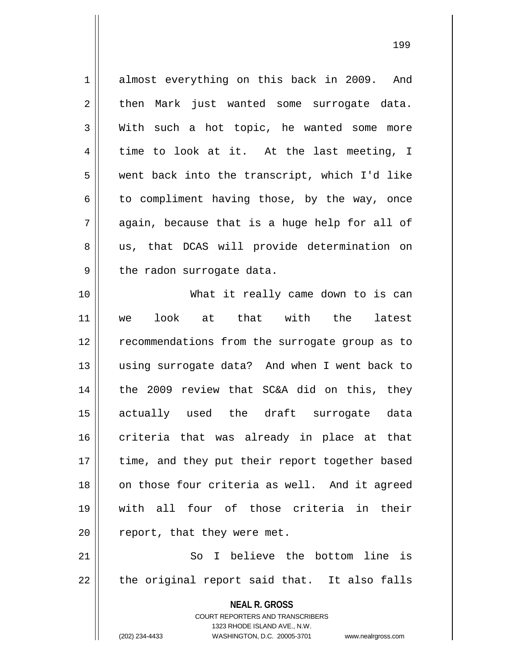1 almost everything on this back in 2009. And  $2 \parallel$  then Mark just wanted some surrogate data.  $3 \parallel$  With such a hot topic, he wanted some more  $4 \parallel$  time to look at it. At the last meeting, I 5 went back into the transcript, which I'd like  $6 \parallel$  to compliment having those, by the way, once  $7 \parallel$  again, because that is a huge help for all of 8 || us, that DCAS will provide determination on  $9 \parallel$  the radon surrogate data. 10 What it really came down to is can 11 we look at that with the latest 12 || recommendations from the surrogate group as to 13 || using surrogate data? And when I went back to 14 || the 2009 review that SC&A did on this, they 15 actually used the draft surrogate data 16 criteria that was already in place at that

 $20$  || report, that they were met. 21 || So I believe the bottom line is  $22 \parallel$  the original report said that. It also falls

17 || time, and they put their report together based

18 || on those four criteria as well. And it agreed

19 with all four of those criteria in their

**NEAL R. GROSS** COURT REPORTERS AND TRANSCRIBERS

1323 RHODE ISLAND AVE., N.W.

(202) 234-4433 WASHINGTON, D.C. 20005-3701 www.nealrgross.com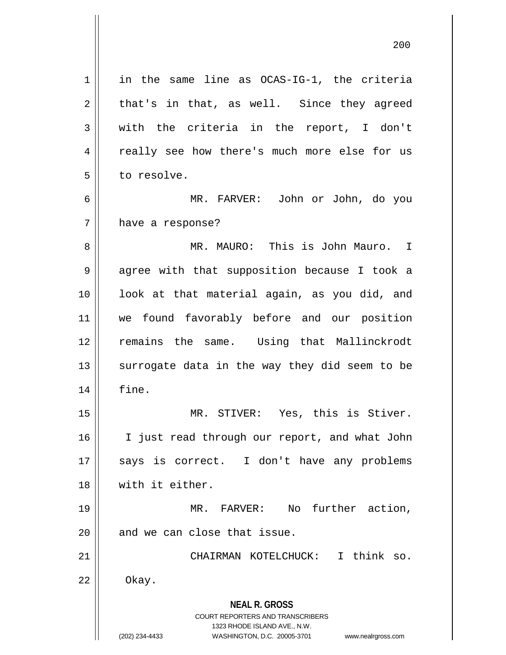**NEAL R. GROSS** COURT REPORTERS AND TRANSCRIBERS 1323 RHODE ISLAND AVE., N.W. (202) 234-4433 WASHINGTON, D.C. 20005-3701 www.nealrgross.com 1 || in the same line as OCAS-IG-1, the criteria  $2 \parallel$  that's in that, as well. Since they agreed 3 with the criteria in the report, I don't 4 || really see how there's much more else for us 5 | to resolve. 6 MR. FARVER: John or John, do you 7 | have a response? 8 MR. MAURO: This is John Mauro. I 9 || agree with that supposition because I took a 10 || look at that material again, as you did, and 11 we found favorably before and our position 12 remains the same. Using that Mallinckrodt 13  $\parallel$  surrogate data in the way they did seem to be 14 fine. 15 MR. STIVER: Yes, this is Stiver. 16 || I just read through our report, and what John 17 || says is correct. I don't have any problems 18 with it either. 19 MR. FARVER: No further action,  $20$  || and we can close that issue. 21 CHAIRMAN KOTELCHUCK: I think so.  $22 \parallel$  Okay.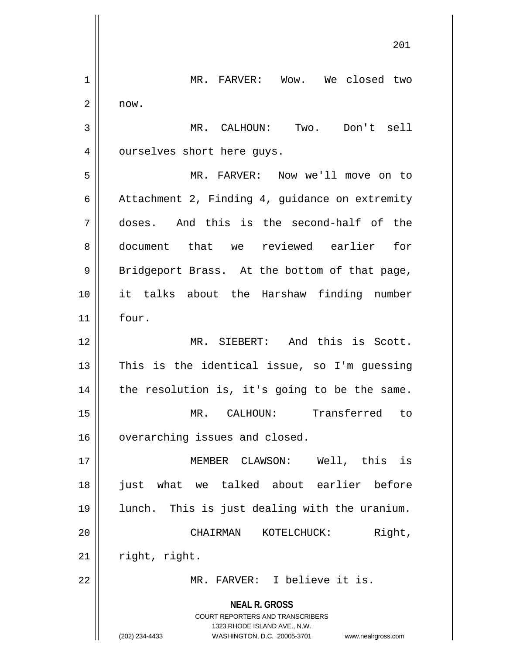**NEAL R. GROSS** COURT REPORTERS AND TRANSCRIBERS 1323 RHODE ISLAND AVE., N.W. (202) 234-4433 WASHINGTON, D.C. 20005-3701 www.nealrgross.com 1 || MR. FARVER: Wow. We closed two  $2 \parallel$  now. 3 MR. CALHOUN: Two. Don't sell 4 | ourselves short here guys. 5 MR. FARVER: Now we'll move on to 6 | Attachment 2, Finding 4, quidance on extremity 7 doses. And this is the second-half of the 8 document that we reviewed earlier for 9 || Bridgeport Brass. At the bottom of that page, 10 it talks about the Harshaw finding number  $11$   $\parallel$  four. 12 MR. SIEBERT: And this is Scott.  $13$  This is the identical issue, so I'm guessing  $14$  | the resolution is, it's going to be the same. 15 MR. CALHOUN: Transferred to 16 | overarching issues and closed. 17 MEMBER CLAWSON: Well, this is 18 just what we talked about earlier before 19 lunch. This is just dealing with the uranium. 20 CHAIRMAN KOTELCHUCK: Right,  $21$  | right, right. 22 MR. FARVER: I believe it is.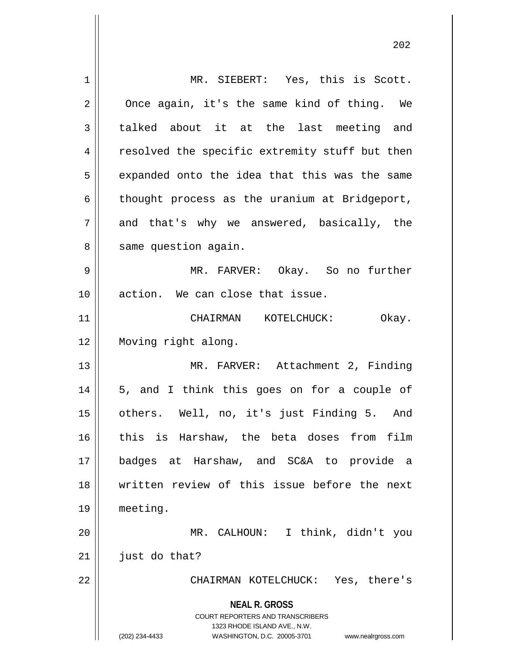| $\mathbf 1$ | MR. SIEBERT: Yes, this is Scott.                                                                |
|-------------|-------------------------------------------------------------------------------------------------|
| 2           | Once again, it's the same kind of thing. We                                                     |
| 3           | talked about it at the last meeting and                                                         |
| 4           | resolved the specific extremity stuff but then                                                  |
| 5           | expanded onto the idea that this was the same                                                   |
| 6           | thought process as the uranium at Bridgeport,                                                   |
| 7           | and that's why we answered, basically, the                                                      |
| 8           | same question again.                                                                            |
| 9           | MR. FARVER: Okay. So no further                                                                 |
| 10          | action. We can close that issue.                                                                |
| 11          | CHAIRMAN KOTELCHUCK:<br>Okay.                                                                   |
| 12          | Moving right along.                                                                             |
| 13          | MR. FARVER: Attachment 2, Finding                                                               |
| 14          | 5, and I think this goes on for a couple of                                                     |
| 15          | others. Well, no, it's just Finding 5. And                                                      |
| 16          | this is Harshaw, the beta doses from film                                                       |
| 17          | badges at Harshaw, and SC&A to provide a                                                        |
| 18          | written review of this issue before the next                                                    |
| 19          | meeting.                                                                                        |
| 20          | MR. CALHOUN: I think, didn't you                                                                |
| 21          | just do that?                                                                                   |
| 22          | CHAIRMAN KOTELCHUCK: Yes, there's                                                               |
|             | <b>NEAL R. GROSS</b><br><b>COURT REPORTERS AND TRANSCRIBERS</b><br>1323 RHODE ISLAND AVE., N.W. |
|             | (202) 234-4433<br>WASHINGTON, D.C. 20005-3701<br>www.nealrgross.com                             |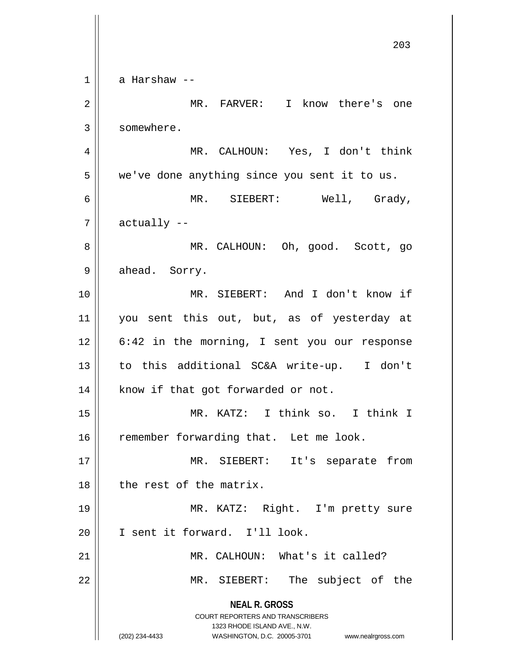**NEAL R. GROSS** COURT REPORTERS AND TRANSCRIBERS 1323 RHODE ISLAND AVE., N.W. (202) 234-4433 WASHINGTON, D.C. 20005-3701 www.nealrgross.com 203  $1 \parallel$  a Harshaw --2 MR. FARVER: I know there's one 3 | somewhere. 4 MR. CALHOUN: Yes, I don't think  $5 \parallel$  we've done anything since you sent it to us. 6 MR. SIEBERT: Well, Grady,  $7 \parallel$  actually  $-$ 8 MR. CALHOUN: Oh, good. Scott, go  $9 \parallel$  ahead. Sorry. 10 MR. SIEBERT: And I don't know if 11 || you sent this out, but, as of yesterday at 12 || 6:42 in the morning, I sent you our response 13 || to this additional SC&A write-up. I don't 14 | know if that got forwarded or not. 15 MR. KATZ: I think so. I think I 16 | remember forwarding that. Let me look. 17 || MR. SIEBERT: It's separate from 18 l the rest of the matrix. 19 MR. KATZ: Right. I'm pretty sure 20 || I sent it forward. I'll look. 21 || MR. CALHOUN: What's it called? 22 || MR. SIEBERT: The subject of the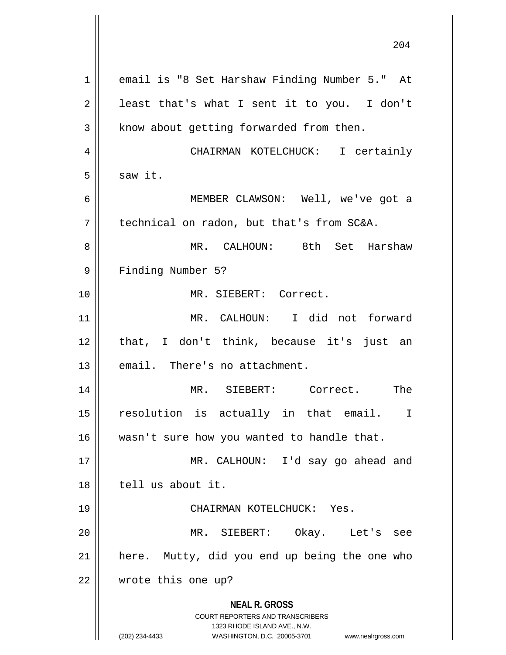| $\mathbf 1$    | email is "8 Set Harshaw Finding Number 5." At                                                                                                                          |
|----------------|------------------------------------------------------------------------------------------------------------------------------------------------------------------------|
| $\overline{2}$ | least that's what I sent it to you. I don't                                                                                                                            |
| $\mathfrak{Z}$ | know about getting forwarded from then.                                                                                                                                |
| 4              | CHAIRMAN KOTELCHUCK: I certainly                                                                                                                                       |
| 5              | saw it.                                                                                                                                                                |
| 6              | MEMBER CLAWSON: Well, we've got a                                                                                                                                      |
| 7              | technical on radon, but that's from SC&A.                                                                                                                              |
| 8              | MR. CALHOUN: 8th Set Harshaw                                                                                                                                           |
| 9              | Finding Number 5?                                                                                                                                                      |
| 10             | MR. SIEBERT: Correct.                                                                                                                                                  |
| 11             | MR. CALHOUN: I did not forward                                                                                                                                         |
| 12             | that, I don't think, because it's just an                                                                                                                              |
| 13             | email. There's no attachment.                                                                                                                                          |
| 14             | MR. SIEBERT: Correct. The                                                                                                                                              |
| 15             | resolution is actually in that email.<br>I                                                                                                                             |
| 16             | wasn't sure how you wanted to handle that.                                                                                                                             |
| 17             | MR. CALHOUN: I'd say go ahead and                                                                                                                                      |
| 18             | tell us about it.                                                                                                                                                      |
| 19             | CHAIRMAN KOTELCHUCK: Yes.                                                                                                                                              |
| 20             | MR. SIEBERT: Okay. Let's see                                                                                                                                           |
| 21             | here. Mutty, did you end up being the one who                                                                                                                          |
| 22             | wrote this one up?                                                                                                                                                     |
|                | <b>NEAL R. GROSS</b><br><b>COURT REPORTERS AND TRANSCRIBERS</b><br>1323 RHODE ISLAND AVE., N.W.<br>(202) 234-4433<br>WASHINGTON, D.C. 20005-3701<br>www.nealrgross.com |

 $\mathsf{l}$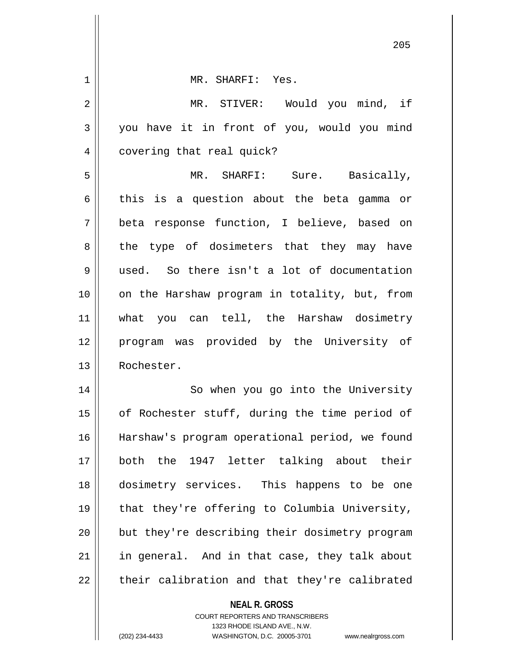| 1  | MR. SHARFI: Yes.                                                    |
|----|---------------------------------------------------------------------|
| 2  | MR. STIVER: Would you mind, if                                      |
| 3  | you have it in front of you, would you mind                         |
| 4  | covering that real quick?                                           |
| 5  | MR. SHARFI: Sure. Basically,                                        |
| 6  | this is a question about the beta gamma or                          |
| 7  | beta response function, I believe, based on                         |
| 8  | the type of dosimeters that they may have                           |
| 9  | used. So there isn't a lot of documentation                         |
| 10 | on the Harshaw program in totality, but, from                       |
| 11 | what you can tell, the Harshaw dosimetry                            |
| 12 | program was provided by the University of                           |
| 13 | Rochester.                                                          |
| 14 | So when you go into the University                                  |
| 15 | of Rochester stuff, during the time period of                       |
| 16 | Harshaw's program operational period, we found                      |
| 17 | both the 1947 letter talking about their                            |
| 18 | dosimetry services. This happens to be one                          |
| 19 | that they're offering to Columbia University,                       |
| 20 | but they're describing their dosimetry program                      |
| 21 | in general. And in that case, they talk about                       |
| 22 | their calibration and that they're calibrated                       |
|    | <b>NEAL R. GROSS</b><br><b>COURT REPORTERS AND TRANSCRIBERS</b>     |
|    | 1323 RHODE ISLAND AVE., N.W.                                        |
|    | (202) 234-4433<br>WASHINGTON, D.C. 20005-3701<br>www.nealrgross.com |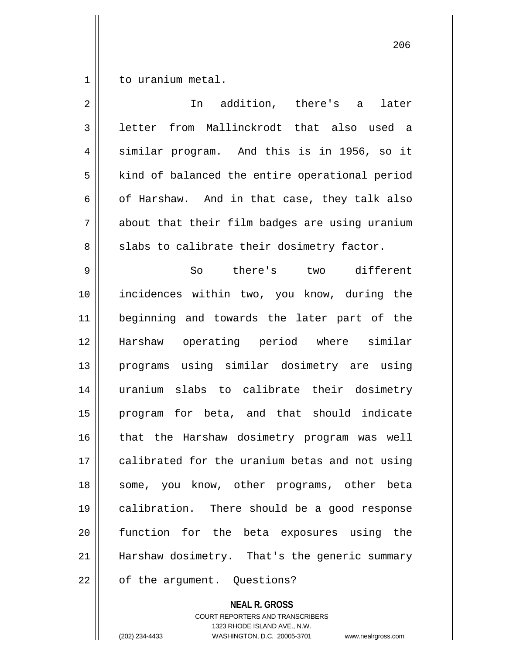$1 \parallel$  to uranium metal.

| $\overline{2}$ | addition, there's a<br>In<br>later             |
|----------------|------------------------------------------------|
| 3              | from Mallinckrodt that also used a<br>letter   |
| 4              | similar program. And this is in 1956, so it    |
| 5              | kind of balanced the entire operational period |
| 6              | of Harshaw. And in that case, they talk also   |
| 7              | about that their film badges are using uranium |
| 8              | slabs to calibrate their dosimetry factor.     |
| 9              | So<br>there's two different                    |
| 10             | incidences within two, you know, during the    |
| 11             | beginning and towards the later part of the    |
| 12             | Harshaw operating period where similar         |
| 13             | programs using similar dosimetry are using     |
| 14             | uranium slabs to calibrate their dosimetry     |
| 15             | program for beta, and that should indicate     |
| 16             | that the Harshaw dosimetry program was well    |
| 17             | calibrated for the uranium betas and not using |
| 18             | some, you know, other programs, other beta     |
| 19             | calibration. There should be a good response   |
| 20             | function for the beta exposures using the      |
| 21             | Harshaw dosimetry. That's the generic summary  |
| 22             | of the argument. Questions?                    |

**NEAL R. GROSS** COURT REPORTERS AND TRANSCRIBERS 1323 RHODE ISLAND AVE., N.W.

(202) 234-4433 WASHINGTON, D.C. 20005-3701 www.nealrgross.com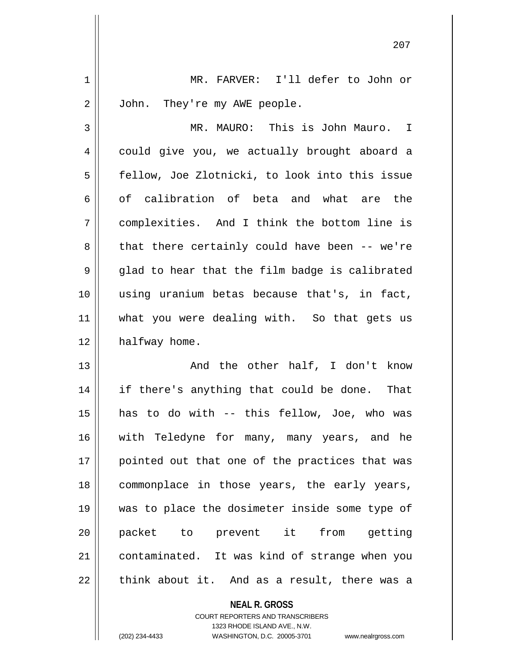1 MR. FARVER: I'll defer to John or 2 | John. They're my AWE people.

3 MR. MAURO: This is John Mauro. I 4 could give you, we actually brought aboard a 5 | fellow, Joe Zlotnicki, to look into this issue 6 of calibration of beta and what are the 7 complexities. And I think the bottom line is 8 that there certainly could have been -- we're  $9 \parallel$  glad to hear that the film badge is calibrated 10 using uranium betas because that's, in fact, 11 what you were dealing with. So that gets us  $12$  | halfway home.

13 || The other half, I don't know 14 || if there's anything that could be done. That has to do with -- this fellow, Joe, who was with Teledyne for many, many years, and he 17 || pointed out that one of the practices that was commonplace in those years, the early years, was to place the dosimeter inside some type of packet to prevent it from getting contaminated. It was kind of strange when you || think about it. And as a result, there was a

> **NEAL R. GROSS** COURT REPORTERS AND TRANSCRIBERS 1323 RHODE ISLAND AVE., N.W. (202) 234-4433 WASHINGTON, D.C. 20005-3701 www.nealrgross.com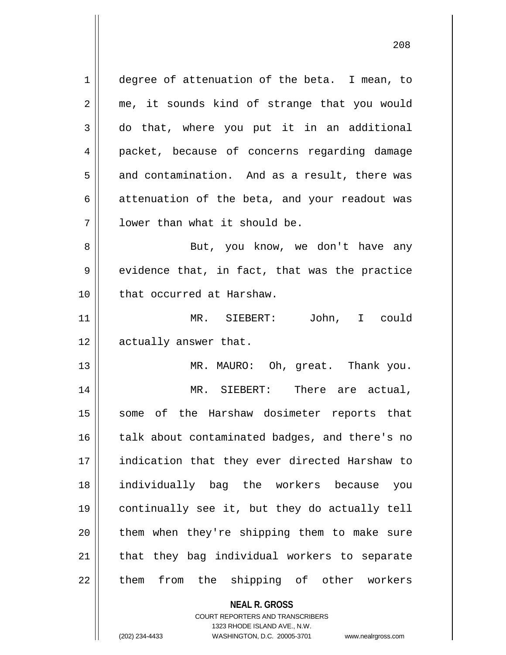1 degree of attenuation of the beta. I mean, to 2 || me, it sounds kind of strange that you would 3 do that, where you put it in an additional 4 packet, because of concerns regarding damage  $5 \parallel$  and contamination. And as a result, there was  $6 \parallel$  attenuation of the beta, and your readout was 7 || Iower than what it should be. 8 || But, you know, we don't have any  $9 \parallel$  evidence that, in fact, that was the practice 10 || that occurred at Harshaw. 11 MR. SIEBERT: John, I could 12 || actually answer that. 13 MR. MAURO: Oh, great. Thank you. 14 MR. SIEBERT: There are actual, 15 || some of the Harshaw dosimeter reports that 16 talk about contaminated badges, and there's no 17 || indication that they ever directed Harshaw to 18 individually bag the workers because you 19 continually see it, but they do actually tell  $20$  || them when they're shipping them to make sure  $21$  | that they bag individual workers to separate 22 || them from the shipping of other workers

> **NEAL R. GROSS** COURT REPORTERS AND TRANSCRIBERS

1323 RHODE ISLAND AVE., N.W.

(202) 234-4433 WASHINGTON, D.C. 20005-3701 www.nealrgross.com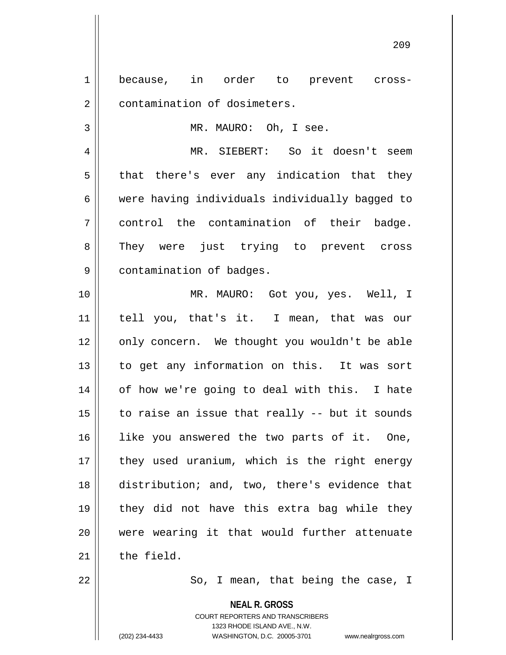1 because, in order to prevent cross-2 | contamination of dosimeters. 3 || MR. MAURO: Oh, I see. 4 MR. SIEBERT: So it doesn't seem  $5 \parallel$  that there's ever any indication that they 6 were having individuals individually bagged to 7 control the contamination of their badge. 8 They were just trying to prevent cross 9 | contamination of badges. 10 MR. MAURO: Got you, yes. Well, I 11 tell you, that's it. I mean, that was our 12 || only concern. We thought you wouldn't be able 13 || to get any information on this. It was sort 14 || of how we're going to deal with this. I hate  $15$  | to raise an issue that really -- but it sounds 16 || like you answered the two parts of it. One,  $17$  || they used uranium, which is the right energy 18 distribution; and, two, there's evidence that 19 they did not have this extra bag while they 20 were wearing it that would further attenuate  $21$  the field. 22 So, I mean, that being the case, I

> **NEAL R. GROSS** COURT REPORTERS AND TRANSCRIBERS 1323 RHODE ISLAND AVE., N.W. (202) 234-4433 WASHINGTON, D.C. 20005-3701 www.nealrgross.com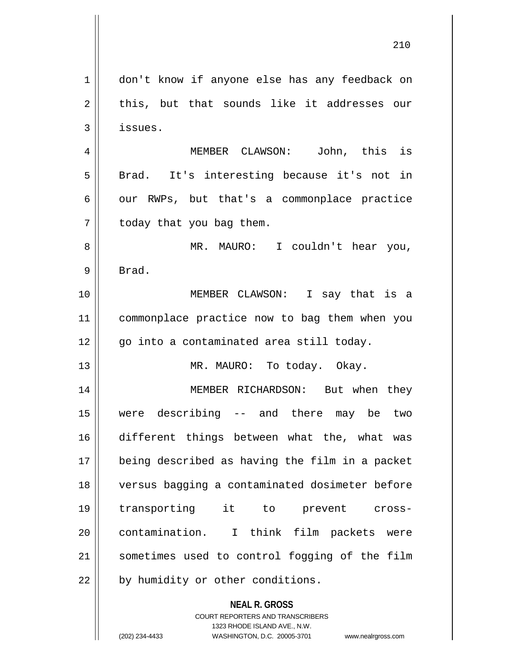| $\mathbf 1$    | don't know if anyone else has any feedback on                       |
|----------------|---------------------------------------------------------------------|
| 2              | this, but that sounds like it addresses our                         |
| 3              | issues.                                                             |
| $\overline{4}$ | MEMBER CLAWSON: John, this is                                       |
| 5              | Brad. It's interesting because it's not in                          |
| 6              | our RWPs, but that's a commonplace practice                         |
| 7              | today that you bag them.                                            |
| 8              | MR. MAURO: I couldn't hear you,                                     |
| 9              | Brad.                                                               |
| 10             | MEMBER CLAWSON: I say that is a                                     |
| 11             | commonplace practice now to bag them when you                       |
| 12             | go into a contaminated area still today.                            |
| 13             | MR. MAURO: To today. Okay.                                          |
| 14             | MEMBER RICHARDSON: But when they                                    |
| 15             | were describing -- and there may be two                             |
| 16             | different things between what the, what was                         |
| 17             | being described as having the film in a packet                      |
| 18             | versus bagging a contaminated dosimeter before                      |
| 19             | transporting it to<br>prevent cross-                                |
| 20             | contamination. I think film packets were                            |
| 21             | sometimes used to control fogging of the film                       |
| 22             | by humidity or other conditions.                                    |
|                |                                                                     |
|                | <b>NEAL R. GROSS</b><br><b>COURT REPORTERS AND TRANSCRIBERS</b>     |
|                | 1323 RHODE ISLAND AVE., N.W.                                        |
|                | (202) 234-4433<br>WASHINGTON, D.C. 20005-3701<br>www.nealrgross.com |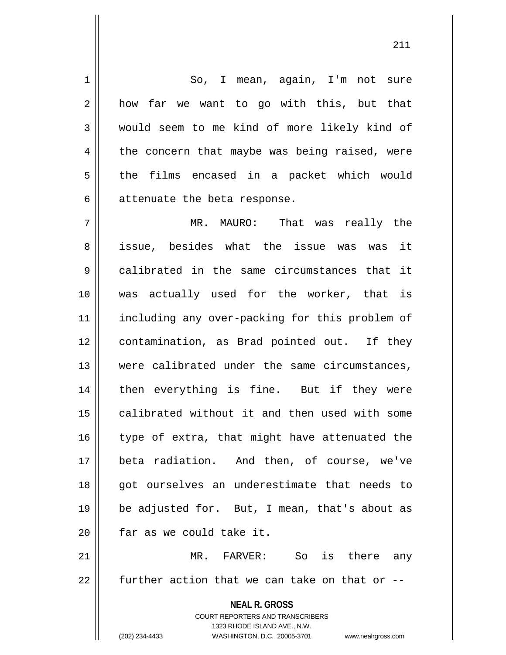1 || So, I mean, again, I'm not sure 2 || how far we want to go with this, but that 3 would seem to me kind of more likely kind of  $4 \parallel$  the concern that maybe was being raised, were  $5 \parallel$  the films encased in a packet which would  $6$  || attenuate the beta response.

 MR. MAURO: That was really the issue, besides what the issue was was it calibrated in the same circumstances that it was actually used for the worker, that is 11 || including any over-packing for this problem of 12 || contamination, as Brad pointed out. If they were calibrated under the same circumstances, 14 || then everything is fine. But if they were 15 || calibrated without it and then used with some  $\parallel$  type of extra, that might have attenuated the beta radiation. And then, of course, we've 18 || got ourselves an underestimate that needs to be adjusted for. But, I mean, that's about as | far as we could take it.

21 MR. FARVER: So is there any  $22$  further action that we can take on that or  $-$ 

> **NEAL R. GROSS** COURT REPORTERS AND TRANSCRIBERS 1323 RHODE ISLAND AVE., N.W. (202) 234-4433 WASHINGTON, D.C. 20005-3701 www.nealrgross.com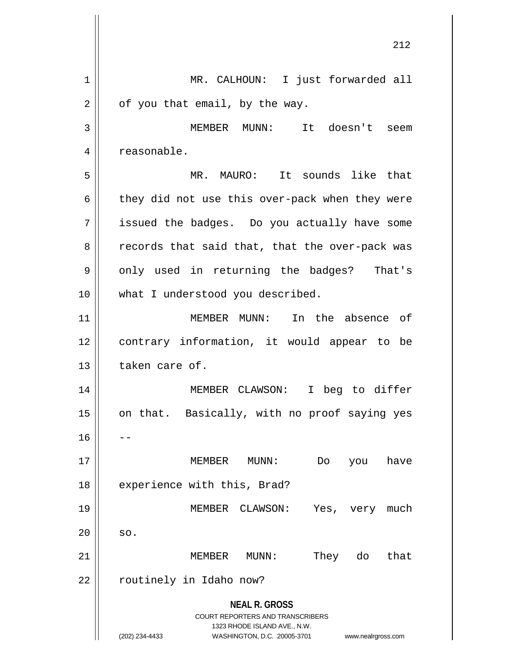|    | ∠⊥∠                                                                 |
|----|---------------------------------------------------------------------|
| 1  | MR. CALHOUN: I just forwarded all                                   |
| 2  | of you that email, by the way.                                      |
| 3  | MEMBER MUNN: It doesn't seem                                        |
| 4  | reasonable.                                                         |
| 5  | It sounds like that<br>MR. MAURO:                                   |
| 6  | they did not use this over-pack when they were                      |
| 7  | issued the badges. Do you actually have some                        |
| 8  | records that said that, that the over-pack was                      |
| 9  | only used in returning the badges? That's                           |
| 10 | what I understood you described.                                    |
| 11 | MEMBER MUNN: In the absence of                                      |
| 12 | contrary information, it would appear to be                         |
| 13 | taken care of.                                                      |
| 14 | MEMBER CLAWSON: I beg to differ                                     |
| 15 | on that. Basically, with no proof saying yes                        |
| 16 |                                                                     |
| 17 | MEMBER<br>MUNN:<br>have<br>Do<br>you                                |
| 18 | experience with this, Brad?                                         |
| 19 | MEMBER CLAWSON:<br>Yes,<br>very much                                |
| 20 | SO.                                                                 |
| 21 | MEMBER<br>They<br>do<br>that<br>MUNN:                               |
| 22 | routinely in Idaho now?                                             |
|    | <b>NEAL R. GROSS</b><br><b>COURT REPORTERS AND TRANSCRIBERS</b>     |
|    | 1323 RHODE ISLAND AVE., N.W.                                        |
|    | (202) 234-4433<br>WASHINGTON, D.C. 20005-3701<br>www.nealrgross.com |

 $\parallel$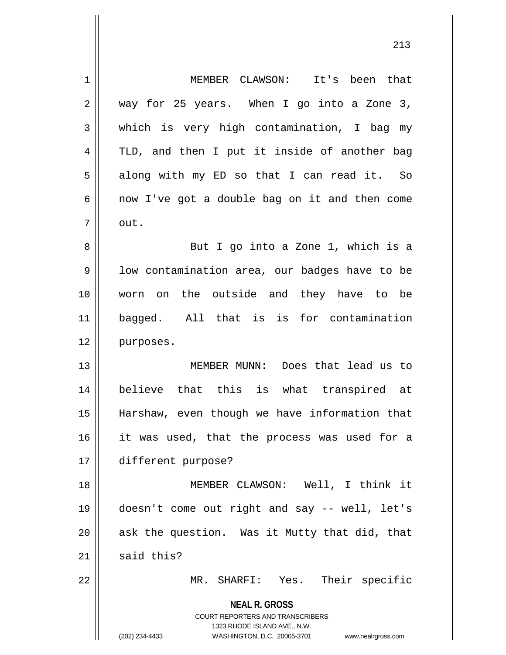| 1  | MEMBER CLAWSON: It's been that                                                                                                                                         |
|----|------------------------------------------------------------------------------------------------------------------------------------------------------------------------|
| 2  | way for 25 years. When I go into a Zone 3,                                                                                                                             |
| 3  | which is very high contamination, I bag my                                                                                                                             |
| 4  | TLD, and then I put it inside of another bag                                                                                                                           |
| 5  | along with my ED so that I can read it. So                                                                                                                             |
| 6  | now I've got a double bag on it and then come                                                                                                                          |
| 7  | out.                                                                                                                                                                   |
| 8  | But I go into a Zone 1, which is a                                                                                                                                     |
| 9  | low contamination area, our badges have to be                                                                                                                          |
| 10 | worn on the outside and they have to be                                                                                                                                |
| 11 | bagged. All that is is for contamination                                                                                                                               |
| 12 | purposes.                                                                                                                                                              |
| 13 | MEMBER MUNN: Does that lead us to                                                                                                                                      |
| 14 | believe that this is what transpired at                                                                                                                                |
| 15 | Harshaw, even though we have information that                                                                                                                          |
| 16 | it was used, that the process was used for a                                                                                                                           |
| 17 | different purpose?                                                                                                                                                     |
| 18 | MEMBER CLAWSON: Well, I think it                                                                                                                                       |
| 19 | doesn't come out right and say -- well, let's                                                                                                                          |
| 20 | ask the question. Was it Mutty that did, that                                                                                                                          |
| 21 | said this?                                                                                                                                                             |
| 22 | MR. SHARFI: Yes. Their specific                                                                                                                                        |
|    | <b>NEAL R. GROSS</b><br><b>COURT REPORTERS AND TRANSCRIBERS</b><br>1323 RHODE ISLAND AVE., N.W.<br>(202) 234-4433<br>WASHINGTON, D.C. 20005-3701<br>www.nealrgross.com |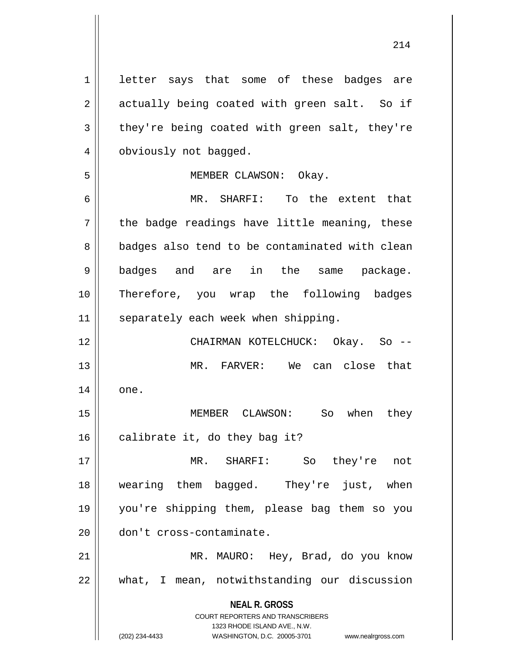1 letter says that some of these badges are 2 || actually being coated with green salt. So if  $3 \parallel$  they're being coated with green salt, they're 4 | obviously not bagged.

## 5 MEMBER CLAWSON: Okay.

 MR. SHARFI: To the extent that  $7 \parallel$  the badge readings have little meaning, these 8 | badges also tend to be contaminated with clean badges and are in the same package. Therefore, you wrap the following badges | separately each week when shipping.

12 CHAIRMAN KOTELCHUCK: Okay. So -- 13 MR. FARVER: We can close that  $14 \parallel$  one.

15 MEMBER CLAWSON: So when they 16  $\parallel$  calibrate it, do they bag it?

 MR. SHARFI: So they're not wearing them bagged. They're just, when you're shipping them, please bag them so you don't cross-contaminate.

21 MR. MAURO: Hey, Brad, do you know 22 what, I mean, notwithstanding our discussion

> **NEAL R. GROSS** COURT REPORTERS AND TRANSCRIBERS

> > 1323 RHODE ISLAND AVE., N.W.

(202) 234-4433 WASHINGTON, D.C. 20005-3701 www.nealrgross.com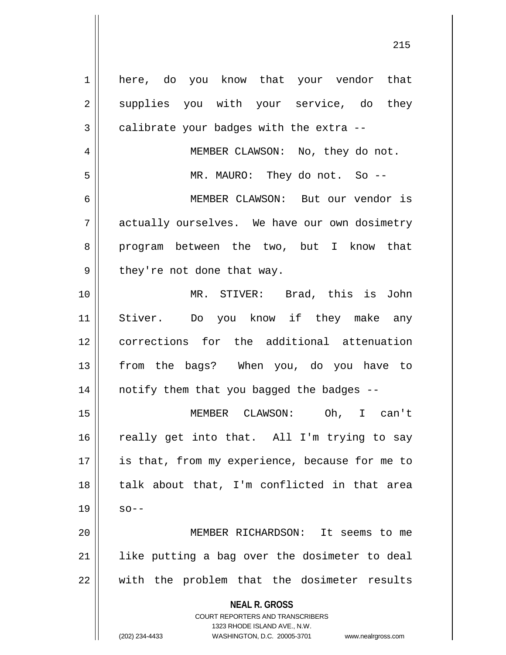| 1  | here, do you know that your vendor that                                                                                                                         |
|----|-----------------------------------------------------------------------------------------------------------------------------------------------------------------|
| 2  | supplies you with your service, do they                                                                                                                         |
| 3  | calibrate your badges with the extra --                                                                                                                         |
| 4  | MEMBER CLAWSON: No, they do not.                                                                                                                                |
| 5  | MR. MAURO: They do not. So --                                                                                                                                   |
| 6  | MEMBER CLAWSON: But our vendor is                                                                                                                               |
| 7  | actually ourselves. We have our own dosimetry                                                                                                                   |
| 8  | program between the two, but I know that                                                                                                                        |
| 9  | they're not done that way.                                                                                                                                      |
| 10 | MR. STIVER: Brad, this is John                                                                                                                                  |
| 11 | Stiver. Do you know if they make any                                                                                                                            |
| 12 | corrections for the additional attenuation                                                                                                                      |
| 13 | from the bags? When you, do you have to                                                                                                                         |
| 14 | notify them that you bagged the badges --                                                                                                                       |
| 15 | Oh, I can't<br>MEMBER CLAWSON:                                                                                                                                  |
| 16 | really get into that. All I'm trying to say                                                                                                                     |
| 17 | is that, from my experience, because for me to                                                                                                                  |
| 18 | talk about that, I'm conflicted in that area                                                                                                                    |
| 19 | $SO - -$                                                                                                                                                        |
| 20 | MEMBER RICHARDSON: It seems to me                                                                                                                               |
| 21 | like putting a bag over the dosimeter to deal                                                                                                                   |
| 22 | with the problem that the dosimeter results                                                                                                                     |
|    | <b>NEAL R. GROSS</b><br>COURT REPORTERS AND TRANSCRIBERS<br>1323 RHODE ISLAND AVE., N.W.<br>(202) 234-4433<br>WASHINGTON, D.C. 20005-3701<br>www.nealrgross.com |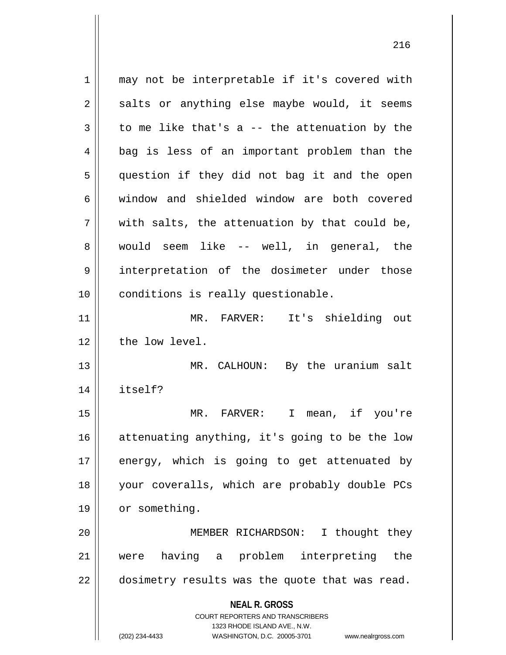**NEAL R. GROSS** COURT REPORTERS AND TRANSCRIBERS 1323 RHODE ISLAND AVE., N.W. (202) 234-4433 WASHINGTON, D.C. 20005-3701 www.nealrgross.com 1 || may not be interpretable if it's covered with  $2 \parallel$  salts or anything else maybe would, it seems  $3 \parallel$  to me like that's a -- the attenuation by the 4 || bag is less of an important problem than the 5 || question if they did not bag it and the open 6 window and shielded window are both covered  $7 \parallel$  with salts, the attenuation by that could be, 8 would seem like -- well, in general, the 9 interpretation of the dosimeter under those 10 || conditions is really questionable. 11 MR. FARVER: It's shielding out 12 | the low level. 13 || MR. CALHOUN: By the uranium salt 14 itself? 15 MR. FARVER: I mean, if you're 16 || attenuating anything, it's going to be the low  $17$  energy, which is going to get attenuated by 18 your coveralls, which are probably double PCs 19 | or something. 20 MEMBER RICHARDSON: I thought they 21 were having a problem interpreting the 22 | dosimetry results was the quote that was read.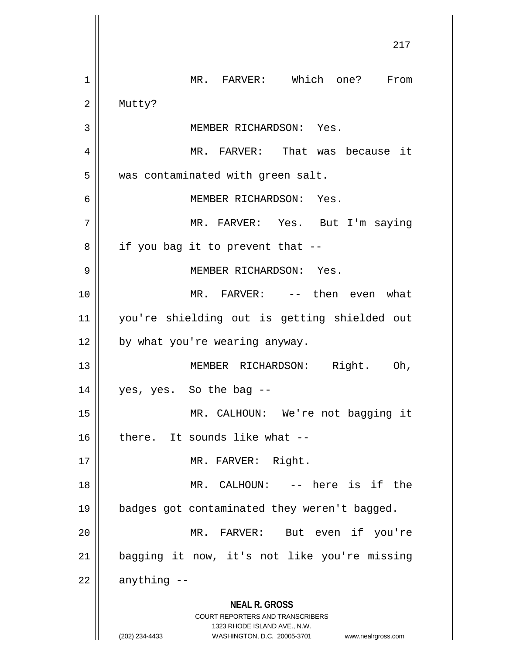|    | 217                                                                                                                                                             |
|----|-----------------------------------------------------------------------------------------------------------------------------------------------------------------|
| 1  | MR. FARVER: Which one? From                                                                                                                                     |
| 2  | Mutty?                                                                                                                                                          |
| 3  | MEMBER RICHARDSON: Yes.                                                                                                                                         |
| 4  | MR. FARVER: That was because it                                                                                                                                 |
| 5  | was contaminated with green salt.                                                                                                                               |
| 6  | MEMBER RICHARDSON: Yes.                                                                                                                                         |
| 7  | MR. FARVER: Yes. But I'm saying                                                                                                                                 |
| 8  | if you bag it to prevent that --                                                                                                                                |
| 9  | MEMBER RICHARDSON: Yes.                                                                                                                                         |
| 10 | MR. FARVER: -- then even what                                                                                                                                   |
| 11 | you're shielding out is getting shielded out                                                                                                                    |
| 12 | by what you're wearing anyway.                                                                                                                                  |
| 13 | MEMBER RICHARDSON: Right. Oh,                                                                                                                                   |
| 14 | yes, yes. So the bag --                                                                                                                                         |
| 15 | MR. CALHOUN: We're not bagging it                                                                                                                               |
| 16 | there. It sounds like what --                                                                                                                                   |
| 17 | MR. FARVER: Right.                                                                                                                                              |
| 18 | MR. CALHOUN: -- here is if the                                                                                                                                  |
| 19 | badges got contaminated they weren't bagged.                                                                                                                    |
| 20 | MR. FARVER: But even if you're                                                                                                                                  |
| 21 | bagging it now, it's not like you're missing                                                                                                                    |
| 22 | anything --                                                                                                                                                     |
|    | <b>NEAL R. GROSS</b><br>COURT REPORTERS AND TRANSCRIBERS<br>1323 RHODE ISLAND AVE., N.W.<br>WASHINGTON, D.C. 20005-3701<br>(202) 234-4433<br>www.nealrgross.com |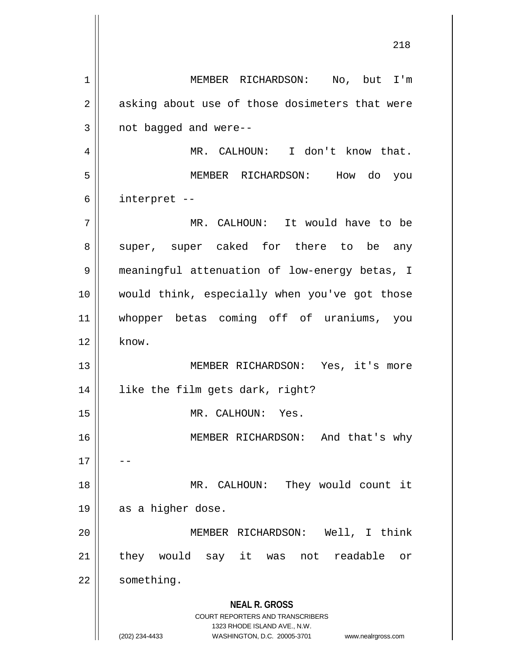**NEAL R. GROSS** COURT REPORTERS AND TRANSCRIBERS 1323 RHODE ISLAND AVE., N.W. (202) 234-4433 WASHINGTON, D.C. 20005-3701 www.nealrgross.com 1 || MEMBER RICHARDSON: No, but I'm  $2 \parallel$  asking about use of those dosimeters that were  $3 \parallel$  not bagged and were--4 | MR. CALHOUN: I don't know that. 5 MEMBER RICHARDSON: How do you  $6 \parallel$  interpret --7 MR. CALHOUN: It would have to be 8 || super, super caked for there to be any 9 meaningful attenuation of low-energy betas, I 10 would think, especially when you've got those 11 whopper betas coming off of uraniums, you  $12 \parallel$  know. 13 MEMBER RICHARDSON: Yes, it's more 14 like the film gets dark, right? 15 || MR. CALHOUN: Yes. 16 MEMBER RICHARDSON: And that's why  $17$ 18 || MR. CALHOUN: They would count it  $19 \parallel$  as a higher dose. 20 MEMBER RICHARDSON: Well, I think 21 || they would say it was not readable or 22 | something.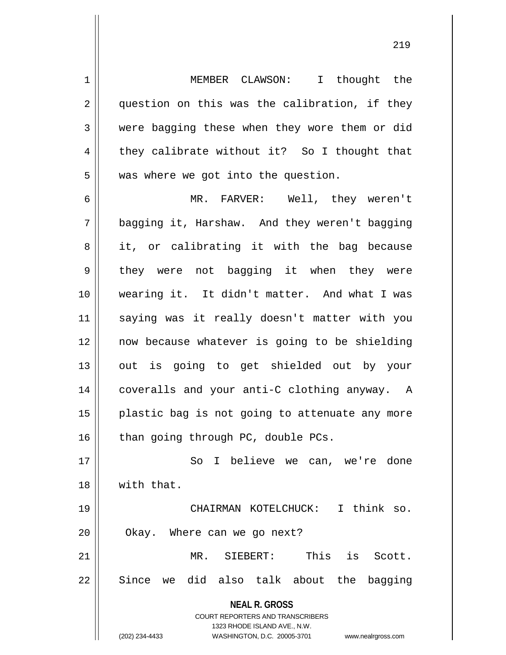1 | MEMBER CLAWSON: I thought the 2 || question on this was the calibration, if they 3 were bagging these when they wore them or did  $4 \parallel$  they calibrate without it? So I thought that  $5 \parallel$  was where we got into the question.

6 MR. FARVER: Well, they weren't 7 bagging it, Harshaw. And they weren't bagging  $8 \parallel$  it, or calibrating it with the bag because 9 || they were not bagging it when they were 10 wearing it. It didn't matter. And what I was 11 saying was it really doesn't matter with you 12 now because whatever is going to be shielding 13 || out is going to get shielded out by your 14 || coveralls and your anti-C clothing anyway. A 15 || plastic bag is not going to attenuate any more  $16$  | than going through PC, double PCs.

17 || So I believe we can, we're done 18 with that. 19 CHAIRMAN KOTELCHUCK: I think so.

21 MR. SIEBERT: This is Scott.  $22 \parallel$  Since we did also talk about the bagging

20 | Okay. Where can we go next?

**NEAL R. GROSS** COURT REPORTERS AND TRANSCRIBERS 1323 RHODE ISLAND AVE., N.W. (202) 234-4433 WASHINGTON, D.C. 20005-3701 www.nealrgross.com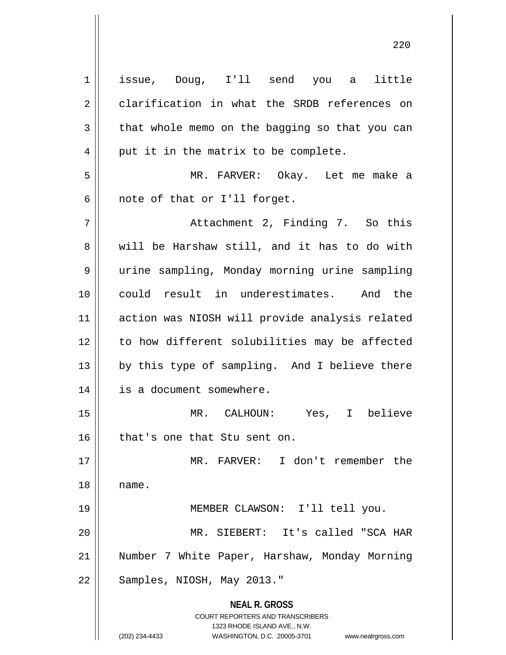| $\mathbf 1$    | issue, Doug, I'll send you a little                                                                 |
|----------------|-----------------------------------------------------------------------------------------------------|
| $\mathbf 2$    | clarification in what the SRDB references on                                                        |
| 3              | that whole memo on the bagging so that you can                                                      |
| $\overline{4}$ | put it in the matrix to be complete.                                                                |
| 5              | MR. FARVER: Okay. Let me make a                                                                     |
| 6              | note of that or I'll forget.                                                                        |
| 7              | Attachment 2, Finding 7. So this                                                                    |
| 8              | will be Harshaw still, and it has to do with                                                        |
| 9              | urine sampling, Monday morning urine sampling                                                       |
| 10             | could result in underestimates. And the                                                             |
| 11             | action was NIOSH will provide analysis related                                                      |
| 12             | to how different solubilities may be affected                                                       |
| 13             | by this type of sampling. And I believe there                                                       |
| 14             | is a document somewhere.                                                                            |
| 15             | Yes, I believe<br>MR. CALHOUN:                                                                      |
| 16             | that's one that Stu sent on.                                                                        |
| 17             | MR. FARVER: I don't remember the                                                                    |
| 18             | name.                                                                                               |
| 19             | MEMBER CLAWSON: I'll tell you.                                                                      |
| 20             | MR. SIEBERT: It's called "SCA HAR                                                                   |
| 21             | Number 7 White Paper, Harshaw, Monday Morning                                                       |
| 22             | Samples, NIOSH, May 2013."                                                                          |
|                | <b>NEAL R. GROSS</b>                                                                                |
|                | <b>COURT REPORTERS AND TRANSCRIBERS</b>                                                             |
|                | 1323 RHODE ISLAND AVE., N.W.<br>(202) 234-4433<br>WASHINGTON, D.C. 20005-3701<br>www.nealrgross.com |
|                |                                                                                                     |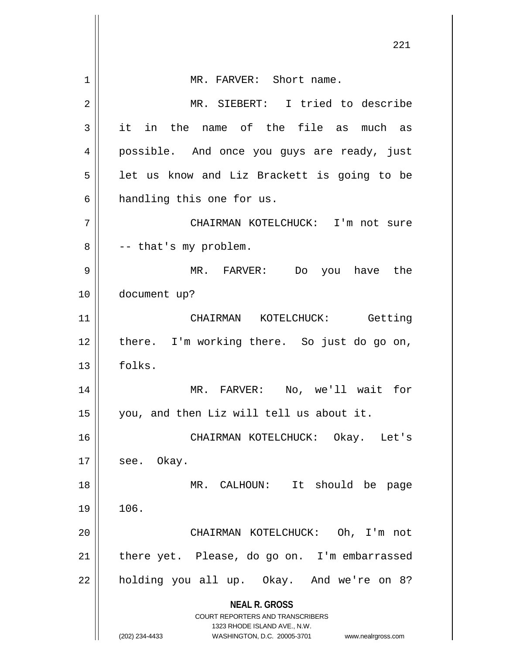|    | ∠∠⊥                                                                     |
|----|-------------------------------------------------------------------------|
| 1  | MR. FARVER: Short name.                                                 |
| 2  | MR. SIEBERT: I tried to describe                                        |
| 3  | it in the name of the file as much as                                   |
| 4  | possible. And once you guys are ready, just                             |
| 5  | let us know and Liz Brackett is going to be                             |
| 6  | handling this one for us.                                               |
|    |                                                                         |
| 7  | CHAIRMAN KOTELCHUCK: I'm not sure                                       |
| 8  | -- that's my problem.                                                   |
| 9  | MR. FARVER: Do you have the                                             |
| 10 | document up?                                                            |
| 11 | CHAIRMAN KOTELCHUCK: Getting                                            |
| 12 | there. I'm working there. So just do go on,                             |
| 13 | folks.                                                                  |
| 14 | MR. FARVER: No, we'll wait for                                          |
| 15 | you, and then Liz will tell us about it.                                |
| 16 | CHAIRMAN KOTELCHUCK: Okay. Let's                                        |
| 17 | see. Okay.                                                              |
| 18 | MR. CALHOUN: It should be page                                          |
| 19 | 106.                                                                    |
|    |                                                                         |
| 20 | CHAIRMAN KOTELCHUCK: Oh, I'm not                                        |
| 21 | there yet. Please, do go on. I'm embarrassed                            |
| 22 | holding you all up. Okay. And we're on 8?                               |
|    | <b>NEAL R. GROSS</b>                                                    |
|    | <b>COURT REPORTERS AND TRANSCRIBERS</b><br>1323 RHODE ISLAND AVE., N.W. |
|    | (202) 234-4433<br>WASHINGTON, D.C. 20005-3701<br>www.nealrgross.com     |

 $\overline{\phantom{a}}$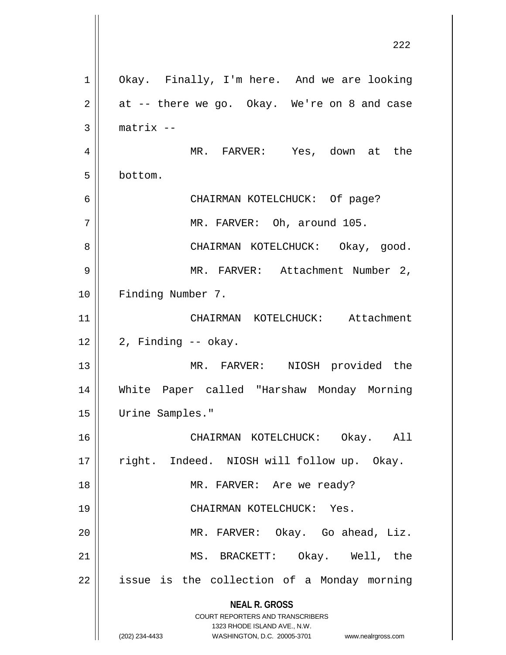**NEAL R. GROSS** COURT REPORTERS AND TRANSCRIBERS 1323 RHODE ISLAND AVE., N.W. (202) 234-4433 WASHINGTON, D.C. 20005-3701 www.nealrgross.com 1 | Okay. Finally, I'm here. And we are looking  $2 \parallel$  at -- there we go. Okay. We're on 8 and case  $3$  | matrix  $-$ 4 MR. FARVER: Yes, down at the 5 bottom. 6 CHAIRMAN KOTELCHUCK: Of page? 7 || MR. FARVER: Oh, around 105. 8 || CHAIRMAN KOTELCHUCK: Okay, ood. 9 MR. FARVER: Attachment Number 2, 10 || Finding Number 7. 11 || CHAIRMAN KOTELCHUCK: Attachment  $12 \parallel 2$ , Finding -- okay. 13 || MR. FARVER: NIOSH provided the 14 White Paper called "Harshaw Monday Morning 15 Urine Samples." 16 CHAIRMAN KOTELCHUCK: Okay. All 17 || right. Indeed. NIOSH will follow up. Okay. 18 || MR. FARVER: Are we ready? 19 CHAIRMAN KOTELCHUCK: Yes. 20 MR. FARVER: Okay. Go ahead, Liz. 21 MS. BRACKETT: Okay. Well, the  $22$  || issue is the collection of a Monday morning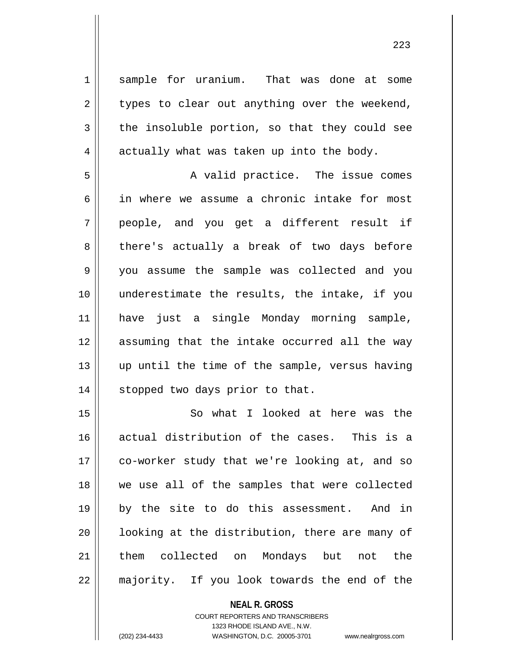1 Sample for uranium. That was done at some  $2 \parallel$  types to clear out anything over the weekend,  $3 \parallel$  the insoluble portion, so that they could see  $4 \parallel$  actually what was taken up into the body.

5 || A valid practice. The issue comes 6 || in where we assume a chronic intake for most 7 people, and you get a different result if 8 || there's actually a break of two days before 9 you assume the sample was collected and you 10 underestimate the results, the intake, if you 11 have just a single Monday morning sample, 12 assuming that the intake occurred all the way 13 || up until the time of the sample, versus having 14 || stopped two days prior to that.

 So what I looked at here was the 16 || actual distribution of the cases. This is a 17 || co-worker study that we're looking at, and so we use all of the samples that were collected by the site to do this assessment. And in ||  $1$ ooking at the distribution, there are many of them collected on Mondays but not the 22 || majority. If you look towards the end of the

> **NEAL R. GROSS** COURT REPORTERS AND TRANSCRIBERS 1323 RHODE ISLAND AVE., N.W. (202) 234-4433 WASHINGTON, D.C. 20005-3701 www.nealrgross.com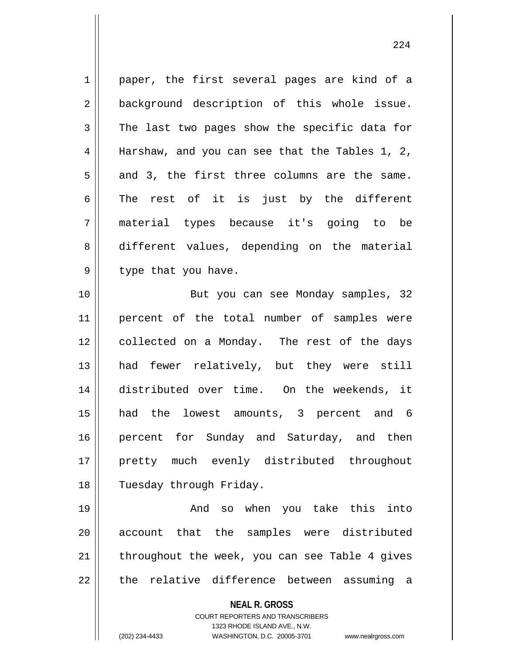1 || paper, the first several pages are kind of a 2 || background description of this whole issue.  $3 \parallel$  The last two pages show the specific data for 4 Harshaw, and you can see that the Tables 1, 2,  $5 \parallel$  and 3, the first three columns are the same.  $6 \parallel$  The rest of it is just by the different 7 material types because it's going to be 8 different values, depending on the material  $9 \parallel$  type that you have. 10 But you can see Monday samples, 32

 percent of the total number of samples were 12 || collected on a Monday. The rest of the days had fewer relatively, but they were still distributed over time. On the weekends, it had the lowest amounts, 3 percent and 6 16 || percent for Sunday and Saturday, and then pretty much evenly distributed throughout 18 || Tuesday through Friday.

 And so when you take this into 20 || account that the samples were distributed | throughout the week, you can see Table 4 gives || the relative difference between assuming a

**NEAL R. GROSS**

COURT REPORTERS AND TRANSCRIBERS 1323 RHODE ISLAND AVE., N.W. (202) 234-4433 WASHINGTON, D.C. 20005-3701 www.nealrgross.com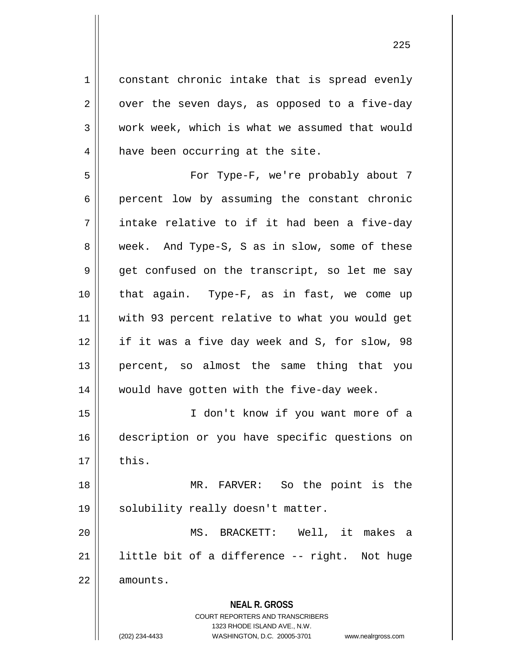1 constant chronic intake that is spread evenly  $2 \parallel$  over the seven days, as opposed to a five-day  $3 \parallel$  work week, which is what we assumed that would  $4 \parallel$  have been occurring at the site. 5 For Type-F, we're probably about 7

6 percent low by assuming the constant chronic  $7 \parallel$  intake relative to if it had been a five-day 8 week. And Type-S, S as in slow, some of these  $9 \parallel$  get confused on the transcript, so let me say 10 that again. Type-F, as in fast, we come up 11 with 93 percent relative to what you would get 12 if it was a five day week and S, for slow, 98 13 percent, so almost the same thing that you 14 || would have gotten with the five-day week.

15 I don't know if you want more of a 16 description or you have specific questions on  $17 \parallel$  this.

18 MR. FARVER: So the point is the 19 || solubility really doesn't matter.

20 MS. BRACKETT: Well, it makes a 21  $\parallel$  little bit of a difference -- right. Not huge 22 | amounts.

**NEAL R. GROSS**

COURT REPORTERS AND TRANSCRIBERS 1323 RHODE ISLAND AVE., N.W. (202) 234-4433 WASHINGTON, D.C. 20005-3701 www.nealrgross.com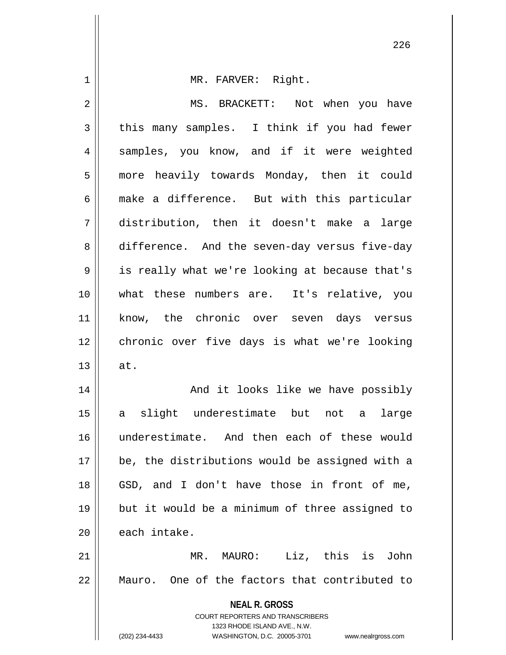| $\mathbf 1$ | MR. FARVER: Right.                                                  |
|-------------|---------------------------------------------------------------------|
| 2           | MS. BRACKETT: Not when you have                                     |
| 3           | this many samples. I think if you had fewer                         |
| 4           | samples, you know, and if it were weighted                          |
| 5           | more heavily towards Monday, then it could                          |
| 6           | make a difference. But with this particular                         |
| 7           | distribution, then it doesn't make a large                          |
| 8           | difference. And the seven-day versus five-day                       |
| 9           | is really what we're looking at because that's                      |
| 10          | what these numbers are. It's relative, you                          |
| 11          | know, the chronic over seven days versus                            |
| 12          | chronic over five days is what we're looking                        |
| 13          | at.                                                                 |
| 14          | And it looks like we have possibly                                  |
| 15          | a slight underestimate but not a large                              |
| 16          | underestimate. And then each of these would                         |
| 17          | be, the distributions would be assigned with a                      |
| 18          | GSD, and I don't have those in front of me,                         |
| 19          | but it would be a minimum of three assigned to                      |
| 20          | each intake.                                                        |
| 21          | Liz, this is<br>MR. MAURO:<br>John                                  |
| 22          | Mauro. One of the factors that contributed to                       |
|             | <b>NEAL R. GROSS</b>                                                |
|             | <b>COURT REPORTERS AND TRANSCRIBERS</b>                             |
|             | 1323 RHODE ISLAND AVE., N.W.                                        |
|             | (202) 234-4433<br>WASHINGTON, D.C. 20005-3701<br>www.nealrgross.com |

 $\mathsf{I}$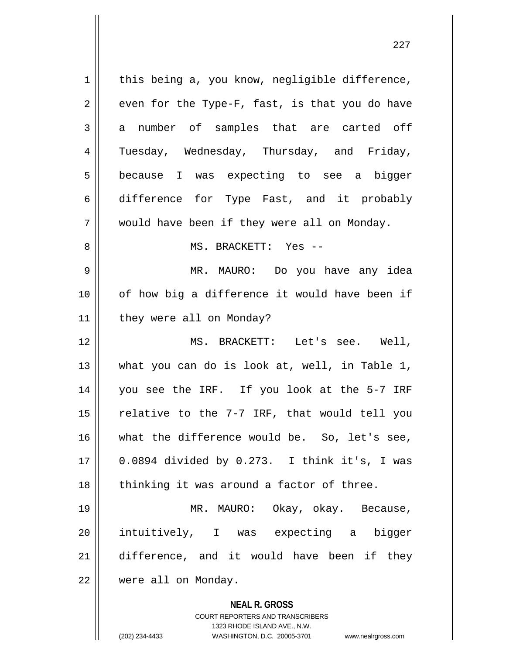**NEAL R. GROSS** COURT REPORTERS AND TRANSCRIBERS  $1$  this being a, you know, negligible difference,  $2 \parallel$  even for the Type-F, fast, is that you do have  $3 \parallel$  a number of samples that are carted off 4 Tuesday, Wednesday, Thursday, and Friday, 5 because I was expecting to see a bigger 6 difference for Type Fast, and it probably 7 || would have been if they were all on Monday. 8 MS. BRACKETT: Yes -- 9 MR. MAURO: Do you have any idea 10 || of how big a difference it would have been if 11 | they were all on Monday? 12 MS. BRACKETT: Let's see. Well, 13 what you can do is look at, well, in Table 1, 14 you see the IRF. If you look at the 5-7 IRF 15  $\parallel$  relative to the 7-7 IRF, that would tell you 16 what the difference would be. So, let's see, 17 0.0894 divided by 0.273. I think it's, I was 18 || thinking it was around a factor of three. 19 MR. MAURO: Okay, okay. Because, 20 || intuitively, I was expecting a bigger 21 difference, and it would have been if they 22 were all on Monday.

1323 RHODE ISLAND AVE., N.W.

(202) 234-4433 WASHINGTON, D.C. 20005-3701 www.nealrgross.com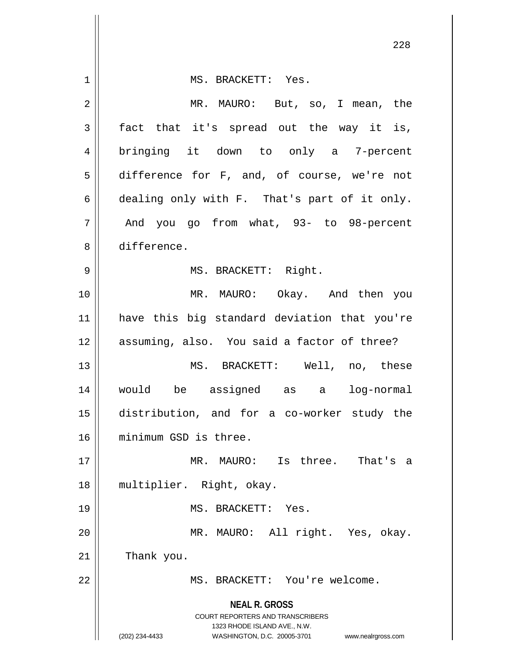| $\mathbf 1$ | MS. BRACKETT: Yes.                                                  |
|-------------|---------------------------------------------------------------------|
| 2           | MR. MAURO: But, so, I mean, the                                     |
| 3           | fact that it's spread out the way it is,                            |
| 4           | bringing it down to only a 7-percent                                |
| 5           | difference for F, and, of course, we're not                         |
| 6           | dealing only with F. That's part of it only.                        |
| 7           | And you go from what, 93- to 98-percent                             |
| 8           | difference.                                                         |
| 9           | MS. BRACKETT: Right.                                                |
|             |                                                                     |
| 10          | MR. MAURO: Okay. And then you                                       |
| 11          | have this big standard deviation that you're                        |
| 12          | assuming, also. You said a factor of three?                         |
| 13          | MS. BRACKETT: Well, no, these                                       |
| 14          | would be assigned as a log-normal                                   |
| 15          | distribution, and for a co-worker study the                         |
| 16          | minimum GSD is three.                                               |
| 17          | MR. MAURO: Is three. That's a                                       |
| 18          | multiplier. Right, okay.                                            |
| 19          | MS. BRACKETT: Yes.                                                  |
| 20          | MR. MAURO: All right. Yes, okay.                                    |
| 21          | Thank you.                                                          |
| 22          | MS. BRACKETT: You're welcome.                                       |
|             |                                                                     |
|             | <b>NEAL R. GROSS</b><br>COURT REPORTERS AND TRANSCRIBERS            |
|             | 1323 RHODE ISLAND AVE., N.W.                                        |
|             | WASHINGTON, D.C. 20005-3701<br>(202) 234-4433<br>www.nealrgross.com |

Ħ

 $\mathbf{I}$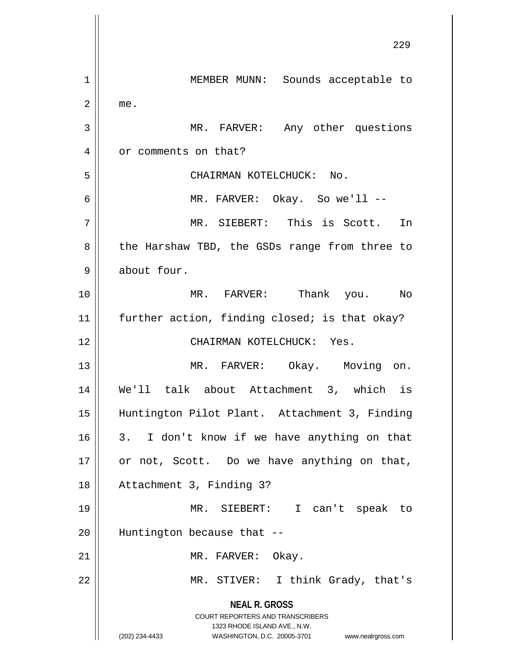**NEAL R. GROSS** COURT REPORTERS AND TRANSCRIBERS 1323 RHODE ISLAND AVE., N.W. (202) 234-4433 WASHINGTON, D.C. 20005-3701 www.nealrgross.com 229 1 | MEMBER MUNN: Sounds acceptable to  $2 \parallel$  me. 3 || MR. FARVER: Any other questions 4 | or comments on that? 5 || CHAIRMAN KOTELCHUCK: No. 6 MR. FARVER: Okay. So we'll -- 7 MR. SIEBERT: This is Scott. In 8 || the Harshaw TBD, the GSDs range from three to 9 about four. 10 MR. FARVER: Thank you. No 11 || further action, finding closed; is that okay? 12 CHAIRMAN KOTELCHUCK: Yes. 13 || MR. FARVER: Okay. Moving on. 14 We'll talk about Attachment 3, which is 15 Huntington Pilot Plant. Attachment 3, Finding  $16 \parallel 3$ . I don't know if we have anything on that  $17$  or not, Scott. Do we have anything on that, 18 Attachment 3, Finding 3? 19 MR. SIEBERT: I can't speak to  $20$  || Huntington because that  $-$ 21 || MR. FARVER: Okay. 22 || MR. STIVER: I think Grady, that's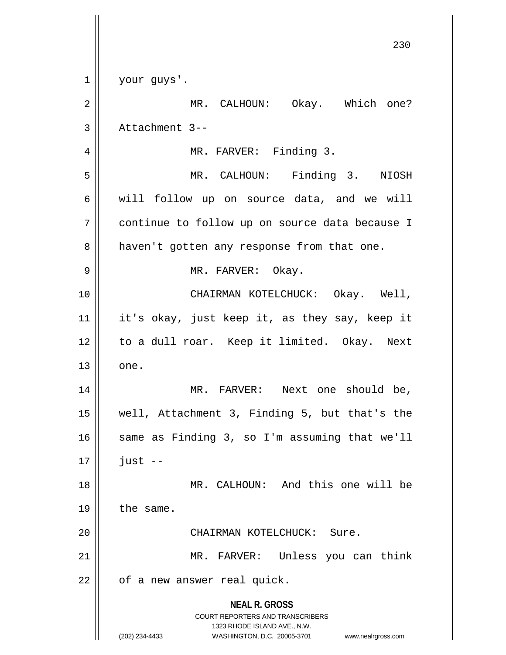| $\mathbf 1$ | your guys'.                                                                                                                                                            |
|-------------|------------------------------------------------------------------------------------------------------------------------------------------------------------------------|
| 2           | MR. CALHOUN: Okay. Which one?                                                                                                                                          |
| 3           | Attachment 3--                                                                                                                                                         |
| 4           | MR. FARVER: Finding 3.                                                                                                                                                 |
| 5           | MR. CALHOUN: Finding 3. NIOSH                                                                                                                                          |
| 6           | will follow up on source data, and we will                                                                                                                             |
| 7           | continue to follow up on source data because I                                                                                                                         |
| 8           | haven't gotten any response from that one.                                                                                                                             |
| 9           | MR. FARVER: Okay.                                                                                                                                                      |
| 10          | CHAIRMAN KOTELCHUCK: Okay. Well,                                                                                                                                       |
| 11          | it's okay, just keep it, as they say, keep it                                                                                                                          |
| 12          | to a dull roar. Keep it limited. Okay. Next                                                                                                                            |
| 13          | one.                                                                                                                                                                   |
| 14          | MR. FARVER: Next one should be,                                                                                                                                        |
| 15          | well, Attachment 3, Finding 5, but that's the                                                                                                                          |
| 16          | same as Finding 3, so I'm assuming that we'll                                                                                                                          |
| 17          | $just --$                                                                                                                                                              |
| 18          | MR. CALHOUN: And this one will be                                                                                                                                      |
| 19          | the same.                                                                                                                                                              |
| 20          | CHAIRMAN KOTELCHUCK: Sure.                                                                                                                                             |
| 21          | MR. FARVER: Unless you can think                                                                                                                                       |
| 22          | of a new answer real quick.                                                                                                                                            |
|             | <b>NEAL R. GROSS</b><br><b>COURT REPORTERS AND TRANSCRIBERS</b><br>1323 RHODE ISLAND AVE., N.W.<br>(202) 234-4433<br>WASHINGTON, D.C. 20005-3701<br>www.nealrgross.com |
|             |                                                                                                                                                                        |

 $\mathsf{I}$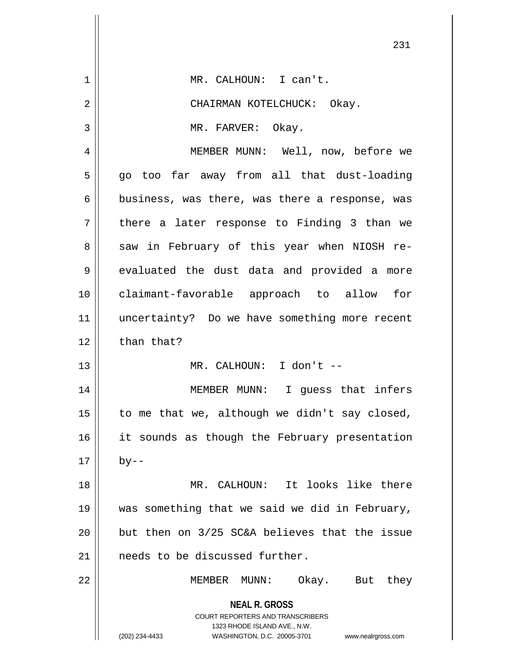|                | ∠ ک⊥                                                                                                                                                                   |
|----------------|------------------------------------------------------------------------------------------------------------------------------------------------------------------------|
| 1              | MR. CALHOUN: I can't.                                                                                                                                                  |
| $\overline{2}$ | CHAIRMAN KOTELCHUCK: Okay.                                                                                                                                             |
| 3              | MR. FARVER: Okay.                                                                                                                                                      |
| 4              | MEMBER MUNN: Well, now, before we                                                                                                                                      |
| 5              | go too far away from all that dust-loading                                                                                                                             |
| 6              | business, was there, was there a response, was                                                                                                                         |
| 7              | there a later response to Finding 3 than we                                                                                                                            |
| 8              | saw in February of this year when NIOSH re-                                                                                                                            |
| 9              | evaluated the dust data and provided a more                                                                                                                            |
| 10             | claimant-favorable approach to allow for                                                                                                                               |
| 11             | uncertainty? Do we have something more recent                                                                                                                          |
| 12             | than that?                                                                                                                                                             |
| 13             | MR. CALHOUN: I don't --                                                                                                                                                |
| 14             | MEMBER MUNN: I guess that infers                                                                                                                                       |
| 15             | to me that we, although we didn't say closed,                                                                                                                          |
| 16             | it sounds as though the February presentation                                                                                                                          |
| 17             | by--                                                                                                                                                                   |
| 18             | MR. CALHOUN: It looks like there                                                                                                                                       |
| 19             | was something that we said we did in February,                                                                                                                         |
| 20             | but then on 3/25 SC&A believes that the issue                                                                                                                          |
| 21             | needs to be discussed further.                                                                                                                                         |
| 22             | MEMBER MUNN:<br>Okay. But they                                                                                                                                         |
|                | <b>NEAL R. GROSS</b><br><b>COURT REPORTERS AND TRANSCRIBERS</b><br>1323 RHODE ISLAND AVE., N.W.<br>(202) 234-4433<br>WASHINGTON, D.C. 20005-3701<br>www.nealrgross.com |

 $\overline{\phantom{a}}$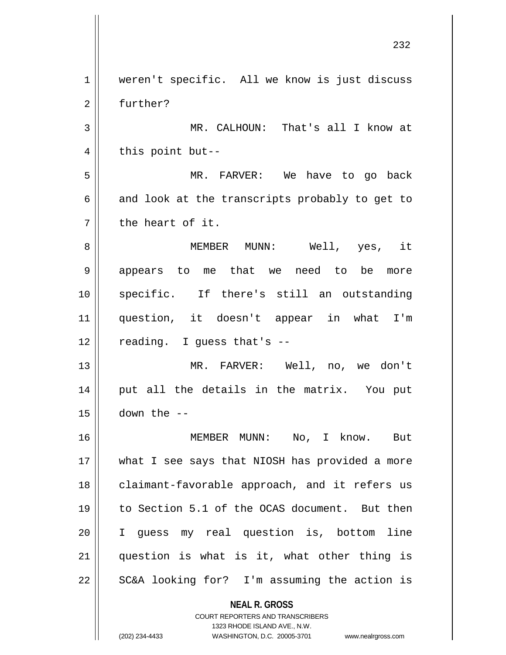**NEAL R. GROSS** COURT REPORTERS AND TRANSCRIBERS 232 1 || weren't specific. All we know is just discuss 2 | further? 3 MR. CALHOUN: That's all I know at  $4 \parallel$  this point but--5 MR. FARVER: We have to go back  $6 \parallel$  and look at the transcripts probably to get to  $7 \parallel$  the heart of it. 8 MEMBER MUNN: Well, yes, it 9 appears to me that we need to be more 10 specific. If there's still an outstanding 11 question, it doesn't appear in what I'm  $12$  | reading. I guess that's  $-$ 13 MR. FARVER: Well, no, we don't 14 || put all the details in the matrix. You put  $15$   $\vert$  down the  $-$ 16 MEMBER MUNN: No, I know. But 17 || what I see says that NIOSH has provided a more 18 || claimant-favorable approach, and it refers us 19 to Section 5.1 of the OCAS document. But then 20 I guess my real question is, bottom line  $21$  question is what is it, what other thing is  $22$  | SC&A looking for? I'm assuming the action is

(202) 234-4433 WASHINGTON, D.C. 20005-3701 www.nealrgross.com

1323 RHODE ISLAND AVE., N.W.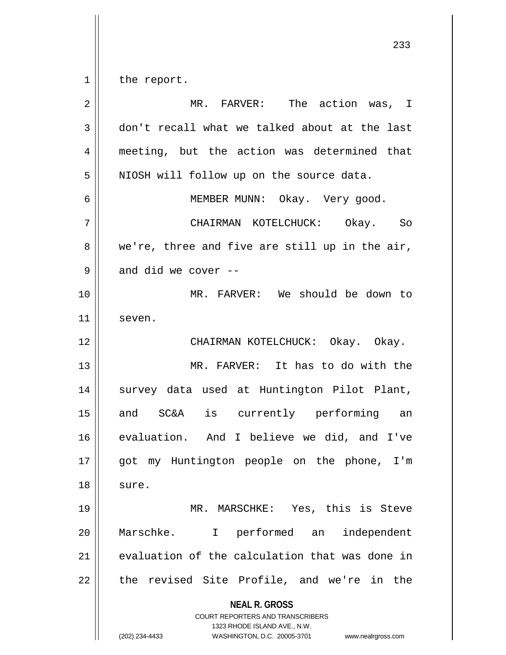$1 \parallel$  the report.

| $\overline{2}$ | MR. FARVER: The action was, I                                                                                                                                          |
|----------------|------------------------------------------------------------------------------------------------------------------------------------------------------------------------|
| 3              | don't recall what we talked about at the last                                                                                                                          |
| 4              | meeting, but the action was determined that                                                                                                                            |
| 5              | NIOSH will follow up on the source data.                                                                                                                               |
| 6              | MEMBER MUNN: Okay. Very good.                                                                                                                                          |
| 7              | CHAIRMAN KOTELCHUCK: Okay. So                                                                                                                                          |
| 8              | we're, three and five are still up in the air,                                                                                                                         |
| 9              | and did we cover --                                                                                                                                                    |
| 10             | MR. FARVER: We should be down to                                                                                                                                       |
| 11             | seven.                                                                                                                                                                 |
| 12             | CHAIRMAN KOTELCHUCK: Okay. Okay.                                                                                                                                       |
| 13             | MR. FARVER: It has to do with the                                                                                                                                      |
| 14             | survey data used at Huntington Pilot Plant,                                                                                                                            |
| 15             | and SC&A is currently performing an                                                                                                                                    |
| 16             | evaluation. And I believe we did, and I've                                                                                                                             |
| 17             | got my Huntington people on the phone, I'm                                                                                                                             |
| 18             | sure.                                                                                                                                                                  |
| 19             | MR. MARSCHKE: Yes, this is Steve                                                                                                                                       |
| 20             | Marschke.<br>I performed an<br>independent                                                                                                                             |
| 21             | evaluation of the calculation that was done in                                                                                                                         |
| 22             | the revised Site Profile, and we're in the                                                                                                                             |
|                | <b>NEAL R. GROSS</b><br><b>COURT REPORTERS AND TRANSCRIBERS</b><br>1323 RHODE ISLAND AVE., N.W.<br>WASHINGTON, D.C. 20005-3701<br>(202) 234-4433<br>www.nealrgross.com |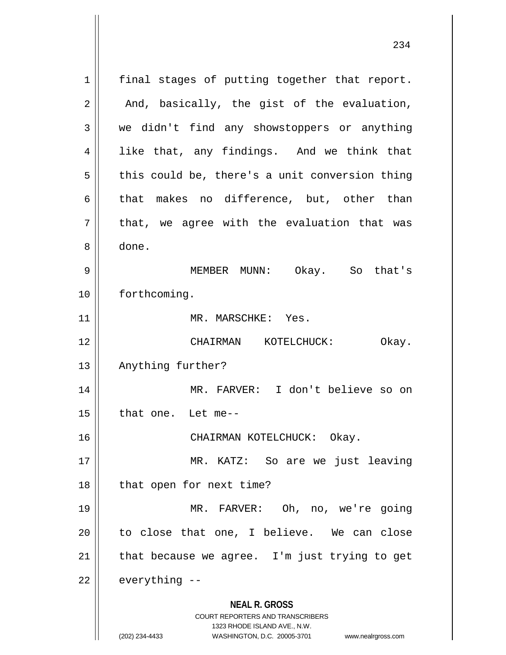**NEAL R. GROSS** COURT REPORTERS AND TRANSCRIBERS 1323 RHODE ISLAND AVE., N.W. (202) 234-4433 WASHINGTON, D.C. 20005-3701 www.nealrgross.com 1 || final stages of putting together that report.  $2 \parallel$  And, basically, the gist of the evaluation, 3 we didn't find any showstoppers or anything 4 || like that, any findings. And we think that  $5 \parallel$  this could be, there's a unit conversion thing 6 that makes no difference, but, other than  $7 \parallel$  that, we agree with the evaluation that was 8 done. 9 MEMBER MUNN: Okay. So that's 10 | forthcoming. 11 || MR. MARSCHKE: Yes. 12 CHAIRMAN KOTELCHUCK: Okay. 13 || Anything further? 14 MR. FARVER: I don't believe so on  $15$  | that one. Let me--16 CHAIRMAN KOTELCHUCK: Okay. 17 || MR. KATZ: So are we just leaving 18 || that open for next time? 19 MR. FARVER: Oh, no, we're going  $20$  to close that one, I believe. We can close 21  $\parallel$  that because we agree. I'm just trying to get  $22$  | everything  $-$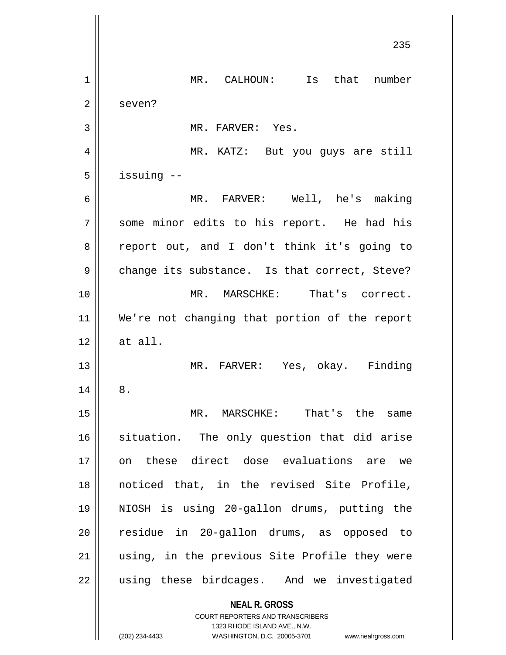**NEAL R. GROSS** COURT REPORTERS AND TRANSCRIBERS 1323 RHODE ISLAND AVE., N.W. 235 1 | MR. CALHOUN: Is that number 2 | seven? 3 || MR. FARVER: Yes. 4 MR. KATZ: But you guys are still  $5$  | issuing  $-$ 6 MR. FARVER: Well, he's making 7 || some minor edits to his report. He had his 8 || report out, and I don't think it's going to 9 || change its substance. Is that correct, Steve? 10 MR. MARSCHKE: That's correct. 11 We're not changing that portion of the report  $12 \parallel$  at all. 13 MR. FARVER: Yes, okay. Finding  $14 \parallel 8$ . 15 MR. MARSCHKE: That's the same 16 situation. The only question that did arise 17 on these direct dose evaluations are we 18 noticed that, in the revised Site Profile, 19 NIOSH is using 20-gallon drums, putting the 20 residue in 20-gallon drums, as opposed to 21 || using, in the previous Site Profile they were 22 || using these birdcages. And we investigated

(202) 234-4433 WASHINGTON, D.C. 20005-3701 www.nealrgross.com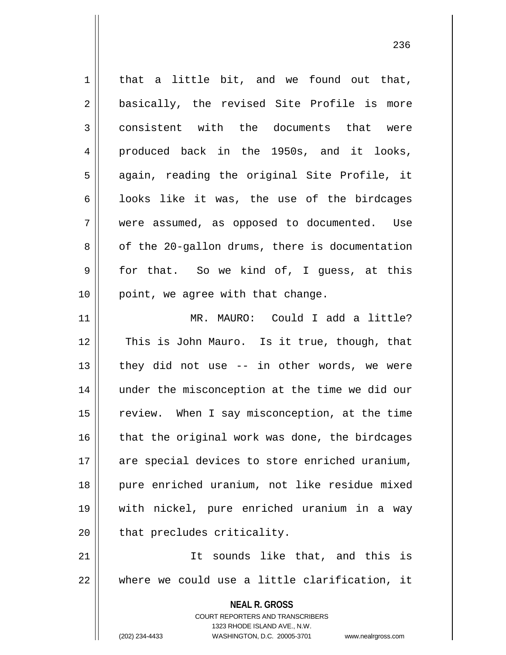| $1\,$      | that a little bit, and we found out that,                                                                                                                           |
|------------|---------------------------------------------------------------------------------------------------------------------------------------------------------------------|
| $\sqrt{2}$ | basically, the revised Site Profile is more                                                                                                                         |
| 3          | consistent with the documents that were                                                                                                                             |
| 4          | produced back in the 1950s, and it looks,                                                                                                                           |
| 5          | again, reading the original Site Profile, it                                                                                                                        |
| 6          | looks like it was, the use of the birdcages                                                                                                                         |
| 7          | were assumed, as opposed to documented. Use                                                                                                                         |
| 8          | of the 20-gallon drums, there is documentation                                                                                                                      |
| 9          | for that. So we kind of, I guess, at this                                                                                                                           |
| 10         | point, we agree with that change.                                                                                                                                   |
| 11         | MR. MAURO: Could I add a little?                                                                                                                                    |
| 12         | This is John Mauro. Is it true, though, that                                                                                                                        |
| 13         | they did not use -- in other words, we were                                                                                                                         |
| 14         | under the misconception at the time we did our                                                                                                                      |
| 15         | review. When I say misconception, at the time                                                                                                                       |
| 16         | that the original work was done, the birdcages                                                                                                                      |
| 17         | are special devices to store enriched uranium,                                                                                                                      |
| 18         | pure enriched uranium, not like residue mixed                                                                                                                       |
| 19         | with nickel, pure enriched uranium in a way                                                                                                                         |
| 20         | that precludes criticality.                                                                                                                                         |
| 21         | It sounds like that, and this is                                                                                                                                    |
| 22         | where we could use a little clarification, it                                                                                                                       |
|            | <b>NEAL R. GROSS</b><br><b>COURT REPORTERS AND TRANSCRIBERS</b><br>1323 RHODE ISLAND AVE., N.W.<br>(202) 234-4433<br>WASHINGTON, D.C. 20005-3701 www.nealrgross.com |
|            |                                                                                                                                                                     |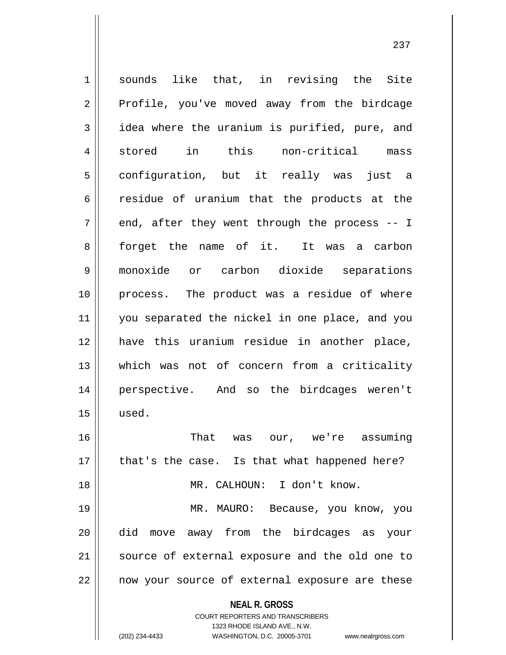**NEAL R. GROSS** COURT REPORTERS AND TRANSCRIBERS 1323 RHODE ISLAND AVE., N.W. 1 sounds like that, in revising the Site 2 || Profile, you've moved away from the birdcage 3 dea where the uranium is purified, pure, and 4 || stored in this non-critical mass 5 configuration, but it really was just a 6 containate of uranium that the products at the  $7 \parallel$  end, after they went through the process -- I 8 forget the name of it. It was a carbon 9 monoxide or carbon dioxide separations 10 process. The product was a residue of where 11 || you separated the nickel in one place, and you 12 have this uranium residue in another place, 13 which was not of concern from a criticality 14 perspective. And so the birdcages weren't  $15$  | used. 16 || That was our, we're assuming 17 || that's the case. Is that what happened here? 18 MR. CALHOUN: I don't know. 19 MR. MAURO: Because, you know, you 20 did move away from the birdcages as your 21 || source of external exposure and the old one to 22 || now your source of external exposure are these

(202) 234-4433 WASHINGTON, D.C. 20005-3701 www.nealrgross.com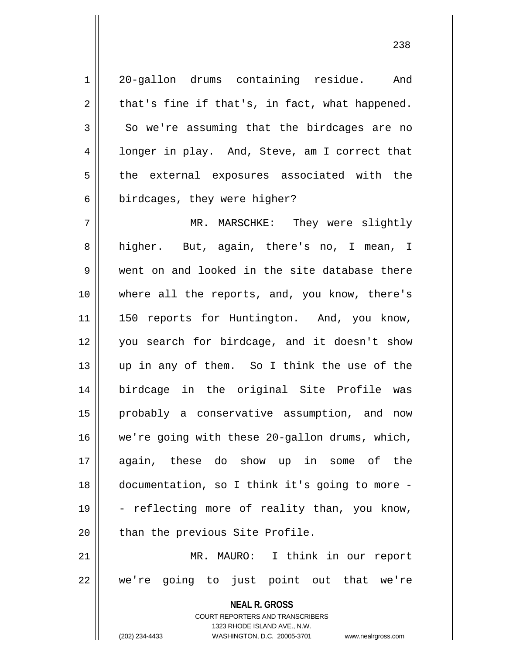1 20-gallon drums containing residue. And  $2 \parallel$  that's fine if that's, in fact, what happened.  $3 \parallel$  So we're assuming that the birdcages are no 4 | longer in play. And, Steve, am I correct that 5 || the external exposures associated with the  $6 \parallel$  birdcages, they were higher?

 MR. MARSCHKE: They were slightly higher. But, again, there's no, I mean, I 9 Went on and looked in the site database there where all the reports, and, you know, there's 11 || 150 reports for Huntington. And, you know, you search for birdcage, and it doesn't show up in any of them. So I think the use of the birdcage in the original Site Profile was probably a conservative assumption, and now we're going with these 20-gallon drums, which, again, these do show up in some of the documentation, so I think it's going to more -  $19 \parallel$  - reflecting more of reality than, you know, | than the previous Site Profile.

21 MR. MAURO: I think in our report  $22$  || we're going to just point out that we're

> **NEAL R. GROSS** COURT REPORTERS AND TRANSCRIBERS 1323 RHODE ISLAND AVE., N.W. (202) 234-4433 WASHINGTON, D.C. 20005-3701 www.nealrgross.com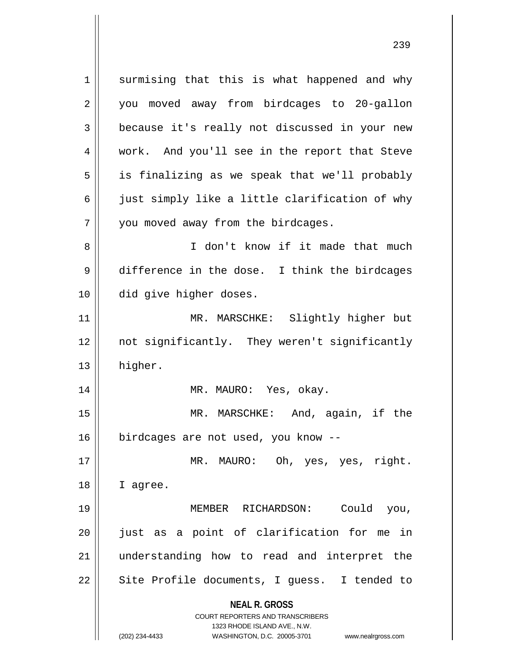**NEAL R. GROSS** COURT REPORTERS AND TRANSCRIBERS 1323 RHODE ISLAND AVE., N.W. 1 || surmising that this is what happened and why 2 || you moved away from birdcages to 20-gallon 3 because it's really not discussed in your new 4 work. And you'll see in the report that Steve  $5 \parallel$  is finalizing as we speak that we'll probably 6  $\parallel$  just simply like a little clarification of why 7 | you moved away from the birdcages. 8 || T don't know if it made that much 9 difference in the dose. I think the birdcages 10 did give higher doses. 11 MR. MARSCHKE: Slightly higher but 12 not significantly. They weren't significantly 13 higher. 14 || MR. MAURO: Yes, okay. 15 MR. MARSCHKE: And, again, if the 16 birdcages are not used, you know --17 || MR. MAURO: Oh, yes, yes, right. 18 || I agree. 19 MEMBER RICHARDSON: Could you, 20 just as a point of clarification for me in 21 understanding how to read and interpret the 22 || Site Profile documents, I guess. I tended to

<sup>(202) 234-4433</sup> WASHINGTON, D.C. 20005-3701 www.nealrgross.com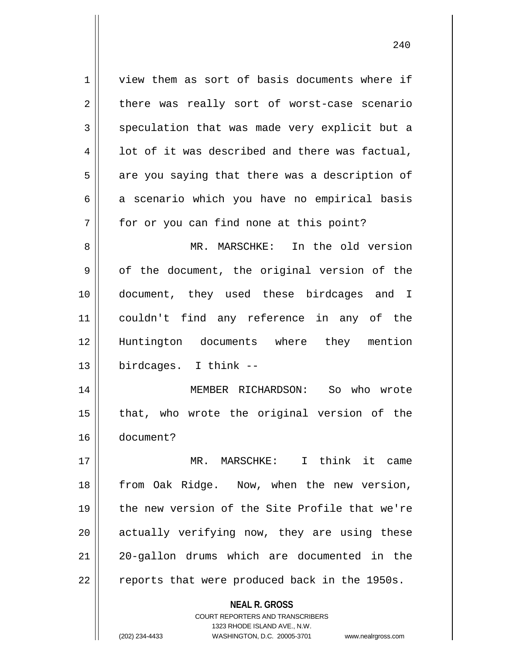1 view them as sort of basis documents where if  $2 \parallel$  there was really sort of worst-case scenario  $3 \parallel$  speculation that was made very explicit but a  $4 \parallel$  1 ot of it was described and there was factual,  $5 \parallel$  are you saying that there was a description of  $6 \parallel$  a scenario which you have no empirical basis 7 || for or you can find none at this point? 8 MR. MARSCHKE: In the old version  $9 \parallel$  of the document, the original version of the 10 document, they used these birdcages and I 11 couldn't find any reference in any of the 12 Huntington documents where they mention 13 birdcages. I think -- 14 MEMBER RICHARDSON: So who wrote  $15$  || that, who wrote the original version of the 16 document? 17 MR. MARSCHKE: I think it came 18 || from Oak Ridge. Now, when the new version, 19 the new version of the Site Profile that we're  $20$  || actually verifying now, they are using these 21 || 20-gallon drums which are documented in the  $22 \parallel$  reports that were produced back in the 1950s.

> **NEAL R. GROSS** COURT REPORTERS AND TRANSCRIBERS

1323 RHODE ISLAND AVE., N.W. (202) 234-4433 WASHINGTON, D.C. 20005-3701 www.nealrgross.com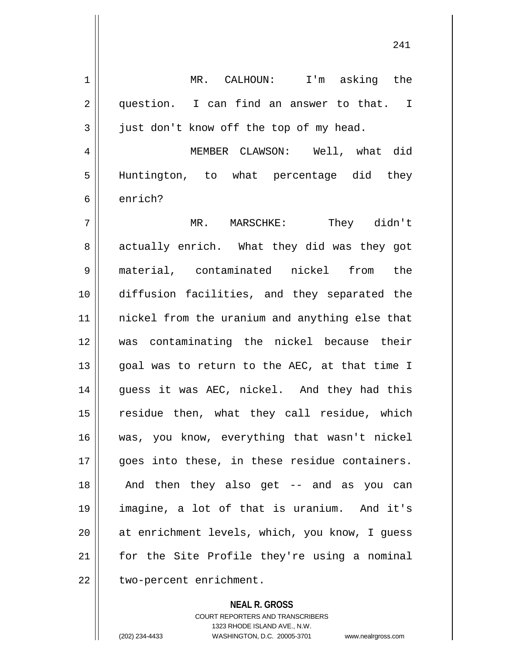1 || MR. CALHOUN: I'm asking the 2 question. I can find an answer to that. I  $3 \parallel$  just don't know off the top of my head. 4 MEMBER CLAWSON: Well, what did 5 Huntington, to what percentage did they 6 enrich? 7 MR. MARSCHKE: They didn't 8 || actually enrich. What they did was they got 9 material, contaminated nickel from the 10 diffusion facilities, and they separated the 11 nickel from the uranium and anything else that 12 was contaminating the nickel because their 13 || goal was to return to the AEC, at that time I 14 guess it was AEC, nickel. And they had this 15 || residue then, what they call residue, which 16 was, you know, everything that wasn't nickel 17 || qoes into these, in these residue containers. 18 || And then they also get -- and as you can 19 imagine, a lot of that is uranium. And it's 20 at enrichment levels, which, you know, I guess 21 for the Site Profile they're using a nominal 22 | two-percent enrichment.

> **NEAL R. GROSS** COURT REPORTERS AND TRANSCRIBERS 1323 RHODE ISLAND AVE., N.W. (202) 234-4433 WASHINGTON, D.C. 20005-3701 www.nealrgross.com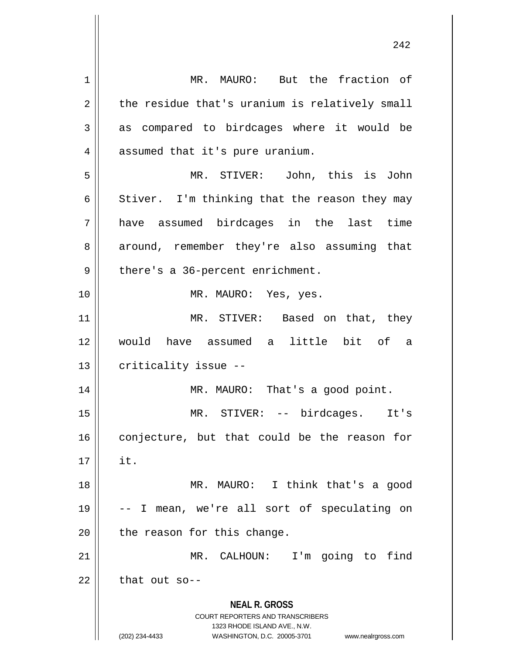**NEAL R. GROSS** COURT REPORTERS AND TRANSCRIBERS 1323 RHODE ISLAND AVE., N.W. (202) 234-4433 WASHINGTON, D.C. 20005-3701 www.nealrgross.com 1 || MR. MAURO: But the fraction of  $2 \parallel$  the residue that's uranium is relatively small  $3 \parallel$  as compared to birdcages where it would be 4 | assumed that it's pure uranium. 5 MR. STIVER: John, this is John 6 Stiver. I'm thinking that the reason they may 7 have assumed birdcages in the last time 8 around, remember they're also assuming that  $9 \parallel$  there's a 36-percent enrichment. 10 || MR. MAURO: Yes, yes. 11 || MR. STIVER: Based on that, they 12 would have assumed a little bit of a  $13$  | criticality issue  $-$ 14 MR. MAURO: That's a good point. 15 MR. STIVER: -- birdcages. It's  $16$  conjecture, but that could be the reason for  $17 \parallel$  it. 18 MR. MAURO: I think that's a good 19 -- I mean, we're all sort of speculating on  $20$  | the reason for this change. 21 MR. CALHOUN: I'm going to find  $22$  | that out so--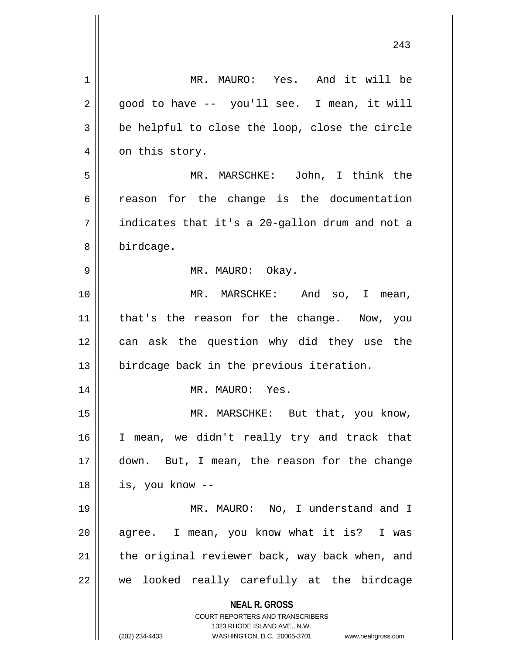| 1  | MR. MAURO: Yes. And it will be                                                                                                                                         |
|----|------------------------------------------------------------------------------------------------------------------------------------------------------------------------|
| 2  | good to have -- you'll see. I mean, it will                                                                                                                            |
| 3  | be helpful to close the loop, close the circle                                                                                                                         |
| 4  | on this story.                                                                                                                                                         |
| 5  | MR. MARSCHKE: John, I think the                                                                                                                                        |
| 6  | reason for the change is the documentation                                                                                                                             |
| 7  | indicates that it's a 20-gallon drum and not a                                                                                                                         |
| 8  | birdcage.                                                                                                                                                              |
| 9  | MR. MAURO: Okay.                                                                                                                                                       |
| 10 | MR. MARSCHKE: And so, I mean,                                                                                                                                          |
| 11 | that's the reason for the change. Now, you                                                                                                                             |
| 12 | can ask the question why did they use the                                                                                                                              |
| 13 | birdcage back in the previous iteration.                                                                                                                               |
| 14 | MR. MAURO: Yes.                                                                                                                                                        |
| 15 | MR. MARSCHKE: But that, you know,                                                                                                                                      |
| 16 | I mean, we didn't really try and track that                                                                                                                            |
| 17 | down. But, I mean, the reason for the change                                                                                                                           |
| 18 | is, you know --                                                                                                                                                        |
| 19 | MR. MAURO: No, I understand and I                                                                                                                                      |
| 20 | agree. I mean, you know what it is? I was                                                                                                                              |
| 21 | the original reviewer back, way back when, and                                                                                                                         |
| 22 | we looked really carefully at the birdcage                                                                                                                             |
|    | <b>NEAL R. GROSS</b><br><b>COURT REPORTERS AND TRANSCRIBERS</b><br>1323 RHODE ISLAND AVE., N.W.<br>(202) 234-4433<br>WASHINGTON, D.C. 20005-3701<br>www.nealrgross.com |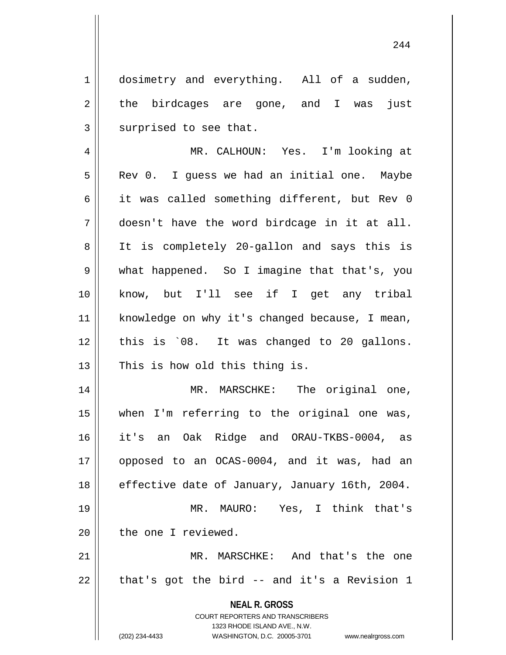1 || dosimetry and everything. All of a sudden,  $2 \parallel$  the birdcages are gone, and I was just  $3$  surprised to see that.

4 MR. CALHOUN: Yes. I'm looking at  $5 \parallel$  Rev 0. I guess we had an initial one. Maybe 6 || it was called something different, but Rev 0 7 doesn't have the word birdcage in it at all. 8 || It is completely 20-gallon and says this is 9 what happened. So I imagine that that's, you 10 know, but I'll see if I get any tribal 11 | knowledge on why it's changed because, I mean,  $12$  | this is  $08$ . It was changed to 20 gallons.  $13$  | This is how old this thing is.

14 || MR. MARSCHKE: The original one, 15 when I'm referring to the original one was, 16 it's an Oak Ridge and ORAU-TKBS-0004, as 17 opposed to an OCAS-0004, and it was, had an 18 | effective date of January, January 16th, 2004. 19 MR. MAURO: Yes, I think that's 20 l the one I reviewed.

21 MR. MARSCHKE: And that's the one  $22 \parallel$  that's got the bird -- and it's a Revision 1

> **NEAL R. GROSS** COURT REPORTERS AND TRANSCRIBERS

> > 1323 RHODE ISLAND AVE., N.W.

(202) 234-4433 WASHINGTON, D.C. 20005-3701 www.nealrgross.com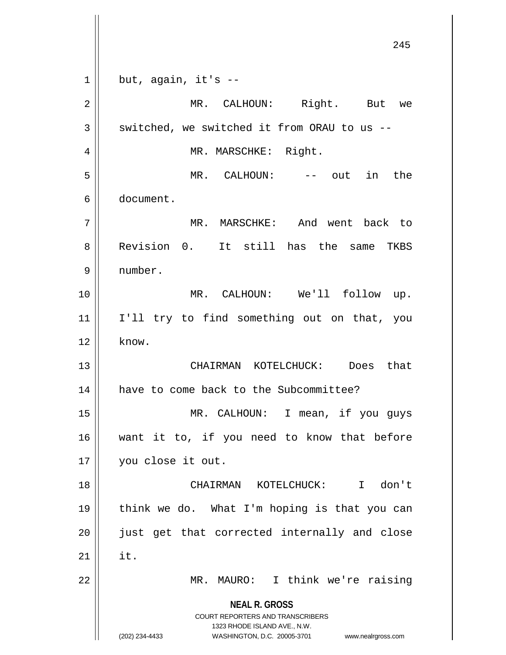**NEAL R. GROSS** COURT REPORTERS AND TRANSCRIBERS 1323 RHODE ISLAND AVE., N.W. (202) 234-4433 WASHINGTON, D.C. 20005-3701 www.nealrgross.com  $1 \parallel$  but, again, it's --2 || MR. CALHOUN: Right. But we  $3 \parallel$  switched, we switched it from ORAU to us --4 | MR. MARSCHKE: Right. 5 MR. CALHOUN: -- out in the 6 document. 7 MR. MARSCHKE: And went back to 8 Revision 0. It still has the same TKBS 9 number. 10 MR. CALHOUN: We'll follow up. 11 I'll try to find something out on that, you  $12 \parallel$  know. 13 CHAIRMAN KOTELCHUCK: Does that 14 | have to come back to the Subcommittee? 15 MR. CALHOUN: I mean, if you guys 16 want it to, if you need to know that before 17 you close it out. 18 CHAIRMAN KOTELCHUCK: I don't 19 think we do. What I'm hoping is that you can 20 || just get that corrected internally and close  $21$   $\parallel$  it. 22 || MR. MAURO: I think we're raising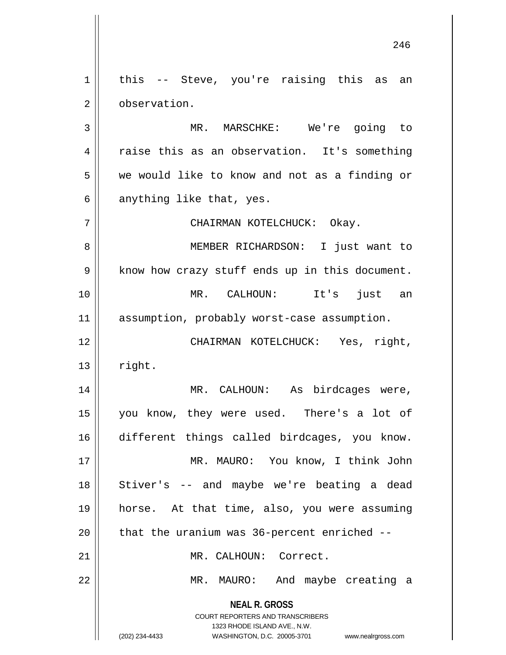$1 \parallel$  this -- Steve, you're raising this as an 2 | observation. 3 MR. MARSCHKE: We're going to

4 || raise this as an observation. It's something 5 we would like to know and not as a finding or  $6 \parallel$  anything like that, yes.

7 CHAIRMAN KOTELCHUCK: Okay.

8 MEMBER RICHARDSON: I just want to  $9 \parallel$  know how crazy stuff ends up in this document. 10 MR. CALHOUN: It's just an 11 || assumption, probably worst-case assumption.

12 CHAIRMAN KOTELCHUCK: Yes, right,  $13 \parallel$  right.

 MR. CALHOUN: As birdcages were, you know, they were used. There's a lot of different things called birdcages, you know. MR. MAURO: You know, I think John 18 || Stiver's -- and maybe we're beating a dead horse. At that time, also, you were assuming | that the uranium was 36-percent enriched  $-$ 

21 MR. CALHOUN: Correct.

22 MR. MAURO: And maybe creating a

**NEAL R. GROSS** COURT REPORTERS AND TRANSCRIBERS

1323 RHODE ISLAND AVE., N.W.

(202) 234-4433 WASHINGTON, D.C. 20005-3701 www.nealrgross.com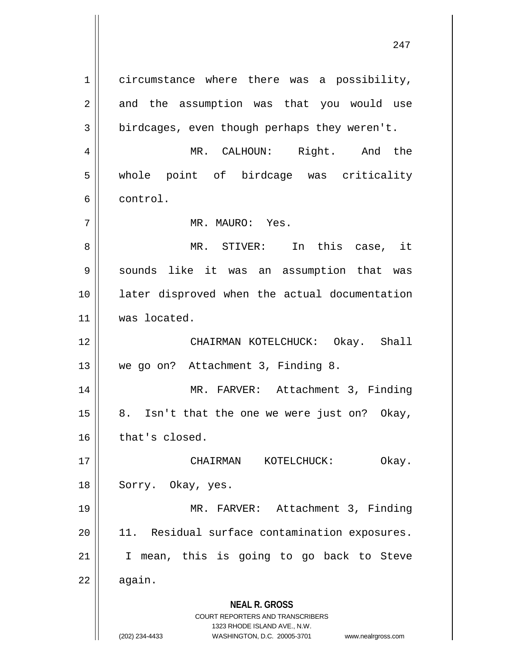**NEAL R. GROSS** COURT REPORTERS AND TRANSCRIBERS 1323 RHODE ISLAND AVE., N.W. 1 circumstance where there was a possibility,  $2 \parallel$  and the assumption was that you would use  $3 \parallel$  birdcages, even though perhaps they weren't. 4 MR. CALHOUN: Right. And the 5 whole point of birdcage was criticality 6 control. 7 MR. MAURO: Yes. 8 MR. STIVER: In this case, it 9 || sounds like it was an assumption that was 10 later disproved when the actual documentation 11 | was located. 12 CHAIRMAN KOTELCHUCK: Okay. Shall 13 We go on? Attachment 3, Finding 8. 14 || MR. FARVER: Attachment 3, Finding  $15 \parallel 8$ . Isn't that the one we were just on? Okay,  $16$  | that's closed. 17 CHAIRMAN KOTELCHUCK: Okay. 18 || Sorry. Okay, yes. 19 || MR. FARVER: Attachment 3, Finding  $20$  || 11. Residual surface contamination exposures. 21 I mean, this is going to go back to Steve  $22 \parallel$  again.

(202) 234-4433 WASHINGTON, D.C. 20005-3701 www.nealrgross.com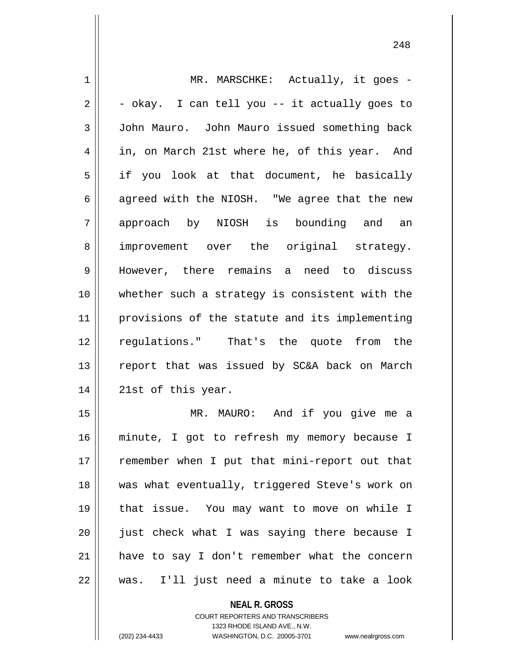1 || MR. MARSCHKE: Actually, it goes - $2 \parallel -\n$  - okay. I can tell you -- it actually goes to 3 John Mauro. John Mauro issued something back 4 || in, on March 21st where he, of this year. And  $5 \parallel$  if you look at that document, he basically  $6 \parallel$  agreed with the NIOSH. "We agree that the new 7 approach by NIOSH is bounding and an 8 || improvement over the original strategy. 9 However, there remains a need to discuss 10 whether such a strategy is consistent with the 11 provisions of the statute and its implementing 12 regulations." That's the quote from the 13 || report that was issued by SC&A back on March  $14 \parallel 21$ st of this year. 15 MR. MAURO: And if you give me a

16 minute, I got to refresh my memory because I 17 || remember when I put that mini-report out that 18 || was what eventually, triggered Steve's work on 19 that issue. You may want to move on while I 20 || just check what I was saying there because I 21 || have to say I don't remember what the concern  $22 \parallel$  was. I'll just need a minute to take a look

> **NEAL R. GROSS** COURT REPORTERS AND TRANSCRIBERS 1323 RHODE ISLAND AVE., N.W. (202) 234-4433 WASHINGTON, D.C. 20005-3701 www.nealrgross.com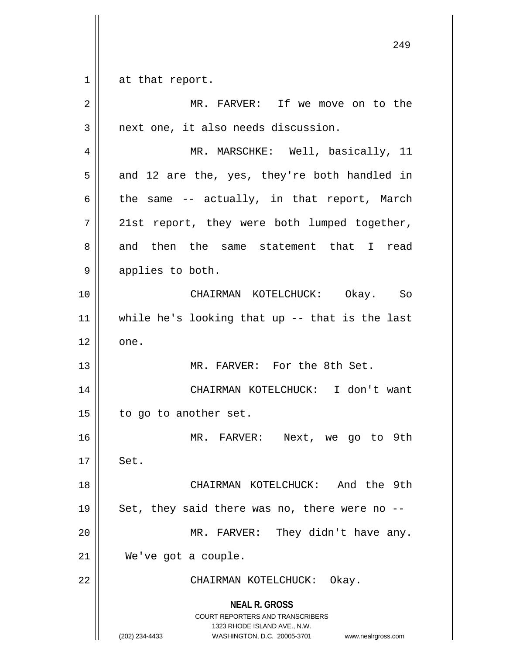$1 \parallel$  at that report.

| 2  | MR. FARVER: If we move on to the                                                                                                                                       |
|----|------------------------------------------------------------------------------------------------------------------------------------------------------------------------|
| 3  | next one, it also needs discussion.                                                                                                                                    |
| 4  | MR. MARSCHKE: Well, basically, 11                                                                                                                                      |
| 5  | and 12 are the, yes, they're both handled in                                                                                                                           |
| 6  | the same -- actually, in that report, March                                                                                                                            |
| 7  | 21st report, they were both lumped together,                                                                                                                           |
| 8  | and then the same statement that I read                                                                                                                                |
| 9  | applies to both.                                                                                                                                                       |
| 10 | CHAIRMAN KOTELCHUCK: Okay. So                                                                                                                                          |
| 11 | while he's looking that up $-$ - that is the last                                                                                                                      |
| 12 | one.                                                                                                                                                                   |
| 13 | MR. FARVER: For the 8th Set.                                                                                                                                           |
| 14 | CHAIRMAN KOTELCHUCK: I don't want                                                                                                                                      |
| 15 | to go to another set.                                                                                                                                                  |
| 16 | MR. FARVER: Next, we go to 9th                                                                                                                                         |
| 17 | Set                                                                                                                                                                    |
| 18 | CHAIRMAN KOTELCHUCK: And the 9th                                                                                                                                       |
| 19 | Set, they said there was no, there were no --                                                                                                                          |
| 20 | MR. FARVER: They didn't have any.                                                                                                                                      |
| 21 | We've got a couple.                                                                                                                                                    |
| 22 | CHAIRMAN KOTELCHUCK: Okay.                                                                                                                                             |
|    | <b>NEAL R. GROSS</b><br><b>COURT REPORTERS AND TRANSCRIBERS</b><br>1323 RHODE ISLAND AVE., N.W.<br>WASHINGTON, D.C. 20005-3701<br>(202) 234-4433<br>www.nealrgross.com |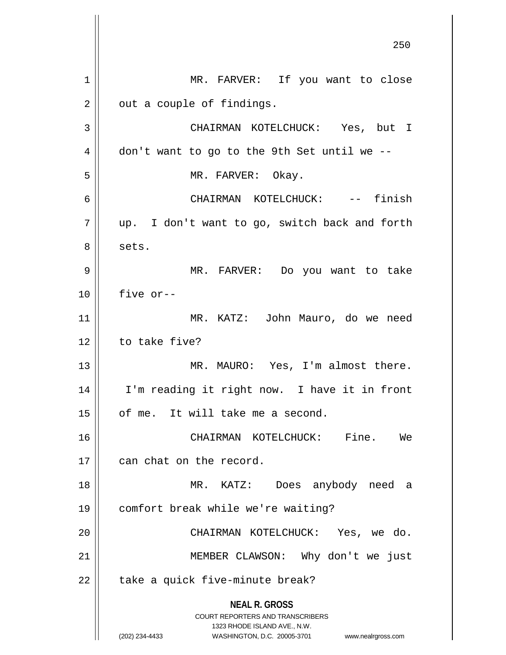**NEAL R. GROSS** COURT REPORTERS AND TRANSCRIBERS 1323 RHODE ISLAND AVE., N.W. (202) 234-4433 WASHINGTON, D.C. 20005-3701 www.nealrgross.com 250 1 || MR. FARVER: If you want to close  $2 \parallel$  out a couple of findings. 3 CHAIRMAN KOTELCHUCK: Yes, but I  $4 \parallel$  don't want to go to the 9th Set until we --5 || MR. FARVER: Okay. 6 CHAIRMAN KOTELCHUCK: -- finish 7 || up. I don't want to go, switch back and forth  $8 \parallel$  sets. 9 MR. FARVER: Do you want to take 10 five or-- 11 MR. KATZ: John Mauro, do we need 12 | to take five? 13 || MR. MAURO: Yes, I'm almost there. 14 || I'm reading it right now. I have it in front 15 | of me. It will take me a second. 16 CHAIRMAN KOTELCHUCK: Fine. We 17 | can chat on the record. 18 MR. KATZ: Does anybody need a 19 comfort break while we're waiting? 20 CHAIRMAN KOTELCHUCK: Yes, we do. 21 MEMBER CLAWSON: Why don't we just  $22$  | take a quick five-minute break?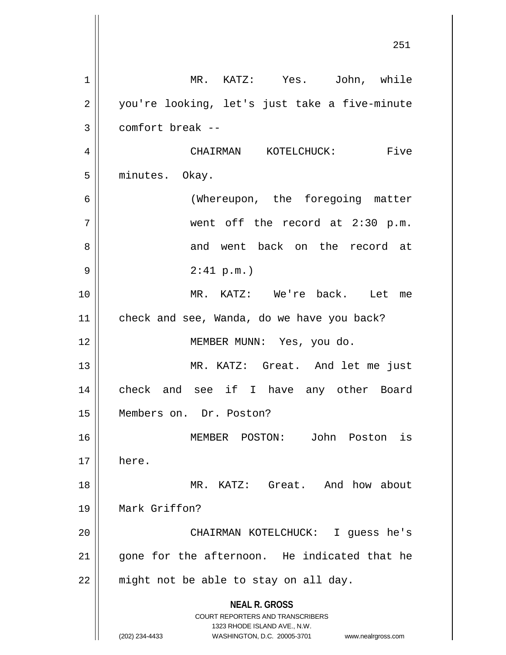**NEAL R. GROSS** COURT REPORTERS AND TRANSCRIBERS 1323 RHODE ISLAND AVE., N.W. (202) 234-4433 WASHINGTON, D.C. 20005-3701 www.nealrgross.com 1 MR. KATZ: Yes. John, while 2 | you're looking, let's just take a five-minute  $3 \parallel$  comfort break --4 CHAIRMAN KOTELCHUCK: Five 5 | minutes. Okay. 6 (Whereupon, the foregoing matter 7 went off the record at 2:30 p.m. 8 and went back on the record at 9 2:41 p.m.) 10 MR. KATZ: We're back. Let me 11 | check and see, Wanda, do we have you back? 12 MEMBER MUNN: Yes, you do. 13 MR. KATZ: Great. And let me just 14 || check and see if I have any other Board 15 Members on. Dr. Poston? 16 MEMBER POSTON: John Poston is 17 here. 18 MR. KATZ: Great. And how about 19 Mark Griffon? 20 CHAIRMAN KOTELCHUCK: I guess he's 21 || gone for the afternoon. He indicated that he  $22$  || might not be able to stay on all day.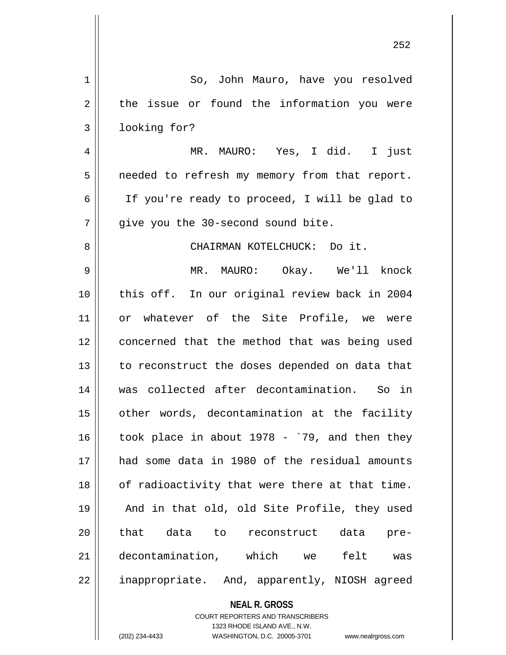| $\mathbf 1$ | So, John Mauro, have you resolved                                                                |
|-------------|--------------------------------------------------------------------------------------------------|
| 2           | the issue or found the information you were                                                      |
| 3           | looking for?                                                                                     |
| 4           | MR. MAURO: Yes, I did. I just                                                                    |
| 5           | needed to refresh my memory from that report.                                                    |
| 6           | If you're ready to proceed, I will be glad to                                                    |
| 7           | give you the 30-second sound bite.                                                               |
| 8           | CHAIRMAN KOTELCHUCK: Do it.                                                                      |
| 9           | MR. MAURO: Okay. We'll knock                                                                     |
| 10          | this off. In our original review back in 2004                                                    |
| 11          | or whatever of the Site Profile, we were                                                         |
| 12          | concerned that the method that was being used                                                    |
| 13          | to reconstruct the doses depended on data that                                                   |
| 14          | was collected after decontamination. So in                                                       |
| 15          | other words, decontamination at the facility                                                     |
| 16          | took place in about $1978 - 79$ , and then they                                                  |
| 17          | had some data in 1980 of the residual amounts                                                    |
| 18          | of radioactivity that were there at that time.                                                   |
| 19          | And in that old, old Site Profile, they used                                                     |
| 20          | that data to reconstruct data pre-                                                               |
| 21          | decontamination, which we felt was                                                               |
| 22          | inappropriate. And, apparently, NIOSH agreed                                                     |
|             | <b>NEAL R. GROSS</b>                                                                             |
|             | COURT REPORTERS AND TRANSCRIBERS                                                                 |
|             | 1323 RHODE ISLAND AVE., N.W.<br>(202) 234-4433<br>WASHINGTON, D.C. 20005-3701 www.nealrgross.com |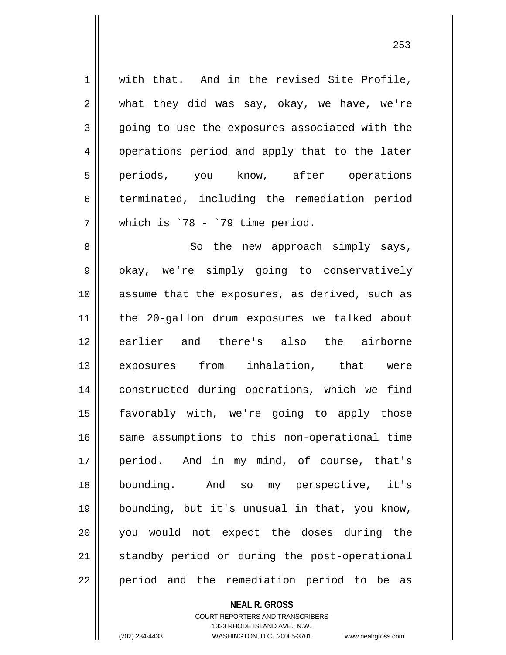1 || with that. And in the revised Site Profile,  $2 \parallel$  what they did was say, okay, we have, we're 3 going to use the exposures associated with the 4 | operations period and apply that to the later 5 periods, you know, after operations  $6 \parallel$  terminated, including the remediation period  $7 \parallel$  which is `78 - `79 time period.

8 || So the new approach simply says, 9 || okay, we're simply going to conservatively 10 assume that the exposures, as derived, such as 11 the 20-gallon drum exposures we talked about 12 || earlier and there's also the airborne 13 exposures from inhalation, that were 14 constructed during operations, which we find 15 favorably with, we're going to apply those 16 || same assumptions to this non-operational time 17 period. And in my mind, of course, that's 18 bounding. And so my perspective, it's 19 bounding, but it's unusual in that, you know, 20 you would not expect the doses during the 21 || standby period or during the post-operational 22 || period and the remediation period to be as

## **NEAL R. GROSS**

COURT REPORTERS AND TRANSCRIBERS 1323 RHODE ISLAND AVE., N.W. (202) 234-4433 WASHINGTON, D.C. 20005-3701 www.nealrgross.com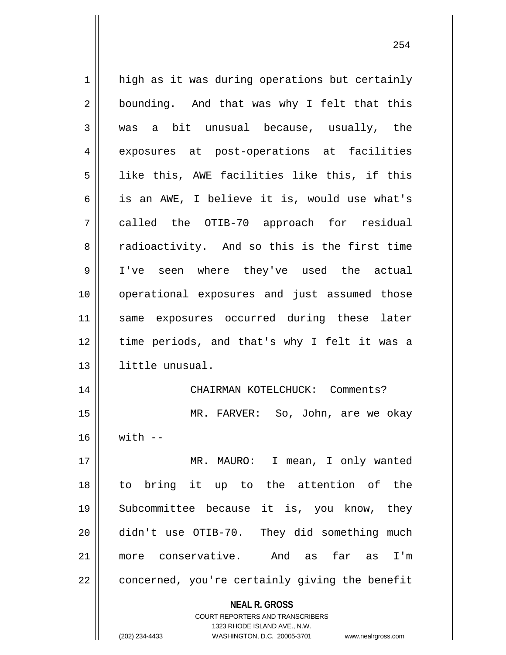| $\mathbf 1$    | high as it was during operations but certainly                                                                                                                         |
|----------------|------------------------------------------------------------------------------------------------------------------------------------------------------------------------|
| 2              | bounding. And that was why I felt that this                                                                                                                            |
| 3              | was a bit unusual because, usually, the                                                                                                                                |
| $\overline{4}$ | exposures at post-operations at facilities                                                                                                                             |
| 5              | like this, AWE facilities like this, if this                                                                                                                           |
| 6              | is an AWE, I believe it is, would use what's                                                                                                                           |
| 7              | called the OTIB-70 approach for residual                                                                                                                               |
| 8              | radioactivity. And so this is the first time                                                                                                                           |
| 9              | I've seen where they've used the actual                                                                                                                                |
| 10             | operational exposures and just assumed those                                                                                                                           |
| 11             | same exposures occurred during these later                                                                                                                             |
| 12             | time periods, and that's why I felt it was a                                                                                                                           |
| 13             | little unusual.                                                                                                                                                        |
| 14             | CHAIRMAN KOTELCHUCK: Comments?                                                                                                                                         |
| 15             | MR. FARVER: So, John, are we okay                                                                                                                                      |
| 16             | $with$ $-$                                                                                                                                                             |
| 17             | MR. MAURO: I mean, I only wanted                                                                                                                                       |
| 18             | to bring it up to the attention of the                                                                                                                                 |
| 19             | Subcommittee because it is, you know, they                                                                                                                             |
| 20             | didn't use OTIB-70. They did something much                                                                                                                            |
| 21             | more conservative. And as<br>far as<br>I'm                                                                                                                             |
| 22             | concerned, you're certainly giving the benefit                                                                                                                         |
|                | <b>NEAL R. GROSS</b><br><b>COURT REPORTERS AND TRANSCRIBERS</b><br>1323 RHODE ISLAND AVE., N.W.<br>(202) 234-4433<br>WASHINGTON, D.C. 20005-3701<br>www.nealrgross.com |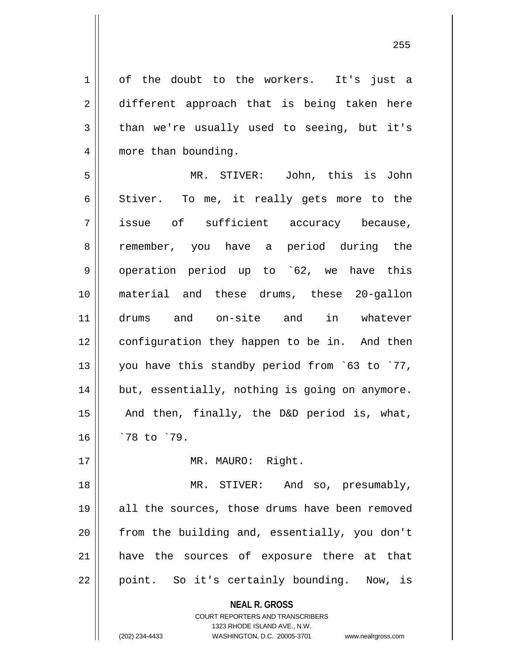1 of the doubt to the workers. It's just a 2 different approach that is being taken here  $3 \parallel$  than we're usually used to seeing, but it's 4 || more than bounding.

5 MR. STIVER: John, this is John  $6 \parallel$  Stiver. To me, it really gets more to the 7 issue of sufficient accuracy because, 8 || remember, you have a period during the 9 || operation period up to `62, we have this 10 material and these drums, these 20-gallon 11 drums and on-site and in whatever 12 || configuration they happen to be in. And then 13 || you have this standby period from `63 to `77, 14 | but, essentially, nothing is going on anymore. 15  $\parallel$  And then, finally, the D&D period is, what, 16 `78 to `79.

17 || MR. MAURO: Right.

18 MR. STIVER: And so, presumably, 19 || all the sources, those drums have been removed  $20$  || from the building and, essentially, you don't 21 || have the sources of exposure there at that  $22 \parallel$  point. So it's certainly bounding. Now, is

> **NEAL R. GROSS** COURT REPORTERS AND TRANSCRIBERS

> > 1323 RHODE ISLAND AVE., N.W.

(202) 234-4433 WASHINGTON, D.C. 20005-3701 www.nealrgross.com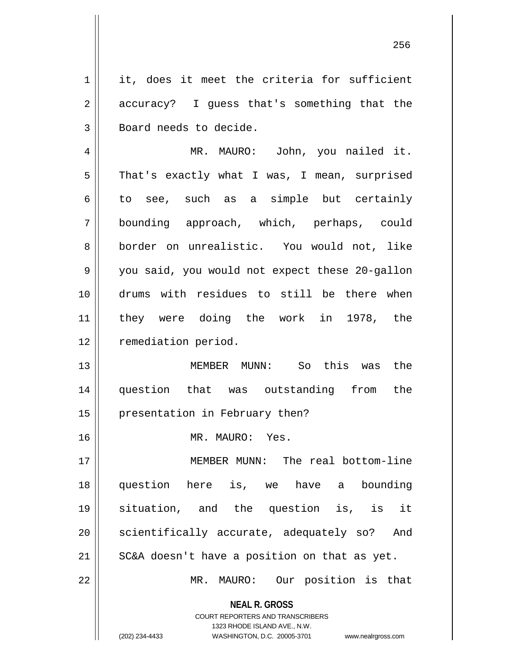$1 \parallel$  it, does it meet the criteria for sufficient 2 || accuracy? I guess that's something that the 3 | Board needs to decide.

4 MR. MAURO: John, you nailed it.  $5 \parallel$  That's exactly what I was, I mean, surprised  $6 \parallel$  to see, such as a simple but certainly 7 bounding approach, which, perhaps, could 8 border on unrealistic. You would not, like 9 you said, you would not expect these 20-gallon 10 drums with residues to still be there when 11 they were doing the work in 1978, the 12 | remediation period.

13 MEMBER MUNN: So this was the 14 question that was outstanding from the 15 || presentation in February then?

16 MR. MAURO: Yes.

 MEMBER MUNN: The real bottom-line question here is, we have a bounding situation, and the question is, is it 20 || scientifically accurate, adequately so? And  $\parallel$  SC&A doesn't have a position on that as yet.

22 MR. MAURO: Our position is that

**NEAL R. GROSS** COURT REPORTERS AND TRANSCRIBERS

1323 RHODE ISLAND AVE., N.W.

(202) 234-4433 WASHINGTON, D.C. 20005-3701 www.nealrgross.com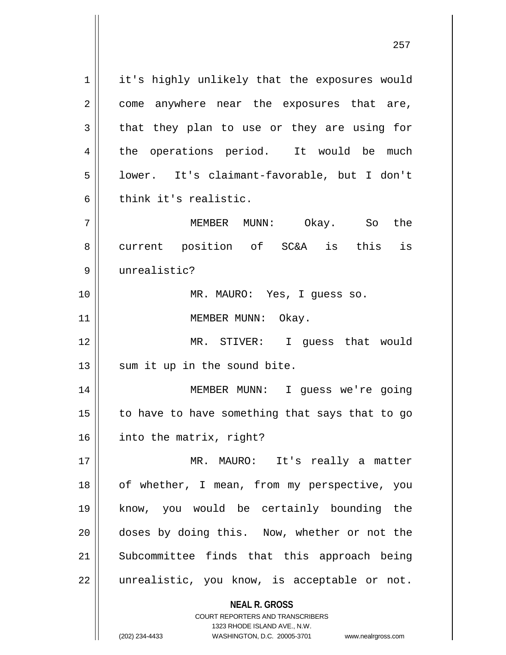**NEAL R. GROSS** COURT REPORTERS AND TRANSCRIBERS 1323 RHODE ISLAND AVE., N.W. 1 | it's highly unlikely that the exposures would  $2 \parallel$  come anywhere near the exposures that are,  $3 \parallel$  that they plan to use or they are using for 4 the operations period. It would be much 5 lower. It's claimant-favorable, but I don't  $6$  | think it's realistic. 7 MEMBER MUNN: Okay. So the 8 current position of SC&A is this is 9 unrealistic? 10 MR. MAURO: Yes, I guess so. 11 || MEMBER MUNN: Okay. 12 MR. STIVER: I guess that would  $13$  sum it up in the sound bite. 14 MEMBER MUNN: I guess we're going  $15$  to have to have something that says that to go 16 into the matrix, right? 17 MR. MAURO: It's really a matter 18 || of whether, I mean, from my perspective, you 19 know, you would be certainly bounding the 20 doses by doing this. Now, whether or not the 21 || Subcommittee finds that this approach being  $22$  || unrealistic, you know, is acceptable or not.

(202) 234-4433 WASHINGTON, D.C. 20005-3701 www.nealrgross.com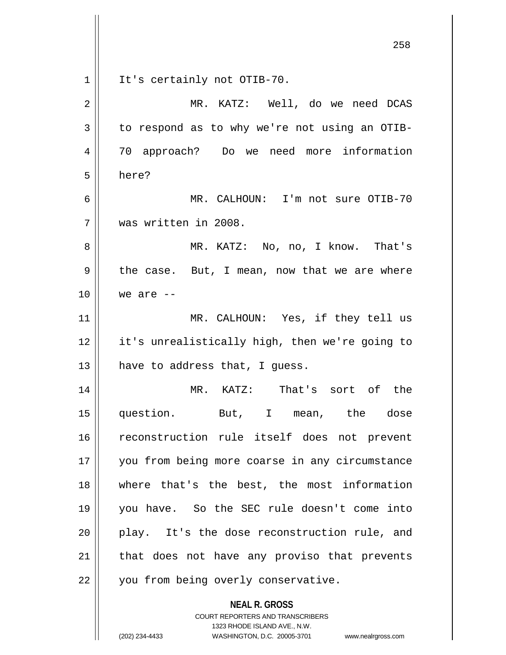| It's certainly not OTIB-70.<br>1                                                                    |  |
|-----------------------------------------------------------------------------------------------------|--|
| MR. KATZ: Well, do we need DCAS<br>2                                                                |  |
| 3<br>to respond as to why we're not using an OTIB-                                                  |  |
| 70 approach? Do we need more information<br>4                                                       |  |
| 5<br>here?                                                                                          |  |
| 6<br>MR. CALHOUN: I'm not sure OTIB-70                                                              |  |
| was written in 2008.<br>7                                                                           |  |
| 8<br>MR. KATZ: No, no, I know. That's                                                               |  |
| 9<br>the case. But, I mean, now that we are where                                                   |  |
| 10<br>we are $--$                                                                                   |  |
| MR. CALHOUN: Yes, if they tell us<br>11                                                             |  |
| 12<br>it's unrealistically high, then we're going to                                                |  |
| 13<br>have to address that, I guess.                                                                |  |
| MR. KATZ: That's sort of the<br>14                                                                  |  |
| 15<br>question. But, I mean, the dose                                                               |  |
| reconstruction rule itself does not prevent<br>16                                                   |  |
| you from being more coarse in any circumstance<br>17                                                |  |
| where that's the best, the most information<br>18                                                   |  |
| you have. So the SEC rule doesn't come into<br>19                                                   |  |
| play. It's the dose reconstruction rule, and<br>20                                                  |  |
| that does not have any proviso that prevents<br>21                                                  |  |
| 22<br>you from being overly conservative.                                                           |  |
| <b>NEAL R. GROSS</b>                                                                                |  |
| <b>COURT REPORTERS AND TRANSCRIBERS</b>                                                             |  |
| 1323 RHODE ISLAND AVE., N.W.<br>(202) 234-4433<br>WASHINGTON, D.C. 20005-3701<br>www.nealrgross.com |  |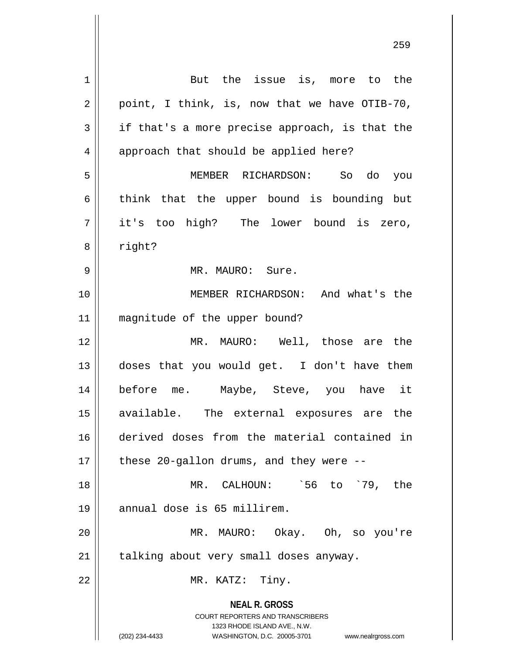**NEAL R. GROSS** COURT REPORTERS AND TRANSCRIBERS 1323 RHODE ISLAND AVE., N.W. (202) 234-4433 WASHINGTON, D.C. 20005-3701 www.nealrgross.com 1 || But the issue is, more to the  $2 \parallel$  point, I think, is, now that we have OTIB-70,  $3 \parallel$  if that's a more precise approach, is that the 4 || approach that should be applied here? 5 MEMBER RICHARDSON: So do you  $6 \parallel$  think that the upper bound is bounding but 7 it's too high? The lower bound is zero, 8 | right? 9 MR. MAURO: Sure. 10 MEMBER RICHARDSON: And what's the 11 magnitude of the upper bound? 12 MR. MAURO: Well, those are the 13 doses that you would get. I don't have them 14 before me. Maybe, Steve, you have it 15 available. The external exposures are the 16 derived doses from the material contained in  $17$  || these 20-gallon drums, and they were --18 MR. CALHOUN: `56 to `79, the 19 annual dose is 65 millirem. 20 MR. MAURO: Okay. Oh, so you're  $21$  | talking about very small doses anyway. 22 || MR. KATZ: Tiny.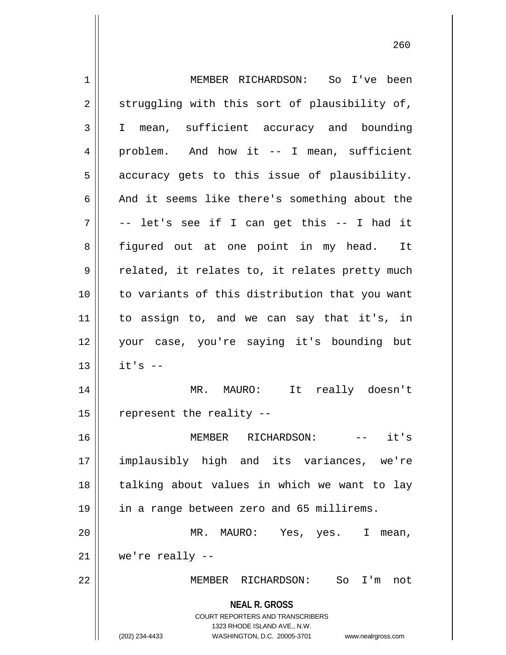**NEAL R. GROSS** COURT REPORTERS AND TRANSCRIBERS 1323 RHODE ISLAND AVE., N.W. (202) 234-4433 WASHINGTON, D.C. 20005-3701 www.nealrgross.com 1 MEMBER RICHARDSON: So I've been  $2 \parallel$  struggling with this sort of plausibility of, 3 I mean, sufficient accuracy and bounding 4 || problem. And how it -- I mean, sufficient  $5 \parallel$  accuracy gets to this issue of plausibility.  $6 \parallel$  And it seems like there's something about the  $7 \parallel$  -- let's see if I can get this -- I had it 8 || figured out at one point in my head. It  $9 \parallel$  related, it relates to, it relates pretty much 10 to variants of this distribution that you want 11 to assign to, and we can say that it's, in 12 your case, you're saying it's bounding but  $13$  || it's  $-$ 14 MR. MAURO: It really doesn't 15  $\parallel$  represent the reality --16 MEMBER RICHARDSON: -- it's 17 implausibly high and its variances, we're 18 || talking about values in which we want to lay 19 in a range between zero and 65 millirems. 20 MR. MAURO: Yes, yes. I mean,  $21$  | we're really  $-$ 22 MEMBER RICHARDSON: So I'm not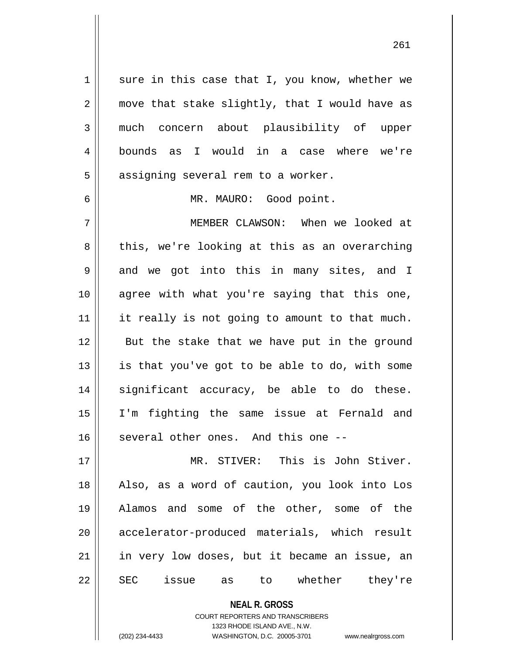$1 \parallel$  sure in this case that I, you know, whether we  $2 \parallel$  move that stake slightly, that I would have as 3 much concern about plausibility of upper 4 bounds as I would in a case where we're  $5 \parallel$  assigning several rem to a worker.

6 MR. MAURO: Good point.

7 MEMBER CLAWSON: When we looked at  $8 \parallel$  this, we're looking at this as an overarching  $9 \parallel$  and we got into this in many sites, and I 10 agree with what you're saying that this one, 11 || it really is not going to amount to that much. 12 || But the stake that we have put in the ground  $13$  is that you've got to be able to do, with some 14 significant accuracy, be able to do these. 15 I'm fighting the same issue at Fernald and 16 || several other ones. And this one --

 MR. STIVER: This is John Stiver. Also, as a word of caution, you look into Los Alamos and some of the other, some of the 20 || accelerator-produced materials, which result | in very low doses, but it became an issue, an 22 SEC issue as to whether they're

> **NEAL R. GROSS** COURT REPORTERS AND TRANSCRIBERS 1323 RHODE ISLAND AVE., N.W.

(202) 234-4433 WASHINGTON, D.C. 20005-3701 www.nealrgross.com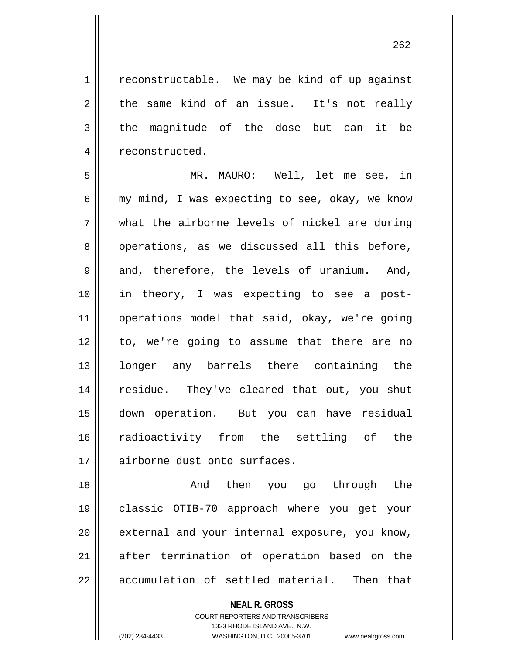$1$  reconstructable. We may be kind of up against  $2 \parallel$  the same kind of an issue. It's not really  $3 \parallel$  the magnitude of the dose but can it be 4 | reconstructed.

5 MR. MAURO: Well, let me see, in 6  $\parallel$  my mind, I was expecting to see, okay, we know  $7 \parallel$  what the airborne levels of nickel are during 8 || operations, as we discussed all this before,  $9 \parallel$  and, therefore, the levels of uranium. And, 10 in theory, I was expecting to see a post-11 operations model that said, okay, we're going 12 to, we're going to assume that there are no 13 || longer any barrels there containing the 14 || residue. They've cleared that out, you shut 15 down operation. But you can have residual 16 radioactivity from the settling of the 17 || airborne dust onto surfaces.

18 And then you go through the 19 classic OTIB-70 approach where you get your 20 || external and your internal exposure, you know, 21 after termination of operation based on the  $22$  || accumulation of settled material. Then that

**NEAL R. GROSS**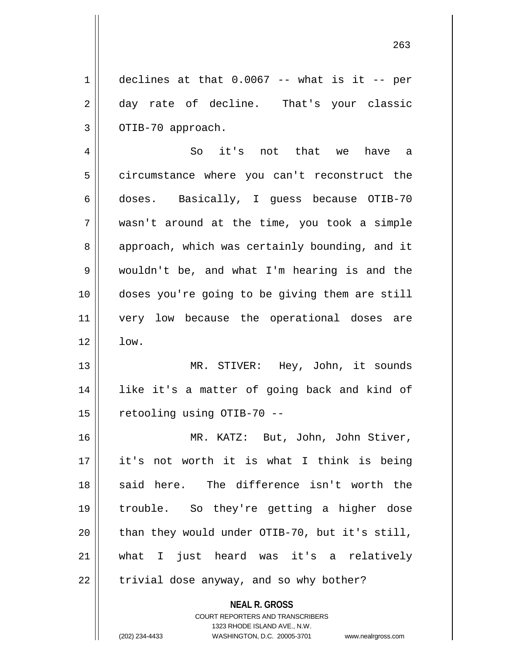$1 \parallel$  declines at that 0.0067 -- what is it -- per 2 day rate of decline. That's your classic  $3 \parallel$  OTIB-70 approach.

 So it's not that we have a circumstance where you can't reconstruct the doses. Basically, I guess because OTIB-70 wasn't around at the time, you took a simple 8 || approach, which was certainly bounding, and it wouldn't be, and what I'm hearing is and the doses you're going to be giving them are still very low because the operational doses are  $12 \parallel \text{low.}$ 

13 || MR. STIVER: Hey, John, it sounds 14 like it's a matter of going back and kind of 15 || retooling using OTIB-70 --

 MR. KATZ: But, John, John Stiver, it's not worth it is what I think is being 18 said here. The difference isn't worth the trouble. So they're getting a higher dose  $\parallel$  than they would under OTIB-70, but it's still, what I just heard was it's a relatively | trivial dose anyway, and so why bother?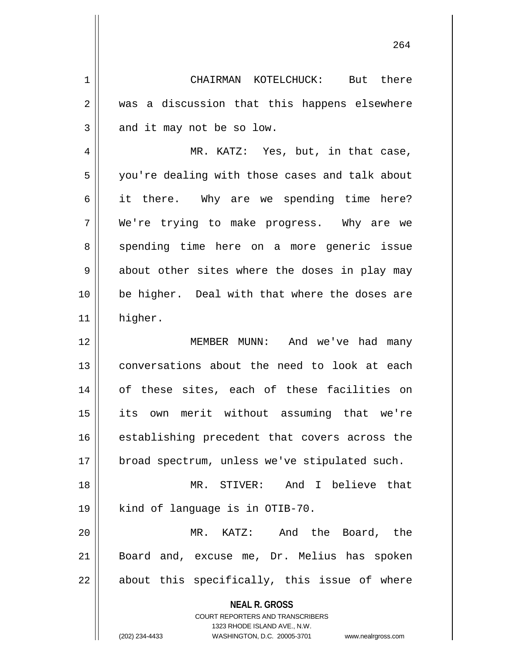1 CHAIRMAN KOTELCHUCK: But there 2 || was a discussion that this happens elsewhere  $3 \parallel$  and it may not be so low.

4 MR. KATZ: Yes, but, in that case, 5 || you're dealing with those cases and talk about 6 it there. Why are we spending time here? 7 We're trying to make progress. Why are we 8 || spending time here on a more generic issue  $9 \parallel$  about other sites where the doses in play may 10 be higher. Deal with that where the doses are 11 | higher.

12 MEMBER MUNN: And we've had many 13 || conversations about the need to look at each 14 of these sites, each of these facilities on 15 its own merit without assuming that we're 16 || establishing precedent that covers across the 17 || broad spectrum, unless we've stipulated such. 18 MR. STIVER: And I believe that 19 || kind of language is in OTIB-70.

20 MR. KATZ: And the Board, the 21 Board and, excuse me, Dr. Melius has spoken  $22$  || about this specifically, this issue of where

**NEAL R. GROSS**

COURT REPORTERS AND TRANSCRIBERS 1323 RHODE ISLAND AVE., N.W. (202) 234-4433 WASHINGTON, D.C. 20005-3701 www.nealrgross.com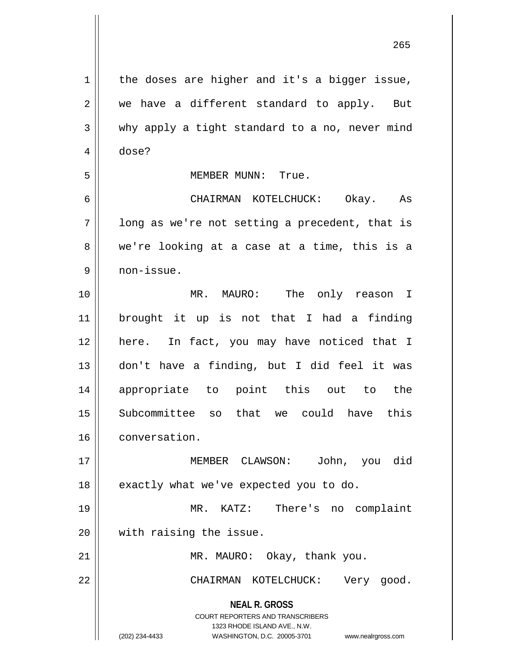| 1  | the doses are higher and it's a bigger issue,                                                       |
|----|-----------------------------------------------------------------------------------------------------|
| 2  | we have a different standard to apply. But                                                          |
| 3  | why apply a tight standard to a no, never mind                                                      |
| 4  | dose?                                                                                               |
| 5  | MEMBER MUNN: True.                                                                                  |
| 6  | CHAIRMAN KOTELCHUCK: Okay. As                                                                       |
| 7  | long as we're not setting a precedent, that is                                                      |
| 8  | we're looking at a case at a time, this is a                                                        |
| 9  | non-issue.                                                                                          |
| 10 | MR. MAURO: The only reason I                                                                        |
| 11 | brought it up is not that I had a finding                                                           |
| 12 | here. In fact, you may have noticed that I                                                          |
| 13 | don't have a finding, but I did feel it was                                                         |
| 14 | appropriate to point this out to the                                                                |
| 15 | Subcommittee so that we could have this                                                             |
| 16 | conversation.                                                                                       |
| 17 | MEMBER CLAWSON:<br>John, you did                                                                    |
| 18 | exactly what we've expected you to do.                                                              |
| 19 | MR. KATZ: There's no complaint                                                                      |
|    |                                                                                                     |
| 20 | with raising the issue.                                                                             |
| 21 | MR. MAURO: Okay, thank you.                                                                         |
| 22 | CHAIRMAN KOTELCHUCK:<br>Very good.                                                                  |
|    | <b>NEAL R. GROSS</b>                                                                                |
|    | COURT REPORTERS AND TRANSCRIBERS                                                                    |
|    | 1323 RHODE ISLAND AVE., N.W.<br>(202) 234-4433<br>WASHINGTON, D.C. 20005-3701<br>www.nealrgross.com |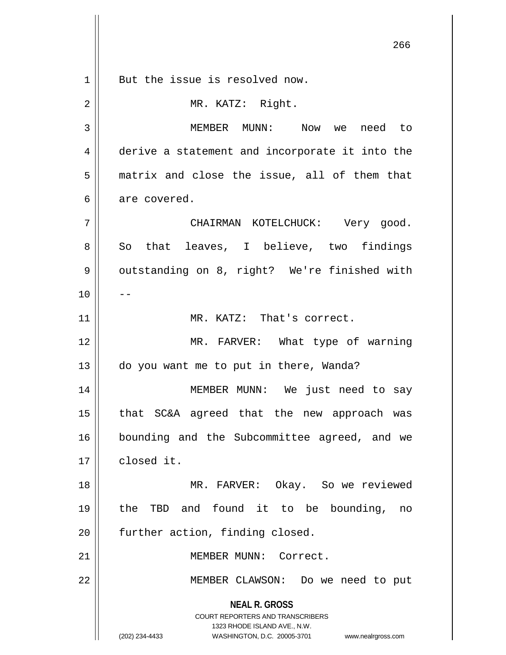**NEAL R. GROSS** COURT REPORTERS AND TRANSCRIBERS 1323 RHODE ISLAND AVE., N.W. (202) 234-4433 WASHINGTON, D.C. 20005-3701 www.nealrgross.com 1 || But the issue is resolved now. 2 || MR. KATZ: Right. 3 MEMBER MUNN: Now we need to 4 derive a statement and incorporate it into the 5 matrix and close the issue, all of them that  $6 \parallel$  are covered. 7 CHAIRMAN KOTELCHUCK: Very good. 8 || So that leaves, I believe, two findings 9 | outstanding on 8, right? We're finished with  $10$  ||  $-$ 11 || MR. KATZ: That's correct. 12 MR. FARVER: What type of warning 13 do you want me to put in there, Wanda? 14 MEMBER MUNN: We just need to say 15 that SC&A agreed that the new approach was 16 || bounding and the Subcommittee agreed, and we 17 | closed it. 18 || MR. FARVER: Okay. So we reviewed 19 the TBD and found it to be bounding, no 20 | further action, finding closed. 21 | MEMBER MUNN: Correct. 22 MEMBER CLAWSON: Do we need to put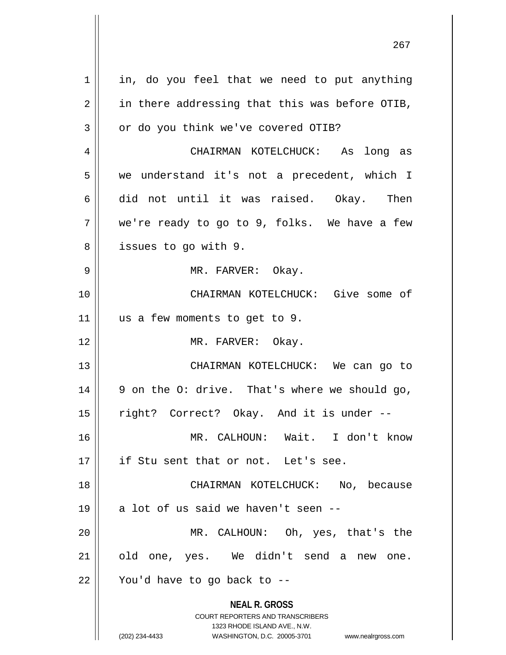| $\mathbf 1$ | in, do you feel that we need to put anything                                                                                                                           |
|-------------|------------------------------------------------------------------------------------------------------------------------------------------------------------------------|
| 2           | in there addressing that this was before OTIB,                                                                                                                         |
| 3           | or do you think we've covered OTIB?                                                                                                                                    |
| 4           | CHAIRMAN KOTELCHUCK: As long as                                                                                                                                        |
| 5           | we understand it's not a precedent, which I                                                                                                                            |
| 6           | did not until it was raised. Okay. Then                                                                                                                                |
| 7           | we're ready to go to 9, folks. We have a few                                                                                                                           |
| 8           | issues to go with 9.                                                                                                                                                   |
| 9           | MR. FARVER: Okay.                                                                                                                                                      |
| 10          | CHAIRMAN KOTELCHUCK: Give some of                                                                                                                                      |
| 11          | us a few moments to get to 9.                                                                                                                                          |
| 12          | MR. FARVER: Okay.                                                                                                                                                      |
| 13          | CHAIRMAN KOTELCHUCK: We can go to                                                                                                                                      |
| 14          | 9 on the 0: drive. That's where we should go,                                                                                                                          |
| 15          | right? Correct? Okay. And it is under --                                                                                                                               |
| 16          | MR. CALHOUN: Wait. I don't know                                                                                                                                        |
| 17          | if Stu sent that or not. Let's see.                                                                                                                                    |
| 18          | CHAIRMAN KOTELCHUCK: No, because                                                                                                                                       |
| 19          | a lot of us said we haven't seen --                                                                                                                                    |
| 20          | MR. CALHOUN: Oh, yes, that's the                                                                                                                                       |
| 21          | old one, yes. We didn't send a<br>new one.                                                                                                                             |
| 22          | You'd have to go back to --                                                                                                                                            |
|             | <b>NEAL R. GROSS</b><br><b>COURT REPORTERS AND TRANSCRIBERS</b><br>1323 RHODE ISLAND AVE., N.W.<br>(202) 234-4433<br>WASHINGTON, D.C. 20005-3701<br>www.nealrgross.com |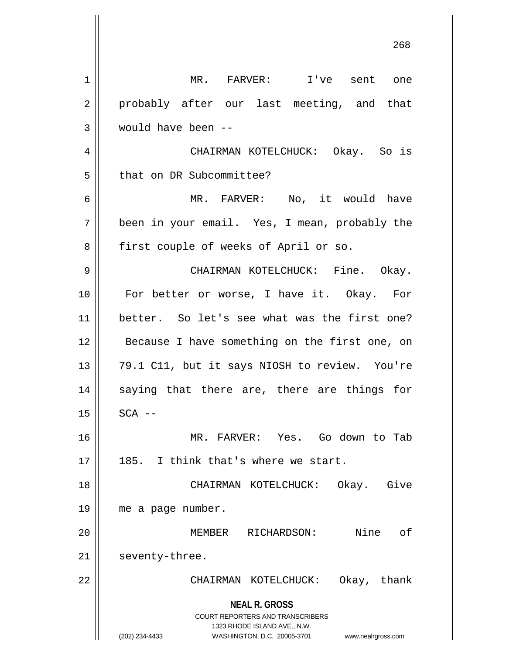| 1  | MR. FARVER: I've sent one                                                                                                                                              |
|----|------------------------------------------------------------------------------------------------------------------------------------------------------------------------|
| 2  | probably after our last meeting, and that                                                                                                                              |
| 3  | would have been --                                                                                                                                                     |
| 4  | CHAIRMAN KOTELCHUCK: Okay. So is                                                                                                                                       |
| 5  | that on DR Subcommittee?                                                                                                                                               |
| 6  | MR. FARVER: No, it would have                                                                                                                                          |
| 7  | been in your email. Yes, I mean, probably the                                                                                                                          |
| 8  | first couple of weeks of April or so.                                                                                                                                  |
| 9  | CHAIRMAN KOTELCHUCK: Fine. Okay.                                                                                                                                       |
| 10 | For better or worse, I have it. Okay. For                                                                                                                              |
| 11 | better. So let's see what was the first one?                                                                                                                           |
| 12 | Because I have something on the first one, on                                                                                                                          |
| 13 | 79.1 C11, but it says NIOSH to review. You're                                                                                                                          |
| 14 | saying that there are, there are things for                                                                                                                            |
| 15 | $SCA$ --                                                                                                                                                               |
| 16 | MR. FARVER: Yes. Go down to Tab                                                                                                                                        |
| 17 | 185. I think that's where we start.                                                                                                                                    |
| 18 | CHAIRMAN KOTELCHUCK: Okay. Give                                                                                                                                        |
| 19 | me a page number.                                                                                                                                                      |
| 20 | Nine<br>MEMBER RICHARDSON:<br>оf                                                                                                                                       |
| 21 | seventy-three.                                                                                                                                                         |
| 22 | CHAIRMAN KOTELCHUCK: Okay, thank                                                                                                                                       |
|    | <b>NEAL R. GROSS</b><br><b>COURT REPORTERS AND TRANSCRIBERS</b><br>1323 RHODE ISLAND AVE., N.W.<br>(202) 234-4433<br>WASHINGTON, D.C. 20005-3701<br>www.nealrgross.com |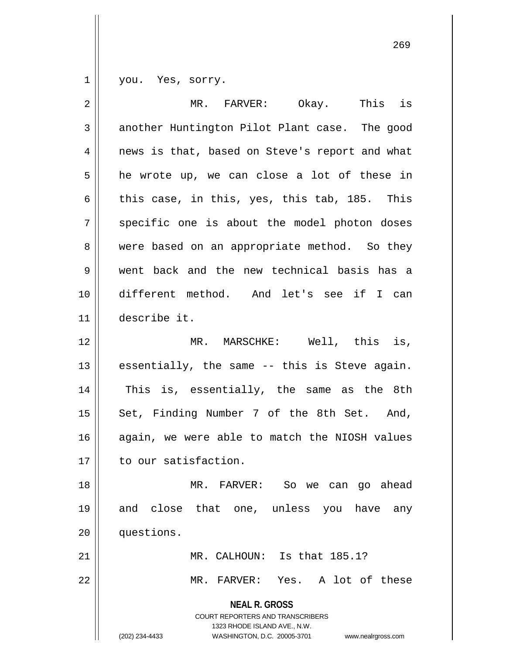1 | you. Yes, sorry.

| $\overline{2}$ | This is<br>MR. FARVER:<br>Okay.                                                                 |
|----------------|-------------------------------------------------------------------------------------------------|
| 3              | another Huntington Pilot Plant case. The good                                                   |
| 4              | news is that, based on Steve's report and what                                                  |
| 5              | he wrote up, we can close a lot of these in                                                     |
| 6              | this case, in this, yes, this tab, 185. This                                                    |
| 7              | specific one is about the model photon doses                                                    |
| 8              | were based on an appropriate method. So they                                                    |
| 9              | went back and the new technical basis has a                                                     |
| 10             | different method. And let's see if I can                                                        |
| 11             | describe it.                                                                                    |
| 12             | MR. MARSCHKE: Well, this is,                                                                    |
| 13             | essentially, the same -- this is Steve again.                                                   |
| 14             | This is, essentially, the same as the 8th                                                       |
| 15             | Set, Finding Number 7 of the 8th Set. And,                                                      |
| 16             | again, we were able to match the NIOSH values                                                   |
| 17             | to our satisfaction.                                                                            |
| 18             | MR. FARVER: So we can go ahead                                                                  |
| 19             | and close that one, unless you have<br>any                                                      |
| 20             | questions.                                                                                      |
| 21             | MR. CALHOUN: Is that 185.1?                                                                     |
| 22             | MR. FARVER: Yes. A lot of these                                                                 |
|                | <b>NEAL R. GROSS</b><br><b>COURT REPORTERS AND TRANSCRIBERS</b><br>1323 RHODE ISLAND AVE., N.W. |
|                | (202) 234-4433<br>WASHINGTON, D.C. 20005-3701<br>www.nealrgross.com                             |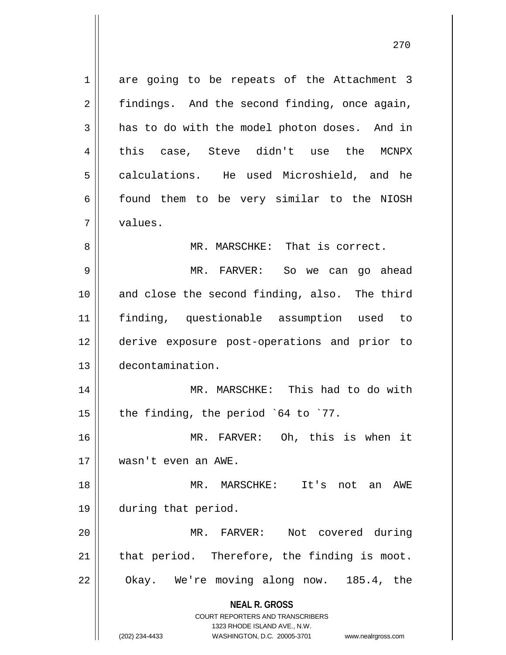**NEAL R. GROSS** COURT REPORTERS AND TRANSCRIBERS 1 are going to be repeats of the Attachment 3  $2 \parallel$  findings. And the second finding, once again,  $3 \parallel$  has to do with the model photon doses. And in 4 this case, Steve didn't use the MCNPX 5 calculations. He used Microshield, and he 6 6 found them to be very similar to the NIOSH 7 values. 8 || MR. MARSCHKE: That is correct. 9 MR. FARVER: So we can go ahead 10 || and close the second finding, also. The third 11 finding, questionable assumption used to 12 derive exposure post-operations and prior to 13 decontamination. 14 MR. MARSCHKE: This had to do with 15  $\parallel$  the finding, the period `64 to `77. 16 MR. FARVER: Oh, this is when it 17 wasn't even an AWE. 18 MR. MARSCHKE: It's not an AWE 19 during that period. 20 MR. FARVER: Not covered during  $21$  that period. Therefore, the finding is moot. 22 | Okay. We're moving along now. 185.4, the

1323 RHODE ISLAND AVE., N.W.

(202) 234-4433 WASHINGTON, D.C. 20005-3701 www.nealrgross.com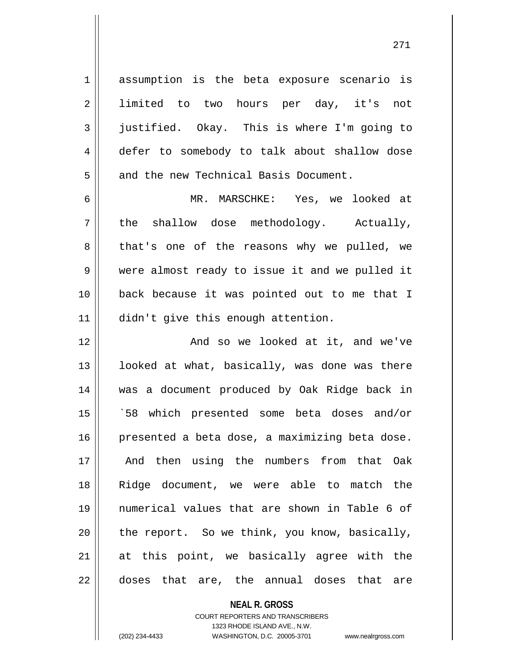1 assumption is the beta exposure scenario is 2 || limited to two hours per day, it's not 3 justified. Okay. This is where I'm going to 4 defer to somebody to talk about shallow dose 5 || and the new Technical Basis Document.

6 MR. MARSCHKE: Yes, we looked at  $7 \parallel$  the shallow dose methodology. Actually, 8 that's one of the reasons why we pulled, we 9 || were almost ready to issue it and we pulled it 10 back because it was pointed out to me that I 11 || didn't give this enough attention.

12 || And so we looked at it, and we've || looked at what, basically, was done was there was a document produced by Oak Ridge back in `58 which presented some beta doses and/or 16 | presented a beta dose, a maximizing beta dose. And then using the numbers from that Oak Ridge document, we were able to match the numerical values that are shown in Table 6 of  $\parallel$  the report. So we think, you know, basically, at this point, we basically agree with the 22 doses that are, the annual doses that are

## **NEAL R. GROSS**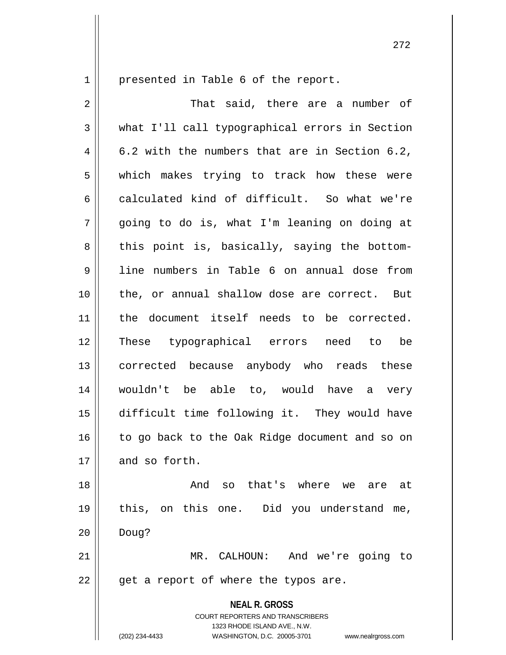1 | presented in Table 6 of the report.

**NEAL R. GROSS** COURT REPORTERS AND TRANSCRIBERS 1323 RHODE ISLAND AVE., N.W. 2 That said, there are a number of 3 what I'll call typographical errors in Section  $4 \parallel 6.2$  with the numbers that are in Section 6.2, 5 which makes trying to track how these were 6 calculated kind of difficult. So what we're  $7 \parallel$  going to do is, what I'm leaning on doing at  $8 \parallel$  this point is, basically, saying the bottom-9 line numbers in Table 6 on annual dose from 10 || the, or annual shallow dose are correct. But 11 || the document itself needs to be corrected. 12 These typographical errors need to be 13 || corrected because anybody who reads these 14 wouldn't be able to, would have a very 15 difficult time following it. They would have 16 || to go back to the Oak Ridge document and so on 17 and so forth. 18 And so that's where we are at 19 this, on this one. Did you understand me,  $20$  | Doug? 21 MR. CALHOUN: And we're going to  $22$  || get a report of where the typos are.

(202) 234-4433 WASHINGTON, D.C. 20005-3701 www.nealrgross.com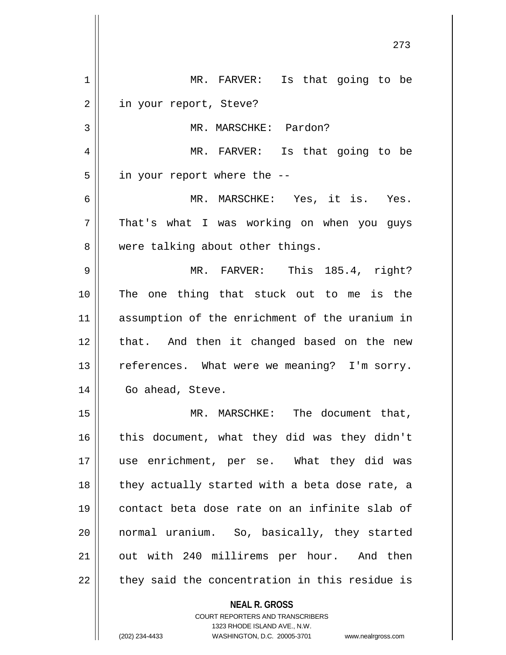| 1  | MR. FARVER: Is that going to be                |
|----|------------------------------------------------|
| 2  | in your report, Steve?                         |
| 3  | MR. MARSCHKE: Pardon?                          |
| 4  | MR. FARVER: Is that going to be                |
| 5  | in your report where the --                    |
| 6  | MR. MARSCHKE: Yes, it is. Yes.                 |
| 7  | That's what I was working on when you guys     |
| 8  | were talking about other things.               |
| 9  | MR. FARVER: This 185.4, right?                 |
| 10 | The one thing that stuck out to me is the      |
| 11 | assumption of the enrichment of the uranium in |
| 12 | that. And then it changed based on the new     |
| 13 | references. What were we meaning? I'm sorry.   |
| 14 | Go ahead, Steve.                               |
| 15 | MR. MARSCHKE: The document that,               |
| 16 | this document, what they did was they didn't   |
| 17 | use enrichment, per se. What they did was      |
| 18 | they actually started with a beta dose rate, a |
| 19 | contact beta dose rate on an infinite slab of  |
| 20 | normal uranium. So, basically, they started    |
| 21 | out with 240 millirems per hour. And then      |
| 22 | they said the concentration in this residue is |
|    | <b>NEAL R. GROSS</b>                           |

COURT REPORTERS AND TRANSCRIBERS 1323 RHODE ISLAND AVE., N.W.

 $\mathsf{II}$ 

(202) 234-4433 WASHINGTON, D.C. 20005-3701 www.nealrgross.com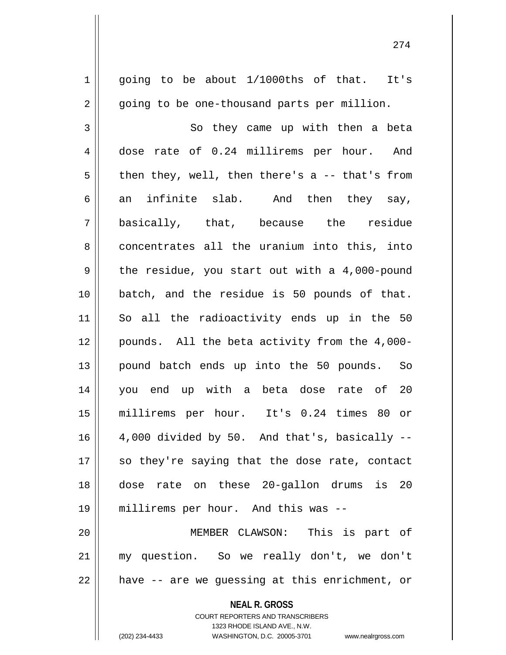**NEAL R. GROSS** COURT REPORTERS AND TRANSCRIBERS  $1 \parallel$  going to be about 1/1000ths of that. It's 2 || going to be one-thousand parts per million. 3 So they came up with then a beta 4 dose rate of 0.24 millirems per hour. And  $5 \parallel$  then they, well, then there's a -- that's from 6 an infinite slab. And then they say, 7 basically, that, because the residue 8 concentrates all the uranium into this, into  $9 \parallel$  the residue, you start out with a 4,000-pound 10 batch, and the residue is 50 pounds of that. 11 So all the radioactivity ends up in the 50 12 pounds. All the beta activity from the 4,000- 13 || pound batch ends up into the 50 pounds. So 14 you end up with a beta dose rate of 20 15 millirems per hour. It's 0.24 times 80 or  $16 \parallel$  4,000 divided by 50. And that's, basically  $17$  so they're saying that the dose rate, contact 18 dose rate on these 20-gallon drums is 20 19 millirems per hour. And this was -- 20 MEMBER CLAWSON: This is part of 21 my question. So we really don't, we don't  $22$  || have -- are we guessing at this enrichment, or

1323 RHODE ISLAND AVE., N.W.

(202) 234-4433 WASHINGTON, D.C. 20005-3701 www.nealrgross.com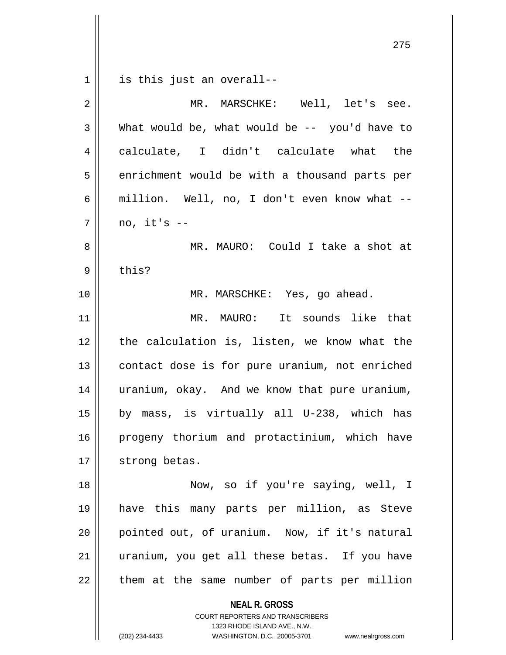**NEAL R. GROSS** 275  $1 \parallel$  is this just an overall--2 MR. MARSCHKE: Well, let's see.  $3 \parallel$  What would be, what would be  $-$  you'd have to 4 calculate, I didn't calculate what the  $5 \parallel$  enrichment would be with a thousand parts per 6 | million. Well, no, I don't even know what -- $7 \parallel$  no, it's  $-$ 8 MR. MAURO: Could I take a shot at  $9 \parallel$  this? 10 || MR. MARSCHKE: Yes, go ahead. 11 MR. MAURO: It sounds like that 12 || the calculation is, listen, we know what the 13 || contact dose is for pure uranium, not enriched 14 || uranium, okay. And we know that pure uranium, 15 by mass, is virtually all U-238, which has 16 || progeny thorium and protactinium, which have 17 | strong betas. 18 Now, so if you're saying, well, I 19 have this many parts per million, as Steve 20 pointed out, of uranium. Now, if it's natural 21 || uranium, you get all these betas. If you have  $22$  || them at the same number of parts per million

> COURT REPORTERS AND TRANSCRIBERS 1323 RHODE ISLAND AVE., N.W.

(202) 234-4433 WASHINGTON, D.C. 20005-3701 www.nealrgross.com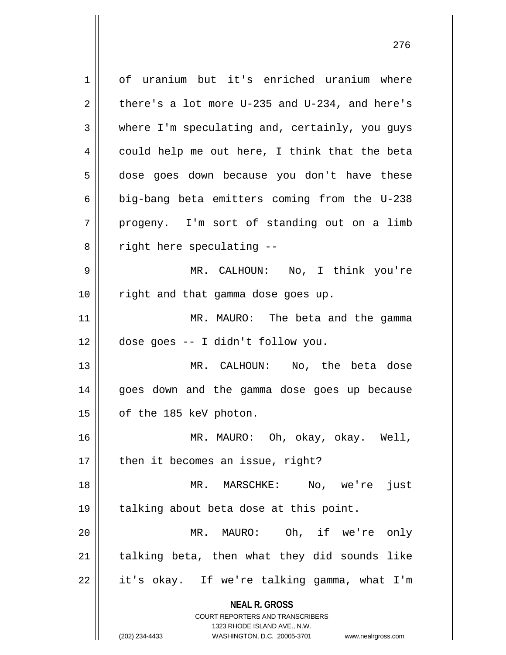**NEAL R. GROSS** COURT REPORTERS AND TRANSCRIBERS 1323 RHODE ISLAND AVE., N.W. (202) 234-4433 WASHINGTON, D.C. 20005-3701 www.nealrgross.com 1 | of uranium but it's enriched uranium where 2 there's a lot more U-235 and U-234, and here's  $3 \parallel$  where I'm speculating and, certainly, you guys  $4 \parallel$  could help me out here, I think that the beta 5 | dose goes down because you don't have these  $6 \parallel$  big-bang beta emitters coming from the U-238  $7 \parallel$  progeny. I'm sort of standing out on a limb  $8 \parallel$  right here speculating --9 MR. CALHOUN: No, I think you're 10 || right and that gamma dose goes up. 11 MR. MAURO: The beta and the gamma 12 dose goes -- I didn't follow you. 13 MR. CALHOUN: No, the beta dose 14 || goes down and the gamma dose goes up because 15 | of the 185 keV photon. 16 MR. MAURO: Oh, okay, okay. Well,  $17$  | then it becomes an issue, right? 18 MR. MARSCHKE: No, we're just 19 || talking about beta dose at this point. 20 || MR. MAURO: Oh, if we're only  $21$  | talking beta, then what they did sounds like  $22 \parallel$  it's okay. If we're talking gamma, what I'm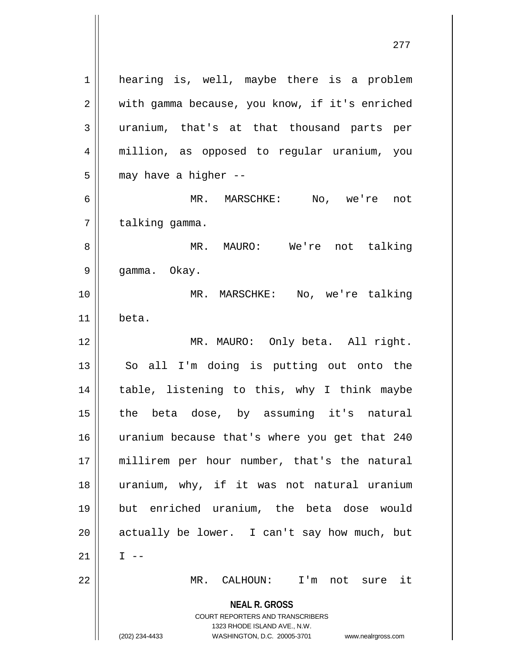**NEAL R. GROSS** COURT REPORTERS AND TRANSCRIBERS 1323 RHODE ISLAND AVE., N.W. (202) 234-4433 WASHINGTON, D.C. 20005-3701 www.nealrgross.com 1 | hearing is, well, maybe there is a problem 2 | with gamma because, you know, if it's enriched 3 uranium, that's at that thousand parts per 4 million, as opposed to regular uranium, you  $5$  | may have a higher --6 MR. MARSCHKE: No, we're not  $7$  | talking gamma. 8 MR. MAURO: We're not talking 9 || gamma. Okay. 10 MR. MARSCHKE: No, we're talking  $11$  beta. 12 || MR. MAURO: Only beta. All right. 13 || So all I'm doing is putting out onto the 14 || table, listening to this, why I think maybe 15 the beta dose, by assuming it's natural 16 uranium because that's where you get that 240 17 millirem per hour number, that's the natural 18 uranium, why, if it was not natural uranium 19 but enriched uranium, the beta dose would  $20$  || actually be lower. I can't say how much, but 21  $\parallel$  I --22 MR. CALHOUN: I'm not sure it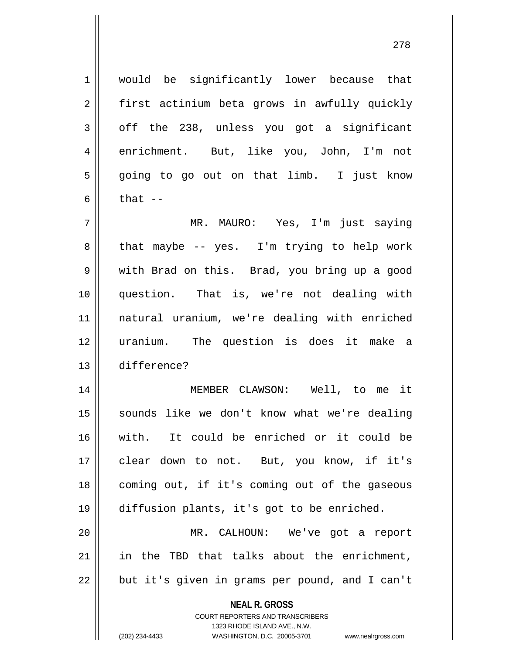1 || would be significantly lower because that 2 || first actinium beta grows in awfully quickly  $3 \parallel$  off the 238, unless you got a significant 4 enrichment. But, like you, John, I'm not 5 || going to go out on that limb. I just know 6  $\parallel$  that  $-$ 

 MR. MAURO: Yes, I'm just saying  $8 \parallel$  that maybe -- yes. I'm trying to help work 9 with Brad on this. Brad, you bring up a good question. That is, we're not dealing with natural uranium, we're dealing with enriched uranium. The question is does it make a difference?

 MEMBER CLAWSON: Well, to me it 15 || sounds like we don't know what we're dealing with. It could be enriched or it could be clear down to not. But, you know, if it's coming out, if it's coming out of the gaseous diffusion plants, it's got to be enriched. MR. CALHOUN: We've got a report

 $21$  in the TBD that talks about the enrichment, 22 || but it's given in grams per pound, and I can't

> **NEAL R. GROSS** COURT REPORTERS AND TRANSCRIBERS 1323 RHODE ISLAND AVE., N.W. (202) 234-4433 WASHINGTON, D.C. 20005-3701 www.nealrgross.com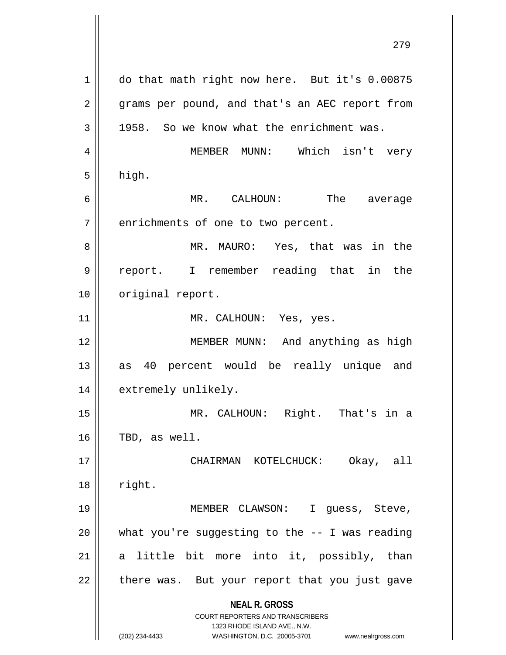**NEAL R. GROSS** COURT REPORTERS AND TRANSCRIBERS 1323 RHODE ISLAND AVE., N.W. (202) 234-4433 WASHINGTON, D.C. 20005-3701 www.nealrgross.com 1 do that math right now here. But it's 0.00875 2 || grams per pound, and that's an AEC report from  $3 \parallel$  1958. So we know what the enrichment was. 4 MEMBER MUNN: Which isn't very  $5 \parallel$  high. 6 MR. CALHOUN: The average  $7 \parallel$  enrichments of one to two percent. 8 MR. MAURO: Yes, that was in the 9 || report. I remember reading that in the 10 || original report. 11 || MR. CALHOUN: Yes, yes. 12 MEMBER MUNN: And anything as high 13 || as 40 percent would be really unique and 14 || extremely unlikely. 15 MR. CALHOUN: Right. That's in a  $16$  | TBD, as well. 17 CHAIRMAN KOTELCHUCK: Okay, all  $18$  || right. 19 || MEMBER CLAWSON: I guess, Steve, 20  $\parallel$  what you're suggesting to the  $-$ - I was reading  $21$  a little bit more into it, possibly, than 22 || there was. But your report that you just gave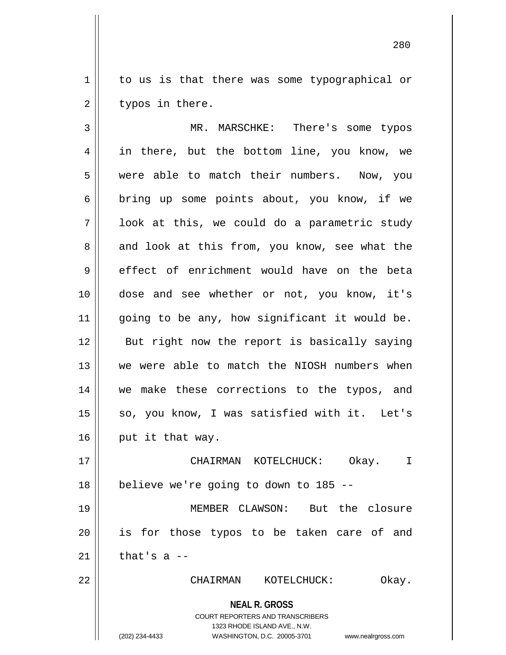1 | to us is that there was some typographical or  $2 \parallel$  typos in there.

 MR. MARSCHKE: There's some typos 4 || in there, but the bottom line, you know, we were able to match their numbers. Now, you  $6 \parallel$  bring up some points about, you know, if we  $7 \parallel$  look at this, we could do a parametric study  $8 \parallel$  and look at this from, you know, see what the effect of enrichment would have on the beta dose and see whether or not, you know, it's 11 || going to be any, how significant it would be. 12 || But right now the report is basically saying we were able to match the NIOSH numbers when we make these corrections to the typos, and so, you know, I was satisfied with it. Let's  $\parallel$  put it that way. CHAIRMAN KOTELCHUCK: Okay. I | believe we're going to down to 185 -- MEMBER CLAWSON: But the closure is for those typos to be taken care of and  $\parallel$  that's a --

22 CHAIRMAN KOTELCHUCK: Okay.

280

**NEAL R. GROSS**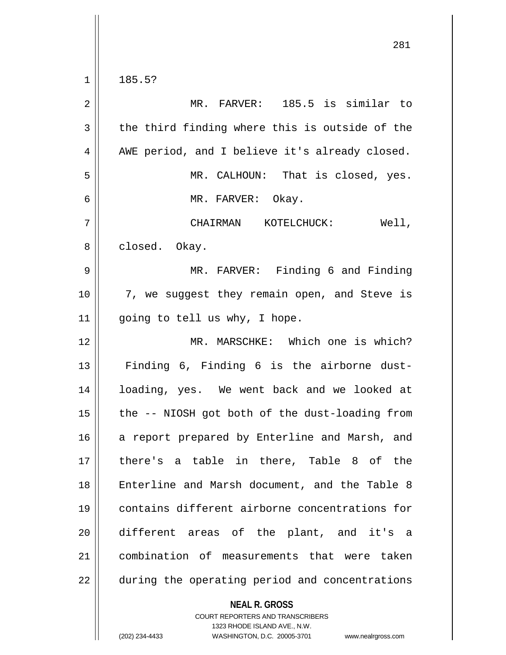$1 \parallel 185.5?$ 

| $\sqrt{2}$     | MR. FARVER: 185.5 is similar to                |
|----------------|------------------------------------------------|
| $\mathbf{3}$   | the third finding where this is outside of the |
| $\overline{4}$ | AWE period, and I believe it's already closed. |
| 5              | MR. CALHOUN: That is closed, yes.              |
| 6              | MR. FARVER: Okay.                              |
| 7              | CHAIRMAN KOTELCHUCK:<br>Well,                  |
| 8              | closed. Okay.                                  |
| 9              | MR. FARVER: Finding 6 and Finding              |
| 10             | 7, we suggest they remain open, and Steve is   |
| 11             | going to tell us why, I hope.                  |
| 12             | MR. MARSCHKE: Which one is which?              |
| 13             | Finding 6, Finding 6 is the airborne dust-     |
| 14             | loading, yes. We went back and we looked at    |
| 15             | the -- NIOSH got both of the dust-loading from |
| 16             | a report prepared by Enterline and Marsh, and  |
| 17             | there's a table in there, Table 8 of the       |
| 18             | Enterline and Marsh document, and the Table 8  |
| 19             | contains different airborne concentrations for |
| 20             | different areas of the plant, and it's a       |
| 21             | combination of measurements that were taken    |
| 22             | during the operating period and concentrations |

**NEAL R. GROSS**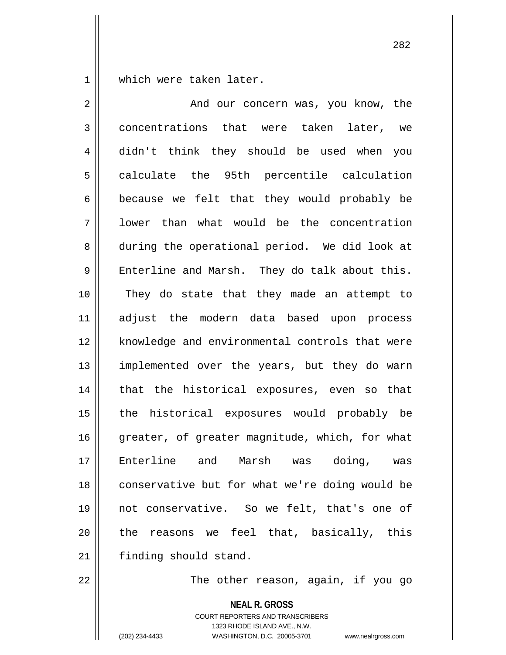1 which were taken later.

| $\overline{2}$ | And our concern was, you know, the             |
|----------------|------------------------------------------------|
| 3              | concentrations that were taken later, we       |
| 4              | didn't think they should be used when you      |
| 5              | calculate the 95th percentile calculation      |
| 6              | because we felt that they would probably be    |
| 7              | lower than what would be the concentration     |
| 8              | during the operational period. We did look at  |
| $\mathsf 9$    | Enterline and Marsh. They do talk about this.  |
| 10             | They do state that they made an attempt to     |
| 11             | adjust the modern data based upon process      |
| 12             | knowledge and environmental controls that were |
| 13             | implemented over the years, but they do warn   |
| 14             | that the historical exposures, even so that    |
| 15             | the historical exposures would probably be     |
| 16             | greater, of greater magnitude, which, for what |
| 17             | Enterline and Marsh was doing, was             |
| 18             | conservative but for what we're doing would be |
| 19             | not conservative. So we felt, that's one of    |
| 20             | the reasons we feel that, basically, this      |
| 21             | finding should stand.                          |
|                |                                                |

 $\parallel$  The other reason, again, if you go

**NEAL R. GROSS**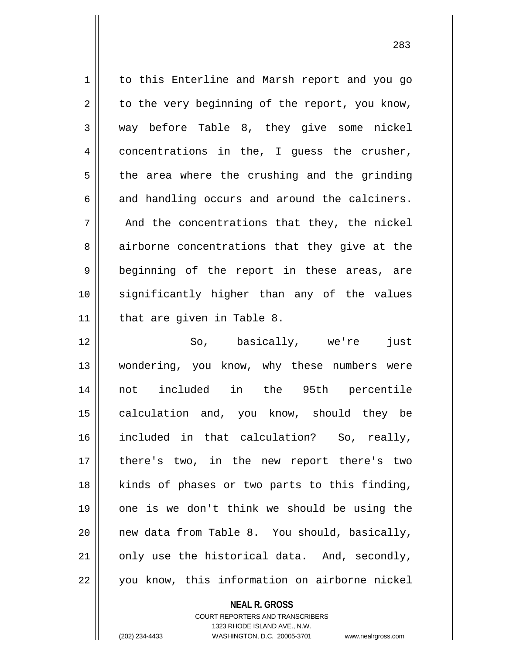1 to this Enterline and Marsh report and you go  $2 \parallel$  to the very beginning of the report, you know,  $3 \parallel$  way before Table 8, they give some nickel  $4 \parallel$  concentrations in the, I quess the crusher,  $5 \parallel$  the area where the crushing and the grinding  $6 \parallel$  and handling occurs and around the calciners.  $7 \parallel$  And the concentrations that they, the nickel 8 airborne concentrations that they give at the 9 || beginning of the report in these areas, are 10 significantly higher than any of the values 11 || that are given in Table 8. 12 So, basically, we're just

13 || wondering, you know, why these numbers were 14 not included in the 95th percentile 15 || calculation and, you know, should they be 16 included in that calculation? So, really, 17 || there's two, in the new report there's two 18 || kinds of phases or two parts to this finding, 19 one is we don't think we should be using the 20  $\parallel$  new data from Table 8. You should, basically, 21  $\parallel$  only use the historical data. And, secondly, 22 you know, this information on airborne nickel

**NEAL R. GROSS**

<sup>283</sup>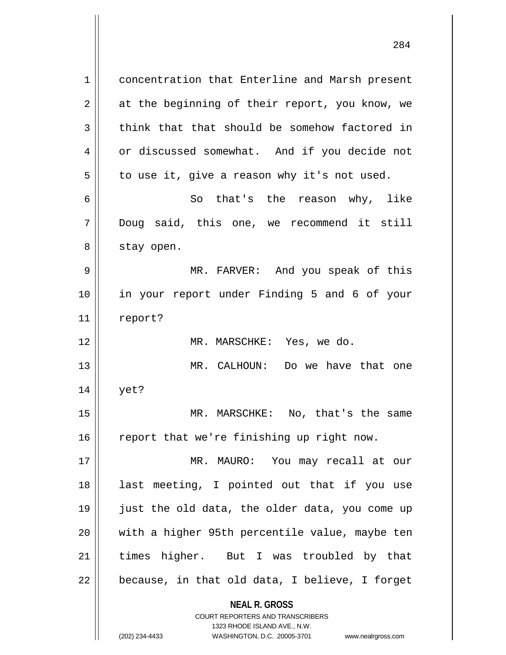**NEAL R. GROSS** 1 concentration that Enterline and Marsh present  $2 \parallel$  at the beginning of their report, you know, we  $3 \parallel$  think that that should be somehow factored in 4 | or discussed somewhat. And if you decide not  $5 \parallel$  to use it, give a reason why it's not used. 6 || So that's the reason why, like 7 Doug said, this one, we recommend it still 8 | stay open. 9 MR. FARVER: And you speak of this 10 in your report under Finding 5 and 6 of your 11 | report? 12 MR. MARSCHKE: Yes, we do. 13 MR. CALHOUN: Do we have that one 14 yet? 15 MR. MARSCHKE: No, that's the same  $16$  report that we're finishing up right now. 17 MR. MAURO: You may recall at our 18 || last meeting, I pointed out that if you use 19 just the old data, the older data, you come up 20 || with a higher 95th percentile value, maybe ten 21 times higher. But I was troubled by that  $22 \parallel$  because, in that old data, I believe, I forget

COURT REPORTERS AND TRANSCRIBERS

1323 RHODE ISLAND AVE., N.W. (202) 234-4433 WASHINGTON, D.C. 20005-3701 www.nealrgross.com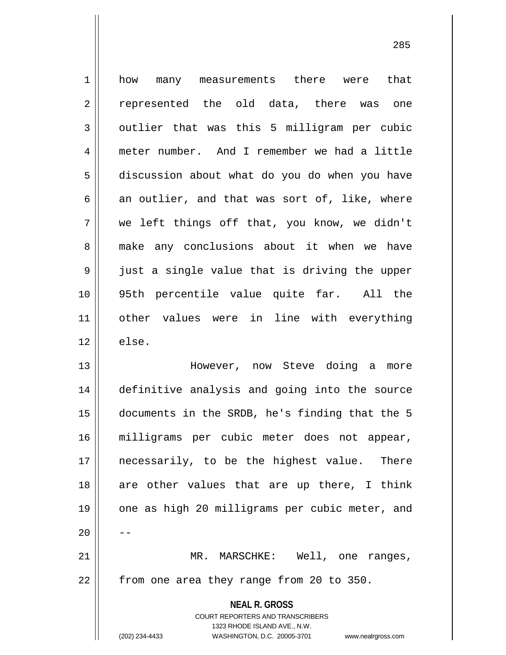1 || how many measurements there were that 2 represented the old data, there was one  $3 \parallel$  outlier that was this 5 milligram per cubic 4 meter number. And I remember we had a little 5 discussion about what do you do when you have  $6 \parallel$  an outlier, and that was sort of, like, where 7 we left things off that, you know, we didn't 8 || make any conclusions about it when we have 9 || just a single value that is driving the upper 10 95th percentile value quite far. All the 11 other values were in line with everything  $12 \parallel$  else. 13 However, now Steve doing a more 14 definitive analysis and going into the source 15 documents in the SRDB, he's finding that the 5 16 milligrams per cubic meter does not appear, 17 || necessarily, to be the highest value. There 18 are other values that are up there, I think 19 || one as high 20 milligrams per cubic meter, and  $20$ 21 || MR. MARSCHKE: Well, one ranges,  $22$  || from one area they range from 20 to 350.

> **NEAL R. GROSS** COURT REPORTERS AND TRANSCRIBERS 1323 RHODE ISLAND AVE., N.W.

(202) 234-4433 WASHINGTON, D.C. 20005-3701 www.nealrgross.com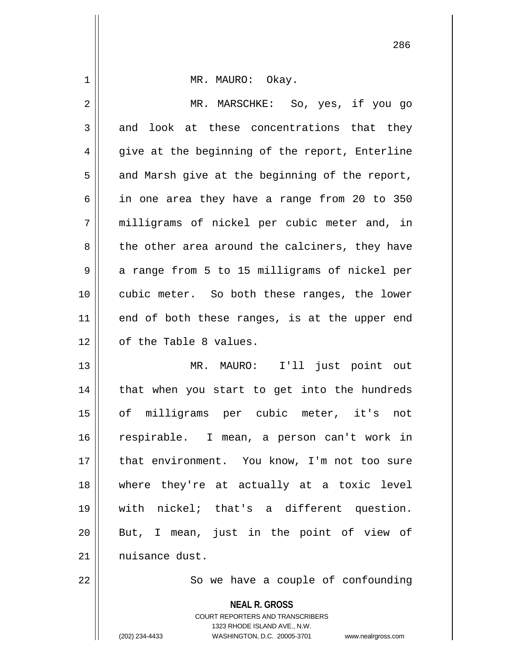| $\mathbf 1$    | MR. MAURO: Okay.                                                                                |
|----------------|-------------------------------------------------------------------------------------------------|
| $\overline{2}$ | MR. MARSCHKE: So, yes, if you go                                                                |
| 3              | and look at these concentrations that they                                                      |
| 4              | give at the beginning of the report, Enterline                                                  |
| 5              | and Marsh give at the beginning of the report,                                                  |
| 6              | in one area they have a range from 20 to 350                                                    |
| 7              | milligrams of nickel per cubic meter and, in                                                    |
| 8              | the other area around the calciners, they have                                                  |
| 9              | a range from 5 to 15 milligrams of nickel per                                                   |
| 10             | cubic meter. So both these ranges, the lower                                                    |
| 11             | end of both these ranges, is at the upper end                                                   |
| 12             | of the Table 8 values.                                                                          |
| 13             | MR. MAURO: I'll just point out                                                                  |
| 14             | that when you start to get into the hundreds                                                    |
| 15             | of milligrams per cubic meter, it's not                                                         |
| 16             | respirable. I mean, a person can't work in                                                      |
| 17             | that environment. You know, I'm not too sure                                                    |
| 18             | where they're at actually at a toxic level                                                      |
| 19             | with nickel; that's a different question.                                                       |
| 20             | But, I mean, just in the point of view of                                                       |
| 21             | nuisance dust.                                                                                  |
| 22             | So we have a couple of confounding                                                              |
|                | <b>NEAL R. GROSS</b><br><b>COURT REPORTERS AND TRANSCRIBERS</b><br>1323 RHODE ISLAND AVE., N.W. |
|                | (202) 234-4433<br>WASHINGTON, D.C. 20005-3701<br>www.nealrgross.com                             |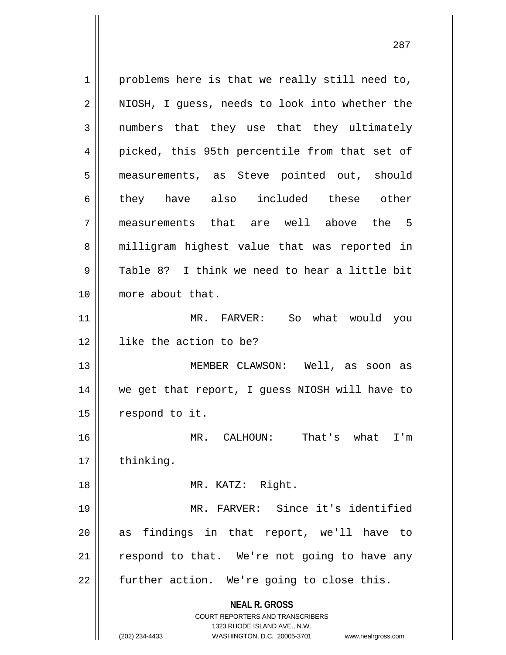**NEAL R. GROSS** COURT REPORTERS AND TRANSCRIBERS 1323 RHODE ISLAND AVE., N.W.  $1 \parallel$  problems here is that we really still need to, 2 || NIOSH, I guess, needs to look into whether the 3 || numbers that they use that they ultimately 4 || picked, this 95th percentile from that set of 5 measurements, as Steve pointed out, should 6 || they have also included these other 7 measurements that are well above the 5 8 || milligram highest value that was reported in  $9 \parallel$  Table 8? I think we need to hear a little bit 10 more about that. 11 MR. FARVER: So what would you 12 | like the action to be? 13 MEMBER CLAWSON: Well, as soon as 14 we get that report, I guess NIOSH will have to 15 | respond to it. 16 MR. CALHOUN: That's what I'm 17 | thinking. 18 || MR. KATZ: Right. 19 MR. FARVER: Since it's identified 20 as findings in that report, we'll have to  $21$  respond to that. We're not going to have any  $22$  | further action. We're going to close this.

<sup>(202) 234-4433</sup> WASHINGTON, D.C. 20005-3701 www.nealrgross.com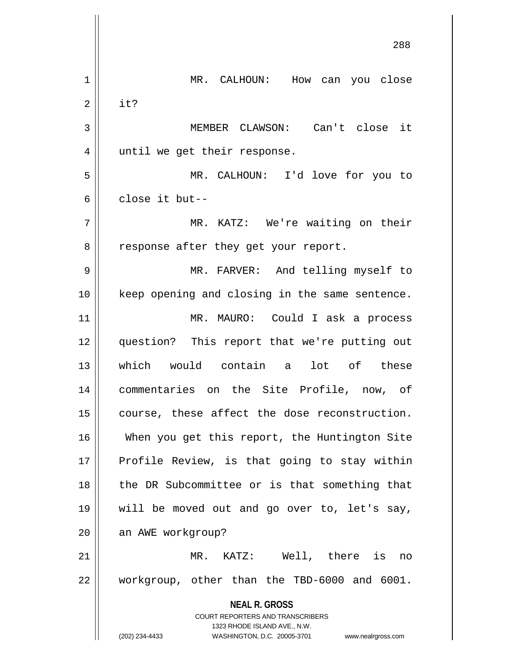**NEAL R. GROSS** COURT REPORTERS AND TRANSCRIBERS 1323 RHODE ISLAND AVE., N.W. (202) 234-4433 WASHINGTON, D.C. 20005-3701 www.nealrgross.com 288 1 MR. CALHOUN: How can you close  $2 \parallel$  it? 3 MEMBER CLAWSON: Can't close it 4 || until we get their response. 5 MR. CALHOUN: I'd love for you to 6 close it but-- 7 MR. KATZ: We're waiting on their 8 || response after they get your report. 9 || MR. FARVER: And telling myself to 10 keep opening and closing in the same sentence. 11 || MR. MAURO: Could I ask a process 12 question? This report that we're putting out 13 which would contain a lot of these 14 commentaries on the Site Profile, now, of 15 || course, these affect the dose reconstruction. 16 When you get this report, the Huntington Site 17 || Profile Review, is that going to stay within 18 || the DR Subcommittee or is that something that 19 will be moved out and go over to, let's say, 20 || an AWE workgroup? 21 MR. KATZ: Well, there is no 22 workgroup, other than the TBD-6000 and 6001.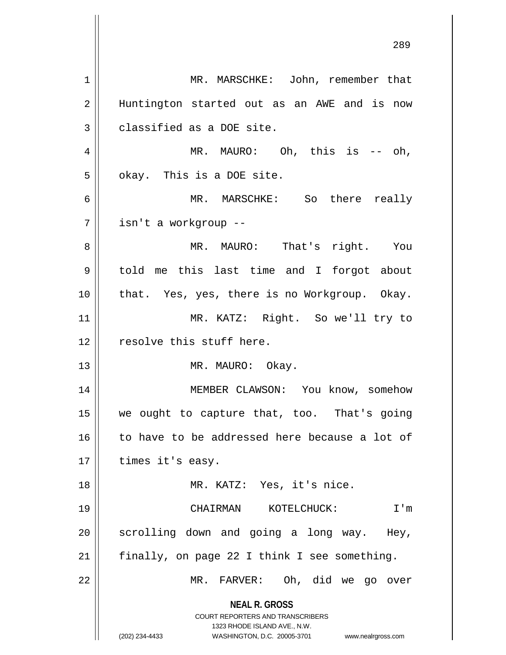**NEAL R. GROSS** COURT REPORTERS AND TRANSCRIBERS 1323 RHODE ISLAND AVE., N.W. (202) 234-4433 WASHINGTON, D.C. 20005-3701 www.nealrgross.com 1 | MR. MARSCHKE: John, remember that 2 || Huntington started out as an AWE and is now  $3 \parallel$  classified as a DOE site. 4 || MR. MAURO: Oh, this is  $-$  oh,  $5 \parallel$  okay. This is a DOE site. 6 MR. MARSCHKE: So there really 7 | isn't a workgroup --8 MR. MAURO: That's right. You 9 told me this last time and I forgot about 10 || that. Yes, yes, there is no Workgroup. Okay. 11 MR. KATZ: Right. So we'll try to 12 || resolve this stuff here. 13 || MR. MAURO: Okay. 14 MEMBER CLAWSON: You know, somehow 15 we ought to capture that, too. That's going 16 || to have to be addressed here because a lot of  $17$  || times it's easy. 18 || MR. KATZ: Yes, it's nice. 19 CHAIRMAN KOTELCHUCK: I'm  $20$  scrolling down and going a long way. Hey,  $21$  | finally, on page 22 I think I see something. 22 MR. FARVER: Oh, did we go over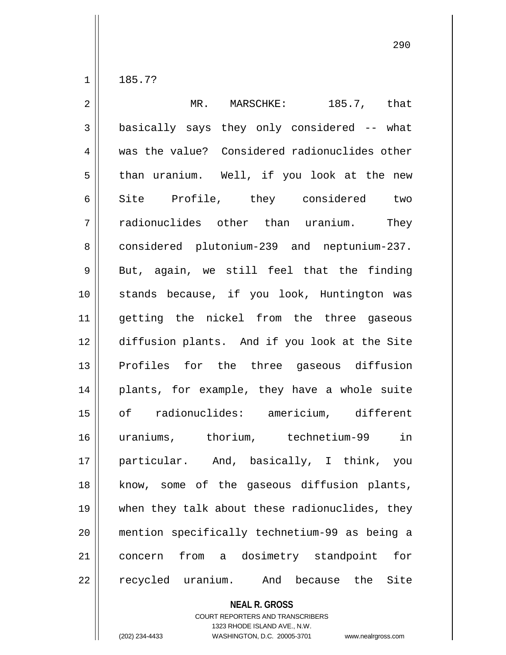$1 \parallel 185.7?$ 

| $\overline{2}$ | MR. MARSCHKE:<br>185.7, that                    |
|----------------|-------------------------------------------------|
| $\mathfrak{Z}$ | basically says they only considered -- what     |
| $\overline{4}$ | was the value? Considered radionuclides other   |
| 5              | than uranium. Well, if you look at the new      |
| 6              | Site Profile, they considered two               |
| 7              | radionuclides other than uranium.<br>They       |
| 8              | considered plutonium-239 and neptunium-237.     |
| 9              | But, again, we still feel that the finding      |
| 10             | stands because, if you look, Huntington was     |
| 11             | getting the nickel from the three gaseous       |
| 12             | diffusion plants. And if you look at the Site   |
| 13             | Profiles for the three gaseous diffusion        |
| 14             | plants, for example, they have a whole suite    |
| 15             | of radionuclides: americium, different          |
| 16             | uraniums, thorium, technetium-99 in             |
| 17             | particular. And, basically, I think, you        |
| 18             | know, some of the gaseous diffusion plants,     |
| 19             | when they talk about these radionuclides, they  |
| 20             | mention specifically technetium-99 as being a   |
| 21             | from a dosimetry standpoint<br>for<br>concern   |
| 22             | recycled uranium.<br>And<br>because the<br>Site |

**NEAL R. GROSS**

COURT REPORTERS AND TRANSCRIBERS 1323 RHODE ISLAND AVE., N.W. (202) 234-4433 WASHINGTON, D.C. 20005-3701 www.nealrgross.com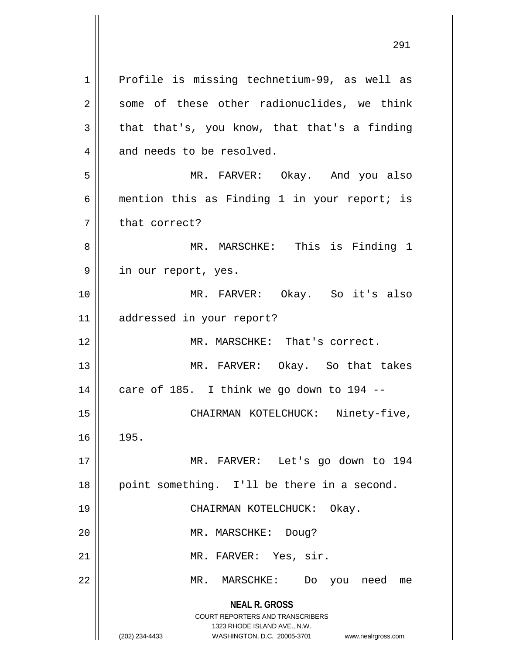**NEAL R. GROSS** COURT REPORTERS AND TRANSCRIBERS 1323 RHODE ISLAND AVE., N.W. (202) 234-4433 WASHINGTON, D.C. 20005-3701 www.nealrgross.com 1 || Profile is missing technetium-99, as well as 2 || some of these other radionuclides, we think  $3 \parallel$  that that's, you know, that that's a finding  $4 \parallel$  and needs to be resolved. 5 MR. FARVER: Okay. And you also 6 | mention this as Finding 1 in your report; is 7 || that correct? 8 || MR. MARSCHKE: This is Finding 1 9 || in our report, yes. 10 MR. FARVER: Okay. So it's also 11 addressed in your report? 12 MR. MARSCHKE: That's correct. 13 MR. FARVER: Okay. So that takes  $14$  | care of 185. I think we go down to 194 --15 || CHAIRMAN KOTELCHUCK: Ninety-five,  $16 \parallel 195.$ 17 MR. FARVER: Let's go down to 194 18 || point something. I'll be there in a second. 19 CHAIRMAN KOTELCHUCK: Okay. 20 || MR. MARSCHKE: Doug? 21 || MR. FARVER: Yes, sir. 22 MR. MARSCHKE: Do you need me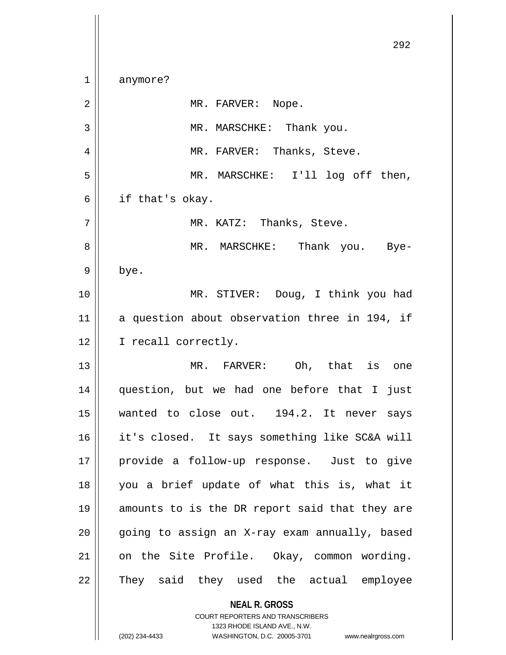**NEAL R. GROSS** COURT REPORTERS AND TRANSCRIBERS 1323 RHODE ISLAND AVE., N.W. 292 1 || anymore? 2 || MR. FARVER: Nope. 3 || MR. MARSCHKE: Thank you. 4 MR. FARVER: Thanks, Steve. 5 MR. MARSCHKE: I'll log off then,  $6 \parallel$  if that's okay. 7 MR. KATZ: Thanks, Steve. 8 MR. MARSCHKE: Thank you. Bye- $9 \parallel$  bye. 10 MR. STIVER: Doug, I think you had 11 a question about observation three in 194, if 12 || I recall correctly. 13 MR. FARVER: Oh, that is one 14 question, but we had one before that I just 15 wanted to close out. 194.2. It never says 16 it's closed. It says something like SC&A will 17 provide a follow-up response. Just to give 18 you a brief update of what this is, what it 19 amounts to is the DR report said that they are 20 || going to assign an X-ray exam annually, based 21 || on the Site Profile. Okay, common wording. 22 || They said they used the actual employee

<sup>(202) 234-4433</sup> WASHINGTON, D.C. 20005-3701 www.nealrgross.com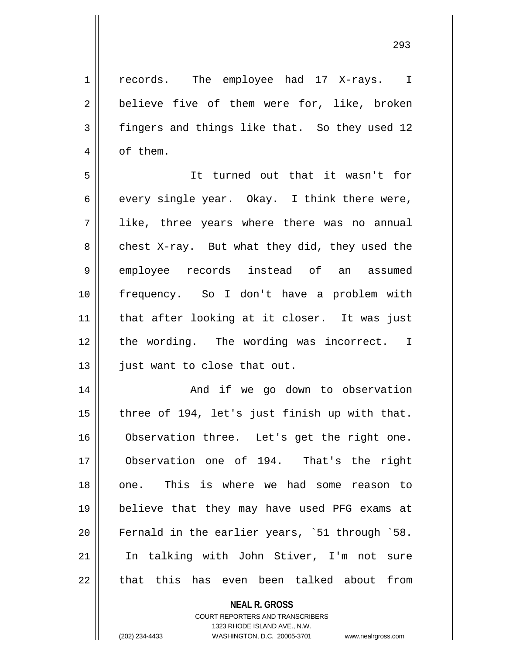1 || records. The employee had 17 X-rays. I 2 | believe five of them were for, like, broken 3 fingers and things like that. So they used 12 4 | of them.

5 It turned out that it wasn't for 6 every single year. Okay. I think there were, 7 like, three years where there was no annual  $8 \parallel$  chest X-ray. But what they did, they used the 9 employee records instead of an assumed 10 frequency. So I don't have a problem with 11 || that after looking at it closer. It was just 12 || the wording. The wording was incorrect. I 13 | just want to close that out.

14 || And if we go down to observation  $\parallel$  three of 194, let's just finish up with that. 16 | Observation three. Let's get the right one. Observation one of 194. That's the right one. This is where we had some reason to believe that they may have used PFG exams at Fernald in the earlier years, `51 through `58. In talking with John Stiver, I'm not sure || that this has even been talked about from

## **NEAL R. GROSS**

COURT REPORTERS AND TRANSCRIBERS 1323 RHODE ISLAND AVE., N.W. (202) 234-4433 WASHINGTON, D.C. 20005-3701 www.nealrgross.com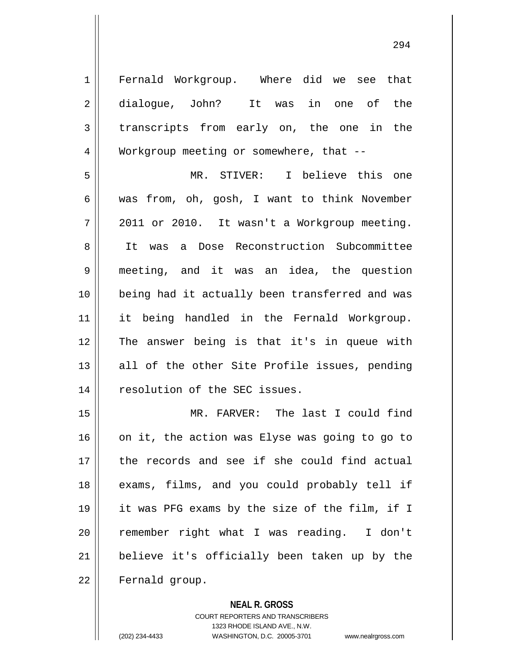1 Fernald Workgroup. Where did we see that 2 dialogue, John? It was in one of the 3 transcripts from early on, the one in the 4 Workgroup meeting or somewhere, that --5 MR. STIVER: I believe this one

 was from, oh, gosh, I want to think November  $7 \parallel 2011$  or 2010. It wasn't a Workgroup meeting. 8 || It was a Dose Reconstruction Subcommittee meeting, and it was an idea, the question being had it actually been transferred and was it being handled in the Fernald Workgroup. The answer being is that it's in queue with || all of the other Site Profile issues, pending 14 || resolution of the SEC issues.

 MR. FARVER: The last I could find on it, the action was Elyse was going to go to 17 the records and see if she could find actual 18 || exams, films, and you could probably tell if it was PFG exams by the size of the film, if I remember right what I was reading. I don't believe it's officially been taken up by the 22 | Fernald group.

## **NEAL R. GROSS**

COURT REPORTERS AND TRANSCRIBERS 1323 RHODE ISLAND AVE., N.W. (202) 234-4433 WASHINGTON, D.C. 20005-3701 www.nealrgross.com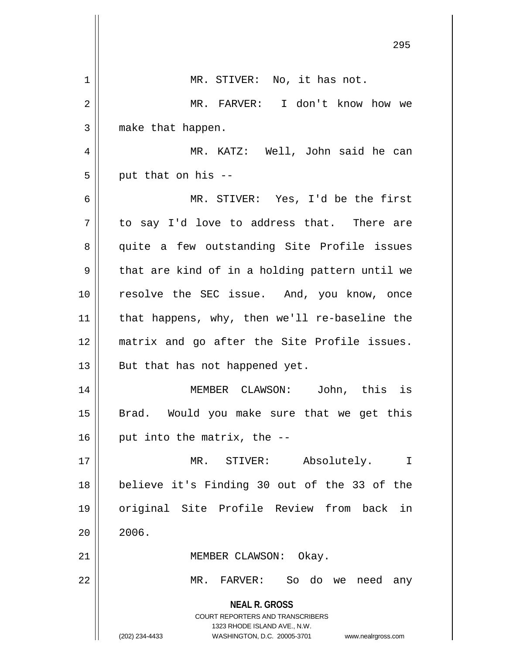|    | 295                                                                                      |
|----|------------------------------------------------------------------------------------------|
| 1  | MR. STIVER: No, it has not.                                                              |
| 2  | MR. FARVER: I don't know how we                                                          |
| 3  | make that happen.                                                                        |
| 4  | MR. KATZ: Well, John said he can                                                         |
| 5  | put that on his --                                                                       |
| 6  | MR. STIVER: Yes, I'd be the first                                                        |
| 7  | to say I'd love to address that. There are                                               |
| 8  | quite a few outstanding Site Profile issues                                              |
| 9  | that are kind of in a holding pattern until we                                           |
| 10 | resolve the SEC issue. And, you know, once                                               |
| 11 | that happens, why, then we'll re-baseline the                                            |
| 12 | matrix and go after the Site Profile issues.                                             |
| 13 | But that has not happened yet.                                                           |
| 14 | MEMBER CLAWSON:<br>John, this<br>ıs                                                      |
| 15 | Brad. Would you make sure that we get this                                               |
| 16 | put into the matrix, the --                                                              |
| 17 | MR. STIVER: Absolutely.<br>I                                                             |
| 18 | believe it's Finding 30 out of the 33 of the                                             |
| 19 | original Site Profile Review from back in                                                |
| 20 | 2006.                                                                                    |
| 21 | MEMBER CLAWSON: Okay.                                                                    |
| 22 | MR. FARVER: So do we need any                                                            |
|    | <b>NEAL R. GROSS</b><br>COURT REPORTERS AND TRANSCRIBERS<br>1323 RHODE ISLAND AVE., N.W. |
|    | (202) 234-4433<br>WASHINGTON, D.C. 20005-3701<br>www.nealrgross.com                      |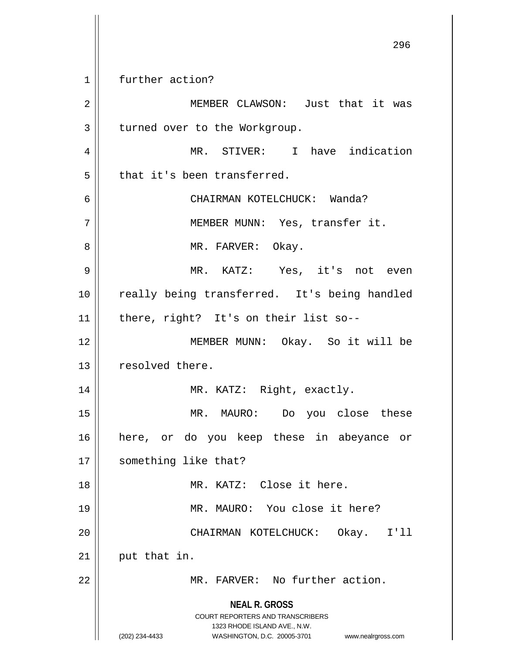**NEAL R. GROSS** COURT REPORTERS AND TRANSCRIBERS 1323 RHODE ISLAND AVE., N.W. (202) 234-4433 WASHINGTON, D.C. 20005-3701 www.nealrgross.com 1 || further action? 2 || MEMBER CLAWSON: Just that it was 3 | turned over to the Workgroup. 4 MR. STIVER: I have indication  $5$  || that it's been transferred. 6 CHAIRMAN KOTELCHUCK: Wanda? 7 || MEMBER MUNN: Yes, transfer it. 8 MR. FARVER: Okay. 9 MR. KATZ: Yes, it's not even 10 || really being transferred. It's being handled 11 there, right? It's on their list so-- 12 MEMBER MUNN: Okay. So it will be 13 || resolved there. 14 || MR. KATZ: Right, exactly. 15 MR. MAURO: Do you close these 16 here, or do you keep these in abeyance or 17 | something like that? 18 MR. KATZ: Close it here. 19 || MR. MAURO: You close it here? 20 CHAIRMAN KOTELCHUCK: Okay. I'll  $21$  put that in. 22 || MR. FARVER: No further action.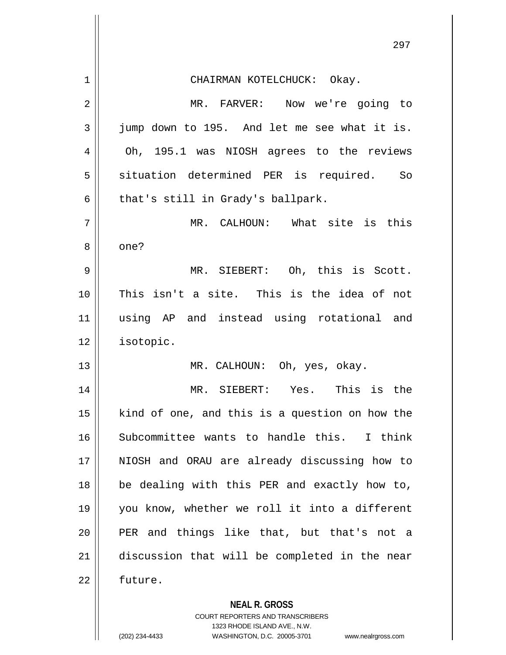|             | 297                                                      |
|-------------|----------------------------------------------------------|
| $\mathbf 1$ | CHAIRMAN KOTELCHUCK: Okay.                               |
| 2           | MR. FARVER: Now we're going to                           |
| 3           | jump down to 195. And let me see what it is.             |
| 4           | Oh, 195.1 was NIOSH agrees to the reviews                |
| 5           | situation determined PER is required. So                 |
| 6           | that's still in Grady's ballpark.                        |
| 7           | MR. CALHOUN: What site is this                           |
| 8           | one?                                                     |
| 9           | MR. SIEBERT: Oh, this is Scott.                          |
| 10          | This isn't a site. This is the idea of not               |
| 11          | using AP and instead using rotational and                |
| 12          | isotopic.                                                |
| 13          | MR. CALHOUN: Oh, yes, okay.                              |
| 14          | MR. SIEBERT: Yes. This is the                            |
| 15          | kind of one, and this is a question on how the           |
| 16          | Subcommittee wants to handle this. I think               |
| 17          | NIOSH and ORAU are already discussing how to             |
| 18          | be dealing with this PER and exactly how to,             |
| 19          | you know, whether we roll it into a different            |
| 20          | PER and things like that, but that's not a               |
| 21          | discussion that will be completed in the near            |
| 22          | future.                                                  |
|             | <b>NEAL R. GROSS</b><br>COURT REPORTERS AND TRANSCRIBERS |

1323 RHODE ISLAND AVE., N.W.

 $\prod$ 

 $\mathsf{I}$ 

(202) 234-4433 WASHINGTON, D.C. 20005-3701 www.nealrgross.com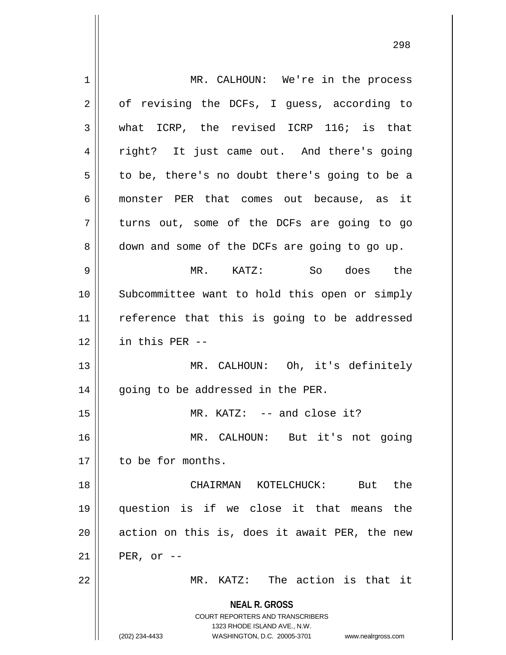**NEAL R. GROSS** COURT REPORTERS AND TRANSCRIBERS 1323 RHODE ISLAND AVE., N.W. (202) 234-4433 WASHINGTON, D.C. 20005-3701 www.nealrgross.com 1 | MR. CALHOUN: We're in the process 2 | of revising the DCFs, I guess, according to 3 what ICRP, the revised ICRP 116; is that 4 || right? It just came out. And there's going  $5 \parallel$  to be, there's no doubt there's going to be a 6 monster PER that comes out because, as it 7 turns out, some of the DCFs are going to go 8 down and some of the DCFs are going to go up. 9 MR. KATZ: So does the 10 Subcommittee want to hold this open or simply 11 || reference that this is going to be addressed  $12$  | in this PER --13 MR. CALHOUN: Oh, it's definitely  $14$  | going to be addressed in the PER. 15 || MR. KATZ: -- and close it? 16 MR. CALHOUN: But it's not going 17 | to be for months. 18 CHAIRMAN KOTELCHUCK: But the 19 question is if we close it that means the  $20$  || action on this is, does it await PER, the new  $21$  | PER, or --22 || MR. KATZ: The action is that it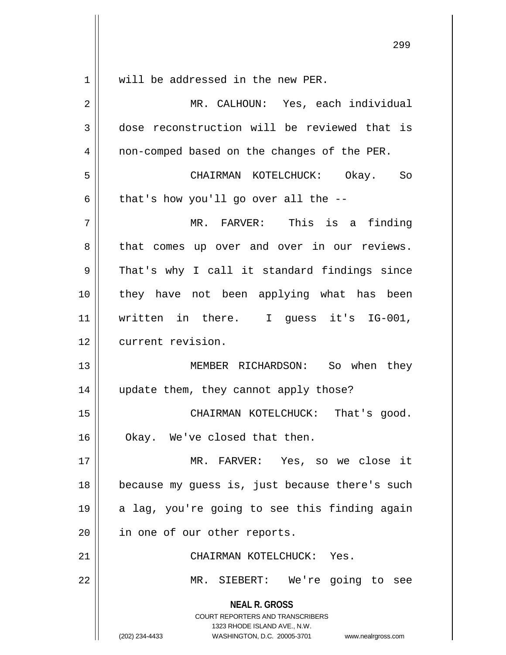| $\mathbf 1$    | will be addressed in the new PER.                                   |
|----------------|---------------------------------------------------------------------|
| $\overline{2}$ | MR. CALHOUN: Yes, each individual                                   |
| 3              | dose reconstruction will be reviewed that is                        |
| 4              | non-comped based on the changes of the PER.                         |
| 5              | CHAIRMAN KOTELCHUCK: Okay. So                                       |
| 6              | that's how you'll go over all the $-$ -                             |
| 7              | MR. FARVER: This is a finding                                       |
| 8              | that comes up over and over in our reviews.                         |
| 9              | That's why I call it standard findings since                        |
| 10             | they have not been applying what has been                           |
| 11             | written in there. I guess it's IG-001,                              |
| 12             | current revision.                                                   |
| 13             | MEMBER RICHARDSON: So when they                                     |
| 14             | update them, they cannot apply those?                               |
| 15             | CHAIRMAN KOTELCHUCK: That's good.                                   |
| 16             | Okay. We've closed that then.                                       |
| 17             | MR. FARVER: Yes, so we close it                                     |
| 18             | because my guess is, just because there's such                      |
| 19             | a lag, you're going to see this finding again                       |
| 20             | in one of our other reports.                                        |
| 21             | CHAIRMAN KOTELCHUCK: Yes.                                           |
| 22             | MR. SIEBERT: We're going to see                                     |
|                | <b>NEAL R. GROSS</b>                                                |
|                | <b>COURT REPORTERS AND TRANSCRIBERS</b>                             |
|                | 1323 RHODE ISLAND AVE., N.W.                                        |
|                | WASHINGTON, D.C. 20005-3701<br>(202) 234-4433<br>www.nealrgross.com |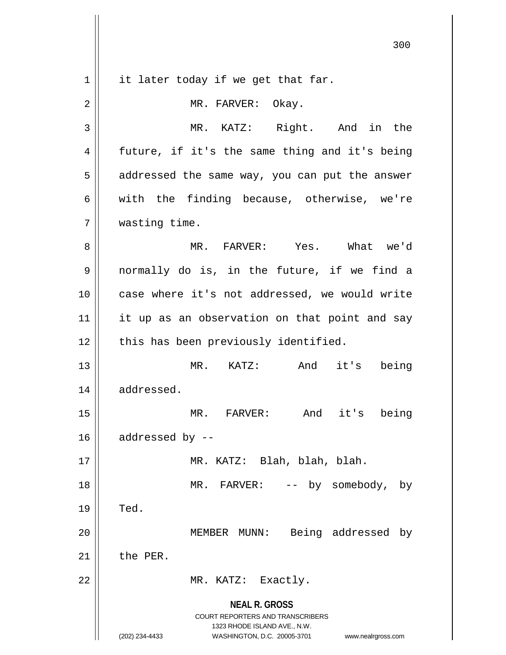**NEAL R. GROSS** COURT REPORTERS AND TRANSCRIBERS 1323 RHODE ISLAND AVE., N.W. (202) 234-4433 WASHINGTON, D.C. 20005-3701 www.nealrgross.com  $1 \parallel$  it later today if we get that far. 2 || MR. FARVER: Okay. 3 MR. KATZ: Right. And in the 4 || future, if it's the same thing and it's being 5 || addressed the same way, you can put the answer  $6 \parallel$  with the finding because, otherwise, we're 7 wasting time. 8 MR. FARVER: Yes. What we'd 9 normally do is, in the future, if we find a 10 || case where it's not addressed, we would write 11 || it up as an observation on that point and say 12 || this has been previously identified. 13 MR. KATZ: And it's being 14 | addressed. 15 MR. FARVER: And it's being  $16$  || addressed by  $-$ 17 MR. KATZ: Blah, blah, blah. 18 || MR. FARVER: -- by somebody, by  $19 \parallel$  Ted. 20 || MEMBER MUNN: Being addressed by  $21$   $\parallel$  the PER. 22 || MR. KATZ: Exactly.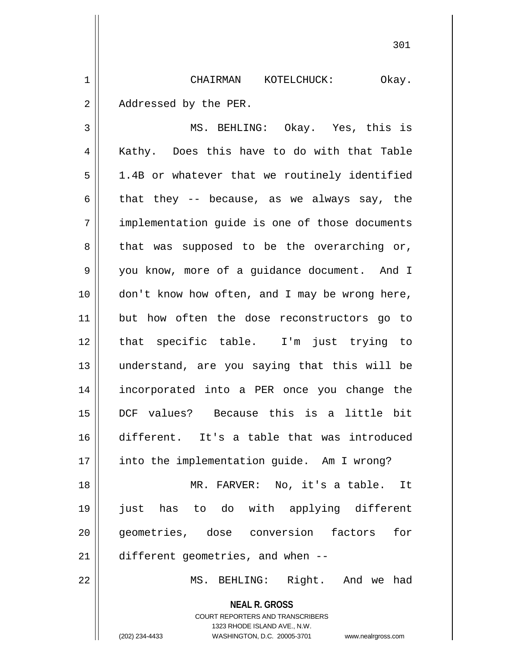1 CHAIRMAN KOTELCHUCK: Okay. 2 | Addressed by the PER.

3 MS. BEHLING: Okay. Yes, this is 4 || Kathy. Does this have to do with that Table  $5 \parallel$  1.4B or whatever that we routinely identified 6 that they -- because, as we always say, the 7 || implementation quide is one of those documents  $8 \parallel$  that was supposed to be the overarching or, 9 | you know, more of a guidance document. And I 10 | don't know how often, and I may be wrong here, 11 but how often the dose reconstructors go to 12 that specific table. I'm just trying to 13 understand, are you saying that this will be 14 incorporated into a PER once you change the 15 DCF values? Because this is a little bit 16 different. It's a table that was introduced 17 | into the implementation guide. Am I wrong? 18 MR. FARVER: No, it's a table. It 19 just has to do with applying different 20 || qeometries, dose conversion factors for 21 different geometries, and when --

22 MS. BEHLING: Right. And we had

**NEAL R. GROSS** COURT REPORTERS AND TRANSCRIBERS 1323 RHODE ISLAND AVE., N.W. (202) 234-4433 WASHINGTON, D.C. 20005-3701 www.nealrgross.com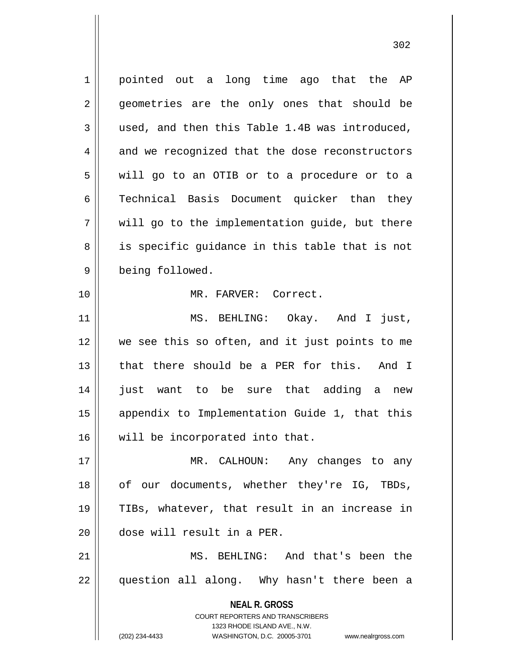**NEAL R. GROSS** COURT REPORTERS AND TRANSCRIBERS 1323 RHODE ISLAND AVE., N.W. 1 || pointed out a long time ago that the AP 2 || geometries are the only ones that should be  $3 \parallel$  used, and then this Table 1.4B was introduced, 4 and we recognized that the dose reconstructors 5 will go to an OTIB or to a procedure or to a 6 || Technical Basis Document quicker than they  $7 \parallel$  will go to the implementation quide, but there 8 || is specific guidance in this table that is not 9 being followed. 10 MR. FARVER: Correct. 11 || MS. BEHLING: Okay. And I just, 12 we see this so often, and it just points to me 13 || that there should be a PER for this. And I 14 just want to be sure that adding a new 15 appendix to Implementation Guide 1, that this 16 will be incorporated into that. 17 || MR. CALHOUN: Any changes to any 18 || of our documents, whether they're IG, TBDs, 19 TIBs, whatever, that result in an increase in 20 dose will result in a PER. 21 MS. BEHLING: And that's been the 22 || question all along. Why hasn't there been a

(202) 234-4433 WASHINGTON, D.C. 20005-3701 www.nealrgross.com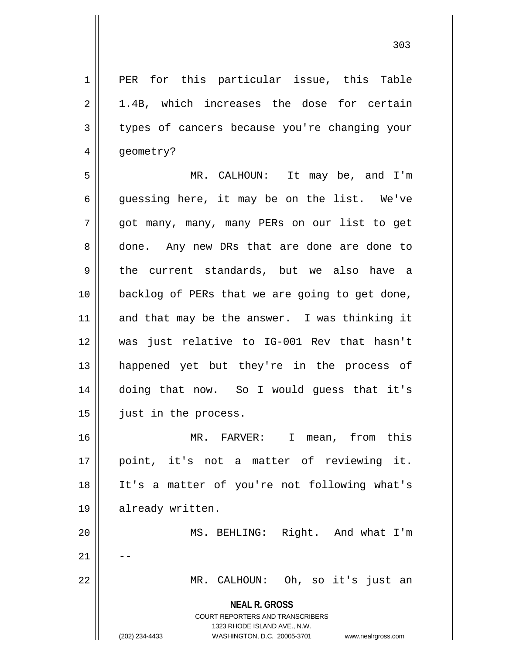**NEAL R. GROSS** COURT REPORTERS AND TRANSCRIBERS 1323 RHODE ISLAND AVE., N.W. (202) 234-4433 WASHINGTON, D.C. 20005-3701 www.nealrgross.com 1 || PER for this particular issue, this Table  $2 \parallel$  1.4B, which increases the dose for certain 3 || types of cancers because you're changing your 4 | geometry? 5 MR. CALHOUN: It may be, and I'm  $6 \parallel$  quessing here, it may be on the list. We've 7 got many, many, many PERs on our list to get 8 done. Any new DRs that are done are done to 9 the current standards, but we also have a 10 backlog of PERs that we are going to get done,  $11$  and that may be the answer. I was thinking it 12 was just relative to IG-001 Rev that hasn't 13 happened yet but they're in the process of 14 doing that now. So I would guess that it's 15 | just in the process. 16 MR. FARVER: I mean, from this 17 point, it's not a matter of reviewing it. 18 It's a matter of you're not following what's 19 already written. 20 MS. BEHLING: Right. And what I'm  $21$ 22 MR. CALHOUN: Oh, so it's just an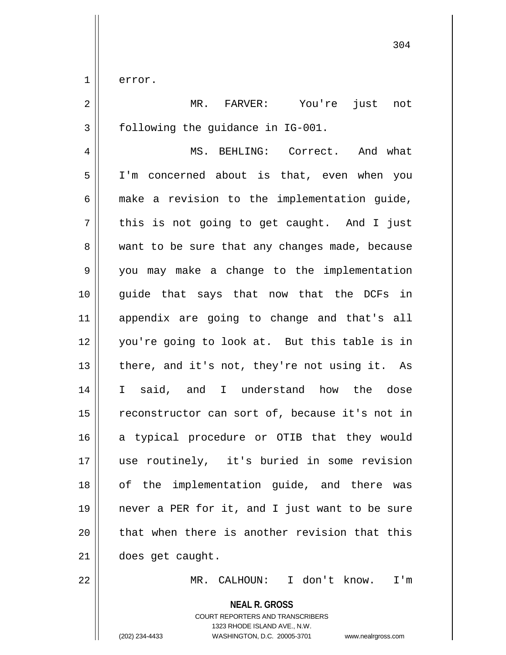1 error.

2 MR. FARVER: You're just not 3 | following the quidance in IG-001. 4 MS. BEHLING: Correct. And what 5 I'm concerned about is that, even when you  $6 \parallel$  make a revision to the implementation quide,  $7 \parallel$  this is not going to get caught. And I just 8 || want to be sure that any changes made, because 9 || you may make a change to the implementation 10 guide that says that now that the DCFs in 11 appendix are going to change and that's all 12 you're going to look at. But this table is in 13  $\parallel$  there, and it's not, they're not using it. As 14 || I said, and I understand how the dose 15 || reconstructor can sort of, because it's not in 16 a typical procedure or OTIB that they would 17 use routinely, it's buried in some revision 18 of the implementation guide, and there was 19 never a PER for it, and I just want to be sure  $20$  || that when there is another revision that this 21 does get caught.

22 MR. CALHOUN: I don't know. I'm

**NEAL R. GROSS**

COURT REPORTERS AND TRANSCRIBERS 1323 RHODE ISLAND AVE., N.W. (202) 234-4433 WASHINGTON, D.C. 20005-3701 www.nealrgross.com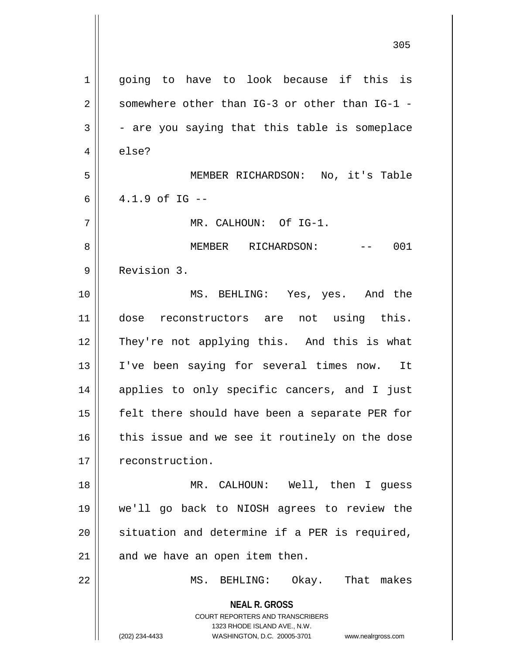| $\mathbf 1$    | going to have to look because if this is                                                                   |
|----------------|------------------------------------------------------------------------------------------------------------|
| $\overline{2}$ | somewhere other than IG-3 or other than IG-1 -                                                             |
| 3              | - are you saying that this table is someplace                                                              |
| $\overline{4}$ | else?                                                                                                      |
| 5              | MEMBER RICHARDSON: No, it's Table                                                                          |
| 6              | $4.1.9$ of IG $-$                                                                                          |
| 7              | MR. CALHOUN: Of IG-1.                                                                                      |
| 8              | MEMBER RICHARDSON:<br>001<br>$\mathcal{L}(\mathcal{L}(\mathcal{L}))=\mathcal{L}(\mathcal{L}(\mathcal{L}))$ |
| 9              | Revision 3.                                                                                                |
| 10             | MS. BEHLING: Yes, yes. And the                                                                             |
| 11             | dose reconstructors are not using this.                                                                    |
| 12             | They're not applying this. And this is what                                                                |
| 13             | I've been saying for several times now. It                                                                 |
| 14             | applies to only specific cancers, and I just                                                               |
| 15             | felt there should have been a separate PER for                                                             |
| 16             | this issue and we see it routinely on the dose                                                             |
| 17             | reconstruction.                                                                                            |
| 18             | MR. CALHOUN: Well, then I guess                                                                            |
| 19             | we'll go back to NIOSH agrees to review the                                                                |
| 20             | situation and determine if a PER is required,                                                              |
| 21             | and we have an open item then.                                                                             |
| 22             | MS. BEHLING: Okay. That makes                                                                              |
|                | <b>NEAL R. GROSS</b>                                                                                       |
|                | <b>COURT REPORTERS AND TRANSCRIBERS</b>                                                                    |
|                | 1323 RHODE ISLAND AVE., N.W.                                                                               |
|                | (202) 234-4433<br>WASHINGTON, D.C. 20005-3701<br>www.nealrgross.com                                        |

 $\overline{\phantom{a}}$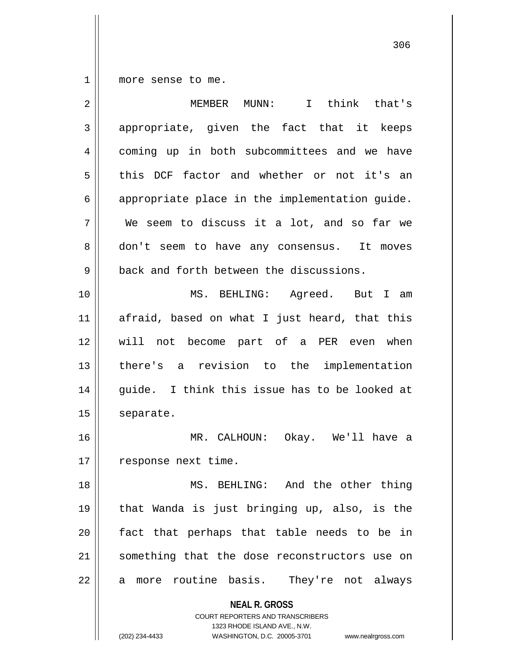1 | more sense to me.

| appropriate, given the fact that it keeps<br>3<br>coming up in both subcommittees and we have<br>4<br>5<br>this DCF factor and whether or not it's an<br>appropriate place in the implementation guide.<br>6<br>7<br>We seem to discuss it a lot, and so far we<br>8<br>don't seem to have any consensus. It moves<br>9<br>back and forth between the discussions.<br>10<br>MS. BEHLING: Agreed. But I am<br>11<br>afraid, based on what I just heard, that this<br>12<br>will not become part of a PER even when<br>13<br>there's a revision to the implementation<br>14<br>guide. I think this issue has to be looked at<br>15<br>separate.<br>16<br>MR. CALHOUN: Okay. We'll have a<br>17<br>response next time.<br>MS. BEHLING: And the other thing<br>18<br>that Wanda is just bringing up, also, is the<br>19<br>fact that perhaps that table needs to be in<br>20<br>something that the dose reconstructors use on<br>21 | I think that's |
|---------------------------------------------------------------------------------------------------------------------------------------------------------------------------------------------------------------------------------------------------------------------------------------------------------------------------------------------------------------------------------------------------------------------------------------------------------------------------------------------------------------------------------------------------------------------------------------------------------------------------------------------------------------------------------------------------------------------------------------------------------------------------------------------------------------------------------------------------------------------------------------------------------------------------------|----------------|
|                                                                                                                                                                                                                                                                                                                                                                                                                                                                                                                                                                                                                                                                                                                                                                                                                                                                                                                                 |                |
|                                                                                                                                                                                                                                                                                                                                                                                                                                                                                                                                                                                                                                                                                                                                                                                                                                                                                                                                 |                |
|                                                                                                                                                                                                                                                                                                                                                                                                                                                                                                                                                                                                                                                                                                                                                                                                                                                                                                                                 |                |
|                                                                                                                                                                                                                                                                                                                                                                                                                                                                                                                                                                                                                                                                                                                                                                                                                                                                                                                                 |                |
|                                                                                                                                                                                                                                                                                                                                                                                                                                                                                                                                                                                                                                                                                                                                                                                                                                                                                                                                 |                |
|                                                                                                                                                                                                                                                                                                                                                                                                                                                                                                                                                                                                                                                                                                                                                                                                                                                                                                                                 |                |
|                                                                                                                                                                                                                                                                                                                                                                                                                                                                                                                                                                                                                                                                                                                                                                                                                                                                                                                                 |                |
|                                                                                                                                                                                                                                                                                                                                                                                                                                                                                                                                                                                                                                                                                                                                                                                                                                                                                                                                 |                |
|                                                                                                                                                                                                                                                                                                                                                                                                                                                                                                                                                                                                                                                                                                                                                                                                                                                                                                                                 |                |
|                                                                                                                                                                                                                                                                                                                                                                                                                                                                                                                                                                                                                                                                                                                                                                                                                                                                                                                                 |                |
|                                                                                                                                                                                                                                                                                                                                                                                                                                                                                                                                                                                                                                                                                                                                                                                                                                                                                                                                 |                |
|                                                                                                                                                                                                                                                                                                                                                                                                                                                                                                                                                                                                                                                                                                                                                                                                                                                                                                                                 |                |
|                                                                                                                                                                                                                                                                                                                                                                                                                                                                                                                                                                                                                                                                                                                                                                                                                                                                                                                                 |                |
|                                                                                                                                                                                                                                                                                                                                                                                                                                                                                                                                                                                                                                                                                                                                                                                                                                                                                                                                 |                |
|                                                                                                                                                                                                                                                                                                                                                                                                                                                                                                                                                                                                                                                                                                                                                                                                                                                                                                                                 |                |
|                                                                                                                                                                                                                                                                                                                                                                                                                                                                                                                                                                                                                                                                                                                                                                                                                                                                                                                                 |                |
|                                                                                                                                                                                                                                                                                                                                                                                                                                                                                                                                                                                                                                                                                                                                                                                                                                                                                                                                 |                |
|                                                                                                                                                                                                                                                                                                                                                                                                                                                                                                                                                                                                                                                                                                                                                                                                                                                                                                                                 |                |
|                                                                                                                                                                                                                                                                                                                                                                                                                                                                                                                                                                                                                                                                                                                                                                                                                                                                                                                                 |                |
| 22<br>more routine basis. They're not always<br>a                                                                                                                                                                                                                                                                                                                                                                                                                                                                                                                                                                                                                                                                                                                                                                                                                                                                               |                |
| <b>NEAL R. GROSS</b><br><b>COURT REPORTERS AND TRANSCRIBERS</b><br>1323 RHODE ISLAND AVE., N.W.<br>(202) 234-4433<br>WASHINGTON, D.C. 20005-3701<br>www.nealrgross.com                                                                                                                                                                                                                                                                                                                                                                                                                                                                                                                                                                                                                                                                                                                                                          |                |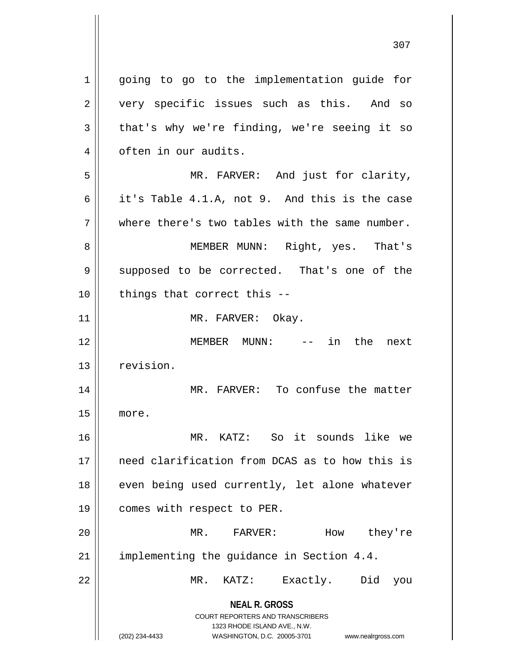**NEAL R. GROSS** COURT REPORTERS AND TRANSCRIBERS 1323 RHODE ISLAND AVE., N.W. (202) 234-4433 WASHINGTON, D.C. 20005-3701 www.nealrgross.com 1 || going to go to the implementation guide for 2 || very specific issues such as this. And so  $3 \parallel$  that's why we're finding, we're seeing it so 4 | often in our audits. 5 MR. FARVER: And just for clarity, 6 | it's Table 4.1.A, not 9. And this is the case  $7$   $\parallel$  where there's two tables with the same number. 8 || MEMBER MUNN: Right, yes. That's 9 || supposed to be corrected. That's one of the  $10$  || things that correct this  $-$ 11 || MR. FARVER: Okay. 12 MEMBER MUNN: -- in the next 13 revision. 14 || MR. FARVER: To confuse the matter 15 more. 16 MR. KATZ: So it sounds like we 17 need clarification from DCAS as to how this is 18 || even being used currently, let alone whatever 19 | comes with respect to PER. 20 MR. FARVER: How they're 21 | implementing the guidance in Section 4.4. 22 MR. KATZ: Exactly. Did you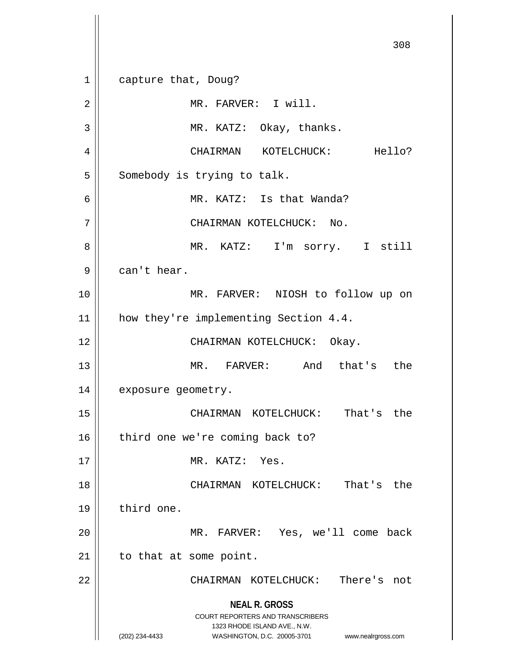**NEAL R. GROSS** COURT REPORTERS AND TRANSCRIBERS 1323 RHODE ISLAND AVE., N.W. (202) 234-4433 WASHINGTON, D.C. 20005-3701 www.nealrgross.com 1 capture that, Doug? 2 | MR. FARVER: I will. 3 || MR. KATZ: Okay, thanks. 4 CHAIRMAN KOTELCHUCK: Hello?  $5$  Somebody is trying to talk. 6 MR. KATZ: Is that Wanda? 7 | CHAIRMAN KOTELCHUCK: No. 8 MR. KATZ: I'm sorry. I still  $9 \parallel$  can't hear. 10 MR. FARVER: NIOSH to follow up on 11 || how they're implementing Section 4.4. 12 || CHAIRMAN KOTELCHUCK: Okay. 13 MR. FARVER: And that's the 14 | exposure geometry. 15 CHAIRMAN KOTELCHUCK: That's the  $16$  | third one we're coming back to? 17 MR. KATZ: Yes. 18 CHAIRMAN KOTELCHUCK: That's the 19 | third one. 20 MR. FARVER: Yes, we'll come back  $21$  | to that at some point. 22 CHAIRMAN KOTELCHUCK: There's not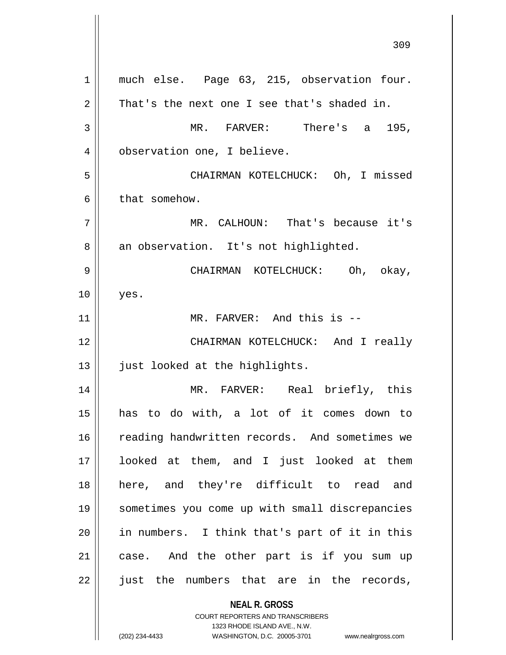**NEAL R. GROSS** COURT REPORTERS AND TRANSCRIBERS 1323 RHODE ISLAND AVE., N.W. 1 || much else. Page 63, 215, observation four.  $2 \parallel$  That's the next one I see that's shaded in. 3 MR. FARVER: There's a 195, 4 | observation one, I believe. 5 CHAIRMAN KOTELCHUCK: Oh, I missed  $6 \parallel$  that somehow. 7 MR. CALHOUN: That's because it's 8 || an observation. It's not highlighted. 9 CHAIRMAN KOTELCHUCK: Oh, okay,  $10$  || yes. 11 || MR. FARVER: And this is --12 CHAIRMAN KOTELCHUCK: And I really 13 || just looked at the highlights. 14 MR. FARVER: Real briefly, this 15 has to do with, a lot of it comes down to 16 || reading handwritten records. And sometimes we 17 looked at them, and I just looked at them 18 || here, and they're difficult to read and 19 sometimes you come up with small discrepancies 20 in numbers. I think that's part of it in this 21 || case. And the other part is if you sum up  $22$  just the numbers that are in the records,

(202) 234-4433 WASHINGTON, D.C. 20005-3701 www.nealrgross.com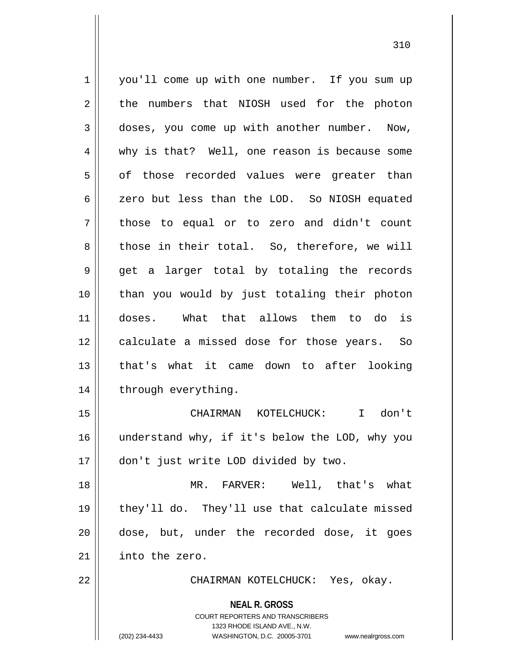**NEAL R. GROSS** 1 || you'll come up with one number. If you sum up  $2 \parallel$  the numbers that NIOSH used for the photon 3 || doses, you come up with another number. Now, 4 why is that? Well, one reason is because some  $5$  || of those recorded values were greater than 6 || zero but less than the LOD. So NIOSH equated 7 || those to equal or to zero and didn't count 8 those in their total. So, therefore, we will  $9 \parallel$  get a larger total by totaling the records 10 than you would by just totaling their photon 11 doses. What that allows them to do is 12 || calculate a missed dose for those years. So 13 that's what it came down to after looking 14 || through everything. 15 CHAIRMAN KOTELCHUCK: I don't 16 understand why, if it's below the LOD, why you 17 don't just write LOD divided by two. 18 || MR. FARVER: Well, that's what 19 || they'll do. They'll use that calculate missed 20 || dose, but, under the recorded dose, it goes 21 into the zero. 22 CHAIRMAN KOTELCHUCK: Yes, okay.

> COURT REPORTERS AND TRANSCRIBERS 1323 RHODE ISLAND AVE., N.W.

(202) 234-4433 WASHINGTON, D.C. 20005-3701 www.nealrgross.com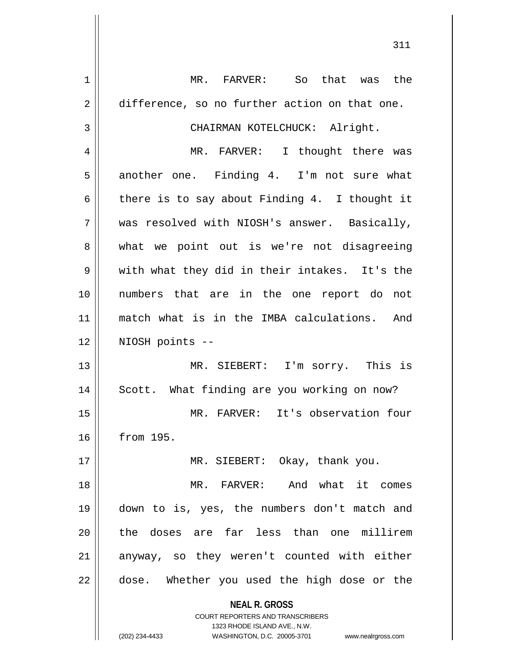**NEAL R. GROSS** COURT REPORTERS AND TRANSCRIBERS 1323 RHODE ISLAND AVE., N.W. (202) 234-4433 WASHINGTON, D.C. 20005-3701 www.nealrgross.com 1 MR. FARVER: So that was the 2 difference, so no further action on that one. 3 || CHAIRMAN KOTELCHUCK: Alright. 4 MR. FARVER: I thought there was 5 another one. Finding 4. I'm not sure what 6 there is to say about Finding 4. I thought it 7 was resolved with NIOSH's answer. Basically, 8 what we point out is we're not disagreeing  $9 \parallel$  with what they did in their intakes. It's the 10 numbers that are in the one report do not 11 match what is in the IMBA calculations. And 12 NIOSH points -- 13 MR. SIEBERT: I'm sorry. This is 14 || Scott. What finding are you working on now? 15 MR. FARVER: It's observation four 16 from 195. 17 || MR. SIEBERT: Okay, thank you. 18 MR. FARVER: And what it comes 19 down to is, yes, the numbers don't match and 20 the doses are far less than one millirem  $21$  anyway, so they weren't counted with either 22 || dose. Whether you used the high dose or the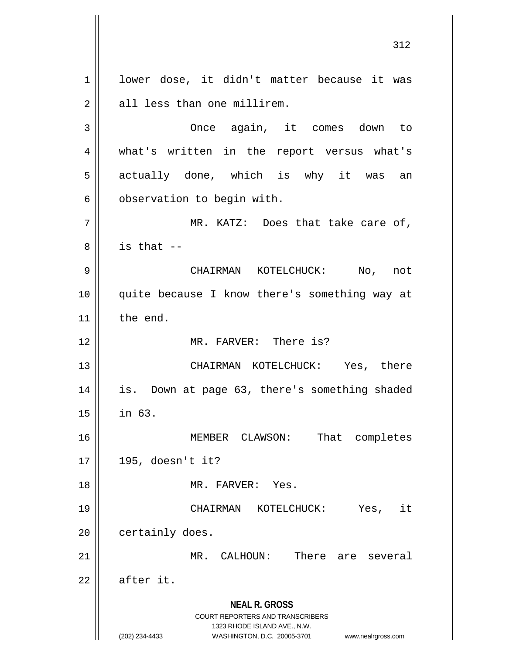**NEAL R. GROSS** COURT REPORTERS AND TRANSCRIBERS 1323 RHODE ISLAND AVE., N.W. 1 | lower dose, it didn't matter because it was 2 || all less than one millirem. 3 Once again, it comes down to 4 || what's written in the report versus what's 5 || actually done, which is why it was an  $6 \parallel$  observation to begin with.  $7 \parallel$  MR. KATZ: Does that take care of,  $8 \parallel$  is that --9 CHAIRMAN KOTELCHUCK: No, not 10 quite because I know there's something way at 11 | the end. 12 MR. FARVER: There is? 13 CHAIRMAN KOTELCHUCK: Yes, there 14 || is. Down at page 63, there's something shaded  $15$  || in 63. 16 MEMBER CLAWSON: That completes 17 195, doesn't it? 18 MR. FARVER: Yes. 19 CHAIRMAN KOTELCHUCK: Yes, it 20 | certainly does. 21 MR. CALHOUN: There are several  $22$   $\parallel$  after it.

(202) 234-4433 WASHINGTON, D.C. 20005-3701 www.nealrgross.com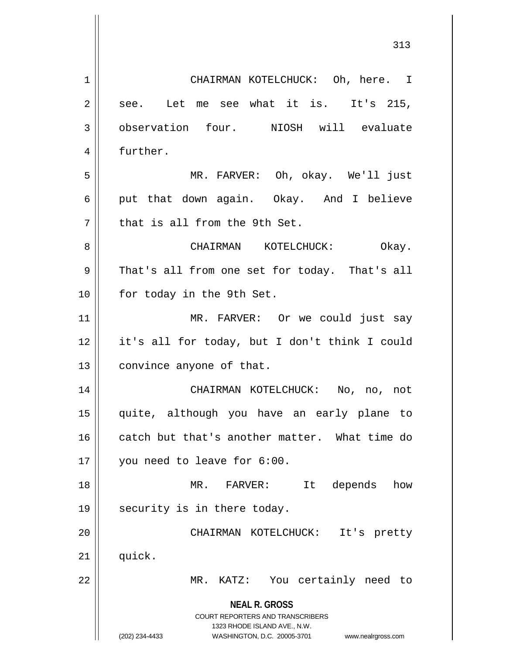**NEAL R. GROSS** COURT REPORTERS AND TRANSCRIBERS 1323 RHODE ISLAND AVE., N.W. (202) 234-4433 WASHINGTON, D.C. 20005-3701 www.nealrgross.com 1 | CHAIRMAN KOTELCHUCK: Oh, here. I  $2 \parallel$  see. Let me see what it is. It's 215, 3 | observation four. NIOSH will evaluate 4 | further. 5 MR. FARVER: Oh, okay. We'll just 6 || put that down again. Okay. And I believe 7 || that is all from the 9th Set. 8 CHAIRMAN KOTELCHUCK: Okay. 9 | That's all from one set for today. That's all 10 || for today in the 9th Set. 11 || MR. FARVER: Or we could just say 12 it's all for today, but I don't think I could 13 | convince anyone of that. 14 CHAIRMAN KOTELCHUCK: No, no, not 15 quite, although you have an early plane to 16 catch but that's another matter. What time do 17 || you need to leave for 6:00. 18 MR. FARVER: It depends how 19  $\parallel$  security is in there today. 20 CHAIRMAN KOTELCHUCK: It's pretty  $21$   $\parallel$  quick. 22 MR. KATZ: You certainly need to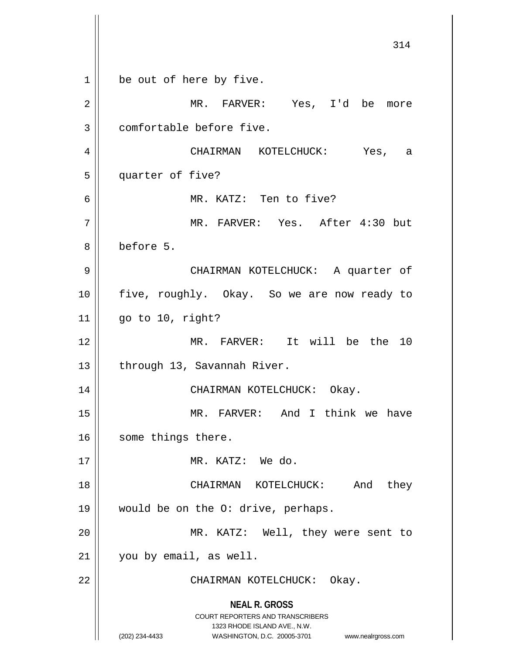**NEAL R. GROSS** COURT REPORTERS AND TRANSCRIBERS 1323 RHODE ISLAND AVE., N.W. (202) 234-4433 WASHINGTON, D.C. 20005-3701 www.nealrgross.com 314 1 | be out of here by five. 2 MR. FARVER: Yes, I'd be more 3 || comfortable before five. 4 CHAIRMAN KOTELCHUCK: Yes, a 5 quarter of five? 6 || MR. KATZ: Ten to five? 7 MR. FARVER: Yes. After 4:30 but 8 before 5. 9 CHAIRMAN KOTELCHUCK: A quarter of 10 || five, roughly. Okay. So we are now ready to  $11$  || go to 10, right? 12 MR. FARVER: It will be the 10 13 | through 13, Savannah River. 14 CHAIRMAN KOTELCHUCK: Okay. 15 MR. FARVER: And I think we have 16 | some things there. 17 || MR. KATZ: We do. 18 CHAIRMAN KOTELCHUCK: And they 19 would be on the O: drive, perhaps. 20 || MR. KATZ: Well, they were sent to 21 | you by email, as well. 22 || CHAIRMAN KOTELCHUCK: Okay.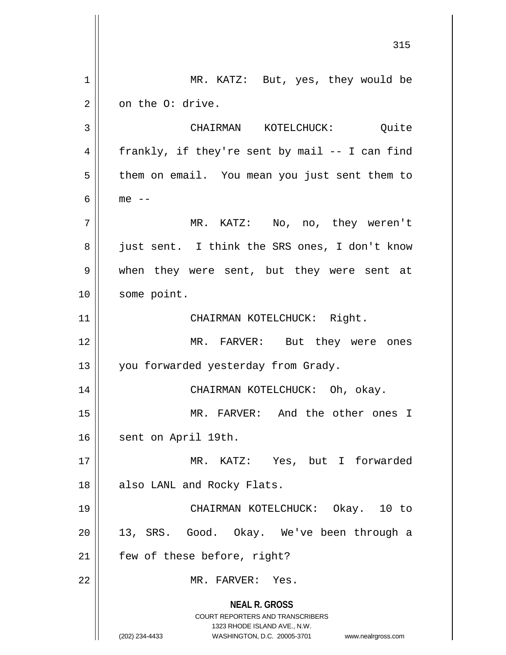**NEAL R. GROSS** COURT REPORTERS AND TRANSCRIBERS 1323 RHODE ISLAND AVE., N.W. (202) 234-4433 WASHINGTON, D.C. 20005-3701 www.nealrgross.com 315 1 || MR. KATZ: But, yes, they would be  $2 \parallel$  on the O: drive. 3 CHAIRMAN KOTELCHUCK: Quite 4 || frankly, if they're sent by mail  $-$  I can find 5 | them on email. You mean you just sent them to  $6 \parallel$  me  $-$ 7 MR. KATZ: No, no, they weren't 8 || just sent. I think the SRS ones, I don't know 9 when they were sent, but they were sent at 10 | some point. 11 | CHAIRMAN KOTELCHUCK: Right. 12 MR. FARVER: But they were ones 13 || you forwarded yesterday from Grady. 14 CHAIRMAN KOTELCHUCK: Oh, okay. 15 MR. FARVER: And the other ones I 16 | sent on April 19th. 17 MR. KATZ: Yes, but I forwarded 18 || also LANL and Rocky Flats. 19 CHAIRMAN KOTELCHUCK: Okay. 10 to 20 || 13, SRS. Good. Okay. We've been through a  $21$  | few of these before, right? 22 MR. FARVER: Yes.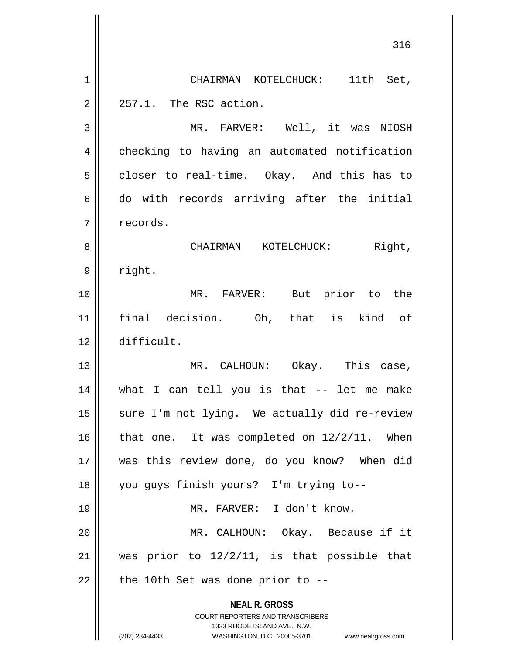**NEAL R. GROSS** COURT REPORTERS AND TRANSCRIBERS 1323 RHODE ISLAND AVE., N.W. (202) 234-4433 WASHINGTON, D.C. 20005-3701 www.nealrgross.com 316 1 || CHAIRMAN KOTELCHUCK: 11th Set,  $2 \parallel 257.1$ . The RSC action. 3 || MR. FARVER: Well, it was NIOSH 4 | checking to having an automated notification  $5 \parallel$  closer to real-time. Okay. And this has to 6 || do with records arriving after the initial 7 | records. 8 CHAIRMAN KOTELCHUCK: Right, 9 | right. 10 MR. FARVER: But prior to the 11 final decision. Oh, that is kind of 12 difficult. 13 MR. CALHOUN: Okay. This case, 14 what I can tell you is that -- let me make 15 || sure I'm not lying. We actually did re-review 16  $\parallel$  that one. It was completed on 12/2/11. When 17 was this review done, do you know? When did 18 you guys finish yours? I'm trying to-- 19 MR. FARVER: I don't know. 20 MR. CALHOUN: Okay. Because if it 21 || was prior to  $12/2/11$ , is that possible that  $22$  | the 10th Set was done prior to --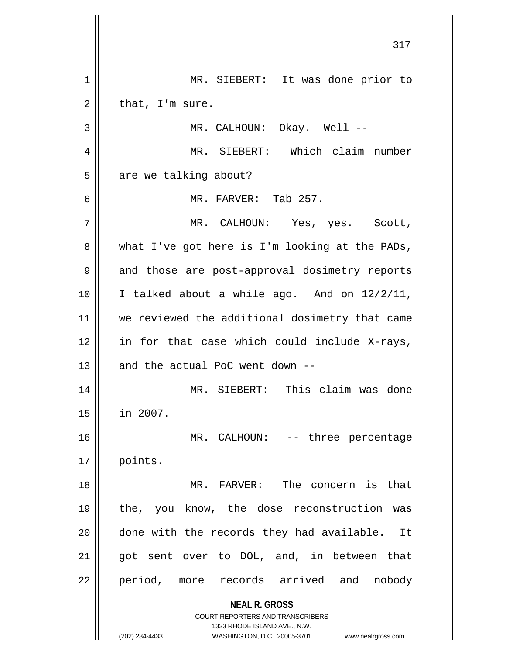**NEAL R. GROSS** COURT REPORTERS AND TRANSCRIBERS 1323 RHODE ISLAND AVE., N.W. (202) 234-4433 WASHINGTON, D.C. 20005-3701 www.nealrgross.com 317 1 || MR. SIEBERT: It was done prior to  $2 \parallel$  that, I'm sure. 3 || MR. CALHOUN: Okay. Well --4 MR. SIEBERT: Which claim number  $5 \parallel$  are we talking about? 6 MR. FARVER: Tab 257. 7 MR. CALHOUN: Yes, yes. Scott,  $8 \parallel$  what I've got here is I'm looking at the PADs, 9 || and those are post-approval dosimetry reports  $10$  | I talked about a while ago. And on  $12/2/11$ , 11 || we reviewed the additional dosimetry that came  $12$  in for that case which could include X-rays,  $13$  | and the actual PoC went down --14 MR. SIEBERT: This claim was done 15 in 2007. 16 || MR. CALHOUN: -- three percentage 17 || points. 18 MR. FARVER: The concern is that 19 the, you know, the dose reconstruction was 20 done with the records they had available. It 21 || got sent over to DOL, and, in between that 22 || period, more records arrived and nobody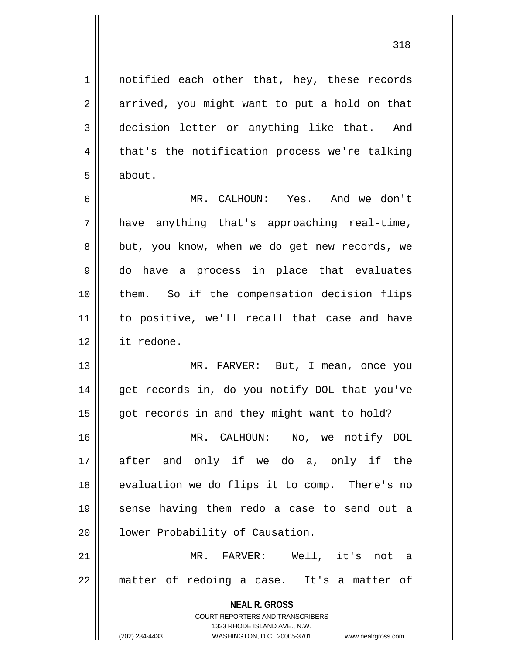1 || notified each other that, hey, these records 2 | arrived, you might want to put a hold on that 3 decision letter or anything like that. And  $4 \parallel$  that's the notification process we're talking 5 about.

6 MR. CALHOUN: Yes. And we don't  $7 \parallel$  have anything that's approaching real-time, 8 || but, you know, when we do get new records, we 9 do have a process in place that evaluates 10 them. So if the compensation decision flips 11 || to positive, we'll recall that case and have 12 it redone.

13 || MR. FARVER: But, I mean, once you 14 || get records in, do you notify DOL that you've  $15$  | got records in and they might want to hold? 16 MR. CALHOUN: No, we notify DOL

17 after and only if we do a, only if the 18 || evaluation we do flips it to comp. There's no 19 sense having them redo a case to send out a 20 | lower Probability of Causation.

21 MR. FARVER: Well, it's not a  $22$  || matter of redoing a case. It's a matter of

> **NEAL R. GROSS** COURT REPORTERS AND TRANSCRIBERS 1323 RHODE ISLAND AVE., N.W. (202) 234-4433 WASHINGTON, D.C. 20005-3701 www.nealrgross.com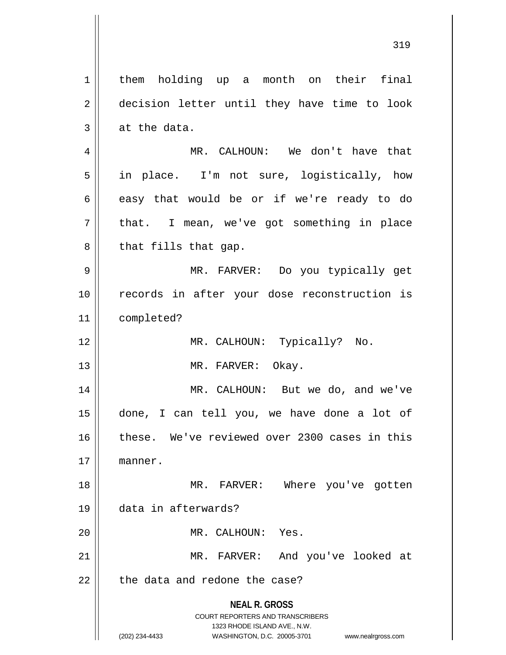**NEAL R. GROSS** COURT REPORTERS AND TRANSCRIBERS 1323 RHODE ISLAND AVE., N.W. 1 | them holding up a month on their final 2 decision letter until they have time to look  $3 \parallel$  at the data. 4 MR. CALHOUN: We don't have that 5 || in place. I'm not sure, logistically, how  $6 \parallel$  easy that would be or if we're ready to do  $7 \parallel$  that. I mean, we've got something in place  $8 \parallel$  that fills that gap. 9 MR. FARVER: Do you typically get 10 records in after your dose reconstruction is 11 completed? 12 || MR. CALHOUN: Typically? No. 13 || MR. FARVER: Okay. 14 || MR. CALHOUN: But we do, and we've 15 done, I can tell you, we have done a lot of 16 these. We've reviewed over 2300 cases in this 17 manner. 18 MR. FARVER: Where you've gotten 19 data in afterwards? 20 || MR. CALHOUN: Yes. 21 || MR. FARVER: And you've looked at  $22$   $\parallel$  the data and redone the case?

<sup>(202) 234-4433</sup> WASHINGTON, D.C. 20005-3701 www.nealrgross.com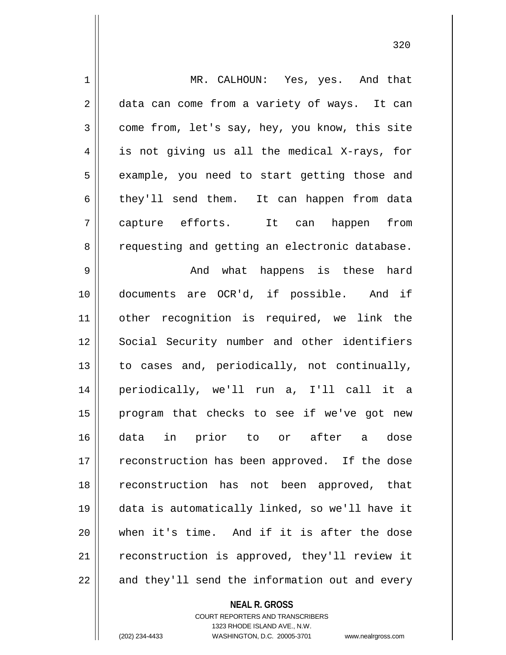| $\mathbf 1$    | MR. CALHOUN: Yes, yes. And that                |
|----------------|------------------------------------------------|
| $\overline{2}$ | data can come from a variety of ways. It can   |
| 3              | come from, let's say, hey, you know, this site |
| 4              | is not giving us all the medical X-rays, for   |
| 5              | example, you need to start getting those and   |
| 6              | they'll send them. It can happen from data     |
| 7              | capture efforts. It can<br>happen<br>from      |
| 8              | requesting and getting an electronic database. |
| $\mathsf 9$    | And what happens is these hard                 |
| 10             | documents are OCR'd, if possible. And if       |
| 11             | other recognition is required, we link the     |
| 12             | Social Security number and other identifiers   |
| 13             | to cases and, periodically, not continually,   |
| 14             | periodically, we'll run a, I'll call it a      |
| 15             | program that checks to see if we've got new    |
| 16             | data in prior to or after a dose               |
| 17             | reconstruction has been approved. If the dose  |
| 18             | reconstruction has not been approved, that     |
| 19             | data is automatically linked, so we'll have it |
| 20             | when it's time. And if it is after the dose    |
| 21             | reconstruction is approved, they'll review it  |
| 22             | and they'll send the information out and every |

**NEAL R. GROSS**

COURT REPORTERS AND TRANSCRIBERS 1323 RHODE ISLAND AVE., N.W. (202) 234-4433 WASHINGTON, D.C. 20005-3701 www.nealrgross.com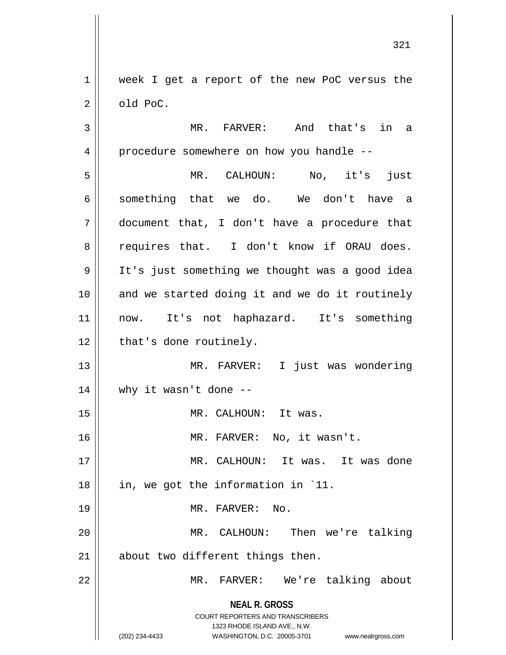1 || week I get a report of the new PoC versus the  $2 \parallel$  old PoC.

**NEAL R. GROSS** COURT REPORTERS AND TRANSCRIBERS 1323 RHODE ISLAND AVE., N.W. (202) 234-4433 WASHINGTON, D.C. 20005-3701 www.nealrgross.com 3 MR. FARVER: And that's in a 4 || procedure somewhere on how you handle --5 MR. CALHOUN: No, it's just 6 something that we do. We don't have a 7 document that, I don't have a procedure that 8 requires that. I don't know if ORAU does. 9 It's just something we thought was a good idea  $10$  and we started doing it and we do it routinely 11 || now. It's not haphazard. It's something 12 | that's done routinely. 13 MR. FARVER: I just was wondering  $14$  || why it wasn't done --15 || MR. CALHOUN: It was. 16 MR. FARVER: No, it wasn't. 17 MR. CALHOUN: It was. It was done 18 || in, we got the information in `11. 19 MR. FARVER: No. 20 || MR. CALHOUN: Then we're talking 21 || about two different things then. 22 || MR. FARVER: We're talking about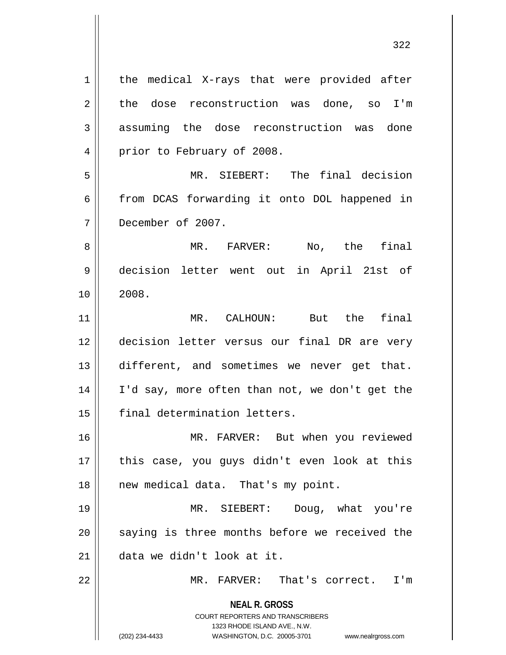**NEAL R. GROSS** COURT REPORTERS AND TRANSCRIBERS 1323 RHODE ISLAND AVE., N.W. (202) 234-4433 WASHINGTON, D.C. 20005-3701 www.nealrgross.com 1 | the medical X-rays that were provided after  $2 \parallel$  the dose reconstruction was done, so I'm 3 assuming the dose reconstruction was done 4 | prior to February of 2008. 5 MR. SIEBERT: The final decision 6 from DCAS forwarding it onto DOL happened in 7 December of 2007. 8 || MR. FARVER: No, the final 9 decision letter went out in April 21st of  $10 \parallel 2008.$ 11 MR. CALHOUN: But the final 12 decision letter versus our final DR are very 13 different, and sometimes we never get that. 14 I'd say, more often than not, we don't get the 15 || final determination letters. 16 MR. FARVER: But when you reviewed 17 || this case, you guys didn't even look at this 18 || new medical data. That's my point. 19 MR. SIEBERT: Doug, what you're  $20$   $\parallel$  saying is three months before we received the 21 data we didn't look at it. 22 MR. FARVER: That's correct. I'm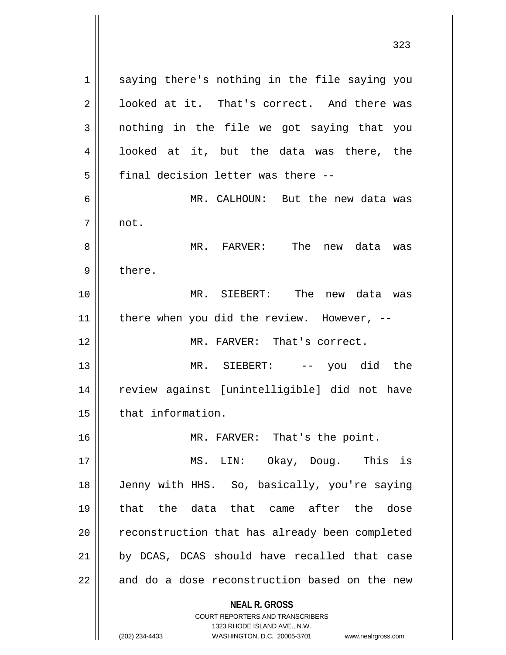1 || saying there's nothing in the file saying you 2 | looked at it. That's correct. And there was 3 nothing in the file we got saying that you 4 || looked at it, but the data was there, the  $5$  | final decision letter was there  $-$ 6 MR. CALHOUN: But the new data was 7 not. 8 MR. FARVER: The new data was 9 | there. 10 MR. SIEBERT: The new data was 11 | there when you did the review. However,  $-$ 12 MR. FARVER: That's correct. 13 MR. SIEBERT: -- you did the 14 review against [unintelligible] did not have 15 | that information. 16 || MR. FARVER: That's the point. 17 MS. LIN: Okay, Doug. This is 18 Jenny with HHS. So, basically, you're saying 19 that the data that came after the dose 20 || reconstruction that has already been completed 21 || by DCAS, DCAS should have recalled that case

 $22$  and do a dose reconstruction based on the new

## **NEAL R. GROSS**

COURT REPORTERS AND TRANSCRIBERS 1323 RHODE ISLAND AVE., N.W. (202) 234-4433 WASHINGTON, D.C. 20005-3701 www.nealrgross.com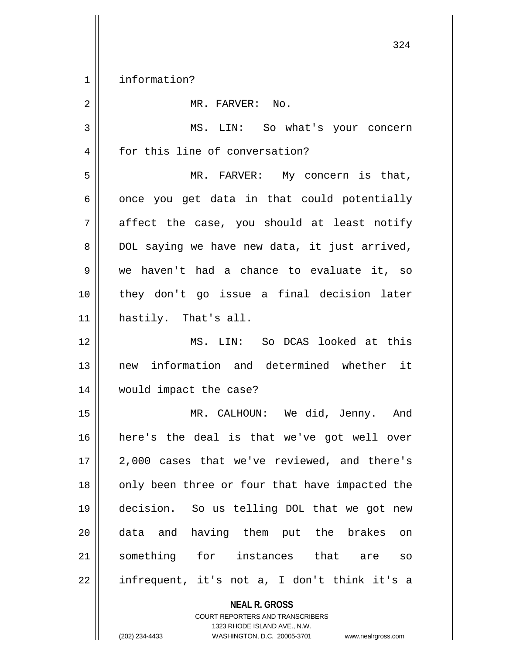1 || information?

| $\overline{2}$ | MR. FARVER: No.                                |
|----------------|------------------------------------------------|
| 3              | MS. LIN: So what's your concern                |
| 4              | for this line of conversation?                 |
| 5              | MR. FARVER: My concern is that,                |
| 6              | once you get data in that could potentially    |
| 7              | affect the case, you should at least notify    |
| 8              | DOL saying we have new data, it just arrived,  |
| 9              | we haven't had a chance to evaluate it, so     |
| 10             | they don't go issue a final decision later     |
| 11             | hastily. That's all.                           |
| 12             | MS. LIN: So DCAS looked at this                |
| 13             | new information and determined whether it      |
| 14             | would impact the case?                         |
| 15             | MR. CALHOUN: We did, Jenny. And                |
| 16             | here's the deal is that we've got well over    |
| $17$           | 2,000 cases that we've reviewed, and there's   |
| 18             | only been three or four that have impacted the |
| 19             | decision. So us telling DOL that we got new    |
| 20             | data and having them put the brakes<br>on      |
| 21             | something for instances that are<br>${\tt SO}$ |
| 22             | infrequent, it's not a, I don't think it's a   |
|                | <b>NEAL R. GROSS</b>                           |

COURT REPORTERS AND TRANSCRIBERS 1323 RHODE ISLAND AVE., N.W.

(202) 234-4433 WASHINGTON, D.C. 20005-3701 www.nealrgross.com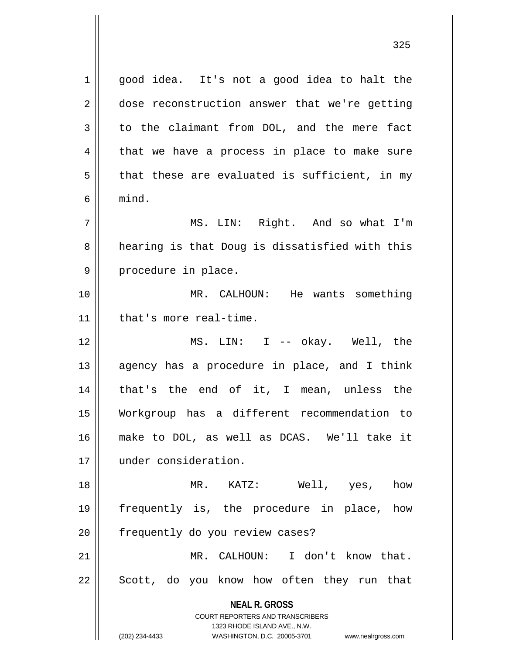**NEAL R. GROSS** COURT REPORTERS AND TRANSCRIBERS 1323 RHODE ISLAND AVE., N.W. (202) 234-4433 WASHINGTON, D.C. 20005-3701 www.nealrgross.com 1 || good idea. It's not a good idea to halt the 2 || dose reconstruction answer that we're getting  $3 \parallel$  to the claimant from DOL, and the mere fact  $4 \parallel$  that we have a process in place to make sure  $5 \parallel$  that these are evaluated is sufficient, in my  $6 \parallel$  mind. 7 MS. LIN: Right. And so what I'm 8 || hearing is that Doug is dissatisfied with this 9 || procedure in place. 10 MR. CALHOUN: He wants something 11 | that's more real-time. 12 MS. LIN: I -- okay. Well, the  $13$  || agency has a procedure in place, and I think 14 that's the end of it, I mean, unless the 15 Workgroup has a different recommendation to 16 make to DOL, as well as DCAS. We'll take it 17 under consideration. 18 MR. KATZ: Well, yes, how 19 frequently is, the procedure in place, how 20 | frequently do you review cases? 21 MR. CALHOUN: I don't know that. 22 || Scott, do you know how often they run that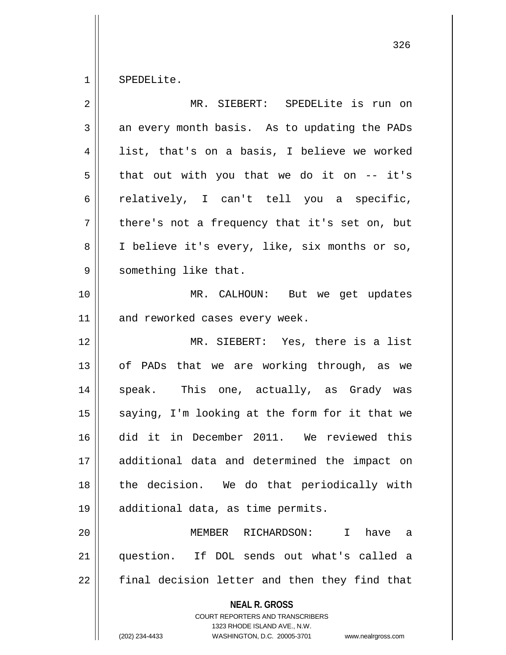SPEDELite.

| $\overline{2}$ | MR. SIEBERT: SPEDELite is run on                                                                                                                                       |
|----------------|------------------------------------------------------------------------------------------------------------------------------------------------------------------------|
| 3              | an every month basis. As to updating the PADs                                                                                                                          |
| 4              | list, that's on a basis, I believe we worked                                                                                                                           |
| 5              | that out with you that we do it on -- it's                                                                                                                             |
| 6              | relatively, I can't tell you a specific,                                                                                                                               |
| 7              | there's not a frequency that it's set on, but                                                                                                                          |
| 8              | I believe it's every, like, six months or so,                                                                                                                          |
| 9              | something like that.                                                                                                                                                   |
| 10             | MR. CALHOUN: But we get updates                                                                                                                                        |
| 11             | and reworked cases every week.                                                                                                                                         |
| 12             | MR. SIEBERT: Yes, there is a list                                                                                                                                      |
| 13             | of PADs that we are working through, as we                                                                                                                             |
| 14             | speak. This one, actually, as Grady was                                                                                                                                |
| 15             | saying, I'm looking at the form for it that we                                                                                                                         |
| 16             | did it in December 2011. We reviewed this                                                                                                                              |
| 17             | additional data and determined the impact on                                                                                                                           |
| 18             | the decision. We do that periodically with                                                                                                                             |
| 19             | additional data, as time permits.                                                                                                                                      |
| 20             | RICHARDSON: I have<br>MEMBER<br>а                                                                                                                                      |
| 21             | question. If DOL sends out what's called a                                                                                                                             |
| 22             | final decision letter and then they find that                                                                                                                          |
|                | <b>NEAL R. GROSS</b><br><b>COURT REPORTERS AND TRANSCRIBERS</b><br>1323 RHODE ISLAND AVE., N.W.<br>(202) 234-4433<br>WASHINGTON, D.C. 20005-3701<br>www.nealrgross.com |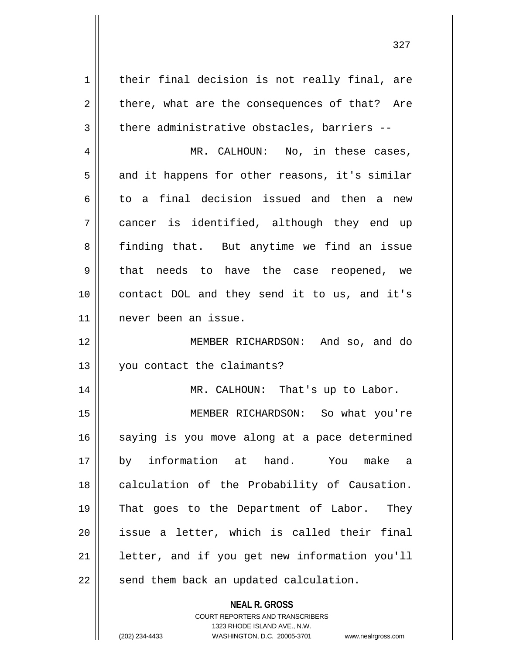$1 \parallel$  their final decision is not really final, are  $2 \parallel$  there, what are the consequences of that? Are  $3 \parallel$  there administrative obstacles, barriers --4 MR. CALHOUN: No, in these cases,  $5 \parallel$  and it happens for other reasons, it's similar 6 to a final decision issued and then a new 7 cancer is identified, although they end up 8 || finding that. But anytime we find an issue 9 || that needs to have the case reopened, we 10 contact DOL and they send it to us, and it's 11 never been an issue. 12 MEMBER RICHARDSON: And so, and do 13 you contact the claimants? 14 || MR. CALHOUN: That's up to Labor. 15 MEMBER RICHARDSON: So what you're 16 saying is you move along at a pace determined 17 by information at hand. You make a 18 || calculation of the Probability of Causation. 19 That goes to the Department of Labor. They  $20$  || issue a letter, which is called their final  $21$  | letter, and if you get new information you'll 22 || send them back an updated calculation.

> **NEAL R. GROSS** COURT REPORTERS AND TRANSCRIBERS 1323 RHODE ISLAND AVE., N.W.

(202) 234-4433 WASHINGTON, D.C. 20005-3701 www.nealrgross.com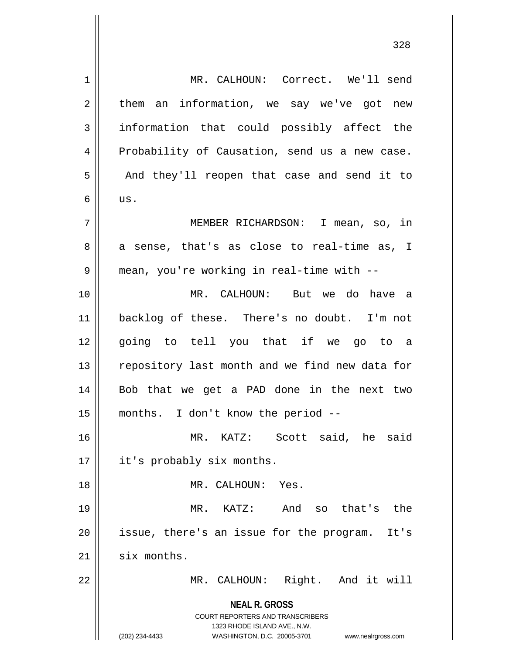**NEAL R. GROSS** COURT REPORTERS AND TRANSCRIBERS 1323 RHODE ISLAND AVE., N.W. (202) 234-4433 WASHINGTON, D.C. 20005-3701 www.nealrgross.com 1 | MR. CALHOUN: Correct. We'll send  $2 \parallel$  them an information, we say we've got new  $3 \parallel$  information that could possibly affect the 4 Probability of Causation, send us a new case. 5 || And they'll reopen that case and send it to  $6 \parallel$  us. 7 MEMBER RICHARDSON: I mean, so, in  $8 \parallel$  a sense, that's as close to real-time as, I 9 mean, you're working in real-time with -- 10 MR. CALHOUN: But we do have a 11 backlog of these. There's no doubt. I'm not 12 going to tell you that if we go to a 13 || repository last month and we find new data for 14 Bob that we get a PAD done in the next two 15 months. I don't know the period -- 16 MR. KATZ: Scott said, he said 17 | it's probably six months. 18 MR. CALHOUN: Yes. 19 MR. KATZ: And so that's the  $20$  || issue, there's an issue for the program. It's  $21$  six months. 22 || MR. CALHOUN: Right. And it will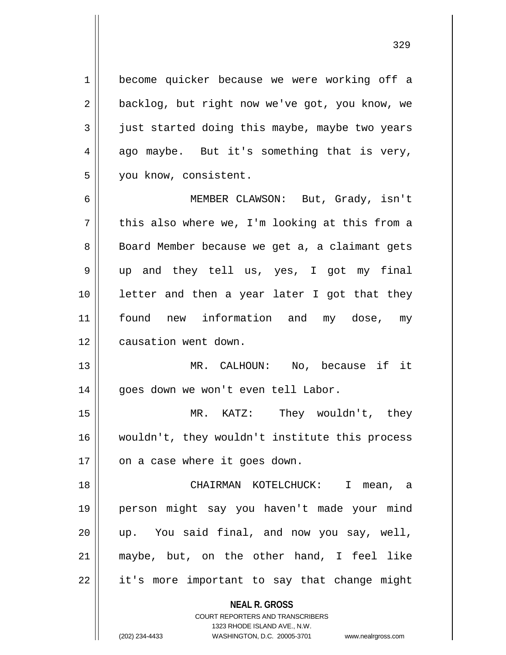1 | become quicker because we were working off a 2 | backlog, but right now we've got, you know, we  $3 \parallel$  just started doing this maybe, maybe two years  $4 \parallel$  ago maybe. But it's something that is very, 5 | you know, consistent.

6 MEMBER CLAWSON: But, Grady, isn't  $7 \parallel$  this also where we, I'm looking at this from a 8 || Board Member because we get a, a claimant gets 9 up and they tell us, yes, I got my final 10 letter and then a year later I got that they 11 found new information and my dose, my 12 | causation went down.

13 MR. CALHOUN: No, because if it 14 | goes down we won't even tell Labor.

15 MR. KATZ: They wouldn't, they 16 wouldn't, they wouldn't institute this process  $17 \parallel$  on a case where it goes down.

 CHAIRMAN KOTELCHUCK: I mean, a person might say you haven't made your mind up. You said final, and now you say, well, maybe, but, on the other hand, I feel like 22 || it's more important to say that change might

**NEAL R. GROSS**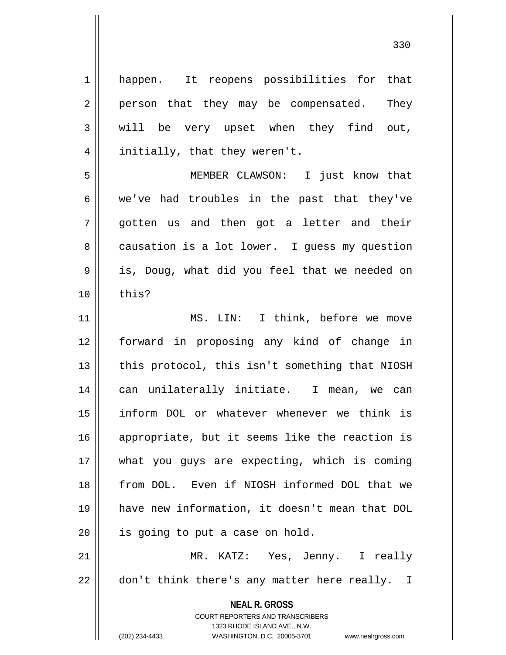| $\mathbf 1$ | happen. It reopens possibilities for that                                                                                                                           |
|-------------|---------------------------------------------------------------------------------------------------------------------------------------------------------------------|
| $\mathbf 2$ | person that they may be compensated.<br>They                                                                                                                        |
| 3           | will be very upset when they find out,                                                                                                                              |
| 4           | initially, that they weren't.                                                                                                                                       |
| 5           | MEMBER CLAWSON: I just know that                                                                                                                                    |
| 6           | we've had troubles in the past that they've                                                                                                                         |
| 7           | gotten us and then got a letter and their                                                                                                                           |
| 8           | causation is a lot lower. I guess my question                                                                                                                       |
| 9           | is, Doug, what did you feel that we needed on                                                                                                                       |
| 10          | this?                                                                                                                                                               |
| 11          | MS. LIN: I think, before we move                                                                                                                                    |
| 12          | forward in proposing any kind of change in                                                                                                                          |
| 13          | this protocol, this isn't something that NIOSH                                                                                                                      |
| 14          | can unilaterally initiate. I mean, we can                                                                                                                           |
| 15          | inform DOL or whatever whenever we think is                                                                                                                         |
| 16          | appropriate, but it seems like the reaction is                                                                                                                      |
| 17          | what you guys are expecting, which is coming                                                                                                                        |
| 18          | from DOL. Even if NIOSH informed DOL that we                                                                                                                        |
| 19          | have new information, it doesn't mean that DOL                                                                                                                      |
| 20          | is going to put a case on hold.                                                                                                                                     |
| 21          | MR. KATZ: Yes, Jenny. I really                                                                                                                                      |
| 22          | don't think there's any matter here really. I                                                                                                                       |
|             | <b>NEAL R. GROSS</b><br><b>COURT REPORTERS AND TRANSCRIBERS</b><br>1323 RHODE ISLAND AVE., N.W.<br>(202) 234-4433<br>WASHINGTON, D.C. 20005-3701 www.nealrgross.com |

 $\overline{\phantom{a}}$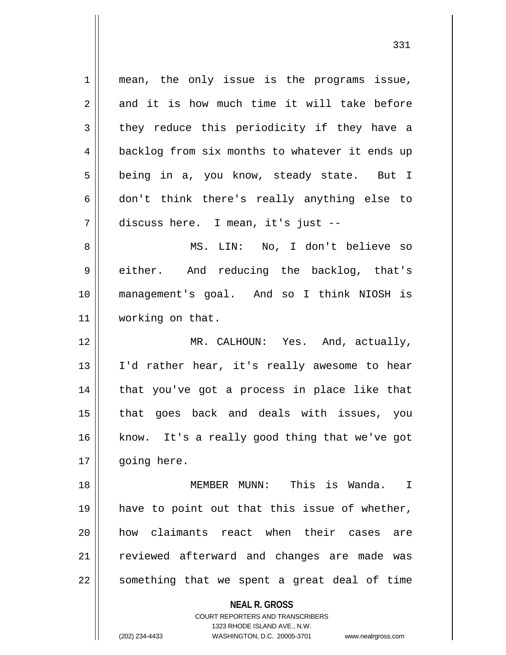**NEAL R. GROSS** COURT REPORTERS AND TRANSCRIBERS 1323 RHODE ISLAND AVE., N.W. 1 || mean, the only issue is the programs issue,  $2 \parallel$  and it is how much time it will take before  $3 \parallel$  they reduce this periodicity if they have a 4 | backlog from six months to whatever it ends up 5 || being in a, you know, steady state. But I  $6 \parallel$  don't think there's really anything else to 7 discuss here. I mean, it's just -- 8 MS. LIN: No, I don't believe so 9 || either. And reducing the backlog, that's 10 management's goal. And so I think NIOSH is 11 | working on that. 12 MR. CALHOUN: Yes. And, actually, 13 || I'd rather hear, it's really awesome to hear 14 || that you've got a process in place like that 15 that goes back and deals with issues, you 16 || know. It's a really good thing that we've got 17 | qoing here. 18 MEMBER MUNN: This is Wanda. I 19 || have to point out that this issue of whether, 20 how claimants react when their cases are 21 || reviewed afterward and changes are made was  $22$  something that we spent a great deal of time

(202) 234-4433 WASHINGTON, D.C. 20005-3701 www.nealrgross.com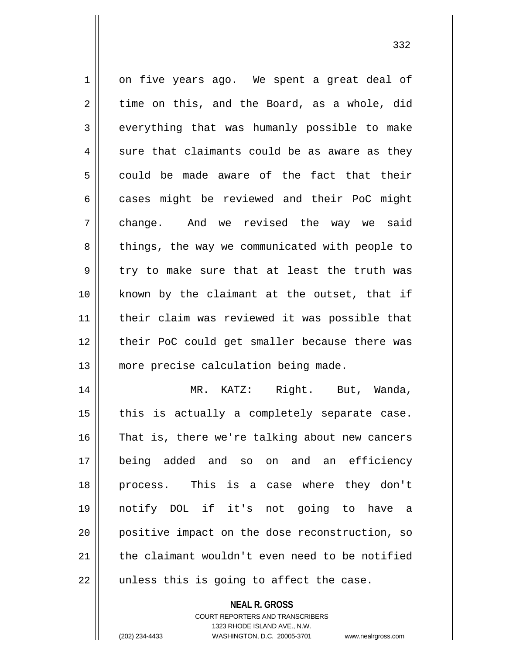1 on five years ago. We spent a great deal of  $2 \parallel$  time on this, and the Board, as a whole, did  $3 \parallel$  everything that was humanly possible to make  $4 \parallel$  sure that claimants could be as aware as they  $5 \parallel$  could be made aware of the fact that their  $6 \parallel$  cases might be reviewed and their PoC might 7 change. And we revised the way we said 8 || things, the way we communicated with people to  $9 \parallel$  try to make sure that at least the truth was 10 || known by the claimant at the outset, that if 11 || their claim was reviewed it was possible that 12 || their PoC could get smaller because there was 13 || more precise calculation being made. 14 MR. KATZ: Right. But, Wanda,  $15$  | this is actually a completely separate case. 16 || That is, there we're talking about new cancers 17 being added and so on and an efficiency 18 process. This is a case where they don't 19 notify DOL if it's not going to have a 20 positive impact on the dose reconstruction, so

 $22$  || unless this is going to affect the case.

**NEAL R. GROSS**

21  $\parallel$  the claimant wouldn't even need to be notified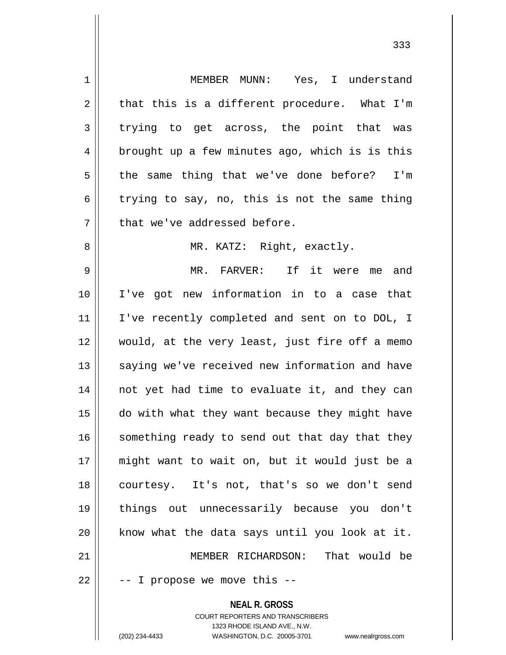**NEAL R. GROSS** COURT REPORTERS AND TRANSCRIBERS 1323 RHODE ISLAND AVE., N.W. 1 MEMBER MUNN: Yes, I understand  $2 \parallel$  that this is a different procedure. What I'm  $3 \parallel$  trying to get across, the point that was  $4 \parallel$  brought up a few minutes ago, which is is this 5 the same thing that we've done before? I'm 6 trying to say, no, this is not the same thing  $7$  || that we've addressed before. 8 || MR. KATZ: Right, exactly. 9 || MR. FARVER: If it were me and 10 I've got new information in to a case that 11 || I've recently completed and sent on to DOL, I 12 would, at the very least, just fire off a memo 13 || saying we've received new information and have 14 || not yet had time to evaluate it, and they can 15 do with what they want because they might have  $16$  something ready to send out that day that they 17 might want to wait on, but it would just be a 18 || courtesy. It's not, that's so we don't send 19 things out unnecessarily because you don't  $20$  know what the data says until you look at it. 21 MEMBER RICHARDSON: That would be  $22 \parallel$  -- I propose we move this --

(202) 234-4433 WASHINGTON, D.C. 20005-3701 www.nealrgross.com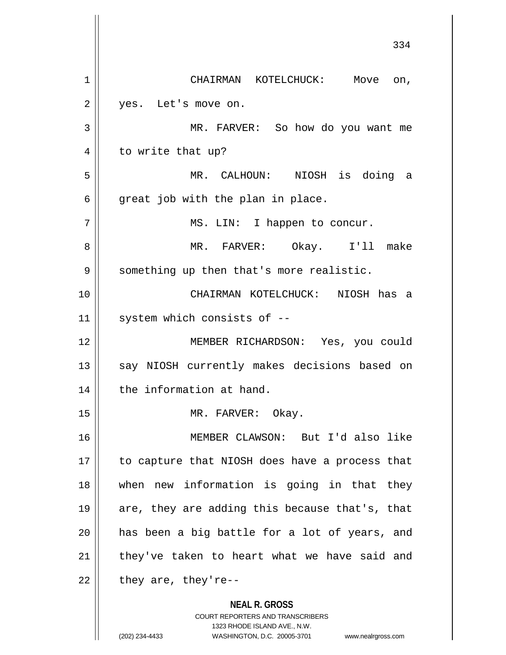**NEAL R. GROSS** COURT REPORTERS AND TRANSCRIBERS 334 1 | CHAIRMAN KOTELCHUCK: Move on, 2 | yes. Let's move on. 3 MR. FARVER: So how do you want me 4 | to write that up? 5 MR. CALHOUN: NIOSH is doing a  $6 \parallel$  great job with the plan in place. 7 || MS. LIN: I happen to concur. 8 MR. FARVER: Okay. I'll make 9 || something up then that's more realistic. 10 CHAIRMAN KOTELCHUCK: NIOSH has a  $11$  | system which consists of  $-$ 12 MEMBER RICHARDSON: Yes, you could 13 || say NIOSH currently makes decisions based on 14 | the information at hand. 15 || MR. FARVER: Okay. 16 MEMBER CLAWSON: But I'd also like 17 || to capture that NIOSH does have a process that 18 when new information is going in that they 19  $\parallel$  are, they are adding this because that's, that  $20$  || has been a big battle for a lot of years, and  $21$  they've taken to heart what we have said and  $22$  | they are, they're--

1323 RHODE ISLAND AVE., N.W.

(202) 234-4433 WASHINGTON, D.C. 20005-3701 www.nealrgross.com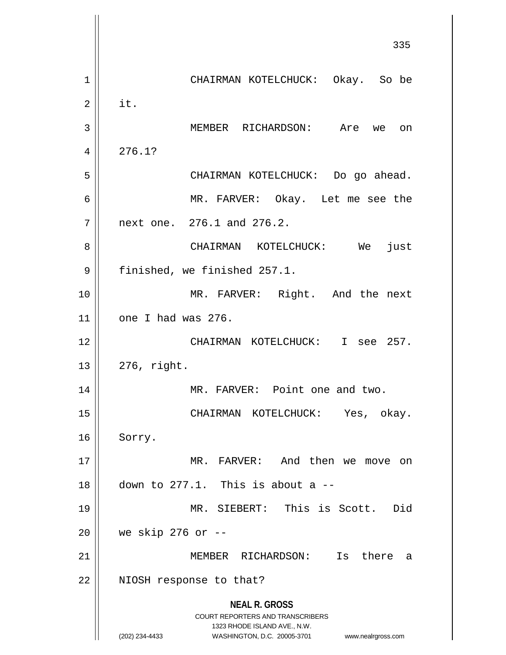**NEAL R. GROSS** COURT REPORTERS AND TRANSCRIBERS 1323 RHODE ISLAND AVE., N.W. (202) 234-4433 WASHINGTON, D.C. 20005-3701 www.nealrgross.com 335 1 CHAIRMAN KOTELCHUCK: Okay. So be  $2 \parallel$  it. 3 MEMBER RICHARDSON: Are we on  $4 \mid 276.1?$ 5 CHAIRMAN KOTELCHUCK: Do go ahead. 6 MR. FARVER: Okay. Let me see the 7 next one. 276.1 and 276.2. 8 CHAIRMAN KOTELCHUCK: We just 9 | finished, we finished 257.1. 10 || MR. FARVER: Right. And the next  $11$  one I had was 276. 12 CHAIRMAN KOTELCHUCK: I see 257.  $13 \parallel 276$ , right. 14 || MR. FARVER: Point one and two. 15 CHAIRMAN KOTELCHUCK: Yes, okay. 16 || Sorry. 17 || MR. FARVER: And then we move on  $18$   $\parallel$  down to 277.1. This is about a --19 MR. SIEBERT: This is Scott. Did 20 we skip 276 or -- 21 MEMBER RICHARDSON: Is there a 22 || NIOSH response to that?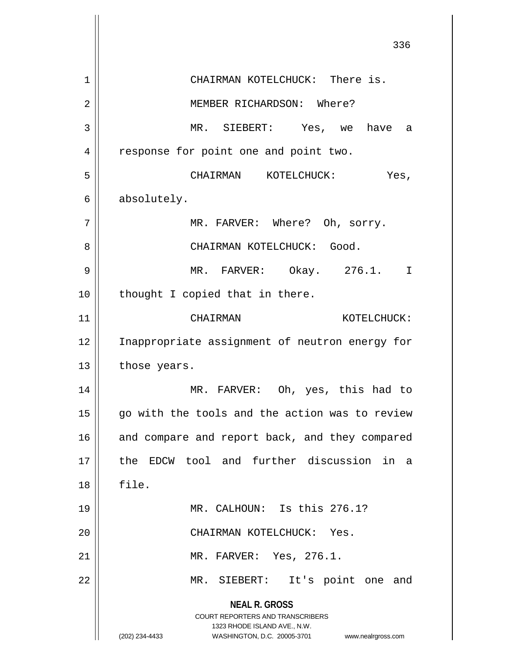**NEAL R. GROSS** COURT REPORTERS AND TRANSCRIBERS 1323 RHODE ISLAND AVE., N.W. (202) 234-4433 WASHINGTON, D.C. 20005-3701 www.nealrgross.com 1 | CHAIRMAN KOTELCHUCK: There is. MEMBER RICHARDSON: Where? MR. SIEBERT: Yes, we have a 4 || response for point one and point two. CHAIRMAN KOTELCHUCK: Yes, absolutely. MR. FARVER: Where? Oh, sorry. CHAIRMAN KOTELCHUCK: Good. MR. FARVER: Okay. 276.1. I | thought I copied that in there. CHAIRMAN KOTELCHUCK: 12 || Inappropriate assignment of neutron energy for | those years. MR. FARVER: Oh, yes, this had to 15 || go with the tools and the action was to review 16 || and compare and report back, and they compared the EDCW tool and further discussion in a file. MR. CALHOUN: Is this 276.1? CHAIRMAN KOTELCHUCK: Yes. MR. FARVER: Yes, 276.1. 22 || MR. SIEBERT: It's point one and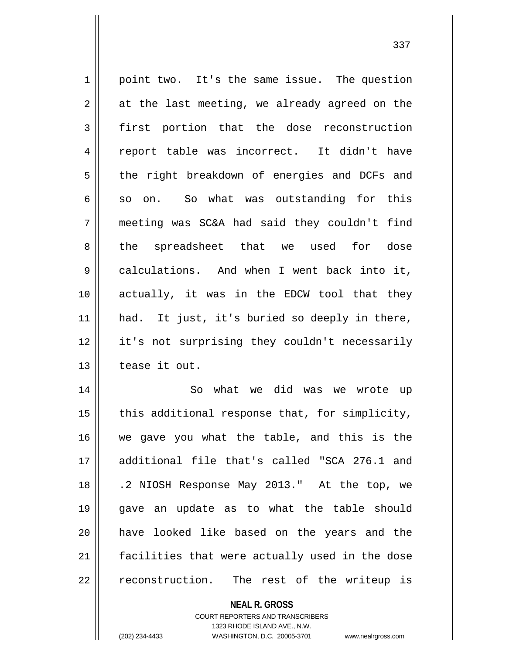1 || point two. It's the same issue. The question  $2 \parallel$  at the last meeting, we already agreed on the 3 first portion that the dose reconstruction 4 || report table was incorrect. It didn't have 5 | the right breakdown of energies and DCFs and  $6 \parallel$  so on. So what was outstanding for this 7 meeting was SC&A had said they couldn't find 8 the spreadsheet that we used for dose 9 calculations. And when I went back into it, 10 actually, it was in the EDCW tool that they 11 || had. It just, it's buried so deeply in there, 12 || it's not surprising they couldn't necessarily 13 l tease it out. 14 || So what we did was we wrote up  $15$  | this additional response that, for simplicity, 16 we gave you what the table, and this is the 17 additional file that's called "SCA 276.1 and 18 .2 NIOSH Response May 2013." At the top, we 19 gave an update as to what the table should 20 have looked like based on the years and the 21 facilities that were actually used in the dose

 $22$  || reconstruction. The rest of the writeup is

**NEAL R. GROSS**

COURT REPORTERS AND TRANSCRIBERS 1323 RHODE ISLAND AVE., N.W. (202) 234-4433 WASHINGTON, D.C. 20005-3701 www.nealrgross.com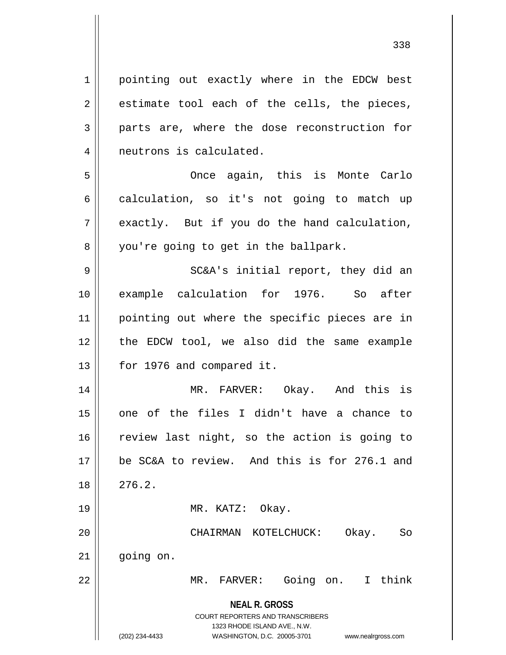**NEAL R. GROSS** COURT REPORTERS AND TRANSCRIBERS 1323 RHODE ISLAND AVE., N.W. 1 || pointing out exactly where in the EDCW best  $2 \parallel$  estimate tool each of the cells, the pieces, 3 parts are, where the dose reconstruction for 4 | neutrons is calculated. 5 Once again, this is Monte Carlo  $6 \parallel$  calculation, so it's not going to match up  $7 \parallel$  exactly. But if you do the hand calculation, 8 you're going to get in the ballpark. 9 SC&A's initial report, they did an 10 || example calculation for 1976. So after 11 || pointing out where the specific pieces are in 12 the EDCW tool, we also did the same example 13 | for 1976 and compared it. 14 MR. FARVER: Okay. And this is  $15$  one of the files I didn't have a chance to 16 || review last night, so the action is going to 17 be SC&A to review. And this is for 276.1 and  $18 \parallel 276.2$ . 19 || MR. KATZ: Okay. 20 CHAIRMAN KOTELCHUCK: Okay. So  $21$  |  $qojnq$  on. 22 MR. FARVER: Going on. I think

(202) 234-4433 WASHINGTON, D.C. 20005-3701 www.nealrgross.com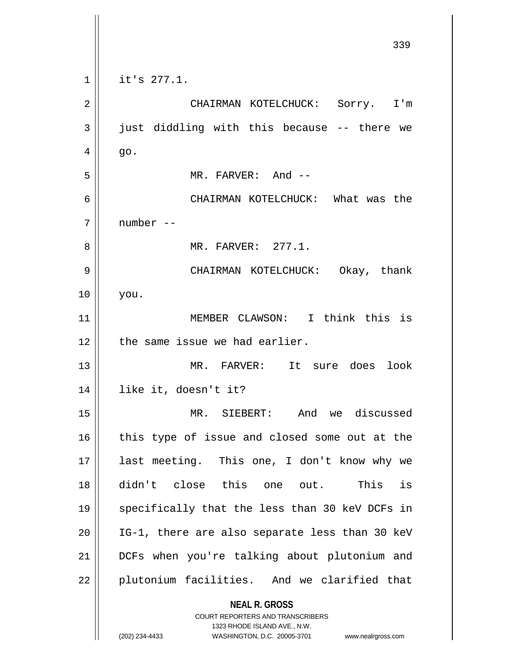**NEAL R. GROSS** COURT REPORTERS AND TRANSCRIBERS 1323 RHODE ISLAND AVE., N.W. (202) 234-4433 WASHINGTON, D.C. 20005-3701 www.nealrgross.com  $1 \parallel$  it's 277.1. CHAIRMAN KOTELCHUCK: Sorry. I'm  $3 \parallel$  just diddling with this because -- there we  $4 \parallel$  go. MR. FARVER: And -- CHAIRMAN KOTELCHUCK: What was the number -- MR. FARVER: 277.1. CHAIRMAN KOTELCHUCK: Okay, thank you. MEMBER CLAWSON: I think this is | the same issue we had earlier. MR. FARVER: It sure does look like it, doesn't it? MR. SIEBERT: And we discussed this type of issue and closed some out at the last meeting. This one, I don't know why we didn't close this one out. This is 19 || specifically that the less than 30 keV DCFs in || IG-1, there are also separate less than 30 keV DCFs when you're talking about plutonium and 22 || plutonium facilities. And we clarified that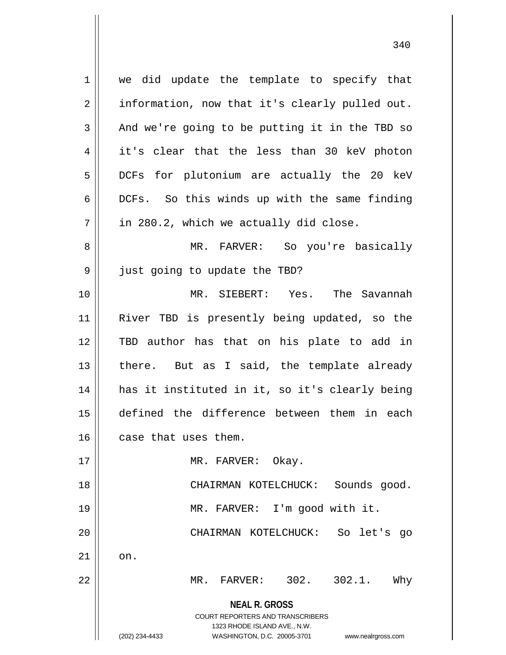**NEAL R. GROSS** COURT REPORTERS AND TRANSCRIBERS 1323 RHODE ISLAND AVE., N.W. (202) 234-4433 WASHINGTON, D.C. 20005-3701 www.nealrgross.com 1 || we did update the template to specify that  $2 \parallel$  information, now that it's clearly pulled out.  $3 \parallel$  And we're going to be putting it in the TBD so 4 it's clear that the less than 30 keV photon 5 || DCFs for plutonium are actually the 20 keV 6 | DCFs. So this winds up with the same finding  $7 \parallel$  in 280.2, which we actually did close. 8 MR. FARVER: So you're basically 9 just going to update the TBD? 10 MR. SIEBERT: Yes. The Savannah 11 River TBD is presently being updated, so the 12 TBD author has that on his plate to add in  $13$  || there. But as I said, the template already 14 has it instituted in it, so it's clearly being 15 defined the difference between them in each 16 case that uses them. 17 || MR. FARVER: Okay. 18 CHAIRMAN KOTELCHUCK: Sounds good. 19 MR. FARVER: I'm good with it. 20 || CHAIRMAN KOTELCHUCK: So let's go  $21$   $\parallel$  on. 22 MR. FARVER: 302. 302.1. Why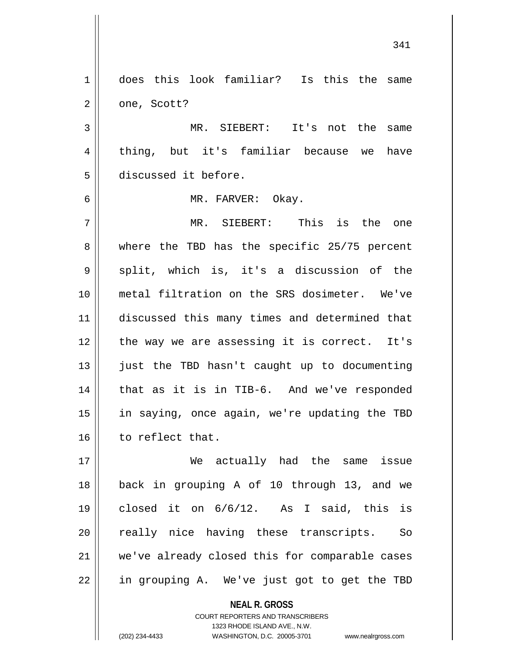1 does this look familiar? Is this the same  $2 \parallel$  one, Scott? 3 MR. SIEBERT: It's not the same 4 || thing, but it's familiar because we have 5 discussed it before. 6 MR. FARVER: Okay. 7 MR. SIEBERT: This is the one 8 where the TBD has the specific 25/75 percent  $9 \parallel$  split, which is, it's a discussion of the 10 metal filtration on the SRS dosimeter. We've 11 discussed this many times and determined that 12 || the way we are assessing it is correct. It's 13 || just the TBD hasn't caught up to documenting 14 || that as it is in TIB-6. And we've responded 15 in saying, once again, we're updating the TBD 16 | to reflect that. 17 We actually had the same issue 18 back in grouping A of 10 through 13, and we 19 closed it on 6/6/12. As I said, this is 20 || really nice having these transcripts. So 21 || we've already closed this for comparable cases 22 || in grouping A. We've just got to get the TBD

> **NEAL R. GROSS** COURT REPORTERS AND TRANSCRIBERS

1323 RHODE ISLAND AVE., N.W.

(202) 234-4433 WASHINGTON, D.C. 20005-3701 www.nealrgross.com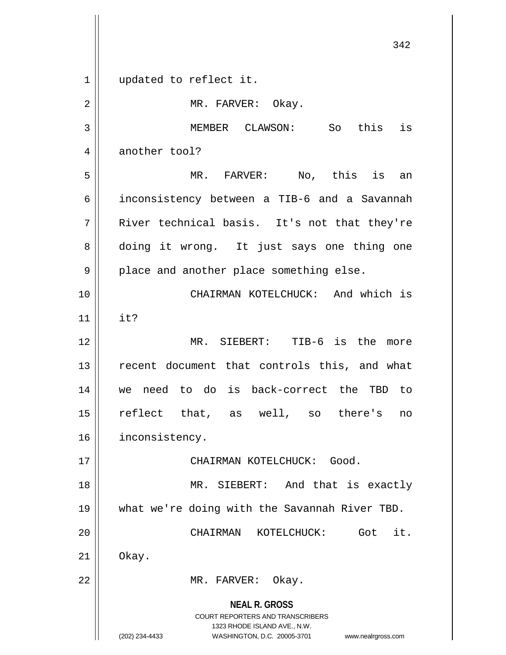**NEAL R. GROSS** COURT REPORTERS AND TRANSCRIBERS 1323 RHODE ISLAND AVE., N.W. (202) 234-4433 WASHINGTON, D.C. 20005-3701 www.nealrgross.com 342 1 || updated to reflect it. 2 | MR. FARVER: Okay. 3 MEMBER CLAWSON: So this is 4 another tool? 5 MR. FARVER: No, this is an 6 inconsistency between a TIB-6 and a Savannah 7 River technical basis. It's not that they're 8 doing it wrong. It just says one thing one  $9 \parallel$  place and another place something else. 10 || CHAIRMAN KOTELCHUCK: And which is  $11$  | it? 12 MR. SIEBERT: TIB-6 is the more 13 || recent document that controls this, and what 14 we need to do is back-correct the TBD to 15 reflect that, as well, so there's no 16 | inconsistency. 17 CHAIRMAN KOTELCHUCK: Good. 18 MR. SIEBERT: And that is exactly 19 what we're doing with the Savannah River TBD. 20 CHAIRMAN KOTELCHUCK: Got it.  $21 \parallel$  Okay. 22 || MR. FARVER: Okay.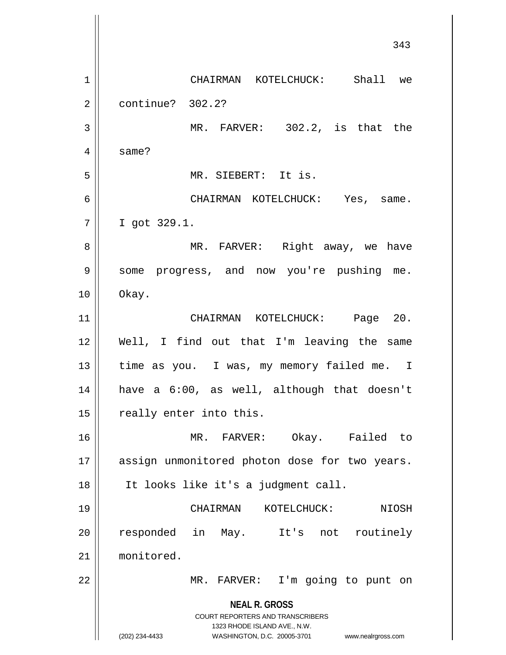**NEAL R. GROSS** COURT REPORTERS AND TRANSCRIBERS 1323 RHODE ISLAND AVE., N.W. (202) 234-4433 WASHINGTON, D.C. 20005-3701 www.nealrgross.com 343 1 CHAIRMAN KOTELCHUCK: Shall we 2 continue? 302.2? 3 || MR. FARVER: 302.2, is that the 4 | same? 5 MR. SIEBERT: It is. 6 CHAIRMAN KOTELCHUCK: Yes, same. 7 I got 329.1. 8 MR. FARVER: Right away, we have 9 Some progress, and now you're pushing me.  $10 \parallel$  Okay. 11 CHAIRMAN KOTELCHUCK: Page 20. 12 Well, I find out that I'm leaving the same 13 || time as you. I was, my memory failed me. I 14 have a 6:00, as well, although that doesn't 15 | really enter into this. 16 MR. FARVER: Okay. Failed to 17 || assign unmonitored photon dose for two years. 18 It looks like it's a judgment call. 19 CHAIRMAN KOTELCHUCK: NIOSH 20 || responded in May. It's not routinely 21 monitored. 22 || MR. FARVER: I'm going to punt on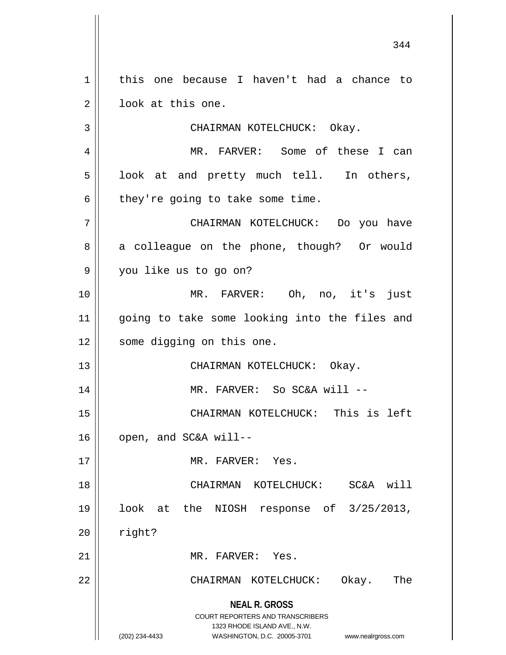**NEAL R. GROSS** COURT REPORTERS AND TRANSCRIBERS 1323 RHODE ISLAND AVE., N.W. (202) 234-4433 WASHINGTON, D.C. 20005-3701 www.nealrgross.com 1 | this one because I haven't had a chance to 2 || look at this one. 3 || CHAIRMAN KOTELCHUCK: Okay. 4 MR. FARVER: Some of these I can  $5 \parallel$  look at and pretty much tell. In others,  $6$  | they're going to take some time. 7 CHAIRMAN KOTELCHUCK: Do you have 8 a colleague on the phone, though? Or would 9 you like us to go on? 10 MR. FARVER: Oh, no, it's just 11 going to take some looking into the files and 12 || some digging on this one. 13 || CHAIRMAN KOTELCHUCK: Okay. 14 || MR. FARVER: So SC&A will --15 CHAIRMAN KOTELCHUCK: This is left  $16$  | open, and SC&A will--17 MR. FARVER: Yes. 18 CHAIRMAN KOTELCHUCK: SC&A will 19 look at the NIOSH response of 3/25/2013,  $20$  | right? 21 || MR. FARVER: Yes. 22 CHAIRMAN KOTELCHUCK: Okay. The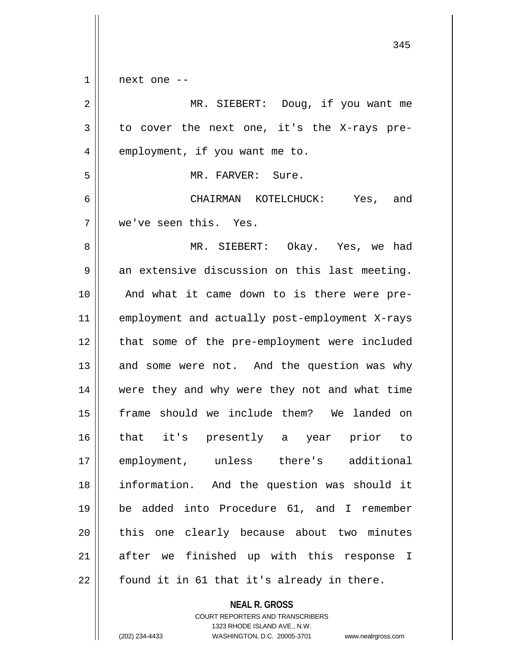|    | 345                                            |
|----|------------------------------------------------|
| 1  | next one --                                    |
| 2  | MR. SIEBERT: Doug, if you want me              |
| 3  | to cover the next one, it's the X-rays pre-    |
| 4  | employment, if you want me to.                 |
| 5  | MR. FARVER: Sure.                              |
| 6  | CHAIRMAN KOTELCHUCK: Yes, and                  |
| 7  | we've seen this. Yes.                          |
| 8  | MR. SIEBERT: Okay. Yes, we had                 |
| 9  | an extensive discussion on this last meeting.  |
| 10 | And what it came down to is there were pre-    |
| 11 | employment and actually post-employment X-rays |
| 12 | that some of the pre-employment were included  |
| 13 | and some were not. And the question was why    |
| 14 | were they and why were they not and what time  |
| 15 | frame should we include them? We landed on     |
| 16 | that it's presently a year prior to            |
| 17 | employment, unless there's additional          |
| 18 | information. And the question was should it    |
| 19 | be added into Procedure 61, and I remember     |
| 20 | this one clearly because about two minutes     |
| 21 | after we finished up with this response I      |
| 22 | found it in 61 that it's already in there.     |

COURT REPORTERS AND TRANSCRIBERS 1323 RHODE ISLAND AVE., N.W. (202) 234-4433 WASHINGTON, D.C. 20005-3701 www.nealrgross.com

**NEAL R. GROSS**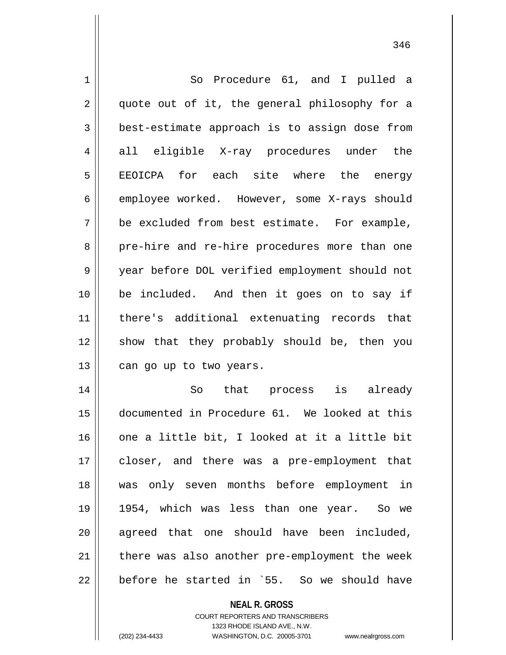| 1  | So Procedure 61, and I pulled a                |
|----|------------------------------------------------|
| 2  | quote out of it, the general philosophy for a  |
| 3  | best-estimate approach is to assign dose from  |
| 4  | all eligible X-ray procedures under the        |
| 5  | EEOICPA for each site where the energy         |
| 6  | employee worked. However, some X-rays should   |
| 7  | be excluded from best estimate. For example,   |
| 8  | pre-hire and re-hire procedures more than one  |
| 9  | year before DOL verified employment should not |
| 10 | be included. And then it goes on to say if     |
| 11 | there's additional extenuating records that    |
| 12 | show that they probably should be, then you    |
| 13 | can go up to two years.                        |
| 14 | that process is already<br>So                  |
| 15 | documented in Procedure 61. We looked at this  |
| 16 | one a little bit, I looked at it a little bit  |
| 17 | closer, and there was a pre-employment that    |
| 18 | was only seven months before employment in     |
| 19 | 1954, which was less than one year. So we      |
| 20 | agreed that one should have been included,     |
| 21 | there was also another pre-employment the week |
| 22 | before he started in `55. So we should have    |
|    | <b>NEAL R. GROSS</b>                           |

COURT REPORTERS AND TRANSCRIBERS 1323 RHODE ISLAND AVE., N.W.

 $\mathsf{I}$ 

(202) 234-4433 WASHINGTON, D.C. 20005-3701 www.nealrgross.com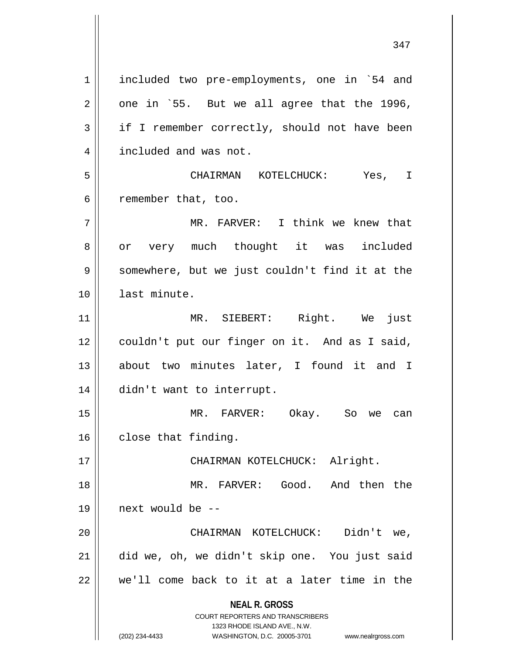**NEAL R. GROSS** COURT REPORTERS AND TRANSCRIBERS 1323 RHODE ISLAND AVE., N.W. (202) 234-4433 WASHINGTON, D.C. 20005-3701 www.nealrgross.com 1 included two pre-employments, one in `54 and  $2 \parallel$  one in `55. But we all agree that the 1996,  $3 \parallel$  if I remember correctly, should not have been 4 | included and was not. 5 CHAIRMAN KOTELCHUCK: Yes, I  $6 \parallel$  remember that, too. 7 MR. FARVER: I think we knew that 8 || or very much thought it was included 9 | somewhere, but we just couldn't find it at the 10 last minute. 11 MR. SIEBERT: Right. We just 12 || couldn't put our finger on it. And as I said, 13 || about two minutes later, I found it and I 14 didn't want to interrupt. 15 MR. FARVER: Okay. So we can 16 close that finding. 17 || CHAIRMAN KOTELCHUCK: Alright. 18 MR. FARVER: Good. And then the 19 next would be -- 20 CHAIRMAN KOTELCHUCK: Didn't we, 21 did we, oh, we didn't skip one. You just said  $22$   $\parallel$  we'll come back to it at a later time in the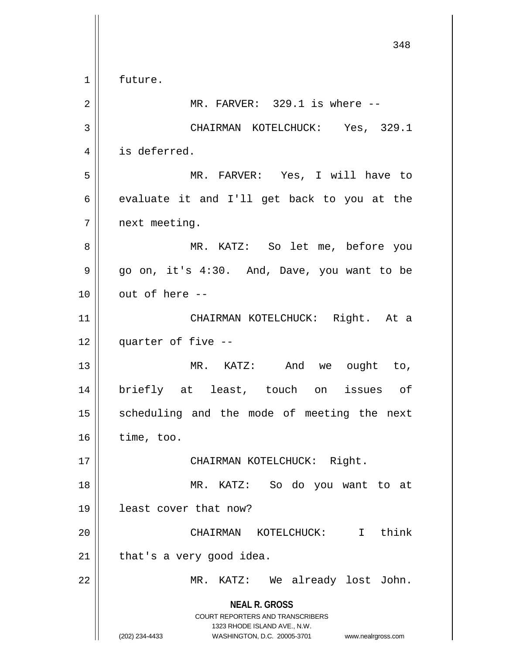**NEAL R. GROSS** COURT REPORTERS AND TRANSCRIBERS 1323 RHODE ISLAND AVE., N.W. (202) 234-4433 WASHINGTON, D.C. 20005-3701 www.nealrgross.com 1 | future. 2 || MR. FARVER: 329.1 is where --3 CHAIRMAN KOTELCHUCK: Yes, 329.1 4 | is deferred. 5 MR. FARVER: Yes, I will have to  $6 \parallel$  evaluate it and I'll get back to you at the 7 | next meeting. 8 MR. KATZ: So let me, before you  $9 \parallel$  go on, it's 4:30. And, Dave, you want to be  $10$   $\parallel$  out of here  $-$ 11 || CHAIRMAN KOTELCHUCK: Right. At a 12 quarter of five -- 13 MR. KATZ: And we ought to, 14 briefly at least, touch on issues of 15 || scheduling and the mode of meeting the next  $16$  | time, too. 17 || CHAIRMAN KOTELCHUCK: Right. 18 MR. KATZ: So do you want to at 19 least cover that now? 20 CHAIRMAN KOTELCHUCK: I think  $21$  | that's a very good idea. 22 MR. KATZ: We already lost John.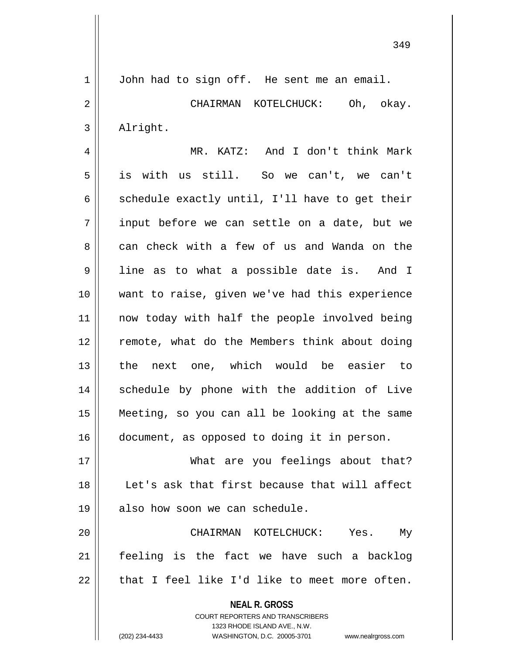1 | John had to sign off. He sent me an email. 2 CHAIRMAN KOTELCHUCK: Oh, okay. 3 | Alright.

4 MR. KATZ: And I don't think Mark 5 is with us still. So we can't, we can't 6  $\parallel$  schedule exactly until, I'll have to get their  $7 \parallel$  input before we can settle on a date, but we 8 can check with a few of us and Wanda on the 9 || line as to what a possible date is. And I 10 want to raise, given we've had this experience 11 || now today with half the people involved being 12 || remote, what do the Members think about doing 13 the next one, which would be easier to 14 || schedule by phone with the addition of Live 15 Meeting, so you can all be looking at the same 16 document, as opposed to doing it in person.

17 What are you feelings about that? 18 Let's ask that first because that will affect  $19$  | also how soon we can schedule.

20 CHAIRMAN KOTELCHUCK: Yes. My 21 feeling is the fact we have such a backlog  $22$  | that I feel like I'd like to meet more often.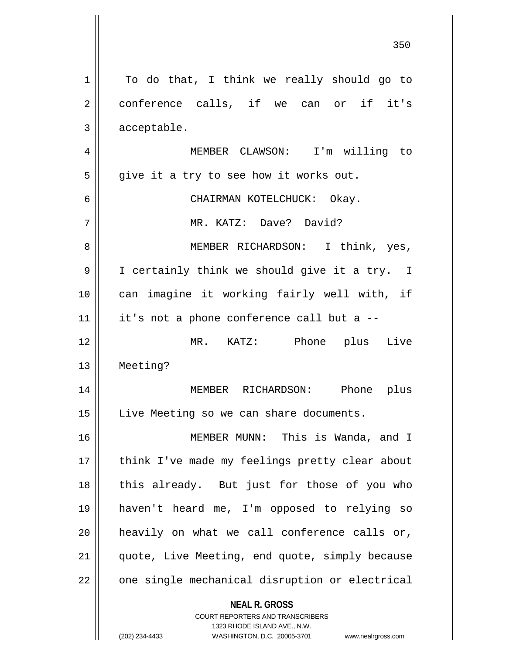| 1              | To do that, I think we really should go to                                                                                                                             |
|----------------|------------------------------------------------------------------------------------------------------------------------------------------------------------------------|
| $\overline{2}$ | conference calls, if we can or if it's                                                                                                                                 |
| 3              | acceptable.                                                                                                                                                            |
| 4              | MEMBER CLAWSON: I'm willing to                                                                                                                                         |
| 5              | give it a try to see how it works out.                                                                                                                                 |
| 6              | CHAIRMAN KOTELCHUCK: Okay.                                                                                                                                             |
| 7              | MR. KATZ: Dave? David?                                                                                                                                                 |
| 8              | MEMBER RICHARDSON: I think, yes,                                                                                                                                       |
| 9              | I certainly think we should give it a try. I                                                                                                                           |
| 10             | can imagine it working fairly well with, if                                                                                                                            |
| 11             | it's not a phone conference call but a --                                                                                                                              |
| 12             | MR. KATZ: Phone plus Live                                                                                                                                              |
| 13             | Meeting?                                                                                                                                                               |
| 14             | MEMBER RICHARDSON: Phone plus                                                                                                                                          |
| 15             | Live Meeting so we can share documents.                                                                                                                                |
| 16             | MEMBER MUNN: This is Wanda, and I                                                                                                                                      |
| 17             | think I've made my feelings pretty clear about                                                                                                                         |
| 18             | this already. But just for those of you who                                                                                                                            |
| 19             | haven't heard me, I'm opposed to relying so                                                                                                                            |
| 20             | heavily on what we call conference calls or,                                                                                                                           |
| 21             | quote, Live Meeting, end quote, simply because                                                                                                                         |
| 22             | one single mechanical disruption or electrical                                                                                                                         |
|                | <b>NEAL R. GROSS</b><br><b>COURT REPORTERS AND TRANSCRIBERS</b><br>1323 RHODE ISLAND AVE., N.W.<br>(202) 234-4433<br>WASHINGTON, D.C. 20005-3701<br>www.nealrgross.com |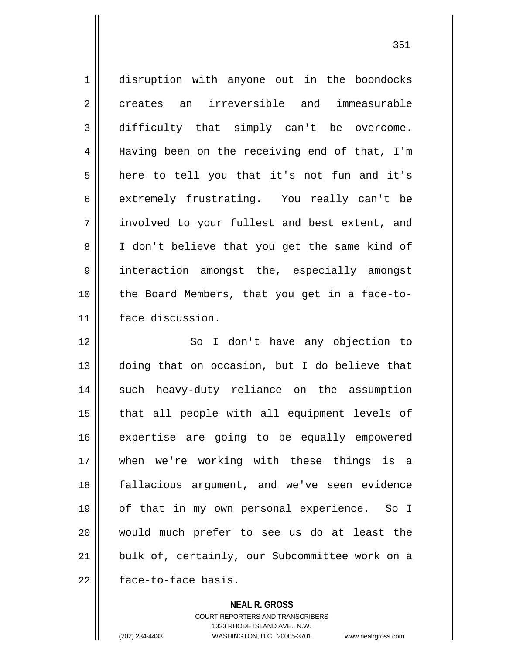1 disruption with anyone out in the boondocks 2 creates an irreversible and immeasurable 3 difficulty that simply can't be overcome. 4 || Having been on the receiving end of that, I'm  $5 \parallel$  here to tell you that it's not fun and it's 6 extremely frustrating. You really can't be 7 involved to your fullest and best extent, and 8 || I don't believe that you get the same kind of 9 interaction amongst the, especially amongst 10 || the Board Members, that you get in a face-to-11 face discussion.

12 || So I don't have any objection to doing that on occasion, but I do believe that 14 || such heavy-duty reliance on the assumption that all people with all equipment levels of 16 || expertise are going to be equally empowered when we're working with these things is a fallacious argument, and we've seen evidence of that in my own personal experience. So I would much prefer to see us do at least the 21 || bulk of, certainly, our Subcommittee work on a |  $\blacksquare$  face-to-face basis.

**NEAL R. GROSS**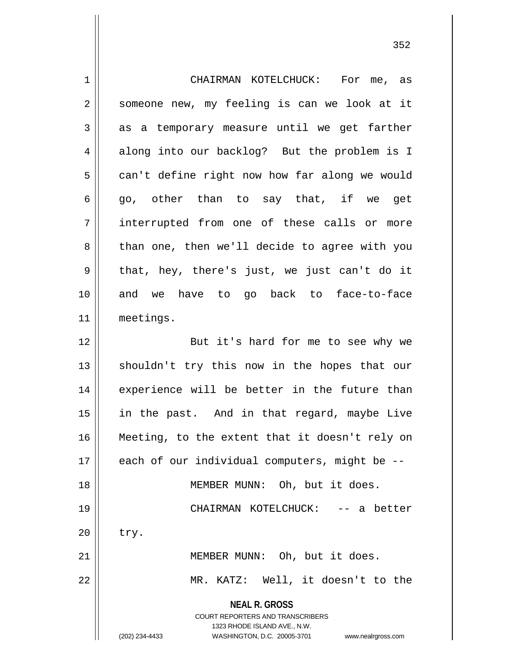| $\mathbf 1$    | CHAIRMAN KOTELCHUCK: For me, as                                                                                                                                        |
|----------------|------------------------------------------------------------------------------------------------------------------------------------------------------------------------|
| $\overline{2}$ | someone new, my feeling is can we look at it                                                                                                                           |
| 3              | as a temporary measure until we get farther                                                                                                                            |
| 4              | along into our backlog? But the problem is I                                                                                                                           |
| 5              | can't define right now how far along we would                                                                                                                          |
| 6              | go, other than to say that, if we get                                                                                                                                  |
| 7              | interrupted from one of these calls or more                                                                                                                            |
| 8              | than one, then we'll decide to agree with you                                                                                                                          |
| $\mathsf 9$    | that, hey, there's just, we just can't do it                                                                                                                           |
| 10             | and we have to go back to face-to-face                                                                                                                                 |
| 11             | meetings.                                                                                                                                                              |
| 12             | But it's hard for me to see why we                                                                                                                                     |
| 13             | shouldn't try this now in the hopes that our                                                                                                                           |
| 14             | experience will be better in the future than                                                                                                                           |
| 15             | in the past. And in that regard, maybe Live                                                                                                                            |
| 16             | Meeting, to the extent that it doesn't rely on                                                                                                                         |
| 17             | each of our individual computers, might be --                                                                                                                          |
| 18             | MEMBER MUNN: Oh, but it does.                                                                                                                                          |
| 19             | CHAIRMAN KOTELCHUCK: -- a better                                                                                                                                       |
| 20             | try.                                                                                                                                                                   |
| 21             | MEMBER MUNN: Oh, but it does.                                                                                                                                          |
| 22             | MR. KATZ: Well, it doesn't to the                                                                                                                                      |
|                | <b>NEAL R. GROSS</b><br><b>COURT REPORTERS AND TRANSCRIBERS</b><br>1323 RHODE ISLAND AVE., N.W.<br>(202) 234-4433<br>WASHINGTON, D.C. 20005-3701<br>www.nealrgross.com |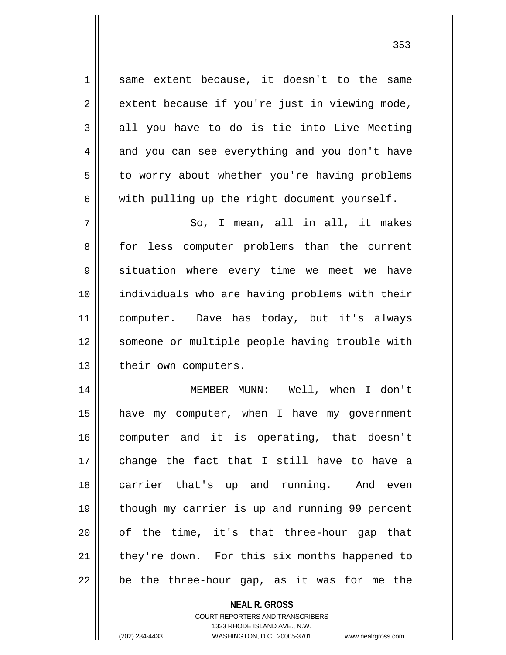1 same extent because, it doesn't to the same  $2 \parallel$  extent because if you're just in viewing mode,  $3 \parallel$  all you have to do is tie into Live Meeting  $4 \parallel$  and you can see everything and you don't have 5 | to worry about whether you're having problems  $6 \parallel$  with pulling up the right document yourself.

 $7 \parallel$  So, I mean, all in all, it makes 8 || for less computer problems than the current 9 situation where every time we meet we have 10 individuals who are having problems with their 11 computer. Dave has today, but it's always 12 || someone or multiple people having trouble with 13 || their own computers.

 MEMBER MUNN: Well, when I don't have my computer, when I have my government computer and it is operating, that doesn't change the fact that I still have to have a carrier that's up and running. And even 19 || though my carrier is up and running 99 percent || of the time, it's that three-hour gap that  $\parallel$  they're down. For this six months happened to | be the three-hour gap, as it was for me the

## **NEAL R. GROSS**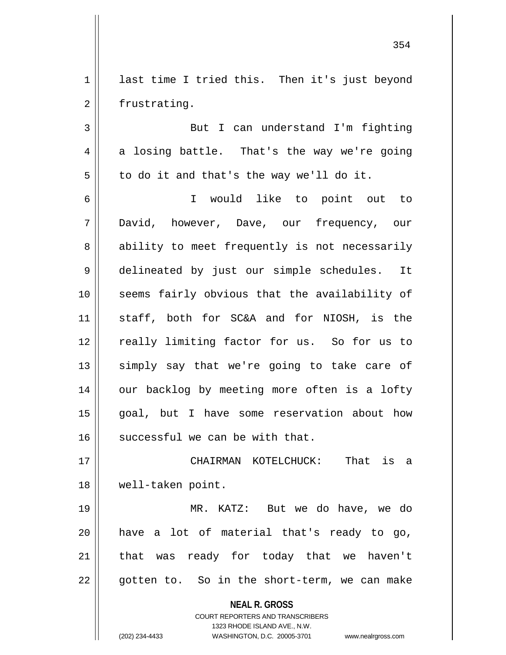1 ast time I tried this. Then it's just beyond 2 | frustrating.

3 But I can understand I'm fighting  $4 \parallel$  a losing battle. That's the way we're going  $5 \parallel$  to do it and that's the way we'll do it.

 I would like to point out to David, however, Dave, our frequency, our 8 ability to meet frequently is not necessarily delineated by just our simple schedules. It seems fairly obvious that the availability of staff, both for SC&A and for NIOSH, is the 12 || really limiting factor for us. So for us to 13 || simply say that we're going to take care of 14 || our backlog by meeting more often is a lofty goal, but I have some reservation about how successful we can be with that.

17 CHAIRMAN KOTELCHUCK: That is a 18 well-taken point.

19 MR. KATZ: But we do have, we do  $20$  have a lot of material that's ready to go, 21 || that was ready for today that we haven't 22 || gotten to. So in the short-term, we can make

**NEAL R. GROSS**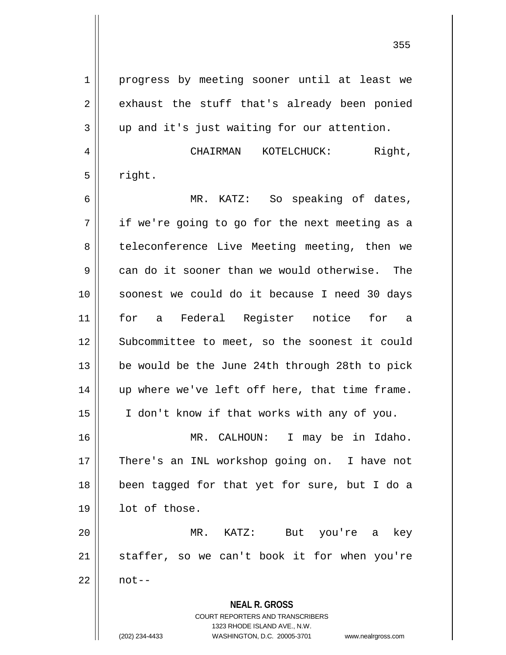**NEAL R. GROSS** COURT REPORTERS AND TRANSCRIBERS 1323 RHODE ISLAND AVE., N.W. 1 || progress by meeting sooner until at least we 2 || exhaust the stuff that's already been ponied  $3 \parallel$  up and it's just waiting for our attention. 4 CHAIRMAN KOTELCHUCK: Right,  $5 \parallel$  right. 6 MR. KATZ: So speaking of dates,  $7 \parallel$  if we're going to go for the next meeting as a 8 || teleconference Live Meeting meeting, then we  $9 \parallel$  can do it sooner than we would otherwise. The 10 soonest we could do it because I need 30 days 11 for a Federal Register notice for a 12 || Subcommittee to meet, so the soonest it could 13 || be would be the June 24th through 28th to pick 14 || up where we've left off here, that time frame. 15 I don't know if that works with any of you. 16 MR. CALHOUN: I may be in Idaho. 17 || There's an INL workshop going on. I have not 18 been tagged for that yet for sure, but I do a 19 lot of those. 20 MR. KATZ: But you're a key  $21$  staffer, so we can't book it for when you're  $22 \parallel$  not--

(202) 234-4433 WASHINGTON, D.C. 20005-3701 www.nealrgross.com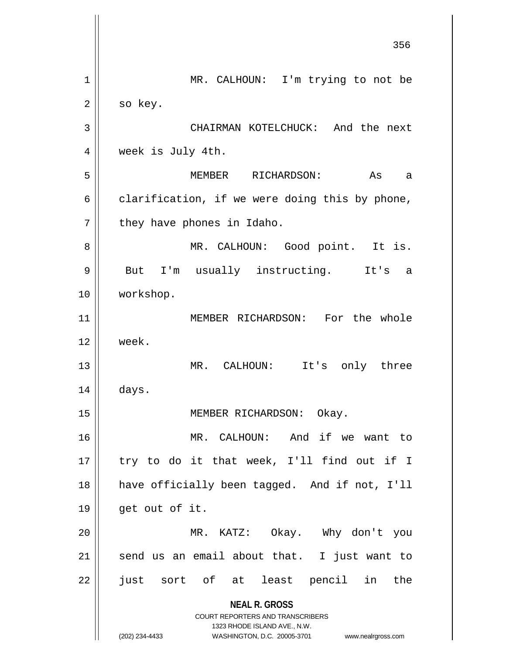**NEAL R. GROSS** COURT REPORTERS AND TRANSCRIBERS 1323 RHODE ISLAND AVE., N.W. (202) 234-4433 WASHINGTON, D.C. 20005-3701 www.nealrgross.com 356 1 || MR. CALHOUN: I'm trying to not be  $2 \parallel$  so key. 3 CHAIRMAN KOTELCHUCK: And the next 4 | week is July 4th. 5 MEMBER RICHARDSON: As a  $6 \parallel$  clarification, if we were doing this by phone,  $7 \parallel$  they have phones in Idaho. 8 MR. CALHOUN: Good point. It is. 9 || But I'm usually instructing. It's a 10 | workshop. 11 MEMBER RICHARDSON: For the whole 12 week. 13 || MR. CALHOUN: It's only three  $14 \parallel$  days. 15 || MEMBER RICHARDSON: Okay. 16 MR. CALHOUN: And if we want to  $17$  || try to do it that week, I'll find out if I 18 have officially been tagged. And if not, I'll  $19 \parallel$  get out of it. 20 MR. KATZ: Okay. Why don't you  $21$  send us an email about that. I just want to 22 || just sort of at least pencil in the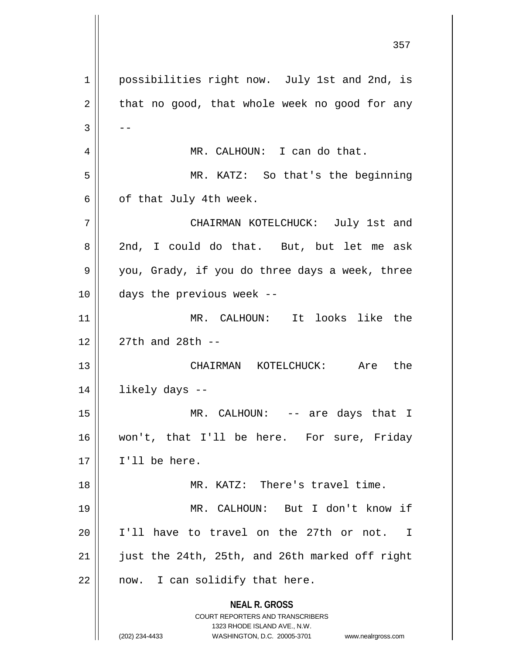**NEAL R. GROSS** COURT REPORTERS AND TRANSCRIBERS 1323 RHODE ISLAND AVE., N.W. (202) 234-4433 WASHINGTON, D.C. 20005-3701 www.nealrgross.com 1 | possibilities right now. July 1st and 2nd, is  $2 \parallel$  that no good, that whole week no good for any  $3 \parallel - -$ 4 MR. CALHOUN: I can do that. 5 MR. KATZ: So that's the beginning  $6 \parallel$  of that July 4th week. 7 CHAIRMAN KOTELCHUCK: July 1st and 8 2nd, I could do that. But, but let me ask  $9 \parallel$  you, Grady, if you do three days a week, three  $10$  || days the previous week --11 MR. CALHOUN: It looks like the 12  $\parallel$  27th and 28th --13 CHAIRMAN KOTELCHUCK: Are the 14 likely days -- 15 MR. CALHOUN: -- are days that I 16 won't, that I'll be here. For sure, Friday 17 I'll be here. 18 MR. KATZ: There's travel time. 19 MR. CALHOUN: But I don't know if 20 I'll have to travel on the 27th or not. I 21 | just the 24th, 25th, and 26th marked off right  $22$  || now. I can solidify that here.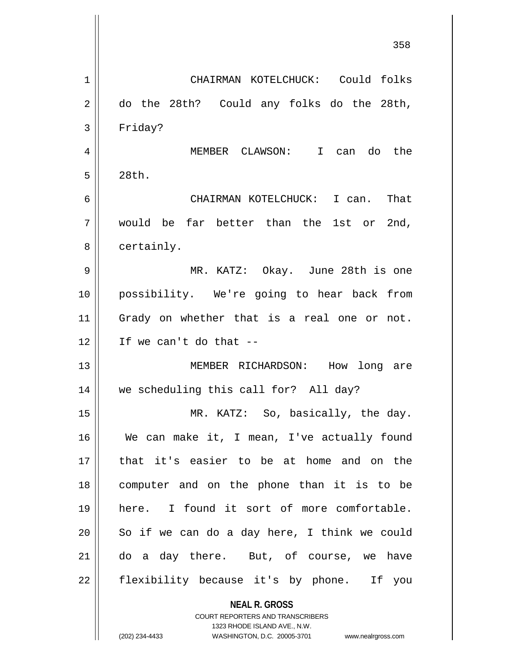|    | 358                                                      |
|----|----------------------------------------------------------|
| 1  | CHAIRMAN KOTELCHUCK: Could folks                         |
| 2  | do the 28th? Could any folks do the 28th,                |
| 3  | Friday?                                                  |
| 4  | MEMBER CLAWSON: I can do the                             |
| 5  | 28th.                                                    |
| 6  | CHAIRMAN KOTELCHUCK: I can.<br>That                      |
| 7  | would be far better than the 1st or 2nd,                 |
| 8  | certainly.                                               |
| 9  | MR. KATZ: Okay. June 28th is one                         |
| 10 | possibility. We're going to hear back from               |
| 11 | Grady on whether that is a real one or not.              |
| 12 | If we can't do that --                                   |
| 13 | MEMBER RICHARDSON: How<br>long are                       |
| 14 | we scheduling this call for? All day?                    |
| 15 | MR. KATZ: So, basically, the day.                        |
| 16 | We can make it, I mean, I've actually found              |
| 17 | that it's easier to be at home and on the                |
| 18 | computer and on the phone than it is to be               |
| 19 | here. I found it sort of more comfortable.               |
| 20 | So if we can do a day here, I think we could             |
| 21 | do a day there. But, of course, we have                  |
| 22 | flexibility because it's by phone. If you                |
|    | <b>NEAL R. GROSS</b><br>COURT REPORTERS AND TRANSCRIBERS |

1323 RHODE ISLAND AVE., N.W.

 $\mathsf{II}$ 

 $\mathbb{I}$ 

(202) 234-4433 WASHINGTON, D.C. 20005-3701 www.nealrgross.com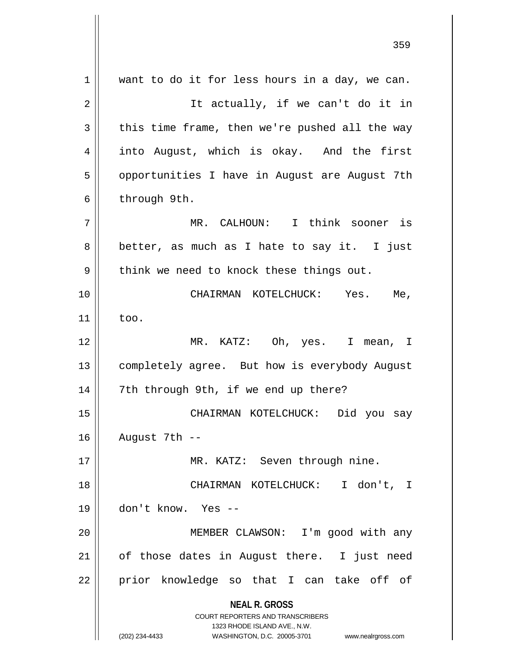**NEAL R. GROSS** COURT REPORTERS AND TRANSCRIBERS 1323 RHODE ISLAND AVE., N.W. (202) 234-4433 WASHINGTON, D.C. 20005-3701 www.nealrgross.com  $1 \parallel$  want to do it for less hours in a day, we can. 2 || It actually, if we can't do it in  $3 \parallel$  this time frame, then we're pushed all the way 4 || into August, which is okay. And the first 5 | opportunities I have in August are August 7th  $6 \parallel$  through 9th. 7 MR. CALHOUN: I think sooner is  $8 \parallel$  better, as much as I hate to say it. I just  $9 \parallel$  think we need to knock these things out. 10 CHAIRMAN KOTELCHUCK: Yes. Me,  $11$   $\parallel$  too. 12 MR. KATZ: Oh, yes. I mean, I 13 | completely agree. But how is everybody August 14 || 7th through 9th, if we end up there? 15 CHAIRMAN KOTELCHUCK: Did you say 16 August 7th -- 17 || MR. KATZ: Seven through nine. 18 CHAIRMAN KOTELCHUCK: I don't, I 19 don't know. Yes -- 20 MEMBER CLAWSON: I'm good with any  $21$  | of those dates in August there. I just need 22 || prior knowledge so that I can take off of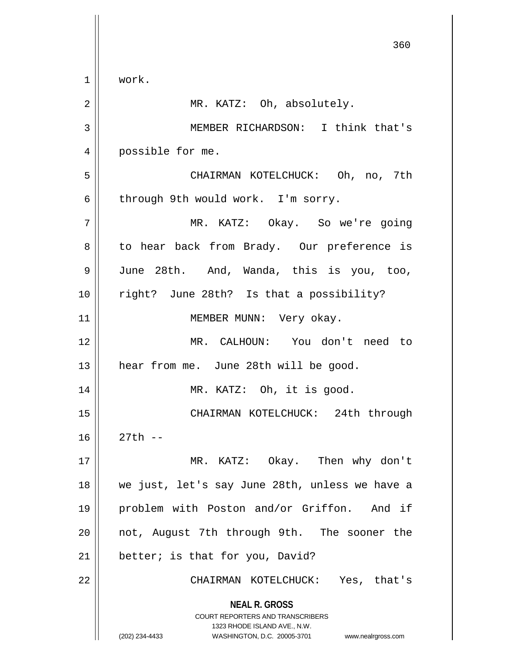**NEAL R. GROSS** COURT REPORTERS AND TRANSCRIBERS 1323 RHODE ISLAND AVE., N.W. (202) 234-4433 WASHINGTON, D.C. 20005-3701 www.nealrgross.com 1 work. 2 || MR. KATZ: Oh, absolutely. 3 MEMBER RICHARDSON: I think that's 4 || possible for me. 5 CHAIRMAN KOTELCHUCK: Oh, no, 7th  $6 \parallel$  through 9th would work. I'm sorry. 7 MR. KATZ: Okay. So we're going 8 || to hear back from Brady. Our preference is 9 June 28th. And, Wanda, this is you, too, 10 right? June 28th? Is that a possibility? 11 || MEMBER MUNN: Very okay. 12 MR. CALHOUN: You don't need to 13 || hear from me. June 28th will be good. 14 || MR. KATZ: Oh, it is good. 15 CHAIRMAN KOTELCHUCK: 24th through 16 27th -- 17 MR. KATZ: Okay. Then why don't 18 we just, let's say June 28th, unless we have a 19 problem with Poston and/or Griffon. And if 20 || not, August 7th through 9th. The sooner the  $21$  | better; is that for you, David? 22 CHAIRMAN KOTELCHUCK: Yes, that's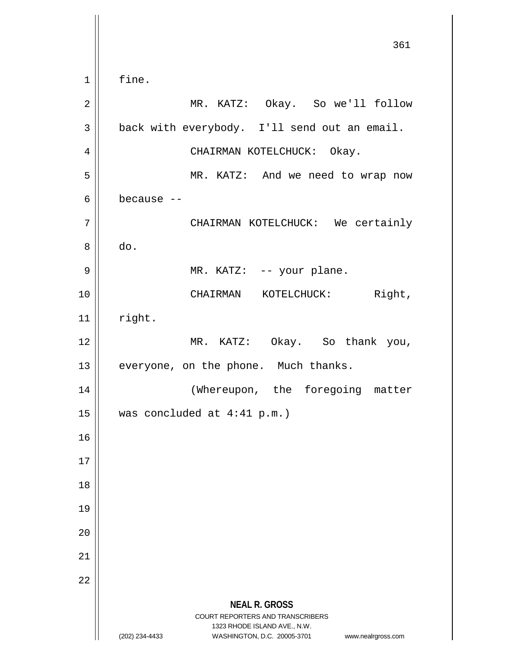**NEAL R. GROSS** COURT REPORTERS AND TRANSCRIBERS 1323 RHODE ISLAND AVE., N.W. (202) 234-4433 WASHINGTON, D.C. 20005-3701 www.nealrgross.com 361  $1 \parallel$  fine. 2 MR. KATZ: Okay. So we'll follow  $3 \parallel$  back with everybody. I'll send out an email. 4 | CHAIRMAN KOTELCHUCK: Okay. 5 MR. KATZ: And we need to wrap now  $6 \parallel$  because  $-$ 7 | CHAIRMAN KOTELCHUCK: We certainly 8 do. 9 || MR. KATZ: -- your plane. 10 || CHAIRMAN KOTELCHUCK: Right,  $11$  right. 12 || MR. KATZ: Okay. So thank you,  $13$  | everyone, on the phone. Much thanks. 14 || (Whereupon, the foregoing matter 15 was concluded at 4:41 p.m.) 16 17 18 19 20 21 22